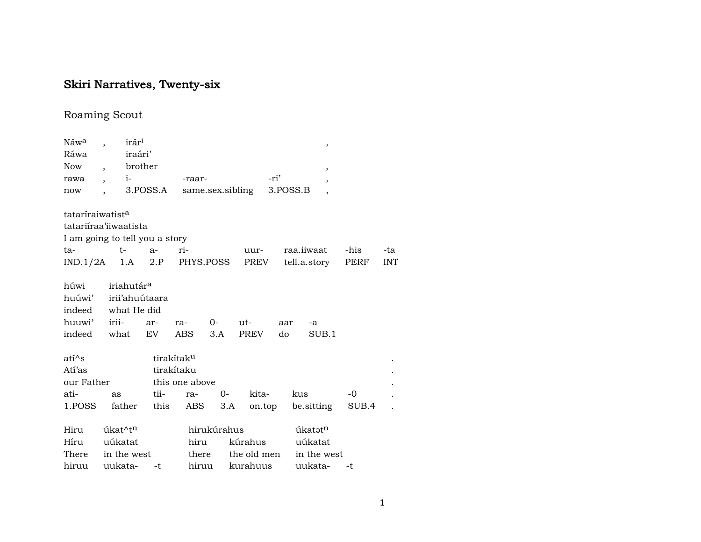## Skiri Narratives, Twenty-six

## Roaming Scout

| Náw <sup>a</sup>             | irár <sup>i</sup>              |          |                        |             |                  |          | $\,$                     |       |            |  |
|------------------------------|--------------------------------|----------|------------------------|-------------|------------------|----------|--------------------------|-------|------------|--|
| Ráwa                         | iraári'                        |          |                        |             |                  |          |                          |       |            |  |
| <b>Now</b>                   | brother                        |          |                        |             |                  |          | $\overline{\phantom{a}}$ |       |            |  |
| rawa                         | $i-$                           |          | -raar-                 |             |                  | -ri'     | $\overline{\phantom{a}}$ |       |            |  |
| now                          |                                | 3.POSS.A |                        |             | same.sex.sibling | 3.POSS.B |                          |       |            |  |
| tataríraiwatist <sup>a</sup> |                                |          |                        |             |                  |          |                          |       |            |  |
|                              | tatariiraa'iiwaatista          |          |                        |             |                  |          |                          |       |            |  |
|                              | I am going to tell you a story |          |                        |             |                  |          |                          |       |            |  |
| ta-                          | $t-$                           | $a-$     | ri-                    |             | uur-             |          | raa.iiwaat               | -his  | -ta        |  |
|                              | $IND.1/2A$ 1.A                 | 2.P      | PHYS.POSS              |             | PREV             |          | tell.a.story             | PERF  | <b>INT</b> |  |
| húwi                         | iriahutár <sup>a</sup>         |          |                        |             |                  |          |                          |       |            |  |
| huúwi'                       | irii'ahuútaara                 |          |                        |             |                  |          |                          |       |            |  |
| indeed                       | what He did                    |          |                        |             |                  |          |                          |       |            |  |
| huuwi <sup>3</sup>           | irii-                          | ar-      | ra-                    | $O -$       | ut-              | aar      | -a                       |       |            |  |
| indeed                       | what                           | EV.      | ABS                    | 3.A         | <b>PREV</b>      | do       | SUB.1                    |       |            |  |
| $ati^s$                      |                                |          | tirakítak <sup>u</sup> |             |                  |          |                          |       |            |  |
| Atí'as                       |                                |          | tirakítaku             |             |                  |          |                          |       |            |  |
| our Father                   |                                |          | this one above         |             |                  |          |                          |       |            |  |
| ati-                         | as                             | tii-     | ra-                    | $O -$       | kita-            | kus      |                          | -0    |            |  |
| 1.POSS                       | father                         | this     | ABS                    | 3.A         | on.top           |          | be sitting               | SUB.4 |            |  |
| Hiru                         | úkat^t <sup>n</sup>            |          |                        | hirukúrahus |                  |          | úkatət <sup>n</sup>      |       |            |  |
| Híru                         | uúkatat                        |          | hiru                   |             | kúrahus          |          | uúkatat                  |       |            |  |
| There                        | in the west                    |          | there                  |             | the old men      |          | in the west              |       |            |  |
| hiruu                        | uukata-                        | $-t$     | hiruu                  |             | kurahuus         |          | uukata-                  | -t    |            |  |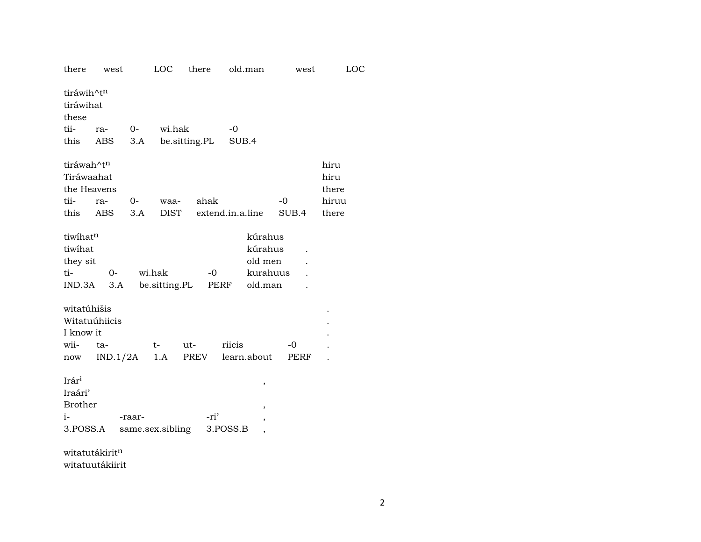| there                                                                        | west                       |        |                         | LOC there     | old.man                                                      | west  | LOC                            |
|------------------------------------------------------------------------------|----------------------------|--------|-------------------------|---------------|--------------------------------------------------------------|-------|--------------------------------|
| tiráwih^tn<br>tiráwihat<br>these                                             |                            |        |                         |               |                                                              |       |                                |
| tii-                                                                         | ra-                        | $0-$   | wi.hak                  |               | $-0$                                                         |       |                                |
|                                                                              | this ABS                   | 3.A    |                         | be.sitting.PL | SUB.4                                                        |       |                                |
| tiráwah^tn<br>Tiráwaahat<br>tii-                                             | the Heavens<br>ra-         | $O-$   | waa-                    | ahak          |                                                              | -0    | hiru<br>hiru<br>there<br>hiruu |
|                                                                              | this ABS                   | 3.A    | DIST                    |               | extend.in.a.line                                             | SUB.4 | there                          |
| tiwihatn<br>tiwihat<br>they sit<br>ti-<br>IND.3A<br>witatúhišis<br>I know it | 0-<br>3.A<br>Witatuúhiicis |        | wi.hak<br>be.sitting.PL | $-0$          | kúrahus<br>kúrahus<br>old men<br>kurahuus<br>PERF<br>old.man |       |                                |
| wii-                                                                         | ta-                        |        | $t-$                    | ut-           | riicis                                                       | -0    |                                |
| now                                                                          | IND.1/2A                   |        | 1.A                     | PREV          | learn.about                                                  | PERF  |                                |
| Irár <sup>i</sup><br>Iraári'<br><b>Brother</b><br>$i-$<br>3.POSS.A           | witatutákirit <sup>n</sup> | -raar- | same.sex.sibling        | -ri'          | ,<br>,<br>3.POSS.B                                           |       |                                |

witatuutákiirit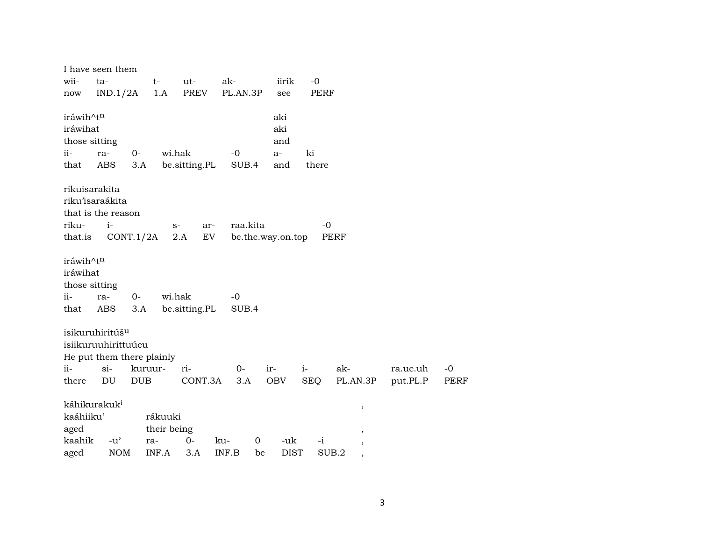|           | I have seen them            |            |             |               |             |                   |             |                          |          |             |
|-----------|-----------------------------|------------|-------------|---------------|-------------|-------------------|-------------|--------------------------|----------|-------------|
| wii-      | $ta-$                       |            | $t-$        | ut-           | ak-         | iirik             | $-0$        |                          |          |             |
| now       | IND.1/2A                    |            | 1.A         | <b>PREV</b>   | PL.AN.3P    | see               | <b>PERF</b> |                          |          |             |
|           |                             |            |             |               |             |                   |             |                          |          |             |
| iráwih^tn |                             |            |             |               |             | aki               |             |                          |          |             |
| iráwihat  |                             |            |             |               |             | aki               |             |                          |          |             |
|           | those sitting               |            |             |               | $-0$        | and               | ki          |                          |          |             |
| $ii -$    | ra-                         | $O -$      | wi.hak      |               |             | $a-$              |             |                          |          |             |
| that      | ABS                         | 3.A        |             | be.sitting.PL | SUB.4       | and               | there       |                          |          |             |
|           | rikuisarakita               |            |             |               |             |                   |             |                          |          |             |
|           | riku'isaraákita             |            |             |               |             |                   |             |                          |          |             |
|           | that is the reason          |            |             |               |             |                   |             |                          |          |             |
| riku-     | $i-$                        |            | $S-$        | ar-           | raa.kita    |                   | $-0$        |                          |          |             |
| that.is   |                             | CONT.1/2A  |             | EV<br>2.A     |             | be.the.way.on.top | PERF        |                          |          |             |
|           |                             |            |             |               |             |                   |             |                          |          |             |
| iráwih^tn |                             |            |             |               |             |                   |             |                          |          |             |
| iráwihat  |                             |            |             |               |             |                   |             |                          |          |             |
|           | those sitting               |            |             |               |             |                   |             |                          |          |             |
| $ii -$    | ra-                         | $0-$       | wi.hak      |               | $-0$        |                   |             |                          |          |             |
| that      | <b>ABS</b>                  | 3.A        |             | be.sitting.PL | SUB.4       |                   |             |                          |          |             |
|           |                             |            |             |               |             |                   |             |                          |          |             |
|           | isikuruhiritúš <sup>u</sup> |            |             |               |             |                   |             |                          |          |             |
|           | isiikuruuhirittuúcu         |            |             |               |             |                   |             |                          |          |             |
|           | He put them there plainly   |            |             |               |             |                   |             |                          |          |             |
| ii-       | $\sin$                      | kuruur-    |             | ri-           | $0-$        | ir-               | $i-$        | ak-                      | ra.uc.uh | $-0$        |
| there     | DU                          | <b>DUB</b> |             | CONT.3A       | 3.A         | OBV               | <b>SEQ</b>  | PL.AN.3P                 | put.PL.P | <b>PERF</b> |
|           |                             |            |             |               |             |                   |             |                          |          |             |
|           | káhikurakuk <sup>i</sup>    |            |             |               |             |                   |             | $\, ,$                   |          |             |
| kaáhiiku' |                             |            | rákuuki     |               |             |                   |             |                          |          |             |
| aged      |                             |            | their being |               |             |                   |             | $\, ,$                   |          |             |
| kaahik    | $-u^{\prime}$               |            | ra-         | $0-$          | 0<br>ku-    | -uk               | $-i$        | ,                        |          |             |
| aged      | <b>NOM</b>                  |            | INF.A       | 3.A           | INF.B<br>be | <b>DIST</b>       | SUB.2       | $\overline{\phantom{a}}$ |          |             |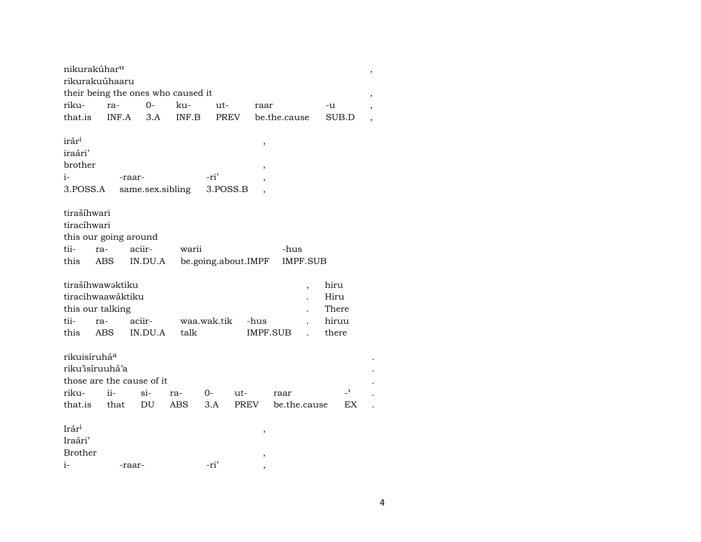| nikurakúhar <sup>u</sup> |                       |                                    |       |             |                     |                 |       |  |
|--------------------------|-----------------------|------------------------------------|-------|-------------|---------------------|-----------------|-------|--|
|                          | rikurakuúhaaru        | their being the ones who caused it |       |             |                     |                 |       |  |
| riku-                    | ra-                   | $0-$                               | ku-   | ut-         | raar                |                 | -u    |  |
| that.is                  | INF.A                 | 3.A                                | INF.B | <b>PREV</b> |                     | be.the.cause    | SUB.D |  |
|                          |                       |                                    |       |             |                     |                 |       |  |
| irár <sup>i</sup>        |                       |                                    |       |             |                     |                 |       |  |
| iraári'                  |                       |                                    |       |             | ,                   |                 |       |  |
| brother                  |                       |                                    |       |             |                     |                 |       |  |
| $i-$                     |                       | -raar-                             |       | -ri'        |                     |                 |       |  |
| 3.POSS.A                 |                       | same.sex.sibling                   |       | 3.POSS.B    |                     |                 |       |  |
|                          |                       |                                    |       |             |                     |                 |       |  |
| tirašíhwari              |                       |                                    |       |             |                     |                 |       |  |
| tiracíhwari              |                       |                                    |       |             |                     |                 |       |  |
|                          | this our going around |                                    |       |             |                     |                 |       |  |
| tii-                     | ra-                   | aciir-                             | warii |             |                     | -hus            |       |  |
| this                     | ABS                   | IN.DU.A                            |       |             | be.going.about.IMPF | <b>IMPF.SUB</b> |       |  |
|                          |                       |                                    |       |             |                     |                 |       |  |
|                          | tirašíhwawaktiku      |                                    |       |             |                     | $\overline{ }$  | hiru  |  |
|                          | tiracihwaawáktiku     |                                    |       |             |                     |                 | Hiru  |  |
|                          | this our talking      |                                    |       |             |                     |                 | There |  |
| tii-                     | ra-                   | aciir-                             |       | waa.wak.tik | -hus                |                 | hiruu |  |
| this                     | <b>ABS</b>            | IN.DU.A                            | talk  |             |                     | IMPF.SUB        | there |  |
|                          |                       |                                    |       |             |                     |                 |       |  |
| rikuisíruhá <sup>a</sup> |                       |                                    |       |             |                     |                 |       |  |
|                          | riku'isíruuhá'a       |                                    |       |             |                     |                 |       |  |
|                          |                       | those are the cause of it          |       |             |                     |                 |       |  |
| riku-                    | $ii -$                | $\sin$                             | ra-   | $O-$        | ut-                 | raar            | -,    |  |
| that.is                  | that                  | DU                                 | ABS   | 3.A         | <b>PREV</b>         | be.the.cause    | EX    |  |
|                          |                       |                                    |       |             |                     |                 |       |  |
| Irár <sup>i</sup>        |                       |                                    |       |             | ,                   |                 |       |  |
| Iraári'                  |                       |                                    |       |             |                     |                 |       |  |
| <b>Brother</b>           |                       |                                    |       |             |                     |                 |       |  |
| i-                       |                       | -raar-                             |       | -ri'        | ,                   |                 |       |  |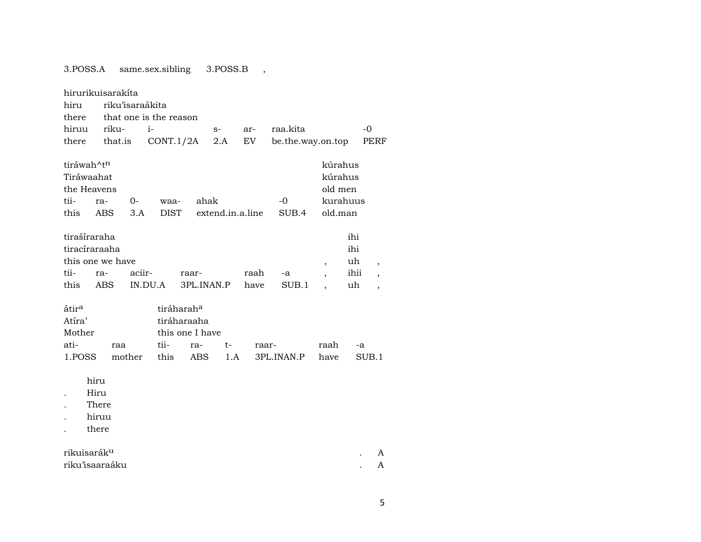3.POSS.A same.sex.sibling 3.POSS.B ,

|                                                         | hirurikuisarakíta                               |                   |                        |                                                          |                  |              |                   |                                          |                                |                                  |  |
|---------------------------------------------------------|-------------------------------------------------|-------------------|------------------------|----------------------------------------------------------|------------------|--------------|-------------------|------------------------------------------|--------------------------------|----------------------------------|--|
| hiru                                                    | riku'isaraákita                                 |                   |                        |                                                          |                  |              |                   |                                          |                                |                                  |  |
| there                                                   |                                                 |                   | that one is the reason |                                                          |                  |              |                   |                                          |                                |                                  |  |
| hiruu                                                   | riku-                                           | $i-$              |                        |                                                          | $S-$             | ar-          | raa.kita          |                                          |                                | $-0$                             |  |
| there                                                   | that.is                                         |                   | CONT.1/2A              |                                                          | 2.A              | EV           | be.the.way.on.top |                                          |                                | PERF                             |  |
| tiráwah^tn<br>Tiráwaahat<br>the Heavens<br>tii-<br>this | ra-<br>ABS                                      | 0-<br>3.A         | waa-<br><b>DIST</b>    | ahak                                                     | extend.in.a.line |              | -0<br>SUB.4       | kúrahus<br>kúrahus<br>old men<br>old.man | kurahuus                       |                                  |  |
| tirašíraraha<br>tii-<br>this                            | tiracíraraaha<br>this one we have<br>ra-<br>ABS | aciir-<br>IN.DU.A |                        | raar-<br>3PL.INAN.P                                      |                  | raah<br>have | -a<br>SUB.1       | $\overline{ }$                           | ihi<br>ihi<br>uh<br>ihii<br>uh | $\overline{ }$<br>$\overline{ }$ |  |
| átir <sup>a</sup><br>Atíra'<br>Mother                   |                                                 |                   |                        | tiráharah <sup>a</sup><br>tiráharaaha<br>this one I have |                  |              |                   |                                          |                                |                                  |  |
| ati-                                                    | raa                                             |                   | tii-                   | ra-                                                      | t-               |              | raar-             | raah                                     | -a                             |                                  |  |
| 1.POSS                                                  |                                                 | mother            | this                   | <b>ABS</b>                                               | 1.A              |              | 3PL.INAN.P        | have                                     |                                | SUB.1                            |  |
|                                                         | hiru<br>Hiru<br>There<br>hiruu<br>there         |                   |                        |                                                          |                  |              |                   |                                          |                                |                                  |  |
| rikuisarák <sup>u</sup>                                 |                                                 |                   |                        |                                                          |                  |              |                   |                                          |                                | A                                |  |
|                                                         | riku'isaaraáku                                  |                   |                        |                                                          |                  |              |                   |                                          |                                | A                                |  |
|                                                         |                                                 |                   |                        |                                                          |                  |              |                   |                                          |                                |                                  |  |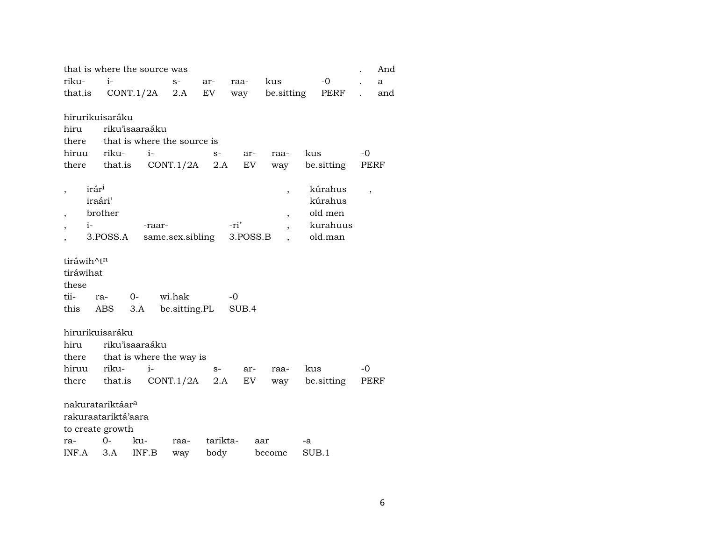| that is where the source was |                              |                             |                  |          |          |                          |            |                          |     |
|------------------------------|------------------------------|-----------------------------|------------------|----------|----------|--------------------------|------------|--------------------------|-----|
| riku-                        | $i-$                         |                             | $S-$             | ar-      | raa-     | kus                      | $-0$       |                          | a   |
| that.is                      |                              | CONT.1/2A                   | 2.A              | EV       | way      | be sitting               | PERF       |                          | and |
|                              |                              |                             |                  |          |          |                          |            |                          |     |
|                              | hirurikuisaráku              |                             |                  |          |          |                          |            |                          |     |
| hiru                         |                              | riku'isaaraáku              |                  |          |          |                          |            |                          |     |
| there                        |                              | that is where the source is |                  |          |          |                          |            |                          |     |
| hiruu                        | riku-                        | $i-$                        |                  | $S-$     | ar-      | raa-                     | kus        | -0                       |     |
| there                        | that.is                      |                             | CONT.1/2A        | 2.A      | EV       | way                      | be.sitting | PERF                     |     |
|                              | irár <sup>i</sup>            |                             |                  |          |          |                          | kúrahus    |                          |     |
|                              | iraári'                      |                             |                  |          |          | $\overline{\phantom{a}}$ | kúrahus    | $\overline{\phantom{a}}$ |     |
|                              | brother                      |                             |                  |          |          |                          | old men    |                          |     |
| $i-$                         |                              | -raar-                      |                  |          | -ri'     | $\overline{\phantom{a}}$ | kurahuus   |                          |     |
|                              | 3.POSS.A                     |                             | same.sex.sibling |          | 3.POSS.B |                          | old.man    |                          |     |
|                              |                              |                             |                  |          |          |                          |            |                          |     |
| tiráwih^t <sup>n</sup>       |                              |                             |                  |          |          |                          |            |                          |     |
| tiráwihat                    |                              |                             |                  |          |          |                          |            |                          |     |
| these                        |                              |                             |                  |          |          |                          |            |                          |     |
| tii-                         | ra-                          | $0-$                        | wi.hak           |          | -0       |                          |            |                          |     |
| this                         | ABS                          | 3.A                         | be.sitting.PL    |          | SUB.4    |                          |            |                          |     |
|                              |                              |                             |                  |          |          |                          |            |                          |     |
|                              | hirurikuisaráku              |                             |                  |          |          |                          |            |                          |     |
| hiru                         |                              | riku'isaaraáku              |                  |          |          |                          |            |                          |     |
| there                        |                              | that is where the way is    |                  |          |          |                          |            |                          |     |
| hiruu                        | riku-                        | $i-$                        |                  | $S-$     | ar-      | raa-                     | kus        | -0                       |     |
| there                        | that.is                      |                             | CONT.1/2A        | 2.A      | EV       | way                      | be sitting | PERF                     |     |
|                              |                              |                             |                  |          |          |                          |            |                          |     |
|                              | nakuratariktáar <sup>a</sup> |                             |                  |          |          |                          |            |                          |     |
|                              | rakuraatariktá'aara          |                             |                  |          |          |                          |            |                          |     |
|                              | to create growth             |                             |                  |          |          |                          |            |                          |     |
| ra-                          | 0-                           | ku-                         | raa-             | tarikta- |          | aar                      | -a         |                          |     |
| INF.A                        | 3.A                          | INF.B                       | way              | body     |          | become                   | SUB.1      |                          |     |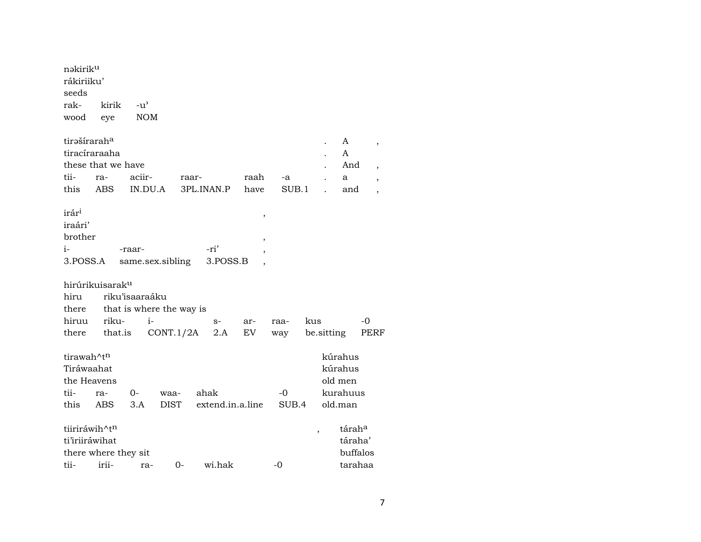| nəkirik <sup>u</sup><br>rákiriiku'<br>seeds |                             |                |                          |                  |                          |       |                          |                    |                          |
|---------------------------------------------|-----------------------------|----------------|--------------------------|------------------|--------------------------|-------|--------------------------|--------------------|--------------------------|
| rak-                                        | kirik                       | $-u^{\prime}$  |                          |                  |                          |       |                          |                    |                          |
| wood                                        | eye                         | $\rm{NOM}$     |                          |                  |                          |       |                          |                    |                          |
| tirašíraraha                                |                             |                |                          |                  |                          |       |                          | A                  | ,                        |
| tiracíraraaha                               |                             |                |                          |                  |                          |       |                          | A                  |                          |
|                                             | these that we have          |                |                          |                  |                          |       |                          | And                | $\overline{\phantom{a}}$ |
| tii-                                        | ra-                         | aciir-         |                          | raar-            | raah                     | -a    |                          | a                  | $\overline{\phantom{a}}$ |
| this                                        | <b>ABS</b>                  | IN.DU.A        |                          | 3PL.INAN.P       | have                     | SUB.1 |                          | and                | $\overline{\phantom{a}}$ |
| irár <sup>i</sup><br>iraári'                |                             |                |                          |                  | ,                        |       |                          |                    |                          |
| brother                                     |                             |                |                          |                  | ,                        |       |                          |                    |                          |
| i-                                          |                             | -raar-         |                          | -ri'             | $\overline{\phantom{a}}$ |       |                          |                    |                          |
| 3.POSS.A                                    |                             |                | same.sex.sibling         | 3.POSS.B         |                          |       |                          |                    |                          |
|                                             | hirúrikuisarak <sup>u</sup> |                |                          |                  |                          |       |                          |                    |                          |
| hiru                                        |                             | riku'isaaraáku |                          |                  |                          |       |                          |                    |                          |
| there                                       |                             |                | that is where the way is |                  |                          |       |                          |                    |                          |
| hiruu                                       | riku-                       | $i-$           |                          | $S-$             | ar-                      | raa-  | kus                      |                    | -0                       |
| there                                       | that.is                     |                | CONT.1/2A                | 2.A              | EV                       | way   | be sitting               |                    | PERF                     |
| tirawah^t <sup>n</sup>                      |                             |                |                          |                  |                          |       |                          | kúrahus            |                          |
| Tiráwaahat                                  |                             |                |                          |                  |                          |       |                          | kúrahus            |                          |
| the Heavens                                 |                             |                |                          |                  |                          |       |                          | old men            |                          |
| tii-                                        | ra-                         | 0-             | waa-                     | ahak             |                          | -0    |                          | kurahuus           |                          |
| this                                        | ABS                         | 3.A            | <b>DIST</b>              | extend.in.a.line |                          | SUB.4 |                          | old.man            |                          |
| tiiriráwih^t <sup>n</sup>                   |                             |                |                          |                  |                          |       | $\overline{\phantom{a}}$ | tárah <sup>a</sup> |                          |
| ti'iriiráwihat                              |                             |                |                          |                  |                          |       |                          | táraha'            |                          |
|                                             | there where they sit        |                |                          |                  |                          |       |                          | buffalos           |                          |
| tii-                                        | irii-                       | ra-            | $0-$                     | wi.hak           |                          | -0    |                          | tarahaa            |                          |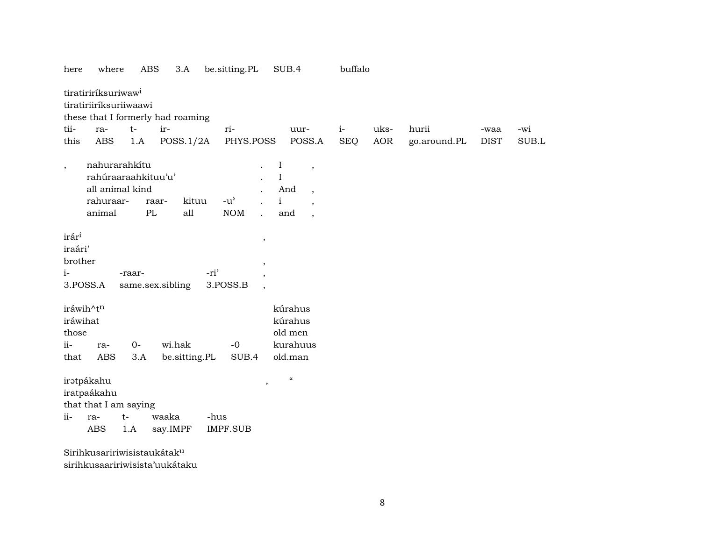| <b>ABS</b><br>3.A<br>here<br>where                                                                                                        | SUB.4<br>be.sitting.PL                                                                                      |                                                                                                                            |            | buffalo    |              |             |       |  |
|-------------------------------------------------------------------------------------------------------------------------------------------|-------------------------------------------------------------------------------------------------------------|----------------------------------------------------------------------------------------------------------------------------|------------|------------|--------------|-------------|-------|--|
| tiratiriríksuriwaw <sup>i</sup><br>tiratiriiríksuriiwaawi<br>these that I formerly had roaming<br>tii-<br>ir-<br>$t-$<br>ra-              | ri-                                                                                                         | uur-                                                                                                                       | $i-$       | uks-       | hurii        | -waa        | -wi   |  |
| <b>ABS</b><br>1.A<br>POSS.1/2A<br>this                                                                                                    | PHYS.POSS                                                                                                   | POSS.A                                                                                                                     | <b>SEQ</b> | <b>AOR</b> | go.around.PL | <b>DIST</b> | SUB.L |  |
| nahurarahkítu<br>$\overline{\phantom{a}}$<br>rahúraaraahkituu'u'<br>all animal kind<br>rahuraar-<br>kituu<br>raar-<br>PL<br>all<br>animal | $\bf{I}$<br>$\rm I$<br>$\rm i$<br>$-u$ <sup><math>\prime</math></sup><br><b>NOM</b><br>$\ddot{\phantom{0}}$ | $\overline{\phantom{a}}$<br>And<br>$\overline{\phantom{a}}$<br>$\overline{\phantom{a}}$<br>and<br>$\overline{\phantom{a}}$ |            |            |              |             |       |  |
| irári<br>iraári'<br>brother<br>$i-$<br>-ri'<br>-raar-<br>3.POSS.A<br>3.POSS.B<br>same.sex.sibling                                         |                                                                                                             |                                                                                                                            |            |            |              |             |       |  |
| iráwih^tn                                                                                                                                 |                                                                                                             | kúrahus                                                                                                                    |            |            |              |             |       |  |
| iráwihat                                                                                                                                  |                                                                                                             | kúrahus<br>old men                                                                                                         |            |            |              |             |       |  |
| those<br>$ii-$<br>wi.hak<br>$0-$<br>ra-                                                                                                   | $-0$                                                                                                        | kurahuus                                                                                                                   |            |            |              |             |       |  |
| <b>ABS</b><br>be.sitting.PL<br>3.A<br>that                                                                                                | SUB.4                                                                                                       | old.man                                                                                                                    |            |            |              |             |       |  |
| iratpákahu<br>iratpaákahu<br>that that I am saying<br>waaka<br>$ii-$<br>$t-$<br>ra-<br>ABS<br>1.A<br>say.IMPF                             | $\,$<br>-hus<br>IMPF.SUB                                                                                    | $\epsilon\epsilon$                                                                                                         |            |            |              |             |       |  |
| Sirihkusaririwisistaukátak <sup>u</sup>                                                                                                   |                                                                                                             |                                                                                                                            |            |            |              |             |       |  |

sirihkusaaririwisista'uukátaku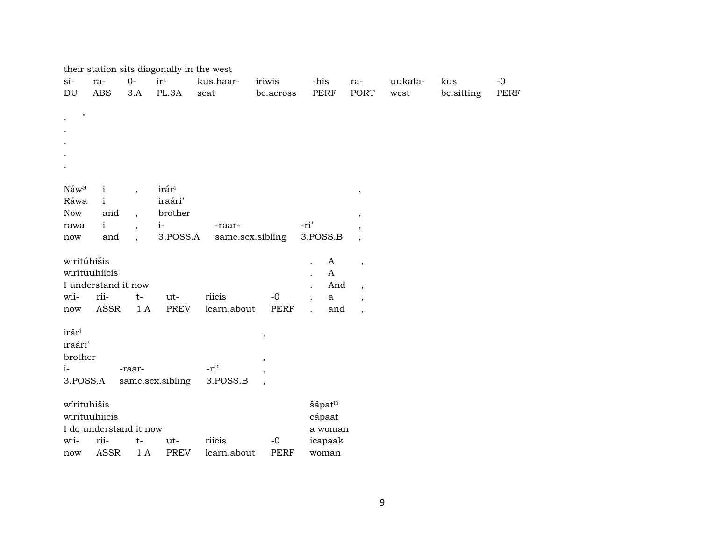|                            | their station sits diagonally in the west |                          |                  |                       |                          |                |                          |                       |            |      |
|----------------------------|-------------------------------------------|--------------------------|------------------|-----------------------|--------------------------|----------------|--------------------------|-----------------------|------------|------|
| $si-$                      | ra-                                       | $0-$                     | ir-              | kus.haar-             | iriwis                   | -his           | ra-                      | uukata-               | kus        | $-0$ |
| $\mathop{\rm DU}\nolimits$ | <b>ABS</b>                                | 3.A                      | PL.3A            | $\operatorname{seat}$ | be.across                | PERF           | PORT                     | $\operatorname{west}$ | be.sitting | PERF |
|                            |                                           |                          |                  |                       |                          |                |                          |                       |            |      |
| $\pmb{\mathsf{H}}$         |                                           |                          |                  |                       |                          |                |                          |                       |            |      |
|                            |                                           |                          |                  |                       |                          |                |                          |                       |            |      |
|                            |                                           |                          |                  |                       |                          |                |                          |                       |            |      |
|                            |                                           |                          |                  |                       |                          |                |                          |                       |            |      |
|                            |                                           |                          |                  |                       |                          |                |                          |                       |            |      |
|                            |                                           |                          |                  |                       |                          |                |                          |                       |            |      |
| Náwa                       | $\mathbf{i}$                              | $\overline{\phantom{a}}$ | irári            |                       |                          |                | $\, ,$                   |                       |            |      |
| Ráwa                       | $\mathbf{i}$                              |                          | iraári'          |                       |                          |                |                          |                       |            |      |
| Now                        | and                                       | $\overline{ }$           | brother          |                       |                          |                | $^\mathrm{^{^\circ}}$    |                       |            |      |
| rawa                       | $\mathbf{i}$                              | $\overline{\phantom{a}}$ | $i-$             | -raar-                |                          | -ri'           |                          |                       |            |      |
| now                        | and                                       | $\ddot{\phantom{0}}$     | 3.POSS.A         | same.sex.sibling      |                          | 3.POSS.B       | $\overline{\phantom{a}}$ |                       |            |      |
|                            |                                           |                          |                  |                       |                          |                |                          |                       |            |      |
| wiritúhišis                |                                           |                          |                  |                       |                          | A              | $\,$                     |                       |            |      |
|                            | wirítuuhiicis                             |                          |                  |                       |                          | $\mathbf{A}$   |                          |                       |            |      |
|                            | I understand it now                       |                          |                  |                       |                          | And            | $\overline{\phantom{a}}$ |                       |            |      |
| wii-                       | rii-                                      | $t-$                     | ut-              | riicis                | $-0$                     | $\bf a$        | $\overline{\phantom{a}}$ |                       |            |      |
| $\operatorname{now}$       | ASSR                                      | 1.A                      | <b>PREV</b>      | learn.about           | <b>PERF</b>              | and<br>$\cdot$ | $\overline{\phantom{a}}$ |                       |            |      |
|                            |                                           |                          |                  |                       |                          |                |                          |                       |            |      |
| irár <sup>i</sup>          |                                           |                          |                  |                       | $\,$                     |                |                          |                       |            |      |
| iraári'                    |                                           |                          |                  |                       |                          |                |                          |                       |            |      |
| brother                    |                                           |                          |                  |                       | $\overline{\phantom{a}}$ |                |                          |                       |            |      |
| $i-$                       |                                           | -raar-                   |                  | -ri'                  | $\cdot$                  |                |                          |                       |            |      |
| 3.POSS.A                   |                                           |                          | same.sex.sibling | 3.POSS.B              | $\cdot$                  |                |                          |                       |            |      |
|                            |                                           |                          |                  |                       |                          |                |                          |                       |            |      |
| wirituhišis                |                                           |                          |                  |                       |                          | šápatn         |                          |                       |            |      |
|                            | wirítuuhiicis                             |                          |                  |                       |                          | cápaat         |                          |                       |            |      |
|                            | I do understand it now                    |                          |                  |                       |                          | a woman        |                          |                       |            |      |
| wii-                       | rii-                                      | $t-$                     | ut-              | riicis                | $-0$                     | icapaak        |                          |                       |            |      |
| now                        | <b>ASSR</b>                               | 1.A                      | <b>PREV</b>      | learn.about           | <b>PERF</b>              | woman          |                          |                       |            |      |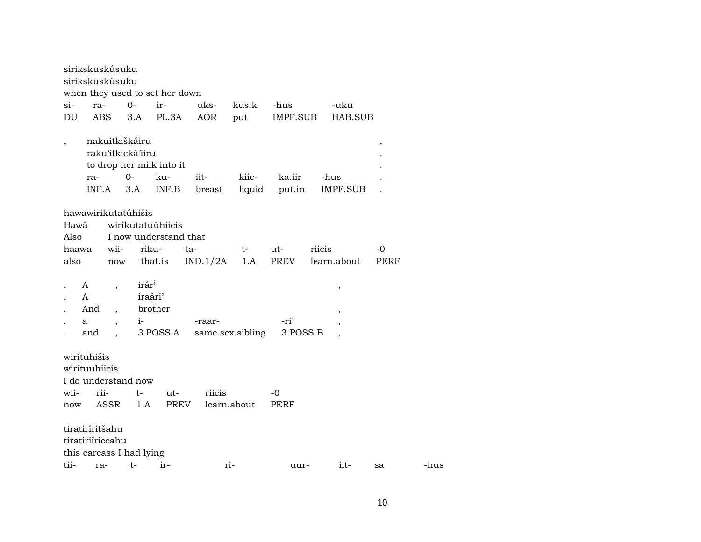| ra-  |                                                           |                                                                                                                                                                                                      | ku-                                                                                                                                              | iit-                                                                                                                                                                                | kiic-                                                                                                                                             | ka.iir                                                        |                                                               |                                        |                                                                    |                                 |
|------|-----------------------------------------------------------|------------------------------------------------------------------------------------------------------------------------------------------------------------------------------------------------------|--------------------------------------------------------------------------------------------------------------------------------------------------|-------------------------------------------------------------------------------------------------------------------------------------------------------------------------------------|---------------------------------------------------------------------------------------------------------------------------------------------------|---------------------------------------------------------------|---------------------------------------------------------------|----------------------------------------|--------------------------------------------------------------------|---------------------------------|
|      |                                                           |                                                                                                                                                                                                      | INF.B                                                                                                                                            | breast                                                                                                                                                                              | liquid                                                                                                                                            |                                                               |                                                               |                                        |                                                                    |                                 |
|      |                                                           |                                                                                                                                                                                                      |                                                                                                                                                  |                                                                                                                                                                                     |                                                                                                                                                   |                                                               |                                                               |                                        |                                                                    |                                 |
|      |                                                           |                                                                                                                                                                                                      |                                                                                                                                                  |                                                                                                                                                                                     |                                                                                                                                                   |                                                               |                                                               |                                        |                                                                    |                                 |
|      |                                                           |                                                                                                                                                                                                      |                                                                                                                                                  |                                                                                                                                                                                     |                                                                                                                                                   |                                                               |                                                               |                                        |                                                                    |                                 |
| Also |                                                           |                                                                                                                                                                                                      |                                                                                                                                                  |                                                                                                                                                                                     |                                                                                                                                                   |                                                               |                                                               |                                        |                                                                    |                                 |
|      |                                                           |                                                                                                                                                                                                      |                                                                                                                                                  |                                                                                                                                                                                     |                                                                                                                                                   |                                                               |                                                               |                                        |                                                                    |                                 |
|      |                                                           |                                                                                                                                                                                                      |                                                                                                                                                  |                                                                                                                                                                                     |                                                                                                                                                   |                                                               |                                                               |                                        |                                                                    |                                 |
|      |                                                           |                                                                                                                                                                                                      |                                                                                                                                                  |                                                                                                                                                                                     |                                                                                                                                                   |                                                               |                                                               |                                        |                                                                    |                                 |
|      |                                                           |                                                                                                                                                                                                      |                                                                                                                                                  |                                                                                                                                                                                     |                                                                                                                                                   |                                                               |                                                               | $^\mathrm{,}$                          |                                                                    |                                 |
|      |                                                           |                                                                                                                                                                                                      |                                                                                                                                                  |                                                                                                                                                                                     |                                                                                                                                                   |                                                               |                                                               |                                        |                                                                    |                                 |
|      |                                                           |                                                                                                                                                                                                      |                                                                                                                                                  |                                                                                                                                                                                     |                                                                                                                                                   |                                                               |                                                               |                                        |                                                                    |                                 |
|      |                                                           |                                                                                                                                                                                                      |                                                                                                                                                  |                                                                                                                                                                                     |                                                                                                                                                   |                                                               |                                                               |                                        |                                                                    |                                 |
|      |                                                           |                                                                                                                                                                                                      |                                                                                                                                                  |                                                                                                                                                                                     |                                                                                                                                                   |                                                               |                                                               |                                        |                                                                    |                                 |
|      |                                                           |                                                                                                                                                                                                      |                                                                                                                                                  |                                                                                                                                                                                     |                                                                                                                                                   |                                                               |                                                               |                                        |                                                                    |                                 |
|      |                                                           |                                                                                                                                                                                                      |                                                                                                                                                  |                                                                                                                                                                                     |                                                                                                                                                   |                                                               |                                                               |                                        |                                                                    |                                 |
|      |                                                           |                                                                                                                                                                                                      |                                                                                                                                                  |                                                                                                                                                                                     |                                                                                                                                                   |                                                               |                                                               |                                        |                                                                    |                                 |
|      |                                                           |                                                                                                                                                                                                      |                                                                                                                                                  |                                                                                                                                                                                     |                                                                                                                                                   |                                                               |                                                               |                                        |                                                                    |                                 |
|      |                                                           |                                                                                                                                                                                                      |                                                                                                                                                  |                                                                                                                                                                                     |                                                                                                                                                   |                                                               |                                                               |                                        |                                                                    |                                 |
|      |                                                           |                                                                                                                                                                                                      |                                                                                                                                                  |                                                                                                                                                                                     |                                                                                                                                                   |                                                               |                                                               |                                        |                                                                    |                                 |
|      |                                                           |                                                                                                                                                                                                      |                                                                                                                                                  |                                                                                                                                                                                     |                                                                                                                                                   |                                                               |                                                               |                                        |                                                                    |                                 |
|      |                                                           |                                                                                                                                                                                                      |                                                                                                                                                  |                                                                                                                                                                                     |                                                                                                                                                   |                                                               |                                                               |                                        |                                                                    |                                 |
|      |                                                           |                                                                                                                                                                                                      |                                                                                                                                                  |                                                                                                                                                                                     |                                                                                                                                                   |                                                               |                                                               |                                        |                                                                    |                                 |
|      |                                                           |                                                                                                                                                                                                      | ir-                                                                                                                                              |                                                                                                                                                                                     |                                                                                                                                                   |                                                               |                                                               | iit-                                   | sa                                                                 | -hus                            |
|      | Hawá<br>haawa<br>also<br>A<br>A<br>And<br>a<br>and<br>now | ra-<br><b>ABS</b><br>INF.A<br>wii-<br>$\overline{\phantom{a}}$<br>$\overline{ }$ ,<br>$\overline{\phantom{a}}$<br>wirítuhišis<br>wirítuuhiicis<br>rii-<br>tiratiríritšahu<br>tiratiriíriccahu<br>ra- | sirikskuskúsuku<br>sirikskuskúsuku<br>$O -$<br>3.A<br>nakuitkiškáiru<br>$O -$<br>3.A<br>hawawirikutatúhišis<br>$i-$<br>t-<br>ASSR<br>1.A<br>$t-$ | ir-<br>PL.3A<br>raku'itkická'iiru<br>wirikutatuúhiicis<br>riku-<br>now that.is<br>irár <sup>i</sup><br>iraári'<br>brother<br>I do understand now<br>ut-<br>this carcass I had lying | when they used to set her down<br>uks-<br>AOR<br>to drop her milk into it<br>I now understand that<br>ta-<br>-raar-<br>3.POSS.A<br>riicis<br>PREV | kus.k<br>put<br>t-<br>IND.1/2A<br>1.A<br>learn.about<br>$ri-$ | -hus<br>ut-<br>PREV<br>-ri'<br>same.sex.sibling<br>-0<br>PERF | IMPF.SUB<br>put.in<br>3.POSS.B<br>uur- | -uku<br>-hus<br>IMPF.SUB<br>riicis<br>learn.about<br>$^\mathrm{,}$ | HAB.SUB<br>$\, ,$<br>-0<br>PERF |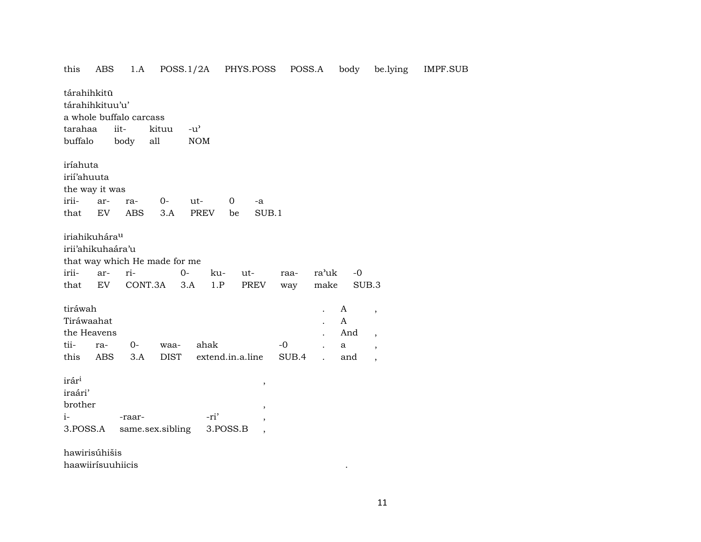1.A POSS.1/2A PHYS.POSS POSS.A body be.lying this ABS tárahihkitű tárahihkituu'u' a whole buffalo carcass  $-u^{\prime}$ tarahaa iitkituu buffalo all body **NOM** iríahuta irií'ahuuta the way it was iriiarra- $0$ ut- $\overline{0}$ -a  $3.A$ that EV **ABS PREV**  $SUB.1$ be iriahikuhára<sup>u</sup> irii'ahikuhaára'u that way which He made for me iriiri- $O -0$ arkuutra'uk raa-EV CONT.3A  $3.A$  $1.P$ **PREV** SUB.3 that make way tiráwah  $\mathbf{A}$  $\ddot{\phantom{a}}$  $\cdot$ Tiráwaahat  $\mathbf{A}$  $\ddot{\phantom{a}}$ the Heavens And  $\ddot{\phantom{a}}$  $\cdot$ tiira- $0$ waaahak  $-0$  $\mathbf{a}$  $\ddot{\phantom{a}}$  $\cdot$ this **ABS**  $3.A$ **DIST** extend.in.a.line SUB.4 and  $\mathbf{r}$  $\overline{\phantom{a}}$ irár<sup>i</sup>  $\cdot$ iraári' brother ,  $i-$ -ri' -raar- $\cdot$ 3.POSS.A same.sex.sibling 3.POSS.B  $\cdot$ hawirisúhišis

haawiirísuuhiicis

11

 $\cdot$ 

**IMPF.SUB**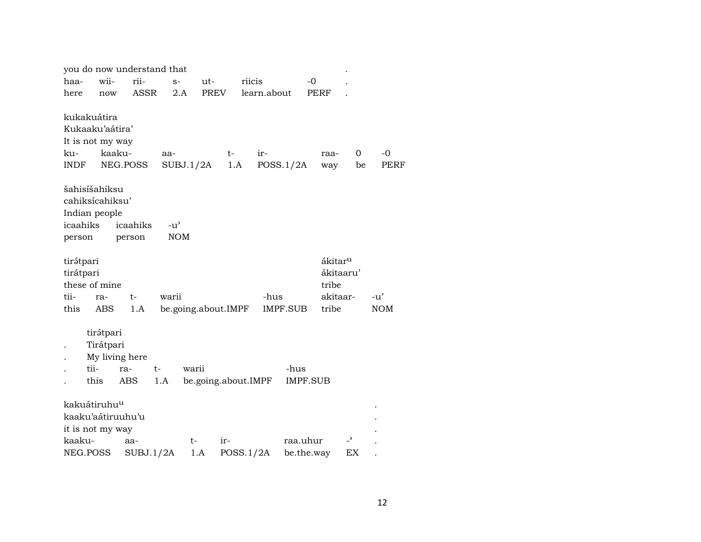|                        |                                                              | you do now understand that |                     |                     |           |                  |          |                              |                |                     |
|------------------------|--------------------------------------------------------------|----------------------------|---------------------|---------------------|-----------|------------------|----------|------------------------------|----------------|---------------------|
| haa-                   | wii-                                                         | rii-                       | $S-$                | ut-                 | riicis    |                  |          | $-0$                         |                |                     |
| here                   | now                                                          | ASSR                       | 2.A                 | <b>PREV</b>         |           | learn.about      |          | <b>PERF</b>                  |                |                     |
| ku-<br><b>INDF</b>     | kukakuátira<br>Kukaaku'aátira'<br>It is not my way<br>kaaku- | NEG.POSS                   | aa-<br>SUBJ.1/2A    |                     | t-<br>1.A | ir-<br>POSS.1/2A |          | raa-<br>way                  | 0<br>be        | $-0$<br><b>PERF</b> |
|                        | šahisíšahiksu<br>cahiksícahiksu'                             |                            |                     |                     |           |                  |          |                              |                |                     |
| icaahiks               | Indian people                                                | icaahiks                   | $-u^{\prime}$       |                     |           |                  |          |                              |                |                     |
| person                 |                                                              | person                     | <b>NOM</b>          |                     |           |                  |          |                              |                |                     |
|                        |                                                              |                            |                     |                     |           |                  |          |                              |                |                     |
| tirátpari<br>tirátpari | these of mine                                                |                            |                     |                     |           |                  |          | ákitar <sup>u</sup><br>tribe | ákitaaru'      |                     |
| tii-                   | ra-                                                          | $t-$                       | warii               |                     |           | -hus             |          |                              | akitaar-       | -u'                 |
| this                   | <b>ABS</b>                                                   | 1.A                        | be.going.about.IMPF |                     |           |                  | IMPF.SUB | tribe                        |                | <b>NOM</b>          |
|                        | tirátpari<br>Tirátpari<br>My living here<br>tii-<br>this     | ra-<br>$t-$<br>ABS         | warii<br>1.A        | be.going.about.IMPF |           |                  | -hus     | <b>IMPF.SUB</b>              |                |                     |
|                        | kakuátiruhu <sup>u</sup>                                     |                            |                     |                     |           |                  |          |                              |                |                     |
|                        | kaaku'aátiruuhu'u                                            |                            |                     |                     |           |                  |          |                              |                |                     |
|                        | it is not my way                                             |                            |                     |                     |           |                  |          |                              |                |                     |
| kaaku-                 |                                                              | aa-                        | t-                  | ir-                 |           |                  | raa.uhur |                              | $\overline{a}$ |                     |
|                        | NEG.POSS                                                     | SUBJ.1/2A                  |                     | 1.A                 | POSS.1/2A |                  |          | be.the.way                   | EX             |                     |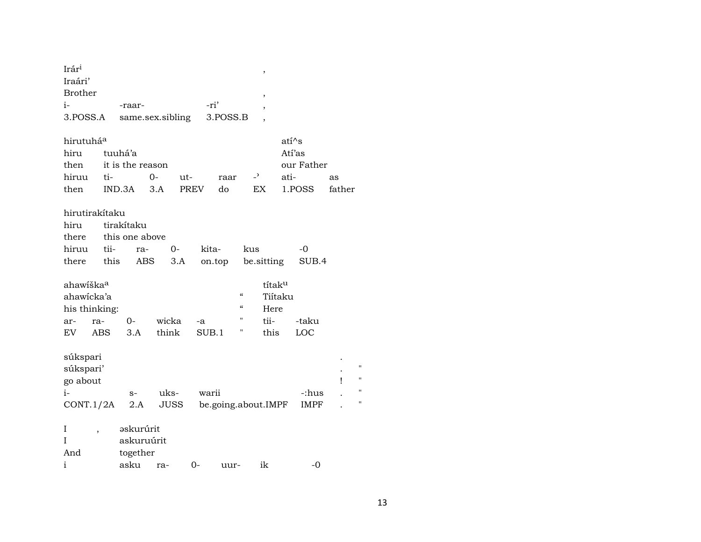| Irár <sup>i</sup>     |                |                  |             |             |                     |                                        | $\,$                     |                    |        |                    |
|-----------------------|----------------|------------------|-------------|-------------|---------------------|----------------------------------------|--------------------------|--------------------|--------|--------------------|
| Iraári'               |                |                  |             |             |                     |                                        |                          |                    |        |                    |
| <b>Brother</b>        |                |                  |             |             |                     |                                        | ,                        |                    |        |                    |
| i-                    |                | -raar-           |             |             | -ri'                |                                        | $\overline{\phantom{a}}$ |                    |        |                    |
| 3.POSS.A              |                | same.sex.sibling |             |             | 3.POSS.B            |                                        | $\overline{\phantom{a}}$ |                    |        |                    |
|                       |                |                  |             |             |                     |                                        |                          |                    |        |                    |
| hirutuhá <sup>a</sup> |                |                  |             |             |                     |                                        |                          | ati <sup>^</sup> s |        |                    |
| hiru                  |                | tuuhá'a          |             |             |                     |                                        |                          | Atí'as             |        |                    |
| then                  |                | it is the reason |             |             |                     |                                        |                          | our Father         |        |                    |
| hiruu                 | ti-            |                  | 0-          | ut-         | raar                | $\overline{z}$                         |                          | ati-               | as     |                    |
| then                  |                | IND.3A           | 3.A         | <b>PREV</b> | do                  |                                        | EX                       | 1.POSS             | father |                    |
|                       |                |                  |             |             |                     |                                        |                          |                    |        |                    |
|                       | hirutirakítaku |                  |             |             |                     |                                        |                          |                    |        |                    |
| hiru                  |                | tirakítaku       |             |             |                     |                                        |                          |                    |        |                    |
| there                 |                | this one above   |             |             |                     |                                        |                          |                    |        |                    |
| hiruu                 | tii-           | ra-              | $0-$        |             | kita-               | kus                                    |                          | -0                 |        |                    |
| there                 | this           | ABS              | 3.A         |             | on.top              |                                        | be sitting               | SUB.4              |        |                    |
|                       |                |                  |             |             |                     |                                        |                          |                    |        |                    |
| ahawiška <sup>a</sup> |                |                  |             |             |                     |                                        | títaku                   |                    |        |                    |
| ahawicka'a            |                |                  |             |             |                     | $\boldsymbol{\zeta}\boldsymbol{\zeta}$ | Tiítaku                  |                    |        |                    |
|                       | his thinking:  |                  |             |             |                     | $\boldsymbol{\zeta}\boldsymbol{\zeta}$ | Here                     |                    |        |                    |
|                       | ra-            | 0-               | wicka       | -a          |                     | $^{\prime}$                            | tii-                     | -taku              |        |                    |
| ar-                   |                |                  | think       |             |                     |                                        |                          | LOC                |        |                    |
| EV                    | <b>ABS</b>     | 3.A              |             |             | SUB.1               |                                        | this                     |                    |        |                    |
|                       |                |                  |             |             |                     |                                        |                          |                    |        |                    |
| súkspari              |                |                  |             |             |                     |                                        |                          |                    |        | $\pmb{\mathsf{H}}$ |
| súkspari'             |                |                  |             |             |                     |                                        |                          |                    |        | н                  |
| go about              |                |                  |             |             |                     |                                        |                          |                    | ı      | П                  |
| i-                    |                | $S-$             | uks-        |             | warii               |                                        |                          | -:hus              |        |                    |
|                       | CONT.1/2A      | 2.A              | <b>JUSS</b> |             | be.going.about.IMPF |                                        |                          | IMPF               |        | п                  |
|                       |                |                  |             |             |                     |                                        |                          |                    |        |                    |
| I                     |                | əskurúrit        |             |             |                     |                                        |                          |                    |        |                    |
| I                     |                | askuruúrit       |             |             |                     |                                        |                          |                    |        |                    |
| And                   |                | together         |             |             |                     |                                        |                          |                    |        |                    |
| $\mathbf{i}$          |                | asku             | ra-         | $0-$        | uur-                |                                        | ik                       | $-0$               |        |                    |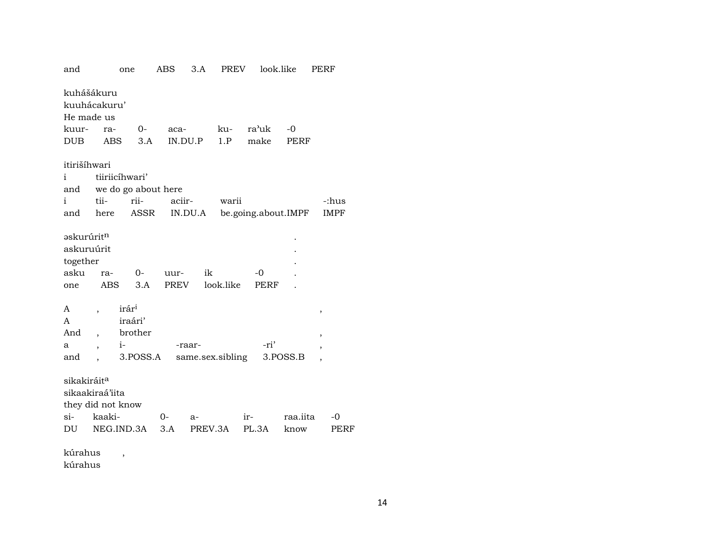| and                                                                  |                          | one                          | ABS          | 3.A              | PREV      | look.like           |          | PERF                     |
|----------------------------------------------------------------------|--------------------------|------------------------------|--------------|------------------|-----------|---------------------|----------|--------------------------|
| kuhášákuru<br>kuuhácakuru'<br>He made us                             |                          |                              |              |                  |           |                     |          |                          |
|                                                                      |                          |                              |              |                  | ku-       | ra'uk               |          |                          |
| kuur-                                                                | ra-                      | 0-                           | aca-         |                  |           |                     | -0       |                          |
| DUB                                                                  | ABS                      | 3.A                          |              | IN.DU.P          | 1.P       | make                | PERF     |                          |
| itirišíhwari                                                         |                          |                              |              |                  |           |                     |          |                          |
| i                                                                    |                          | tiiriicíhwari'               |              |                  |           |                     |          |                          |
|                                                                      |                          | and we do go about here      |              |                  |           |                     |          |                          |
| i                                                                    | tii-                     | rii-                         | aciir-       |                  | warii     |                     |          | -:hus                    |
| and                                                                  | here                     | ASSR                         |              | IN.DU.A          |           | be.going.about.IMPF |          | <b>IMPF</b>              |
|                                                                      |                          |                              |              |                  |           |                     |          |                          |
| əskurúrit <sup>n</sup><br>askuruúrit<br>together<br>asku<br>one<br>A | ra-                      | $0 -$<br>ABS<br>3.A<br>irári | uur-<br>PREV | ik               | look.like | -0<br>PERF          |          |                          |
| A                                                                    | $\overline{\phantom{a}}$ | iraári'                      |              |                  |           |                     |          | ,                        |
| And                                                                  |                          | brother                      |              |                  |           |                     |          |                          |
|                                                                      | $\overline{\phantom{a}}$ |                              |              |                  |           | -ri'                |          | $\, ,$                   |
| a                                                                    | $\overline{\phantom{a}}$ | $i-$                         |              | -raar-           |           |                     |          | $\overline{\phantom{a}}$ |
| and                                                                  |                          | 3.POSS.A                     |              | same.sex.sibling |           |                     | 3.POSS.B | $\overline{\phantom{a}}$ |
| sikakiráit <sup>a</sup><br>sikaakiraá'iita<br>they did not know      |                          |                              |              |                  |           |                     |          |                          |
| si-                                                                  | kaaki-                   |                              | $0-$         | $a-$             |           | ir-                 | raa.iita | -0                       |
| DU                                                                   |                          | NEG.IND.3A                   | 3.A          | PREV.3A          |           | PL.3A               | know     | <b>PERF</b>              |
| kúrahus<br>kúrahus                                                   |                          | $\overline{\phantom{a}}$     |              |                  |           |                     |          |                          |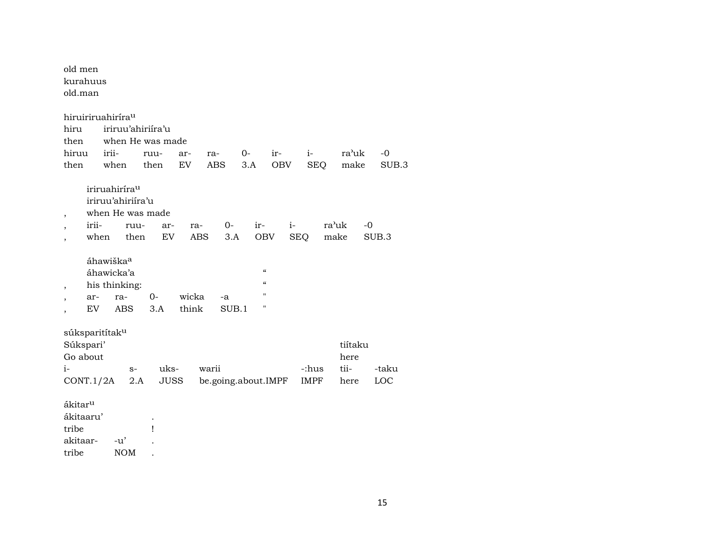| old men<br>kurahuus<br>old.man                                           |                                                                    |                                                       |                |                              |                                                     |            |                      |                                 |               |
|--------------------------------------------------------------------------|--------------------------------------------------------------------|-------------------------------------------------------|----------------|------------------------------|-----------------------------------------------------|------------|----------------------|---------------------------------|---------------|
| hiruiriruahirírau<br>hiru<br>then<br>hiruu<br>then                       | irii-<br>when                                                      | iriruu'ahiriíra'u<br>when He was made<br>ruu-<br>then | ar-<br>EV      | ra-<br><b>ABS</b>            | $0-$<br>3.A                                         | ir-<br>OBV | $i-$<br><b>SEQ</b>   | ra'uk<br>make                   | $-0$<br>SUB.3 |
| ,<br>irii-<br>when                                                       | iriruahiríra <sup>u</sup><br>iriruu'ahiriíra'u                     | when He was made<br>ruu-<br>ar-<br>EV<br>then         | ra-<br>ABS     | $O-$<br>3.A                  | $ir -$<br><b>OBV</b>                                | $i-$       | <b>SEQ</b>           | ra'uk<br>$-0$<br>make           | SUB.3         |
| ,<br>ar-<br>EV                                                           | áhawiška <sup>a</sup><br>áhawicka'a<br>his thinking:<br>ra-<br>ABS | $0-$<br>3.A                                           | wicka<br>think | -a<br>SUB.1                  | $\mathcal{C}\mathcal{C}$<br>$\mathcal{C}$<br>п<br>п |            |                      |                                 |               |
| súksparitítak <sup>u</sup><br>Súkspari'<br>Go about<br>$i-$<br>CONT.1/2A |                                                                    | uks-<br>$S-$<br>2.A                                   | <b>JUSS</b>    | warii<br>be.going.about.IMPF |                                                     |            | -:hus<br><b>IMPF</b> | tiítaku<br>here<br>tii-<br>here | -taku<br>LOC  |
| ákitar <sup>u</sup><br>ákitaaru'<br>tribe<br>akitaar-                    | $-u'$                                                              | Ţ                                                     |                |                              |                                                     |            |                      |                                 |               |

tribe NOM .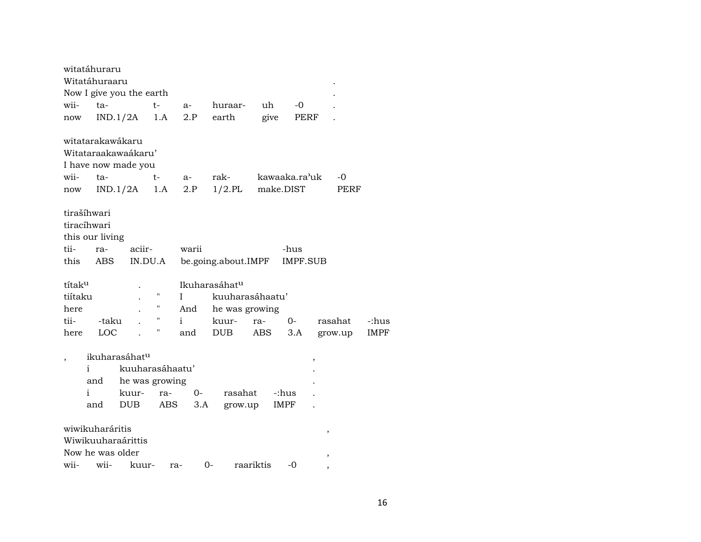|                          | witatáhuraru     |                           |         |       |                           |                  |                 |         |             |
|--------------------------|------------------|---------------------------|---------|-------|---------------------------|------------------|-----------------|---------|-------------|
|                          | Witatáhuraaru    |                           |         |       |                           |                  |                 |         |             |
|                          |                  | Now I give you the earth  |         |       |                           |                  |                 |         |             |
| wii-                     | ta-              |                           | t-      | a- 11 | huraar-                   | uh               | $-0$            |         |             |
| now                      |                  | IND.1/2A                  | 1.A     | 2.P   | earth                     | give             | PERF            |         |             |
|                          | witatarakawákaru |                           |         |       |                           |                  |                 |         |             |
|                          |                  | Witataraakawaákaru'       |         |       |                           |                  |                 |         |             |
|                          |                  | I have now made you       |         |       |                           |                  |                 |         |             |
| wii-                     | ta-              |                           | $t-$    | a-    | rak-                      | kawaaka.ra'uk    |                 | -0      |             |
| now                      |                  | $IND.1/2A$ 1.A            |         | 2.P   |                           | 1/2.PL make.DIST |                 | PERF    |             |
|                          | tirašíhwari      |                           |         |       |                           |                  |                 |         |             |
|                          | tiracíhwari      |                           |         |       |                           |                  |                 |         |             |
|                          | this our living  |                           |         |       |                           |                  |                 |         |             |
| tii-                     | ra-              | aciir-                    |         | warii |                           |                  | -hus            |         |             |
| this                     | ABS              |                           | IN.DU.A |       | be.going.about.IMPF       |                  | <b>IMPF.SUB</b> |         |             |
| títak <sup>u</sup>       |                  |                           |         |       | Ikuharasáhat <sup>u</sup> |                  |                 |         |             |
| tiítaku                  |                  |                           | н.      | L     |                           | kuuharasáhaatu'  |                 |         |             |
| here                     |                  |                           | н.      | And   | he was growing            |                  |                 |         |             |
| tii-                     | -taku            |                           | н.      | i.    | kuur-                     | ra-              | $0-$            | rasahat | -:hus       |
| here                     | LOC              |                           | Ħ       | and   | <b>DUB</b>                | ABS              | 3.A             | grow.up | <b>IMPF</b> |
| $\overline{\phantom{a}}$ |                  | ikuharasáhat <sup>u</sup> |         |       |                           |                  | $\,$            |         |             |
|                          | i                | kuuharasáhaatu'           |         |       |                           |                  |                 |         |             |
|                          | and              | he was growing            |         |       |                           |                  |                 |         |             |
|                          | i.               | kuur-                     | ra-     | $O -$ | rasahat                   |                  | -:hus           |         |             |
|                          | and              | <b>DUB</b>                | ABS     |       | 3.A<br>grow.up            |                  | IMPF            |         |             |
|                          |                  |                           |         |       |                           |                  |                 |         |             |
|                          | wiwikuharáritis  |                           |         |       |                           |                  |                 | $\, ,$  |             |
|                          |                  | Wiwikuuharaárittis        |         |       |                           |                  |                 |         |             |
|                          | Now he was older |                           |         |       |                           |                  |                 | ,       |             |
| wii-                     | wii-             | kuur-                     |         | ra-   | $0-$                      | raariktis        | $-0$            |         |             |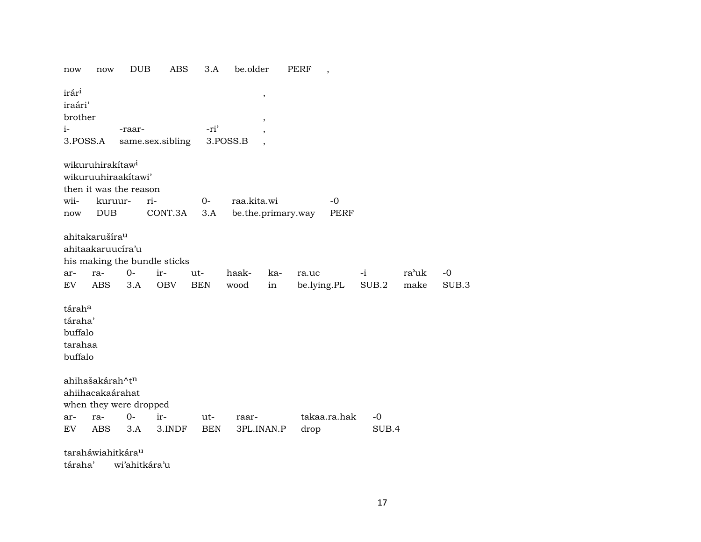| now                                                            | now                                                                                      | <b>DUB</b>  | ABS                                               | 3.A               | be.older                          |           | PERF                 | $\overline{\phantom{a}}$ |               |               |               |
|----------------------------------------------------------------|------------------------------------------------------------------------------------------|-------------|---------------------------------------------------|-------------------|-----------------------------------|-----------|----------------------|--------------------------|---------------|---------------|---------------|
| irár <sup>i</sup><br>iraári'<br>brother<br>$i-$<br>3.POSS.A    |                                                                                          | -raar-      | same.sex.sibling                                  | -ri'              | $\pmb{\cdot}$<br>$\,$<br>3.POSS.B |           |                      |                          |               |               |               |
| wii-                                                           | wikuruhirakítaw <sup>i</sup><br>wikuruuhiraakitawi'<br>then it was the reason<br>kuruur- |             | ri-                                               | $O -$             | raa.kita.wi                       |           |                      | -0                       |               |               |               |
| now                                                            | <b>DUB</b>                                                                               |             | CONT.3A                                           | 3.A               | be.the.primary.way                |           |                      | <b>PERF</b>              |               |               |               |
| ar-<br>EV.                                                     | ahitakarušíra <sup>u</sup><br>ahitaakaruucíra'u<br>ra-<br><b>ABS</b>                     | $0-$<br>3.A | his making the bundle sticks<br>ir-<br><b>OBV</b> | ut-<br><b>BEN</b> | haak-<br>wood                     | ka-<br>in | ra.uc<br>be.lying.PL |                          | $-i$<br>SUB.2 | ra'uk<br>make | $-0$<br>SUB.3 |
| tárah <sup>a</sup><br>táraha'<br>buffalo<br>tarahaa<br>buffalo |                                                                                          |             |                                                   |                   |                                   |           |                      |                          |               |               |               |
|                                                                | ahihašakárah^t <sup>n</sup><br>ahiihacakaárahat<br>when they were dropped                |             |                                                   |                   |                                   |           |                      |                          |               |               |               |
| ar-                                                            | ra-                                                                                      | 0-          | ir-                                               | ut-               | raar-                             |           |                      | takaa.ra.hak             | $-0$          |               |               |
| EV                                                             | <b>ABS</b>                                                                               | 3.A         | 3.INDF                                            | <b>BEN</b>        | 3PL.INAN.P                        |           | drop                 |                          | SUB.4         |               |               |
|                                                                | taraháwiahitkára <sup>u</sup>                                                            |             |                                                   |                   |                                   |           |                      |                          |               |               |               |
| táraha'                                                        |                                                                                          |             | wi'ahitkára'u                                     |                   |                                   |           |                      |                          |               |               |               |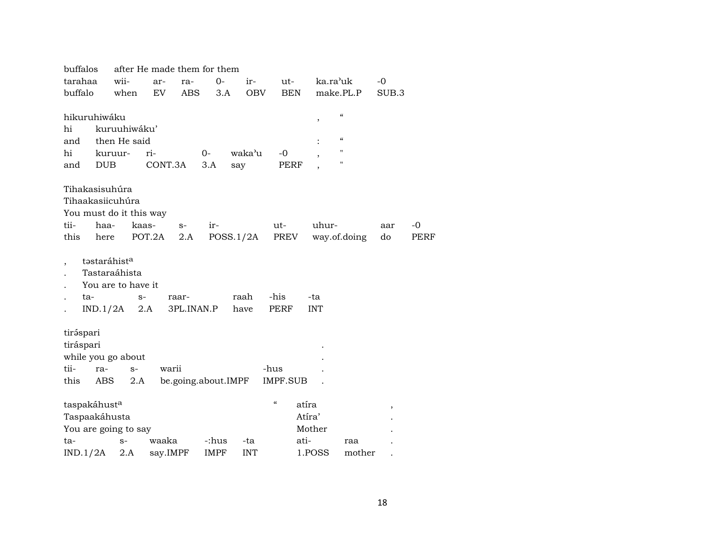| buffalos                                                                   |                                     | after He made them for them  |             |            |                          |            |                          |       |      |
|----------------------------------------------------------------------------|-------------------------------------|------------------------------|-------------|------------|--------------------------|------------|--------------------------|-------|------|
| tarahaa                                                                    | wii-                                | ar-<br>ra-                   | $O -$       | ir-        | ut-                      | ka.ra'uk   |                          | -0    |      |
| buffalo                                                                    | when                                | EV<br><b>ABS</b>             | 3.A         | <b>OBV</b> | <b>BEN</b>               | make.PL.P  |                          | SUB.3 |      |
|                                                                            |                                     |                              |             |            |                          |            |                          |       |      |
| hikuruhiwáku                                                               |                                     |                              |             |            |                          | $\, ,$     | $\mathcal{C}$            |       |      |
| hi                                                                         | kuruuhiwáku'                        |                              |             |            |                          |            |                          |       |      |
| and                                                                        | then He said                        |                              |             |            |                          |            | $\mathcal{C}\mathcal{C}$ |       |      |
| hi                                                                         | kuruur-                             | ri-                          | 0-          | waka'u     | -0                       |            | П                        |       |      |
| <b>DUB</b><br>and                                                          |                                     | CONT.3A                      | 3.A         | say        | PERF                     |            | п                        |       |      |
|                                                                            |                                     |                              |             |            |                          |            |                          |       |      |
| Tihakasisuhúra                                                             |                                     |                              |             |            |                          |            |                          |       |      |
| Tihaakasiicuhúra                                                           |                                     |                              |             |            |                          |            |                          |       |      |
| You must do it this way                                                    |                                     |                              |             |            |                          |            |                          |       |      |
| tii-<br>haa-                                                               | kaas-                               | $S-$                         | ir-         |            | ut-                      | uhur-      |                          | aar   | $-0$ |
| this<br>here                                                               |                                     | POT.2A<br>2.A                |             | POSS.1/2A  | PREV                     |            | way.of.doing             | do    | PERF |
| təstaráhist <sup>a</sup><br>$\cdot$                                        | Tastaraáhista<br>You are to have it |                              |             |            |                          |            |                          |       |      |
| ta-                                                                        | $S-$                                | raar-                        |             | raah       | -his                     | -ta        |                          |       |      |
| IND.1/2A                                                                   |                                     | 2.A<br>3PL.INAN.P            |             | have       | PERF                     | <b>INT</b> |                          |       |      |
| tiráspari<br>tiráspari<br>while you go about<br>tii-<br>ra-<br>this<br>ABS | $S-$<br>2.A                         | warii<br>be.going.about.IMPF |             |            | -hus<br><b>IMPF.SUB</b>  |            |                          |       |      |
| taspakáhust <sup>a</sup>                                                   |                                     |                              |             |            | $\mathcal{C}\mathcal{C}$ | atíra      |                          | ,     |      |
| Taspaakáhusta                                                              |                                     |                              |             |            |                          | Atíra'     |                          |       |      |
| You are going to say                                                       |                                     |                              |             |            |                          | Mother     |                          |       |      |
| ta-                                                                        | $S-$                                | waaka                        | -:hus       | -ta        |                          | ati-       | raa                      |       |      |
| IND.1/2A                                                                   | 2.A                                 | say.IMPF                     | <b>IMPF</b> | <b>INT</b> |                          | 1.POSS     | mother                   |       |      |
|                                                                            |                                     |                              |             |            |                          |            |                          |       |      |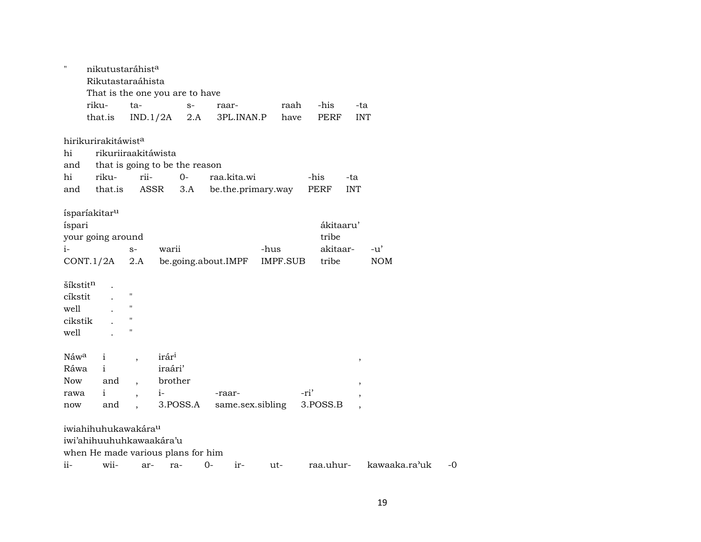| $\mathbf{H}$         |                                 | nikutustaráhist <sup>a</sup>     |                                    |                     |                    |             |                          |    |
|----------------------|---------------------------------|----------------------------------|------------------------------------|---------------------|--------------------|-------------|--------------------------|----|
|                      |                                 | Rikutastaraáhista                |                                    |                     |                    |             |                          |    |
|                      |                                 |                                  | That is the one you are to have    |                     |                    |             |                          |    |
|                      | riku-                           | ta-                              | $S-$                               | raar-               | raah               | -his        | -ta                      |    |
|                      | that.is                         | IND.1/2A                         | 2.A                                | 3PL.INAN.P          | have               | <b>PERF</b> | <b>INT</b>               |    |
|                      | hirikurirakitáwist <sup>a</sup> |                                  |                                    |                     |                    |             |                          |    |
| hi                   |                                 | rikuriiraakitáwista              |                                    |                     |                    |             |                          |    |
| and                  |                                 |                                  | that is going to be the reason     |                     |                    |             |                          |    |
| hi                   | riku-                           | rii-                             | $O -$                              | raa.kita.wi         |                    | -his        | -ta                      |    |
| and                  | that.is                         | ASSR                             | 3.A                                |                     | be.the.primary.way | PERF        | <b>INT</b>               |    |
|                      |                                 |                                  |                                    |                     |                    |             |                          |    |
| íspari               | ísparíakitar <sup>u</sup>       |                                  |                                    |                     |                    | ákitaaru'   |                          |    |
|                      | your going around               |                                  |                                    |                     |                    | tribe       |                          |    |
| $i-$                 |                                 | $S-$                             | warii                              |                     | -hus               | akitaar-    | $-u'$                    |    |
|                      | CONT.1/2A                       | 2.A                              |                                    | be.going.about.IMPF | IMPF.SUB           | tribe       | <b>NOM</b>               |    |
|                      |                                 |                                  |                                    |                     |                    |             |                          |    |
| šíkstit <sup>n</sup> |                                 |                                  |                                    |                     |                    |             |                          |    |
| cíkstit              |                                 | $\blacksquare$                   |                                    |                     |                    |             |                          |    |
| well                 |                                 | $^{\prime}$                      |                                    |                     |                    |             |                          |    |
| cikstik              |                                 | "                                |                                    |                     |                    |             |                          |    |
| well                 |                                 | $\blacksquare$                   |                                    |                     |                    |             |                          |    |
|                      |                                 |                                  |                                    |                     |                    |             |                          |    |
| Náw <sup>a</sup>     | $\mathbf{i}$                    | $\overline{\phantom{a}}$         | irár <sup>i</sup>                  |                     |                    |             | ,                        |    |
| Ráwa                 | $\mathbf{i}$                    |                                  | iraári'                            |                     |                    |             |                          |    |
| Now                  | and                             |                                  | brother                            |                     |                    |             | $\overline{\phantom{a}}$ |    |
| rawa                 | $\mathbf{i}$                    | $i-$<br>$\overline{\phantom{a}}$ |                                    | -raar-              |                    | -ri'        |                          |    |
| now                  | and                             | $\ddot{\phantom{a}}$             | 3.POSS.A                           |                     | same.sex.sibling   | 3.POSS.B    |                          |    |
|                      | iwiahihuhukawakára <sup>u</sup> |                                  |                                    |                     |                    |             |                          |    |
|                      |                                 |                                  |                                    |                     |                    |             |                          |    |
|                      |                                 | iwi'ahihuuhuhkawaakára'u         |                                    |                     |                    |             |                          |    |
|                      |                                 |                                  | when He made various plans for him |                     |                    |             |                          |    |
| ii-                  | wii-                            | ar-                              | ra-                                | $0-$<br>ir-         | ut-                | raa.uhur-   | kawaaka.ra'uk            | -0 |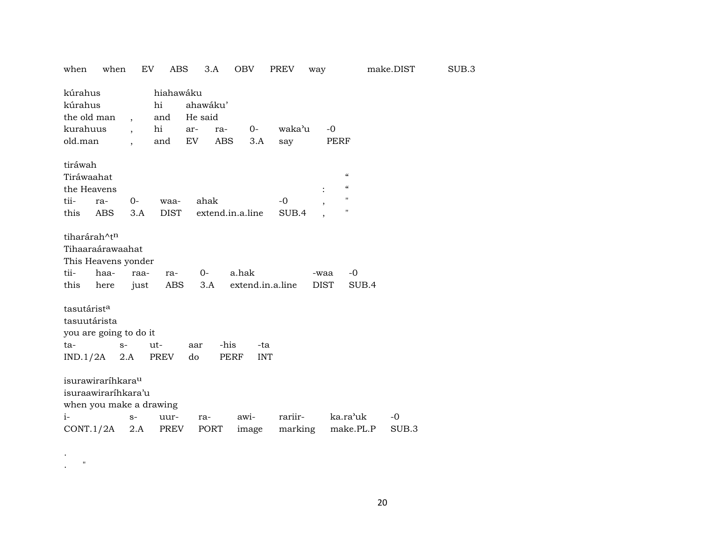| when<br>when                                                                                        |                          | EV<br>ABS              | 3.A                 | <b>OBV</b>                | PREV          | way                 |                                                                                                                 | make.DIST | SUB.3 |
|-----------------------------------------------------------------------------------------------------|--------------------------|------------------------|---------------------|---------------------------|---------------|---------------------|-----------------------------------------------------------------------------------------------------------------|-----------|-------|
| kúrahus<br>kúrahus<br>the old man                                                                   | $\overline{\phantom{a}}$ | hiahawáku<br>hi<br>and | ahawáku'<br>He said |                           |               |                     |                                                                                                                 |           |       |
| kurahuus                                                                                            | $\ddot{\phantom{0}}$     | hi                     | ar-<br>ra-          | 0-                        | waka'u        | $-0$                |                                                                                                                 |           |       |
| old.man                                                                                             |                          | and                    | ABS<br>EV           | 3.A                       | say           | <b>PERF</b>         |                                                                                                                 |           |       |
| tiráwah<br>Tiráwaahat<br>the Heavens<br>tii-<br>ra-<br><b>ABS</b><br>this                           | 0-<br>3.A                | waa-<br><b>DIST</b>    | ahak                | extend.in.a.line          | $-0$<br>SUB.4 | $\overline{ }$      | $\boldsymbol{\zeta}\boldsymbol{\zeta}$<br>$\boldsymbol{\zeta}\boldsymbol{\zeta}$<br>$\mathbf{H}$<br>$\mathbf H$ |           |       |
| tiharárah^t <sup>n</sup><br>Tihaaraárawaahat<br>This Heavens yonder<br>tii-<br>haa-<br>this<br>here | raa-<br>just             | ra-<br>ABS             | $0-$<br>3.A         | a.hak<br>extend.in.a.line |               | -waa<br><b>DIST</b> | -0<br>SUB.4                                                                                                     |           |       |
| tasutárist <sup>a</sup>                                                                             |                          |                        |                     |                           |               |                     |                                                                                                                 |           |       |
| tasuutárista                                                                                        |                          |                        |                     |                           |               |                     |                                                                                                                 |           |       |
| you are going to do it                                                                              |                          |                        |                     |                           |               |                     |                                                                                                                 |           |       |
| ta-                                                                                                 | $S-$                     | ut-                    | aar                 | -his<br>-ta               |               |                     |                                                                                                                 |           |       |
| IND.1/2A                                                                                            | 2.A                      | PREV                   | do                  | <b>PERF</b><br><b>INT</b> |               |                     |                                                                                                                 |           |       |
| isurawiraríhkara <sup>u</sup><br>isuraawiraríhkara'u<br>when you make a drawing                     |                          |                        |                     |                           |               |                     |                                                                                                                 |           |       |
| $i-$                                                                                                | $S-$                     | uur-                   | ra-                 | awi-                      | rariir-       |                     | ka.ra'uk                                                                                                        | $-0$      |       |
| CONT.1/2A                                                                                           | 2.A                      | <b>PREV</b>            | PORT                | image                     | marking       |                     | make.PL.P                                                                                                       | SUB.3     |       |

. . "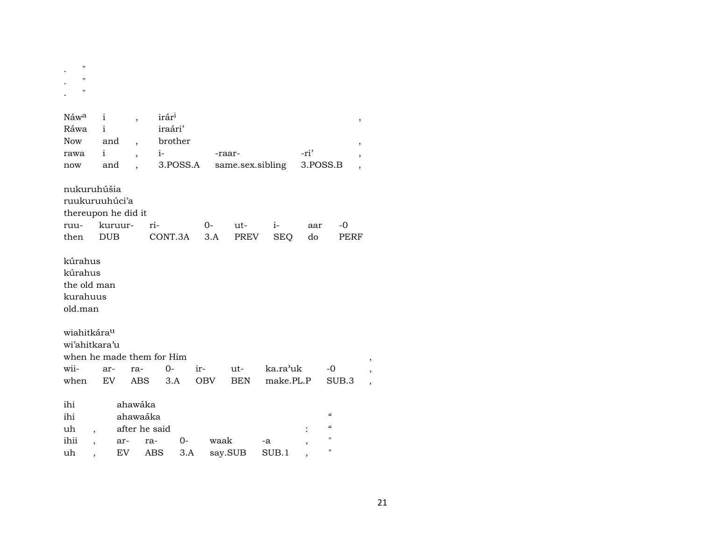| $^{\prime}$<br>$^{\prime}$<br>$^{\prime\prime}$                      |                |                          |                           |          |             |                  |                    |           |                                                      |   |
|----------------------------------------------------------------------|----------------|--------------------------|---------------------------|----------|-------------|------------------|--------------------|-----------|------------------------------------------------------|---|
| Náwa                                                                 | i              | $\overline{\phantom{a}}$ | irár <sup>i</sup>         |          |             |                  |                    |           |                                                      | , |
| Ráwa                                                                 | i              |                          | iraári'                   |          |             |                  |                    |           |                                                      |   |
| <b>Now</b>                                                           | and            |                          |                           | brother  |             |                  |                    |           |                                                      | , |
| rawa                                                                 | $\mathbf{i}$   |                          | $i-$                      |          |             | -raar-           |                    | -ri'      |                                                      |   |
| now                                                                  | and            |                          |                           | 3.POSS.A |             | same.sex.sibling |                    | 3.POSS.B  |                                                      |   |
| nukuruhúšia<br>ruukuruuhúci'a<br>thereupon he did it<br>ruu-<br>then | <b>DUB</b>     | kuruur-                  | ri-<br>CONT.3A            |          | $0-$<br>3.A | ut-<br>PREV      | $i-$<br><b>SEQ</b> | aar<br>do | -0<br>PERF                                           |   |
| kúrahus<br>kúrahus<br>the old man<br>kurahuus<br>old.man             |                |                          |                           |          |             |                  |                    |           |                                                      |   |
| wiahitkára <sup>u</sup>                                              |                |                          |                           |          |             |                  |                    |           |                                                      |   |
| wi'ahitkara'u                                                        |                |                          |                           |          |             |                  |                    |           |                                                      |   |
|                                                                      |                |                          | when he made them for Him |          |             |                  |                    |           |                                                      |   |
| wii-                                                                 | ar-            | ra-                      | $0-$                      |          | ir-         | ut-              | ka.ra'uk           |           | -0                                                   |   |
| when                                                                 | EV.            | <b>ABS</b>               |                           | 3.A      | <b>OBV</b>  | <b>BEN</b>       | make.PL.P          |           | SUB.3                                                |   |
| ihi<br>ihi<br>uh                                                     |                | ahawáka<br>ahawaáka      | after he said             |          |             |                  |                    |           | $\pmb{\zeta}\pmb{\zeta}$<br>$\pmb{\zeta}\pmb{\zeta}$ |   |
| ihii                                                                 | $\overline{ }$ | ar-                      | ra-                       | 0-       | waak        |                  | -a                 |           | 11                                                   |   |
| uh                                                                   |                | EV                       | ABS                       | 3.A      |             | say.SUB          | SUB.1              |           | н                                                    |   |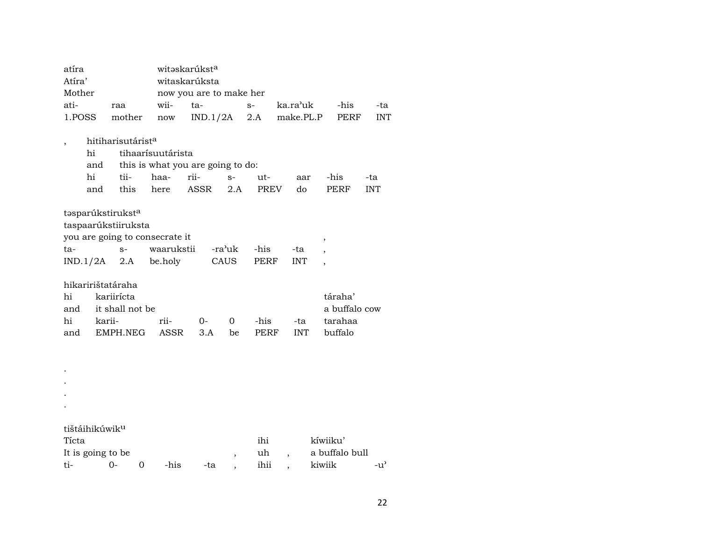| atíra                                               |                            |                               |   | witaskarúkst <sup>a</sup>         |      |                         |      |            |                          |                |            |  |  |  |
|-----------------------------------------------------|----------------------------|-------------------------------|---|-----------------------------------|------|-------------------------|------|------------|--------------------------|----------------|------------|--|--|--|
| Atira'                                              |                            |                               |   | witaskarúksta                     |      |                         |      |            |                          |                |            |  |  |  |
| Mother                                              |                            |                               |   |                                   |      | now you are to make her |      |            |                          |                |            |  |  |  |
| ati-                                                |                            | raa                           |   | wii-                              | ta-  |                         | $S-$ | ka.ra'uk   |                          | -his           | -ta        |  |  |  |
| 1.POSS                                              |                            | mother                        |   | now                               |      | IND.1/2A                | 2.A  | make.PL.P  |                          | <b>PERF</b>    | <b>INT</b> |  |  |  |
|                                                     |                            |                               |   |                                   |      |                         |      |            |                          |                |            |  |  |  |
| $\overline{\phantom{a}}$                            |                            | hitiharisutárist <sup>a</sup> |   |                                   |      |                         |      |            |                          |                |            |  |  |  |
|                                                     | hi                         |                               |   | tihaarísuutárista                 |      |                         |      |            |                          |                |            |  |  |  |
|                                                     | and                        |                               |   | this is what you are going to do: |      |                         |      |            |                          |                |            |  |  |  |
|                                                     | hi                         | tii-                          |   | haa-                              | rii- | $S-$                    | ut-  | aar        |                          | -his           | -ta        |  |  |  |
|                                                     | and                        | this                          |   | here                              | ASSR | 2.A                     | PREV | do         |                          | PERF           | <b>INT</b> |  |  |  |
|                                                     |                            | tasparúkstiruksta             |   |                                   |      |                         |      |            |                          |                |            |  |  |  |
|                                                     |                            | taspaarúkstiiruksta           |   |                                   |      |                         |      |            |                          |                |            |  |  |  |
|                                                     |                            |                               |   | you are going to consecrate it    |      |                         |      |            | $\overline{ }$           |                |            |  |  |  |
| ta-                                                 |                            | $S-$                          |   | waarukstii                        |      | -ra'uk                  | -his | -ta        |                          |                |            |  |  |  |
|                                                     | IND.1/2A                   | 2.A                           |   | be.holy                           |      | CAUS                    | PERF | <b>INT</b> | $\overline{\phantom{a}}$ |                |            |  |  |  |
|                                                     |                            | hikaririštatáraha             |   |                                   |      |                         |      |            |                          |                |            |  |  |  |
| hi                                                  |                            | kariirícta                    |   |                                   |      |                         |      |            |                          | táraha'        |            |  |  |  |
| and                                                 |                            | it shall not be               |   |                                   |      |                         |      |            |                          | a buffalo cow  |            |  |  |  |
| hi                                                  | karii-                     |                               |   | rii-                              | 0-   | 0                       | -his | -ta        |                          | tarahaa        |            |  |  |  |
| and                                                 |                            | EMPH.NEG                      |   | ASSR                              | 3.A  | be                      | PERF | <b>INT</b> |                          | buffalo        |            |  |  |  |
|                                                     |                            |                               |   |                                   |      |                         |      |            |                          |                |            |  |  |  |
|                                                     |                            |                               |   |                                   |      |                         |      |            |                          |                |            |  |  |  |
|                                                     |                            |                               |   |                                   |      |                         |      |            |                          |                |            |  |  |  |
|                                                     |                            |                               |   |                                   |      |                         |      |            |                          |                |            |  |  |  |
|                                                     |                            |                               |   |                                   |      |                         |      |            |                          |                |            |  |  |  |
|                                                     |                            |                               |   |                                   |      |                         |      |            |                          |                |            |  |  |  |
|                                                     | tištáihikúwik <sup>u</sup> |                               |   |                                   |      |                         |      |            |                          |                |            |  |  |  |
| Tícta                                               |                            |                               |   |                                   |      |                         | ihi  |            |                          | kíwiiku'       |            |  |  |  |
| uh<br>It is going to be<br>$\overline{\phantom{a}}$ |                            |                               |   |                                   |      |                         |      |            |                          | a buffalo bull |            |  |  |  |
| ti-                                                 |                            | 0-                            | 0 | -his                              |      | -ta                     | ihii |            | kiwiik                   |                | $-u'$      |  |  |  |
|                                                     |                            |                               |   |                                   |      |                         |      |            |                          |                |            |  |  |  |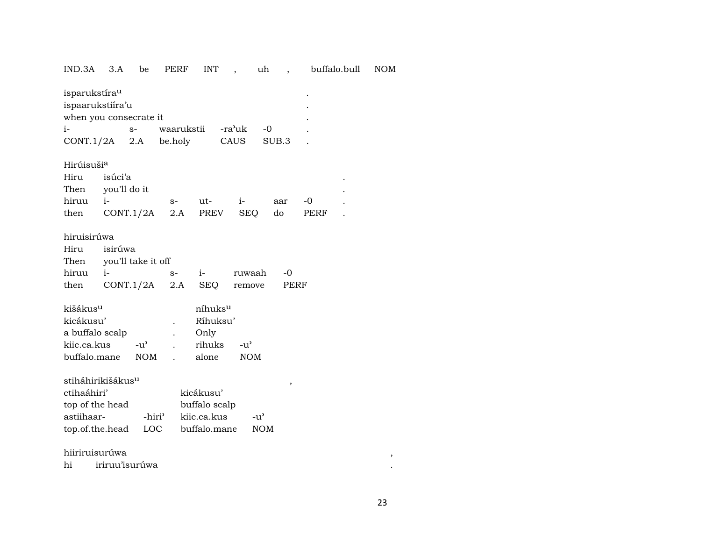## IND.3A 3.A be PERF INT , uh , buffalo.bull NOM

| $i-$                                                                                             | isparukstíra <sup>u</sup><br>ispaarukstiira'u<br>when you consecrate it<br>waarukstii<br>-ra'uk<br>$-0$<br>$S-$ |                                 |             |                                                            |                             |              |              |  |  |  |  |  |  |
|--------------------------------------------------------------------------------------------------|-----------------------------------------------------------------------------------------------------------------|---------------------------------|-------------|------------------------------------------------------------|-----------------------------|--------------|--------------|--|--|--|--|--|--|
| CONT.1/2A                                                                                        |                                                                                                                 | 2.A                             | be.holy     |                                                            | CAUS                        | SUB.3        |              |  |  |  |  |  |  |
| Hirúisuši <sup>a</sup><br>Hiru<br>Then<br>hiruu<br>then                                          | isúci'a<br>$i-$                                                                                                 | you'll do it<br>CONT.1/2A       | $S-$<br>2.A | $ut-$<br>PREV                                              | $i-$<br>SEQ                 | aar<br>do    | $-0$<br>PERF |  |  |  |  |  |  |
| hiruisirúwa<br>Hiru<br>Then<br>hiruu<br>then                                                     | isirúwa<br>$i-$                                                                                                 | you'll take it off<br>CONT.1/2A | $S-$<br>2.A | $i-$<br>SEO                                                | ruwaah<br>remove            | $-0$<br>PERF |              |  |  |  |  |  |  |
| kišákus <sup>u</sup><br>kicákusu'<br>a buffalo scalp<br>kiic.ca.kus<br>buffalo.mane              |                                                                                                                 | $-u^{\prime}$<br><b>NOM</b>     |             | níhuks <sup>u</sup><br>Ríhuksu'<br>Only<br>rihuks<br>alone | $-u^{\flat}$<br><b>NOM</b>  |              |              |  |  |  |  |  |  |
| stiháhirikišákus <sup>u</sup><br>ctihaáhiri'<br>top of the head<br>astiihaar-<br>top.of.the.head |                                                                                                                 | LOC                             | -hiri'      | kicákusu'<br>buffalo scalp<br>kijc.ca.kus<br>buffalo.mane  | $-u^{\prime}$<br><b>NOM</b> | ,            |              |  |  |  |  |  |  |

## hiiriruisurúwa

hi iriruu'isurúwa  $\begin{array}{c} \bullet \\ \bullet \\ \bullet \end{array}$ 

 $\sim 10$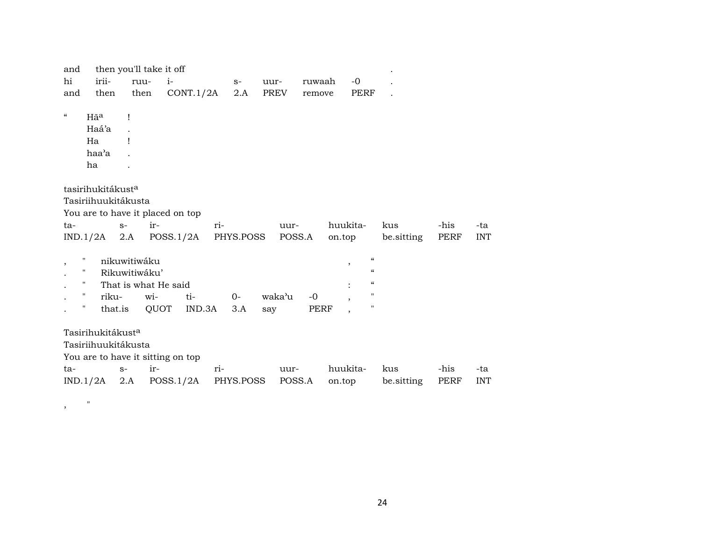| and                      |                                   |               | then you'll take it off |           |     |           |      |        |        |          |                                                   |            |      |            |
|--------------------------|-----------------------------------|---------------|-------------------------|-----------|-----|-----------|------|--------|--------|----------|---------------------------------------------------|------------|------|------------|
| hi                       | irii-                             | ruu-          | $i-$                    |           |     | $S-$      | uur- |        | ruwaah |          | $-0$                                              |            |      |            |
| and                      | then                              | then          |                         | CONT.1/2A |     | 2.A       |      | PREV   | remove |          | <b>PERF</b>                                       |            |      |            |
| $\mathcal{C}\mathcal{C}$ |                                   |               |                         |           |     |           |      |        |        |          |                                                   |            |      |            |
|                          | Hãa                               | Ţ             |                         |           |     |           |      |        |        |          |                                                   |            |      |            |
|                          | Haá'a                             |               |                         |           |     |           |      |        |        |          |                                                   |            |      |            |
|                          | Ha                                | 1             |                         |           |     |           |      |        |        |          |                                                   |            |      |            |
|                          | haa'a                             |               |                         |           |     |           |      |        |        |          |                                                   |            |      |            |
|                          | ha                                |               |                         |           |     |           |      |        |        |          |                                                   |            |      |            |
|                          |                                   |               |                         |           |     |           |      |        |        |          |                                                   |            |      |            |
|                          | tasirihukitákust <sup>a</sup>     |               |                         |           |     |           |      |        |        |          |                                                   |            |      |            |
|                          | Tasiriihuukitákusta               |               |                         |           |     |           |      |        |        |          |                                                   |            |      |            |
|                          | You are to have it placed on top  |               |                         |           |     |           |      |        |        |          |                                                   |            |      |            |
| ta-                      |                                   | $S-$          | ir-                     |           | ri- |           |      | uur-   |        | huukita- |                                                   | kus        | -his | -ta        |
|                          | $IND.1/2A$ 2.A                    |               | POSS.1/2A               |           |     | PHYS.POSS |      | POSS.A |        | on.top   |                                                   | be sitting | PERF | <b>INT</b> |
|                          |                                   |               |                         |           |     |           |      |        |        |          |                                                   |            |      |            |
| $^\mathrm{,}$            | н.                                | nikuwitiwáku  |                         |           |     |           |      |        |        |          | $\boldsymbol{\zeta}\boldsymbol{\zeta}$<br>$\cdot$ |            |      |            |
|                          | $\mathbf{H}$                      | Rikuwitiwáku' |                         |           |     |           |      |        |        |          | $\boldsymbol{\mathcal{C}}$                        |            |      |            |
|                          | п.                                |               | That is what He said    |           |     |           |      |        |        |          | $\epsilon$                                        |            |      |            |
|                          | н.<br>riku-                       |               | wi-                     | ti-       |     | $O -$     |      | waka'u | $-0$   |          | 11                                                |            |      |            |
|                          | $\mathbf H$<br>that.is            |               | QUOT                    | IND.3A    |     | 3.A       | say  |        | PERF   |          | 11                                                |            |      |            |
|                          |                                   |               |                         |           |     |           |      |        |        |          |                                                   |            |      |            |
|                          | Tasirihukitákust <sup>a</sup>     |               |                         |           |     |           |      |        |        |          |                                                   |            |      |            |
|                          | Tasiriihuukitákusta               |               |                         |           |     |           |      |        |        |          |                                                   |            |      |            |
|                          | You are to have it sitting on top |               |                         |           |     |           |      |        |        |          |                                                   |            |      |            |
| ta-                      |                                   | $S-$          | ir-                     |           | ri- |           |      | uur-   |        | huukita- |                                                   | kus        | -his | -ta        |
|                          | IND.1/2A                          | 2.A           | POSS.1/2A               |           |     | PHYS.POSS |      | POSS.A |        | on.top   |                                                   | be.sitting | PERF | <b>INT</b> |
|                          |                                   |               |                         |           |     |           |      |        |        |          |                                                   |            |      |            |

 $,$  "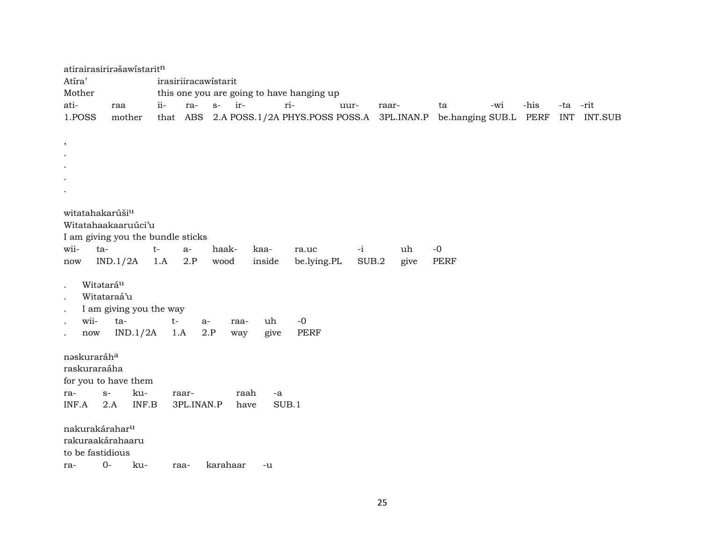|                                 | atirairasirirašawistaritn         |       |                      |          |      |        |                                           |      |       |      |      |                  |      |            |         |
|---------------------------------|-----------------------------------|-------|----------------------|----------|------|--------|-------------------------------------------|------|-------|------|------|------------------|------|------------|---------|
| Atíra'                          |                                   |       | irasiriiracawistarit |          |      |        |                                           |      |       |      |      |                  |      |            |         |
| Mother                          |                                   |       |                      |          |      |        | this one you are going to have hanging up |      |       |      |      |                  |      |            |         |
| ati-                            | raa                               | $ii-$ | ra-                  | $S-$     | ir-  | ri-    |                                           | uur- | raar- |      | ta   | -wi              | -his | -ta -rit   |         |
| 1.POSS                          | mother                            |       | that ABS             |          |      |        | 2.A POSS.1/2A PHYS.POSS POSS.A 3PL.INAN.P |      |       |      |      | be.hanging SUB.L | PERF | <b>INT</b> | INT.SUB |
|                                 |                                   |       |                      |          |      |        |                                           |      |       |      |      |                  |      |            |         |
| $\,$                            |                                   |       |                      |          |      |        |                                           |      |       |      |      |                  |      |            |         |
|                                 |                                   |       |                      |          |      |        |                                           |      |       |      |      |                  |      |            |         |
|                                 |                                   |       |                      |          |      |        |                                           |      |       |      |      |                  |      |            |         |
|                                 |                                   |       |                      |          |      |        |                                           |      |       |      |      |                  |      |            |         |
|                                 |                                   |       |                      |          |      |        |                                           |      |       |      |      |                  |      |            |         |
| witatahakarúši <sup>u</sup>     |                                   |       |                      |          |      |        |                                           |      |       |      |      |                  |      |            |         |
|                                 | Witatahaakaaruúci'u               |       |                      |          |      |        |                                           |      |       |      |      |                  |      |            |         |
|                                 | I am giving you the bundle sticks |       |                      |          |      |        |                                           |      |       |      |      |                  |      |            |         |
| wii-                            | ta-                               | $t-$  | $a-$                 | haak-    |      | kaa-   | ra.uc                                     | $-i$ |       | uh   | $-0$ |                  |      |            |         |
| now                             | IND.1/2A                          | 1.A   | 2.P                  | wood     |      | inside | be.lying.PL                               |      | SUB.2 | give | PERF |                  |      |            |         |
|                                 |                                   |       |                      |          |      |        |                                           |      |       |      |      |                  |      |            |         |
|                                 | Witataráu                         |       |                      |          |      |        |                                           |      |       |      |      |                  |      |            |         |
|                                 | Witataraá'u                       |       |                      |          |      |        |                                           |      |       |      |      |                  |      |            |         |
| $\bullet$                       | I am giving you the way           |       |                      |          |      |        |                                           |      |       |      |      |                  |      |            |         |
| wii-                            | ta-                               |       | $t-$                 | a-       | raa- | uh     | $-0$                                      |      |       |      |      |                  |      |            |         |
| $\operatorname{now}$<br>$\cdot$ | IND.1/2A                          |       | 1.A                  | 2.P      | way  | give   | PERF                                      |      |       |      |      |                  |      |            |         |
|                                 |                                   |       |                      |          |      |        |                                           |      |       |      |      |                  |      |            |         |
| naskuraráha                     |                                   |       |                      |          |      |        |                                           |      |       |      |      |                  |      |            |         |
| raskuraraáha                    |                                   |       |                      |          |      |        |                                           |      |       |      |      |                  |      |            |         |
|                                 | for you to have them              |       |                      |          |      |        |                                           |      |       |      |      |                  |      |            |         |
| ra-                             | ku-<br>$S-$                       |       | raar-                |          | raah | -a     |                                           |      |       |      |      |                  |      |            |         |
| INF.A                           | 2.A                               | INF.B | 3PL.INAN.P           |          | have | SUB.1  |                                           |      |       |      |      |                  |      |            |         |
|                                 |                                   |       |                      |          |      |        |                                           |      |       |      |      |                  |      |            |         |
|                                 | nakurakárahar <sup>u</sup>        |       |                      |          |      |        |                                           |      |       |      |      |                  |      |            |         |
|                                 | rakuraakárahaaru                  |       |                      |          |      |        |                                           |      |       |      |      |                  |      |            |         |
| to be fastidious                |                                   |       |                      |          |      |        |                                           |      |       |      |      |                  |      |            |         |
| ra-                             | $0 -$<br>ku-                      |       | raa-                 | karahaar |      | -u     |                                           |      |       |      |      |                  |      |            |         |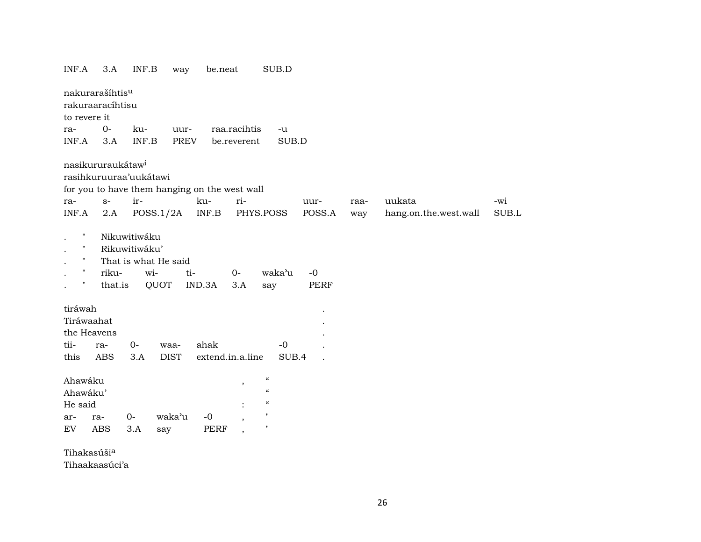| INF.A                                                           | 3.A               | INF.B                                | way                                           | be.neat                                             |              | SUB.D                                                                                                   |              |      |                       |       |
|-----------------------------------------------------------------|-------------------|--------------------------------------|-----------------------------------------------|-----------------------------------------------------|--------------|---------------------------------------------------------------------------------------------------------|--------------|------|-----------------------|-------|
| nakurarašíhtis <sup>u</sup><br>rakuraaracíhtisu<br>to revere it |                   |                                      |                                               |                                                     |              |                                                                                                         |              |      |                       |       |
| ra-                                                             | $0-$              | ku-                                  | uur-                                          |                                                     | raa.racihtis | $-u$                                                                                                    |              |      |                       |       |
| INF.A                                                           | 3.A               | INF.B                                | <b>PREV</b>                                   |                                                     | be.reverent  | SUB.D                                                                                                   |              |      |                       |       |
| nasikururaukátaw <sup>i</sup><br>rasihkuruuraa'uukátawi<br>ra-  | $S-$              | ir-                                  | for you to have them hanging on the west wall | ku-                                                 | ri-          |                                                                                                         | uur-         | raa- | uukata                | -wi   |
| INF.A                                                           | 2.A               |                                      | POSS.1/2A                                     | $\ensuremath{\mathsf{INF}}.\ensuremath{\mathsf{B}}$ |              | PHYS.POSS                                                                                               | POSS.A       | way  | hang.on.the.west.wall | SUB.L |
| Ħ<br>н<br>$\mathbf{H}$<br>$\mathbf{H}$<br>п                     | riku-<br>that.is  | Nikuwitiwáku<br>Rikuwitiwáku'<br>wi- | That is what He said<br>ti-<br>QUOT           | IND.3A                                              | $0 -$<br>3.A | waka'u<br>say                                                                                           | $-0$<br>PERF |      |                       |       |
| tiráwah                                                         |                   |                                      |                                               |                                                     |              |                                                                                                         |              |      |                       |       |
| Tiráwaahat                                                      |                   |                                      |                                               |                                                     |              |                                                                                                         |              |      |                       |       |
| the Heavens                                                     |                   |                                      |                                               |                                                     |              |                                                                                                         |              |      |                       |       |
| tii-                                                            | ra-               | $0-$                                 | waa-                                          | ahak                                                |              | $-0$                                                                                                    |              |      |                       |       |
| this                                                            | ABS               | 3.A                                  | <b>DIST</b>                                   | extend.in.a.line                                    |              | SUB.4                                                                                                   |              |      |                       |       |
| Ahawáku<br>Ahawáku'<br>He said<br>ar-<br>EV                     | ra-<br><b>ABS</b> | $0-$<br>3.A                          | waka'u<br>say                                 | $-0$<br><b>PERF</b>                                 | ,            | $\mathcal{C}$<br>$\boldsymbol{\mathcal{C}}$<br>$\mathcal{C}\mathcal{C}$<br>$\mathbf{H}$<br>$\mathbf{H}$ |              |      |                       |       |
| Tihakasúši <sup>a</sup>                                         |                   |                                      |                                               |                                                     |              |                                                                                                         |              |      |                       |       |

Tihaakaasúci'a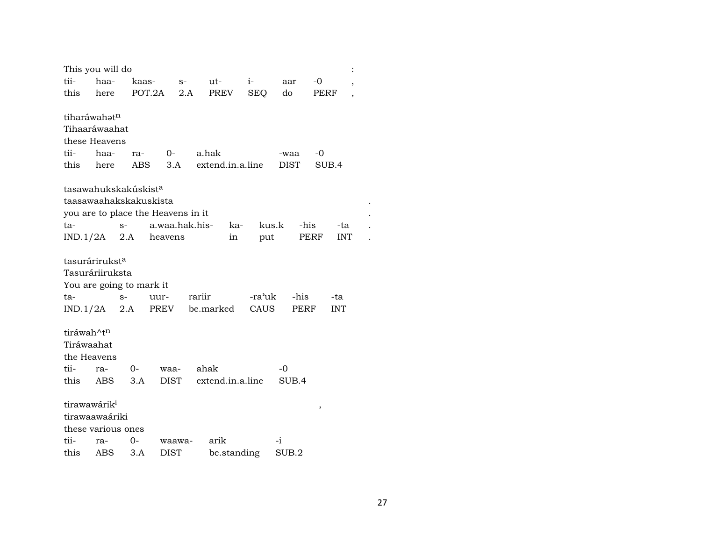| This you will do           |      |                                  |                                    |        |                      |        |       |       |            |  |
|----------------------------|------|----------------------------------|------------------------------------|--------|----------------------|--------|-------|-------|------------|--|
| tii-                       | haa- | kaas-                            |                                    | $S-$   | ut-                  | $i-$   | aar   | -0    | $\cdot$    |  |
| this                       | here |                                  | POT.2A                             | 2.A    | PREV                 | SEQ    | do    | PERF  |            |  |
|                            |      |                                  |                                    |        |                      |        |       |       |            |  |
| tiharáwahatn               |      |                                  |                                    |        |                      |        |       |       |            |  |
| Tihaaráwaahat              |      |                                  |                                    |        |                      |        |       |       |            |  |
| these Heavens              |      |                                  |                                    |        |                      |        |       |       |            |  |
| tii-                       | haa- | ra-                              | $O-$                               |        | a.hak                |        | -waa  | -0    |            |  |
| this                       | here |                                  | ABS                                |        | 3.A extend.in.a.line |        | DIST  | SUB.4 |            |  |
|                            |      | tasawahukskakúskist <sup>a</sup> |                                    |        |                      |        |       |       |            |  |
|                            |      | taasawaahakskakuskista           |                                    |        |                      |        |       |       |            |  |
|                            |      |                                  | you are to place the Heavens in it |        |                      |        |       |       |            |  |
| ta-                        |      | $S-$                             | a.waa.hak.his-                     |        | ka-                  | kus.k  | -his  |       | -ta        |  |
| $IND.1/2A$ 2.A             |      |                                  | heavens                            |        | in                   | put    |       | PERF  | <b>INT</b> |  |
|                            |      |                                  |                                    |        |                      |        |       |       |            |  |
| tasurárirukst <sup>a</sup> |      |                                  |                                    |        |                      |        |       |       |            |  |
| Tasuráriiruksta            |      |                                  |                                    |        |                      |        |       |       |            |  |
|                            |      | You are going to mark it         |                                    |        |                      |        |       |       |            |  |
| ta-                        |      | $S-$                             | uur-                               | rariir |                      | -ra'uk | -his  |       | -ta        |  |
| $IND.1/2A$ 2.A             |      |                                  | PREV                               |        | be.marked            | CAUS   | PERF  |       | <b>INT</b> |  |
|                            |      |                                  |                                    |        |                      |        |       |       |            |  |
| tiráwah^t <sup>n</sup>     |      |                                  |                                    |        |                      |        |       |       |            |  |
| Tiráwaahat                 |      |                                  |                                    |        |                      |        |       |       |            |  |
| the Heavens                |      |                                  |                                    |        |                      |        |       |       |            |  |
| tii-                       | ra-  | 0-                               | waa-                               |        | ahak                 |        | -0    |       |            |  |
| this                       | ABS. | 3.A                              | <b>DIST</b>                        |        | extend.in.a.line     |        | SUB.4 |       |            |  |
| tirawawárik <sup>i</sup>   |      |                                  |                                    |        |                      |        |       |       |            |  |
| tirawaawaáriki             |      |                                  |                                    |        |                      |        |       | ,     |            |  |
| these various ones         |      |                                  |                                    |        |                      |        |       |       |            |  |
| tii-                       | ra-  | 0-                               | waawa-                             |        | arik                 |        | -i    |       |            |  |
| this                       | ABS  | 3.A                              | <b>DIST</b>                        |        | be.standing          |        | SUB.2 |       |            |  |
|                            |      |                                  |                                    |        |                      |        |       |       |            |  |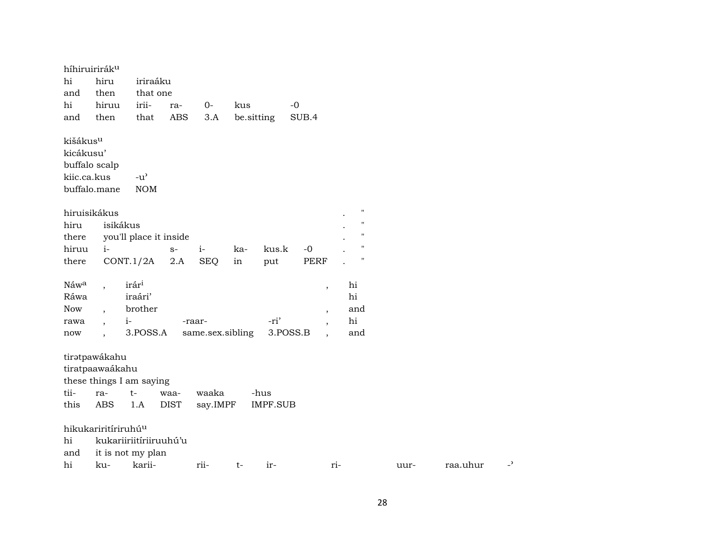|       | híhiruiriráku                   |                                     |             |                  |     |                 |                          |     |                    |      |          |    |
|-------|---------------------------------|-------------------------------------|-------------|------------------|-----|-----------------|--------------------------|-----|--------------------|------|----------|----|
| hi    | hiru                            | iriraáku                            |             |                  |     |                 |                          |     |                    |      |          |    |
| and   | then                            | that one                            |             |                  |     |                 |                          |     |                    |      |          |    |
| hi    | hiruu                           | irii-                               | ra-         | $0-$             | kus |                 | $-0$                     |     |                    |      |          |    |
| and   | then                            | that                                | <b>ABS</b>  | 3.A              |     | be.sitting      | SUB.4                    |     |                    |      |          |    |
|       | kišákus <sup>u</sup>            |                                     |             |                  |     |                 |                          |     |                    |      |          |    |
|       | kicákusu'                       |                                     |             |                  |     |                 |                          |     |                    |      |          |    |
|       | buffalo scalp                   |                                     |             |                  |     |                 |                          |     |                    |      |          |    |
|       | kiic.ca.kus                     | $-u$ <sup><math>\prime</math></sup> |             |                  |     |                 |                          |     |                    |      |          |    |
|       | buffalo.mane                    | <b>NOM</b>                          |             |                  |     |                 |                          |     |                    |      |          |    |
|       | hiruisikákus                    |                                     |             |                  |     |                 |                          |     | $\pmb{\mathsf{H}}$ |      |          |    |
| hiru  |                                 | isikákus                            |             |                  |     |                 |                          |     | $\pmb{\mathsf{H}}$ |      |          |    |
| there |                                 | you'll place it inside              |             |                  |     |                 |                          |     | $\pmb{\mathsf{H}}$ |      |          |    |
| hiruu | $i-$                            |                                     | $S-$        | $i-$             | ka- | kus.k           | $-0$                     |     | $\mathbf{H}$       |      |          |    |
| there |                                 | CONT.1/2A                           | 2.A         | <b>SEQ</b>       | in  | put             | <b>PERF</b>              |     | $\blacksquare$     |      |          |    |
| Náwa  | $\overline{\phantom{a}}$        | irár <sup>i</sup>                   |             |                  |     |                 | $\,$                     |     | hi                 |      |          |    |
| Ráwa  |                                 | iraári'                             |             |                  |     |                 |                          |     | hi                 |      |          |    |
| Now   |                                 | brother                             |             |                  |     |                 | $\overline{\phantom{a}}$ |     | and                |      |          |    |
| rawa  | $\overline{\phantom{a}}$        | $i-$                                |             | -raar-           |     | -ri'            | $\overline{\phantom{a}}$ |     | hi                 |      |          |    |
| now   | $\ddot{\phantom{0}}$            | 3.POSS.A                            |             | same.sex.sibling |     | 3.POSS.B        | $\ddot{\phantom{0}}$     |     | and                |      |          |    |
|       | tiratpawákahu                   |                                     |             |                  |     |                 |                          |     |                    |      |          |    |
|       | tiratpaawaákahu                 |                                     |             |                  |     |                 |                          |     |                    |      |          |    |
|       | these things I am saying        |                                     |             |                  |     |                 |                          |     |                    |      |          |    |
| tii-  | ra-                             | $t-$                                | waa-        | waaka            |     | -hus            |                          |     |                    |      |          |    |
| this  | <b>ABS</b>                      | 1.A                                 | <b>DIST</b> | say.IMPF         |     | <b>IMPF.SUB</b> |                          |     |                    |      |          |    |
|       | hikukariritíriruhú <sup>u</sup> |                                     |             |                  |     |                 |                          |     |                    |      |          |    |
| hi    |                                 | kukariiriitíriiruuhú'u              |             |                  |     |                 |                          |     |                    |      |          |    |
| and   |                                 | it is not my plan                   |             |                  |     |                 |                          |     |                    |      |          |    |
| hi    | ku-                             | karii-                              |             | rii-             | t-  | ir-             |                          | ri- |                    | uur- | raa.uhur | د_ |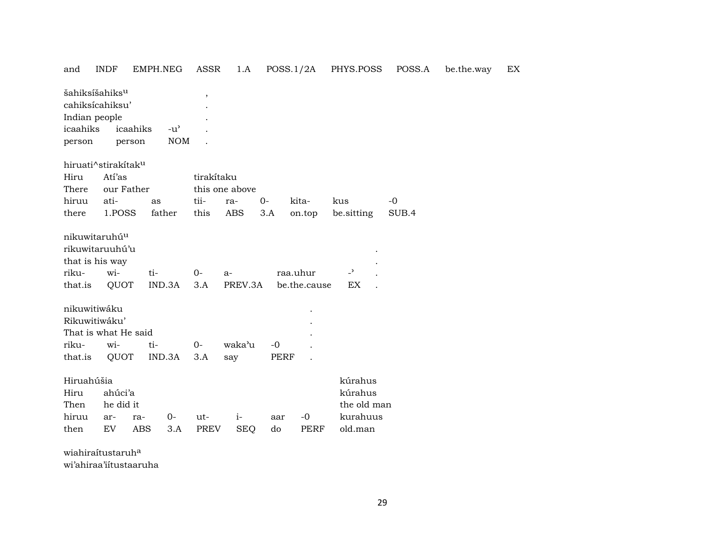| and                                                                                  | <b>INDF</b>                       | EMPH.NEG                         | ASSR               | 1.A                |           | POSS.1/2A                | PHYS.POSS                                                | POSS.A | be.the.way | EX |
|--------------------------------------------------------------------------------------|-----------------------------------|----------------------------------|--------------------|--------------------|-----------|--------------------------|----------------------------------------------------------|--------|------------|----|
| šahiksíšahiks <sup>u</sup><br>cahiksícahiksu'<br>Indian people<br>icaahiks<br>person | icaahiks<br>person                | $-u^{\prime}$<br><b>NOM</b>      |                    |                    |           |                          |                                                          |        |            |    |
|                                                                                      | hiruati^stirakítak <sup>u</sup>   |                                  |                    |                    |           |                          |                                                          |        |            |    |
| Hiru<br>There                                                                        | Atí'as<br>our Father              |                                  | tirakítaku         | this one above     |           |                          |                                                          |        |            |    |
| hiruu                                                                                | ati-                              | as                               | tii-               | ra-                | $0-$      | kita-                    | kus                                                      | $-0$   |            |    |
| there                                                                                | 1.POSS                            | father                           | this               | <b>ABS</b>         | 3.A       | on.top                   | be.sitting                                               | SUB.4  |            |    |
| nikuwitaruhú <sup>u</sup><br>that is his way<br>riku-<br>that.is                     | rikuwitaruuhú'u<br>wi-<br>QUOT    | ti-<br>IND.3A                    | $0-$<br>3.A        | $a-$<br>PREV.3A    |           | raa.uhur<br>be.the.cause | $\overline{\phantom{a}}$<br>EX                           |        |            |    |
| nikuwitiwáku                                                                         |                                   |                                  |                    |                    |           |                          |                                                          |        |            |    |
| Rikuwitiwáku'                                                                        |                                   |                                  |                    |                    |           |                          |                                                          |        |            |    |
|                                                                                      | That is what He said              |                                  |                    |                    |           |                          |                                                          |        |            |    |
| riku-                                                                                | wi-                               | ti-                              | $0-$               | waka'u             | $-0$      |                          |                                                          |        |            |    |
| that.is                                                                              | QUOT                              | IND.3A                           | 3.A                | say                | PERF      |                          |                                                          |        |            |    |
| Hiruahúšia<br>Hiru<br>Then<br>hiruu<br>then                                          | ahúci'a<br>he did it<br>ar-<br>EV | $0-$<br>ra-<br><b>ABS</b><br>3.A | ut-<br><b>PREV</b> | $i-$<br><b>SEQ</b> | aar<br>do | $-0$<br><b>PERF</b>      | kúrahus<br>kúrahus<br>the old man<br>kurahuus<br>old.man |        |            |    |
|                                                                                      |                                   |                                  |                    |                    |           |                          |                                                          |        |            |    |

wiahiraítustaruh° wi'ahiraa'iítustaaruha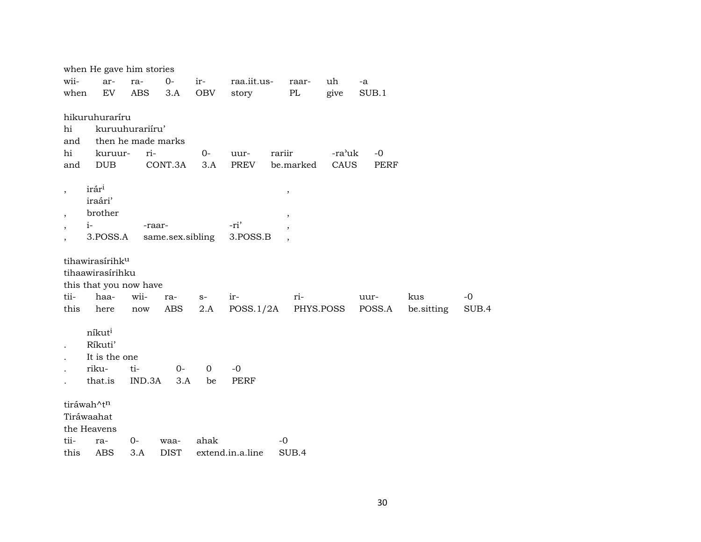|                                                      | when He gave him stories                                                                  |                              |                               |              |                      |                                                     |                |                     |                   |               |
|------------------------------------------------------|-------------------------------------------------------------------------------------------|------------------------------|-------------------------------|--------------|----------------------|-----------------------------------------------------|----------------|---------------------|-------------------|---------------|
| wii-<br>when                                         | ar-<br>EV                                                                                 | ra-<br><b>ABS</b>            | $O -$<br>3.A                  | ir-<br>OBV   | raa.iit.us-<br>story | raar-<br>$\rm PL$                                   | uh<br>give     | $-a$<br>SUB.1       |                   |               |
| hi<br>and<br>hi<br>and                               | hikuruhuraríru<br>kuruur-<br>DUB                                                          | kuruuhurariiru'<br>ri-       | then he made marks<br>CONT.3A | $O -$<br>3.A | uur-<br><b>PREV</b>  | rariir<br>be.marked                                 | -ra'uk<br>CAUS | $-0$<br><b>PERF</b> |                   |               |
| $\overline{\phantom{a}}$<br>$\overline{\phantom{a}}$ | irár <sup>i</sup><br>iraári'<br>brother<br>$i-$<br>3.POSS.A                               |                              | -raar-<br>same.sex.sibling    |              | -ri'<br>3.POSS.B     | $\, ,$<br>$^\mathrm{,}$<br>$\overline{\phantom{a}}$ |                |                     |                   |               |
| tii-<br>this                                         | tihawirasírihk <sup>u</sup><br>tihaawirasírihku<br>this that you now have<br>haa-<br>here | wii-<br>$\operatorname{now}$ | ra-<br>ABS                    | $S-$<br>2.A  | ir-<br>POSS.1/2A     | ri-                                                 | PHYS.POSS      | uur-<br>POSS.A      | kus<br>be.sitting | $-0$<br>SUB.4 |
|                                                      | níkuti<br>Ríkuti'<br>It is the one<br>riku-<br>that.is                                    | ti-<br>IND.3A                | $O -$<br>3.A                  | 0<br>be      | $-0$<br><b>PERF</b>  |                                                     |                |                     |                   |               |
| tii-                                                 | tiráwah^tn<br>Tiráwaahat<br>the Heavens                                                   | $0-$                         |                               | ahak         |                      | $-0$                                                |                |                     |                   |               |
| this                                                 | ra-<br><b>ABS</b>                                                                         | 3.A                          | waa-<br><b>DIST</b>           |              | extend.in.a.line     | SUB.4                                               |                |                     |                   |               |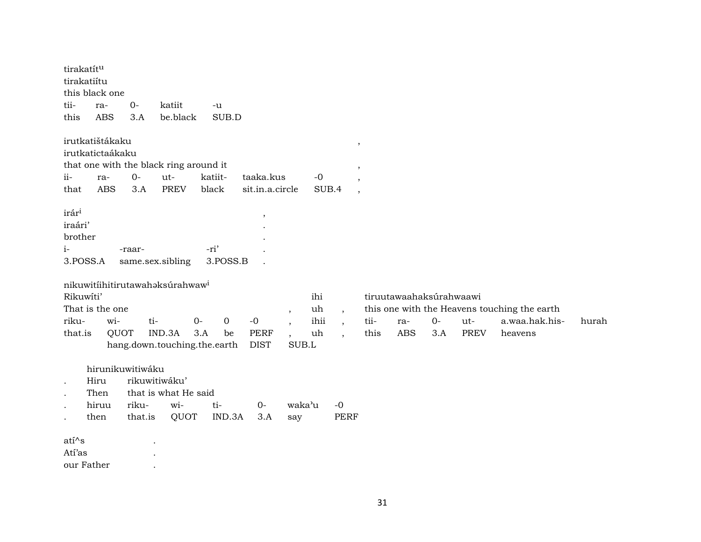| tirakatítu<br>tirakatiítu<br>tii-<br>this                                                    | this black one<br>ra-<br><b>ABS</b>                      | $0-$<br>3.A      | katiit<br>be.black                                                        | -u<br>SUB.D                                                                 |                                     |                                                                                 |                                                                                                           |              |                                              |             |                    |                                                                           |       |
|----------------------------------------------------------------------------------------------|----------------------------------------------------------|------------------|---------------------------------------------------------------------------|-----------------------------------------------------------------------------|-------------------------------------|---------------------------------------------------------------------------------|-----------------------------------------------------------------------------------------------------------|--------------|----------------------------------------------|-------------|--------------------|---------------------------------------------------------------------------|-------|
| ii-<br>that                                                                                  | irutkatištákaku<br>irutkatictaákaku<br>ra-<br><b>ABS</b> | $0-$<br>3.A      | that one with the black ring around it<br>ut-<br><b>PREV</b>              | katiit-<br>black                                                            | taaka.kus<br>sit.in.a.circle        |                                                                                 | $\,$<br>$\overline{\phantom{a}}$<br>$-0$<br>$\overline{\phantom{a}}$<br>SUB.4<br>$\overline{\phantom{a}}$ |              |                                              |             |                    |                                                                           |       |
| irár <sup>i</sup><br>iraári'<br>brother<br>$i-$<br>3.POSS.A<br>Rikuwíti'<br>riku-<br>that.is | That is the one<br>wi-<br>QUOT                           | -raar-<br>ti-    | same.sex.sibling<br>nikuwitiihitirutawahaksurahwaw <sup>i</sup><br>IND.3A | -ri'<br>3.POSS.B<br>$O -$<br>0<br>3.A<br>be<br>hang.down.touching.the.earth | $\,$<br>$-0$<br>PERF<br><b>DIST</b> | $\overline{\phantom{a}}$<br>$\overline{ }$<br>$\overline{\phantom{a}}$<br>SUB.L | ihi<br>uh<br>$\overline{\phantom{a}}$<br>ihii<br>$\overline{ }$ ,<br>uh<br>$\overline{\phantom{a}}$       | tii-<br>this | tiruutawaahaksúrahwaawi<br>ra-<br><b>ABS</b> | $0-$<br>3.A | ut-<br><b>PREV</b> | this one with the Heavens touching the earth<br>a.waa.hak.his-<br>heavens | hurah |
| $\cdot$<br>$\bullet$<br>$\bullet$<br>$\bullet$                                               | hirunikuwitiwáku<br>Hiru<br>Then<br>hiruu<br>then        | riku-<br>that.is | rikuwitiwáku'<br>that is what He said<br>wi-<br>QUOT                      | ti-<br>IND.3A                                                               | $0-$<br>3.A                         | waka'u<br>say                                                                   | $-0$<br><b>PERF</b>                                                                                       |              |                                              |             |                    |                                                                           |       |
| $ati^s$<br>Atí'as<br>our Father                                                              |                                                          |                  |                                                                           |                                                                             |                                     |                                                                                 |                                                                                                           |              |                                              |             |                    |                                                                           |       |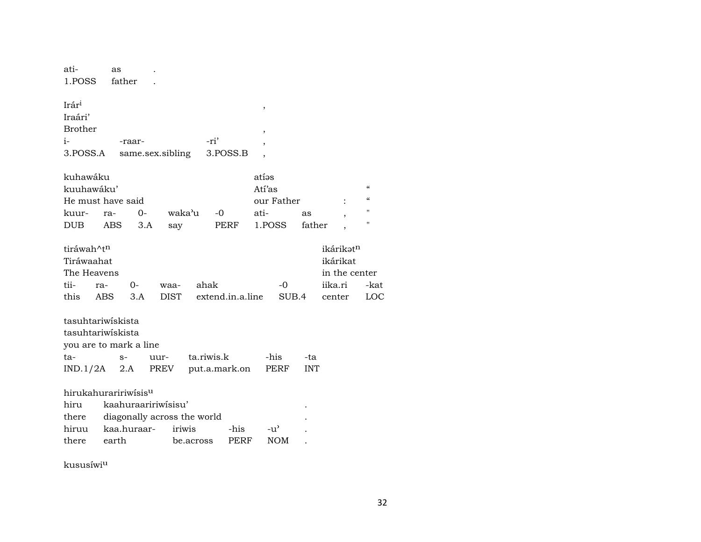| ati-<br>1.POSS                                             | as<br>father                                                      |                |                  |               |            |                                                   |                  |
|------------------------------------------------------------|-------------------------------------------------------------------|----------------|------------------|---------------|------------|---------------------------------------------------|------------------|
| Irári<br>Iraári'<br><b>Brother</b><br>$i-$<br>3.POSS.A     | -raar-<br>same.sex.sibling                                        | -ri'           | 3.POSS.B         | ,<br>,        |            |                                                   |                  |
| kuhawáku                                                   |                                                                   |                |                  | atías         |            |                                                   |                  |
| kuuhawáku'                                                 |                                                                   |                |                  | Atí'as        |            |                                                   | $\epsilon$       |
| He must have said                                          |                                                                   |                |                  | our Father    |            |                                                   | $\epsilon$<br>11 |
| kuur-                                                      | $0 -$<br>ra-                                                      | waka'u<br>$-0$ |                  | ati-          | as         |                                                   | $\mathbf{u}$     |
| DUB.                                                       | <b>ABS</b><br>3.A                                                 | say            | PERF             | 1.POSS        | father     |                                                   |                  |
| tiráwah^tn<br>Tiráwaahat<br>The Heavens<br>tii-<br>ra-     | $0-$                                                              | ahak<br>waa-   |                  | -0            |            | ikárikatn<br>ikárikat<br>in the center<br>iika.ri | -ka              |
| this<br><b>ABS</b>                                         | 3.A                                                               | <b>DIST</b>    | extend.in.a.line | SUB.4         |            | center                                            | LO <sub>(</sub>  |
| tasuhtariwiskista<br>tasuhtariwiskista<br>ta-              | you are to mark a line<br>uur-<br>$S-$                            | ta.riwis.k     |                  | -his          | -ta        |                                                   |                  |
| $IND.1/2A$ 2.A                                             | PREV                                                              | put.a.mark.on  |                  | PERF          | <b>INT</b> |                                                   |                  |
| hirukahuraririwísis <sup>u</sup><br>hiru<br>there<br>hiruu | kaahuraaririwisisu'<br>diagonally across the world<br>kaa.huraar- | iriwis         | -his             | $-u^{\prime}$ |            |                                                   |                  |
| there                                                      | earth                                                             | be.across      | PERF             | <b>NOM</b>    |            |                                                   |                  |
|                                                            |                                                                   |                |                  |               |            |                                                   |                  |

kususíwi<sup>u</sup>

-kat LOC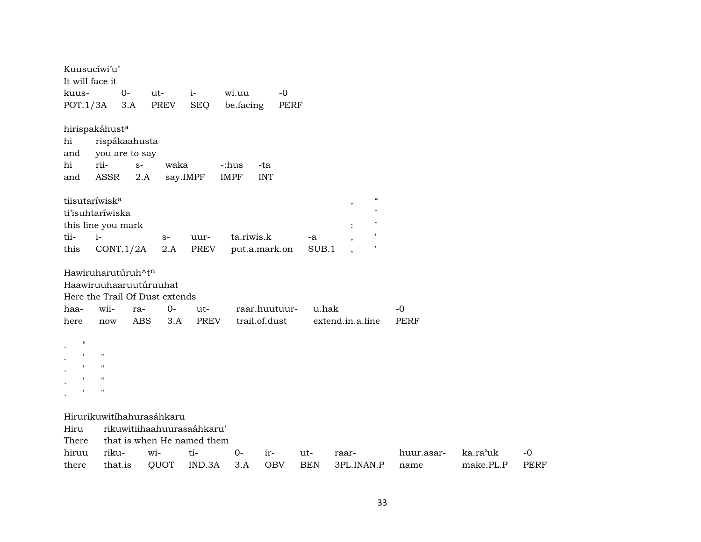| It will face it    | Kuusucíwi'u'                   |            |                           |                                   |                           |               |       |                                     |             |          |      |
|--------------------|--------------------------------|------------|---------------------------|-----------------------------------|---------------------------|---------------|-------|-------------------------------------|-------------|----------|------|
| kuus-              |                                | $0-$       | ut-                       | $i-$                              | wi.uu                     | $-0$          |       |                                     |             |          |      |
| POT.1/3A           |                                | 3.A        | PREV                      | <b>SEQ</b>                        | be.facing                 | PERF          |       |                                     |             |          |      |
|                    | hirispakáhusta                 |            |                           |                                   |                           |               |       |                                     |             |          |      |
| hi                 | rispákaahusta                  |            |                           |                                   |                           |               |       |                                     |             |          |      |
| and                | you are to say                 |            |                           |                                   |                           |               |       |                                     |             |          |      |
| hi                 | rii-                           | $S-$       | waka                      |                                   | -:hus<br>-ta              |               |       |                                     |             |          |      |
| and                | <b>ASSR</b>                    | 2.A        |                           | say.IMPF                          | <b>IMPF</b><br><b>INT</b> |               |       |                                     |             |          |      |
|                    | tiisutaríwisk <sup>a</sup>     |            |                           |                                   |                           |               |       | $\mathcal{C}\mathcal{C}$<br>$\cdot$ |             |          |      |
|                    | ti'isuhtaríwiska               |            |                           |                                   |                           |               |       |                                     |             |          |      |
|                    | this line you mark             |            |                           |                                   |                           |               |       |                                     |             |          |      |
| tii-               | $i-$                           |            | $S-$                      | uur-                              | ta.riwis.k                |               | -a    |                                     |             |          |      |
| this               | CONT.1/2A                      |            | 2.A                       | PREV                              | put.a.mark.on             |               | SUB.1 |                                     |             |          |      |
|                    | Hawiruharutúruh^tn             |            |                           |                                   |                           |               |       |                                     |             |          |      |
|                    |                                |            | Haawiruuhaaruutúruuhat    |                                   |                           |               |       |                                     |             |          |      |
|                    |                                |            |                           |                                   |                           |               |       |                                     |             |          |      |
|                    | Here the Trail Of Dust extends |            |                           |                                   |                           |               |       |                                     |             |          |      |
| haa-               | wii-                           | ra-        | $0-$                      | ut-                               |                           | raar.huutuur- | u.hak |                                     | -0          |          |      |
| here               | now                            | <b>ABS</b> | 3.A                       | PREV                              | trail.of.dust             |               |       | extend.in.a.line                    | <b>PERF</b> |          |      |
| $\pmb{\mathsf{H}}$ |                                |            |                           |                                   |                           |               |       |                                     |             |          |      |
|                    | $\pmb{\mathsf{H}}$             |            |                           |                                   |                           |               |       |                                     |             |          |      |
|                    | $\mathbf H$                    |            |                           |                                   |                           |               |       |                                     |             |          |      |
|                    | $\pmb{\mathsf{H}}$             |            |                           |                                   |                           |               |       |                                     |             |          |      |
|                    | $\blacksquare$                 |            |                           |                                   |                           |               |       |                                     |             |          |      |
|                    |                                |            |                           |                                   |                           |               |       |                                     |             |          |      |
|                    |                                |            | Hirurikuwitíhahurasáhkaru |                                   |                           |               |       |                                     |             |          |      |
| Hiru               |                                |            |                           | rikuwitiihaahuurasaáhkaru'        |                           |               |       |                                     |             |          |      |
| There<br>hiruu     | riku-                          |            | wi-                       | that is when He named them<br>ti- | $0-$                      | ir-           | ut-   | raar-                               | huur.asar-  | ka.ra'uk | $-0$ |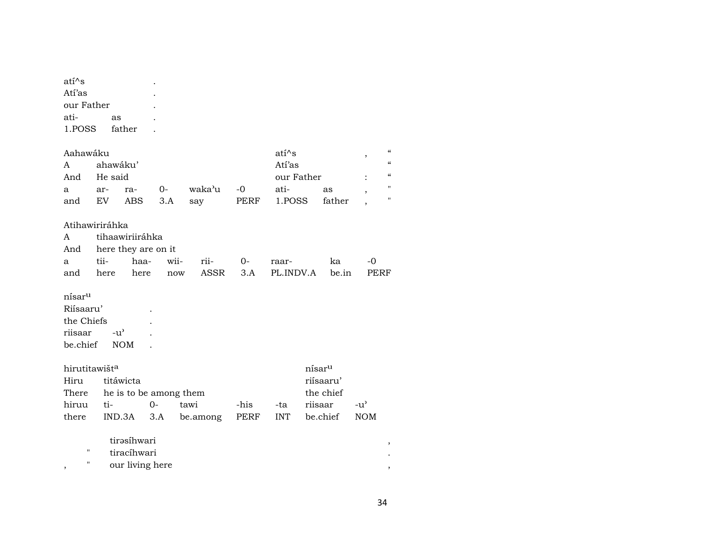| ati^s<br>Atí'as                                                      |               |                                               |                     |                        |      |            |                    |                          |                            |
|----------------------------------------------------------------------|---------------|-----------------------------------------------|---------------------|------------------------|------|------------|--------------------|--------------------------|----------------------------|
| our Father                                                           |               |                                               |                     |                        |      |            |                    |                          |                            |
| ati-                                                                 | as            |                                               |                     |                        |      |            |                    |                          |                            |
| 1.POSS                                                               |               | father                                        |                     |                        |      |            |                    |                          |                            |
|                                                                      |               |                                               |                     |                        |      |            |                    |                          |                            |
| Aahawáku                                                             |               |                                               |                     |                        |      | $ati^s$    |                    | $\overline{\phantom{a}}$ | $\boldsymbol{\mathcal{C}}$ |
| A                                                                    | ahawáku'      |                                               |                     |                        |      | Atí'as     |                    |                          | $\boldsymbol{\mathcal{C}}$ |
| And                                                                  | He said       |                                               |                     |                        |      | our Father |                    |                          | $\epsilon\epsilon$         |
| a                                                                    | ar-           | ra-                                           | $0-$                | waka'u                 | $-0$ | ati-       | as                 |                          | $\pmb{\mathsf{H}}$         |
| and                                                                  | EV            | <b>ABS</b>                                    | 3.A                 | say                    | PERF | 1.POSS     | father             |                          | $\pmb{\mathsf{H}}$         |
|                                                                      |               |                                               |                     |                        |      |            |                    |                          |                            |
| Atihawiriráhka                                                       |               |                                               |                     |                        |      |            |                    |                          |                            |
| A                                                                    |               | tihaawiriiráhka                               |                     |                        |      |            |                    |                          |                            |
| And                                                                  |               |                                               | here they are on it |                        |      |            |                    |                          |                            |
| а                                                                    | tii-          | haa-                                          | wii-                | rii-                   | $0-$ | raar-      | ka                 | $-0$                     |                            |
| and                                                                  | here          | here                                          | now                 | ASSR                   | 3.A  | PL.INDV.A  |                    | be.in<br>PERF            |                            |
| nísar <sup>u</sup><br>Riísaaru'<br>the Chiefs<br>riisaar<br>be.chief | $-u^{\prime}$ | <b>NOM</b>                                    |                     |                        |      |            |                    |                          |                            |
| hirutitawišt <sup>a</sup>                                            |               |                                               |                     |                        |      |            | nísar <sup>u</sup> |                          |                            |
| Hiru                                                                 |               | titáwicta                                     |                     |                        |      |            | riísaaru'          |                          |                            |
| There                                                                |               |                                               |                     | he is to be among them |      |            | the chief          |                          |                            |
| hiruu                                                                | ti-           |                                               | 0-                  | tawi                   | -his | -ta        | riisaar            | $-u^{\prime}$            |                            |
| there                                                                | IND.3A        |                                               | 3.A                 | be.among               | PERF | <b>INT</b> | be.chief           | <b>NOM</b>               |                            |
| П<br>н                                                               |               | tirəsihwari<br>tiracíhwari<br>our living here |                     |                        |      |            |                    |                          | ,                          |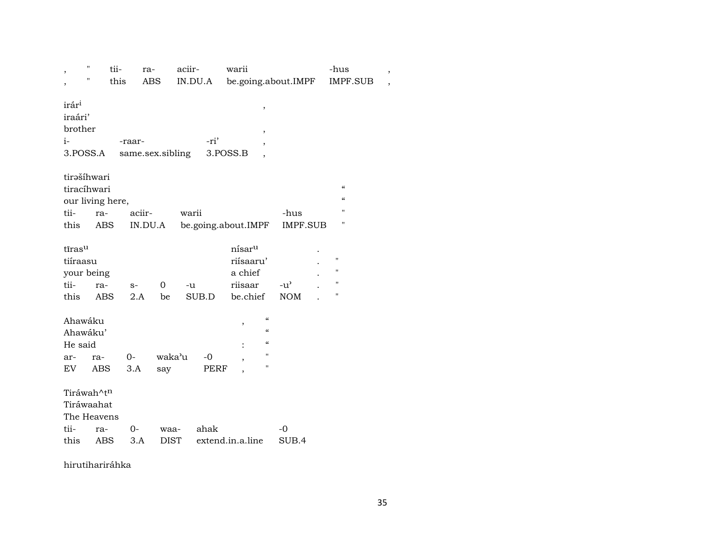| ,                                                            | $\pmb{\mathsf{H}}$ | tii-        | ra-              | aciir-      | warii                                                                                               |                             | -hus                       | $\, ,$         |
|--------------------------------------------------------------|--------------------|-------------|------------------|-------------|-----------------------------------------------------------------------------------------------------|-----------------------------|----------------------------|----------------|
|                                                              | Η                  | this        | ABS              | IN.DU.A     | be.going.about.IMPF                                                                                 |                             | <b>IMPF.SUB</b>            | $\overline{ }$ |
| irár <sup>i</sup><br>iraári'<br>brother<br>$i-$<br>3.POSS.A  |                    | -raar-      | same.sex.sibling | -ri'        | $^\mathrm{^{^\circ}}$<br>$\,$<br>,<br>3.POSS.B<br>$\overline{\phantom{a}}$                          |                             |                            |                |
| tirašíhwari<br>tiracíhwari                                   |                    |             |                  |             |                                                                                                     |                             | $\boldsymbol{\mathcal{C}}$ |                |
| our living here,                                             |                    |             |                  |             |                                                                                                     |                             | $\epsilon$                 |                |
| tii-                                                         | ra-                |             | aciir-           | warii       |                                                                                                     | -hus                        | "                          |                |
| this                                                         | ABS                |             | IN.DU.A          |             | be.going.about.IMPF                                                                                 | IMPF.SUB                    | $\blacksquare$             |                |
| tīras <sup>u</sup><br>tiíraasu<br>your being<br>tii-<br>this | ra-<br><b>ABS</b>  | $S-$<br>2.A | 0<br>be          | -u<br>SUB.D | nísar <sup>u</sup><br>riísaaru'<br>a chief<br>riisaar<br>be.chief                                   | $-u^{\prime}$<br><b>NOM</b> | 11<br>н<br>"<br>11         |                |
| Ahawáku<br>Ahawáku'                                          |                    |             |                  |             | $\boldsymbol{\zeta}\boldsymbol{\zeta}$<br>,<br>$\mathcal{C}\mathcal{C}$<br>$\mathcal{C}\mathcal{C}$ |                             |                            |                |
| He said                                                      |                    |             | waka'u           |             | $\pmb{\mathsf{H}}$                                                                                  |                             |                            |                |
| ar-                                                          | ra-                | $0-$        |                  | $-0$        | н                                                                                                   |                             |                            |                |
| EV                                                           | ABS                | 3.A         | say              | PERF        | $\overline{\phantom{a}}$                                                                            |                             |                            |                |
| Tiráwah^tn<br>Tiráwaahat<br>The Heavens                      |                    |             |                  |             |                                                                                                     |                             |                            |                |
| tii-                                                         | ra-                | $0-$        | waa-             | ahak        |                                                                                                     | $-0$                        |                            |                |
| this                                                         | ABS                | 3.A         | <b>DIST</b>      |             | extend.in.a.line                                                                                    | SUB.4                       |                            |                |

hirutihariráhka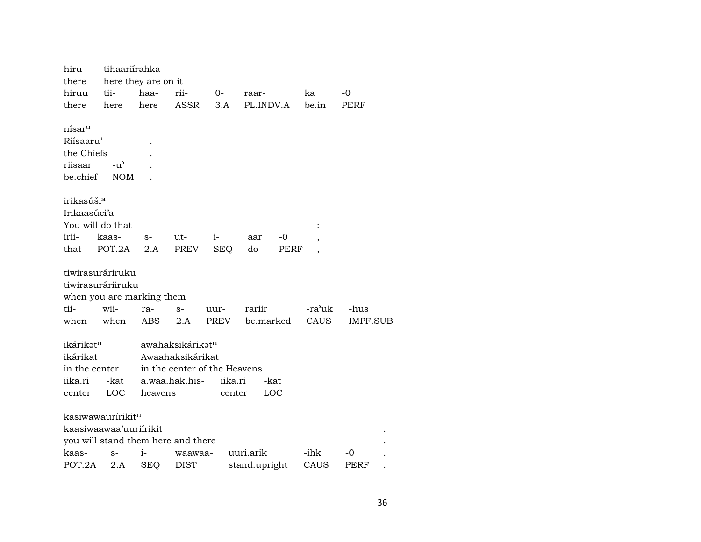| hiru                   | tihaariirahka                      |                     |                  |                              |               |      |                |          |
|------------------------|------------------------------------|---------------------|------------------|------------------------------|---------------|------|----------------|----------|
| there                  |                                    | here they are on it |                  |                              |               |      |                |          |
| hiruu                  | tii-                               | haa-                | rii-             | 0-                           | raar-         |      | ka             | -0       |
| there                  | here                               | here                | ASSR             | 3.A                          | PL.INDV.A     |      | be.in          | PERF     |
| nísar <sup>u</sup>     |                                    |                     |                  |                              |               |      |                |          |
| Riísaaru'              |                                    |                     |                  |                              |               |      |                |          |
| the Chiefs             |                                    |                     |                  |                              |               |      |                |          |
| riisaar                | $-u^{\prime}$                      |                     |                  |                              |               |      |                |          |
| be chief               | <b>NOM</b>                         |                     |                  |                              |               |      |                |          |
| irikasúši <sup>a</sup> |                                    |                     |                  |                              |               |      |                |          |
| Irikaasúci'a           |                                    |                     |                  |                              |               |      |                |          |
| You will do that       |                                    |                     |                  |                              |               |      | $\ddot{\cdot}$ |          |
| irii-                  | kaas-                              | $S-$                | ut-              | $i-$                         | aar           | -0   |                |          |
| that                   | POT.2A                             | 2.A                 | PREV             | <b>SEQ</b>                   | do            | PERF |                |          |
|                        | tiwirasuráriruku                   |                     |                  |                              |               |      |                |          |
|                        | tiwirasuráriiruku                  |                     |                  |                              |               |      |                |          |
|                        | when you are marking them          |                     |                  |                              |               |      |                |          |
| tii-                   | wii-                               | ra-                 | $S-$             | uur-                         | rariir        |      | -ra'uk         | -hus     |
| when                   | when                               | ABS                 | 2.A              | PREV                         | be.marked     |      | CAUS           | IMPF.SUB |
| ikárikət <sup>n</sup>  |                                    |                     | awahaksikárikatn |                              |               |      |                |          |
| ikárikat               |                                    |                     | Awaahaksikárikat |                              |               |      |                |          |
| in the center          |                                    |                     |                  | in the center of the Heavens |               |      |                |          |
| iika.ri                | -kat                               |                     | a.waa.hak.his-   | iika.ri                      | -kat          |      |                |          |
| center                 | LOC                                | heavens             |                  | center                       | LOC           |      |                |          |
|                        | kasiwawauririkitn                  |                     |                  |                              |               |      |                |          |
|                        | kaasiwaawaa'uuriirikit             |                     |                  |                              |               |      |                |          |
|                        | you will stand them here and there |                     |                  |                              |               |      |                |          |
| kaas-                  | $S-$                               | i-                  | waawaa-          |                              | uuri.arik     |      | -ihk           | -0       |
| POT.2A                 | 2.A                                | <b>SEQ</b>          | <b>DIST</b>      |                              | stand.upright |      | CAUS           | PERF     |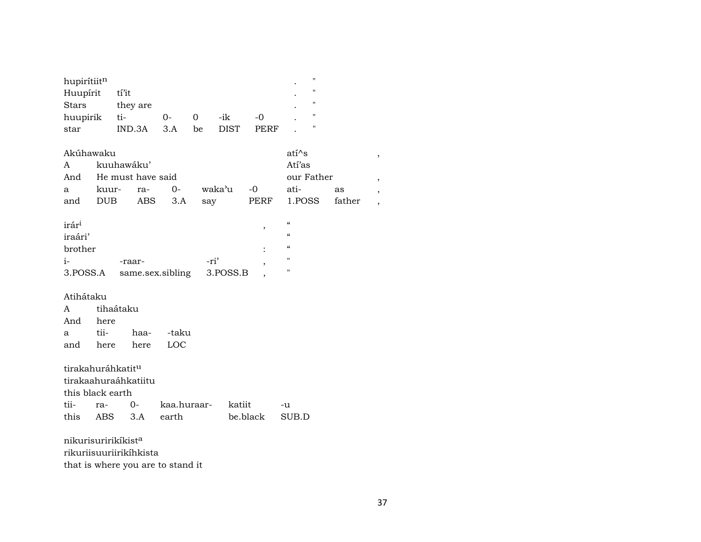| hupirítiitn<br>Huupírit<br><b>Stars</b><br>huupirik<br>star       |                      | tí'it<br>they are<br>ti-<br>IND.3A              | 0-<br>3.A            | 0<br>be | -ik<br><b>DIST</b> | $-0$<br><b>PERF</b> | $\blacksquare$<br>$\blacksquare$<br>$^{\dagger}$<br>$\blacksquare$<br>11                                               |              |                                                      |
|-------------------------------------------------------------------|----------------------|-------------------------------------------------|----------------------|---------|--------------------|---------------------|------------------------------------------------------------------------------------------------------------------------|--------------|------------------------------------------------------|
| Akúhawaku<br>A<br>And<br>a<br>and                                 | <b>DUB</b>           | kuuhawáku'<br>He must have said<br>kuur-<br>ra- | $0-$<br>ABS<br>3.A   | say     | waka'u             | $-0$<br>PERF        | $ati^s$<br>Atí'as<br>our Father<br>ati-<br>1.POSS                                                                      | as<br>father | ,<br>,<br>$\overline{ }$<br>$\overline{\phantom{a}}$ |
| irár <sup>i</sup><br>iraári'<br>brother<br>$i-$<br>3.POSS.A       |                      | -raar-                                          | same.sex.sibling     |         | -ri'<br>3.POSS.B   | $\, ,$<br>,         | $\pmb{\zeta}\pmb{\zeta}$<br>$\mathcal{C}\mathcal{C}$<br>$\boldsymbol{\zeta}\boldsymbol{\zeta}$<br>$\blacksquare$<br>11 |              |                                                      |
| Atihátaku<br>A<br>And<br>a<br>and                                 | here<br>tii-<br>here | tihaátaku<br>haa-<br>here                       | -taku<br>LOC         |         |                    |                     |                                                                                                                        |              |                                                      |
| tirakahuráhkatit <sup>u</sup><br>this black earth<br>tii-<br>this | ra-<br>ABS           | tirakaahuraáhkatiitu<br>$O-$<br>3.A             | kaa.huraar-<br>earth |         | katiit             | be.black            | -u<br>SUB.D                                                                                                            |              |                                                      |

nikurisuririkíkist<sup>a</sup> rikuriisuuriirikíhkista that is where you are to stand it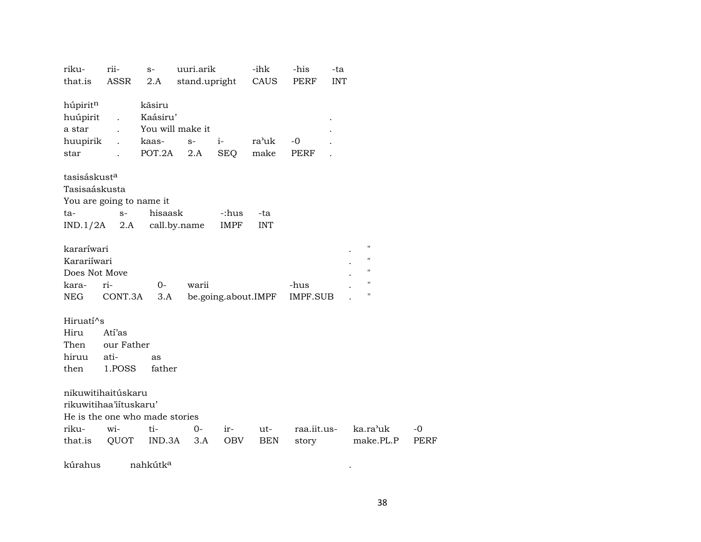| riku-<br>that.is                                             | rii-<br>ASSR                                                                                  | $S-$<br>2.A                                     | uuri.arik<br>stand.upright |                      | -ihk<br>CAUS        | -his<br>PERF            | -ta<br><b>INT</b> |                                        |            |
|--------------------------------------------------------------|-----------------------------------------------------------------------------------------------|-------------------------------------------------|----------------------------|----------------------|---------------------|-------------------------|-------------------|----------------------------------------|------------|
| húpiritn<br>huúpirit<br>a star<br>huupirik                   | $\ddot{\phantom{a}}$<br>$\ddot{\phantom{a}}$                                                  | kãsiru<br>Kaásiru'<br>You will make it<br>kaas- | $S-$                       | $i-$                 | ra'uk               | $-0$                    |                   |                                        |            |
| star                                                         |                                                                                               | POT.2A                                          | 2.A                        | <b>SEQ</b>           | make                | <b>PERF</b>             |                   |                                        |            |
| tasisáskust <sup>a</sup><br>Tasisaáskusta<br>ta-<br>IND.1/2A | You are going to name it<br>$S-$<br>2.A                                                       | hisaask<br>call.by.name                         |                            | -:hus<br><b>IMPF</b> | -ta<br><b>INT</b>   |                         |                   |                                        |            |
| kararíwari<br>Karariíwari<br>Does Not Move<br>kara-<br>NEG   | ri-<br>CONT.3A                                                                                | $0-$<br>3.A                                     | warii                      |                      | be.going.about.IMPF | -hus<br><b>IMPF.SUB</b> |                   | 11<br>11<br>$\blacksquare$<br>11<br>11 |            |
| Hiruatí^s<br>Hiru<br>Then<br>hiruu<br>then                   | Atí'as<br>our Father<br>ati-<br>1.POSS                                                        | as<br>father                                    |                            |                      |                     |                         |                   |                                        |            |
| riku-<br>that.is                                             | nikuwitihaitúskaru<br>rikuwitihaa'iituskaru'<br>He is the one who made stories<br>wi-<br>QUOT | ti-<br>IND.3A                                   | $0-$<br>3.A                | ir-<br>OBV           | ut-<br><b>BEN</b>   | raa.iit.us-<br>story    |                   | ka.ra'uk<br>make.PL.P                  | -0<br>PERF |

kúrahus nahkútk° .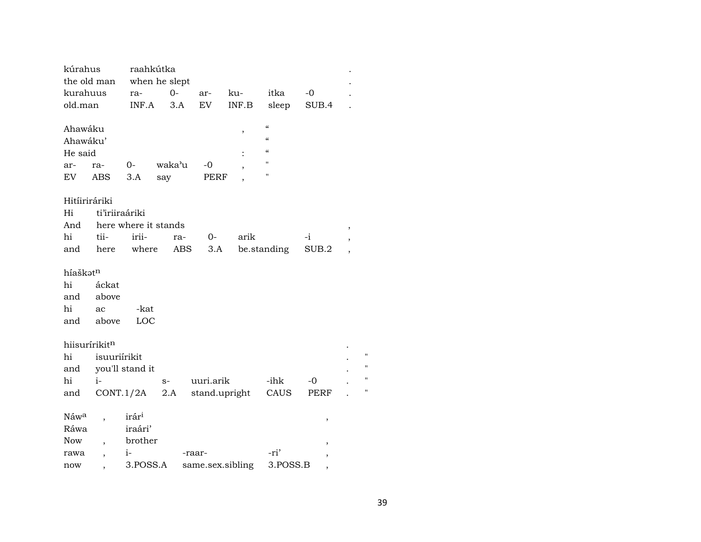| kúrahus       |                          | raahkútka            |        |            |               |                          |        |  |
|---------------|--------------------------|----------------------|--------|------------|---------------|--------------------------|--------|--|
| the old man   |                          | when he slept        |        |            |               |                          |        |  |
| kurahuus      |                          | ra-                  | $0-$   | ar-        | ku-           | itka                     | $-0$   |  |
| old.man       |                          | INF.A                | 3.A    | EV         | INF.B         | sleep                    | SUB.4  |  |
|               |                          |                      |        |            |               |                          |        |  |
| Ahawáku       |                          |                      |        |            | ,             | $\pmb{\zeta}\pmb{\zeta}$ |        |  |
| Ahawáku'      |                          |                      |        |            |               | $\pmb{\zeta}\pmb{\zeta}$ |        |  |
| He said       |                          |                      |        |            |               | $\epsilon$               |        |  |
| ar-           | ra-                      | 0-                   | waka'u | -0         |               | Ħ                        |        |  |
| EV            | <b>ABS</b>               | 3.A                  | say    |            | <b>PERF</b>   | $\pmb{\mathsf{H}}$       |        |  |
|               |                          |                      |        |            |               |                          |        |  |
| Hitíiriráriki |                          |                      |        |            |               |                          |        |  |
| Hi            | ti'iriiraáriki           |                      |        |            |               |                          |        |  |
| And           |                          | here where it stands |        |            |               |                          |        |  |
| hi            | tii-                     | irii-                |        | 0-<br>ra-  | arik          |                          | -i     |  |
| and           | here                     | where                |        | ABS<br>3.A |               | be.standing              | SUB.2  |  |
| híaškətn      |                          |                      |        |            |               |                          |        |  |
| hi            | áckat                    |                      |        |            |               |                          |        |  |
| and           | above                    |                      |        |            |               |                          |        |  |
| hi            | ac                       | -kat                 |        |            |               |                          |        |  |
| and           | above                    | LOC                  |        |            |               |                          |        |  |
|               |                          |                      |        |            |               |                          |        |  |
| hiisurírikitn |                          |                      |        |            |               |                          |        |  |
| hi            | isuuriírikit             |                      |        |            |               |                          |        |  |
| and           |                          | you'll stand it      |        |            |               |                          |        |  |
| hi            | $i-$                     |                      | $S-$   | uuri.arik  |               | -ihk                     | -0     |  |
| and           |                          | CONT.1/2A            | 2.A    |            | stand.upright | CAUS                     | PERF   |  |
|               |                          |                      |        |            |               |                          |        |  |
| Náwa          | $\overline{\phantom{a}}$ | irár <sup>i</sup>    |        |            |               |                          | $\, ,$ |  |
| Ráwa          |                          | iraári'              |        |            |               |                          |        |  |
|               |                          |                      |        |            |               |                          |        |  |
| Now           | $\overline{ }$           | brother              |        |            |               |                          | ,      |  |
| rawa          |                          | $i-$                 |        | -raar-     |               | -ri'                     |        |  |

 $\mathbf{u}$  $\boldsymbol{\mathsf{H}}$  $\mathbf{u}$  $\bar{u}$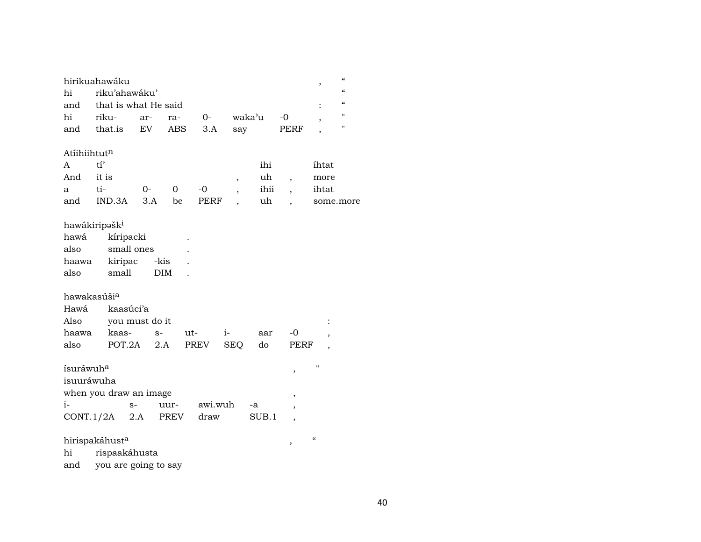|                          | hirikuahawáku              |                |            |         |                          |        |                          | $\overline{\phantom{a}}$ | $\pmb{\zeta}\pmb{\zeta}$ |
|--------------------------|----------------------------|----------------|------------|---------|--------------------------|--------|--------------------------|--------------------------|--------------------------|
| hi                       | riku'ahawáku'              |                |            |         |                          |        |                          |                          | $\alpha$                 |
| and                      | that is what He said       |                |            |         |                          |        |                          |                          | $\alpha$                 |
| hi                       | riku-                      | ar-            | ra-        | $O-$    |                          | waka'u | $-0$                     | $\overline{\phantom{a}}$ | $^{\prime}$              |
| and                      | that.is                    | EV             | ABS        | $3.A$   | say                      |        | PERF                     | ,                        | $\pmb{\mathsf{H}}$       |
|                          |                            |                |            |         |                          |        |                          |                          |                          |
| Atiihiihtut <sup>n</sup> |                            |                |            |         |                          |        |                          |                          |                          |
| A                        | t1                         |                |            |         |                          | ihi    |                          | íhtat                    |                          |
| And                      | it is                      |                |            |         | ,                        | uh     | $\overline{\phantom{a}}$ | more                     |                          |
| a                        | ti-                        | $0 -$          | $\Omega$   | $-0$    | $\overline{\phantom{a}}$ | ihii   | $\overline{\phantom{a}}$ | ihtat                    |                          |
| and                      | IND.3A                     | 3.A            | be         | PERF    | ,                        | uh     | $\overline{\phantom{a}}$ |                          | some.more                |
|                          | hawákiripəšk <sup>i</sup>  |                |            |         |                          |        |                          |                          |                          |
| hawá                     | kíripacki                  |                |            |         |                          |        |                          |                          |                          |
| also                     |                            | small ones     |            |         |                          |        |                          |                          |                          |
| haawa                    | kiripac                    | -kis           |            |         |                          |        |                          |                          |                          |
| also                     | small                      |                | <b>DIM</b> |         |                          |        |                          |                          |                          |
|                          |                            |                |            |         |                          |        |                          |                          |                          |
| hawakasúši <sup>a</sup>  |                            |                |            |         |                          |        |                          |                          |                          |
| Hawá                     | kaasúci'a                  |                |            |         |                          |        |                          |                          |                          |
| Also                     |                            | you must do it |            |         |                          |        |                          |                          |                          |
| haawa                    | kaas-                      | $S-$           | ut-        |         | $i-$                     | aar    | $-0$                     |                          |                          |
| also                     | POT.2A                     |                | 2.A        | PREV    | <b>SEQ</b>               | do     | PERF                     |                          |                          |
|                          |                            |                |            |         |                          |        |                          | п                        |                          |
| ísuráwuh <sup>a</sup>    |                            |                |            |         |                          |        | ,                        |                          |                          |
| isuuráwuha               |                            |                |            |         |                          |        |                          |                          |                          |
|                          | when you draw an image     |                |            |         |                          |        | ,                        |                          |                          |
| i-                       |                            | $S-$           | uur-       | awi.wuh |                          | -a     | ,                        |                          |                          |
|                          | CONT.1/2A                  | 2.A            | PREV       | draw    |                          | SUB.1  | $\overline{\phantom{a}}$ |                          |                          |
|                          | hirispakáhust <sup>a</sup> |                |            |         |                          |        |                          | $\pmb{\zeta}\pmb{\zeta}$ |                          |
| hi                       | rispaakáhusta              |                |            |         |                          |        | ,                        |                          |                          |
| and                      | you are going to say       |                |            |         |                          |        |                          |                          |                          |
|                          |                            |                |            |         |                          |        |                          |                          |                          |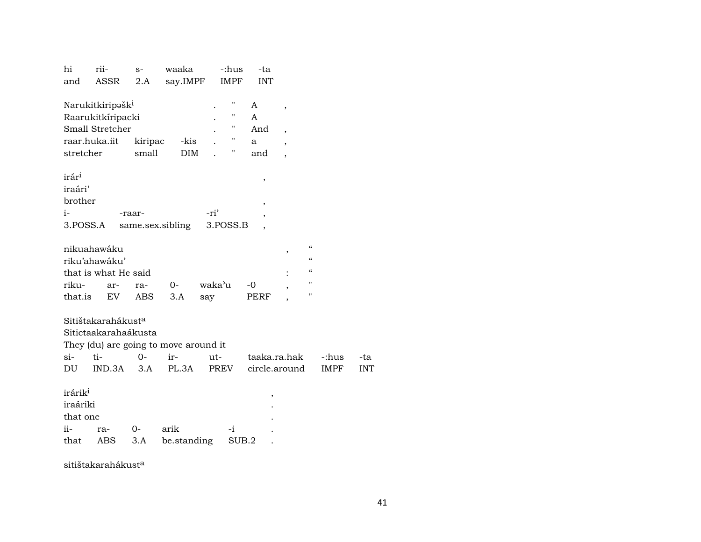| hi                  | rii-                                  | $S-$       | waaka            |        | -:hus       | -ta                 |                          |                          |             |            |
|---------------------|---------------------------------------|------------|------------------|--------|-------------|---------------------|--------------------------|--------------------------|-------------|------------|
| and                 | ASSR                                  | 2.A        | say.IMPF         |        | <b>IMPF</b> | <b>INT</b>          |                          |                          |             |            |
|                     |                                       |            |                  |        |             |                     |                          |                          |             |            |
|                     | Narukitkiripəšk <sup>i</sup>          |            |                  |        | "           | A                   | $\overline{\phantom{a}}$ |                          |             |            |
|                     | Raarukitkíripacki                     |            |                  |        | Ħ           | A                   |                          |                          |             |            |
|                     | Small Stretcher                       |            |                  |        | П           | And                 | $\overline{\phantom{a}}$ |                          |             |            |
|                     | raar.huka.iit                         | kiripac    | -kis             |        | П           | a                   | $\cdot$                  |                          |             |            |
| stretcher           |                                       | small      | <b>DIM</b>       |        | Η           | and                 | $\overline{\phantom{a}}$ |                          |             |            |
|                     |                                       |            |                  |        |             |                     |                          |                          |             |            |
| irár <sup>i</sup>   |                                       |            |                  |        |             | $\pmb{\mathcal{I}}$ |                          |                          |             |            |
| iraári'             |                                       |            |                  |        |             |                     |                          |                          |             |            |
| brother             |                                       |            |                  |        |             | ,                   |                          |                          |             |            |
| $i-$                |                                       | -raar-     |                  | -ri'   |             |                     |                          |                          |             |            |
|                     | 3.POSS.A                              |            | same.sex.sibling |        | 3.POSS.B    |                     |                          |                          |             |            |
|                     |                                       |            |                  |        |             |                     |                          |                          |             |            |
|                     | nikuahawáku                           |            |                  |        |             |                     | ,                        | $\pmb{\zeta}\pmb{\zeta}$ |             |            |
|                     | riku'ahawáku'                         |            |                  |        |             |                     |                          | $\epsilon\epsilon$       |             |            |
|                     | that is what He said                  |            |                  |        |             |                     |                          | $\alpha$                 |             |            |
| riku-               | ar-                                   | ra-        | $0-$             | waka'u |             | $-0$                |                          | "                        |             |            |
| that.is             | EV                                    | <b>ABS</b> | 3.A              | say    |             | <b>PERF</b>         |                          | 11                       |             |            |
|                     |                                       |            |                  |        |             |                     |                          |                          |             |            |
|                     | Sitištakarahákust <sup>a</sup>        |            |                  |        |             |                     |                          |                          |             |            |
|                     | Sitictaakarahaákusta                  |            |                  |        |             |                     |                          |                          |             |            |
|                     | They (du) are going to move around it |            |                  |        |             |                     |                          |                          |             |            |
| $si-$               | ti-                                   | $0 -$      | ir-              | ut-    |             | taaka.ra.hak        |                          |                          | -:hus       | -ta        |
| DU                  | IND.3A                                | 3.A        | PL.3A            |        | PREV        | circle.around       |                          |                          | <b>IMPF</b> | <b>INT</b> |
|                     |                                       |            |                  |        |             |                     |                          |                          |             |            |
| irárik <sup>i</sup> |                                       |            |                  |        |             | ,                   |                          |                          |             |            |
| iraáriki            |                                       |            |                  |        |             |                     |                          |                          |             |            |
| that one            |                                       |            |                  |        |             |                     |                          |                          |             |            |
| ii-                 | ra-                                   | 0-         | arik             |        | $-i$        |                     |                          |                          |             |            |
| that                | ABS                                   | 3.A        | be.standing      |        | SUB.2       |                     |                          |                          |             |            |
|                     |                                       |            |                  |        |             |                     |                          |                          |             |            |

sitištakarahákust<sup>a</sup>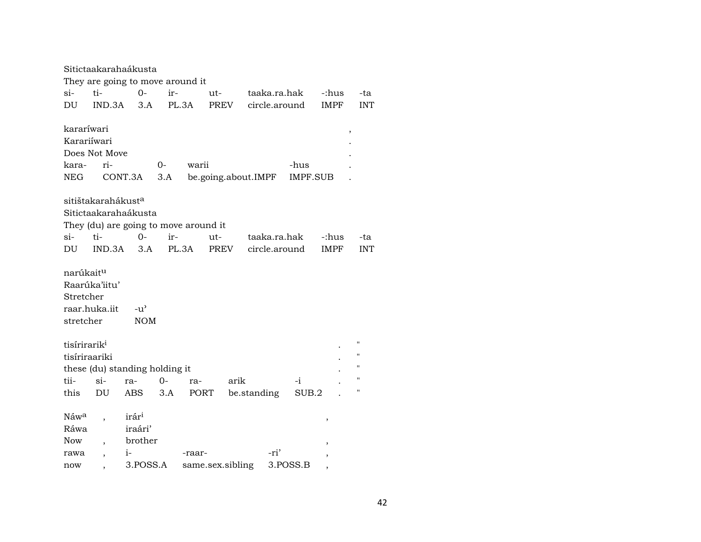| They are going to move around it<br>$\sin$<br>ti-<br>$O -$<br>ir-<br>taaka.ra.hak<br>ut-<br>-:hus<br>circle.around<br><b>IMPF</b><br>DU<br>IND.3A<br>3.A<br>PL.3A<br>PREV<br>kararíwari<br>$\, ,$<br>Karariíwari<br>Does Not Move<br>kara-<br>ri-<br>0-<br>warii<br>-hus<br>NEG.<br>CONT.3A<br>3.A<br>be.going.about.IMPF<br>IMPF.SUB<br>sitištakarahákust <sup>a</sup><br>Sitictaakarahaákusta<br>They (du) are going to move around it<br>$O -$<br>$\sin$<br>ti-<br>ir-<br>taaka.ra.hak<br>ut-<br>-:hus<br>-ta<br>PL.3A<br>DU<br>IND.3A<br>3.A<br><b>PREV</b><br>circle.around<br><b>IMPF</b><br><b>INT</b><br>narúkait <sup>u</sup><br>Raarúka'iitu'<br>Stretcher<br>raar.huka.iit<br>$-u^{\prime}$<br>stretcher<br><b>NOM</b><br>$\blacksquare$<br>tisírirarik <sup>i</sup><br>"<br>tisíriraariki<br>$^{\prime}$<br>these (du) standing holding it<br>$^{\prime}$<br>tii-<br>$si-$<br>$0-$<br>arik<br>ra-<br>-i<br>ra-<br>п<br>3.A<br>be.standing<br>SUB.2<br>this<br>DU<br>ABS<br>PORT |  | Sitictaakarahaákusta |  |  |  |            |
|---------------------------------------------------------------------------------------------------------------------------------------------------------------------------------------------------------------------------------------------------------------------------------------------------------------------------------------------------------------------------------------------------------------------------------------------------------------------------------------------------------------------------------------------------------------------------------------------------------------------------------------------------------------------------------------------------------------------------------------------------------------------------------------------------------------------------------------------------------------------------------------------------------------------------------------------------------------------------------------------|--|----------------------|--|--|--|------------|
|                                                                                                                                                                                                                                                                                                                                                                                                                                                                                                                                                                                                                                                                                                                                                                                                                                                                                                                                                                                             |  |                      |  |  |  |            |
|                                                                                                                                                                                                                                                                                                                                                                                                                                                                                                                                                                                                                                                                                                                                                                                                                                                                                                                                                                                             |  |                      |  |  |  | -ta        |
|                                                                                                                                                                                                                                                                                                                                                                                                                                                                                                                                                                                                                                                                                                                                                                                                                                                                                                                                                                                             |  |                      |  |  |  | <b>INT</b> |
|                                                                                                                                                                                                                                                                                                                                                                                                                                                                                                                                                                                                                                                                                                                                                                                                                                                                                                                                                                                             |  |                      |  |  |  |            |
|                                                                                                                                                                                                                                                                                                                                                                                                                                                                                                                                                                                                                                                                                                                                                                                                                                                                                                                                                                                             |  |                      |  |  |  |            |
|                                                                                                                                                                                                                                                                                                                                                                                                                                                                                                                                                                                                                                                                                                                                                                                                                                                                                                                                                                                             |  |                      |  |  |  |            |
|                                                                                                                                                                                                                                                                                                                                                                                                                                                                                                                                                                                                                                                                                                                                                                                                                                                                                                                                                                                             |  |                      |  |  |  |            |
|                                                                                                                                                                                                                                                                                                                                                                                                                                                                                                                                                                                                                                                                                                                                                                                                                                                                                                                                                                                             |  |                      |  |  |  |            |
|                                                                                                                                                                                                                                                                                                                                                                                                                                                                                                                                                                                                                                                                                                                                                                                                                                                                                                                                                                                             |  |                      |  |  |  |            |
|                                                                                                                                                                                                                                                                                                                                                                                                                                                                                                                                                                                                                                                                                                                                                                                                                                                                                                                                                                                             |  |                      |  |  |  |            |
|                                                                                                                                                                                                                                                                                                                                                                                                                                                                                                                                                                                                                                                                                                                                                                                                                                                                                                                                                                                             |  |                      |  |  |  |            |
|                                                                                                                                                                                                                                                                                                                                                                                                                                                                                                                                                                                                                                                                                                                                                                                                                                                                                                                                                                                             |  |                      |  |  |  |            |
|                                                                                                                                                                                                                                                                                                                                                                                                                                                                                                                                                                                                                                                                                                                                                                                                                                                                                                                                                                                             |  |                      |  |  |  |            |
|                                                                                                                                                                                                                                                                                                                                                                                                                                                                                                                                                                                                                                                                                                                                                                                                                                                                                                                                                                                             |  |                      |  |  |  |            |
|                                                                                                                                                                                                                                                                                                                                                                                                                                                                                                                                                                                                                                                                                                                                                                                                                                                                                                                                                                                             |  |                      |  |  |  |            |
|                                                                                                                                                                                                                                                                                                                                                                                                                                                                                                                                                                                                                                                                                                                                                                                                                                                                                                                                                                                             |  |                      |  |  |  |            |
|                                                                                                                                                                                                                                                                                                                                                                                                                                                                                                                                                                                                                                                                                                                                                                                                                                                                                                                                                                                             |  |                      |  |  |  |            |
|                                                                                                                                                                                                                                                                                                                                                                                                                                                                                                                                                                                                                                                                                                                                                                                                                                                                                                                                                                                             |  |                      |  |  |  |            |
|                                                                                                                                                                                                                                                                                                                                                                                                                                                                                                                                                                                                                                                                                                                                                                                                                                                                                                                                                                                             |  |                      |  |  |  |            |
|                                                                                                                                                                                                                                                                                                                                                                                                                                                                                                                                                                                                                                                                                                                                                                                                                                                                                                                                                                                             |  |                      |  |  |  |            |
|                                                                                                                                                                                                                                                                                                                                                                                                                                                                                                                                                                                                                                                                                                                                                                                                                                                                                                                                                                                             |  |                      |  |  |  |            |
|                                                                                                                                                                                                                                                                                                                                                                                                                                                                                                                                                                                                                                                                                                                                                                                                                                                                                                                                                                                             |  |                      |  |  |  |            |
|                                                                                                                                                                                                                                                                                                                                                                                                                                                                                                                                                                                                                                                                                                                                                                                                                                                                                                                                                                                             |  |                      |  |  |  |            |
|                                                                                                                                                                                                                                                                                                                                                                                                                                                                                                                                                                                                                                                                                                                                                                                                                                                                                                                                                                                             |  |                      |  |  |  |            |
|                                                                                                                                                                                                                                                                                                                                                                                                                                                                                                                                                                                                                                                                                                                                                                                                                                                                                                                                                                                             |  |                      |  |  |  |            |
|                                                                                                                                                                                                                                                                                                                                                                                                                                                                                                                                                                                                                                                                                                                                                                                                                                                                                                                                                                                             |  |                      |  |  |  |            |
|                                                                                                                                                                                                                                                                                                                                                                                                                                                                                                                                                                                                                                                                                                                                                                                                                                                                                                                                                                                             |  |                      |  |  |  |            |
| irár <sup>i</sup><br>Náw <sup>a</sup><br>,                                                                                                                                                                                                                                                                                                                                                                                                                                                                                                                                                                                                                                                                                                                                                                                                                                                                                                                                                  |  |                      |  |  |  |            |
| iraári'<br>Ráwa                                                                                                                                                                                                                                                                                                                                                                                                                                                                                                                                                                                                                                                                                                                                                                                                                                                                                                                                                                             |  |                      |  |  |  |            |
| brother<br>Now                                                                                                                                                                                                                                                                                                                                                                                                                                                                                                                                                                                                                                                                                                                                                                                                                                                                                                                                                                              |  |                      |  |  |  |            |
| -ri'<br>$i-$<br>rawa<br>-raar-<br>$\overline{\phantom{a}}$                                                                                                                                                                                                                                                                                                                                                                                                                                                                                                                                                                                                                                                                                                                                                                                                                                                                                                                                  |  |                      |  |  |  |            |
| ,<br>3.POSS.A<br>same.sex.sibling<br>3.POSS.B<br>now                                                                                                                                                                                                                                                                                                                                                                                                                                                                                                                                                                                                                                                                                                                                                                                                                                                                                                                                        |  |                      |  |  |  |            |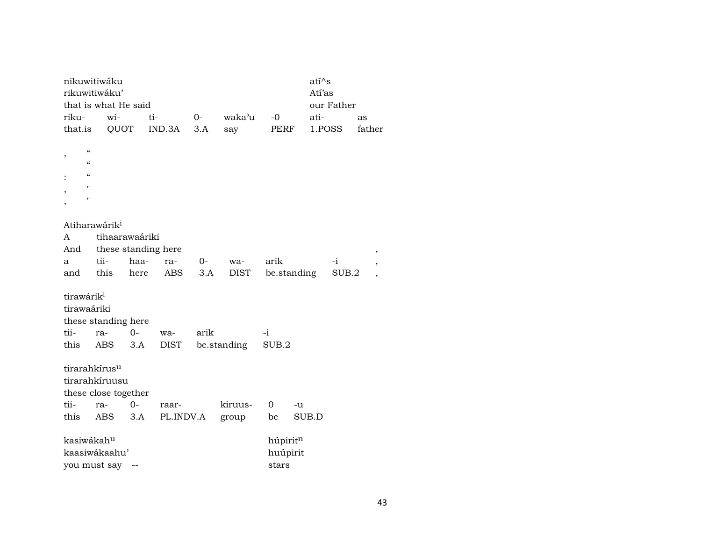|                                                                                                                                                                                           | nikuwitiwáku<br>rikuwitiwáku'                                       |             |                    |      |             |                               | $ati^s$<br>Atí'as |            |        |                          |
|-------------------------------------------------------------------------------------------------------------------------------------------------------------------------------------------|---------------------------------------------------------------------|-------------|--------------------|------|-------------|-------------------------------|-------------------|------------|--------|--------------------------|
|                                                                                                                                                                                           | that is what He said                                                |             |                    |      |             |                               |                   | our Father |        |                          |
| riku-                                                                                                                                                                                     | wi-                                                                 | ti-         |                    | $0-$ | waka'u      | $-0$                          | ati-              |            | as     |                          |
| that.is                                                                                                                                                                                   | QUOT                                                                |             | IND.3A             | 3.A  | say         | PERF                          |                   | 1.POSS     | father |                          |
| $\boldsymbol{\zeta}\boldsymbol{\zeta}$<br>,<br>$\boldsymbol{\zeta}\boldsymbol{\zeta}$<br>$\pmb{\zeta}\pmb{\zeta}$<br>$\pmb{\mathsf{H}}$<br>$\pmb{\mathsf{H}}$<br>$\overline{\phantom{a}}$ |                                                                     |             |                    |      |             |                               |                   |            |        |                          |
|                                                                                                                                                                                           | Atiharawárik <sup>i</sup>                                           |             |                    |      |             |                               |                   |            |        |                          |
| A                                                                                                                                                                                         | tihaarawaáriki                                                      |             |                    |      |             |                               |                   |            |        |                          |
| And                                                                                                                                                                                       | these standing here                                                 |             |                    |      |             |                               |                   |            |        | ,                        |
| a                                                                                                                                                                                         | tii-                                                                | haa-        | ra-                | $O-$ | wa-         | arik                          |                   | $-i$       |        | $^\mathrm{^\mathrm{o}}$  |
| and                                                                                                                                                                                       | this                                                                | here        | ABS                | 3.A  | DIST        |                               | be.standing       | SUB.2      |        | $\overline{\phantom{a}}$ |
| tirawárik <sup>i</sup><br>tirawaáriki<br>tii-<br>this                                                                                                                                     | these standing here<br>ra-<br><b>ABS</b>                            | $0-$<br>3.A | wa-<br><b>DIST</b> | arik | be.standing | $-i$<br>SUB.2                 |                   |            |        |                          |
|                                                                                                                                                                                           | tirarahkírus <sup>u</sup><br>tirarahkíruusu<br>these close together |             |                    |      |             |                               |                   |            |        |                          |
| tii-                                                                                                                                                                                      | ra-                                                                 | $0-$        | raar-              |      | kiruus-     | $\overline{0}$                | -u                |            |        |                          |
| this                                                                                                                                                                                      | ABS                                                                 | 3.A         | PL.INDV.A          |      | group       | be                            | SUB.D             |            |        |                          |
| kasiwákahu                                                                                                                                                                                | kaasiwákaahu'<br>you must say                                       | $-\, -$     |                    |      |             | húpiritn<br>huúpirit<br>stars |                   |            |        |                          |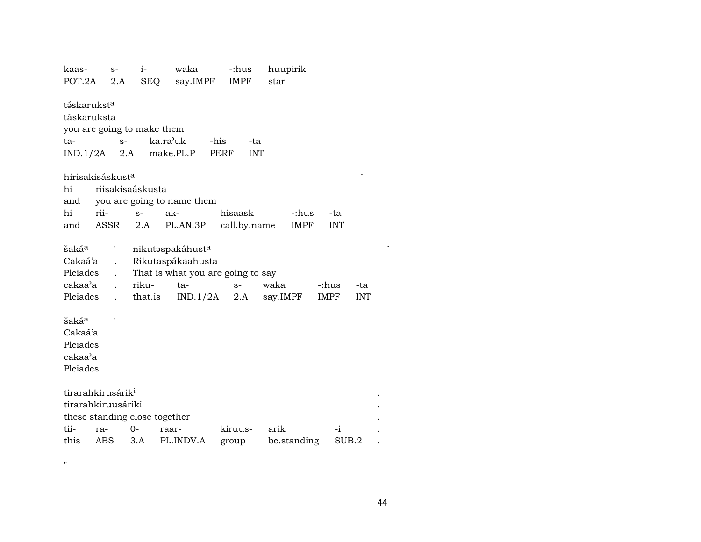| kaas-                         |      | $S-$                 | $i-$             | waka                              | -:hus                     | huupirik    |             |            |
|-------------------------------|------|----------------------|------------------|-----------------------------------|---------------------------|-------------|-------------|------------|
| POT.2A                        |      | 2.A                  | SEQ              | say.IMPF                          | <b>IMPF</b>               | star        |             |            |
| táskarukst <sup>a</sup>       |      |                      |                  |                                   |                           |             |             |            |
| táskaruksta                   |      |                      |                  |                                   |                           |             |             |            |
| you are going to make them    |      |                      |                  |                                   |                           |             |             |            |
| ta-                           |      | $S-$                 |                  | ka.ra <sup>,</sup> uk             | -his<br>-ta               |             |             |            |
| $IND.1/2A$ 2.A                |      |                      |                  | make.PL.P                         | <b>PERF</b><br><b>INT</b> |             |             |            |
|                               |      |                      |                  |                                   |                           |             |             |            |
| hirisakisáskust <sup>a</sup>  |      |                      |                  |                                   |                           |             |             |            |
| hi                            |      |                      | riisakisaáskusta |                                   |                           |             |             |            |
| and                           |      |                      |                  | you are going to name them        |                           |             |             |            |
| hi                            | rii- |                      | $S-$             | ak-                               | hisaask                   | -:hus       | -ta         |            |
| and                           | ASSR |                      | 2.A              | PL.AN.3P                          | call.by.name              | <b>IMPF</b> | <b>INT</b>  |            |
|                               |      |                      |                  |                                   |                           |             |             |            |
| šakáª                         |      | L                    |                  | nikutaspakáhusta                  |                           |             |             |            |
| Cakaá'a                       |      | $\ddot{\phantom{a}}$ |                  | Rikutaspákaahusta                 |                           |             |             |            |
| Pleiades                      |      |                      |                  | That is what you are going to say |                           |             |             |            |
| cakaa'a                       |      | $\ddot{\phantom{a}}$ | riku-            | ta-                               | $S-$                      | waka        | -:hus       | -ta        |
| Pleiades                      |      | $\ddot{\phantom{a}}$ | that.is          | IND.1/2A                          | 2.A                       | say.IMPF    | <b>IMPF</b> | <b>INT</b> |
|                               |      |                      |                  |                                   |                           |             |             |            |
| šaká <sup>a</sup>             |      |                      |                  |                                   |                           |             |             |            |
| Cakaá'a                       |      |                      |                  |                                   |                           |             |             |            |
| Pleiades                      |      |                      |                  |                                   |                           |             |             |            |
| cakaa'a                       |      |                      |                  |                                   |                           |             |             |            |
| Pleiades                      |      |                      |                  |                                   |                           |             |             |            |
|                               |      |                      |                  |                                   |                           |             |             |            |
| tirarahkirusárik <sup>i</sup> |      |                      |                  |                                   |                           |             |             |            |
| tirarahkiruusáriki            |      |                      |                  |                                   |                           |             |             |            |
|                               |      |                      |                  | these standing close together     |                           |             |             |            |
| tii-                          | ra-  | $0-$                 |                  | raar-                             | kiruus-                   | arik        | -i          |            |
| this                          | ABS  |                      | 3.A              | PL.INDV.A                         | group                     | be.standing | SUB.2       |            |
|                               |      |                      |                  |                                   |                           |             |             |            |

 $\mathbf{u}$ 

 $\ddot{\phantom{a}}$ 

 $\cdot$ 

 $\sim$   $\sim$ 

 $\mathcal{L}$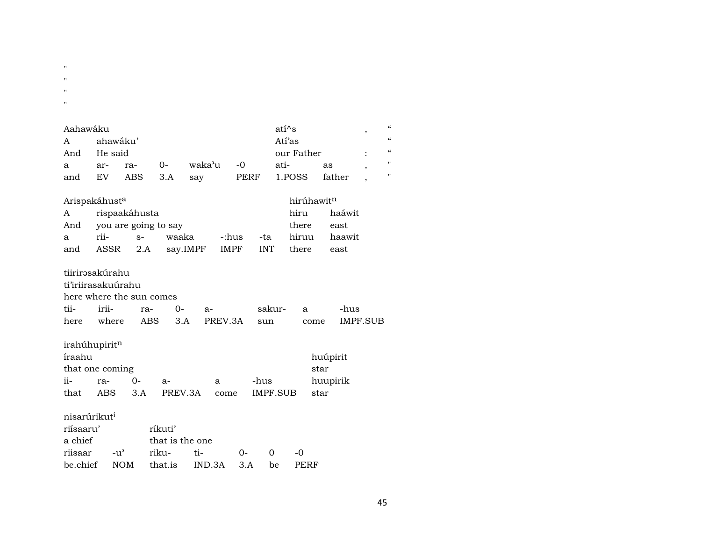- $\bar{\mathbf{u}}$
- $\bar{\mathbf{u}}$
- 
- $\bar{a}$
- $\bar{\mathbf{u}}$

| Aahawáku |                           |                          |       |          |             |            | atí^s                  |      |          |                          | $\epsilon$ |
|----------|---------------------------|--------------------------|-------|----------|-------------|------------|------------------------|------|----------|--------------------------|------------|
| A        | ahawáku'                  |                          |       |          |             |            | Atí'as                 |      |          | $\overline{\phantom{a}}$ | $\epsilon$ |
| And      | He said                   |                          |       |          |             |            | our Father             |      |          |                          | $\epsilon$ |
|          |                           |                          |       |          |             |            |                        |      |          |                          |            |
| a        | ar-                       | ra-                      | $O -$ | waka'u   | -0          |            | ati-                   | as   |          | $\cdot$                  | П          |
| and      | EV                        | ABS                      | 3.A   | say      | PERF        |            | 1.POSS                 |      | father   | $\overline{\phantom{a}}$ | п          |
|          |                           |                          |       |          |             |            |                        |      |          |                          |            |
|          | Arispakáhust <sup>a</sup> |                          |       |          |             |            | hirúhawit <sup>n</sup> |      |          |                          |            |
| A        |                           | rispaakáhusta            |       |          |             |            | hiru                   |      | haáwit   |                          |            |
| And      |                           | you are going to say     |       |          |             |            | there                  |      | east     |                          |            |
| a        | rii-                      | $S-$                     | waaka |          | -:hus       | -ta        | hiruu                  |      | haawit   |                          |            |
| and      | ASSR                      | 2.A                      |       | say.IMPF | <b>IMPF</b> | <b>INT</b> | there                  |      | east     |                          |            |
|          |                           |                          |       |          |             |            |                        |      |          |                          |            |
|          | tiirirəsakúrahu           |                          |       |          |             |            |                        |      |          |                          |            |
|          | ti'iriirasakuúrahu        |                          |       |          |             |            |                        |      |          |                          |            |
|          |                           | here where the sun comes |       |          |             |            |                        |      |          |                          |            |
| tii-     | irii-                     | ra-                      | 0-    | $a-$     |             | sakur-     | a                      |      | -hus     |                          |            |
| here     | where                     | ABS                      | 3.A   |          | PREV.3A     | sun        |                        | come | IMPF.SUB |                          |            |

 $irah$ úhupirit $^n$ 

| íraahu |                 |          |              |   |          | huúpirit |
|--------|-----------------|----------|--------------|---|----------|----------|
|        | that one coming |          |              |   |          | star     |
| $ii -$ | ra-             | $\Omega$ | $A -$        | a | -hus     | huupirik |
| that   | ABS             | 3.A      | PREV.3A come |   | IMPF.SUB | star     |

## nisarúrikut $^i$

| riisaaru'   | ríkuti'         |                                    |    |          |               |  |  |  |  |  |
|-------------|-----------------|------------------------------------|----|----------|---------------|--|--|--|--|--|
| a chief     | that is the one |                                    |    |          |               |  |  |  |  |  |
| riisaar -u' | riku-           | $t_{i}$                            | ∩– | $\Omega$ | $\sim$ $\sim$ |  |  |  |  |  |
|             |                 | be.chief NOM that.is IND.3A 3.A be |    |          | PERF          |  |  |  |  |  |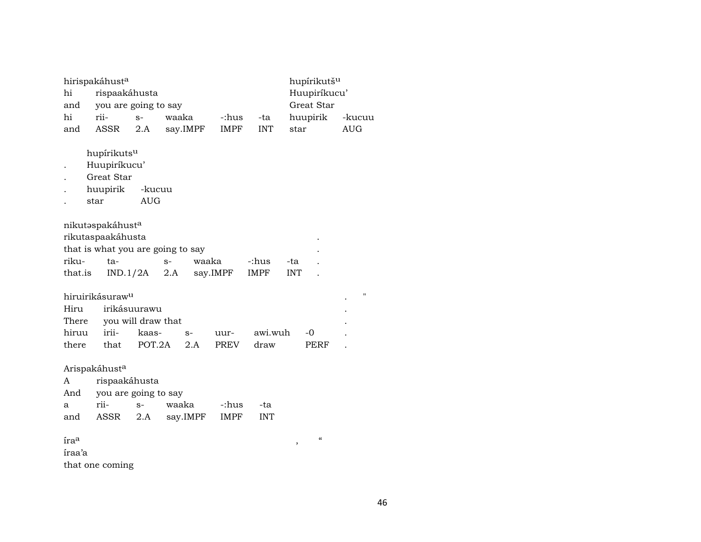|                  | hirispakáhusta                                                                    |                                    |             |          |             |                      | hupírikutš <sup>u</sup>                        |                    |
|------------------|-----------------------------------------------------------------------------------|------------------------------------|-------------|----------|-------------|----------------------|------------------------------------------------|--------------------|
| hi               | rispaakáhusta                                                                     |                                    |             |          |             |                      | Huupiríkucu'                                   |                    |
| and              | you are going to say                                                              |                                    |             |          |             |                      | Great Star                                     |                    |
| hi               | rii-                                                                              | $S-$                               | waaka       |          | -:hus       | -ta                  | huupirik                                       | -kucuu             |
| and              | ASSR                                                                              | 2.A                                |             | say.IMPF | <b>IMPF</b> | <b>INT</b>           | star                                           | <b>AUG</b>         |
|                  | hupírikutsu<br>Huupiríkucu'<br>Great Star<br>huupirik                             | -kucuu                             |             |          |             |                      |                                                |                    |
|                  | star                                                                              | <b>AUG</b>                         |             |          |             |                      |                                                |                    |
| riku-<br>that.is | nikutaspakáhusta<br>rikutaspaakáhusta<br>that is what you are going to say<br>ta- | IND.1/2A                           | $S-$<br>2.A | waaka    | say.IMPF    | -:hus<br><b>IMPF</b> | -ta<br><b>INT</b>                              |                    |
| Hiru<br>There    | hiruirikásuraw <sup>u</sup>                                                       | irikásuurawu<br>you will draw that |             |          |             |                      |                                                | $\pmb{\mathsf{H}}$ |
| hiruu            | irii-                                                                             | kaas-                              |             | $S-$     | uur-        | awi.wuh              | $-0$                                           |                    |
| there            | that                                                                              | POT.2A                             |             | 2.A      | PREV        | draw                 | <b>PERF</b>                                    |                    |
| A<br>And         | Arispakáhusta<br>rispaakáhusta<br>you are going to say                            |                                    |             |          |             |                      |                                                |                    |
| a                | rii-                                                                              | $S-$                               |             | waaka    | -:hus       | -ta                  |                                                |                    |
| and              | ASSR                                                                              | 2.A                                |             | say.IMPF | <b>IMPF</b> | <b>INT</b>           |                                                |                    |
| iraa<br>íraa'a   | that one coming                                                                   |                                    |             |          |             |                      | $\boldsymbol{\zeta}\boldsymbol{\zeta}$<br>$\,$ |                    |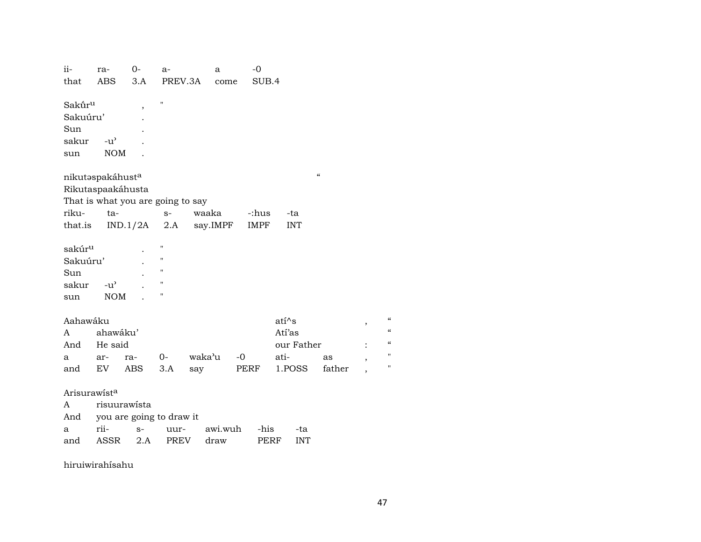| ii-                | ra-           | $O -$                    | $a-$                              | a        | $-0$            |                    |                          |                          |
|--------------------|---------------|--------------------------|-----------------------------------|----------|-----------------|--------------------|--------------------------|--------------------------|
| that               | ABS           | 3.A                      | PREV.3A                           | come     | SUB.4           |                    |                          |                          |
| Sakūr <sup>u</sup> |               | $\overline{\phantom{a}}$ | $\blacksquare$                    |          |                 |                    |                          |                          |
| Sakuúru'           |               |                          |                                   |          |                 |                    |                          |                          |
| Sun                |               |                          |                                   |          |                 |                    |                          |                          |
| sakur              | $-u^{\prime}$ |                          |                                   |          |                 |                    |                          |                          |
| sun                | <b>NOM</b>    |                          |                                   |          |                 |                    |                          |                          |
| nikutaspakáhusta   |               |                          |                                   |          |                 |                    | $\pmb{\zeta}\pmb{\zeta}$ |                          |
| Rikutaspaakáhusta  |               |                          |                                   |          |                 |                    |                          |                          |
|                    |               |                          | That is what you are going to say |          |                 |                    |                          |                          |
| riku-              | ta-           |                          | $S-$                              | waaka    | -:hus           | -ta                |                          |                          |
|                    |               |                          | that.is $IND.1/2A$ 2.A            | say.IMPF | IMPF            | <b>INT</b>         |                          |                          |
| sakúr <sup>u</sup> |               |                          | "                                 |          |                 |                    |                          |                          |
| Sakuúru'           |               |                          | н                                 |          |                 |                    |                          |                          |
| Sun                |               |                          | $\pmb{\mathsf{H}}$                |          |                 |                    |                          |                          |
| sakur              | $-u^{\prime}$ |                          | $\pmb{\mathsf{H}}$                |          |                 |                    |                          |                          |
| sun                | <b>NOM</b>    |                          | Н                                 |          |                 |                    |                          |                          |
| Aahawáku           |               |                          |                                   |          |                 | $ati^s$            |                          | ,                        |
| A                  | ahawáku'      |                          |                                   |          |                 | Atí'as             |                          |                          |
| And                | He said       |                          |                                   |          |                 | our Father         |                          |                          |
| a                  | ar-           | ra-                      | $O-$                              | waka'u   | $-0$            | ati-               | as                       | $\overline{\phantom{a}}$ |
| and                | EV            | ABS                      | 3.A                               | say      | PERF            | 1.POSS             | father                   |                          |
| Arisurawista       |               |                          |                                   |          |                 |                    |                          |                          |
| A                  |               | risuurawista             |                                   |          |                 |                    |                          |                          |
| And                |               |                          | you are going to draw it          |          |                 |                    |                          |                          |
| a                  | rii-          | $S-$                     | uur-                              |          | awi.wuh<br>-his | -ta                |                          |                          |
| and                | ASSR          | $2.A$                    | PREV                              | draw     |                 | PERF<br><b>INT</b> |                          |                          |

hiruiwirahísahu

 $\boldsymbol{\mathcal{C}}$ 

 $\alpha$  $\epsilon\epsilon$ 

 $\boldsymbol{\mathsf{H}}$ 

 $\boldsymbol{u}$ 

 $\overline{\phantom{a}}$ 

 $\ddot{\cdot}$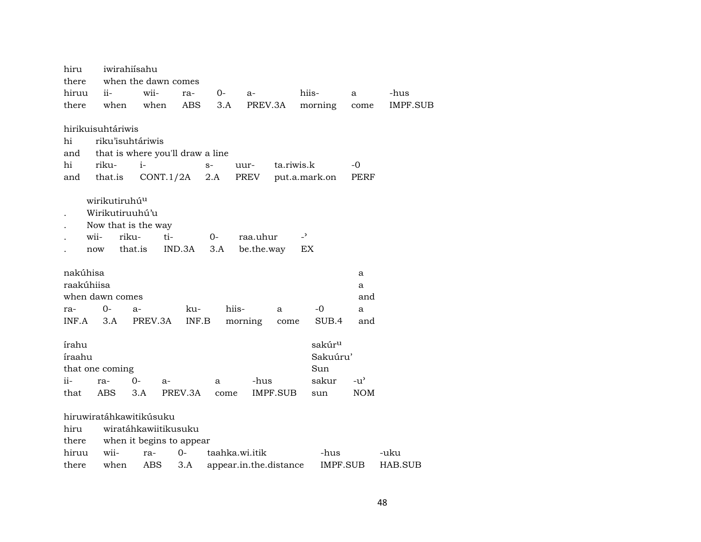| hiru       |                           | iwirahiisahu     |                                  |      |                        |            |                          |            |          |
|------------|---------------------------|------------------|----------------------------------|------|------------------------|------------|--------------------------|------------|----------|
| there      |                           |                  | when the dawn comes              |      |                        |            |                          |            |          |
| hiruu      | ii-                       | wii-             | ra-                              | $0-$ | a-                     |            | hiis-                    | a          | -hus     |
| there      | when                      | when             | <b>ABS</b>                       | 3.A  | PREV.3A                |            | morning                  | come       | IMPF.SUB |
|            | hirikuisuhtáriwis         |                  |                                  |      |                        |            |                          |            |          |
| hi         |                           | riku'isuhtáriwis |                                  |      |                        |            |                          |            |          |
| and        |                           |                  | that is where you'll draw a line |      |                        |            |                          |            |          |
| hi         | riku-                     | $i-$             |                                  | $S-$ | uur-                   | ta.riwis.k |                          | -0         |          |
| and        | that.is                   |                  | CONT.1/2A                        | 2.A  | PREV                   |            | put.a.mark.on            | PERF       |          |
|            | wirikutiruhú <sup>u</sup> |                  |                                  |      |                        |            |                          |            |          |
|            | Wirikutiruuhú'u           |                  |                                  |      |                        |            |                          |            |          |
|            | Now that is the way       |                  |                                  |      |                        |            |                          |            |          |
|            | wii-                      | riku-            | ti-                              | 0-   | raa.uhur               |            | $\overline{\phantom{a}}$ |            |          |
|            |                           | that.is          |                                  |      |                        |            | EX                       |            |          |
|            | now                       |                  | IND.3A                           | 3.A  | be.the.way             |            |                          |            |          |
| nakúhisa   |                           |                  |                                  |      |                        |            |                          | а          |          |
| raakúhiisa |                           |                  |                                  |      |                        |            |                          | a          |          |
|            | when dawn comes           |                  |                                  |      |                        |            |                          | and        |          |
| ra-        | $0-$                      | $a-$             | ku-                              |      | hiis-                  | a          | -0                       | a          |          |
| INF.A      | 3.A                       | PREV.3A          | INF.B                            |      | morning                | come       | SUB.4                    | and        |          |
| írahu      |                           |                  |                                  |      |                        |            | sakúr <sup>u</sup>       |            |          |
| íraahu     |                           |                  |                                  |      |                        |            | Sakuúru'                 |            |          |
|            | that one coming           |                  |                                  |      |                        |            | Sun                      |            |          |
| ii-        | ra-                       | 0-               | a-                               | a    | -hus                   |            | sakur                    | $-u'$      |          |
| that       | <b>ABS</b>                | 3.A              | PREV.3A                          | come |                        | IMPF.SUB   | sun                      | <b>NOM</b> |          |
|            |                           |                  |                                  |      |                        |            |                          |            |          |
|            | hiruwiratáhkawitikúsuku   |                  |                                  |      |                        |            |                          |            |          |
| hiru       |                           |                  | wiratáhkawiitikusuku             |      |                        |            |                          |            |          |
| there      |                           |                  | when it begins to appear         |      |                        |            |                          |            |          |
| hiruu      | wii-                      | ra-              | $0-$                             |      | taahka.wi.itik         |            | -hus                     |            | -uku     |
| there      | when                      | ABS              | 3.A                              |      | appear.in.the.distance |            | IMPF.SUB                 |            | HAB.SUB  |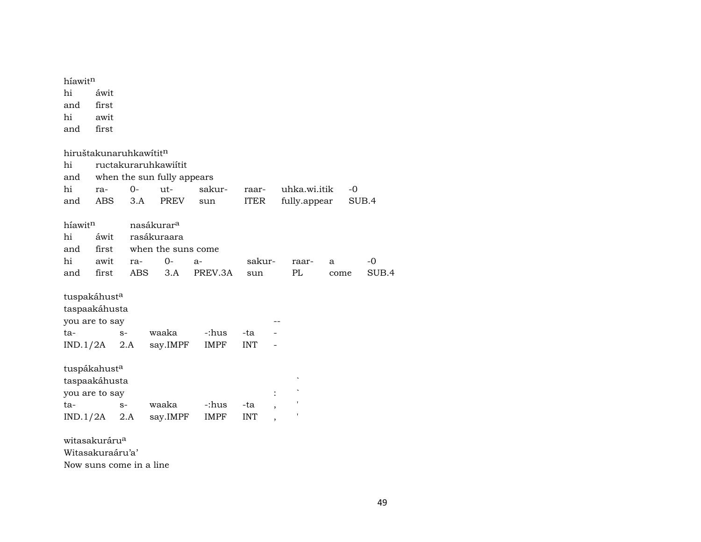| híawitn                            |            |                         |                            |         |             |                |              |      |      |       |
|------------------------------------|------------|-------------------------|----------------------------|---------|-------------|----------------|--------------|------|------|-------|
| hi                                 | áwit       |                         |                            |         |             |                |              |      |      |       |
| and                                | first      |                         |                            |         |             |                |              |      |      |       |
| hi                                 | awit       |                         |                            |         |             |                |              |      |      |       |
| and                                | first      |                         |                            |         |             |                |              |      |      |       |
| hiruštakunaruhkawítit <sup>n</sup> |            |                         |                            |         |             |                |              |      |      |       |
| hi                                 |            |                         | ructakuraruhkawiítit       |         |             |                |              |      |      |       |
| and                                |            |                         | when the sun fully appears |         |             |                |              |      |      |       |
| hi                                 | ra-        | $0-$                    | $ut-$                      | sakur-  | raar-       |                | uhka.wi.itik |      | $-0$ |       |
| and                                | <b>ABS</b> | 3.A                     | <b>PREV</b>                | sun     | <b>ITER</b> |                | fully.appear |      |      | SUB.4 |
| híawitn                            |            |                         | nasákurar <sup>a</sup>     |         |             |                |              |      |      |       |
| hi                                 | áwit       |                         | rasákuraara                |         |             |                |              |      |      |       |
| and                                | first      |                         | when the suns come         |         |             |                |              |      |      |       |
| hi                                 | awit       | ra-                     | $0-$                       | a-      | sakur-      |                | raar-        | a    |      | -0    |
| and                                | first      |                         | ABS<br>3.A                 | PREV.3A | sun         |                | PL           | come |      | SUB.4 |
| tuspakáhust <sup>a</sup>           |            |                         |                            |         |             |                |              |      |      |       |
| taspaakáhusta                      |            |                         |                            |         |             |                |              |      |      |       |
| you are to say                     |            |                         |                            |         |             |                |              |      |      |       |
| ta-                                |            | $S-$                    | waaka                      | -:hus   | -ta         |                |              |      |      |       |
| $IND.1/2A$ 2.A                     |            |                         | say.IMPF                   | IMPF    | INT         |                |              |      |      |       |
| tuspákahusta                       |            |                         |                            |         |             |                |              |      |      |       |
| taspaakáhusta                      |            |                         |                            |         |             |                |              |      |      |       |
| you are to say                     |            |                         |                            |         |             | $\ddot{\cdot}$ |              |      |      |       |
| ta-                                |            | $S-$                    | waaka                      | -:hus   | -ta         |                |              |      |      |       |
| $IND.1/2A$ 2.A                     |            |                         | say.IMPF                   | IMPF    | <b>INT</b>  |                |              |      |      |       |
| witasakuráru <sup>a</sup>          |            |                         |                            |         |             |                |              |      |      |       |
| Witasakuraáru'a'                   |            |                         |                            |         |             |                |              |      |      |       |
|                                    |            | Now suns come in a line |                            |         |             |                |              |      |      |       |

49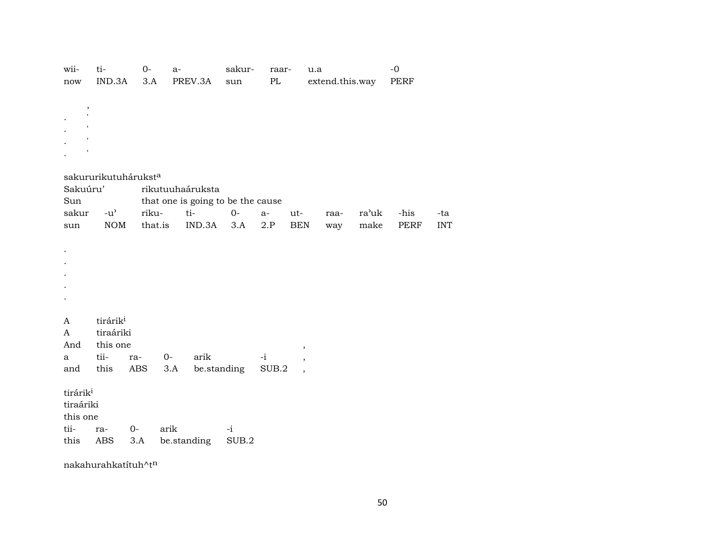| wii-<br>now                                                   | ti-<br>IND.3A                                                 | $O -$<br>3.A         | $a-$        | PREV.3A                                            | sakur-<br>sun | raar-<br>$\rm PL$ |                                                      | u.a<br>extend.this.way |               | $-0$<br>PERF |                   |
|---------------------------------------------------------------|---------------------------------------------------------------|----------------------|-------------|----------------------------------------------------|---------------|-------------------|------------------------------------------------------|------------------------|---------------|--------------|-------------------|
| $^\mathrm{,}$<br>$\mathbf{r}$<br>1<br>$\mathsf{I}$            |                                                               |                      |             |                                                    |               |                   |                                                      |                        |               |              |                   |
|                                                               |                                                               | sakururikutuháruksta |             |                                                    |               |                   |                                                      |                        |               |              |                   |
| Sakuúru'                                                      |                                                               |                      |             | rikutuuhaáruksta                                   |               |                   |                                                      |                        |               |              |                   |
| Sun<br>sakur<br>sun                                           | $-u^{\prime}$<br><b>NOM</b>                                   | riku-<br>that.is     |             | that one is going to be the cause<br>ti-<br>IND.3A | $0-$<br>3.A   | $a-$<br>2.P       | ut-<br><b>BEN</b>                                    | raa-<br>way            | ra'uk<br>make | -his<br>PERF | -ta<br><b>INT</b> |
|                                                               |                                                               |                      |             |                                                    |               |                   |                                                      |                        |               |              |                   |
| A<br>A<br>And<br>a<br>and                                     | tirárik <sup>i</sup><br>tiraáriki<br>this one<br>tii-<br>this | ra-<br>ABS           | $0-$<br>3.A | arik                                               | be.standing   | $-i$<br>SUB.2     | $\pmb{\mathcal{I}}$<br>,<br>$\overline{\phantom{a}}$ |                        |               |              |                   |
| tirárik <sup>i</sup><br>tiraáriki<br>this one<br>tii-<br>this | ra-<br>ABS                                                    | 0-<br>3.A            | arik        | be.standing                                        | $-i$<br>SUB.2 |                   |                                                      |                        |               |              |                   |

nakahurahkatítuh $\wedge$ t $^n$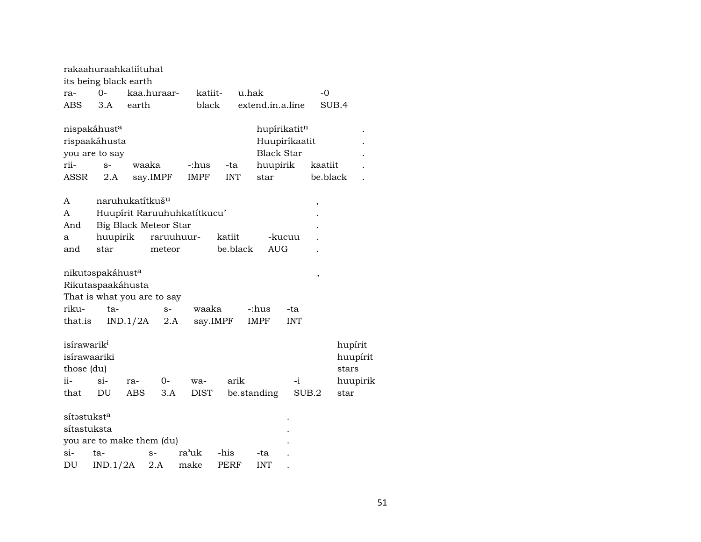|                                                                      | rakaahuraahkatiituhat                 |                             |                              |                             |            |                   |               |          |                          |                      |
|----------------------------------------------------------------------|---------------------------------------|-----------------------------|------------------------------|-----------------------------|------------|-------------------|---------------|----------|--------------------------|----------------------|
|                                                                      | its being black earth                 |                             |                              |                             |            |                   |               |          |                          |                      |
| ra-                                                                  | 0-                                    |                             | kaa.huraar-                  | katiit-                     |            | u.hak             |               | $-0$     |                          |                      |
| ABS                                                                  | 3.A                                   | earth                       |                              | black                       |            | extend.in.a.line  |               |          | SUB.4                    |                      |
|                                                                      | nispakáhusta                          |                             |                              |                             |            |                   | hupírikatitn  |          |                          |                      |
|                                                                      | rispaakáhusta                         |                             |                              |                             |            |                   | Huupiríkaatit |          |                          |                      |
|                                                                      |                                       |                             |                              |                             |            | <b>Black Star</b> |               |          |                          |                      |
| rii-                                                                 | you are to say<br>$S-$                | waaka                       |                              | -:hus                       | -ta        |                   |               | kaatiit  |                          |                      |
|                                                                      |                                       |                             |                              |                             |            | huupirik          |               |          |                          |                      |
| ASSR                                                                 | 2.A                                   |                             | say.IMPF                     | <b>IMPF</b>                 | <b>INT</b> | star              |               | be.black |                          |                      |
| A                                                                    |                                       | naruhukatítkuš <sup>u</sup> |                              |                             |            |                   |               | ,        |                          |                      |
| A                                                                    |                                       |                             |                              | Huupírit Raruuhuhkatítkucu' |            |                   |               |          |                          |                      |
| And                                                                  |                                       |                             | <b>Big Black Meteor Star</b> |                             |            |                   |               |          |                          |                      |
| a                                                                    | huupirik                              |                             | raruuhuur-                   |                             | katiit     |                   | -kucuu        |          |                          |                      |
| and                                                                  | star                                  |                             | meteor                       |                             | be.black   | <b>AUG</b>        |               |          |                          |                      |
|                                                                      | nikutaspakáhusta<br>Rikutaspaakáhusta |                             | That is what you are to say  |                             |            |                   |               | $\,$     |                          |                      |
| riku-                                                                | ta-                                   |                             | $S-$                         | waaka                       |            | -:hus             | -ta           |          |                          |                      |
| that.is                                                              |                                       | IND.1/2A                    | 2.A                          |                             | say.IMPF   | <b>IMPF</b>       | <b>INT</b>    |          |                          |                      |
| isírawarik <sup>i</sup><br>isírawaariki<br>those (du)<br>ii-<br>that | $\sin$ -<br>DU                        | ra-<br><b>ABS</b>           | 0-<br>3.A                    | wa-<br>DIST                 | arik       | be.standing       | $-i$          | SUB.2    | hupírit<br>stars<br>star | huupírit<br>huupirik |
|                                                                      |                                       |                             |                              |                             |            |                   |               |          |                          |                      |
| sítəstukst <sup>a</sup>                                              |                                       |                             |                              |                             |            |                   |               |          |                          |                      |
| sítastuksta                                                          |                                       |                             |                              |                             |            |                   |               |          |                          |                      |
|                                                                      |                                       |                             | you are to make them (du)    |                             |            |                   |               |          |                          |                      |
| si-                                                                  | ta-                                   |                             | $S-$                         | ra'uk                       | -his       | -ta               |               |          |                          |                      |
| DU                                                                   | IND.1/2A                              |                             | 2.A                          | make                        | PERF       | <b>INT</b>        |               |          |                          |                      |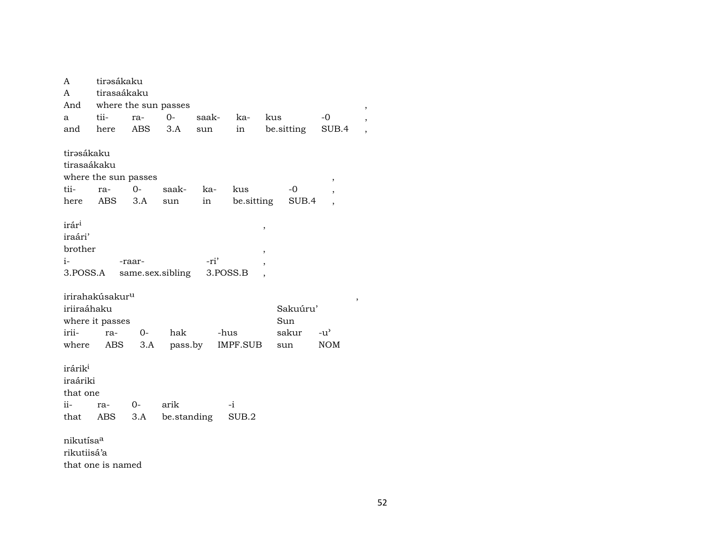| A                                                         | tirəsákaku                  |        |                  |       |            |                                    |               |   |
|-----------------------------------------------------------|-----------------------------|--------|------------------|-------|------------|------------------------------------|---------------|---|
| A                                                         | tirasaákaku                 |        |                  |       |            |                                    |               |   |
| And                                                       | where the sun passes        |        |                  |       |            |                                    |               |   |
| a                                                         | tii-                        | ra-    | $O -$            | saak- | ka-        | kus                                | -0            |   |
| and                                                       | here                        | ABS    | 3.A              | sun   | in         | be.sitting                         | SUB.4         |   |
|                                                           |                             |        |                  |       |            |                                    |               |   |
| tirəsákaku                                                |                             |        |                  |       |            |                                    |               |   |
| tirasaákaku                                               |                             |        |                  |       |            |                                    |               |   |
|                                                           | where the sun passes        |        |                  |       |            |                                    | ,             |   |
| tii-                                                      | ra-                         | $O -$  | saak-            | ka-   | kus        | -0                                 | ,             |   |
| here                                                      | ABS                         | 3.A    | sun              | in    | be.sitting | SUB.4                              |               |   |
| irár <sup>i</sup><br>iraári'<br>brother<br>i-<br>3.POSS.A |                             | -raar- | same.sex.sibling | -ri'  | 3.POSS.B   | ,<br>$\overline{\phantom{a}}$<br>, |               |   |
|                                                           | irirahakúsakur <sup>u</sup> |        |                  |       |            |                                    |               | , |
| iriiraáhaku                                               |                             |        |                  |       |            | Sakuúru'                           |               |   |
|                                                           | where it passes             |        |                  |       |            | Sun                                |               |   |
| irii-                                                     | ra-                         | $O -$  | hak              |       | -hus       | sakur                              | $-u^{\prime}$ |   |
| where                                                     | ABS                         | 3.A    | pass.by          |       | IMPF.SUB   | sun                                | <b>NOM</b>    |   |
| irárik <sup>i</sup><br>iraáriki<br>that one               |                             |        |                  |       |            |                                    |               |   |
| ii-                                                       | ra-                         | $0-$   | arik             |       | -i         |                                    |               |   |
| that                                                      | ABS                         | 3.A    | be.standing      |       | SUB.2      |                                    |               |   |
|                                                           |                             |        |                  |       |            |                                    |               |   |
| nikutísa <sup>a</sup>                                     |                             |        |                  |       |            |                                    |               |   |
| rikutiisá'a                                               |                             |        |                  |       |            |                                    |               |   |

that one is named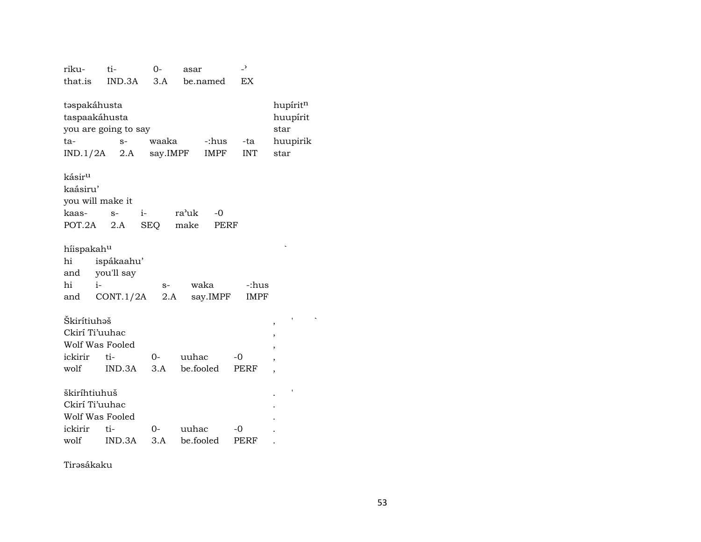| IND.3A<br>3.A<br>EX<br>that.is<br>be.named<br>hupíritn<br>təspakáhusta<br>taspaakáhusta<br>huupírit<br>you are going to say<br>star<br>waaka<br>-:hus<br>huupirik<br>ta-<br>-ta<br>$S-$<br>say.IMPF<br>IMPF<br><b>INT</b><br>star<br>IND.1/2A<br>2.A<br>kásir <sup>u</sup><br>kaásiru'<br>you will make it<br>kaas-<br>$i-$<br>ra'uk<br>$-0$<br>$S-$<br>make<br>POT.2A<br><b>SEQ</b><br><b>PERF</b><br>2.A<br>hiispakahu<br>hi<br>ispákaahu'<br>you'll say<br>and<br>hi<br>$i-$<br>waka<br>-:hus<br>$S-$<br>say.IMPF<br>CONT.1/2A<br>2.A<br><b>IMPF</b><br>and<br>Škirítiuhəš<br>,<br>Ckirí Ti'uuhac<br>,<br>Wolf Was Fooled<br>,<br>ickirir<br>ti-<br>uuhac<br>$O-$<br>$-0$<br>,<br>be.fooled<br>wolf<br>IND.3A<br>3.A<br>PERF<br>,<br>škiríhtiuhuš<br>Ckirí Ti'uuhac | riku- | ti- | 0- | asar | -, |  |
|------------------------------------------------------------------------------------------------------------------------------------------------------------------------------------------------------------------------------------------------------------------------------------------------------------------------------------------------------------------------------------------------------------------------------------------------------------------------------------------------------------------------------------------------------------------------------------------------------------------------------------------------------------------------------------------------------------------------------------------------------------------------|-------|-----|----|------|----|--|
|                                                                                                                                                                                                                                                                                                                                                                                                                                                                                                                                                                                                                                                                                                                                                                        |       |     |    |      |    |  |
|                                                                                                                                                                                                                                                                                                                                                                                                                                                                                                                                                                                                                                                                                                                                                                        |       |     |    |      |    |  |
|                                                                                                                                                                                                                                                                                                                                                                                                                                                                                                                                                                                                                                                                                                                                                                        |       |     |    |      |    |  |
|                                                                                                                                                                                                                                                                                                                                                                                                                                                                                                                                                                                                                                                                                                                                                                        |       |     |    |      |    |  |
|                                                                                                                                                                                                                                                                                                                                                                                                                                                                                                                                                                                                                                                                                                                                                                        |       |     |    |      |    |  |
|                                                                                                                                                                                                                                                                                                                                                                                                                                                                                                                                                                                                                                                                                                                                                                        |       |     |    |      |    |  |
|                                                                                                                                                                                                                                                                                                                                                                                                                                                                                                                                                                                                                                                                                                                                                                        |       |     |    |      |    |  |
|                                                                                                                                                                                                                                                                                                                                                                                                                                                                                                                                                                                                                                                                                                                                                                        |       |     |    |      |    |  |
|                                                                                                                                                                                                                                                                                                                                                                                                                                                                                                                                                                                                                                                                                                                                                                        |       |     |    |      |    |  |
|                                                                                                                                                                                                                                                                                                                                                                                                                                                                                                                                                                                                                                                                                                                                                                        |       |     |    |      |    |  |
|                                                                                                                                                                                                                                                                                                                                                                                                                                                                                                                                                                                                                                                                                                                                                                        |       |     |    |      |    |  |
|                                                                                                                                                                                                                                                                                                                                                                                                                                                                                                                                                                                                                                                                                                                                                                        |       |     |    |      |    |  |
|                                                                                                                                                                                                                                                                                                                                                                                                                                                                                                                                                                                                                                                                                                                                                                        |       |     |    |      |    |  |
|                                                                                                                                                                                                                                                                                                                                                                                                                                                                                                                                                                                                                                                                                                                                                                        |       |     |    |      |    |  |
|                                                                                                                                                                                                                                                                                                                                                                                                                                                                                                                                                                                                                                                                                                                                                                        |       |     |    |      |    |  |
|                                                                                                                                                                                                                                                                                                                                                                                                                                                                                                                                                                                                                                                                                                                                                                        |       |     |    |      |    |  |
|                                                                                                                                                                                                                                                                                                                                                                                                                                                                                                                                                                                                                                                                                                                                                                        |       |     |    |      |    |  |
|                                                                                                                                                                                                                                                                                                                                                                                                                                                                                                                                                                                                                                                                                                                                                                        |       |     |    |      |    |  |
|                                                                                                                                                                                                                                                                                                                                                                                                                                                                                                                                                                                                                                                                                                                                                                        |       |     |    |      |    |  |
|                                                                                                                                                                                                                                                                                                                                                                                                                                                                                                                                                                                                                                                                                                                                                                        |       |     |    |      |    |  |
|                                                                                                                                                                                                                                                                                                                                                                                                                                                                                                                                                                                                                                                                                                                                                                        |       |     |    |      |    |  |
|                                                                                                                                                                                                                                                                                                                                                                                                                                                                                                                                                                                                                                                                                                                                                                        |       |     |    |      |    |  |
|                                                                                                                                                                                                                                                                                                                                                                                                                                                                                                                                                                                                                                                                                                                                                                        |       |     |    |      |    |  |
|                                                                                                                                                                                                                                                                                                                                                                                                                                                                                                                                                                                                                                                                                                                                                                        |       |     |    |      |    |  |
| Wolf Was Fooled                                                                                                                                                                                                                                                                                                                                                                                                                                                                                                                                                                                                                                                                                                                                                        |       |     |    |      |    |  |
| ickirir<br>ti-<br>uuhac<br>$0-$<br>$-0$                                                                                                                                                                                                                                                                                                                                                                                                                                                                                                                                                                                                                                                                                                                                |       |     |    |      |    |  |
| be.fooled<br>wolf<br>3.A<br>IND.3A<br>PERF                                                                                                                                                                                                                                                                                                                                                                                                                                                                                                                                                                                                                                                                                                                             |       |     |    |      |    |  |

Tirəsákaku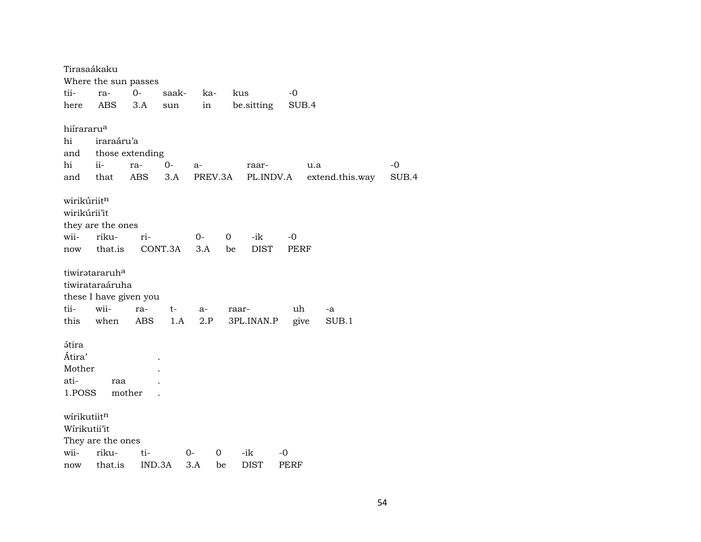Tirasaákaku Where the sun passes tii- ra- 0- saak- ka- kus -0 here ABS 3.A sun in be.sitting SUB.4 hiírararu° hi iraraáru'a and those extending hi ii- ra- 0- a- raar- u.a -0 and that ABS 3.A PREV.3A PL.INDV.A extend.this.way SUB.4 wirikúriit<sup>n</sup> wirikúrii'it they are the ones wii- riku- ri- 0- 0 -ik -0 now that.is CONT.3A 3.A be DIST PERF tiwirətararuh<sup>a</sup> tiwirataraáruha these I have given you tii- wii- ra- t- a- raar- uh -a this when ABS 1.A 2.P 3PL.INAN.P give SUB.1 ¿tira Átira' . Mother . ati- raa . 1.POSS mother . wírikutiit<sup>n</sup> Wírikutii'it They are the ones wii- riku- ti- 0- 0 -ik -0 now that.is IND.3A 3.A be DIST PERF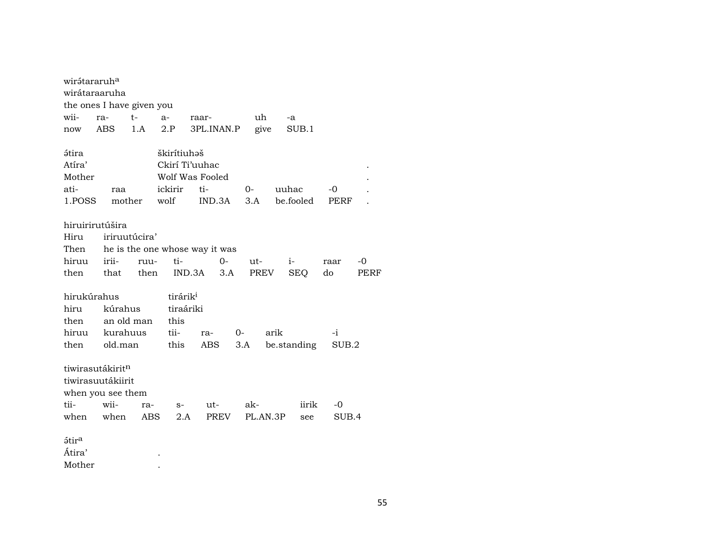| wirátararuh <sup>a</sup> | wirátaraaruha                |               |                      |                                |      |          |             |       |      |
|--------------------------|------------------------------|---------------|----------------------|--------------------------------|------|----------|-------------|-------|------|
|                          | the ones I have given you    |               |                      |                                |      |          |             |       |      |
| wii-                     | ra-                          | t-            | a-                   | raar-                          |      | uh       | -a          |       |      |
| now                      | ABS                          | 1.A           | 2.P                  | 3PL.INAN.P                     |      | give     | SUB.1       |       |      |
| átira                    |                              |               | škirítiuhəš          |                                |      |          |             |       |      |
| Atíra'                   |                              |               | Ckirí Ti'uuhac       |                                |      |          |             |       |      |
| Mother                   |                              |               |                      | Wolf Was Fooled                |      |          |             |       |      |
| ati-                     | raa                          |               | ickirir              | ti-                            | $O-$ |          | uuhac       | $-0$  |      |
| 1.POSS                   |                              | mother        | wolf                 | IND.3A                         | 3.A  |          | be.fooled   | PERF  |      |
|                          | hiruirirutúšira              |               |                      |                                |      |          |             |       |      |
| Hiru                     |                              | iriruutúcira' |                      |                                |      |          |             |       |      |
| Then                     |                              |               |                      | he is the one whose way it was |      |          |             |       |      |
| hiruu                    | irii-                        | ruu-          | ti-                  | $0-$                           | ut-  |          | $i-$        | raar  | -0   |
| then                     | that                         | then          |                      | IND.3A<br>3.A                  |      | PREV     | SEQ         | do    | PERF |
| hirukúrahus              |                              |               | tirárik <sup>i</sup> |                                |      |          |             |       |      |
| hiru                     | kúrahus                      |               | tiraáriki            |                                |      |          |             |       |      |
| then                     |                              | an old man    | this                 |                                |      |          |             |       |      |
| hiruu                    | kurahuus                     |               | tii-                 | ra-                            | $0-$ | arik     |             | $-i$  |      |
| then                     | old.man                      |               | this                 | ABS                            | 3.A  |          | be.standing | SUB.2 |      |
|                          | tiwirasutákirit <sup>n</sup> |               |                      |                                |      |          |             |       |      |
|                          | tiwirasuutákiirit            |               |                      |                                |      |          |             |       |      |
|                          | when you see them            |               |                      |                                |      |          |             |       |      |
| tii-                     | wii-                         | ra-           | $S-$                 | ut-                            | ak-  |          | iirik       | -0    |      |
| when                     | when                         | <b>ABS</b>    | 2.A                  | PREV                           |      | PL.AN.3P | see         | SUB.4 |      |
| <i>stira</i>             |                              |               |                      |                                |      |          |             |       |      |
| Átira'                   |                              |               |                      |                                |      |          |             |       |      |
| Mother                   |                              |               |                      |                                |      |          |             |       |      |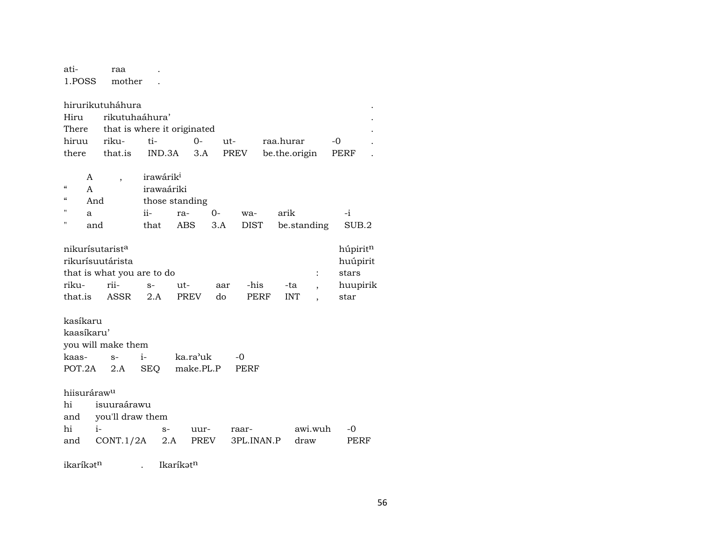atiraa  $\sim 10$   $\mu$ 1.POSS mother .

| hirurikutuháhura    |  |  |                                   |                         |           |                                                            |  |  |  |  |  |  |
|---------------------|--|--|-----------------------------------|-------------------------|-----------|------------------------------------------------------------|--|--|--|--|--|--|
| Hiru rikutuhaáhura' |  |  |                                   |                         |           |                                                            |  |  |  |  |  |  |
|                     |  |  |                                   |                         |           |                                                            |  |  |  |  |  |  |
|                     |  |  |                                   |                         |           |                                                            |  |  |  |  |  |  |
|                     |  |  |                                   |                         |           |                                                            |  |  |  |  |  |  |
|                     |  |  | There that is where it originated | hiruu riku- ti-  0- ut- | raa.hurar | $-0$<br>there that.is IND.3A 3.A PREV be.the.origin PERF . |  |  |  |  |  |  |

|              | A   | irawárik <sup>i</sup> |                |    |     |                          |       |  |  |  |  |
|--------------|-----|-----------------------|----------------|----|-----|--------------------------|-------|--|--|--|--|
| $\epsilon$   |     | irawaáriki            |                |    |     |                          |       |  |  |  |  |
| "            | And |                       | those standing |    |     |                          |       |  |  |  |  |
| $\mathbf{H}$ | a   | $i -$                 | ra-            | 0- | wa- | arik                     |       |  |  |  |  |
| $\mathbf{H}$ | and | that                  |                |    |     | ABS 3.A DIST be standing | SUB.2 |  |  |  |  |

|                                     | nikurísutarist <sup>a</sup> |      |             |     |      |            |  |          |  |  |  |  |  |
|-------------------------------------|-----------------------------|------|-------------|-----|------|------------|--|----------|--|--|--|--|--|
| huúpirit<br>rikurísuutárista        |                             |      |             |     |      |            |  |          |  |  |  |  |  |
| that is what you are to do<br>stars |                             |      |             |     |      |            |  |          |  |  |  |  |  |
| riku-                               | rii-                        | $S-$ | $u$ t-      | aar | -his | -ta        |  | huupirik |  |  |  |  |  |
| that.is                             | ASSR                        | 2.A  | <b>PREV</b> | do. | PERF | <b>INT</b> |  | star     |  |  |  |  |  |

kasíkaru kaasíkaru' you will make them kaas $s$  $i$ ka.ra<sup>,</sup>uk  $-0$ POT.2A 2.A SEQ make.PL.P PERF

hiisuráraw<sup>u</sup> isuuraárawu hi and you'll draw them hi  $i$ awi.wuh  $-0$  $\mathbf{s}$  uurraarand CONT.1/2A 2.A PREV 3PL.INAN.P draw PERF

ikaríkət<sup>n</sup> . Ikaríkət<sup>n</sup>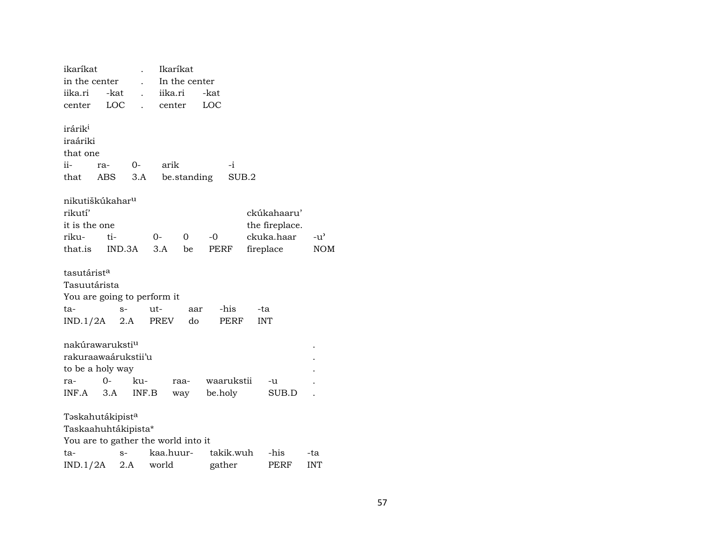| ikaríkat                            |     |        |       | Ikaríkat      |          |           |            |            |                |               |
|-------------------------------------|-----|--------|-------|---------------|----------|-----------|------------|------------|----------------|---------------|
| in the center                       |     |        |       | In the center |          |           |            |            |                |               |
| iika.ri                             |     | -kat   |       | iika.ri       |          | -kat      |            |            |                |               |
| center                              |     | LOC    |       | center        |          | LOC       |            |            |                |               |
| irárik <sup>i</sup>                 |     |        |       |               |          |           |            |            |                |               |
| iraáriki                            |     |        |       |               |          |           |            |            |                |               |
| that one                            |     |        |       |               |          |           |            |            |                |               |
| ii-                                 | ra- |        | 0-    | arik          |          |           | $-i$       |            |                |               |
| that                                | ABS |        | 3.A   | be.standing   |          |           | SUB.2      |            |                |               |
| nikutiškúkahar <sup>u</sup>         |     |        |       |               |          |           |            |            |                |               |
| rikutí'                             |     |        |       |               |          |           |            |            | ckúkahaaru'    |               |
| it is the one                       |     |        |       |               |          |           |            |            | the fireplace. |               |
| riku-                               | ti- |        | $O-$  |               | $\Omega$ | $-0$      |            |            | ckuka.haar     | $-u^{\prime}$ |
| that.is                             |     | IND.3A | 3.A   |               | be       | PERF      |            |            | fireplace      | <b>NOM</b>    |
|                                     |     |        |       |               |          |           |            |            |                |               |
| tasutárist <sup>a</sup>             |     |        |       |               |          |           |            |            |                |               |
| Tasuutárista                        |     |        |       |               |          |           |            |            |                |               |
| You are going to perform it         |     |        |       |               |          |           |            |            |                |               |
| ta-                                 |     | $S-$   | ut-   |               | aar      |           | -his       | -ta        |                |               |
| $IND.1/2A$ 2.A                      |     |        |       | PREV          | do       |           | PERF       | <b>INT</b> |                |               |
| nakúrawaruksti <sup>u</sup>         |     |        |       |               |          |           |            |            |                |               |
| rakuraawaárukstii'u                 |     |        |       |               |          |           |            |            |                |               |
| to be a holy way                    |     |        |       |               |          |           |            |            |                |               |
| ra-                                 | 0-  |        | ku-   | raa-          |          |           | waarukstii |            | -u             |               |
| INF.A                               | 3.A |        | INF.B | way           |          | be.holy   |            |            | SUB.D          |               |
| Təskahutákipist <sup>a</sup>        |     |        |       |               |          |           |            |            |                |               |
| Taskaahuhtákipista*                 |     |        |       |               |          |           |            |            |                |               |
| You are to gather the world into it |     |        |       |               |          |           |            |            |                |               |
| ta-                                 |     | $S-$   |       | kaa.huur-     |          | takik.wuh |            |            | -his           | -ta           |
| IND.1/2A                            |     | 2.A    | world |               |          | gather    |            |            | PERF           | <b>INT</b>    |
|                                     |     |        |       |               |          |           |            |            |                |               |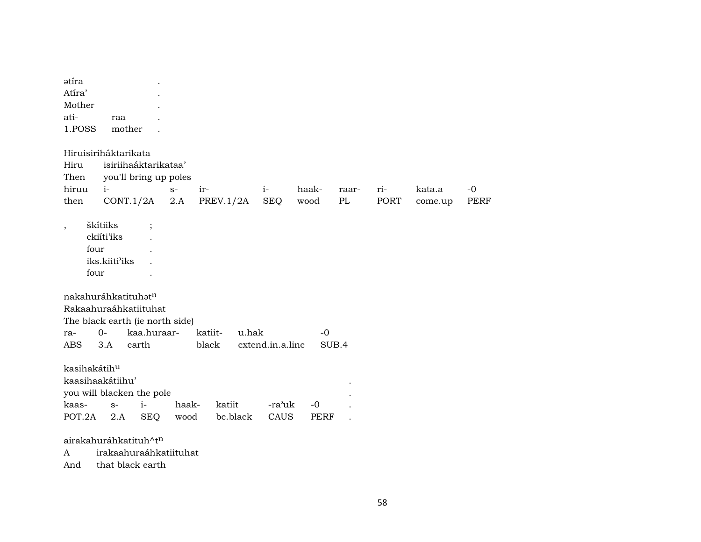| ətíra                    |                                 |                       |             |                  |                  |             |       |             |         |             |
|--------------------------|---------------------------------|-----------------------|-------------|------------------|------------------|-------------|-------|-------------|---------|-------------|
| Atíra'                   |                                 |                       |             |                  |                  |             |       |             |         |             |
| Mother                   |                                 |                       |             |                  |                  |             |       |             |         |             |
| ati-                     | raa                             |                       |             |                  |                  |             |       |             |         |             |
| 1.POSS                   | mother                          |                       |             |                  |                  |             |       |             |         |             |
|                          | Hiruisiriháktarikata            |                       |             |                  |                  |             |       |             |         |             |
| Hiru                     |                                 | isiriihaáktarikataa'  |             |                  |                  |             |       |             |         |             |
| Then                     |                                 | you'll bring up poles |             |                  |                  |             |       |             |         |             |
| hiruu                    | $i-$                            |                       | $S-$<br>ir- |                  | $i-$             | haak-       | raar- | ri-         | kata.a  | $-0$        |
| then                     | CONT.1/2A                       |                       | $2.A$       | PREV.1/2A        | <b>SEQ</b>       | wood        | PL    | <b>PORT</b> | come.up | <b>PERF</b> |
| $\overline{\phantom{a}}$ | škítiiks                        | $\ddot{\cdot}$        |             |                  |                  |             |       |             |         |             |
|                          | ckiíti'iks                      |                       |             |                  |                  |             |       |             |         |             |
| four                     |                                 |                       |             |                  |                  |             |       |             |         |             |
|                          | iks.kiiti'iks                   |                       |             |                  |                  |             |       |             |         |             |
| four                     |                                 |                       |             |                  |                  |             |       |             |         |             |
|                          | nakahuráhkatituhat <sup>n</sup> |                       |             |                  |                  |             |       |             |         |             |
|                          | Rakaahuraáhkatiituhat           |                       |             |                  |                  |             |       |             |         |             |
|                          | The black earth (ie north side) |                       |             |                  |                  |             |       |             |         |             |
| ra-                      | $O -$                           | kaa.huraar-           |             | katiit-<br>u.hak |                  | $-0$        |       |             |         |             |
| <b>ABS</b>               | 3.A                             | earth                 |             | black            | extend.in.a.line |             | SUB.4 |             |         |             |
| kasihakátihu             |                                 |                       |             |                  |                  |             |       |             |         |             |
|                          | kaasihaakátiihu'                |                       |             |                  |                  |             |       |             |         |             |
|                          | you will blacken the pole       |                       |             |                  |                  |             |       |             |         |             |
| kaas-                    | $S-$                            | $i-$                  | haak-       | katiit           | -ra'uk           | $-0$        |       |             |         |             |
| POT.2A                   | 2.A                             | <b>SEQ</b>            | wood        | be.black         | CAUS             | <b>PERF</b> |       |             |         |             |
|                          | airakahuráhkatituh^tn           |                       |             |                  |                  |             |       |             |         |             |
| A                        | irakaahuraáhkatiituhat          |                       |             |                  |                  |             |       |             |         |             |
| And                      | that black earth                |                       |             |                  |                  |             |       |             |         |             |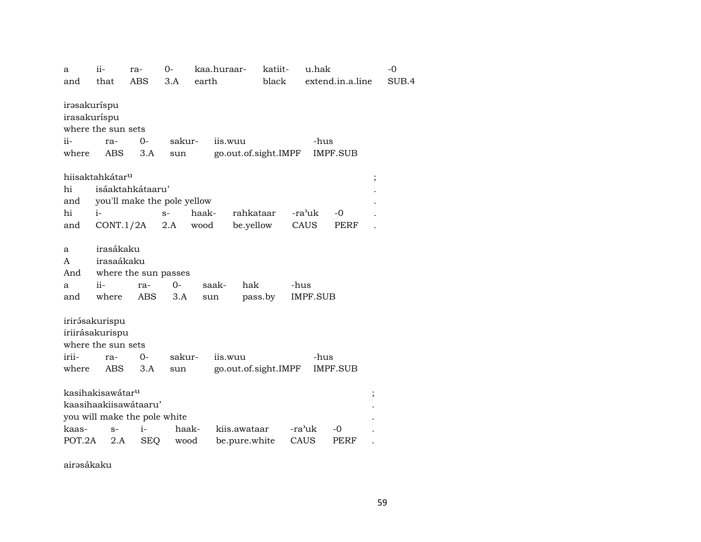| a            | ii-                          | ra-              | $O -$                       | kaa.huraar- | katiit-              | u.hak           |                  | $-0$  |
|--------------|------------------------------|------------------|-----------------------------|-------------|----------------------|-----------------|------------------|-------|
| and          | that                         | <b>ABS</b>       | 3.A                         | earth       | black                |                 | extend.in.a.line | SUB.4 |
| irəsakuríspu |                              |                  |                             |             |                      |                 |                  |       |
| irasakuríspu |                              |                  |                             |             |                      |                 |                  |       |
|              | where the sun sets           |                  |                             |             |                      |                 |                  |       |
|              |                              |                  |                             |             |                      |                 |                  |       |
| $ii-$        | ra-                          | $0-$             | sakur-                      |             | iis.wuu              | -hus            |                  |       |
| where        | ABS                          | 3.A              | sun                         |             | go.out.of.sight.IMPF |                 | <b>IMPF.SUB</b>  |       |
|              | hiisaktahkátar <sup>u</sup>  |                  |                             |             |                      |                 | $\vdots$         |       |
| hi           |                              | isáaktahkátaaru' |                             |             |                      |                 |                  |       |
| and          |                              |                  | you'll make the pole yellow |             |                      |                 |                  |       |
| hi           | $i-$                         |                  | $S-$                        | haak-       | rahkataar            | -ra'uk          | $-0$             |       |
|              |                              |                  | 2.A                         | wood        | be.yellow            | CAUS            | PERF             |       |
| and          | CONT.1/2A                    |                  |                             |             |                      |                 |                  |       |
| a            | irasákaku                    |                  |                             |             |                      |                 |                  |       |
| A            | irasaákaku                   |                  |                             |             |                      |                 |                  |       |
| And          |                              |                  | where the sun passes        |             |                      |                 |                  |       |
| a            | $ii-$                        | ra-              | $0-$                        | saak-       | hak                  | -hus            |                  |       |
| and          | where                        | <b>ABS</b>       | 3.A                         | sun         | pass.by              | <b>IMPF.SUB</b> |                  |       |
|              |                              |                  |                             |             |                      |                 |                  |       |
|              | irirásakurispu               |                  |                             |             |                      |                 |                  |       |
|              | iriirásakurispu              |                  |                             |             |                      |                 |                  |       |
|              | where the sun sets           |                  |                             |             |                      |                 |                  |       |
| irii-        |                              | $0-$             | sakur-                      |             | iis.wuu              | -hus            |                  |       |
|              | ra-                          |                  |                             |             |                      |                 |                  |       |
| where        | ABS                          | 3.A              | sun                         |             | go.out.of.sight.IMPF |                 | <b>IMPF.SUB</b>  |       |
|              | kasihakisawátar <sup>u</sup> |                  |                             |             |                      |                 | ,                |       |
|              | kaasihaakiisawátaaru'        |                  |                             |             |                      |                 |                  |       |
|              | you will make the pole white |                  |                             |             |                      |                 |                  |       |
| kaas-        | $S-$                         | $\mathbf{i}$     | haak-                       |             | kiis.awataar         | -ra'uk          | -0               |       |
| POT.2A       |                              |                  |                             |             |                      |                 |                  |       |
|              | 2.A                          | <b>SEQ</b>       | wood                        |             | be.pure.white        | CAUS            | PERF             |       |

airəsákaku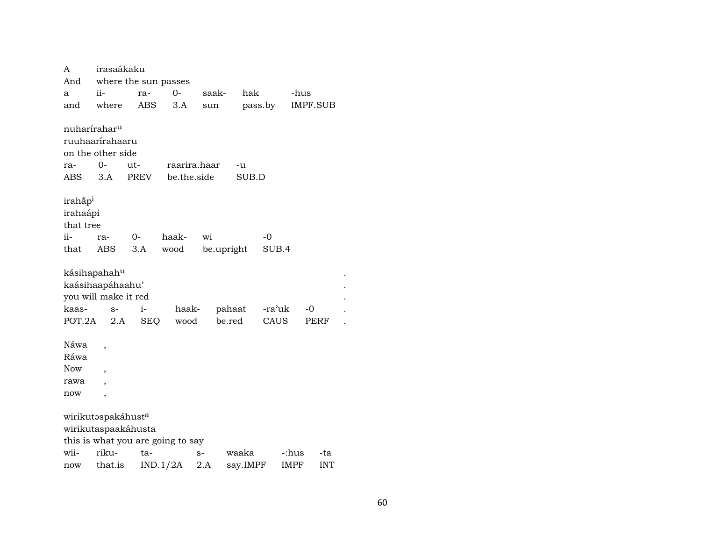| A                              | irasaákaku               |                      |                                   |            |          |        |                 |
|--------------------------------|--------------------------|----------------------|-----------------------------------|------------|----------|--------|-----------------|
| And                            |                          | where the sun passes |                                   |            |          |        |                 |
| a                              | ii-                      | ra-                  | $0-$                              | saak-      | hak      |        | -hus            |
| and                            | where                    | <b>ABS</b>           | 3.A                               | sun        | pass.by  |        | <b>IMPF.SUB</b> |
|                                |                          |                      |                                   |            |          |        |                 |
| nuharírahar <sup>u</sup>       |                          |                      |                                   |            |          |        |                 |
| ruuhaarírahaaru                |                          |                      |                                   |            |          |        |                 |
| on the other side              |                          |                      |                                   |            |          |        |                 |
| ra-                            | 0-                       | ut-                  | raarira.haar                      |            | -u       |        |                 |
| ABS                            | 3.A                      | PREV                 | be.the.side                       |            | SUB.D    |        |                 |
|                                |                          |                      |                                   |            |          |        |                 |
| irahap <sup>i</sup>            |                          |                      |                                   |            |          |        |                 |
| irahaápi                       |                          |                      |                                   |            |          |        |                 |
| that tree                      |                          |                      |                                   |            |          |        |                 |
| ii-                            | ra-                      | $0-$                 | haak-                             | wi         | -0       |        |                 |
| that                           | ABS                      | 3.A                  | wood                              | be.upright |          | SUB.4  |                 |
| kásihapahah <sup>u</sup>       |                          |                      |                                   |            |          |        |                 |
|                                |                          |                      |                                   |            |          |        |                 |
| kaásihaapáhaahu'               |                          |                      |                                   |            |          |        |                 |
| you will make it red           |                          |                      |                                   |            |          |        |                 |
| kaas-                          | $S-$                     | $i-$                 | haak-                             | pahaat     |          | -ra'uk | $-0$            |
| POT.2A                         | 2.A                      | <b>SEQ</b>           | wood                              | be.red     |          | CAUS   | PERF            |
| Náwa                           |                          |                      |                                   |            |          |        |                 |
| Ráwa                           |                          |                      |                                   |            |          |        |                 |
| <b>Now</b>                     |                          |                      |                                   |            |          |        |                 |
| rawa                           | $\overline{\phantom{a}}$ |                      |                                   |            |          |        |                 |
|                                |                          |                      |                                   |            |          |        |                 |
| now                            | ,                        |                      |                                   |            |          |        |                 |
| wirikutaspakáhust <sup>a</sup> |                          |                      |                                   |            |          |        |                 |
|                                |                          | wirikutaspaakáhusta  |                                   |            |          |        |                 |
|                                |                          |                      | this is what you are going to say |            |          |        |                 |
| wii-                           | riku-                    | ta-                  |                                   | $S-$       | waaka    | -:hus  | -ta             |
| now                            | that.is                  |                      | IND.1/2A                          | 2.A        | say.IMPF | IMPF   | <b>INT</b>      |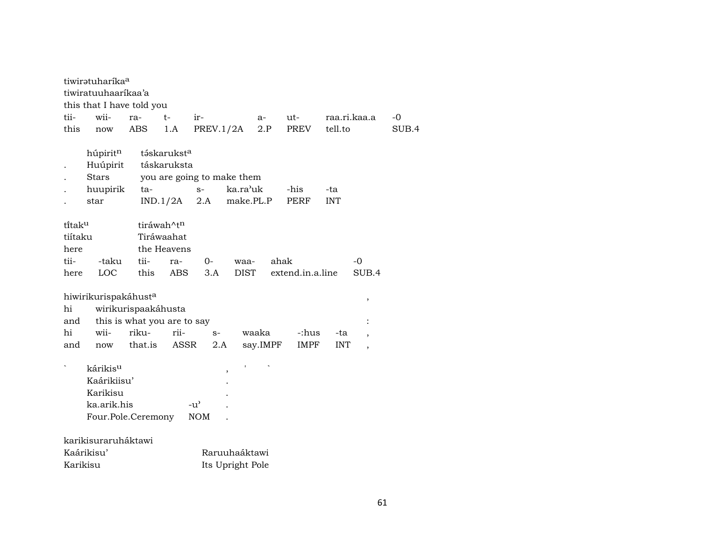| tiwirətuharika <sup>a</sup> |                             |                            |          |                  |                          |       |
|-----------------------------|-----------------------------|----------------------------|----------|------------------|--------------------------|-------|
| tiwiratuuhaaríkaa'a         |                             |                            |          |                  |                          |       |
| this that I have told you   |                             |                            |          |                  |                          |       |
| wii-<br>tii-                | $t-$<br>ra-                 | ir-                        | a-       | ut-              | raa.ri.kaa.a             | $-0$  |
| this<br>now                 | ABS<br>1.A                  | PREV.1/2A                  | 2.P      | PREV             | tell.to                  | SUB.4 |
|                             |                             |                            |          |                  |                          |       |
| húpiritn                    | táskarukst <sup>a</sup>     |                            |          |                  |                          |       |
| Huúpirit                    | táskaruksta                 |                            |          |                  |                          |       |
| <b>Stars</b>                |                             | you are going to make them |          |                  |                          |       |
| huupirik                    | ta-                         | ka.ra'uk<br>$S-$           |          | -his             | -ta                      |       |
| star                        | IND.1/2A                    | 2.A<br>make.PL.P           |          | <b>PERF</b>      | <b>INT</b>               |       |
|                             |                             |                            |          |                  |                          |       |
| ti̇̃tak <sup>u</sup>        | tiráwah^t <sup>n</sup>      |                            |          |                  |                          |       |
| tiítaku                     | Tiráwaahat                  |                            |          |                  |                          |       |
| here                        | the Heavens                 |                            |          |                  |                          |       |
| tii-<br>-taku               | tii-<br>ra-                 | $0-$<br>waa-               |          | ahak             | $-0$                     |       |
| LOC<br>here                 | this<br><b>ABS</b>          | 3.A<br><b>DIST</b>         |          | extend.in.a.line | SUB.4                    |       |
| hiwirikurispakáhusta        |                             |                            |          |                  |                          |       |
| hi                          | wirikurispaakáhusta         |                            |          |                  | ,                        |       |
| and                         | this is what you are to say |                            |          |                  |                          |       |
| hi<br>wii-                  | riku-<br>rii-               | $S-$                       | waaka    | -:hus            | -ta                      |       |
| and<br>now                  | ASSR<br>that.is             | 2.A                        | say.IMPF | IMPF             | <b>INT</b>               |       |
|                             |                             |                            |          |                  | $\overline{\phantom{a}}$ |       |
| kárikis <sup>u</sup>        |                             |                            |          |                  |                          |       |
| Kaárikiisu'                 |                             | ,                          |          |                  |                          |       |
| Karikisu                    |                             |                            |          |                  |                          |       |
| ka.arik.his                 |                             | $-u^{\prime}$              |          |                  |                          |       |
|                             | Four.Pole.Ceremony          | <b>NOM</b>                 |          |                  |                          |       |
|                             |                             |                            |          |                  |                          |       |
| karikisuraruháktawi         |                             |                            |          |                  |                          |       |
| Kaárikisu'                  |                             | Raruuhaáktawi              |          |                  |                          |       |
|                             |                             |                            |          |                  |                          |       |

| Karikisu | Its Upright Pole |
|----------|------------------|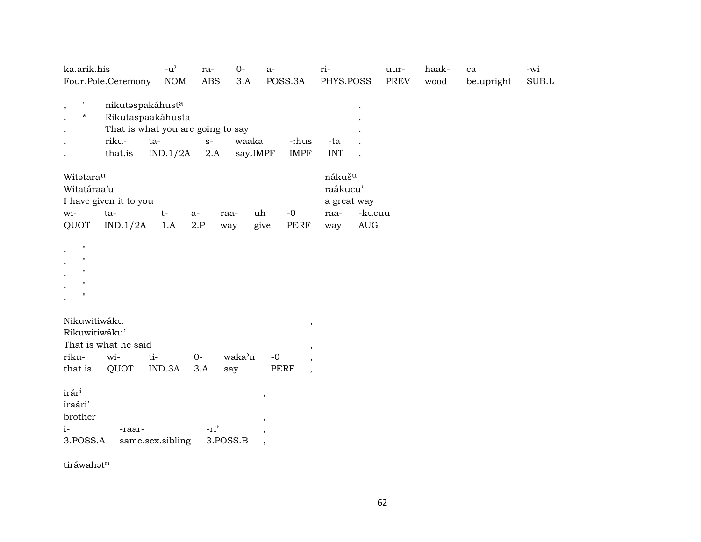| ka.arik.his                                                                                                        | $-u^{\prime}$ | ra-                      | $0-$              | $a-$                                                                                  | ri-                                                                                                   | uur-        | haak- | ca         | -wi         |
|--------------------------------------------------------------------------------------------------------------------|---------------|--------------------------|-------------------|---------------------------------------------------------------------------------------|-------------------------------------------------------------------------------------------------------|-------------|-------|------------|-------------|
| Four.Pole.Ceremony                                                                                                 | <b>NOM</b>    | <b>ABS</b>               | 3.A               | POSS.3A                                                                               | PHYS.POSS                                                                                             | <b>PREV</b> | wood  | be.upright | $\rm SUB.L$ |
| $\,$<br>nikutaspakáhusta<br>*<br>Rikutaspaakáhusta<br>That is what you are going to say<br>riku-<br>ta-<br>that.is | IND.1/2A      | $S-$<br>2.A              | waaka<br>say.IMPF | -:hus<br><b>IMPF</b>                                                                  | -ta<br><b>INT</b>                                                                                     |             |       |            |             |
| Witatarau<br>Witatáraa'u<br>I have given it to you<br>wi-<br>ta-<br>QUOT<br>IND.1/2A                               | $t-$<br>1.A   | a-<br>raa-<br>2.P<br>way | uh                | $-0$<br>give<br>PERF                                                                  | nákuš <sup>u</sup><br>raákucu'<br>a great way<br>-kucuu<br>raa-<br>$\mathop{\rm AUG}\nolimits$<br>way |             |       |            |             |
| н<br>н<br>$\mathbf H$<br>н.<br>н                                                                                   |               |                          |                   |                                                                                       |                                                                                                       |             |       |            |             |
| Nikuwitiwáku<br>Rikuwitiwáku'<br>That is what he said<br>wi-<br>riku-<br>ti-<br>that.is<br>QUOT                    | IND.3A        | $O -$<br>3.A             | waka'u<br>say     | $\, ,$<br>$\overline{\phantom{a}}$<br>$-0$<br>$\overline{ }$<br>PERF<br>$^\mathrm{,}$ |                                                                                                       |             |       |            |             |
| irár <sup>i</sup><br>iraári'<br>brother<br>$i-$<br>-raar-<br>3.POSS.A<br>same.sex.sibling                          |               | -ri'<br>3.POSS.B         |                   | $\, ,$<br>$\overline{\phantom{a}}$<br>$\, ,$<br>$\overline{\phantom{a}}$              |                                                                                                       |             |       |            |             |

tiráwahət $^{\rm n}$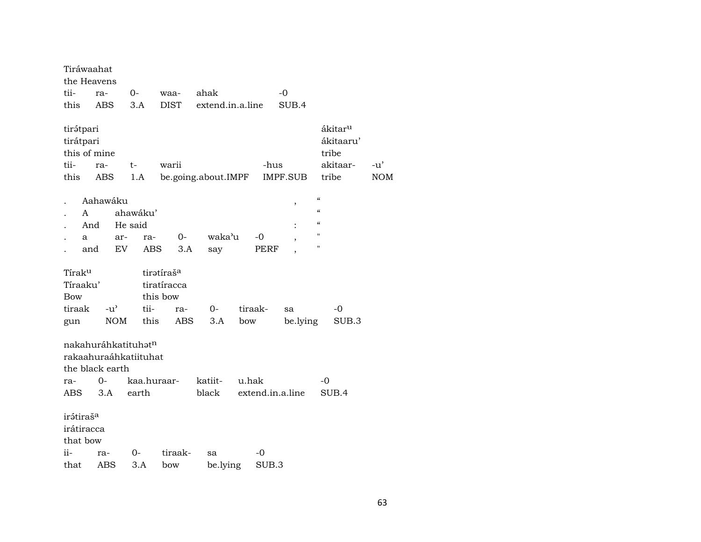| Tiráwaahat                                      |                                                                             |            |                        |             |                     |         |                  |          |                                        |                                              |                     |
|-------------------------------------------------|-----------------------------------------------------------------------------|------------|------------------------|-------------|---------------------|---------|------------------|----------|----------------------------------------|----------------------------------------------|---------------------|
|                                                 | the Heavens                                                                 |            |                        |             |                     |         |                  |          |                                        |                                              |                     |
| tii-                                            | ra-                                                                         | 0-         |                        | waa-        | ahak                |         |                  | -0       |                                        |                                              |                     |
| this                                            | ABS                                                                         | 3.A        |                        | <b>DIST</b> | extend.in.a.line    |         |                  | SUB.4    |                                        |                                              |                     |
| tirátpari<br>tirátpari<br>tii-<br>this          | this of mine<br>ra-<br>ABS                                                  | t-<br>1.A  |                        | warii       | be.going.about.IMPF |         | -hus             | IMPF.SUB | tribe<br>tribe                         | ákitar <sup>u</sup><br>ákitaaru'<br>akitaar- | $-u'$<br><b>NOM</b> |
|                                                 | Aahawáku                                                                    |            |                        |             |                     |         |                  |          | $\boldsymbol{\zeta}\boldsymbol{\zeta}$ |                                              |                     |
| A                                               |                                                                             | ahawáku'   |                        |             |                     |         |                  | $\,$     | $\epsilon$                             |                                              |                     |
|                                                 | And                                                                         | He said    |                        |             |                     |         |                  |          | $\mathcal{C}$                          |                                              |                     |
| a                                               |                                                                             | ar-        | ra-                    | $0-$        | waka'u              |         | -0               |          | 11                                     |                                              |                     |
|                                                 | and                                                                         | EV         | ABS                    | 3.A         | say                 |         | PERF             |          | 11                                     |                                              |                     |
|                                                 |                                                                             |            |                        |             |                     |         |                  |          |                                        |                                              |                     |
| Tírak <sup>u</sup>                              |                                                                             |            | tiratíraš <sup>a</sup> |             |                     |         |                  |          |                                        |                                              |                     |
| Tíraaku'                                        |                                                                             |            | tiratíracca            |             |                     |         |                  |          |                                        |                                              |                     |
| Bow                                             |                                                                             |            | this bow               |             |                     |         |                  |          |                                        |                                              |                     |
| tiraak                                          | $-u^{\prime}$                                                               |            | tii-                   | ra-         | $0-$                | tiraak- |                  | sa       |                                        | -0                                           |                     |
| gun                                             |                                                                             | <b>NOM</b> | this                   | <b>ABS</b>  | 3.A                 | bow     |                  | be.lying |                                        | SUB.3                                        |                     |
|                                                 | nakahuráhkatituhət <sup>n</sup><br>rakaahuraáhkatiituhat<br>the black earth |            |                        |             |                     |         |                  |          |                                        |                                              |                     |
| ra-                                             | 0-                                                                          |            | kaa.huraar-            |             | katiit-             | u.hak   |                  |          | -0                                     |                                              |                     |
| ABS                                             | 3.A                                                                         | earth      |                        |             | black               |         | extend.in.a.line |          |                                        | SUB.4                                        |                     |
| irátiraš <sup>a</sup><br>irátiracca<br>that bow |                                                                             |            |                        |             |                     |         |                  |          |                                        |                                              |                     |
| ii-                                             | ra-                                                                         | 0-         |                        | tiraak-     | sa                  |         | -0               |          |                                        |                                              |                     |
| that                                            | ABS                                                                         | 3.A        |                        | bow         | be.lying            |         | SUB.3            |          |                                        |                                              |                     |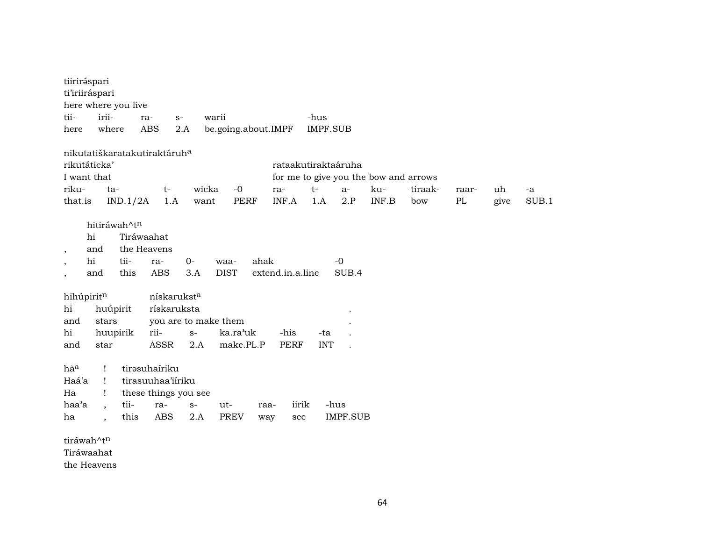| tiiriráspari             |                      |              |                                          |                         |                      |                     |                  |                     |                 |                                       |         |          |      |       |
|--------------------------|----------------------|--------------|------------------------------------------|-------------------------|----------------------|---------------------|------------------|---------------------|-----------------|---------------------------------------|---------|----------|------|-------|
| ti'iriiráspari           |                      |              |                                          |                         |                      |                     |                  |                     |                 |                                       |         |          |      |       |
| here where you live      |                      |              |                                          |                         |                      |                     |                  |                     |                 |                                       |         |          |      |       |
| tii-                     | irii-                |              | ra-                                      | $S-$                    | warii                |                     |                  | -hus                |                 |                                       |         |          |      |       |
| here                     | where                |              | <b>ABS</b>                               | 2.A                     |                      | be.going.about.IMPF |                  | <b>IMPF.SUB</b>     |                 |                                       |         |          |      |       |
|                          |                      |              |                                          |                         |                      |                     |                  |                     |                 |                                       |         |          |      |       |
|                          |                      |              | nikutatiškaratakutiraktáruh <sup>a</sup> |                         |                      |                     |                  |                     |                 |                                       |         |          |      |       |
| rikutáticka'             |                      |              |                                          |                         |                      |                     |                  | rataakutiraktaáruha |                 |                                       |         |          |      |       |
| I want that              |                      |              |                                          |                         |                      |                     |                  |                     |                 | for me to give you the bow and arrows |         |          |      |       |
| riku-                    | ta-                  |              | $t-$                                     |                         | wicka                | $-0$                | ra-              | $t-$                | $a-$            | ku-                                   | tiraak- | raar-    | uh   | -a    |
| that.is                  |                      | IND.1/2A     | 1.A                                      |                         | want                 | <b>PERF</b>         | INF.A            | 1.A                 | 2.P             | INF.B                                 | bow     | $\rm PL$ | give | SUB.1 |
|                          |                      | hitiráwah^tn |                                          |                         |                      |                     |                  |                     |                 |                                       |         |          |      |       |
|                          | hi                   |              | Tiráwaahat                               |                         |                      |                     |                  |                     |                 |                                       |         |          |      |       |
|                          | and                  |              | the Heavens                              |                         |                      |                     |                  |                     |                 |                                       |         |          |      |       |
| $\overline{\phantom{a}}$ | hi                   | tii-         | ra-                                      | $0-$                    | waa-                 | ahak                |                  |                     | $-0$            |                                       |         |          |      |       |
| $\cdot$                  | and                  | this         | <b>ABS</b>                               | 3.A                     | <b>DIST</b>          |                     | extend.in.a.line |                     | SUB.4           |                                       |         |          |      |       |
|                          |                      |              |                                          |                         |                      |                     |                  |                     |                 |                                       |         |          |      |       |
| hihúpiritn               |                      |              |                                          | nískarukst <sup>a</sup> |                      |                     |                  |                     |                 |                                       |         |          |      |       |
| hi                       | huúpirit             |              |                                          | rískaruksta             |                      |                     |                  |                     |                 |                                       |         |          |      |       |
| and                      | stars                |              |                                          |                         | you are to make them |                     |                  |                     |                 |                                       |         |          |      |       |
| hi                       | huupirik             |              | rii-                                     | $S-$                    |                      | ka.ra'uk            | -his             | -ta                 |                 |                                       |         |          |      |       |
| and                      | star                 |              | ASSR                                     | 2.A                     |                      | make.PL.P           | <b>PERF</b>      | <b>INT</b>          |                 |                                       |         |          |      |       |
|                          |                      |              |                                          |                         |                      |                     |                  |                     |                 |                                       |         |          |      |       |
| hãa                      | Ţ                    |              | tirəsuhairiku                            |                         |                      |                     |                  |                     |                 |                                       |         |          |      |       |
| Haá'a                    | Ţ                    |              | tirasuuhaa'iiriku                        |                         |                      |                     |                  |                     |                 |                                       |         |          |      |       |
| Ha                       | Ţ                    |              | these things you see                     |                         |                      |                     |                  |                     |                 |                                       |         |          |      |       |
| haa'a                    | $\ddot{\phantom{0}}$ | tii-         | ra-                                      | $S-$                    | ut-                  |                     | iirik<br>raa-    |                     | -hus            |                                       |         |          |      |       |
| ha                       |                      | this         | <b>ABS</b>                               | 2.A                     | <b>PREV</b>          |                     | way<br>see       |                     | <b>IMPF.SUB</b> |                                       |         |          |      |       |
|                          |                      |              |                                          |                         |                      |                     |                  |                     |                 |                                       |         |          |      |       |
| tiráwah^tn               |                      |              |                                          |                         |                      |                     |                  |                     |                 |                                       |         |          |      |       |
| Tiráwaahat               |                      |              |                                          |                         |                      |                     |                  |                     |                 |                                       |         |          |      |       |

the Heavens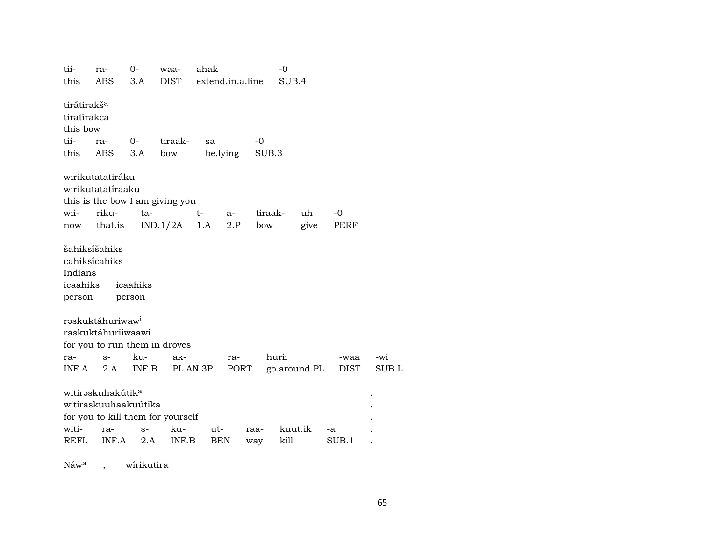tii- ra- 0- waa- ahak -0 this ABS 3.A DIST extend.in.a.line SUB.4 tirátirakš<sup>a</sup> tiratírakca this bow tii- ra- 0- tiraak- sa -0 this ABS 3.A bow be.lying SUB.3 wirikutatatiráku wirikutatatíraaku this is the bow I am giving you wii- riku- ta- t- a- tiraak- uh -0 now that.is IND.1/2A 1.A 2.P bow give PERF šahiksíšahiks cahiksícahiks Indians icaahiks icaahiks person person rəskuktáhuriwaw<sup>i</sup> raskuktáhuriiwaawi for you to run them in droves ra- s- ku- ak- ra- hurii -waa -wi INF.A 2.A INF.B PL.AN.3P PORT go.around.PL DIST SUB.L witirəskuhakútik<sup>a</sup> witiraskuuhaakuútika . for you to kill them for yourself witi- ra- s- ku- ut- raa- kuut.ik -a . REFL INF.A 2.A INF.B BEN way kill SUB.1 .

Náw<sup>a</sup>, wírikutira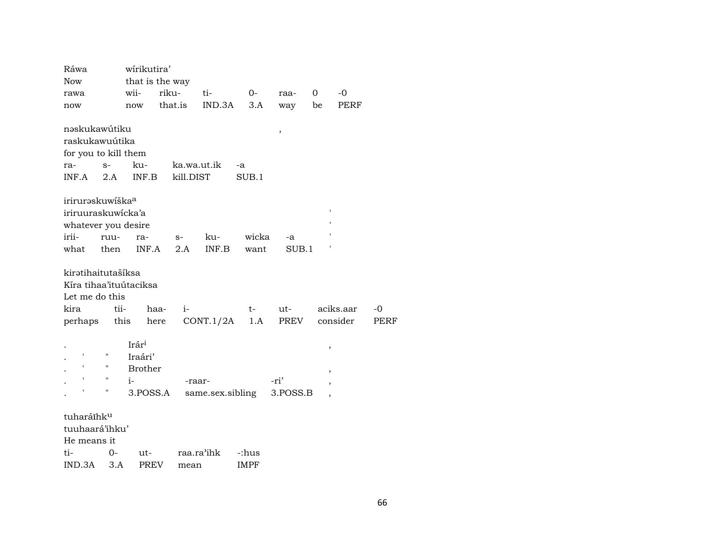| Ráwa                                                           |                    | wirikutira'    |                 |                  |             |          |        |           |      |
|----------------------------------------------------------------|--------------------|----------------|-----------------|------------------|-------------|----------|--------|-----------|------|
| Now                                                            |                    |                | that is the way |                  |             |          |        |           |      |
| rawa                                                           |                    | wii-           | riku-           | ti-              | $0-$        | raa-     | 0      | $-0$      |      |
| now                                                            |                    | now            | that.is         | IND.3A           | 3.A         | way      | be     | PERF      |      |
| nəskukawútiku                                                  |                    |                |                 |                  |             |          |        |           |      |
| raskukawuútika                                                 |                    |                |                 |                  |             | $\, ,$   |        |           |      |
| for you to kill them                                           |                    |                |                 |                  |             |          |        |           |      |
| ra-                                                            | $S-$               | ku-            |                 | ka.wa.ut.ik      | -a          |          |        |           |      |
| INF.A                                                          | 2.A                | INF.B          | kill.DIST       |                  | SUB.1       |          |        |           |      |
|                                                                |                    |                |                 |                  |             |          |        |           |      |
| iriruraskuwíška <sup>a</sup>                                   |                    |                |                 |                  |             |          |        |           |      |
| iriruuraskuwicka'a                                             |                    |                |                 |                  |             |          |        |           |      |
| whatever you desire                                            |                    |                |                 |                  |             |          |        |           |      |
| irii-                                                          | ruu-               | ra-            | $S-$            | ku-              | wicka       | -a       |        |           |      |
| what                                                           | then               | INF.A          | 2.A             | INF.B            | want        | SUB.1    |        |           |      |
| kirətihaitutašíksa<br>Kíra tihaa'ituútaciksa<br>Let me do this |                    |                |                 |                  |             |          |        |           |      |
| kira                                                           | tii-               |                | haa-<br>$i-$    |                  | $t-$        | ut-      |        | aciks.aar | $-0$ |
| perhaps                                                        |                    | this           | here            | CONT.1/2A        | 1.A         | PREV     |        | consider  | PERF |
|                                                                |                    | Irári          |                 |                  |             |          | $\, ,$ |           |      |
|                                                                |                    | Iraári'        |                 |                  |             |          |        |           |      |
|                                                                |                    | <b>Brother</b> |                 |                  |             |          | ,      |           |      |
|                                                                | $\pmb{\mathsf{H}}$ | $i-$           |                 | -raar-           |             | -ri'     | ,      |           |      |
|                                                                | 11                 | 3.POSS.A       |                 | same.sex.sibling |             | 3.POSS.B |        |           |      |
| tuharáīhku                                                     |                    |                |                 |                  |             |          |        |           |      |
| tuuhaará'ihku'                                                 |                    |                |                 |                  |             |          |        |           |      |
| He means it                                                    |                    |                |                 |                  |             |          |        |           |      |
| ti-                                                            | 0-                 | ut-            |                 | raa.ra'ihk       | -:hus       |          |        |           |      |
| IND.3A                                                         | 3.A                | PREV           | mean            |                  | <b>IMPF</b> |          |        |           |      |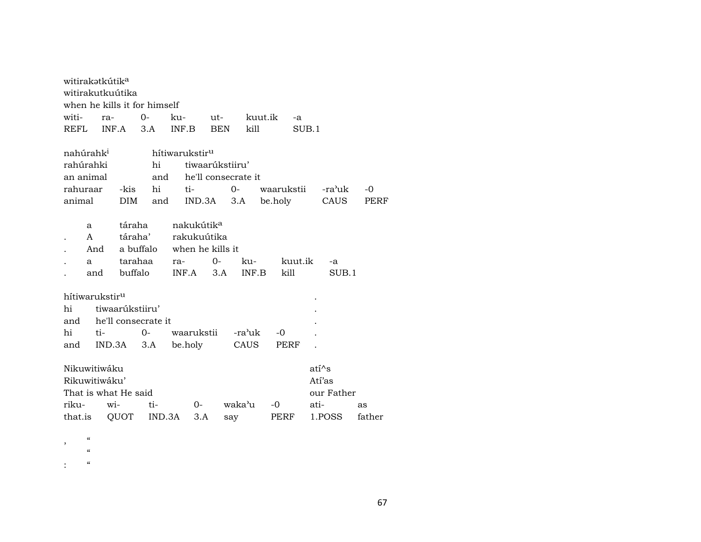| witirakətkútik <sup>a</sup> |                          |       |                              |      |     |        |                            |             |                     |       |            |         |         |            |        |
|-----------------------------|--------------------------|-------|------------------------------|------|-----|--------|----------------------------|-------------|---------------------|-------|------------|---------|---------|------------|--------|
| witirakutkuútika            |                          |       |                              |      |     |        |                            |             |                     |       |            |         |         |            |        |
|                             |                          |       | when he kills it for himself |      |     |        |                            |             |                     |       |            |         |         |            |        |
| witi-                       |                          | ra-   |                              | $0-$ |     | ku-    |                            | ut-         |                     |       | kuut.ik    | $-a$    |         |            |        |
| REFL                        |                          | INF.A |                              | 3.A  |     | INF.B  |                            | <b>BEN</b>  |                     | kill  |            | SUB.1   |         |            |        |
|                             |                          |       |                              |      |     |        |                            |             |                     |       |            |         |         |            |        |
| nahúrahk <sup>1</sup>       |                          |       |                              |      |     |        | hítiwarukstir <sup>u</sup> |             |                     |       |            |         |         |            |        |
| rahúrahki                   |                          |       |                              |      | hi  |        |                            |             | tiwaarúkstiiru'     |       |            |         |         |            |        |
| an animal                   |                          |       |                              |      | and |        |                            |             | he'll consecrate it |       |            |         |         |            |        |
| rahuraar                    |                          |       | -kis                         |      | hi  | ti-    |                            |             | $0-$                |       | waarukstii |         |         | -ra'uk     | -0     |
| animal                      |                          |       | DIM                          |      | and |        |                            | IND.3A      | 3.A                 |       | be.holy    |         |         | CAUS       | PERF   |
|                             |                          |       |                              |      |     |        |                            |             |                     |       |            |         |         |            |        |
|                             | a                        |       | táraha                       |      |     |        | nakukútik <sup>a</sup>     |             |                     |       |            |         |         |            |        |
|                             | A                        |       | táraha'                      |      |     |        |                            | rakukuútika |                     |       |            |         |         |            |        |
|                             | And                      |       | a buffalo when he kills it   |      |     |        |                            |             |                     |       |            |         |         |            |        |
|                             | a                        |       | tarahaa                      |      |     | ra-    |                            | $O -$       |                     |       | ku-        | kuut.ik |         | -a         |        |
|                             | and                      |       | buffalo                      |      |     |        |                            | $INF.A$ 3.A |                     | INF.B |            | kill    |         | SUB.1      |        |
|                             |                          |       |                              |      |     |        |                            |             |                     |       |            |         |         |            |        |
| hítiwarukstir <sup>u</sup>  |                          |       |                              |      |     |        |                            |             |                     |       |            |         |         |            |        |
| hi                          |                          |       | tiwaarúkstiiru'              |      |     |        |                            |             |                     |       |            |         |         |            |        |
| and                         |                          |       | he'll consecrate it          |      |     |        |                            |             |                     |       |            |         |         |            |        |
| hi                          |                          | ti-   |                              | $0-$ |     |        |                            | waarukstii  | -ra'uk              |       | -0         |         |         |            |        |
| and                         |                          |       | IND.3A                       | 3.A  |     |        | be.holy                    |             | CAUS                |       |            | PERF    |         |            |        |
| Nikuwitiwáku                |                          |       |                              |      |     |        |                            |             |                     |       |            |         | $ati^s$ |            |        |
| Rikuwitiwáku'               |                          |       |                              |      |     |        |                            |             |                     |       |            |         | Atí'as  |            |        |
|                             |                          |       | That is what He said         |      |     |        |                            |             |                     |       |            |         |         | our Father |        |
| riku-                       |                          | wi-   |                              | ti-  |     |        | $0-$                       |             | waka'u              |       | $-0$       |         | ati-    |            | as     |
| that.is                     |                          |       | QUOT                         |      |     | IND.3A | 3.A                        |             | say                 |       |            | PERF    |         | 1.POSS     | father |
|                             |                          |       |                              |      |     |        |                            |             |                     |       |            |         |         |            |        |
|                             | $\overline{\phantom{a}}$ |       |                              |      |     |        |                            |             |                     |       |            |         |         |            |        |

, "<br>"<br>"

:  $\alpha$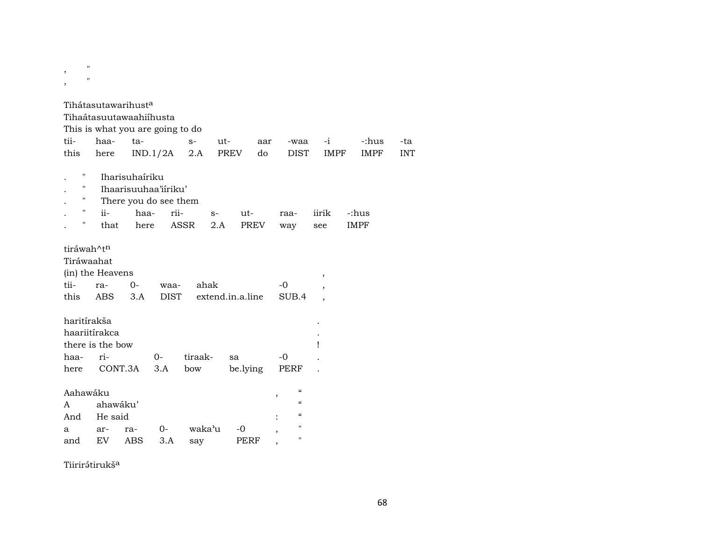, "  $,$ 

Tihátasutawarihust<sup>a</sup>

Tihaátasuutawaahiíhusta

This is what you are going to do

|  | tii- haa- ta-   s- ut-  aar -waa -i  -:hus -ta    |  |  |  |  |
|--|---------------------------------------------------|--|--|--|--|
|  | this here IND.1/2A 2.A PREV do DIST IMPF IMPF INT |  |  |  |  |

- . " Iharisuhaíriku
- . " Ihaarisuuhaa'iíriku'
- . " There you do see them

|  |  | . " ii-      haa-    rii-        s-       ut-        raa-     iirik    -:hus |  |  |  |
|--|--|------------------------------------------------------------------------------|--|--|--|
|  |  | " that here ASSR 2.A PREV way see IMPF                                       |  |  |  |

## tiráwah^t<sup>n</sup>

| ulawan t |                  |      |                                          |      |  |
|----------|------------------|------|------------------------------------------|------|--|
|          | Tiráwaahat       |      |                                          |      |  |
|          | (in) the Heavens |      |                                          |      |  |
|          | tii- ra- 0-      | waa- | ahak                                     | $-0$ |  |
|          |                  |      | this ABS 3.A DIST extend.in.a.line SUB.4 |      |  |
|          | haritírakša      |      |                                          |      |  |

| haariitírakca               |     |                                        |         |          |                |                   |                                  |  |  |  |
|-----------------------------|-----|----------------------------------------|---------|----------|----------------|-------------------|----------------------------------|--|--|--|
|                             |     |                                        |         |          |                |                   |                                  |  |  |  |
| $ri-$                       |     | 0-                                     | tiraak- | sa       | -0             |                   |                                  |  |  |  |
|                             |     |                                        | bow     | be.lying |                |                   |                                  |  |  |  |
|                             |     |                                        |         |          |                |                   |                                  |  |  |  |
| $\epsilon$<br>Aahawáku<br>, |     |                                        |         |          |                |                   |                                  |  |  |  |
| ahawáku'<br>A               |     |                                        |         |          |                |                   |                                  |  |  |  |
|                             |     | $\pmb{\zeta}\pmb{\zeta}$               |         |          |                |                   |                                  |  |  |  |
| ar-                         | ra- | $O -$                                  | waka'u  | -0       | $\overline{ }$ | $^{\prime\prime}$ |                                  |  |  |  |
| EV                          | ABS | 3.A                                    | say     | PERF     |                | $^{\prime\prime}$ |                                  |  |  |  |
|                             |     | there is the bow<br>CONT.3A<br>He said | 3.A     |          |                |                   | PERF<br>$\pmb{\zeta}\pmb{\zeta}$ |  |  |  |

Tiirirátirukš<sup>a</sup>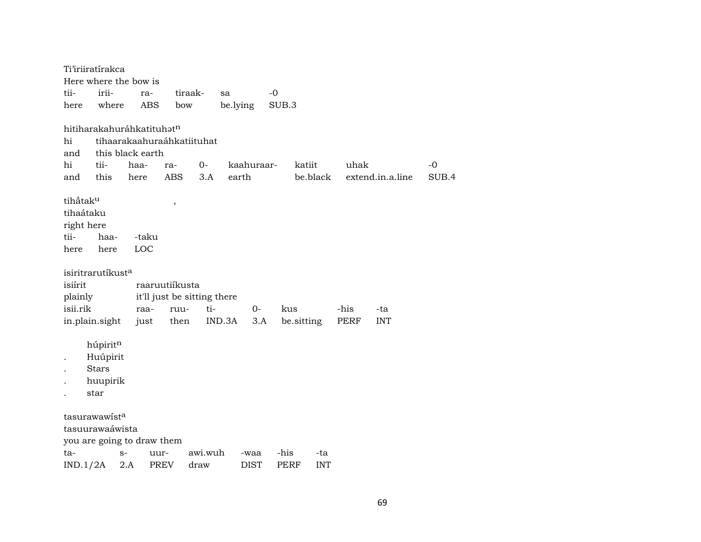|          | Ti'iriiratírakca              |      |            |                             |         |          |            |       |            |            |      |                  |       |
|----------|-------------------------------|------|------------|-----------------------------|---------|----------|------------|-------|------------|------------|------|------------------|-------|
|          | Here where the bow is         |      |            |                             |         |          |            |       |            |            |      |                  |       |
| tii-     | irii-                         |      | ra-        | tiraak-                     |         | sa       |            | $-0$  |            |            |      |                  |       |
| here     | where                         |      | <b>ABS</b> | bow                         |         | be.lying |            | SUB.3 |            |            |      |                  |       |
|          | hitiharakahuráhkatituhatn     |      |            |                             |         |          |            |       |            |            |      |                  |       |
| hi       |                               |      |            | tihaarakaahuraáhkatiituhat  |         |          |            |       |            |            |      |                  |       |
| and      | this black earth              |      |            |                             |         |          |            |       |            |            |      |                  |       |
| hi       | tii-                          | haa- |            | ra-                         | $0-$    |          | kaahuraar- |       | katiit     |            | uhak |                  | -0    |
| and      | this                          | here |            | <b>ABS</b>                  | 3.A     | earth    |            |       |            | be.black   |      | extend.in.a.line | SUB.4 |
|          |                               |      |            |                             |         |          |            |       |            |            |      |                  |       |
| tihấtaku |                               |      |            | $\, ,$                      |         |          |            |       |            |            |      |                  |       |
|          | tihaátaku                     |      |            |                             |         |          |            |       |            |            |      |                  |       |
|          | right here                    |      |            |                             |         |          |            |       |            |            |      |                  |       |
| tii-     | haa-                          |      | -taku      |                             |         |          |            |       |            |            |      |                  |       |
| here     | here                          |      | LOC        |                             |         |          |            |       |            |            |      |                  |       |
|          |                               |      |            |                             |         |          |            |       |            |            |      |                  |       |
|          | isiritrarutíkust <sup>a</sup> |      |            |                             |         |          |            |       |            |            |      |                  |       |
| isiírit  |                               |      |            | raaruutiíkusta              |         |          |            |       |            |            |      |                  |       |
| plainly  |                               |      |            | it'll just be sitting there |         |          |            |       |            |            |      |                  |       |
| isii.rik |                               |      | raa-       | ruu-                        | ti-     |          | $0-$       | kus   |            |            | -his | -ta              |       |
|          | in.plain.sight                |      | just       | then                        |         | IND.3A   | 3.A        |       | be.sitting |            | PERF | <b>INT</b>       |       |
|          | húpiritn                      |      |            |                             |         |          |            |       |            |            |      |                  |       |
|          | Huúpirit                      |      |            |                             |         |          |            |       |            |            |      |                  |       |
|          | <b>Stars</b>                  |      |            |                             |         |          |            |       |            |            |      |                  |       |
|          | huupirik                      |      |            |                             |         |          |            |       |            |            |      |                  |       |
|          | star                          |      |            |                             |         |          |            |       |            |            |      |                  |       |
|          |                               |      |            |                             |         |          |            |       |            |            |      |                  |       |
|          | tasurawawist <sup>a</sup>     |      |            |                             |         |          |            |       |            |            |      |                  |       |
|          | tasuurawaáwista               |      |            |                             |         |          |            |       |            |            |      |                  |       |
|          | you are going to draw them    |      |            |                             |         |          |            |       |            |            |      |                  |       |
| ta-      |                               | $S-$ | uur-       |                             | awi.wuh |          | -waa       | -his  |            | -ta        |      |                  |       |
|          | IND.1/2A                      | 2.A  | PREV       |                             | draw    |          | DIST       | PERF  |            | <b>INT</b> |      |                  |       |
|          |                               |      |            |                             |         |          |            |       |            |            |      |                  |       |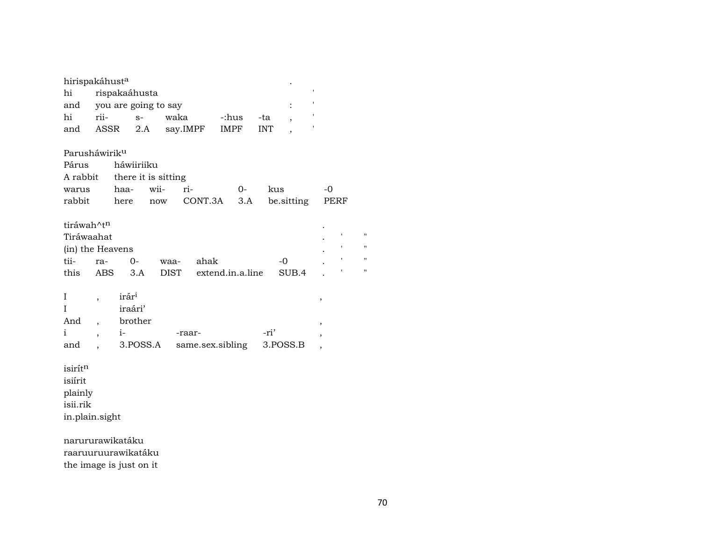| hirispakáhust <sup>a</sup>                                         |                                                                        |                                      |                                                  |             |                            |             |             |            |      |                          |  |                                                                |
|--------------------------------------------------------------------|------------------------------------------------------------------------|--------------------------------------|--------------------------------------------------|-------------|----------------------------|-------------|-------------|------------|------|--------------------------|--|----------------------------------------------------------------|
| ,<br>hi<br>rispakaáhusta                                           |                                                                        |                                      |                                                  |             |                            |             |             |            |      |                          |  |                                                                |
| and                                                                | you are going to say                                                   |                                      |                                                  |             |                            |             |             |            |      |                          |  |                                                                |
| hi                                                                 | rii-                                                                   |                                      | $S-$                                             | waka        |                            | -:hus       |             | -ta        |      | $\overline{\phantom{a}}$ |  |                                                                |
| and                                                                | ASSR                                                                   |                                      | 2.A                                              |             | say.IMPF                   | <b>IMPF</b> |             | <b>INT</b> |      |                          |  |                                                                |
| Parusháwirik <sup>u</sup><br>Párus<br>A rabbit<br>warus<br>rabbit  |                                                                        | haa-<br>here                         | háwiiriiku<br>there it is sitting<br>wii-<br>now |             | ri-<br>CONT.3A             |             | $0-$<br>3.A |            | kus  | be.sitting               |  | $-0$<br>PERF                                                   |
| tiráwah^t <sup>n</sup>                                             |                                                                        |                                      |                                                  |             |                            |             |             |            |      |                          |  |                                                                |
| Tiráwaahat<br>1                                                    |                                                                        |                                      |                                                  |             |                            |             |             |            |      |                          |  |                                                                |
| (in) the Heavens                                                   |                                                                        |                                      |                                                  |             |                            |             |             |            |      |                          |  |                                                                |
| tii-                                                               | ra-                                                                    |                                      | $O -$                                            | waa-        | ahak                       |             |             |            | $-0$ |                          |  |                                                                |
| this                                                               | <b>ABS</b>                                                             |                                      | 3.A                                              | <b>DIST</b> | extend.in.a.line           |             |             |            |      | SUB.4                    |  |                                                                |
| I<br>$\mathbf I$<br>And<br>i<br>and                                | $\overline{\phantom{a}}$<br>$\overline{\phantom{a}}$<br>$\overline{ }$ | irár <sup>i</sup><br>iraári'<br>$i-$ | brother<br>3.POSS.A                              |             | -raar-<br>same.sex.sibling |             |             | -ri'       |      | 3.POSS.B                 |  | ,<br>$\overline{\phantom{a}}$<br>,<br>$\overline{\phantom{a}}$ |
| isirítn<br>isiírit<br>plainly<br>isii.rik<br>in.plain.sight        |                                                                        |                                      |                                                  |             |                            |             |             |            |      |                          |  |                                                                |
| narururawikatáku<br>raaruuruurawikatáku<br>the image is just on it |                                                                        |                                      |                                                  |             |                            |             |             |            |      |                          |  |                                                                |

 $\mathbf{u}$ 

 $\mathbf{u}$ 

 $\mathbf{u}$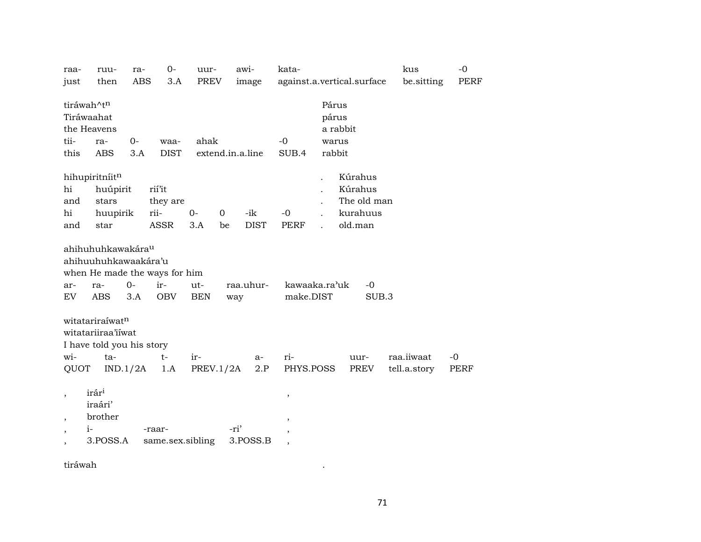| raa-                     | ruu-                      | ra-        | $0-$                          | uur-       |             | awi-             | kata-                    |  |                            | kus          | $-0$        |
|--------------------------|---------------------------|------------|-------------------------------|------------|-------------|------------------|--------------------------|--|----------------------------|--------------|-------------|
| just                     | then                      | <b>ABS</b> | 3.A                           | PREV       |             | image            |                          |  | against.a.vertical.surface | be.sitting   | PERF        |
|                          | tiráwah^tn                |            |                               |            |             |                  |                          |  | Párus                      |              |             |
|                          | Tiráwaahat                |            |                               |            |             |                  |                          |  | párus                      |              |             |
|                          | the Heavens               |            |                               |            |             |                  |                          |  | a rabbit                   |              |             |
| tii-                     | ra-                       | $0-$       | waa-                          | ahak       |             |                  | $-0$                     |  | warus                      |              |             |
| this                     | <b>ABS</b>                | 3.A        | <b>DIST</b>                   |            |             | extend.in.a.line | SUB.4                    |  | rabbit                     |              |             |
|                          | hihupiritníitn            |            |                               |            |             |                  |                          |  | Kúrahus                    |              |             |
| hi                       | huúpirit                  |            | rií'it                        |            |             |                  |                          |  | Kúrahus                    |              |             |
| and                      | stars                     |            | they are                      |            |             |                  |                          |  | The old man                |              |             |
| hi                       | huupirik                  |            | rii-                          | $0-$       | $\mathbf 0$ | -ik              | $-0$                     |  | kurahuus                   |              |             |
| and                      | star                      |            | <b>ASSR</b>                   | 3.A        | be          | <b>DIST</b>      | <b>PERF</b>              |  | old.man                    |              |             |
|                          |                           |            |                               |            |             |                  |                          |  |                            |              |             |
|                          | ahihuhuhkawakárau         |            |                               |            |             |                  |                          |  |                            |              |             |
|                          | ahihuuhuhkawaakára'u      |            |                               |            |             |                  |                          |  |                            |              |             |
|                          |                           |            | when He made the ways for him |            |             |                  |                          |  |                            |              |             |
| ar-                      | ra-                       | $0-$       | ir-                           | ut-        |             | raa.uhur-        | kawaaka.ra'uk            |  | $-0$                       |              |             |
| EV                       | ABS                       | 3.A        | <b>OBV</b>                    | <b>BEN</b> | way         |                  | make.DIST                |  | SUB.3                      |              |             |
|                          | witatariraíwatn           |            |                               |            |             |                  |                          |  |                            |              |             |
|                          | witatariiraa'iiwat        |            |                               |            |             |                  |                          |  |                            |              |             |
|                          | I have told you his story |            |                               |            |             |                  |                          |  |                            |              |             |
| wi-                      |                           |            |                               |            |             |                  |                          |  |                            |              |             |
|                          | ta-                       |            | $t-$                          | ir-        |             | $a-$             | ri-                      |  | uur-                       | raa.iiwaat   | $-0$        |
| QUOT                     |                           | IND.1/2A   | 1.A                           | PREV.1/2A  |             | 2.P              | PHYS.POSS                |  | PREV                       | tell.a.story | <b>PERF</b> |
| $\cdot$                  | irár <sup>i</sup>         |            |                               |            |             |                  |                          |  |                            |              |             |
|                          | iraári'                   |            |                               |            |             |                  | $\pmb{\mathcal{I}}$      |  |                            |              |             |
| $\overline{\phantom{a}}$ | brother                   |            |                               |            |             |                  | $\, ,$                   |  |                            |              |             |
| $\overline{\phantom{a}}$ | $i-$                      |            | -raar-                        |            | -ri'        |                  | ,                        |  |                            |              |             |
| $\overline{ }$           | 3.POSS.A                  |            | same.sex.sibling              |            |             | 3.POSS.B         | $\overline{\phantom{a}}$ |  |                            |              |             |
|                          |                           |            |                               |            |             |                  |                          |  |                            |              |             |

tiráwah .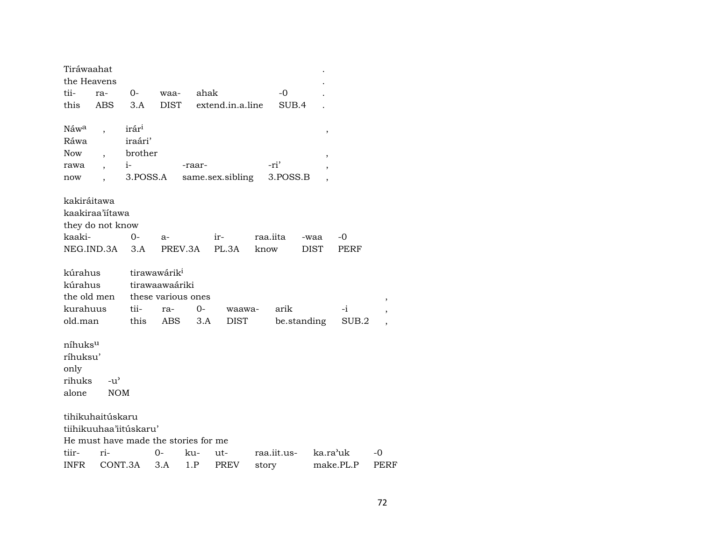| the Heavens<br>tii-<br>this | ra-<br>ABS.              | $0-$<br>3.A            | waa-                                 | ahak   |                  |          |             |                          |           |      |
|-----------------------------|--------------------------|------------------------|--------------------------------------|--------|------------------|----------|-------------|--------------------------|-----------|------|
|                             |                          |                        |                                      |        |                  |          |             |                          |           |      |
|                             |                          |                        |                                      |        |                  |          | -0          |                          |           |      |
|                             |                          |                        | <b>DIST</b>                          |        | extend.in.a.line |          | SUB.4       |                          |           |      |
|                             |                          |                        |                                      |        |                  |          |             |                          |           |      |
| Náw <sup>a</sup>            |                          | irár <sup>i</sup>      |                                      |        |                  |          |             | $\, ,$                   |           |      |
| Ráwa                        |                          | iraári'                |                                      |        |                  |          |             |                          |           |      |
| <b>Now</b>                  |                          | brother                |                                      |        |                  |          |             | $\, ,$                   |           |      |
| rawa                        | $\overline{\phantom{a}}$ | $i-$                   |                                      | -raar- |                  | -ri'     |             | $\overline{\phantom{a}}$ |           |      |
| now                         |                          | 3.POSS.A               |                                      |        | same.sex.sibling |          | 3.POSS.B    |                          |           |      |
|                             |                          |                        |                                      |        |                  |          |             |                          |           |      |
| kakiráitawa                 |                          |                        |                                      |        |                  |          |             |                          |           |      |
|                             | kaakiraa'iítawa          |                        |                                      |        |                  |          |             |                          |           |      |
|                             | they do not know         |                        |                                      |        |                  |          |             |                          |           |      |
| kaaki-                      |                          | $0-$                   | $a-$                                 |        | ir-              | raa.iita |             | -waa                     | -0        |      |
| NEG.IND.3A                  |                          | 3.A                    | PREV.3A                              |        | PL.3A            | know     |             | <b>DIST</b>              | PERF      |      |
| kúrahus                     |                          |                        | tirawawárik <sup>i</sup>             |        |                  |          |             |                          |           |      |
| kúrahus                     |                          |                        | tirawaawaáriki                       |        |                  |          |             |                          |           |      |
| the old men                 |                          |                        | these various ones                   |        |                  |          |             |                          |           |      |
| kurahuus                    |                          | tii-                   | ra-                                  | $0-$   | waawa-           |          | arik        |                          | $-i$      | ,    |
| old.man                     |                          | this                   | ABS                                  | 3.A    | <b>DIST</b>      |          | be.standing |                          | SUB.2     |      |
|                             |                          |                        |                                      |        |                  |          |             |                          |           |      |
| níhuks <sup>u</sup>         |                          |                        |                                      |        |                  |          |             |                          |           |      |
| ríhuksu'                    |                          |                        |                                      |        |                  |          |             |                          |           |      |
| only                        |                          |                        |                                      |        |                  |          |             |                          |           |      |
| rihuks                      | $-u^{\prime}$            |                        |                                      |        |                  |          |             |                          |           |      |
| alone                       | <b>NOM</b>               |                        |                                      |        |                  |          |             |                          |           |      |
|                             |                          |                        |                                      |        |                  |          |             |                          |           |      |
|                             | tihikuhaitúskaru         |                        |                                      |        |                  |          |             |                          |           |      |
|                             |                          | tiihikuuhaa'iitúskaru' |                                      |        |                  |          |             |                          |           |      |
|                             |                          |                        | He must have made the stories for me |        |                  |          |             |                          |           |      |
| tiir-                       | ri-                      |                        | 0-                                   | ku-    | ut-              |          | raa.iit.us- | ka.ra'uk                 |           | -0   |
| <b>INFR</b>                 |                          | CONT.3A                | 3.A                                  | 1.P    | <b>PREV</b>      | story    |             |                          | make.PL.P | PERF |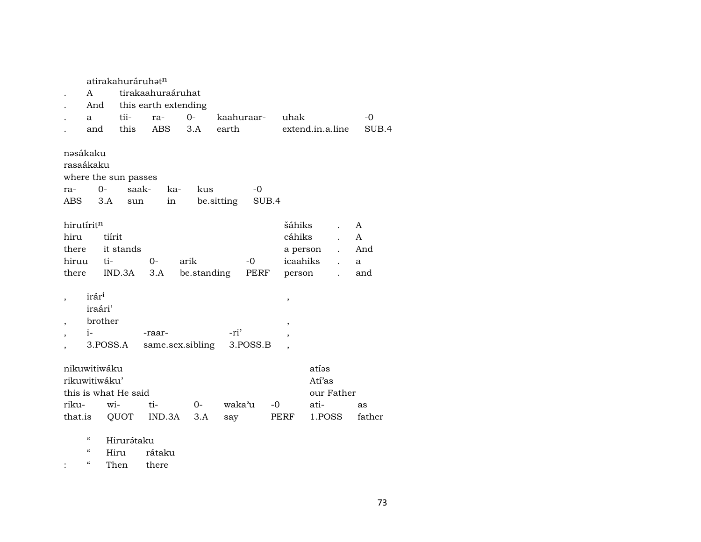|                                 |                                                             | atirakahuráruhat <sup>n</sup>        |                            |                     |               |               |                                        |                                                 |                           |
|---------------------------------|-------------------------------------------------------------|--------------------------------------|----------------------------|---------------------|---------------|---------------|----------------------------------------|-------------------------------------------------|---------------------------|
|                                 | A                                                           |                                      | tirakaahuraáruhat          |                     |               |               |                                        |                                                 |                           |
|                                 | And                                                         |                                      | this earth extending       |                     |               |               |                                        |                                                 |                           |
|                                 | a                                                           | tii-                                 | ra-                        | $0 -$               |               |               | kaahuraar- uhak                        |                                                 | $-0$                      |
|                                 | and                                                         | this                                 | ABS                        | 3.A                 | earth         |               |                                        | extend.in.a.line                                | SUB.4                     |
| ra-<br>ABS                      | nəsákaku<br>rasaákaku<br>$O -$<br>3.A                       | where the sun passes<br>saak-<br>sun | ka-<br>in                  | kus                 | be sitting    | $-0$<br>SUB.4 |                                        |                                                 |                           |
| hiru<br>there<br>hiruu<br>there | hirutírit <sup>n</sup><br>tiírit<br>ti-                     | it stands<br>IND.3A                  | $O -$<br>3.A               | arik<br>be.standing |               | $-0$<br>PERF  | šáhiks<br>cáhiks<br>icaahiks<br>person | a person                                        | A<br>A<br>And<br>a<br>and |
| $\cdot$                         | irár <sup>i</sup><br>iraári'<br>brother<br>$i-$<br>3.POSS.A |                                      | -raar-<br>same.sex.sibling |                     | -ri'          | 3.POSS.B      | $\, ,$<br>$\, ,$<br>$\overline{ }$     |                                                 |                           |
| riku-<br>that.is                | nikuwitiwáku<br>rikuwitiwáku'<br>wi-                        | this is what He said<br>QUOT         | ti-<br>IND.3A              | $0-$<br>3.A         | waka'u<br>say |               | $-0$<br>PERF                           | atíes<br>Ati'as<br>our Father<br>ati-<br>1.POSS | as<br>father              |

- $\,$   $\,$   $\,$   $\,$  Hirur<br/>ə́taku
- $\epsilon\epsilon$ Hiru rátaku
- $\therefore$   $\alpha$ Then there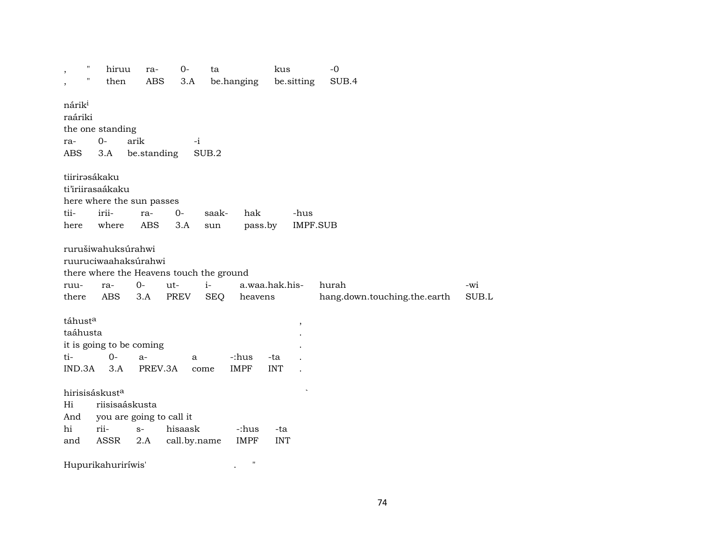| $\mathbf{H}$<br>$\overline{\phantom{a}}$<br>П<br>$\overline{\phantom{a}}$ | hiruu<br>then                                       | ra-<br>ABS                                                | $O -$<br>3.A                                    | ta           | be.hanging           | kus               | be.sitting              | $-0$<br>SUB.4                |       |
|---------------------------------------------------------------------------|-----------------------------------------------------|-----------------------------------------------------------|-------------------------------------------------|--------------|----------------------|-------------------|-------------------------|------------------------------|-------|
| nárik <sup>i</sup><br>raáriki<br>ra-<br>ABS                               | the one standing<br>$O-$<br>3.A                     | arik<br>be.standing                                       | $-i$                                            | SUB.2        |                      |                   |                         |                              |       |
| tii-<br>here                                                              | tiirirasákaku<br>ti'iriirasaákaku<br>irii-<br>where | here where the sun passes<br>ra-<br>ABS                   | $0-$<br>3.A                                     | saak-<br>sun | hak<br>pass.by       |                   | -hus<br><b>IMPF.SUB</b> |                              |       |
| ruu-                                                                      | rurušiwahuksúrahwi<br>ra-                           | ruuruciwaahaksúrahwi<br>$O -$                             | there where the Heavens touch the ground<br>ut- | $i-$         |                      | a.waa.hak.his-    |                         | hurah                        | -wi   |
| there<br>táhusta<br>taáhusta                                              | ABS                                                 | 3.A                                                       | PREV                                            | <b>SEQ</b>   | heavens              |                   | $\,$                    | hang.down.touching.the.earth | SUB.L |
| ti-<br>IND.3A                                                             | $0-$<br>3.A                                         | it is going to be coming<br>$a-$<br>PREV.3A               | a                                               | come         | -:hus<br><b>IMPF</b> | -ta<br><b>INT</b> |                         |                              |       |
| Hi<br>And<br>hi<br>and                                                    | hirisisáskust <sup>a</sup><br>rii-<br>ASSR          | riisisaáskusta<br>you are going to call it<br>$S-$<br>2.A | hisaask<br>call.by.name                         |              | -:hus<br><b>IMPF</b> | -ta<br><b>INT</b> |                         |                              |       |
|                                                                           | Hupurikahuriríwis'                                  |                                                           |                                                 |              | $\mathbf{H}$         |                   |                         |                              |       |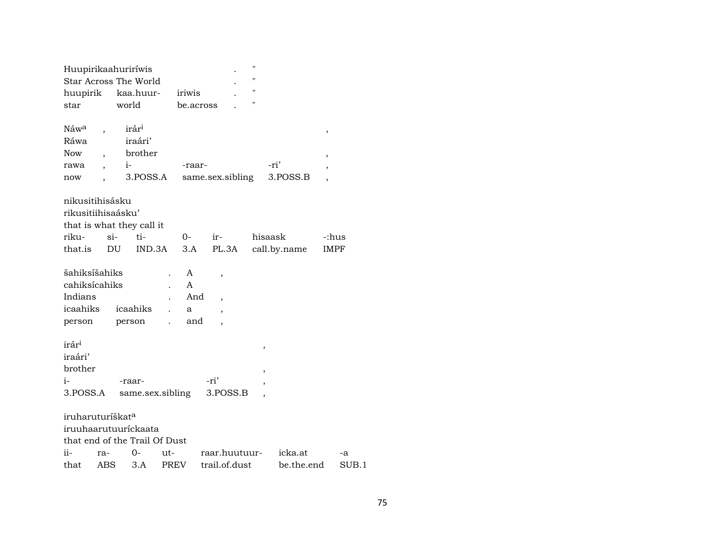| Huupirikaahuriríwis           |                      |        |                   |             |              |                  | $\pmb{\mathsf{H}}$ |              |                          |       |
|-------------------------------|----------------------|--------|-------------------|-------------|--------------|------------------|--------------------|--------------|--------------------------|-------|
| Star Across The World         |                      |        |                   |             |              |                  | $\mathbf{H}$       |              |                          |       |
| huupirik                      |                      |        | kaa.huur-         |             | iriwis       |                  | $\pmb{\mathsf{H}}$ |              |                          |       |
| star                          |                      | world  |                   |             | be.across    |                  | 11                 |              |                          |       |
|                               |                      |        |                   |             |              |                  |                    |              |                          |       |
| Náw <sup>a</sup>              |                      |        | irár <sup>i</sup> |             |              |                  |                    |              | ,                        |       |
| Ráwa                          |                      |        | iraári'           |             |              |                  |                    |              |                          |       |
| Now                           |                      |        | brother           |             |              |                  |                    |              | ,                        |       |
| rawa                          | $\ddot{\phantom{0}}$ | $i-$   |                   |             | -raar-       |                  |                    | -ri'         | $\overline{\phantom{a}}$ |       |
| now                           |                      |        | 3.POSS.A          |             |              | same.sex.sibling |                    | 3.POSS.B     |                          |       |
| nikusitihisásku               |                      |        |                   |             |              |                  |                    |              |                          |       |
| rikusitiihisaásku'            |                      |        |                   |             |              |                  |                    |              |                          |       |
| that is what they call it     |                      |        |                   |             |              |                  |                    |              |                          |       |
| riku-                         |                      | $\sin$ | $t_i$ -           |             | $O-$         | ir-              |                    | hisaask      | -:hus                    |       |
| that.is                       |                      | DU     | IND.3A            |             | 3.A          | PL.3A            |                    | call.by.name | <b>IMPF</b>              |       |
|                               |                      |        |                   |             |              |                  |                    |              |                          |       |
| šahiksíšahiks                 |                      |        |                   |             | A            | $\, ,$           |                    |              |                          |       |
| cahiksícahiks                 |                      |        |                   |             | $\mathsf{A}$ |                  |                    |              |                          |       |
| Indians                       |                      |        |                   |             | And          |                  |                    |              |                          |       |
| icaahiks                      |                      |        | icaahiks          |             | a            |                  |                    |              |                          |       |
| person                        |                      |        | person            |             | and          |                  |                    |              |                          |       |
|                               |                      |        |                   |             |              |                  |                    |              |                          |       |
| irár <sup>i</sup>             |                      |        |                   |             |              |                  | $\, ,$             |              |                          |       |
| iraári'                       |                      |        |                   |             |              |                  |                    |              |                          |       |
| brother                       |                      |        |                   |             |              |                  | $\, ,$             |              |                          |       |
| i-                            |                      |        | -raar-            |             |              | -ri'             |                    |              |                          |       |
| 3.POSS.A                      |                      |        | same.sex.sibling  |             |              | 3.POSS.B         |                    |              |                          |       |
| iruharuturíškat <sup>a</sup>  |                      |        |                   |             |              |                  |                    |              |                          |       |
| iruuhaarutuuríckaata          |                      |        |                   |             |              |                  |                    |              |                          |       |
| that end of the Trail Of Dust |                      |        |                   |             |              |                  |                    |              |                          |       |
| ii-                           | ra-                  |        | 0-                | ut-         |              | raar.huutuur-    |                    | icka.at      |                          | -a    |
| that                          | ABS                  |        | 3.A               | <b>PREV</b> |              | trail.of.dust    |                    | be.the.end   |                          | SUB.1 |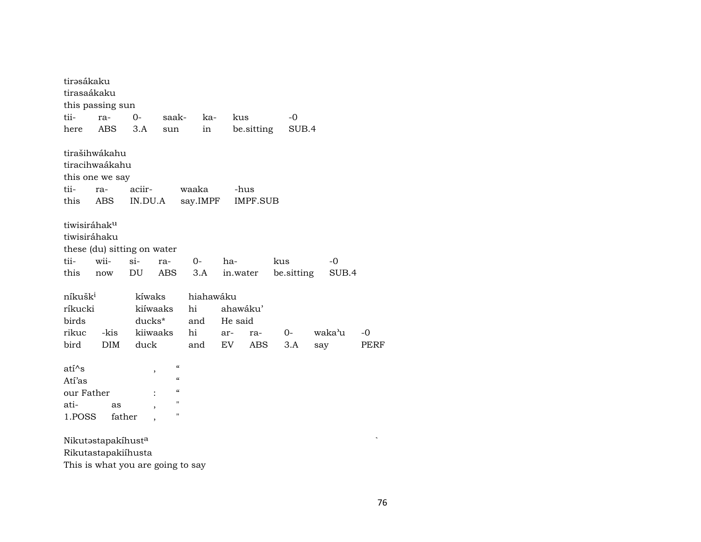| tirəsákaku<br>tirasaákaku | this passing sun                  |                          |                                        |           |          |                 |            |        |      |
|---------------------------|-----------------------------------|--------------------------|----------------------------------------|-----------|----------|-----------------|------------|--------|------|
| tii-                      | ra-                               | $O -$                    | saak-                                  | ka-       | kus      |                 | $-0$       |        |      |
| here                      | <b>ABS</b>                        | 3.A                      | sun                                    | in        |          | be.sitting      | SUB.4      |        |      |
|                           | tirašihwákahu                     |                          |                                        |           |          |                 |            |        |      |
|                           | tiracihwaákahu                    |                          |                                        |           |          |                 |            |        |      |
|                           | this one we say                   |                          |                                        |           |          |                 |            |        |      |
| tii-                      | ra-                               | aciir-                   |                                        | waaka     |          | -hus            |            |        |      |
| this                      | ABS                               | IN.DU.A                  |                                        | say.IMPF  |          | <b>IMPF.SUB</b> |            |        |      |
|                           |                                   |                          |                                        |           |          |                 |            |        |      |
| tiwisiráhak <sup>u</sup>  |                                   |                          |                                        |           |          |                 |            |        |      |
| tiwisiráhaku              |                                   |                          |                                        |           |          |                 |            |        |      |
|                           | these (du) sitting on water       |                          |                                        |           |          |                 |            |        |      |
| tii-                      | wii-                              | si-                      | ra-                                    | 0-        | ha-      |                 | kus        | -0     |      |
| this                      | now                               | DU                       | ABS                                    | 3.A       | in.water |                 | be sitting | SUB.4  |      |
|                           |                                   |                          |                                        |           |          |                 |            |        |      |
| níkušk <sup>i</sup>       |                                   | kíwaks                   |                                        | hiahawáku |          |                 |            |        |      |
| ríkucki                   |                                   | kiíwaaks                 |                                        | hi        | ahawáku' |                 |            |        |      |
| birds                     |                                   | ducks*                   |                                        | and       | He said  |                 |            |        |      |
| rikuc                     | -kis                              | kiiwaaks                 |                                        | hi        | ar-      | ra-             | $0-$       | waka'u | $-0$ |
| bird                      | <b>DIM</b>                        | duck                     |                                        | and       | EV       | ABS             | 3.A        | say    | PERF |
| $ati^s$                   |                                   |                          | $\boldsymbol{\zeta}\boldsymbol{\zeta}$ |           |          |                 |            |        |      |
| Atí'as                    |                                   | ,                        | $\pmb{\zeta}\pmb{\zeta}$               |           |          |                 |            |        |      |
| our Father                |                                   |                          | $\pmb{\zeta}\pmb{\zeta}$               |           |          |                 |            |        |      |
| ati-                      | as                                |                          | $\pmb{\mathsf{H}}$                     |           |          |                 |            |        |      |
| 1.POSS                    | father                            | $\overline{\phantom{a}}$ | $\pmb{\mathsf{H}}$                     |           |          |                 |            |        |      |
|                           |                                   |                          |                                        |           |          |                 |            |        |      |
|                           | Nikutastapakíhusta                |                          |                                        |           |          |                 |            |        |      |
|                           | Rikutastapakiíhusta               |                          |                                        |           |          |                 |            |        |      |
|                           | This is what you are going to say |                          |                                        |           |          |                 |            |        |      |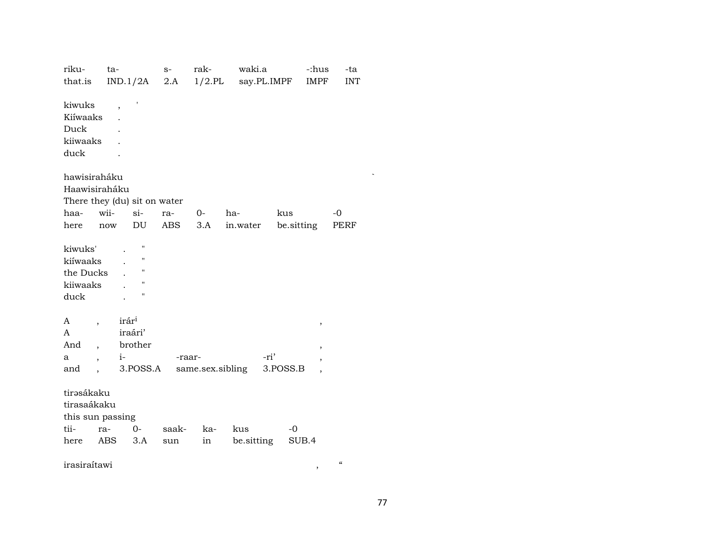| riku-                           | ta-               |                    | $S-$   | rak- | waki.a           |                    | -:hus          | -ta        |
|---------------------------------|-------------------|--------------------|--------|------|------------------|--------------------|----------------|------------|
| that.is                         |                   | IND.1/2A           | 2.A    |      |                  | 1/2.PL say.PL.IMPF | IMPF           | <b>INT</b> |
|                                 |                   |                    |        |      |                  |                    |                |            |
| kiwuks                          |                   |                    |        |      |                  |                    |                |            |
| Kiíwaaks                        |                   |                    |        |      |                  |                    |                |            |
| Duck                            |                   |                    |        |      |                  |                    |                |            |
| kiiwaaks                        |                   |                    |        |      |                  |                    |                |            |
| duck                            |                   |                    |        |      |                  |                    |                |            |
|                                 |                   |                    |        |      |                  |                    |                |            |
| hawisiraháku                    |                   |                    |        |      |                  |                    |                |            |
| Haawisiraháku                   |                   |                    |        |      |                  |                    |                |            |
| There they (du) sit on water    |                   |                    |        |      |                  |                    |                |            |
| haa-                            | wii-              | $\sin$             | ra-    | $0-$ | ha-              | kus                |                | -0         |
| here                            | now               | DU                 | ABS    | 3.A  | in.water         | be sitting         |                | PERF       |
|                                 |                   |                    |        |      |                  |                    |                |            |
| kiwuks'                         |                   | н                  |        |      |                  |                    |                |            |
| kiíwaaks                        |                   | П                  |        |      |                  |                    |                |            |
| the Ducks                       |                   | $\pmb{\mathsf{H}}$ |        |      |                  |                    |                |            |
| kiiwaaks                        |                   | "                  |        |      |                  |                    |                |            |
| duck                            |                   | П                  |        |      |                  |                    |                |            |
|                                 |                   |                    |        |      |                  |                    |                |            |
| A                               | irár <sup>i</sup> |                    |        |      |                  |                    | ,              |            |
| A                               |                   | iraári'            |        |      |                  |                    |                |            |
| And<br>$\overline{\phantom{a}}$ |                   | brother            |        |      |                  |                    | ,              |            |
| a<br>$\ddot{\phantom{0}}$       |                   | $i$ - $\sim$       | -raar- |      |                  | -ri'               | ,              |            |
| and                             |                   | 3.POSS.A           |        |      | same.sex.sibling | 3.POSS.B           | $\overline{ }$ |            |
|                                 |                   |                    |        |      |                  |                    |                |            |
| tirəsákaku                      |                   |                    |        |      |                  |                    |                |            |
| tirasaákaku                     |                   |                    |        |      |                  |                    |                |            |
| this sun passing                |                   |                    |        |      |                  |                    |                |            |
| tii-                            | ra-               | $O-$               | saak-  | ka-  | kus              | $-0$               |                |            |
| here                            | ABS               | 3.A                | sun    | in   | be sitting       |                    | SUB.4          |            |
|                                 |                   |                    |        |      |                  |                    |                |            |

irasiraítawi , "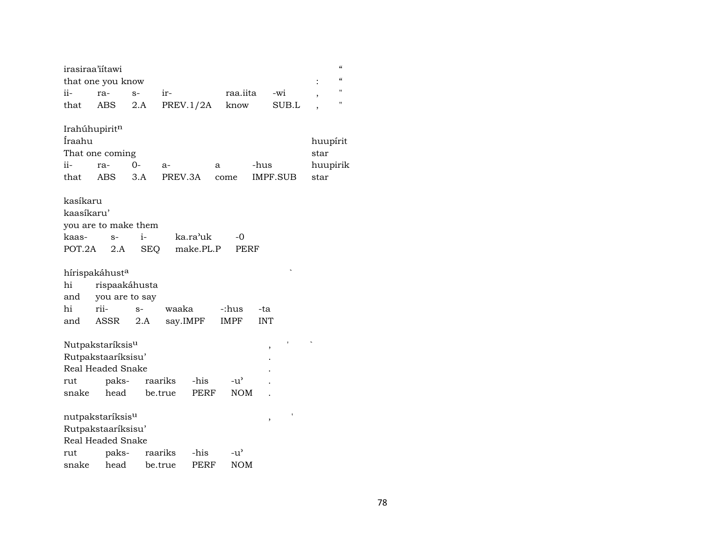| irasiraa'iitawi | that one you know            |         |                  |             |      |             |            |          | $\ddot{\cdot}$ | $\epsilon$<br>$\epsilon$ |
|-----------------|------------------------------|---------|------------------|-------------|------|-------------|------------|----------|----------------|--------------------------|
| ii-             | ra-                          | $S-$    | ir-              |             |      | raa.iita    |            | -wi      | ,              | $^{\prime}$              |
| that            | ABS                          | 2.A     | <b>PREV.1/2A</b> |             |      | know        |            | SUB.L    |                | "                        |
| Irahúhupiritn   |                              |         |                  |             |      |             |            |          |                |                          |
| Íraahu          |                              |         |                  |             |      |             |            |          | huupírit       |                          |
|                 | That one coming              |         |                  |             |      |             |            |          | star           |                          |
| ii-             | ra-                          | 0-      | $a-$             |             | a    |             | -hus       |          |                | huupirik                 |
| that            | ABS                          | 3.A     | PREV.3A          |             | come |             |            | IMPF.SUB | star           |                          |
| kasíkaru        |                              |         |                  |             |      |             |            |          |                |                          |
| kaasíkaru'      |                              |         |                  |             |      |             |            |          |                |                          |
|                 | you are to make them         |         |                  |             |      |             |            |          |                |                          |
| kaas-           | $S-$                         | $i-$    |                  | ka.ra'uk    |      | $-0$        |            |          |                |                          |
| POT.2A          | 2.A                          | SEQ     |                  | make.PL.P   |      | PERF        |            |          |                |                          |
|                 |                              |         |                  |             |      |             |            |          |                |                          |
|                 | hírispakáhust <sup>a</sup>   |         |                  |             |      |             |            |          |                |                          |
| hi              | rispaakáhusta                |         |                  |             |      |             |            |          |                |                          |
| and             | you are to say               |         |                  |             |      |             |            |          |                |                          |
| hi              | rii-                         | $S-$    | waaka            |             |      | -:hus       | -ta        |          |                |                          |
| and             | ASSR                         | 2.A     | say.IMPF         |             |      | <b>IMPF</b> | <b>INT</b> |          |                |                          |
|                 |                              |         |                  |             |      |             |            |          |                |                          |
|                 | Nutpakstaríksis <sup>u</sup> |         |                  |             |      |             | ,          |          |                |                          |
|                 | Rutpakstaaríksisu'           |         |                  |             |      |             |            |          |                |                          |
|                 | Real Headed Snake            |         |                  |             |      |             |            |          |                |                          |
| rut             | paks-                        |         | raariks          | -his        |      | -u'         |            |          |                |                          |
| snake           | head                         | be.true |                  | <b>PERF</b> |      | <b>NOM</b>  |            |          |                |                          |
|                 |                              |         |                  |             |      |             |            |          |                |                          |
|                 | nutpakstaríksis <sup>u</sup> |         |                  |             |      |             | ,          |          |                |                          |
|                 | Rutpakstaaríksisu'           |         |                  |             |      |             |            |          |                |                          |
|                 | Real Headed Snake            |         |                  |             |      |             |            |          |                |                          |
| rut             | paks-                        |         | raariks          | -his        |      | -u'         |            |          |                |                          |
| snake           | head                         |         | be.true          | PERF        |      | <b>NOM</b>  |            |          |                |                          |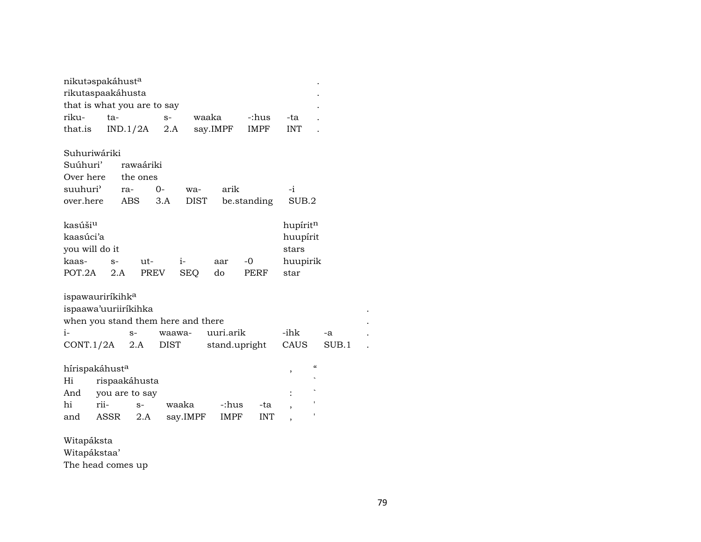| nikutaspakáhusta                   |      |                |        |             |           |               |                          |            |  |
|------------------------------------|------|----------------|--------|-------------|-----------|---------------|--------------------------|------------|--|
| rikutaspaakáhusta                  |      |                |        |             |           |               |                          |            |  |
| that is what you are to say        |      |                |        |             |           |               |                          |            |  |
| riku-                              | ta-  |                | $S-$   | waaka       |           | -:hus         | -ta                      |            |  |
| that.is                            |      | IND.1/2A       | 2.A    |             | say.IMPF  | IMPF          | <b>INT</b>               |            |  |
|                                    |      |                |        |             |           |               |                          |            |  |
| Suhuriwáriki                       |      |                |        |             |           |               |                          |            |  |
| Suúhuri'                           |      | rawaáriki      |        |             |           |               |                          |            |  |
| Over here                          |      | the ones       |        |             |           |               |                          |            |  |
| suuhuri <sup>)</sup>               |      | ra-            | $0-$   | wa-         | arik      |               | $-i$                     |            |  |
| over.here                          |      | ABS            | 3.A    | <b>DIST</b> |           | be.standing   | SUB.2                    |            |  |
|                                    |      |                |        |             |           |               |                          |            |  |
| kasúši <sup>u</sup>                |      |                |        |             |           |               | hupíritn                 |            |  |
| kaasúci'a                          |      |                |        |             |           |               | huupírit                 |            |  |
| you will do it                     |      |                |        |             |           |               | stars                    |            |  |
| kaas-                              | $S-$ | $ut -$         |        | $i-$        | aar       | $-0$          | huupirik                 |            |  |
| POT.2A                             | 2.A  |                | PREV   | <b>SEQ</b>  | do        | PERF          | star                     |            |  |
|                                    |      |                |        |             |           |               |                          |            |  |
| ispawauriríkihk <sup>a</sup>       |      |                |        |             |           |               |                          |            |  |
| ispaawa'uuriiríkihka               |      |                |        |             |           |               |                          |            |  |
| when you stand them here and there |      |                |        |             |           |               |                          |            |  |
| $i-$                               |      | $S-$           | waawa- |             | uuri.arik |               | -ihk                     | -a         |  |
| CONT.1/2A                          |      | 2.A            | DIST   |             |           | stand.upright | CAUS                     | SUB.1      |  |
|                                    |      |                |        |             |           |               |                          | $\epsilon$ |  |
| hírispakáhust <sup>a</sup>         |      |                |        |             |           |               | ,                        |            |  |
| Hi                                 |      | rispaakáhusta  |        |             |           |               |                          |            |  |
| And                                |      | you are to say |        |             |           |               |                          |            |  |
| hi                                 | rii- | $S-$           | waaka  |             | -:hus     | -ta           | $\overline{\phantom{a}}$ |            |  |
| and                                | ASSR | 2.A            |        | say.IMPF    | IMPF      | <b>INT</b>    |                          |            |  |
| Witapáksta                         |      |                |        |             |           |               |                          |            |  |

Witapákstaa'

The head comes up

when  $y \in \mathbb{R}^d$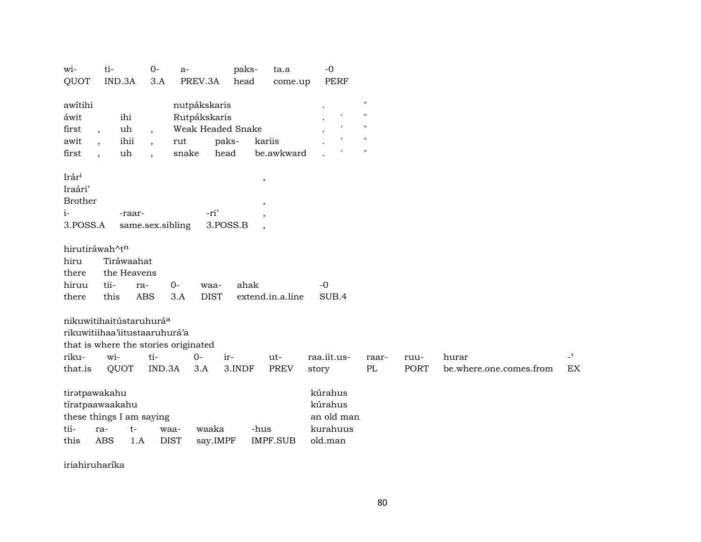| QUOT<br>IND.3A<br>PREV.3A<br>3.A<br>head<br>PERF<br>come.up<br>$\pmb{\mathsf{H}}$<br>awitihi<br>nutpákskaris<br>$\pmb{\mathsf{H}}$<br>Rutpákskaris<br>áwit<br>ihi<br>Weak Headed Snake<br>$\mathbf{I}$<br>$^{\prime\prime}$<br>uh<br>first<br>$\overline{ }$ ,<br>$^{\prime\prime}$<br>$\mathsf{I}$<br>ihii<br>paks-<br>awit<br>rut<br>kariis<br>$\pmb{\mathsf{H}}$<br>snake<br>head<br>be.awkward<br>first<br>uh<br>Irár <sup>i</sup><br>$^\mathrm{,}$<br>Iraári'<br><b>Brother</b><br>$\cdot$<br>$i-$<br>-ri'<br>-raar-<br>$\cdot$<br>3.POSS.A<br>same.sex.sibling<br>3.POSS.B<br>hirutiráwah^tn<br>Tiráwaahat<br>hiru<br>the Heavens<br>there<br>tii-<br>$0-$<br>ahak<br>hiruu<br>$-0$<br>waa-<br>ra-<br>this<br><b>ABS</b><br><b>DIST</b><br>3.A<br>extend.in.a.line<br>SUB.4<br>there |  | $0-$ | $a-$ | paks- | ta.a | $-0$ |  |    |
|--------------------------------------------------------------------------------------------------------------------------------------------------------------------------------------------------------------------------------------------------------------------------------------------------------------------------------------------------------------------------------------------------------------------------------------------------------------------------------------------------------------------------------------------------------------------------------------------------------------------------------------------------------------------------------------------------------------------------------------------------------------------------------------------|--|------|------|-------|------|------|--|----|
|                                                                                                                                                                                                                                                                                                                                                                                                                                                                                                                                                                                                                                                                                                                                                                                            |  |      |      |       |      |      |  |    |
|                                                                                                                                                                                                                                                                                                                                                                                                                                                                                                                                                                                                                                                                                                                                                                                            |  |      |      |       |      |      |  |    |
|                                                                                                                                                                                                                                                                                                                                                                                                                                                                                                                                                                                                                                                                                                                                                                                            |  |      |      |       |      |      |  |    |
|                                                                                                                                                                                                                                                                                                                                                                                                                                                                                                                                                                                                                                                                                                                                                                                            |  |      |      |       |      |      |  |    |
|                                                                                                                                                                                                                                                                                                                                                                                                                                                                                                                                                                                                                                                                                                                                                                                            |  |      |      |       |      |      |  |    |
|                                                                                                                                                                                                                                                                                                                                                                                                                                                                                                                                                                                                                                                                                                                                                                                            |  |      |      |       |      |      |  |    |
|                                                                                                                                                                                                                                                                                                                                                                                                                                                                                                                                                                                                                                                                                                                                                                                            |  |      |      |       |      |      |  |    |
|                                                                                                                                                                                                                                                                                                                                                                                                                                                                                                                                                                                                                                                                                                                                                                                            |  |      |      |       |      |      |  |    |
|                                                                                                                                                                                                                                                                                                                                                                                                                                                                                                                                                                                                                                                                                                                                                                                            |  |      |      |       |      |      |  |    |
|                                                                                                                                                                                                                                                                                                                                                                                                                                                                                                                                                                                                                                                                                                                                                                                            |  |      |      |       |      |      |  |    |
|                                                                                                                                                                                                                                                                                                                                                                                                                                                                                                                                                                                                                                                                                                                                                                                            |  |      |      |       |      |      |  |    |
|                                                                                                                                                                                                                                                                                                                                                                                                                                                                                                                                                                                                                                                                                                                                                                                            |  |      |      |       |      |      |  |    |
|                                                                                                                                                                                                                                                                                                                                                                                                                                                                                                                                                                                                                                                                                                                                                                                            |  |      |      |       |      |      |  |    |
|                                                                                                                                                                                                                                                                                                                                                                                                                                                                                                                                                                                                                                                                                                                                                                                            |  |      |      |       |      |      |  |    |
|                                                                                                                                                                                                                                                                                                                                                                                                                                                                                                                                                                                                                                                                                                                                                                                            |  |      |      |       |      |      |  |    |
|                                                                                                                                                                                                                                                                                                                                                                                                                                                                                                                                                                                                                                                                                                                                                                                            |  |      |      |       |      |      |  |    |
|                                                                                                                                                                                                                                                                                                                                                                                                                                                                                                                                                                                                                                                                                                                                                                                            |  |      |      |       |      |      |  |    |
| nikuwitihaitústaruhurá <sup>a</sup>                                                                                                                                                                                                                                                                                                                                                                                                                                                                                                                                                                                                                                                                                                                                                        |  |      |      |       |      |      |  |    |
| rikuwitiihaa'iitustaaruhurá'a                                                                                                                                                                                                                                                                                                                                                                                                                                                                                                                                                                                                                                                                                                                                                              |  |      |      |       |      |      |  |    |
| that is where the stories originated                                                                                                                                                                                                                                                                                                                                                                                                                                                                                                                                                                                                                                                                                                                                                       |  |      |      |       |      |      |  |    |
| $\overline{\phantom{0}}$<br>wi-<br>ti-<br>$0 -$<br>raa.iit.us-<br>riku-<br>ir-<br>ut-<br>hurar<br>raar-<br>ruu-                                                                                                                                                                                                                                                                                                                                                                                                                                                                                                                                                                                                                                                                            |  |      |      |       |      |      |  |    |
| QUOT<br>that.is<br>IND.3A<br>3.INDF<br><b>PREV</b><br>PL<br>PORT<br>be.where.one.comes.from<br>3.A<br>story                                                                                                                                                                                                                                                                                                                                                                                                                                                                                                                                                                                                                                                                                |  |      |      |       |      |      |  | EX |
|                                                                                                                                                                                                                                                                                                                                                                                                                                                                                                                                                                                                                                                                                                                                                                                            |  |      |      |       |      |      |  |    |
| kúrahus<br>tiratpawakahu                                                                                                                                                                                                                                                                                                                                                                                                                                                                                                                                                                                                                                                                                                                                                                   |  |      |      |       |      |      |  |    |
| kúrahus<br>tíratpaawaakahu                                                                                                                                                                                                                                                                                                                                                                                                                                                                                                                                                                                                                                                                                                                                                                 |  |      |      |       |      |      |  |    |
| these things I am saying<br>an old man                                                                                                                                                                                                                                                                                                                                                                                                                                                                                                                                                                                                                                                                                                                                                     |  |      |      |       |      |      |  |    |
| tii-<br>waaka<br>kurahuus<br>$t-$<br>-hus<br>ra-<br>waa-                                                                                                                                                                                                                                                                                                                                                                                                                                                                                                                                                                                                                                                                                                                                   |  |      |      |       |      |      |  |    |
| <b>ABS</b><br><b>DIST</b><br><b>IMPF.SUB</b><br>say.IMPF<br>old.man<br>this<br>1.A                                                                                                                                                                                                                                                                                                                                                                                                                                                                                                                                                                                                                                                                                                         |  |      |      |       |      |      |  |    |

iriahiruharíka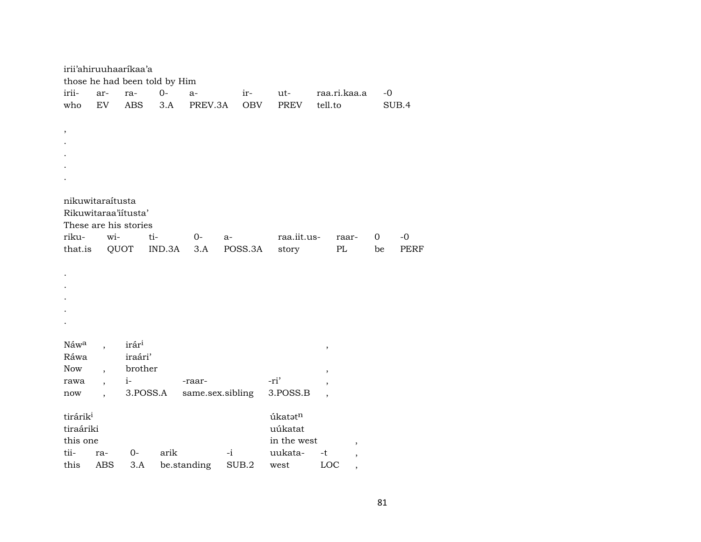|                      |            | irii'ahiruuhaaríkaa'a |                               |                  |      |         |             |         |                          |      |             |
|----------------------|------------|-----------------------|-------------------------------|------------------|------|---------|-------------|---------|--------------------------|------|-------------|
|                      |            |                       | those he had been told by Him |                  |      |         |             |         |                          |      |             |
| irii-                | ar-        | ra-                   | $0-$                          | $a-$             |      | ir-     | ut-         |         | raa.ri.kaa.a             | $-0$ |             |
| who                  | EV         | <b>ABS</b>            | 3.A                           | PREV.3A          |      | OBV     | PREV        | tell.to |                          |      | SUB.4       |
|                      |            |                       |                               |                  |      |         |             |         |                          |      |             |
| $\, ,$               |            |                       |                               |                  |      |         |             |         |                          |      |             |
|                      |            |                       |                               |                  |      |         |             |         |                          |      |             |
|                      |            |                       |                               |                  |      |         |             |         |                          |      |             |
|                      |            |                       |                               |                  |      |         |             |         |                          |      |             |
|                      |            |                       |                               |                  |      |         |             |         |                          |      |             |
|                      |            |                       |                               |                  |      |         |             |         |                          |      |             |
| nikuwitaraítusta     |            |                       |                               |                  |      |         |             |         |                          |      |             |
|                      |            | Rikuwitaraa'iitusta'  |                               |                  |      |         |             |         |                          |      |             |
|                      |            | These are his stories |                               |                  |      |         |             |         |                          |      |             |
| riku-                | wi-        |                       | ti-                           | $O-$             | a-   |         | raa.iit.us- |         | raar-                    | 0    | $-0$        |
| that.is              |            | QUOT                  | IND.3A                        | 3.A              |      | POSS.3A | story       |         | PL                       | be   | <b>PERF</b> |
|                      |            |                       |                               |                  |      |         |             |         |                          |      |             |
|                      |            |                       |                               |                  |      |         |             |         |                          |      |             |
|                      |            |                       |                               |                  |      |         |             |         |                          |      |             |
|                      |            |                       |                               |                  |      |         |             |         |                          |      |             |
|                      |            |                       |                               |                  |      |         |             |         |                          |      |             |
|                      |            |                       |                               |                  |      |         |             |         |                          |      |             |
|                      |            |                       |                               |                  |      |         |             |         |                          |      |             |
| Náw <sup>a</sup>     |            | irár <sup>i</sup>     |                               |                  |      |         |             |         |                          |      |             |
| Ráwa                 |            | iraári'               |                               |                  |      |         |             | $\,$    |                          |      |             |
| <b>Now</b>           |            | brother               |                               |                  |      |         |             |         |                          |      |             |
| rawa                 |            | $i-$                  |                               | -raar-           |      |         | -ri'        | $\,$    |                          |      |             |
| $\operatorname{now}$ |            |                       | 3.POSS.A                      | same.sex.sibling |      |         | 3.POSS.B    |         |                          |      |             |
|                      |            |                       |                               |                  |      |         |             |         |                          |      |             |
| tirárik <sup>i</sup> |            |                       |                               |                  |      |         | úkatatn     |         |                          |      |             |
| tiraáriki            |            |                       |                               |                  |      |         | uúkatat     |         |                          |      |             |
| this one             |            |                       |                               |                  |      |         | in the west |         |                          |      |             |
| tii-                 | ra-        | 0-                    | arik                          |                  | $-i$ |         | uukata-     | -t      | $\overline{\phantom{a}}$ |      |             |
| this                 | <b>ABS</b> | 3.A                   |                               | be.standing      |      | SUB.2   | west        | LOC     |                          |      |             |
|                      |            |                       |                               |                  |      |         |             |         | $\overline{\phantom{a}}$ |      |             |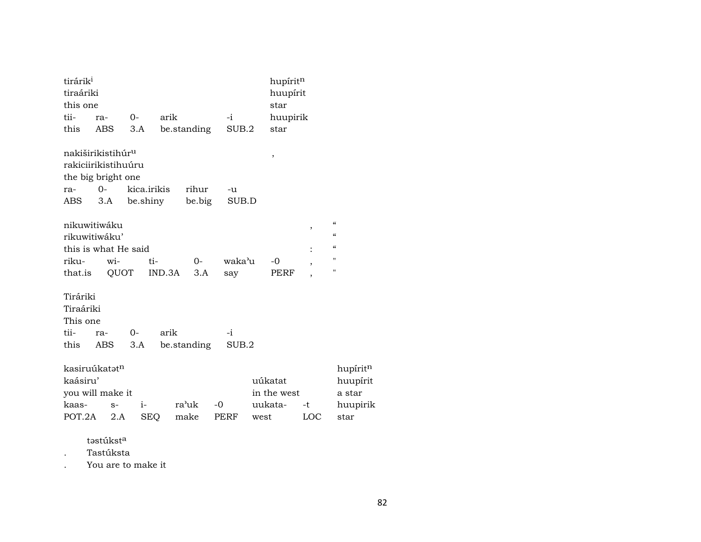| tirárik <sup>i</sup><br>tiraáriki<br>this one                    |                                                      |             |             |               |               |                            | hupíritn<br>huupírit<br>star |           |                                                                                                              |
|------------------------------------------------------------------|------------------------------------------------------|-------------|-------------|---------------|---------------|----------------------------|------------------------------|-----------|--------------------------------------------------------------------------------------------------------------|
| tii-                                                             | ra-                                                  | $O -$       | arik        |               | $-i$          |                            | huupirik                     |           |                                                                                                              |
| this                                                             | ABS                                                  | 3.A         |             | be.standing   | SUB.2         |                            | star                         |           |                                                                                                              |
| the big bright one                                               | nakiširikistihúr <sup>u</sup><br>rakiciirikistihuúru |             |             |               |               | $\, ,$                     |                              |           |                                                                                                              |
| ra-                                                              | $O -$                                                |             | kica.irikis | rihur         | -u            |                            |                              |           |                                                                                                              |
| ABS                                                              | 3.A                                                  |             | be.shiny    | be.big        | SUB.D         |                            |                              |           |                                                                                                              |
| nikuwitiwáku<br>rikuwitiwáku'<br>this is what He said            |                                                      |             |             |               |               |                            |                              | ,         | $\boldsymbol{\zeta}\boldsymbol{\zeta}$<br>$\pmb{\zeta}\pmb{\zeta}$<br>$\boldsymbol{\zeta}\boldsymbol{\zeta}$ |
| riku-                                                            | $\overline{\text{wi}}$ -                             |             | ti-         | $O -$         | waka'u        |                            | $-0$                         | ,         | 11                                                                                                           |
| that.is                                                          |                                                      | QUOT        | IND.3A      | 3.A           | say           |                            | PERF                         |           | $\blacksquare$                                                                                               |
| Tiráriki<br>Tiraáriki<br>This one<br>tii-<br>this                | ra-<br>ABS                                           | $0-$<br>3.A | arik        | be.standing   | $-i$<br>SUB.2 |                            |                              |           |                                                                                                              |
| kasiruúkatatn<br>kaásiru'<br>you will make it<br>kaas-<br>POT.2A | $S-$<br>2.A                                          | $i-$        | <b>SEQ</b>  | ra'uk<br>make | $-0$<br>PERF  | uúkatat<br>uukata-<br>west | in the west                  | -t<br>LOC | hupíritn<br>huupírit<br>a star<br>huupirik<br>star                                                           |

təstúkst<sup>a</sup>

. Tastúksta

. You are to make it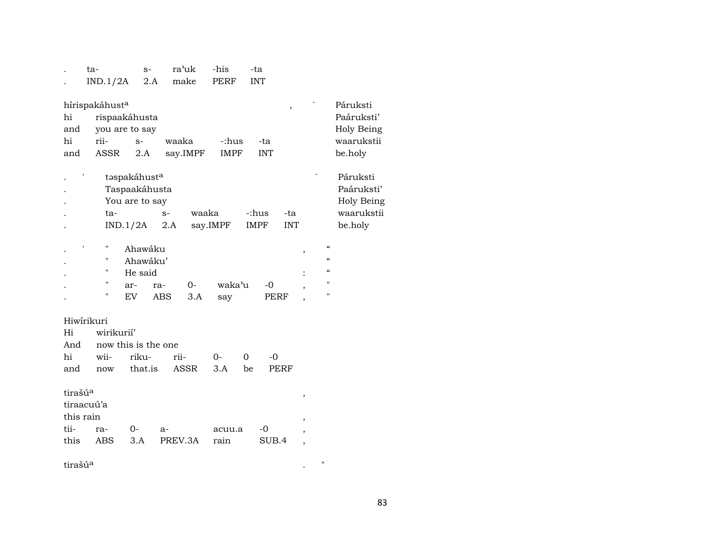|                     | ta-<br>IND.1/2A            | $S-$<br>2.A                                     |            | ra'uk<br>make | -his<br><b>PERF</b> |         | -ta<br><b>INT</b> |                          |                          |                                                                                   |                                                    |
|---------------------|----------------------------|-------------------------------------------------|------------|---------------|---------------------|---------|-------------------|--------------------------|--------------------------|-----------------------------------------------------------------------------------|----------------------------------------------------|
| hi<br>and           | hírispakáhust <sup>a</sup> | rispaakáhusta<br>you are to say                 |            |               |                     |         |                   | $\overline{\phantom{a}}$ |                          |                                                                                   | Páruksti<br>Paáruksti'<br>Holy Being               |
| hi                  | rii-                       | $S-$                                            | waaka      |               | -:hus               |         | -ta               |                          |                          |                                                                                   | waarukstii                                         |
| and                 | ASSR                       | 2.A                                             |            | say.IMPF      | IMPF                |         | <b>INT</b>        |                          |                          |                                                                                   | be.holy                                            |
|                     | ta-                        | taspakáhusta<br>Taspaakáhusta<br>You are to say | $S-$       | waaka         |                     |         | -:hus             | -ta                      |                          |                                                                                   | Páruksti<br>Paáruksti'<br>Holy Being<br>waarukstii |
|                     |                            | IND.1/2A                                        | 2.A        |               | say.IMPF            |         | IMPF              | <b>INT</b>               |                          |                                                                                   | be.holy                                            |
|                     | П<br>н<br>"<br>"<br>"      | Ahawáku<br>Ahawáku'<br>He said<br>ar-<br>EV     | ra-<br>ABS | $O -$<br>3.A  | waka'u<br>say       |         | -0<br>PERF        |                          | ,                        | $\pmb{\zeta}\pmb{\zeta}$<br>$\pmb{\mathcal{C}}$<br>$\epsilon\epsilon$<br>11<br>11 |                                                    |
|                     | Hiwirikuri                 |                                                 |            |               |                     |         |                   |                          |                          |                                                                                   |                                                    |
| Hi                  | wirikurií'                 |                                                 |            |               |                     |         |                   |                          |                          |                                                                                   |                                                    |
| And<br>hi           |                            | now this is the one<br>riku-                    |            |               |                     |         | -0                |                          |                          |                                                                                   |                                                    |
| and                 | wii-<br>now                | that.is                                         | rii-       | ASSR          | $0-$<br>3.A         | 0<br>be |                   | PERF                     |                          |                                                                                   |                                                    |
| tirašú <sup>a</sup> | tiraacuú'a<br>this rain    |                                                 |            |               |                     |         |                   |                          | ,<br>,                   |                                                                                   |                                                    |
| tii-                | ra-                        | 0-                                              | $a-$       |               | acuu.a              |         | $-0$              |                          |                          |                                                                                   |                                                    |
| this                | <b>ABS</b>                 | 3.A                                             |            | PREV.3A       | rain                |         | SUB.4             |                          | $\overline{\phantom{a}}$ |                                                                                   |                                                    |
| tirašú <sup>a</sup> |                            |                                                 |            |               |                     |         |                   |                          |                          | $\mathbf{H}$                                                                      |                                                    |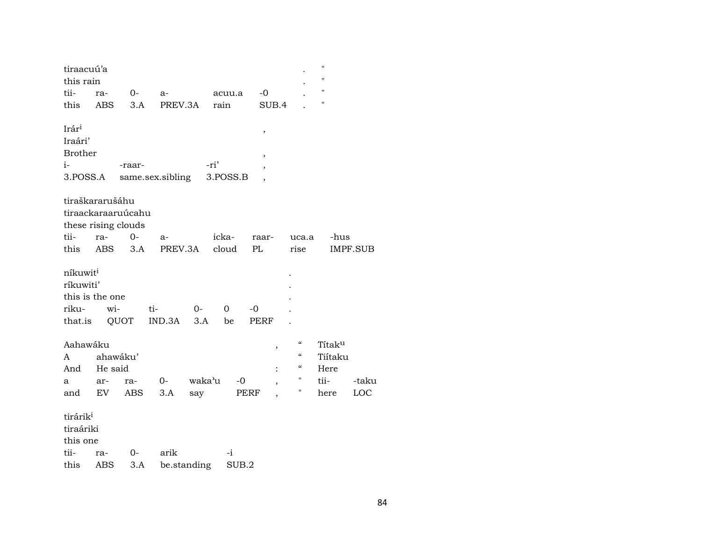| tiraacuú'a           |            |        |                  |             |          |                          |                            | $\pmb{\mathsf{H}}$ |          |
|----------------------|------------|--------|------------------|-------------|----------|--------------------------|----------------------------|--------------------|----------|
| this rain            |            |        |                  |             |          |                          |                            | п                  |          |
| tii-                 | ra-        | $O -$  | $a-$             |             | acuu.a   | $-0$                     |                            | $\pmb{\mathsf{H}}$ |          |
| this                 | <b>ABS</b> | 3.A    | PREV.3A          |             | rain     | SUB.4                    |                            | П                  |          |
| Irár <sup>i</sup>    |            |        |                  |             |          | $\, ,$                   |                            |                    |          |
| Iraári'              |            |        |                  |             |          |                          |                            |                    |          |
| <b>Brother</b>       |            |        |                  |             |          | $\, ,$                   |                            |                    |          |
| $i-$                 |            | -raar- |                  | -ri'        |          | $\overline{\phantom{a}}$ |                            |                    |          |
| 3.POSS.A             |            |        | same.sex.sibling |             | 3.POSS.B |                          |                            |                    |          |
| tiraškararušáhu      |            |        |                  |             |          |                          |                            |                    |          |
| tiraackaraaruúcahu   |            |        |                  |             |          |                          |                            |                    |          |
| these rising clouds  |            |        |                  |             |          |                          |                            |                    |          |
| tii-                 | ra-        | $0-$   | $a-$             |             | icka-    | raar-                    | uca.a                      | -hus               |          |
| this                 | <b>ABS</b> | 3.A    | PREV.3A          |             | cloud    | PL                       | rise                       |                    | IMPF.SUB |
| níkuwit <sup>i</sup> |            |        |                  |             |          |                          |                            |                    |          |
| ríkuwiti'            |            |        |                  |             |          |                          |                            |                    |          |
| this is the one      |            |        |                  |             |          |                          |                            |                    |          |
| riku-                | wi-        |        | ti-              | $O-$        | 0        | $-0$                     |                            |                    |          |
| that.is QUOT         |            |        | $IND.3A$ 3.A     |             | be       | PERF                     |                            |                    |          |
| Aahawáku             |            |        |                  |             |          |                          | $\mathcal{C}$              | Títaku             |          |
| A                    | ahawáku'   |        |                  |             |          |                          | $\epsilon\epsilon$         | Tiítaku            |          |
| And                  | He said    |        |                  |             |          |                          | $\boldsymbol{\mathcal{C}}$ | Here               |          |
| a                    | ar-        | ra-    | $O-$             | waka'u      | -0       | $\overline{\phantom{a}}$ | Ħ                          | tii-               | -taku    |
| and                  | EV         | ABS    | 3.A              | say         |          | PERF                     | Ħ                          | here               | LOC      |
| tirárik <sup>i</sup> |            |        |                  |             |          |                          |                            |                    |          |
| tiraáriki            |            |        |                  |             |          |                          |                            |                    |          |
| this one             |            |        |                  |             |          |                          |                            |                    |          |
| tii-                 | ra-        | 0-     | arik             |             | $-i$     |                          |                            |                    |          |
| this                 | ABS        | 3.A    |                  | be.standing | SUB.2    |                          |                            |                    |          |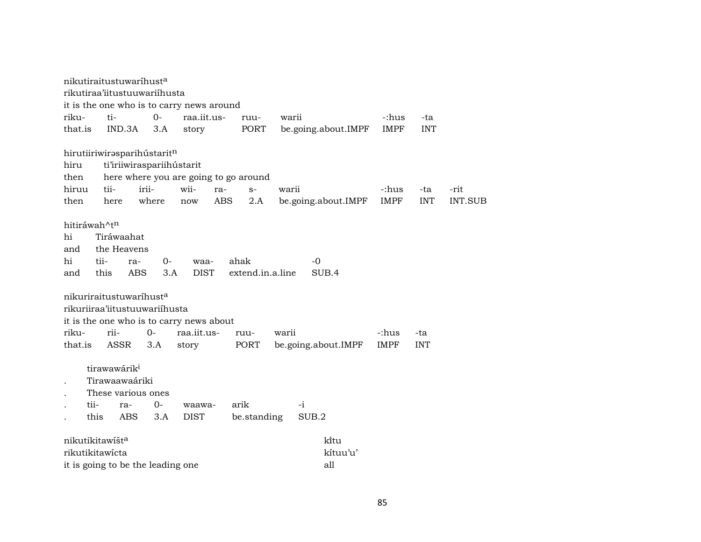|                          | nikutiraitustuwaríhust <sup>a</sup> |                                   |                                           |             |                  |                     |             |            |                |  |  |
|--------------------------|-------------------------------------|-----------------------------------|-------------------------------------------|-------------|------------------|---------------------|-------------|------------|----------------|--|--|
|                          | rikutiraa'iitustuuwariihusta        |                                   |                                           |             |                  |                     |             |            |                |  |  |
|                          |                                     |                                   | it is the one who is to carry news around |             |                  |                     |             |            |                |  |  |
| riku-                    | ti-                                 | $0-$                              | raa.iit.us-                               | ruu-        | warii            |                     | -:hus       | -ta        |                |  |  |
| that.is                  | IND.3A                              | 3.A                               | story                                     | PORT        |                  | be.going.about.IMPF | <b>IMPF</b> | <b>INT</b> |                |  |  |
|                          |                                     |                                   |                                           |             |                  |                     |             |            |                |  |  |
|                          |                                     | hirutiiriwirəsparihustaritn       |                                           |             |                  |                     |             |            |                |  |  |
| hiru                     |                                     | ti'iriiwiraspariihústarit         |                                           |             |                  |                     |             |            |                |  |  |
| then                     |                                     |                                   | here where you are going to go around     |             |                  |                     |             |            |                |  |  |
| hiruu                    | tii-                                | irii-                             | wii-                                      | ra-<br>$S-$ | warii            |                     | -:hus       | -ta        | -rit           |  |  |
| then                     | here                                | where                             | now                                       | ABS         | 2.A              | be.going.about.IMPF | <b>IMPF</b> | <b>INT</b> | <b>INT.SUB</b> |  |  |
|                          |                                     |                                   |                                           |             |                  |                     |             |            |                |  |  |
| hitiráwah^t <sup>n</sup> |                                     |                                   |                                           |             |                  |                     |             |            |                |  |  |
| hi                       | Tiráwaahat                          |                                   |                                           |             |                  |                     |             |            |                |  |  |
| and                      | the Heavens                         |                                   |                                           |             |                  |                     |             |            |                |  |  |
| hi                       | tii-                                | $0-$<br>ra-                       | waa-                                      | ahak        |                  | $-0$                |             |            |                |  |  |
| and                      | this                                | ABS<br>3.A                        | <b>DIST</b>                               |             | extend.in.a.line | SUB.4               |             |            |                |  |  |
|                          |                                     |                                   |                                           |             |                  |                     |             |            |                |  |  |
|                          |                                     | nikuriraitustuwaríhusta           |                                           |             |                  |                     |             |            |                |  |  |
|                          |                                     | rikuriiraa'iitustuuwariihusta     |                                           |             |                  |                     |             |            |                |  |  |
|                          |                                     |                                   | it is the one who is to carry news about  |             |                  |                     |             |            |                |  |  |
| riku-                    | rii-                                | $0 -$                             | raa.iit.us-                               | ruu-        | warii            |                     | -:hus       | -ta        |                |  |  |
| that.is                  | ASSR                                | 3.A                               | story                                     | PORT        |                  | be.going.about.IMPF | <b>IMPF</b> | <b>INT</b> |                |  |  |
|                          | tirawawárik <sup>i</sup>            |                                   |                                           |             |                  |                     |             |            |                |  |  |
|                          | Tirawaawaáriki                      |                                   |                                           |             |                  |                     |             |            |                |  |  |
|                          |                                     | These various ones                |                                           |             |                  |                     |             |            |                |  |  |
|                          |                                     |                                   |                                           |             |                  |                     |             |            |                |  |  |
| tii-                     | ra-                                 | $0-$                              | waawa-                                    | arik        |                  | $-i$                |             |            |                |  |  |
|                          | this<br><b>ABS</b>                  | 3.A                               | <b>DIST</b>                               |             | be.standing      | SUB.2               |             |            |                |  |  |
|                          | nikutikitawíšt <sup>a</sup>         |                                   |                                           |             |                  | kītu                |             |            |                |  |  |
|                          | rikutikitawicta                     |                                   |                                           |             |                  | kítuu'u'            |             |            |                |  |  |
|                          |                                     |                                   |                                           |             |                  | all                 |             |            |                |  |  |
|                          |                                     | it is going to be the leading one |                                           |             |                  |                     |             |            |                |  |  |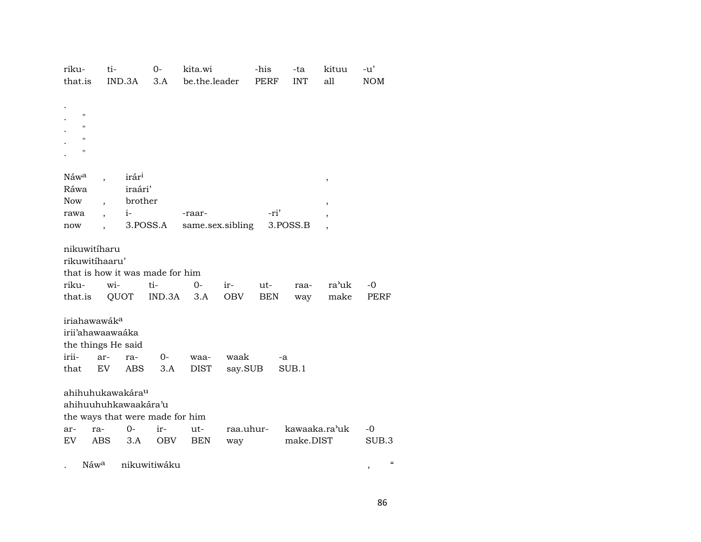| riku-                        | ti-        | $0-$                            | kita.wi          |           | -his        | -ta           | kituu | -u'                                                    |
|------------------------------|------------|---------------------------------|------------------|-----------|-------------|---------------|-------|--------------------------------------------------------|
| that.is                      | IND.3A     | 3.A                             | be.the.leader    |           | <b>PERF</b> | <b>INT</b>    | all   | <b>NOM</b>                                             |
|                              |            |                                 |                  |           |             |               |       |                                                        |
|                              |            |                                 |                  |           |             |               |       |                                                        |
| $\pmb{\mathsf{H}}$           |            |                                 |                  |           |             |               |       |                                                        |
| $\pmb{\mathsf{H}}$           |            |                                 |                  |           |             |               |       |                                                        |
| $\pmb{\mathsf{H}}$           |            |                                 |                  |           |             |               |       |                                                        |
| $\pmb{\mathsf{H}}$           |            |                                 |                  |           |             |               |       |                                                        |
|                              |            |                                 |                  |           |             |               |       |                                                        |
| Náw <sup>a</sup>             |            | irár <sup>i</sup>               |                  |           |             |               | $\,$  |                                                        |
| Ráwa                         |            | iraári'                         |                  |           |             |               |       |                                                        |
| <b>Now</b>                   |            | brother                         |                  |           |             |               | ,     |                                                        |
| rawa                         | $i-$       |                                 | -raar-           |           | -ri'        |               |       |                                                        |
| now                          |            | 3.POSS.A                        | same.sex.sibling |           |             | 3.POSS.B      |       |                                                        |
|                              |            |                                 |                  |           |             |               |       |                                                        |
| nikuwitíharu                 |            |                                 |                  |           |             |               |       |                                                        |
| rikuwitíhaaru'               |            |                                 |                  |           |             |               |       |                                                        |
|                              |            | that is how it was made for him |                  |           |             |               |       |                                                        |
| riku-                        | wi-        | ti-                             | $O -$            | ir-       | ut-         | raa-          | ra'uk | -0                                                     |
| that.is                      | QUOT       | IND.3A                          | 3.A              | OBV       | <b>BEN</b>  | way           | make  | <b>PERF</b>                                            |
|                              |            |                                 |                  |           |             |               |       |                                                        |
| iriahawawák <sup>a</sup>     |            |                                 |                  |           |             |               |       |                                                        |
| irii'ahawaawaáka             |            |                                 |                  |           |             |               |       |                                                        |
| the things He said           |            |                                 |                  |           |             |               |       |                                                        |
| irii-                        | ar-        | $O-$<br>ra-                     | waa-             | waak      |             | -a            |       |                                                        |
| that                         | EV         | ABS<br>3.A                      | <b>DIST</b>      | say.SUB   |             | SUB.1         |       |                                                        |
|                              |            |                                 |                  |           |             |               |       |                                                        |
| ahihuhukawakára <sup>u</sup> |            |                                 |                  |           |             |               |       |                                                        |
|                              |            | ahihuuhuhkawaakára'u            |                  |           |             |               |       |                                                        |
|                              |            | the ways that were made for him |                  |           |             |               |       |                                                        |
| ra-<br>ar-                   |            | $O -$<br>ir-                    | ut-              | raa.uhur- |             | kawaaka.ra'uk |       | $-0$                                                   |
| EV                           | <b>ABS</b> | OBV<br>3.A                      | <b>BEN</b>       | way       |             | make.DIST     |       | SUB.3                                                  |
|                              |            |                                 |                  |           |             |               |       |                                                        |
| Náw <sup>a</sup>             |            | nikuwitiwáku                    |                  |           |             |               |       | $\boldsymbol{\mathcal{C}}$<br>$\overline{\phantom{a}}$ |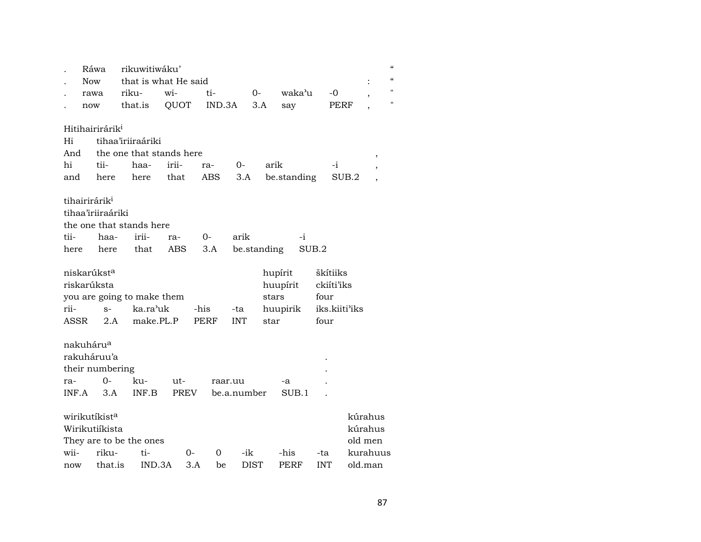|                       | Ráwa        |                             | rikuwitiwáku'<br>that is what He said |             |      |               |             |             |             |            |               |                          | $\epsilon$ |
|-----------------------|-------------|-----------------------------|---------------------------------------|-------------|------|---------------|-------------|-------------|-------------|------------|---------------|--------------------------|------------|
|                       | <b>Now</b>  |                             |                                       | wi-         |      |               |             |             | waka'u      | $-0$       |               | $\vdots$                 |            |
|                       | rawa<br>now |                             | riku-<br>that.is                      | QUOT        |      | ti-<br>IND.3A |             | 0-<br>3.A   | say         |            | PERF          | $\overline{\phantom{a}}$ | Η          |
|                       |             |                             |                                       |             |      |               |             |             |             |            |               |                          |            |
|                       |             | Hitihairirárik <sup>i</sup> |                                       |             |      |               |             |             |             |            |               |                          |            |
| Hi                    |             |                             | tihaa'iriiraáriki                     |             |      |               |             |             |             |            |               |                          |            |
| And                   |             |                             | the one that stands here              |             |      |               |             |             |             |            |               | ,                        |            |
| hi                    |             | tii-                        | haa-                                  | irii-       | ra-  |               | 0-          | arik        |             |            | $-i$          |                          |            |
| and                   |             | here                        | here                                  | that        |      | ABS           | 3.A         |             | be.standing |            | SUB.2         |                          |            |
|                       |             | tihairirárik <sup>i</sup>   |                                       |             |      |               |             |             |             |            |               |                          |            |
|                       |             | tihaa'iriiraáriki           |                                       |             |      |               |             |             |             |            |               |                          |            |
|                       |             |                             | the one that stands here              |             |      |               |             |             |             |            |               |                          |            |
| tii-                  |             | haa-                        | irii-                                 | ra-         | 0-   |               | arik        |             | $-i$        |            |               |                          |            |
| here                  |             | here                        | that                                  | ABS         |      | 3.A           |             | be.standing |             | SUB.2      |               |                          |            |
|                       |             | niskarúkst <sup>a</sup>     |                                       |             |      |               |             |             | hupírit     | škítiiks   |               |                          |            |
|                       |             | riskarúksta                 |                                       |             |      |               |             |             | huupírit    | ckiíti'iks |               |                          |            |
|                       |             |                             | you are going to make them            |             |      |               |             | stars       |             | four       |               |                          |            |
| rii-                  |             | $S-$                        | ka.ra'uk                              |             | -his |               | -ta         |             | huupirik    |            | iks.kiiti'iks |                          |            |
| ASSR                  |             | 2.A                         | make.PL.P                             |             | PERF |               | <b>INT</b>  | star        |             | four       |               |                          |            |
| nakuháru <sup>a</sup> |             |                             |                                       |             |      |               |             |             |             |            |               |                          |            |
|                       |             | rakuháruu'a                 |                                       |             |      |               |             |             |             |            |               |                          |            |
|                       |             | their numbering             |                                       |             |      |               |             |             |             |            |               |                          |            |
| ra-                   |             | $O -$                       | ku-                                   | ut-         |      | raar.uu       |             |             | -a          |            |               |                          |            |
| INF.A                 |             | 3.A                         | INF.B                                 | <b>PREV</b> |      | be.a.number   |             |             | SUB.1       |            |               |                          |            |
|                       |             |                             |                                       |             |      |               |             |             |             |            |               |                          |            |
|                       |             | wirikutíkist <sup>a</sup>   |                                       |             |      |               |             |             |             |            |               | kúrahus                  |            |
|                       |             | Wirikutiíkista              |                                       |             |      |               |             |             |             |            |               | kúrahus                  |            |
|                       |             |                             | They are to be the ones               |             |      |               |             |             |             |            |               | old men                  |            |
| wii-                  |             | riku-                       | ti-                                   |             | 0-   | 0             | -ik         |             | -his        | -ta        |               | kurahuus                 |            |
| now                   |             | that.is                     | IND.3A                                |             | 3.A  | be            | <b>DIST</b> |             | PERF        | <b>INT</b> |               | old.man                  |            |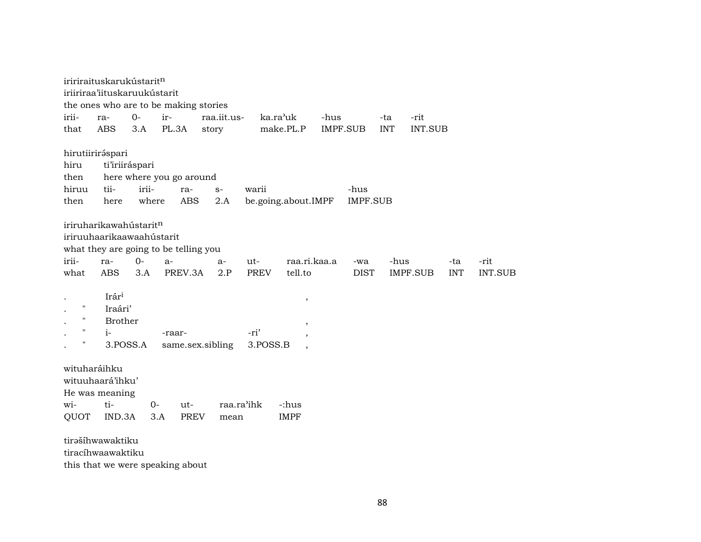| iririraituskarukústarit <sup>n</sup><br>iriiriraa'iituskaruukústarit                                  |                                               |                            |                         |                            |                               |                        |
|-------------------------------------------------------------------------------------------------------|-----------------------------------------------|----------------------------|-------------------------|----------------------------|-------------------------------|------------------------|
| the ones who are to be making stories                                                                 |                                               |                            |                         |                            |                               |                        |
| $O-$<br>irii-<br>ra-                                                                                  | ir-                                           | raa.iit.us-<br>ka.ra'uk    | -hus                    | -ta                        | -rit                          |                        |
| <b>ABS</b><br>3.A<br>that                                                                             | PL.3A                                         | story                      | make.PL.P<br>IMPF.SUB   | <b>INT</b>                 | INT.SUB                       |                        |
| hirutiiriráspari<br>hiru<br>ti'iriiráspari<br>then<br>irii-<br>tii-<br>hiruu<br>where<br>then<br>here | here where you go around<br>ra-<br><b>ABS</b> | warii<br>$S-$<br>2.A       | be.going.about.IMPF     | -hus<br><b>IMPF.SUB</b>    |                               |                        |
| iriruharikawahústaritn<br>iriruuhaarikaawaahústarit<br>what they are going to be telling you          |                                               |                            |                         |                            |                               |                        |
| irii-<br>$0 -$<br>ra-<br>what<br>ABS<br>3.A                                                           | $a-$<br>PREV.3A                               | ut-<br>$a-$<br>PREV<br>2.P | raa.ri.kaa.a<br>tell.to | -hus<br>-wa<br><b>DIST</b> | -ta<br>IMPF.SUB<br><b>INT</b> | -rit<br><b>INT.SUB</b> |
| Irári<br>$\pmb{\mathsf{H}}$<br>Iraári'<br>н<br><b>Brother</b><br>$i-$<br>Н<br>3.POSS.A                | -raar-<br>same.sex.sibling                    | -ri'<br>3.POSS.B           | $^\mathrm{,}$<br>,<br>, |                            |                               |                        |
| wituharáihku<br>wituuhaará'ihku'<br>He was meaning<br>ti-<br>wi-<br>IND.3A<br>QUOT                    | $0-$<br>ut-<br>PREV<br>3.A                    | raa.ra'ihk<br>mean         | -:hus<br><b>IMPF</b>    |                            |                               |                        |
| tirəšíhwawaktiku<br>tiracíhwaawaktiku                                                                 |                                               |                            |                         |                            |                               |                        |

this that we were speaking about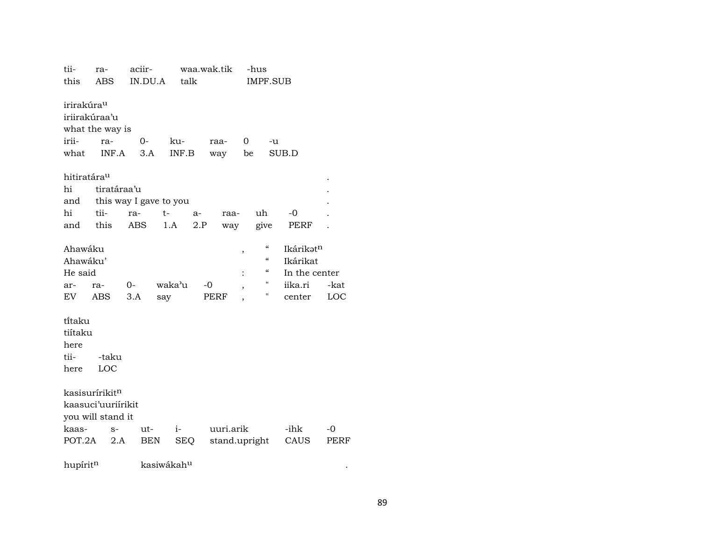| tii-                    | ra-                    | aciir- |                        |            | waa.wak.tik |                          | -hus |                                        |               |      |
|-------------------------|------------------------|--------|------------------------|------------|-------------|--------------------------|------|----------------------------------------|---------------|------|
| this                    | <b>ABS</b>             |        | IN.DU.A                | talk       |             |                          |      | <b>IMPF.SUB</b>                        |               |      |
|                         |                        |        |                        |            |             |                          |      |                                        |               |      |
| irirakúra <sup>u</sup>  |                        |        |                        |            |             |                          |      |                                        |               |      |
|                         | iriirakúraa'u          |        |                        |            |             |                          |      |                                        |               |      |
|                         | what the way is        |        |                        |            |             |                          |      |                                        |               |      |
| irii-                   | ra-                    | $0-$   |                        | ku-        | raa-        |                          | 0    | -u                                     |               |      |
| what                    | INF.A                  |        | 3.A                    | INF.B      |             | way                      | be   |                                        | SUB.D         |      |
|                         |                        |        |                        |            |             |                          |      |                                        |               |      |
| hitiratára <sup>u</sup> |                        |        |                        |            |             |                          |      |                                        |               |      |
| hi                      | tiratáraa'u            |        |                        |            |             |                          |      |                                        |               |      |
| and                     | this way I gave to you |        |                        |            |             |                          |      |                                        |               |      |
| hi                      | tii-                   | ra-    | t-                     | a-         |             | raa-                     |      | uh                                     | -0            |      |
| and                     | this                   | ABS    | 1.A                    |            | 2.P         | way                      |      | give                                   | PERF          |      |
|                         |                        |        |                        |            |             |                          |      |                                        |               |      |
| Ahawáku                 |                        |        |                        |            |             | $\, ,$                   |      | $\boldsymbol{\mathcal{C}}$             | Ikárikatn     |      |
| Ahawáku'                |                        |        |                        |            |             |                          |      | $\boldsymbol{\zeta}\boldsymbol{\zeta}$ | Ikárikat      |      |
| He said                 |                        |        |                        |            |             |                          |      | "                                      | In the center |      |
| ar-                     | ra-                    | 0-     | waka'u                 |            | -0          | $\overline{\phantom{a}}$ |      | н                                      | iika.ri       | -kat |
| EV                      | ABS                    | 3.A    | say                    |            | PERF        |                          |      | 11                                     | center        | LOC  |
|                         |                        |        |                        |            |             |                          |      |                                        |               |      |
| ti̇̃taku                |                        |        |                        |            |             |                          |      |                                        |               |      |
| tiítaku                 |                        |        |                        |            |             |                          |      |                                        |               |      |
| here                    |                        |        |                        |            |             |                          |      |                                        |               |      |
| tii-                    | -taku                  |        |                        |            |             |                          |      |                                        |               |      |
| here                    | LOC                    |        |                        |            |             |                          |      |                                        |               |      |
|                         |                        |        |                        |            |             |                          |      |                                        |               |      |
|                         | kasisurírikitn         |        |                        |            |             |                          |      |                                        |               |      |
|                         | kaasuci'uuriirikit     |        |                        |            |             |                          |      |                                        |               |      |
|                         | you will stand it      |        |                        |            |             |                          |      |                                        |               |      |
| kaas-                   | $S-$                   |        | ut-                    | $i-$       |             | uuri.arik                |      |                                        | -ihk          | $-0$ |
| POT.2A                  | 2.A                    |        | BEN                    | <b>SEQ</b> |             | stand.upright            |      |                                        | CAUS          | PERF |
|                         |                        |        |                        |            |             |                          |      |                                        |               |      |
| hupíritn                |                        |        | kasiwákah <sup>u</sup> |            |             |                          |      |                                        |               |      |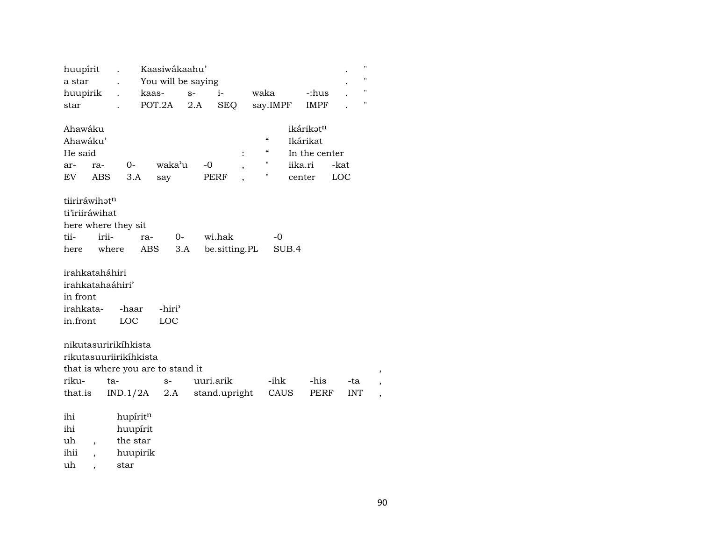| huupírit               |                          |            |          | Kaasiwákaahu'                     |      |    |               |                          |      |                          |         |               |      | $\pmb{\mathsf{H}}$ |                          |
|------------------------|--------------------------|------------|----------|-----------------------------------|------|----|---------------|--------------------------|------|--------------------------|---------|---------------|------|--------------------|--------------------------|
| a star                 |                          |            |          | You will be saying                |      |    |               |                          |      |                          |         |               |      | $\pmb{\mathsf{H}}$ |                          |
| huupirik               |                          |            | kaas-    |                                   | $S-$ |    | i-            |                          | waka |                          |         | -:hus         |      | $\pmb{\mathsf{H}}$ |                          |
| star                   |                          |            |          | POT.2A                            | 2.A  |    | <b>SEQ</b>    |                          |      | say.IMPF                 |         | <b>IMPF</b>   |      | п                  |                          |
|                        |                          |            |          |                                   |      |    |               |                          |      |                          |         |               |      |                    |                          |
| Ahawáku                |                          |            |          |                                   |      |    |               |                          |      |                          |         | ikárikatn     |      |                    |                          |
| Ahawáku'               |                          |            |          |                                   |      |    |               |                          |      | $\mathcal{C}$            |         | Ikárikat      |      |                    |                          |
| He said                |                          |            |          |                                   |      |    |               | $\ddot{\cdot}$           |      | $\mathcal{C}\mathcal{C}$ |         | In the center |      |                    |                          |
| ar-                    | ra-                      |            | 0-       | waka'u                            |      | -0 |               | $\overline{\phantom{a}}$ |      | 11                       | iika.ri |               | -kat |                    |                          |
| EV                     | <b>ABS</b>               |            | 3.A      | say                               |      |    | PERF          |                          |      | н                        |         | center        | LOC  |                    |                          |
|                        |                          |            |          |                                   |      |    |               |                          |      |                          |         |               |      |                    |                          |
| tiiriráwihatn          |                          |            |          |                                   |      |    |               |                          |      |                          |         |               |      |                    |                          |
| ti'iriiráwihat         |                          |            |          |                                   |      |    |               |                          |      |                          |         |               |      |                    |                          |
| here where they sit    |                          |            |          |                                   |      |    |               |                          |      |                          |         |               |      |                    |                          |
| tii-                   |                          | irii-      | ra-      | $0-$                              |      |    | wi.hak        |                          |      | -0                       |         |               |      |                    |                          |
| here                   |                          | where      | ABS      |                                   | 3.A  |    | be.sitting.PL |                          |      |                          | SUB.4   |               |      |                    |                          |
|                        |                          |            |          |                                   |      |    |               |                          |      |                          |         |               |      |                    |                          |
| irahkataháhiri         |                          |            |          |                                   |      |    |               |                          |      |                          |         |               |      |                    |                          |
| irahkatahaáhiri'       |                          |            |          |                                   |      |    |               |                          |      |                          |         |               |      |                    |                          |
| in front               |                          |            |          |                                   |      |    |               |                          |      |                          |         |               |      |                    |                          |
| irahkata-              |                          |            | -haar    | -hiri <sup>3</sup>                |      |    |               |                          |      |                          |         |               |      |                    |                          |
| in.front               |                          | <b>LOC</b> |          | LOC                               |      |    |               |                          |      |                          |         |               |      |                    |                          |
|                        |                          |            |          |                                   |      |    |               |                          |      |                          |         |               |      |                    |                          |
| nikutasuririkihkista   |                          |            |          |                                   |      |    |               |                          |      |                          |         |               |      |                    |                          |
| rikutasuuriirikíhkista |                          |            |          |                                   |      |    |               |                          |      |                          |         |               |      |                    |                          |
|                        |                          |            |          | that is where you are to stand it |      |    |               |                          |      |                          |         |               |      |                    |                          |
| riku-                  |                          | ta-        |          | $S-$                              |      |    | uuri.arik     |                          |      | -ihk                     |         | -his          |      | -ta                |                          |
| that.is                |                          | IND.1/2A   |          | 2.A                               |      |    | stand.upright |                          |      | CAUS                     |         | PERF          |      | <b>INT</b>         |                          |
|                        |                          |            |          |                                   |      |    |               |                          |      |                          |         |               |      |                    | $\overline{\phantom{a}}$ |
| ihi                    |                          |            | hupíritn |                                   |      |    |               |                          |      |                          |         |               |      |                    |                          |
| ihi                    |                          |            | huupírit |                                   |      |    |               |                          |      |                          |         |               |      |                    |                          |
| uh                     | $\overline{\phantom{a}}$ |            | the star |                                   |      |    |               |                          |      |                          |         |               |      |                    |                          |
| ihii                   |                          |            | huupirik |                                   |      |    |               |                          |      |                          |         |               |      |                    |                          |
| uh                     |                          | star       |          |                                   |      |    |               |                          |      |                          |         |               |      |                    |                          |
|                        |                          |            |          |                                   |      |    |               |                          |      |                          |         |               |      |                    |                          |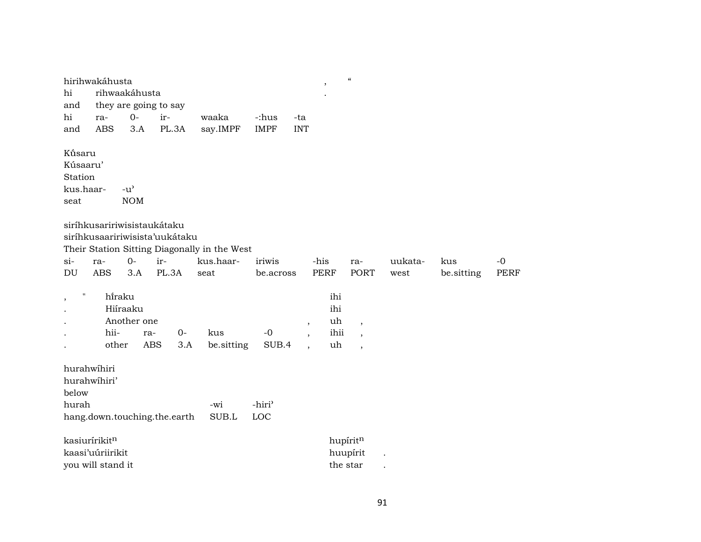|                         | hirihwakáhusta                 |                       |            |      |                                              |                    |                         | $\, ,$      | $\boldsymbol{\mathcal{C}}$ |         |            |             |
|-------------------------|--------------------------------|-----------------------|------------|------|----------------------------------------------|--------------------|-------------------------|-------------|----------------------------|---------|------------|-------------|
| hi                      |                                | rihwaakáhusta         |            |      |                                              |                    |                         |             |                            |         |            |             |
| and                     |                                | they are going to say |            |      |                                              |                    |                         |             |                            |         |            |             |
| hi                      | ra-                            | $O -$                 | ir-        |      | waaka                                        | -:hus              | -ta                     |             |                            |         |            |             |
| and                     | <b>ABS</b>                     | 3.A                   | PL.3A      |      | say.IMPF                                     | <b>IMPF</b>        | <b>INT</b>              |             |                            |         |            |             |
| Kûsaru                  |                                |                       |            |      |                                              |                    |                         |             |                            |         |            |             |
| Kúsaaru'                |                                |                       |            |      |                                              |                    |                         |             |                            |         |            |             |
| Station                 |                                |                       |            |      |                                              |                    |                         |             |                            |         |            |             |
| kus.haar-               |                                | $-u^{\prime}$         |            |      |                                              |                    |                         |             |                            |         |            |             |
| seat                    |                                | <b>NOM</b>            |            |      |                                              |                    |                         |             |                            |         |            |             |
|                         | siríhkusaririwisistaukátaku    |                       |            |      |                                              |                    |                         |             |                            |         |            |             |
|                         | siríhkusaaririwisista'uukátaku |                       |            |      |                                              |                    |                         |             |                            |         |            |             |
|                         |                                |                       |            |      | Their Station Sitting Diagonally in the West |                    |                         |             |                            |         |            |             |
| $\sin$                  | ra-                            | $0-$                  | ir-        |      | kus.haar-                                    | iriwis             |                         | -his        | ra-                        | uukata- | kus        | $-0$        |
| DU                      | <b>ABS</b>                     | 3.A                   | PL.3A      |      | seat                                         | be.across          |                         | <b>PERF</b> | PORT                       | west    | be.sitting | <b>PERF</b> |
| $\pmb{\mathsf{H}}$<br>, | hiraku                         |                       |            |      |                                              |                    |                         | ihi         |                            |         |            |             |
|                         |                                | Hiíraaku              |            |      |                                              |                    |                         | ihi         |                            |         |            |             |
|                         |                                | Another one           |            |      |                                              |                    | $^\mathrm{^\mathrm{o}}$ | uh          | $\overline{\phantom{a}}$   |         |            |             |
|                         | hii-                           |                       | ra-        | $0-$ | kus                                          | $-0$               |                         | ihii        | $\overline{\phantom{a}}$   |         |            |             |
|                         | other                          |                       | <b>ABS</b> | 3.A  | be.sitting                                   | SUB.4              |                         | uh          | $\overline{\phantom{a}}$   |         |            |             |
|                         | hurahwihiri                    |                       |            |      |                                              |                    |                         |             |                            |         |            |             |
|                         | hurahwihiri'                   |                       |            |      |                                              |                    |                         |             |                            |         |            |             |
| below                   |                                |                       |            |      |                                              |                    |                         |             |                            |         |            |             |
| hurah                   |                                |                       |            |      | -wi                                          | -hiri <sup>3</sup> |                         |             |                            |         |            |             |
|                         | hang.down.touching.the.earth   |                       |            |      | SUB.L                                        | LOC                |                         |             |                            |         |            |             |
|                         | kasiurírikitn                  |                       |            |      |                                              |                    |                         |             | hupíritn                   |         |            |             |
|                         | kaasi'uúriirikit               |                       |            |      |                                              |                    |                         |             | huupírit                   |         |            |             |
|                         | you will stand it              |                       |            |      |                                              |                    |                         |             | the star                   |         |            |             |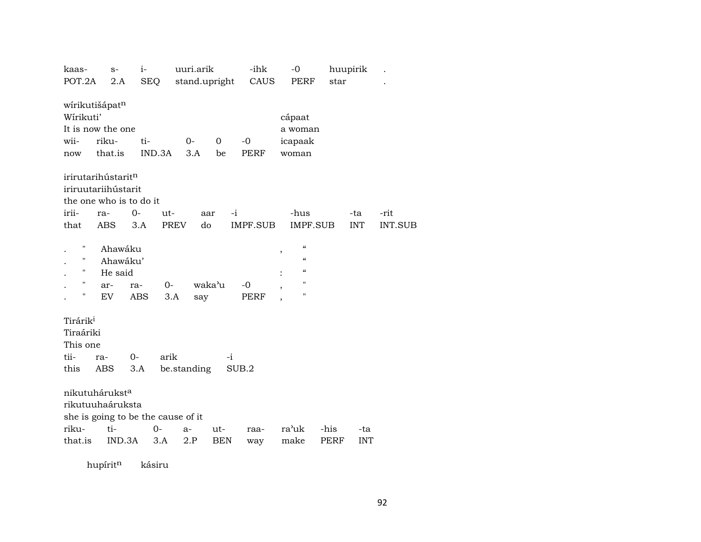| kaas-                              | $S-$     | $i-$       |            | uuri.arik     |            | -ihk        | $-0$            | huupirik |            |                |
|------------------------------------|----------|------------|------------|---------------|------------|-------------|-----------------|----------|------------|----------------|
| POT.2A                             | 2.A      |            | <b>SEQ</b> | stand.upright |            | CAUS        | PERF            | star     |            |                |
|                                    |          |            |            |               |            |             |                 |          |            |                |
| wírikutišápatn                     |          |            |            |               |            |             |                 |          |            |                |
| Wírikuti'                          |          |            |            |               |            |             | cápaat          |          |            |                |
| It is now the one                  |          |            |            |               |            |             | a woman         |          |            |                |
| wii-                               | riku-    | ti-        |            | $0-$          | 0          | $-0$        | icapaak         |          |            |                |
| now                                | that.is  |            | IND.3A     | 3.A           | be         | <b>PERF</b> | woman           |          |            |                |
|                                    |          |            |            |               |            |             |                 |          |            |                |
| irirutarihústaritn                 |          |            |            |               |            |             |                 |          |            |                |
| iriruutariihústarit                |          |            |            |               |            |             |                 |          |            |                |
| the one who is to do it            |          |            |            |               |            |             |                 |          |            |                |
| irii-                              | ra-      | $0-$       | ut-        | aar           |            | -i          | -hus            |          | -ta        | -rit           |
| that                               | ABS      | 3.A        | PREV       | do            |            | IMPF.SUB    | IMPF.SUB        |          | <b>INT</b> | <b>INT.SUB</b> |
|                                    |          |            |            |               |            |             |                 |          |            |                |
| Н                                  | Ahawáku  |            |            |               |            |             | $\mathcal{C}$   |          |            |                |
|                                    | Ahawáku' |            |            |               |            |             | ,<br>$\epsilon$ |          |            |                |
| н                                  | He said  |            |            |               |            |             | $\epsilon$      |          |            |                |
| н                                  | ar-      | ra-        | $0-$       | waka'u        |            | -0          | п               |          |            |                |
| П                                  | EV       | <b>ABS</b> | 3.A        | say           |            | PERF        | Н               |          |            |                |
|                                    |          |            |            |               |            |             |                 |          |            |                |
| Tirárik <sup>i</sup>               |          |            |            |               |            |             |                 |          |            |                |
| Tiraáriki                          |          |            |            |               |            |             |                 |          |            |                |
| This one                           |          |            |            |               |            |             |                 |          |            |                |
|                                    |          |            |            |               |            |             |                 |          |            |                |
| tii-                               | ra-      | $0-$       | arik       |               | $-i$       |             |                 |          |            |                |
| this                               | ABS      | 3.A        |            | be.standing   |            | SUB.2       |                 |          |            |                |
|                                    |          |            |            |               |            |             |                 |          |            |                |
| nikutuhárukst <sup>a</sup>         |          |            |            |               |            |             |                 |          |            |                |
| rikutuuhaáruksta                   |          |            |            |               |            |             |                 |          |            |                |
| she is going to be the cause of it |          |            |            |               |            |             |                 |          |            |                |
| riku-                              | ti-      |            | $0-$       | $a-$          | ut-        | raa-        | ra'uk           | -his     | -ta        |                |
| that.is                            | IND.3A   |            | 3.A        | 2.P           | <b>BEN</b> | way         | make            | PERF     | <b>INT</b> |                |
|                                    |          |            |            |               |            |             |                 |          |            |                |

hupírit<sup>n</sup> kásiru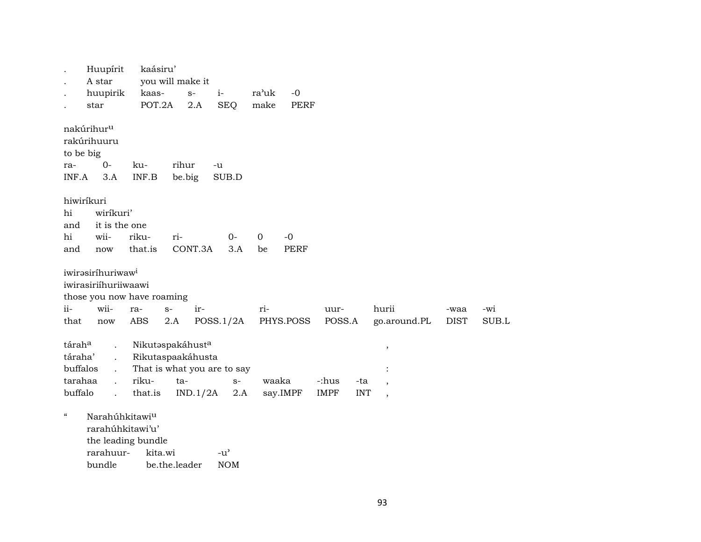. Huupírit kaásiru' . A star you will make it . huupirik kaas- s- i- ra"uk -0 . star POT.2A 2.A SEQ make PERF nakúrihurµ rakúrihuuru to be big ra- 0- ku- rihur -u INF.A 3.A INF.B be.big SUB.D hiwiríkuri hi wiríkuri' and it is the one hi wii- riku- ri- 0- 0 -0 and now that.is CONT.3A 3.A be PERF iwirəsiríhuriwaw<sup>i</sup> iwirasiriíhuriiwaawi those you now have roaming ii- wii- ra- s- ir- ri- uur- hurii -waa -wi that now ABS 2.A POSS.1/2A PHYS.POSS POSS.A go.around.PL DIST SUB.L tárah° . NikutŸspakáhust° , táraha' . Rikutaspaakáhusta buffalos . That is what you are to say : tarahaa . riku- ta- s- waaka -:hus -ta , buffalo . that.is IND.1/2A 2.A say.IMPF IMPF INT , " Narahúhkitawiµ rarahúhkitawi'u' the leading bundle rarahuur- kita.wi -u' bundle be.the.leader NOM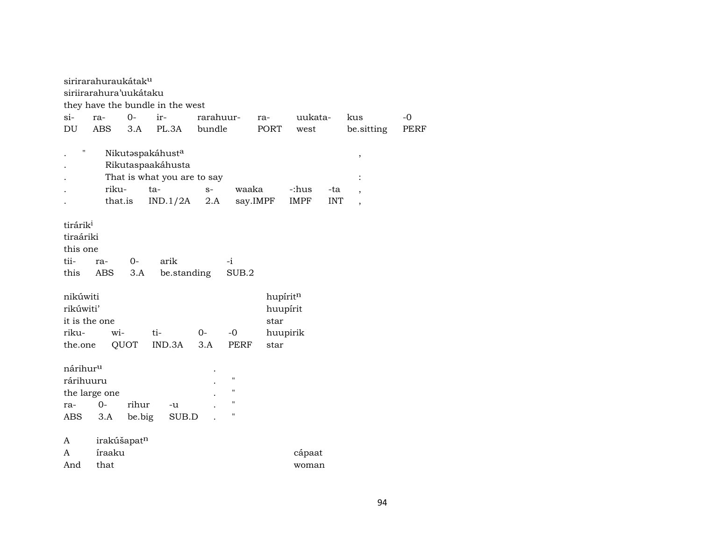| sirirarahuraukátak <sup>u</sup>  |                      |                  |                                        |             |
|----------------------------------|----------------------|------------------|----------------------------------------|-------------|
| siriirarahura'uukátaku           |                      |                  |                                        |             |
| they have the bundle in the west |                      |                  |                                        |             |
| $si$ -<br>$0-$<br>ir-<br>ra-     | rarahuur-            | uukata-<br>ra-   | kus                                    | $-0$        |
| <b>ABS</b><br>PL.3A<br>DU<br>3.A | bundle               | PORT<br>west     | be.sitting                             | <b>PERF</b> |
|                                  |                      |                  |                                        |             |
| Ħ<br>Nikutaspakáhusta            |                      |                  | $\, ,$                                 |             |
| Rikutaspaakáhusta                |                      |                  |                                        |             |
| That is what you are to say      |                      |                  |                                        |             |
| riku-<br>ta-                     | $S-$                 | waaka<br>-:hus   | -ta<br>$\overline{\phantom{a}}$        |             |
| that.is<br>IND.1/2A              | 2.A                  | say.IMPF<br>IMPF | <b>INT</b><br>$\overline{\phantom{a}}$ |             |
|                                  |                      |                  |                                        |             |
| tirárik <sup>i</sup>             |                      |                  |                                        |             |
| tiraáriki                        |                      |                  |                                        |             |
| this one                         |                      |                  |                                        |             |
| tii-<br>arik<br>$0-$<br>ra-      | $-i$                 |                  |                                        |             |
| <b>ABS</b><br>this<br>3.A        | be.standing<br>SUB.2 |                  |                                        |             |
|                                  |                      |                  |                                        |             |
| nikúwiti                         |                      | hupíritn         |                                        |             |
| rikúwiti'                        |                      | huupírit         |                                        |             |
| it is the one                    |                      | star             |                                        |             |
| ti-<br>riku-<br>wi-              | $-0$<br>$0-$         | huupirik         |                                        |             |
| IND.3A<br>QUOT<br>the.one        | 3.A<br>PERF          | star             |                                        |             |
|                                  |                      |                  |                                        |             |
| nárihur <sup>u</sup>             |                      |                  |                                        |             |
| rárihuuru                        | $\pmb{\mathsf{H}}$   |                  |                                        |             |
| the large one                    | $^{\prime\prime}$    |                  |                                        |             |
| rihur<br>$0 -$<br>ra-<br>-u      | $\mathbf{H}$         |                  |                                        |             |
| 3.A<br>be.big<br>SUB.D<br>ABS    | $\pmb{\mathsf{H}}$   |                  |                                        |             |
|                                  |                      |                  |                                        |             |
|                                  |                      |                  |                                        |             |
| A                                |                      |                  |                                        |             |
| irakúšapatn<br>íraaku<br>A       |                      | cápaat           |                                        |             |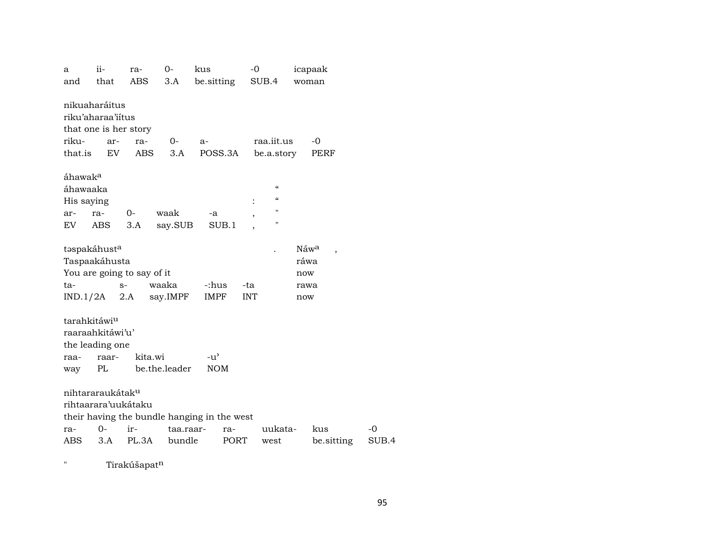| a                                                    | ii-                                                         | ra-                                         | $0-$          | kus                         |       | $-0$           |                                                                         |                                    | icapaak        |       |
|------------------------------------------------------|-------------------------------------------------------------|---------------------------------------------|---------------|-----------------------------|-------|----------------|-------------------------------------------------------------------------|------------------------------------|----------------|-------|
| and                                                  | that                                                        | ABS                                         | 3.A           | be sitting                  |       |                | SUB.4                                                                   |                                    | woman          |       |
|                                                      | nikuaharáitus<br>riku'aharaa'iitus<br>that one is her story |                                             |               |                             |       |                |                                                                         |                                    |                |       |
| riku-                                                | ar-                                                         | ra-                                         | 0-            | $a-$                        |       |                | raa.iit.us                                                              |                                    | $-0$           |       |
| that.is                                              | EV.                                                         | <b>ABS</b>                                  | 3.A           | POSS.3A                     |       |                | be.a.story                                                              |                                    | PERF           |       |
| áhawak <sup>a</sup><br>áhawaaka<br>His saying<br>ar- | ra-                                                         | 0-                                          | waak          | -a                          |       | $\ddot{\cdot}$ | $\pmb{\zeta}\pmb{\zeta}$<br>$\boldsymbol{\zeta}\boldsymbol{\zeta}$<br>н |                                    |                |       |
| EV.                                                  | ABS                                                         | 3.A                                         | say.SUB       |                             | SUB.1 |                | $\pmb{\mathsf{H}}$                                                      |                                    |                |       |
|                                                      |                                                             |                                             |               |                             |       |                |                                                                         |                                    |                |       |
|                                                      | taspakáhusta<br>Taspaakáhusta                               | You are going to say of it                  |               |                             |       |                |                                                                         | $N$ áw <sup>a</sup><br>ráwa<br>now | $\overline{ }$ |       |
| ta-                                                  | $S-$                                                        |                                             | waaka         | -:hus                       |       | -ta            |                                                                         | rawa                               |                |       |
|                                                      | $IND.1/2A$ 2.A                                              |                                             | say.IMPF      | IMPF                        |       | <b>INT</b>     |                                                                         | now                                |                |       |
| tarahkitáwiu<br>raa-<br>way                          | raaraahkitáwi'u'<br>the leading one<br>raar-<br>PL          | kita.wi                                     | be.the.leader | $-u^{\prime}$<br><b>NOM</b> |       |                |                                                                         |                                    |                |       |
|                                                      |                                                             |                                             |               |                             |       |                |                                                                         |                                    |                |       |
|                                                      | nihtararaukátak <sup>u</sup><br>rihtaarara'uukátaku         | their having the bundle hanging in the west |               |                             |       |                |                                                                         |                                    |                |       |
| ra-                                                  | $0 -$                                                       | ir-                                         | taa.raar-     |                             | ra-   |                | uukata-                                                                 |                                    | kus            | $-0$  |
| ABS                                                  | 3.A                                                         | PL.3A                                       | bundle        |                             | PORT  |                | west                                                                    |                                    | be sitting     | SUB.4 |

" Tirakúšapat<sup>n</sup>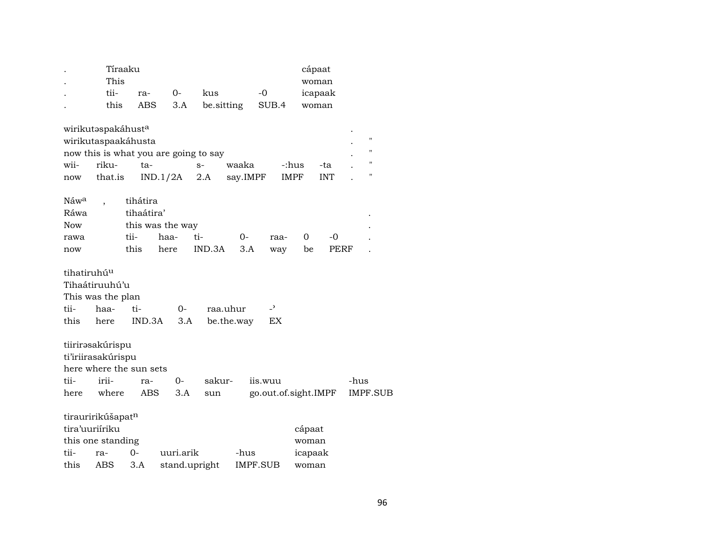|                         |                    | Tíraaku                 |                  |                                       |            |                          | cápaat      |            |      |                    |
|-------------------------|--------------------|-------------------------|------------------|---------------------------------------|------------|--------------------------|-------------|------------|------|--------------------|
|                         | This               |                         |                  |                                       |            |                          |             | woman      |      |                    |
|                         | tii-               | ra-                     | $0-$             | kus                                   |            | $-0$                     |             | icapaak    |      |                    |
|                         | this               | <b>ABS</b>              | 3.A              | be.sitting                            |            | SUB.4                    |             | woman      |      |                    |
|                         | wirikutaspakáhusta |                         |                  |                                       |            |                          |             |            |      |                    |
|                         |                    | wirikutaspaakáhusta     |                  |                                       |            |                          |             |            |      | $\pmb{\mathsf{H}}$ |
|                         |                    |                         |                  | now this is what you are going to say |            |                          |             |            |      | $^{\prime\prime}$  |
| wii-                    | riku-              | ta-                     |                  | $S-$                                  | waaka      |                          | -:hus       | -ta        |      | п                  |
| now                     | that.is            |                         | IND.1/2A         | 2.A                                   | say.IMPF   |                          | <b>IMPF</b> | <b>INT</b> |      | п                  |
| Náw <sup>a</sup>        |                    | tihátira                |                  |                                       |            |                          |             |            |      |                    |
| Ráwa                    |                    | tihaátira'              |                  |                                       |            |                          |             |            |      |                    |
| Now                     |                    |                         | this was the way |                                       |            |                          |             |            |      |                    |
| rawa                    |                    | tii-                    | haa-             | ti-                                   | $0-$       | raa-                     | 0           | -0         |      |                    |
| now                     |                    | this                    | here             | IND.3A                                | 3.A        | way                      | be          | PERF       |      |                    |
| tihatiruhú <sup>u</sup> |                    |                         |                  |                                       |            |                          |             |            |      |                    |
|                         | Tihaátiruuhú'u     |                         |                  |                                       |            |                          |             |            |      |                    |
|                         | This was the plan  |                         |                  |                                       |            |                          |             |            |      |                    |
| tii-                    | haa-               | ti-                     | 0-               | raa.uhur                              |            | $\overline{\phantom{a}}$ |             |            |      |                    |
| this                    | here               | IND.3A                  | 3.A              |                                       | be.the.way | EX                       |             |            |      |                    |
|                         | tiirirəsakúrispu   |                         |                  |                                       |            |                          |             |            |      |                    |
|                         | ti'iriirasakúrispu |                         |                  |                                       |            |                          |             |            |      |                    |
|                         |                    | here where the sun sets |                  |                                       |            |                          |             |            |      |                    |
| tii-                    | irii-              | ra-                     | $0-$             | sakur-                                |            | iis.wuu                  |             |            | -hus |                    |
| here                    | where              | ABS                     | 3.A              | sun                                   |            | go.out.of.sight.IMPF     |             |            |      | <b>IMPF.SUB</b>    |
|                         | tirauririkúšapatn  |                         |                  |                                       |            |                          |             |            |      |                    |
|                         | tira'uuriíriku     |                         |                  |                                       |            |                          | cápaat      |            |      |                    |
|                         | this one standing  |                         |                  |                                       |            |                          | woman       |            |      |                    |
| tii-                    | ra-                | $O -$                   | uuri.arik        |                                       | -hus       |                          | icapaak     |            |      |                    |
| this                    | ABS                | 3.A                     |                  | stand.upright                         |            | IMPF.SUB                 | woman       |            |      |                    |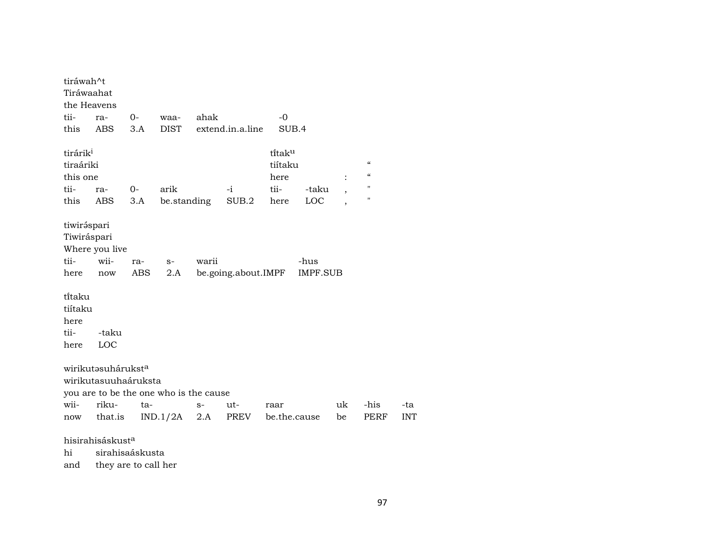| tiráwah^t                                   |                                                        |      |                                        |       |                     |              |                 |    |                                        |            |
|---------------------------------------------|--------------------------------------------------------|------|----------------------------------------|-------|---------------------|--------------|-----------------|----|----------------------------------------|------------|
| Tiráwaahat                                  |                                                        |      |                                        |       |                     |              |                 |    |                                        |            |
| the Heavens                                 |                                                        |      |                                        |       |                     |              |                 |    |                                        |            |
| tii-                                        | ra-                                                    | $0-$ | waa-                                   | ahak  |                     | $-0$         |                 |    |                                        |            |
| this                                        | ABS                                                    | 3.A  | <b>DIST</b>                            |       | extend.in.a.line    | SUB.4        |                 |    |                                        |            |
| tirárik <sup>i</sup>                        |                                                        |      |                                        |       |                     | titaku       |                 |    |                                        |            |
| tiraáriki                                   |                                                        |      |                                        |       |                     | tiítaku      |                 |    | $\boldsymbol{\zeta}\boldsymbol{\zeta}$ |            |
| this one                                    |                                                        |      |                                        |       |                     | here         |                 |    | $\boldsymbol{\zeta}\boldsymbol{\zeta}$ |            |
| tii-                                        | ra-                                                    | $0-$ | arik                                   |       | -i                  | tii-         | -taku           |    | $\mathbf{H}$                           |            |
| this                                        | ABS                                                    | 3.A  | be.standing                            |       | SUB.2               | here         | LOC             |    | $\pmb{\mathsf{H}}$                     |            |
| tiwiráspari<br>Tiwiráspari                  | Where you live                                         |      |                                        |       |                     |              |                 |    |                                        |            |
| tii-                                        | wii-                                                   | ra-  | $S-$                                   | warii |                     |              | -hus            |    |                                        |            |
| here                                        | now                                                    | ABS  | 2.A                                    |       | be.going.about.IMPF |              | <b>IMPF.SUB</b> |    |                                        |            |
| ti̇̃taku<br>tiítaku<br>here<br>tii-<br>here | -taku<br>LOC                                           |      |                                        |       |                     |              |                 |    |                                        |            |
|                                             | wirikutasuhárukst <sup>a</sup><br>wirikutasuuhaáruksta |      |                                        |       |                     |              |                 |    |                                        |            |
|                                             |                                                        |      | you are to be the one who is the cause |       |                     |              |                 |    |                                        |            |
| wii-                                        | riku-                                                  | ta-  |                                        | $S-$  | ut-                 | raar         |                 | uk | -his                                   | -ta        |
| now                                         | that.is                                                |      | IND.1/2A                               | 2.A   | PREV                | be.the.cause |                 | be | PERF                                   | <b>INT</b> |
|                                             | hisirahisáskust <sup>a</sup>                           |      |                                        |       |                     |              |                 |    |                                        |            |
| hi                                          | sirahisaáskusta                                        |      |                                        |       |                     |              |                 |    |                                        |            |
| and                                         | they are to call her                                   |      |                                        |       |                     |              |                 |    |                                        |            |
|                                             |                                                        |      |                                        |       |                     |              |                 |    |                                        |            |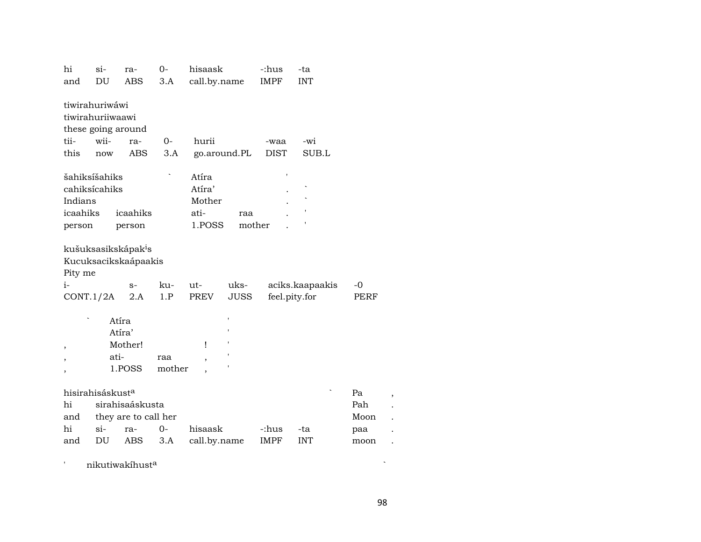| hi<br>and                     | si-<br>DU                                                               | ra-<br><b>ABS</b>                                                      | $O -$<br>3.A  | hisaask<br>call.by.name                     |                     | -:hus<br><b>IMPF</b> | -ta<br><b>INT</b>                |                                  |  |
|-------------------------------|-------------------------------------------------------------------------|------------------------------------------------------------------------|---------------|---------------------------------------------|---------------------|----------------------|----------------------------------|----------------------------------|--|
| tii-<br>this                  | tiwirahuriwáwi<br>tiwirahuriiwaawi<br>these going around<br>wii-<br>now | ra-<br>ABS                                                             | $0-$<br>3.A   | hurii                                       | go.around.PL        | -waa<br><b>DIST</b>  | -wi<br>SUB.L                     |                                  |  |
| Indians<br>icaahiks<br>person | šahiksíšahiks<br>cahiksícahiks                                          | icaahiks<br>person                                                     |               | Atíra<br>Atíra'<br>Mother<br>ati-<br>1.POSS | raa<br>mother       |                      |                                  |                                  |  |
| Pity me<br>$i-$<br>CONT.1/2A  |                                                                         | kušuksasikskápak <sup>i</sup> s<br>Kucuksacikskaápaakis<br>$S-$<br>2.A | ku-<br>1.P    | ut-<br><b>PREV</b>                          | uks-<br><b>JUSS</b> |                      | aciks.kaapaakis<br>feel.pity.for | -0<br>PERF                       |  |
| ,<br>$\overline{ }$           | ati-                                                                    | Atíra<br>Atíra'<br>Mother!<br>1.POSS                                   | raa<br>mother | Ţ                                           |                     |                      |                                  |                                  |  |
| hi<br>and<br>hi<br>and        | hisirahisáskust <sup>a</sup><br>$\sin$<br>DU                            | sirahisaáskusta<br>they are to call her<br>ra-<br>ABS                  | $0-$<br>3.A   | hisaask<br>call.by.name                     |                     | -:hus<br><b>IMPF</b> | -ta<br><b>INT</b>                | Pa<br>Pah<br>Moon<br>paa<br>moon |  |

 $\bar{t}$ nikutiwakíhust $^{\rm a}$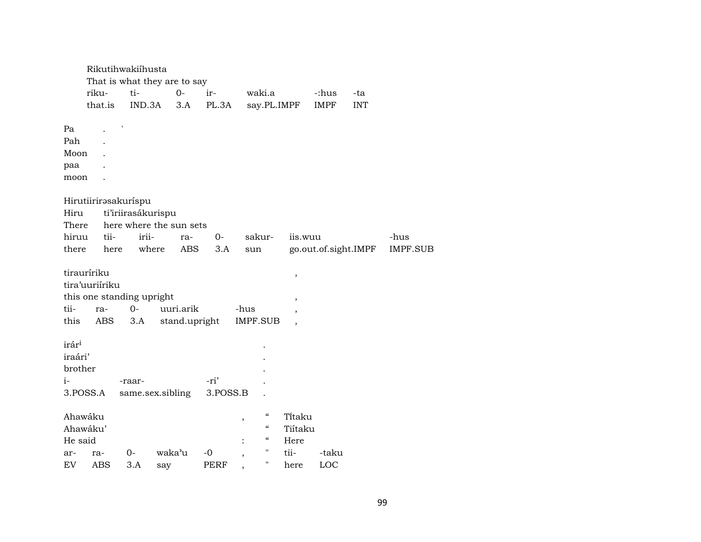|                   | Rikutihwakiíhusta         |      |                    |                              |            |             |                          |                          |         |                      |            |                 |
|-------------------|---------------------------|------|--------------------|------------------------------|------------|-------------|--------------------------|--------------------------|---------|----------------------|------------|-----------------|
|                   |                           |      |                    | That is what they are to say |            |             |                          |                          |         |                      |            |                 |
|                   | riku-                     |      | ti-                | $O -$                        |            | ir-         |                          | waki.a                   |         | -:hus                | -ta        |                 |
|                   | that.is                   |      | IND.3A             | 3.A                          |            | PL.3A       |                          | say.PL.IMPF              |         | <b>IMPF</b>          | <b>INT</b> |                 |
| Pa                |                           |      |                    |                              |            |             |                          |                          |         |                      |            |                 |
| Pah               |                           |      |                    |                              |            |             |                          |                          |         |                      |            |                 |
| Moon              |                           |      |                    |                              |            |             |                          |                          |         |                      |            |                 |
| paa               |                           |      |                    |                              |            |             |                          |                          |         |                      |            |                 |
| moon              |                           |      |                    |                              |            |             |                          |                          |         |                      |            |                 |
|                   |                           |      |                    |                              |            |             |                          |                          |         |                      |            |                 |
|                   | Hirutiirirasakuríspu      |      |                    |                              |            |             |                          |                          |         |                      |            |                 |
| Hiru              |                           |      | ti'iriirasákurispu |                              |            |             |                          |                          |         |                      |            |                 |
| There             |                           |      |                    | here where the sun sets      |            |             |                          |                          |         |                      |            |                 |
| hiruu             | tii-                      |      | irii-              | ra-                          |            | 0-          |                          | sakur-                   | iis.wuu |                      |            | -hus            |
| there             |                           | here | where              |                              | <b>ABS</b> | 3.A         | sun                      |                          |         | go.out.of.sight.IMPF |            | <b>IMPF.SUB</b> |
|                   |                           |      |                    |                              |            |             |                          |                          |         |                      |            |                 |
|                   | tirauríriku               |      |                    |                              |            |             |                          |                          | ,       |                      |            |                 |
|                   | tira'uuriíriku            |      |                    |                              |            |             |                          |                          |         |                      |            |                 |
|                   | this one standing upright |      |                    |                              |            |             |                          |                          | ,       |                      |            |                 |
| tii-              | ra-                       |      | $O -$              | uuri.arik                    |            |             | -hus                     |                          | ,       |                      |            |                 |
| this              | ABS                       |      | 3.A                | stand.upright                |            |             |                          | <b>IMPF.SUB</b>          |         |                      |            |                 |
|                   |                           |      |                    |                              |            |             |                          |                          |         |                      |            |                 |
| irár <sup>i</sup> |                           |      |                    |                              |            |             |                          |                          |         |                      |            |                 |
| iraári'           |                           |      |                    |                              |            |             |                          |                          |         |                      |            |                 |
| brother           |                           |      |                    |                              |            |             |                          |                          |         |                      |            |                 |
| i-                |                           |      | -raar-             |                              |            | -ri'        |                          |                          |         |                      |            |                 |
|                   | 3.POSS.A                  |      |                    | same.sex.sibling             |            | 3.POSS.B    |                          |                          |         |                      |            |                 |
|                   |                           |      |                    |                              |            |             |                          |                          |         |                      |            |                 |
|                   | Ahawáku                   |      |                    |                              |            |             | $\,$                     | $\mathcal{C}\mathcal{C}$ | Titaku  |                      |            |                 |
|                   | Ahawáku'                  |      |                    |                              |            |             |                          | $\mathcal{C}\mathcal{C}$ | Tiítaku |                      |            |                 |
| He said           |                           |      |                    |                              |            |             |                          | $\mathcal{C}\mathcal{C}$ | Here    |                      |            |                 |
| ar-               | ra-                       |      | 0-                 | waka'u                       | -0         |             | $\overline{\phantom{a}}$ | $\pmb{\mathsf{H}}$       | tii-    | -taku                |            |                 |
| EV <sub></sub>    | ABS                       |      | 3.A                | say                          |            | <b>PERF</b> | $\overline{\phantom{a}}$ | п                        | here    | LOC                  |            |                 |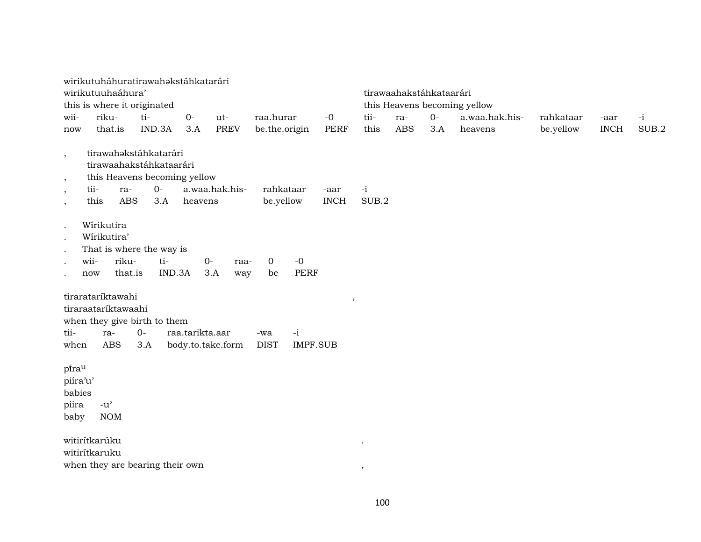|                          | wirikutuháhuratirawahakstáhkatarári |                   |                   |                |               |                 |             |       |                         |      |                              |           |             |       |
|--------------------------|-------------------------------------|-------------------|-------------------|----------------|---------------|-----------------|-------------|-------|-------------------------|------|------------------------------|-----------|-------------|-------|
|                          | wirikutuuhaáhura'                   |                   |                   |                |               |                 |             |       | tirawaahakstáhkataarári |      |                              |           |             |       |
|                          | this is where it originated         |                   |                   |                |               |                 |             |       |                         |      | this Heavens becoming yellow |           |             |       |
| wii-                     | riku-                               | ti-               | $O -$             | ut-            | raa.hurar     |                 | $-0$        | tii-  | ra-                     | $0-$ | a.waa.hak.his-               | rahkataar | -aar        | $-i$  |
| now                      | that.is                             | IND.3A            | 3.A               | <b>PREV</b>    | be.the.origin |                 | PERF        | this  | <b>ABS</b>              | 3.A  | heavens                      | be.yellow | <b>INCH</b> | SUB.2 |
| $\overline{\phantom{a}}$ | tirawahakstáhkatarári               |                   |                   |                |               |                 |             |       |                         |      |                              |           |             |       |
|                          | tirawaahakstáhkataarári             |                   |                   |                |               |                 |             |       |                         |      |                              |           |             |       |
| $^\mathrm{,}$            | this Heavens becoming yellow        |                   |                   |                |               |                 |             |       |                         |      |                              |           |             |       |
| $\overline{\phantom{a}}$ | tii-<br>ra-                         | $0-$              |                   | a.waa.hak.his- | rahkataar     |                 | -aar        | $-i$  |                         |      |                              |           |             |       |
| $\overline{\phantom{a}}$ | this                                | <b>ABS</b><br>3.A | heavens           |                | be.yellow     |                 | <b>INCH</b> | SUB.2 |                         |      |                              |           |             |       |
| $\ddot{\phantom{0}}$     | Wírikutira                          |                   |                   |                |               |                 |             |       |                         |      |                              |           |             |       |
| $\ddot{\phantom{0}}$     | Wírikutira'                         |                   |                   |                |               |                 |             |       |                         |      |                              |           |             |       |
| $\ddot{\phantom{a}}$     | That is where the way is            |                   |                   |                |               |                 |             |       |                         |      |                              |           |             |       |
| $\ddot{\phantom{0}}$     | wii-<br>riku-                       | ti-               |                   | $O -$<br>raa-  | $\mathbf 0$   | $-0$            |             |       |                         |      |                              |           |             |       |
| $\ddot{\phantom{0}}$     | now                                 | that.is           | IND.3A            | 3.A<br>way     | be            | <b>PERF</b>     |             |       |                         |      |                              |           |             |       |
|                          | tirarataríktawahi                   |                   |                   |                |               |                 | $\,$        |       |                         |      |                              |           |             |       |
|                          | tiraraataríktawaahi                 |                   |                   |                |               |                 |             |       |                         |      |                              |           |             |       |
|                          | when they give birth to them        |                   |                   |                |               |                 |             |       |                         |      |                              |           |             |       |
| tii-                     | ra-                                 | $O -$             | raa.tarikta.aar   |                | -wa           | $-i$            |             |       |                         |      |                              |           |             |       |
| when                     | <b>ABS</b>                          | 3.A               | body.to.take.form |                | <b>DIST</b>   | <b>IMPF.SUB</b> |             |       |                         |      |                              |           |             |       |
| pirau                    |                                     |                   |                   |                |               |                 |             |       |                         |      |                              |           |             |       |
| piíra'u'                 |                                     |                   |                   |                |               |                 |             |       |                         |      |                              |           |             |       |
| babies                   |                                     |                   |                   |                |               |                 |             |       |                         |      |                              |           |             |       |
| piira                    | $-u^{\prime}$                       |                   |                   |                |               |                 |             |       |                         |      |                              |           |             |       |
| baby                     | <b>NOM</b>                          |                   |                   |                |               |                 |             |       |                         |      |                              |           |             |       |
|                          | witirítkarúku                       |                   |                   |                |               |                 |             |       |                         |      |                              |           |             |       |
|                          | witirítkaruku                       |                   |                   |                |               |                 |             |       |                         |      |                              |           |             |       |
|                          | when they are bearing their own     |                   |                   |                |               |                 |             | $\,$  |                         |      |                              |           |             |       |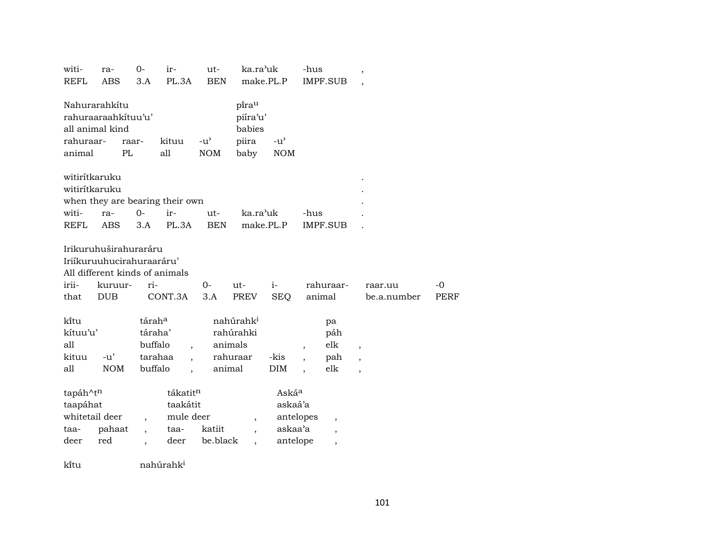| witi-<br><b>REFL</b>                                    | ra-<br><b>ABS</b>                                                                                                           | $0-$<br>3.A                             | ir-<br>PL.3A                                                  | ut-<br><b>BEN</b>           | ka.ra'uk                                                  | make.PL.P                                       | -hus                     | IMPF.SUB                                                                         | $\overline{\phantom{a}}$      |              |
|---------------------------------------------------------|-----------------------------------------------------------------------------------------------------------------------------|-----------------------------------------|---------------------------------------------------------------|-----------------------------|-----------------------------------------------------------|-------------------------------------------------|--------------------------|----------------------------------------------------------------------------------|-------------------------------|--------------|
| Nahurarahkítu<br>all animal kind<br>rahuraar-<br>animal | rahuraaraahkituu'u'<br>PL                                                                                                   | raar-                                   | kituu<br>all                                                  | $-u^{\prime}$<br>$\rm{NOM}$ | pirau<br>piíra'u'<br>babies<br>piira<br>baby              | $-u$ <sup><math>\sim</math></sup><br><b>NOM</b> |                          |                                                                                  |                               |              |
| witirítkaruku<br>witirítkaruku<br>witi-                 | ra-                                                                                                                         | $0-$                                    | when they are bearing their own<br>ir-                        | ut-                         | ka.ra'uk                                                  |                                                 | -hus                     |                                                                                  |                               |              |
| <b>REFL</b><br>irii-<br>that                            | <b>ABS</b><br>Irikuruhuširahuraráru<br>Iriíkuruuhucirahuraaráru'<br>All different kinds of animals<br>kuruur-<br><b>DUB</b> | 3.A<br>ri-                              | PL.3A<br>CONT.3A                                              | <b>BEN</b><br>$0-$<br>3.A   | ut-<br>PREV                                               | make.PL.P<br>$i-$<br><b>SEQ</b>                 |                          | <b>IMPF.SUB</b><br>rahuraar-<br>animal                                           | raar.uu<br>be.a.number        | $-0$<br>PERF |
| ki̇̃tu<br>kítuu'u'<br>all<br>kituu<br>all               | $-u'$<br><b>NOM</b>                                                                                                         | táraha<br>táraha'<br>buffalo<br>buffalo | tarahaa                                                       | animal                      | nahúrahk <sup>i</sup><br>rahúrahki<br>animals<br>rahuraar | -kis<br><b>DIM</b>                              | $\overline{\phantom{a}}$ | pa<br>páh<br>elk<br>pah<br>elk                                                   | $\overline{\phantom{a}}$<br>, |              |
| tapáh^tn<br>taapáhat<br>whitetail deer<br>taa-<br>deer  | pahaat<br>red                                                                                                               |                                         | tákatit <sup>n</sup><br>taakátit<br>mule deer<br>taa-<br>deer | katiit<br>be.black          | $\overline{\phantom{a}}$<br>$\overline{\phantom{a}}$      | Askáa<br>askaá'a<br>askaa'a<br>antelope         | antelopes                | $\overline{\phantom{a}}$<br>$\overline{\phantom{a}}$<br>$\overline{\phantom{a}}$ |                               |              |
| ki̇̃tu                                                  |                                                                                                                             |                                         | nahúrahk <sup>i</sup>                                         |                             |                                                           |                                                 |                          |                                                                                  |                               |              |

101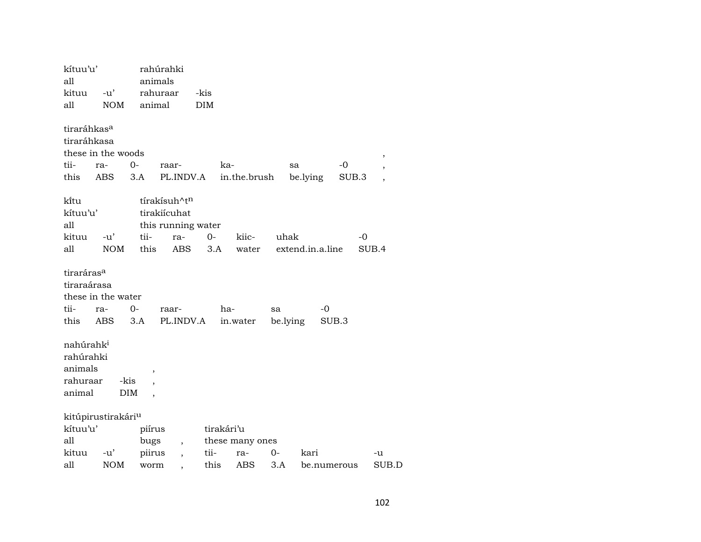| kítuu'u'                              |                                |         | rahúrahki                     |            |                 |          |                  |             |                          |
|---------------------------------------|--------------------------------|---------|-------------------------------|------------|-----------------|----------|------------------|-------------|--------------------------|
| all                                   |                                | animals |                               |            |                 |          |                  |             |                          |
| kituu                                 | $-u'$                          |         | rahuraar                      | -kis       |                 |          |                  |             |                          |
| all                                   | <b>NOM</b>                     | animal  |                               | <b>DIM</b> |                 |          |                  |             |                          |
| tiraráhkas <sup>a</sup>               |                                |         |                               |            |                 |          |                  |             |                          |
| tiraráhkasa                           |                                |         |                               |            |                 |          |                  |             |                          |
|                                       | these in the woods             |         |                               |            |                 |          |                  |             | ,                        |
| tii-                                  | ra-                            | 0-      | raar-                         |            | ka-             |          | sa               | -0          | $\overline{\phantom{a}}$ |
| this                                  | ABS                            | 3.A     | PL.INDV.A                     |            | in.the.brush    |          | be.lying         | SUB.3       | $\overline{\phantom{a}}$ |
| ki̇̃tu                                |                                |         | tírakísuh^t <sup>n</sup>      |            |                 |          |                  |             |                          |
| kítuu'u'                              |                                |         | tirakiícuhat                  |            |                 |          |                  |             |                          |
| all                                   |                                |         | this running water            |            |                 |          |                  |             |                          |
| kituu                                 | $-u'$                          | tii-    | ra-                           | $O -$      | kiic-           | uhak     |                  | -0          |                          |
| all                                   | <b>NOM</b>                     | this    | ABS                           | 3.A        | water           |          | extend.in.a.line |             | SUB.4                    |
| tiraráras <sup>a</sup><br>tiraraárasa |                                |         |                               |            |                 |          |                  |             |                          |
|                                       | these in the water             |         |                               |            |                 |          |                  |             |                          |
| tii-                                  | ra-                            | $0-$    | raar-                         |            | ha-             | sa       | -0               |             |                          |
| this                                  | ABS                            | 3.A     | PL.INDV.A                     |            | in.water        | be.lying |                  | SUB.3       |                          |
|                                       |                                |         |                               |            |                 |          |                  |             |                          |
| nahúrahk <sup>i</sup>                 |                                |         |                               |            |                 |          |                  |             |                          |
| rahúrahki                             |                                |         |                               |            |                 |          |                  |             |                          |
| animals                               |                                | ,       |                               |            |                 |          |                  |             |                          |
| rahuraar                              |                                | -kis    |                               |            |                 |          |                  |             |                          |
| animal                                |                                | DIM     |                               |            |                 |          |                  |             |                          |
|                                       | kitúpirustirakári <sup>u</sup> |         |                               |            |                 |          |                  |             |                          |
| kítuu'u'                              |                                | piírus  |                               |            | tirakári'u      |          |                  |             |                          |
| all                                   |                                | bugs    |                               |            | these many ones |          |                  |             |                          |
| kituu                                 | $-u'$                          | piirus  | $\overline{\phantom{a}}$      | tii-       | ra-             | $0-$     | kari             |             | -u                       |
| all                                   | <b>NOM</b>                     | worm    | ,<br>$\overline{\phantom{a}}$ | this       | ABS             | 3.A      |                  | be.numerous | SUB.D                    |
|                                       |                                |         |                               |            |                 |          |                  |             |                          |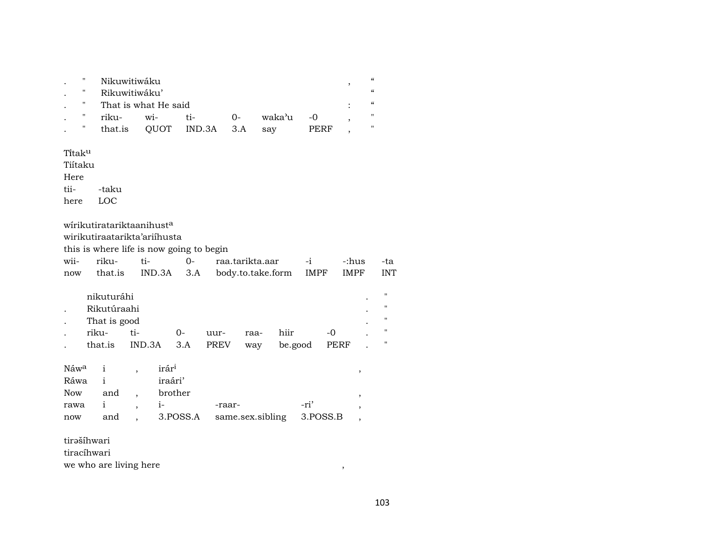| $\cdot$ | "            | Nikuwitiwáku  |                      |                         |      |        |      |  |                   |  |  |  |  |
|---------|--------------|---------------|----------------------|-------------------------|------|--------|------|--|-------------------|--|--|--|--|
|         | "            | Rikuwitiwáku' |                      |                         |      |        |      |  | $\epsilon$        |  |  |  |  |
|         | $\mathbf{u}$ |               | That is what He said |                         |      |        |      |  |                   |  |  |  |  |
|         | "            | riku-         | wi-                  | ti-                     | $0-$ | waka'u | -0   |  | $^{\prime\prime}$ |  |  |  |  |
|         | $\mathbf{u}$ |               |                      | that.is QUOT IND.3A 3.A |      | say    | PERF |  | "                 |  |  |  |  |
|         | Titaku       |               |                      |                         |      |        |      |  |                   |  |  |  |  |

Tiítaku

Here<br>tii--taku

here LOC

wírikutiratariktaanihust $^a$ 

wirikutiraatarikta'ariíhusta

this is where life is now going to begin

| wii- riku- ti- |  | 0- raa.tarikta.aar -i                                  | -:hus -ta |  |
|----------------|--|--------------------------------------------------------|-----------|--|
|                |  | now that.is IND.3A 3.A body.to.take.form IMPF IMPF INT |           |  |

|           | nikuturáhi   |            |        |      |      |         |       | $\bullet$ | " |
|-----------|--------------|------------|--------|------|------|---------|-------|-----------|---|
|           | Rikutúraahi  |            |        |      |      |         |       |           | " |
| $\bullet$ | That is good |            |        |      |      |         |       | $\bullet$ | " |
|           | riku-        | $t_1-$     | $()$ - | uur- | raa- | hiir    | $-()$ | $\bullet$ | " |
|           | that.is      | IND.3A 3.A |        | PREV | way  | be.good | PERF  |           | " |

| Náw <sup>a</sup> i |       | irár <sup>i</sup> |                                      |      |  |
|--------------------|-------|-------------------|--------------------------------------|------|--|
| Ráwa               |       | iraári'           |                                      |      |  |
| Now                | and . | brother           |                                      |      |  |
| rawa i             |       | $1 -$             | -raar-                               | -ri' |  |
| now                | and   |                   | 3. POSS.A same.sex.sibling 3. POSS.B |      |  |

tirəšíhwari

tiracíhwari

 $% \mathcal{M}$  we who are living here  $% \mathcal{M}$  ,  $% \mathcal{M}$  ,  $% \mathcal{M}$  ,  $% \mathcal{M}$  ,  $% \mathcal{M}$  ,  $% \mathcal{M}$  ,  $% \mathcal{M}$  ,  $% \mathcal{M}$  ,  $% \mathcal{M}$  ,  $% \mathcal{M}$  ,  $% \mathcal{M}$  ,  $% \mathcal{M}$  ,  $% \mathcal{M}$  ,  $% \mathcal{M}$  ,  $% \mathcal{M}$  ,  $% \mathcal{M}$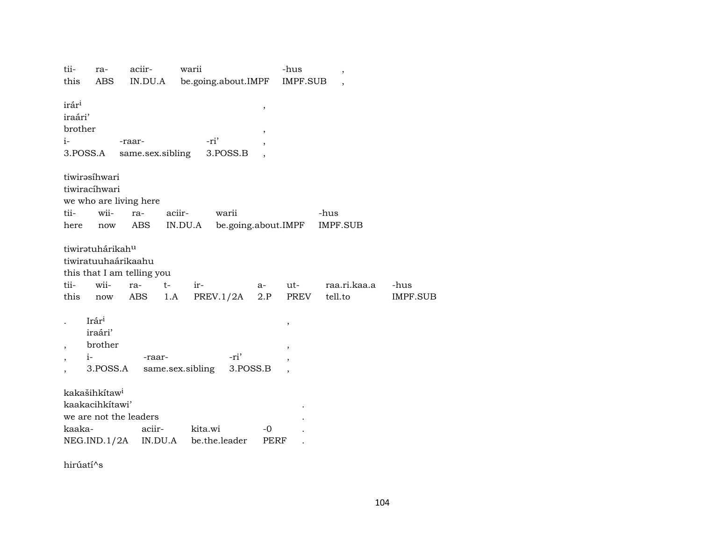| tii-                     | ra-                          | aciir-                     | warii                          |                          | -hus                     | $\, ,$          |                 |
|--------------------------|------------------------------|----------------------------|--------------------------------|--------------------------|--------------------------|-----------------|-----------------|
| this                     | ABS                          | IN.DU.A                    | be.going.about.IMPF            |                          | <b>IMPF.SUB</b>          |                 |                 |
|                          |                              |                            |                                |                          |                          |                 |                 |
| irár <sup>i</sup>        |                              |                            |                                | ,                        |                          |                 |                 |
| iraári'                  |                              |                            |                                |                          |                          |                 |                 |
| brother                  |                              |                            |                                |                          |                          |                 |                 |
| $i-$                     |                              | -raar-                     | -ri'                           | $\overline{\phantom{a}}$ |                          |                 |                 |
| 3.POSS.A                 |                              | same.sex.sibling           | 3.POSS.B                       |                          |                          |                 |                 |
|                          |                              |                            |                                |                          |                          |                 |                 |
|                          |                              |                            |                                |                          |                          |                 |                 |
|                          | tiwirəsihwari                |                            |                                |                          |                          |                 |                 |
|                          | tiwiracíhwari                |                            |                                |                          |                          |                 |                 |
|                          |                              | we who are living here     |                                |                          |                          |                 |                 |
| tii-                     | wii-                         | ra-                        | aciir-<br>warii                |                          |                          | -hus            |                 |
| here                     | now                          | ABS                        | be.going.about.IMPF<br>IN.DU.A |                          |                          | <b>IMPF.SUB</b> |                 |
|                          |                              |                            |                                |                          |                          |                 |                 |
|                          | tiwiratuhárikah <sup>u</sup> |                            |                                |                          |                          |                 |                 |
|                          |                              | tiwiratuuhaárikaahu        |                                |                          |                          |                 |                 |
|                          |                              | this that I am telling you |                                |                          |                          |                 |                 |
| tii-                     | wii-                         | $t-$<br>ra-                | ir-                            | a-                       | ut-                      | raa.ri.kaa.a    | -hus            |
| this                     | now                          | ABS                        | PREV.1/2A<br>1.A               | 2.P                      | PREV                     | tell.to         | <b>IMPF.SUB</b> |
|                          |                              |                            |                                |                          |                          |                 |                 |
|                          | Irári                        |                            |                                |                          |                          |                 |                 |
|                          |                              |                            |                                |                          | ,                        |                 |                 |
|                          | iraári'                      |                            |                                |                          |                          |                 |                 |
| $\overline{\phantom{a}}$ | brother                      |                            |                                |                          | $\overline{\phantom{a}}$ |                 |                 |
|                          | $i-$                         | -raar-                     | -ri'                           |                          |                          |                 |                 |
|                          | 3.POSS.A                     |                            | same.sex.sibling               | 3.POSS.B                 |                          |                 |                 |
|                          |                              |                            |                                |                          |                          |                 |                 |
|                          | kakašihkítaw <sup>i</sup>    |                            |                                |                          |                          |                 |                 |
|                          | kaakacihkitawi'              |                            |                                |                          |                          |                 |                 |
|                          |                              | we are not the leaders     |                                |                          |                          |                 |                 |
| kaaka-                   |                              | aciir-                     | kita.wi                        | -0                       |                          |                 |                 |
|                          | NEG.IND.1/2A                 | IN.DU.A                    | be.the.leader                  | PERF                     |                          |                 |                 |
|                          |                              |                            |                                |                          |                          |                 |                 |

hirúatí^s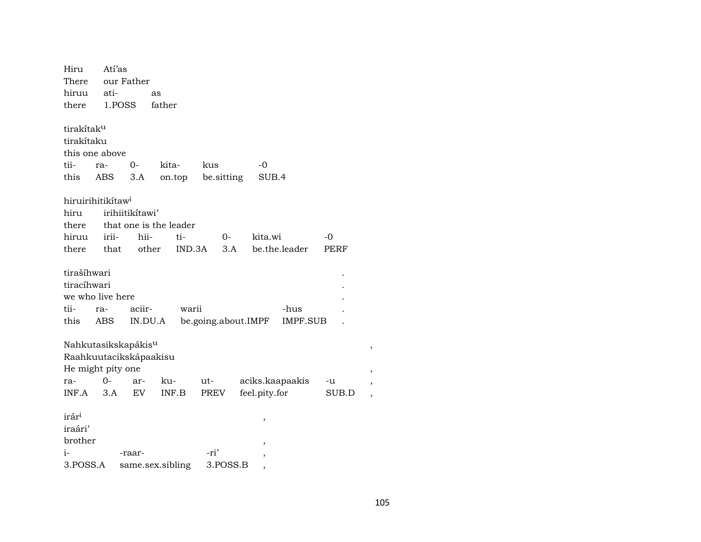| Hiru                   | Atí'as                          |                 |                        |                     |                 |          |  |
|------------------------|---------------------------------|-----------------|------------------------|---------------------|-----------------|----------|--|
| There                  |                                 | our Father      |                        |                     |                 |          |  |
| hiruu                  | ati-                            |                 | as                     |                     |                 |          |  |
| there                  | 1.POSS                          |                 | father                 |                     |                 |          |  |
|                        |                                 |                 |                        |                     |                 |          |  |
| tirakítak <sup>u</sup> |                                 |                 |                        |                     |                 |          |  |
| tirakítaku             |                                 |                 |                        |                     |                 |          |  |
|                        | this one above                  |                 |                        |                     |                 |          |  |
| tii-                   | ra-                             | $0 -$           | kita-                  | kus                 | -0              |          |  |
| this                   | ABS                             | 3.A             | on.top                 | be sitting          | SUB.4           |          |  |
|                        |                                 |                 |                        |                     |                 |          |  |
|                        | hiruirihitikítaw <sup>i</sup>   |                 |                        |                     |                 |          |  |
| hiru                   |                                 | irihiitikítawi' |                        |                     |                 |          |  |
| there                  |                                 |                 | that one is the leader |                     |                 |          |  |
| hiruu                  | irii-                           | hii-            | ti-                    | $0-$                | kita.wi         | $-0$     |  |
| there                  | that                            | other           | IND.3A                 | 3.A                 | be.the.leader   | PERF     |  |
|                        |                                 |                 |                        |                     |                 |          |  |
| tirašíhwari            |                                 |                 |                        |                     |                 |          |  |
| tiracíhwari            |                                 |                 |                        |                     |                 |          |  |
|                        | we who live here                |                 |                        |                     |                 |          |  |
| tii-                   | ra-                             | aciir-          | warii                  |                     |                 | -hus     |  |
| this                   | ABS                             | IN.DU.A         |                        | be.going.about.IMPF |                 | IMPF.SUB |  |
|                        |                                 |                 |                        |                     |                 |          |  |
|                        | Nahkutasikskapákis <sup>u</sup> |                 |                        |                     |                 |          |  |
|                        | Raahkuutacikskápaakisu          |                 |                        |                     |                 |          |  |
|                        | He might pity one               |                 |                        |                     |                 |          |  |
| ra-                    | 0-                              | ar-             | ku-                    | ut-                 | aciks.kaapaakis | -u       |  |
| INF.A                  | 3.A                             | EV              | INF.B                  | PREV                | feel.pity.for   | SUB.D    |  |
|                        |                                 |                 |                        |                     |                 |          |  |
| irár <sup>i</sup>      |                                 |                 |                        |                     | ,               |          |  |
| iraári'                |                                 |                 |                        |                     |                 |          |  |
| brother                |                                 |                 |                        |                     | ,               |          |  |
| $i-$                   |                                 | -raar-          |                        | -ri'                | ,               |          |  |
| 3.POSS.A               |                                 |                 | same.sex.sibling       | 3.POSS.B            | ,               |          |  |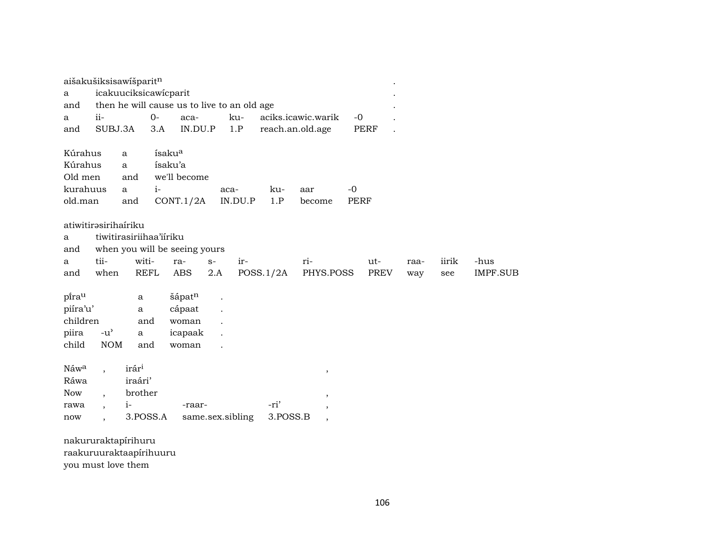| aišakušiksisawišparit <sup>n</sup> |                                     |                         |                    |                                             |      |                  |           |                          |             |      |      |       |          |
|------------------------------------|-------------------------------------|-------------------------|--------------------|---------------------------------------------|------|------------------|-----------|--------------------------|-------------|------|------|-------|----------|
| a                                  |                                     | icakuuciksicawicparit   |                    |                                             |      |                  |           |                          |             |      |      |       |          |
| and                                |                                     |                         |                    | then he will cause us to live to an old age |      |                  |           |                          |             |      |      |       |          |
| а                                  | $ii-$                               |                         | $0-$               | aca-                                        |      | ku-              |           | aciks.icawic.warik       | $-0$        |      |      |       |          |
| and                                | SUBJ.3A                             |                         | 3.A                | IN.DU.P                                     |      | 1.P              |           | reach.an.old.age         |             | PERF |      |       |          |
|                                    |                                     |                         |                    |                                             |      |                  |           |                          |             |      |      |       |          |
| Kúrahus                            |                                     | a                       | ísaku <sup>a</sup> |                                             |      |                  |           |                          |             |      |      |       |          |
| Kúrahus                            |                                     | $\mathbf{a}$            |                    | ísaku'a                                     |      |                  |           |                          |             |      |      |       |          |
| Old men                            |                                     | and                     |                    | we'll become                                |      |                  |           |                          |             |      |      |       |          |
| kurahuus                           |                                     | $\mathbf{a}$            | $i-$               |                                             |      | aca-             | ku-       | aar                      | $-0$        |      |      |       |          |
| old.man                            |                                     | and                     |                    | CONT.1/2A                                   |      | IN.DU.P          | 1.P       | become                   | <b>PERF</b> |      |      |       |          |
|                                    |                                     |                         |                    |                                             |      |                  |           |                          |             |      |      |       |          |
| atiwitirəsirihairiku               |                                     |                         |                    |                                             |      |                  |           |                          |             |      |      |       |          |
| a                                  |                                     | tiwitirasiriihaa'iiriku |                    |                                             |      |                  |           |                          |             |      |      |       |          |
| and                                |                                     |                         |                    | when you will be seeing yours               |      |                  |           |                          |             |      |      |       |          |
| a                                  | tii-                                |                         | witi-              | ra-                                         | $S-$ | ir-              |           | ri-                      |             | ut-  | raa- | iirik | -hus     |
| and                                | when                                |                         | <b>REFL</b>        | ABS                                         | 2.A  |                  | POSS.1/2A | PHYS.POSS                |             | PREV | way  | see   | IMPF.SUB |
|                                    |                                     |                         |                    |                                             |      |                  |           |                          |             |      |      |       |          |
| pirau                              |                                     | a                       |                    | šápatn                                      |      |                  |           |                          |             |      |      |       |          |
| piíra'u'                           |                                     | a                       |                    | cápaat                                      |      |                  |           |                          |             |      |      |       |          |
| children                           |                                     |                         | and                | woman                                       |      |                  |           |                          |             |      |      |       |          |
| piira                              | $-u$ <sup><math>\prime</math></sup> | a                       |                    | icapaak                                     |      |                  |           |                          |             |      |      |       |          |
| child                              | <b>NOM</b>                          |                         | and                | woman                                       |      |                  |           |                          |             |      |      |       |          |
|                                    |                                     |                         |                    |                                             |      |                  |           |                          |             |      |      |       |          |
| Náwa                               |                                     | irár <sup>i</sup>       |                    |                                             |      |                  |           | $\, ,$                   |             |      |      |       |          |
| Ráwa                               |                                     | iraári'                 |                    |                                             |      |                  |           |                          |             |      |      |       |          |
| <b>Now</b>                         | $\ddot{\phantom{0}}$                | brother                 |                    |                                             |      |                  |           | $^\mathrm{^{^\circ}}$    |             |      |      |       |          |
| rawa                               | $\ddot{\phantom{0}}$                | $i-$                    |                    | -raar-                                      |      |                  | -ri'      | $^\mathrm{,}$            |             |      |      |       |          |
| now                                |                                     |                         | 3.POSS.A           |                                             |      | same.sex.sibling | 3.POSS.B  | $\overline{\phantom{a}}$ |             |      |      |       |          |
| nakururaktapírihuru                |                                     |                         |                    |                                             |      |                  |           |                          |             |      |      |       |          |

raakuruuraktaapirihuuru

you must love them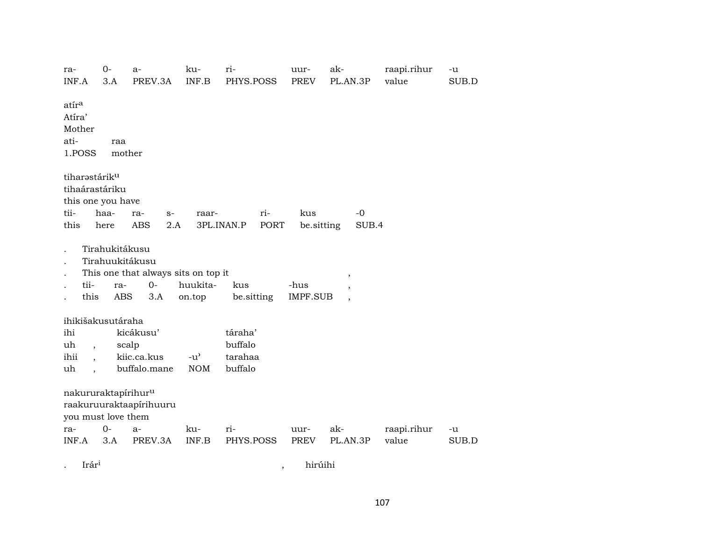| ra-<br>INF.A                                                                                     | $0 -$<br>3.A                 | $a-$<br>PREV.3A                                                       | ku-<br>INF.B                                      | ri-<br>PHYS.POSS                         | uur-<br><b>PREV</b>     | ak-<br>PL.AN.3P                     | raapi.rihur<br>value | $-u$<br>SUB.D |
|--------------------------------------------------------------------------------------------------|------------------------------|-----------------------------------------------------------------------|---------------------------------------------------|------------------------------------------|-------------------------|-------------------------------------|----------------------|---------------|
| atír <sup>a</sup><br>Atíra'<br>Mother<br>ati-<br>1.POSS                                          | raa<br>mother                |                                                                       |                                                   |                                          |                         |                                     |                      |               |
| tiharastárik <sup>u</sup><br>tihaárastáriku<br>this one you have<br>tii-<br>this                 | haa-<br>here                 | ra-<br>$S-$<br><b>ABS</b><br>2.A                                      | raar-                                             | ri-<br><b>PORT</b><br>3PL.INAN.P         | kus<br>be.sitting       | $-0$<br>SUB.4                       |                      |               |
| tii-<br>this                                                                                     | Tirahukitákusu<br>ra-<br>ABS | Tirahuukitákusu<br>This one that always sits on top it<br>$0-$<br>3.A | huukita-<br>on.top                                | kus<br>be.sitting                        | -hus<br><b>IMPF.SUB</b> | $\overline{\phantom{a}}$<br>$\cdot$ |                      |               |
| ihikišakusutáraha<br>ihi<br>uh<br>$\overline{\phantom{a}}$<br>ihii<br>$\ddot{\phantom{0}}$<br>uh |                              | kicákusu'<br>scalp<br>kiic.ca.kus<br>buffalo.mane                     | $-u$ <sup><math>\prime</math></sup><br><b>NOM</b> | táraha'<br>buffalo<br>tarahaa<br>buffalo |                         |                                     |                      |               |
| nakururaktapírihur <sup>u</sup><br>you must love them<br>ra-<br>INF.A                            | $O -$<br>3.A                 | raakuruuraktaapirihuuru<br>$a-$<br>PREV.3A                            | ku-<br>INF.B                                      | ri-<br>PHYS.POSS                         | uur-<br>PREV            | ak-<br>PL.AN.3P                     | raapi.rihur<br>value | -u<br>SUB.D   |

. Irár<sup>i</sup> , hirúihi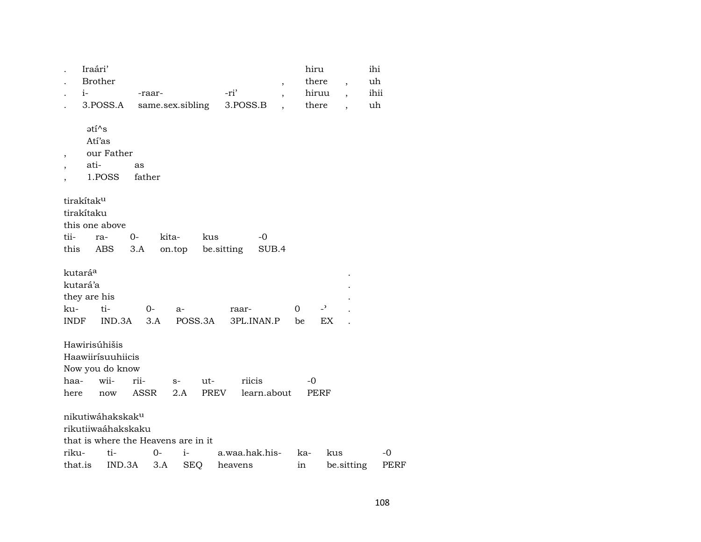|         | Iraári'                   |                                     |             |        |                  |            |            |                          |     | hiru                     |     |                          | ihi  |      |
|---------|---------------------------|-------------------------------------|-------------|--------|------------------|------------|------------|--------------------------|-----|--------------------------|-----|--------------------------|------|------|
|         |                           | <b>Brother</b>                      |             |        |                  |            |            | ,                        |     | there                    |     | $\overline{\phantom{a}}$ | uh   |      |
|         | $i-$                      |                                     |             | -raar- |                  |            | -ri'       |                          |     | hiruu                    |     | $\overline{\phantom{a}}$ | ihii |      |
|         |                           | 3.POSS.A                            |             |        | same.sex.sibling |            | 3.POSS.B   | $\overline{\phantom{a}}$ |     | there                    |     | $\overline{\phantom{a}}$ | uh   |      |
|         | $\mathsf{ati}^{\wedge}$ s |                                     |             |        |                  |            |            |                          |     |                          |     |                          |      |      |
|         |                           | Atí'as                              |             |        |                  |            |            |                          |     |                          |     |                          |      |      |
| $\, ,$  |                           | our Father                          |             |        |                  |            |            |                          |     |                          |     |                          |      |      |
|         | ati-                      |                                     | as          |        |                  |            |            |                          |     |                          |     |                          |      |      |
|         |                           | 1.POSS                              | father      |        |                  |            |            |                          |     |                          |     |                          |      |      |
|         | tirakítak <sup>u</sup>    |                                     |             |        |                  |            |            |                          |     |                          |     |                          |      |      |
|         | tirakítaku                |                                     |             |        |                  |            |            |                          |     |                          |     |                          |      |      |
|         |                           | this one above                      |             |        |                  |            |            |                          |     |                          |     |                          |      |      |
| tii-    |                           | ra-                                 | $0-$        | kita-  |                  | kus        |            | -0                       |     |                          |     |                          |      |      |
| this    |                           | ABS                                 | 3.A         |        | on.top           | be.sitting |            | SUB.4                    |     |                          |     |                          |      |      |
|         | kutará <sup>a</sup>       |                                     |             |        |                  |            |            |                          |     |                          |     |                          |      |      |
|         | kutará'a                  |                                     |             |        |                  |            |            |                          |     |                          |     |                          |      |      |
|         | they are his              |                                     |             |        |                  |            |            |                          |     |                          |     |                          |      |      |
| ku-     |                           | ti-                                 |             | 0-     | $a-$             |            | raar-      |                          | 0   | $\overline{\phantom{0}}$ |     |                          |      |      |
| INDF    |                           | IND.3A                              |             | 3.A    |                  | POSS.3A    | 3PL.INAN.P |                          | be  |                          | EX  |                          |      |      |
|         |                           | Hawirisúhišis                       |             |        |                  |            |            |                          |     |                          |     |                          |      |      |
|         |                           | Haawiirísuuhiicis                   |             |        |                  |            |            |                          |     |                          |     |                          |      |      |
|         |                           | Now you do know                     |             |        |                  |            |            |                          |     |                          |     |                          |      |      |
| haa-    |                           | wii-                                | rii-        |        | $S-$             | ut-        | riicis     |                          |     | -0                       |     |                          |      |      |
| here    |                           | now                                 | <b>ASSR</b> |        | 2.A              | PREV       |            | learn.about              |     | <b>PERF</b>              |     |                          |      |      |
|         |                           | nikutiwáhakskak <sup>u</sup>        |             |        |                  |            |            |                          |     |                          |     |                          |      |      |
|         |                           | rikutiiwaáhakskaku                  |             |        |                  |            |            |                          |     |                          |     |                          |      |      |
|         |                           | that is where the Heavens are in it |             |        |                  |            |            |                          |     |                          |     |                          |      |      |
| riku-   |                           | ti-                                 |             | $0-$   | $i-$             |            |            | a.waa.hak.his-           | ka- |                          | kus |                          | $-0$ |      |
| that.is |                           | IND.3A                              |             | 3.A    | <b>SEQ</b>       |            | heavens    |                          | in  |                          |     | be.sitting               |      | PERF |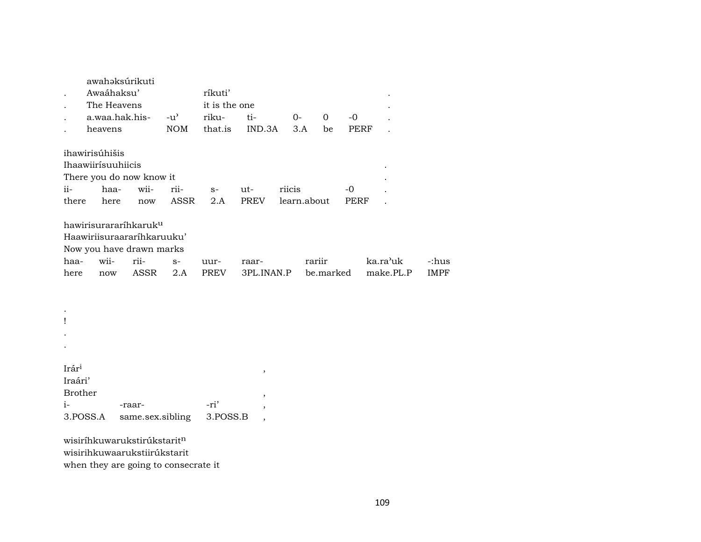|                                                | Awaáhaksu'<br>The Heavens | awahaksúrikuti                                                                                              |               | ríkuti'<br>it is the one |                                                     |             |        |                |           |                       |
|------------------------------------------------|---------------------------|-------------------------------------------------------------------------------------------------------------|---------------|--------------------------|-----------------------------------------------------|-------------|--------|----------------|-----------|-----------------------|
|                                                | a.waa.hak.his-            |                                                                                                             | $-u^{\prime}$ | riku-                    | ti-                                                 | $O -$       |        | $\overline{0}$ | $-0$      |                       |
|                                                | heavens                   |                                                                                                             | <b>NOM</b>    | that.is                  | IND.3A                                              |             | 3.A    | be             | PERF      |                       |
|                                                | ihawirisúhišis            |                                                                                                             |               |                          |                                                     |             |        |                |           |                       |
|                                                | Ihaawiirísuuhiicis        |                                                                                                             |               |                          |                                                     |             |        |                |           |                       |
|                                                |                           | There you do now know it                                                                                    |               |                          |                                                     |             |        |                |           |                       |
| $ii -$                                         | haa-                      | wii-                                                                                                        | rii-          | $S-$                     | ut-                                                 | riicis      |        |                | $-0$      |                       |
| there                                          | here                      | now                                                                                                         | ASSR          | 2.A                      | PREV                                                | learn.about |        |                | PERF      |                       |
| haa-<br>here                                   | wii-<br>now               | hawirisurararíhkaruk <sup>u</sup><br>Haawiriisuraararihkaruuku'<br>Now you have drawn marks<br>rii-<br>ASSR | $S-$<br>2.A   | uur-<br>PREV             | raar-<br>3PL.INAN.P                                 |             | rariir |                | be.marked | ka.ra'uk<br>make.PL.P |
|                                                |                           |                                                                                                             |               |                          |                                                     |             |        |                |           |                       |
| Ţ                                              |                           |                                                                                                             |               |                          |                                                     |             |        |                |           |                       |
|                                                |                           |                                                                                                             |               |                          |                                                     |             |        |                |           |                       |
|                                                |                           |                                                                                                             |               |                          |                                                     |             |        |                |           |                       |
| Irár <sup>i</sup><br>Iraári'<br><b>Brother</b> |                           |                                                                                                             |               |                          | $^\mathrm{^\mathrm{o}}$<br>$\overline{\phantom{a}}$ |             |        |                |           |                       |
| $i-$                                           |                           | -raar-                                                                                                      |               | -ri'                     | ,                                                   |             |        |                |           |                       |
| 3.POSS.A                                       |                           | same.sex.sibling                                                                                            |               | 3.POSS.B                 | $\overline{\phantom{a}}$                            |             |        |                |           |                       |

wisiríhkuwarukstirúkstarit<sup>n</sup> wisirihkuwaarukstiirúkstarit when they are going to consecrate it -:hus IMPF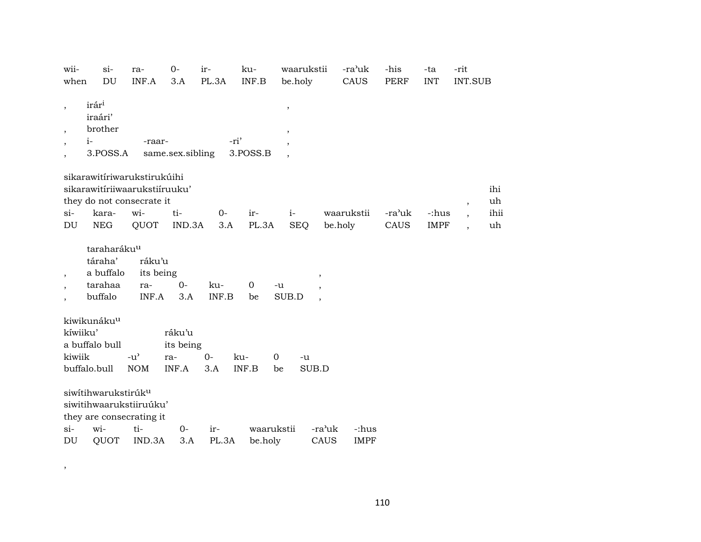| wii-                                                           | $si-$                                                                                                 | ra-                                 | $0-$             | ir-          | ku-                   | waarukstii                                                          | -ra'uk                                 | -his        | -ta         | -rit                 |      |
|----------------------------------------------------------------|-------------------------------------------------------------------------------------------------------|-------------------------------------|------------------|--------------|-----------------------|---------------------------------------------------------------------|----------------------------------------|-------------|-------------|----------------------|------|
| when                                                           | DU                                                                                                    | INF.A                               | 3.A              | PL.3A        | INF.B                 | be.holy                                                             | CAUS                                   | <b>PERF</b> | <b>INT</b>  | <b>INT.SUB</b>       |      |
| $\, ,$<br>$\overline{\phantom{a}}$<br>$\overline{\phantom{a}}$ | irár <sup>i</sup><br>iraári'<br>brother<br>$i-$<br>3.POSS.A                                           | -raar-                              | same.sex.sibling |              | -ri'<br>3.POSS.B      | $\, ,$<br>$^\mathrm{,}$                                             |                                        |             |             |                      |      |
|                                                                | sikarawitíriwarukstirukúihi                                                                           |                                     |                  |              |                       |                                                                     |                                        |             |             |                      |      |
|                                                                | sikarawitíriiwaarukstiíruuku'                                                                         |                                     |                  |              |                       |                                                                     |                                        |             |             |                      | ihi  |
|                                                                | they do not consecrate it                                                                             |                                     |                  |              |                       |                                                                     |                                        |             |             | $\cdot$              | uh   |
| si-                                                            | kara-                                                                                                 | wi-                                 | ti-              | $O -$        | ir-                   | $i-$                                                                | waarukstii                             | -ra'uk      | -:hus       | $\ddot{\phantom{0}}$ | ihii |
| DU                                                             | <b>NEG</b>                                                                                            | QUOT                                | IND.3A           | 3.A          | PL.3A                 | <b>SEQ</b>                                                          | be.holy                                | CAUS        | <b>IMPF</b> |                      | uh   |
| $\overline{\phantom{a}}$<br>$\cdot$                            | taraharáku <sup>u</sup><br>táraha'<br>a buffalo<br>tarahaa<br>buffalo                                 | ráku'u<br>its being<br>ra-<br>INF.A | $0 -$<br>3.A     | ku-<br>INF.B | $\overline{0}$<br>be  | $\overline{\phantom{a}}$<br>-u<br>SUB.D<br>$\overline{\phantom{a}}$ |                                        |             |             |                      |      |
|                                                                | kiwikunáku <sup>u</sup>                                                                               |                                     |                  |              |                       |                                                                     |                                        |             |             |                      |      |
| kíwiiku'                                                       |                                                                                                       |                                     | ráku'u           |              |                       |                                                                     |                                        |             |             |                      |      |
|                                                                | a buffalo bull                                                                                        |                                     | its being        |              |                       |                                                                     |                                        |             |             |                      |      |
| kiwiik                                                         |                                                                                                       | $-u^{\prime}$                       | ra-              | $0 -$        | ku-                   | $\overline{0}$<br>-u                                                |                                        |             |             |                      |      |
|                                                                | buffalo.bull                                                                                          | <b>NOM</b>                          | INF.A            | 3.A          | INF.B                 | SUB.D<br>be                                                         |                                        |             |             |                      |      |
| $\sin$<br>DU                                                   | siwitihwarukstirúk <sup>u</sup><br>siwitihwaarukstiiruúku'<br>they are consecrating it<br>wi-<br>QUOT | ti-<br>IND.3A                       | $0-$<br>3.A      | ir-<br>PL.3A | waarukstii<br>be.holy |                                                                     | -ra'uk<br>-:hus<br>CAUS<br><b>IMPF</b> |             |             |                      |      |
|                                                                |                                                                                                       |                                     |                  |              |                       |                                                                     |                                        |             |             |                      |      |

,

110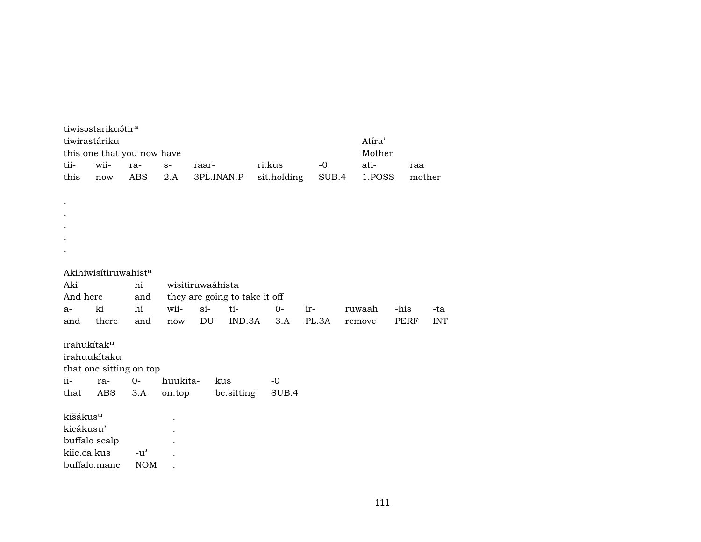| tii-                    | tiwisəstariku atir <sup>a</sup><br>tiwirastáriku<br>this one that you now have<br>wii- | ra-           | $S-$     | raar- |                               | ri.kus      |     | $-0$  | Atíra'<br>Mother<br>ati- | raa    |            |  |
|-------------------------|----------------------------------------------------------------------------------------|---------------|----------|-------|-------------------------------|-------------|-----|-------|--------------------------|--------|------------|--|
| this                    | now                                                                                    | ABS           | 2.A      |       | 3PL.INAN.P                    | sit.holding |     | SUB.4 | 1.POSS                   | mother |            |  |
|                         |                                                                                        |               |          |       |                               |             |     |       |                          |        |            |  |
|                         |                                                                                        |               |          |       |                               |             |     |       |                          |        |            |  |
|                         |                                                                                        |               |          |       |                               |             |     |       |                          |        |            |  |
|                         |                                                                                        |               |          |       |                               |             |     |       |                          |        |            |  |
|                         |                                                                                        |               |          |       |                               |             |     |       |                          |        |            |  |
|                         |                                                                                        |               |          |       |                               |             |     |       |                          |        |            |  |
|                         | Akihiwisitiruwahist <sup>a</sup>                                                       |               |          |       |                               |             |     |       |                          |        |            |  |
| Aki                     |                                                                                        | hi            |          |       | wisitiruwaáhista              |             |     |       |                          |        |            |  |
| And here                |                                                                                        | and           |          |       | they are going to take it off |             |     |       |                          |        |            |  |
| a-                      | ki                                                                                     | hi            | wii-     | $si-$ | ti-                           | $0-$        | ir- |       | ruwaah                   | -his   | -ta        |  |
| and                     | there                                                                                  | and           | now      | DU    | IND.3A                        | 3.A         |     | PL.3A | remove                   | PERF   | <b>INT</b> |  |
| irahukítak <sup>u</sup> |                                                                                        |               |          |       |                               |             |     |       |                          |        |            |  |
|                         | irahuukítaku                                                                           |               |          |       |                               |             |     |       |                          |        |            |  |
|                         | that one sitting on top                                                                |               |          |       |                               |             |     |       |                          |        |            |  |
| ii-                     | ra-                                                                                    | $O -$         | huukita- |       | kus                           | $-0$        |     |       |                          |        |            |  |
| that                    | ABS                                                                                    | 3.A           | on.top   |       | be.sitting                    | SUB.4       |     |       |                          |        |            |  |
|                         |                                                                                        |               |          |       |                               |             |     |       |                          |        |            |  |
| kišákus <sup>u</sup>    |                                                                                        |               |          |       |                               |             |     |       |                          |        |            |  |
| kicákusu'               |                                                                                        |               |          |       |                               |             |     |       |                          |        |            |  |
| kiic.ca.kus             | buffalo scalp                                                                          | $-u^{\prime}$ |          |       |                               |             |     |       |                          |        |            |  |
|                         | buffalo.mane                                                                           | <b>NOM</b>    |          |       |                               |             |     |       |                          |        |            |  |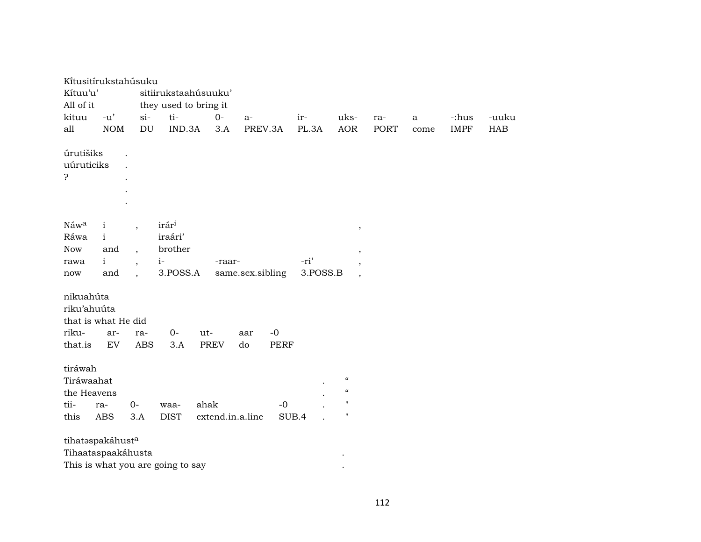| Kítusitírukstahúsuku     |                      |                            |                                   |                      |                  |       |          |                            |             |              |             |       |
|--------------------------|----------------------|----------------------------|-----------------------------------|----------------------|------------------|-------|----------|----------------------------|-------------|--------------|-------------|-------|
| Kítuu'u'                 |                      |                            |                                   | sitiirukstaahúsuuku' |                  |       |          |                            |             |              |             |       |
| All of it                |                      |                            | they used to bring it             |                      |                  |       |          |                            |             |              |             |       |
| kituu                    | $-u'$                | $\sin$                     | ti-                               | $0-$                 | $a-$             |       | ir-      | uks-                       | ra-         | $\mathbf{a}$ | -:hus       | -uuku |
| all                      | <b>NOM</b>           | $\mathop{\rm DU}\nolimits$ | IND.3A                            | 3.A                  | PREV.3A          |       | PL.3A    | <b>AOR</b>                 | <b>PORT</b> | come         | <b>IMPF</b> | HAB   |
| úrutišiks                |                      |                            |                                   |                      |                  |       |          |                            |             |              |             |       |
| uúruticiks               | $\ddot{\phantom{0}}$ |                            |                                   |                      |                  |       |          |                            |             |              |             |       |
| ċ                        |                      |                            |                                   |                      |                  |       |          |                            |             |              |             |       |
|                          |                      |                            |                                   |                      |                  |       |          |                            |             |              |             |       |
|                          |                      |                            |                                   |                      |                  |       |          |                            |             |              |             |       |
|                          |                      |                            |                                   |                      |                  |       |          |                            |             |              |             |       |
| Náwa                     | $\mathbf{i}$         | $\overline{\phantom{a}}$   | irár <sup>i</sup>                 |                      |                  |       |          | $\, ,$                     |             |              |             |       |
| Ráwa                     | $\mathbf{i}$         |                            | iraári'                           |                      |                  |       |          |                            |             |              |             |       |
| Now                      | and                  | $\overline{\phantom{a}}$   | brother                           |                      |                  |       |          | $\, ,$                     |             |              |             |       |
| rawa                     | $\mathbf{i}$         | $\ddot{\phantom{0}}$       | $i-$                              | -raar-               |                  |       | -ri'     | $\,$                       |             |              |             |       |
| now                      | and                  | $\overline{\phantom{a}}$   | 3.POSS.A                          |                      | same.sex.sibling |       | 3.POSS.B | $\overline{\phantom{a}}$   |             |              |             |       |
|                          |                      |                            |                                   |                      |                  |       |          |                            |             |              |             |       |
| nikuahúta<br>riku'ahuúta |                      |                            |                                   |                      |                  |       |          |                            |             |              |             |       |
| that is what He did      |                      |                            |                                   |                      |                  |       |          |                            |             |              |             |       |
| riku-                    | ar-                  | ra-                        | $0-$                              | ut-                  | aar              | $-0$  |          |                            |             |              |             |       |
| that.is                  | EV                   | <b>ABS</b>                 | 3.A                               | <b>PREV</b>          | do               | PERF  |          |                            |             |              |             |       |
|                          |                      |                            |                                   |                      |                  |       |          |                            |             |              |             |       |
| tiráwah                  |                      |                            |                                   |                      |                  |       |          |                            |             |              |             |       |
| Tiráwaahat               |                      |                            |                                   |                      |                  |       |          | $\mathcal{C}\mathcal{C}$   |             |              |             |       |
| the Heavens              |                      |                            |                                   |                      |                  |       |          | $\boldsymbol{\mathcal{C}}$ |             |              |             |       |
| tii-                     | ra-                  | $0-$                       | waa-                              | ahak                 |                  | $-0$  |          | $\mathbf{H}$               |             |              |             |       |
| this                     | <b>ABS</b>           | 3.A                        | <b>DIST</b>                       | extend.in.a.line     |                  | SUB.4 |          | $\mathbf{H}$               |             |              |             |       |
|                          |                      |                            |                                   |                      |                  |       |          |                            |             |              |             |       |
| tihataspakáhusta         |                      |                            |                                   |                      |                  |       |          |                            |             |              |             |       |
| Tihaataspaakáhusta       |                      |                            |                                   |                      |                  |       |          |                            |             |              |             |       |
|                          |                      |                            | This is what you are going to say |                      |                  |       |          |                            |             |              |             |       |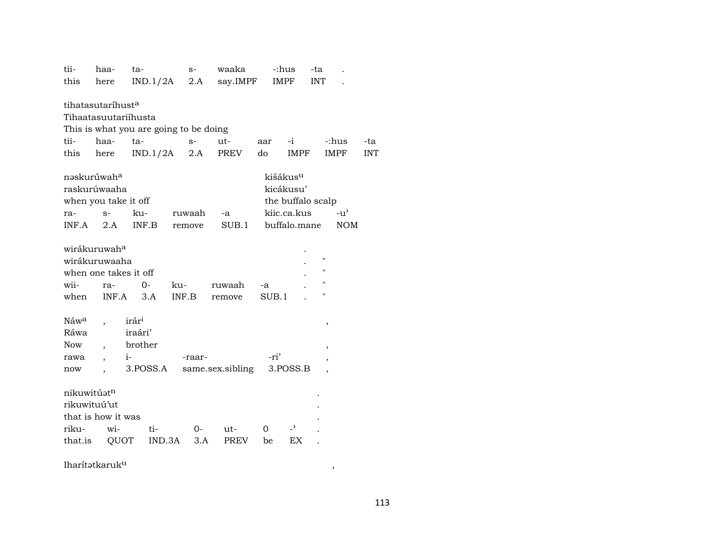| tii-                    | haa-                          | ta-                                    | $S-$   | waaka            | -:hus                |                   | -ta                |               |            |
|-------------------------|-------------------------------|----------------------------------------|--------|------------------|----------------------|-------------------|--------------------|---------------|------------|
| this                    | here                          | IND.1/2A                               | 2.A    | say.IMPF         |                      | IMPF              | <b>INT</b>         |               |            |
|                         |                               |                                        |        |                  |                      |                   |                    |               |            |
|                         | tihatasutaríhust <sup>a</sup> |                                        |        |                  |                      |                   |                    |               |            |
|                         | Tihaatasuutariihusta          |                                        |        |                  |                      |                   |                    |               |            |
|                         |                               | This is what you are going to be doing |        |                  |                      |                   |                    |               |            |
| tii-                    | haa-                          | ta-                                    | $S-$   | ut-              | aar                  | -i                |                    | -:hus         | -ta        |
| this                    | here                          | IND.1/2A                               | 2.A    | PREV             | do                   | <b>IMPF</b>       |                    | <b>IMPF</b>   | <b>INT</b> |
|                         |                               |                                        |        |                  |                      |                   |                    |               |            |
|                         | nəskurúwah <sup>a</sup>       |                                        |        |                  | kišákus <sup>u</sup> |                   |                    |               |            |
|                         | raskurúwaaha                  |                                        |        |                  |                      | kicákusu'         |                    |               |            |
|                         | when you take it off          |                                        |        |                  |                      | the buffalo scalp |                    |               |            |
| ra-                     | $S-$                          | ku-                                    | ruwaah | -a               |                      | kiic.ca.kus       |                    | $-u^{\prime}$ |            |
| INF.A                   | 2.A                           | INF.B                                  | remove | SUB.1            |                      | buffalo.mane      |                    | <b>NOM</b>    |            |
|                         |                               |                                        |        |                  |                      |                   |                    |               |            |
|                         | wirákuruwah <sup>a</sup>      |                                        |        |                  |                      |                   |                    |               |            |
|                         | wirákuruwaaha                 |                                        |        |                  |                      |                   | $\pmb{\mathsf{H}}$ |               |            |
|                         | when one takes it off         |                                        |        |                  |                      |                   | 11                 |               |            |
| wii-                    | ra-                           | $0-$                                   | ku-    | ruwaah           | -a                   |                   | 11                 |               |            |
| when                    | INF.A                         | 3.A                                    | INF.B  | remove           | SUB.1                |                   | Ħ                  |               |            |
|                         |                               |                                        |        |                  |                      |                   |                    |               |            |
| Náw <sup>a</sup>        |                               | irár <sup>i</sup>                      |        |                  |                      |                   | $\, ,$             |               |            |
| Ráwa                    |                               | iraári'                                |        |                  |                      |                   |                    |               |            |
| <b>Now</b>              |                               | brother                                |        |                  |                      |                   | ,                  |               |            |
| rawa                    |                               | $i-$                                   | -raar- |                  | -ri'                 |                   |                    |               |            |
| now                     |                               | 3.POSS.A                               |        | same.sex.sibling |                      | 3.POSS.B          | ,                  |               |            |
|                         |                               |                                        |        |                  |                      |                   |                    |               |            |
| nikuwitúət <sup>n</sup> |                               |                                        |        |                  |                      |                   |                    |               |            |
| rikuwituú'ut            |                               |                                        |        |                  |                      |                   |                    |               |            |
|                         | that is how it was            |                                        |        |                  |                      |                   |                    |               |            |
| riku-                   | wi-                           | ti-                                    | 0-     | ut-              | $\Omega$             | $\overline{a}$    |                    |               |            |
| that.is                 | QUOT                          | IND.3A                                 | 3.A    | PREV             | be                   | EX                |                    |               |            |
|                         |                               |                                        |        |                  |                      |                   |                    |               |            |

Iharítətkaruk<sup>u</sup>

 $\rightarrow$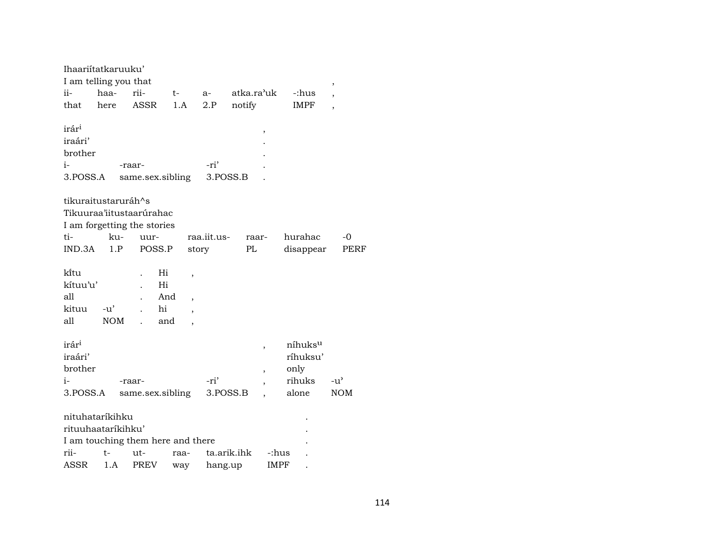|                   | Ihaariitatkaruuku'    |                                   |                       |             |                          |                     |                          |
|-------------------|-----------------------|-----------------------------------|-----------------------|-------------|--------------------------|---------------------|--------------------------|
|                   | I am telling you that |                                   |                       |             |                          |                     | ,                        |
| ii-               | haa-                  | rii-                              | t-                    | $a-$        | atka.ra'uk               | -:hus               | $\overline{\phantom{a}}$ |
| that              | here                  | ASSR                              | 1.A                   | 2.P         | notify                   | <b>IMPF</b>         | $\overline{\phantom{a}}$ |
|                   |                       |                                   |                       |             |                          |                     |                          |
| irár <sup>i</sup> |                       |                                   |                       |             | ,                        |                     |                          |
| iraári'           |                       |                                   |                       |             |                          |                     |                          |
| brother           |                       |                                   |                       |             |                          |                     |                          |
| i-                |                       | -raar-                            |                       | -ri'        |                          |                     |                          |
| 3.POSS.A          |                       | same.sex.sibling                  |                       |             | 3.POSS.B                 |                     |                          |
|                   |                       |                                   |                       |             |                          |                     |                          |
|                   | tikuraitustaruráh^s   |                                   |                       |             |                          |                     |                          |
|                   |                       | Tikuuraa'iitustaarúrahac          |                       |             |                          |                     |                          |
|                   |                       | I am forgetting the stories       |                       |             |                          |                     |                          |
| ti-               | ku-                   | uur-                              |                       | raa.iit.us- | raar-                    | hurahac             | -0                       |
| IND.3A            | 1.P                   | POSS.P                            |                       | story       | PL                       | disappear           | PERF                     |
|                   |                       |                                   |                       |             |                          |                     |                          |
| ki̇̃tu            |                       | Hi                                | ,                     |             |                          |                     |                          |
| kítuu'u'          |                       | Hi                                |                       |             |                          |                     |                          |
| a11               |                       |                                   | And<br>$\overline{ }$ |             |                          |                     |                          |
| kituu             | $-u'$                 | hi                                |                       |             |                          |                     |                          |
| all               | <b>NOM</b>            |                                   | and                   |             |                          |                     |                          |
|                   |                       |                                   |                       |             |                          |                     |                          |
| irár <sup>i</sup> |                       |                                   |                       |             |                          | níhuks <sup>u</sup> |                          |
| iraári'           |                       |                                   |                       |             | $\overline{\phantom{a}}$ | ríhuksu'            |                          |
| brother           |                       |                                   |                       |             |                          |                     |                          |
|                   |                       |                                   |                       |             | $\overline{\phantom{a}}$ | only                |                          |
| $i-$              |                       | -raar-                            |                       | -ri'        |                          | rihuks              | $-u'$                    |
| 3.POSS.A          |                       | same.sex.sibling                  |                       |             | 3.POSS.B                 | alone               | <b>NOM</b>               |
|                   | nituhataríkihku       |                                   |                       |             |                          |                     |                          |
|                   | rituuhaataríkihku'    |                                   |                       |             |                          |                     |                          |
|                   |                       | I am touching them here and there |                       |             |                          |                     |                          |
| rii-              | t-                    | ut-                               |                       |             | ta.arik.ihk<br>-:hus     |                     |                          |
|                   |                       |                                   | raa-                  |             |                          |                     |                          |
| ASSR              | 1.A                   | <b>PREV</b>                       | way                   | hang.up     | IMPF                     |                     |                          |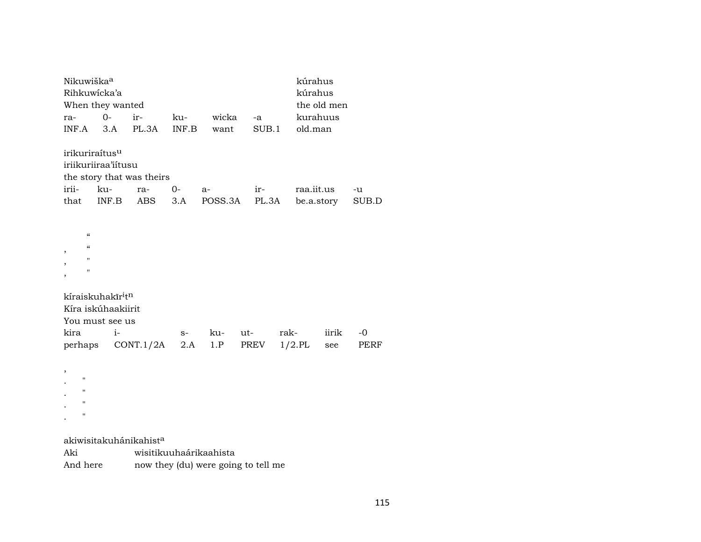| Nikuwiška <sup>a</sup><br>Rihkuwicka'a                                                                                  | When they wanted                                                |                                  |       |         |       |      | kúrahus<br>kúrahus | the old men |       |  |
|-------------------------------------------------------------------------------------------------------------------------|-----------------------------------------------------------------|----------------------------------|-------|---------|-------|------|--------------------|-------------|-------|--|
| ra-                                                                                                                     | $0-$                                                            | ir-                              | ku-   | wicka   | -a    |      | kurahuus           |             |       |  |
| INF.A                                                                                                                   | 3.A                                                             | PL.3A                            | INF.B | want    | SUB.1 |      | old.man            |             |       |  |
| irikuriraítus <sup>u</sup><br>irii-                                                                                     | iriikuriiraa'iitusu<br>ku-                                      | the story that was theirs<br>ra- | $0-$  | $a-$    | ir-   |      | raa.iit.us         |             | -u    |  |
| that                                                                                                                    | INF.B                                                           | ABS                              | 3.A   | POSS.3A | PL.3A |      |                    | be.a.story  | SUB.D |  |
| $\boldsymbol{\zeta}\boldsymbol{\zeta}$<br>$\boldsymbol{\zeta}\boldsymbol{\zeta}$<br>,<br>11<br>,<br>$\blacksquare$<br>, |                                                                 |                                  |       |         |       |      |                    |             |       |  |
|                                                                                                                         | kíraiskuhakīr <sup>i</sup> t <sup>n</sup><br>Kíra iskúhaakiirit |                                  |       |         |       |      |                    |             |       |  |
|                                                                                                                         | You must see us                                                 |                                  |       |         |       |      |                    |             |       |  |
| kira                                                                                                                    | $i-$                                                            |                                  | $S-$  | ku-     | ut-   | rak- |                    | iirik       | $-0$  |  |
| perhaps                                                                                                                 |                                                                 | CONT.1/2A                        | 2.A   | 1.P     | PREV  |      | $1/2$ .PL          | see         | PERF  |  |
| ,<br>п<br>п<br>11<br>п                                                                                                  |                                                                 |                                  |       |         |       |      |                    |             |       |  |

akiwisitakuhánikahist<sup>a</sup>

| Aki      | wisitikuuhaárikaahista              |
|----------|-------------------------------------|
| And here | now they (du) were going to tell me |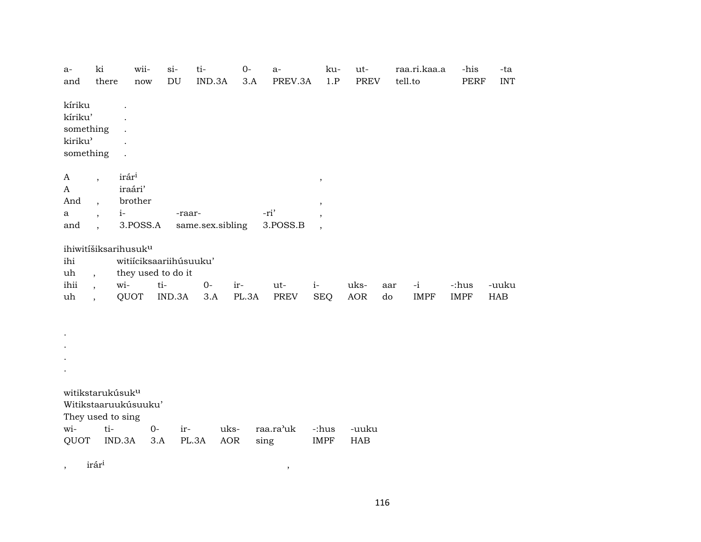| $a-$<br>and          | ki<br>there                                          | wii-<br>now                                  |      | $si-$<br>DU | ti-<br>IND.3A    | $0-$<br>3.A | $a-$<br>PREV.3A  | ku-<br>1.P                       | ut-<br><b>PREV</b> |     | raa.ri.kaa.a<br>tell.to | -his<br><b>PERF</b> | -ta<br><b>INT</b> |
|----------------------|------------------------------------------------------|----------------------------------------------|------|-------------|------------------|-------------|------------------|----------------------------------|--------------------|-----|-------------------------|---------------------|-------------------|
|                      |                                                      |                                              |      |             |                  |             |                  |                                  |                    |     |                         |                     |                   |
| kíriku               |                                                      | $\overline{a}$                               |      |             |                  |             |                  |                                  |                    |     |                         |                     |                   |
| kíriku'<br>something |                                                      |                                              |      |             |                  |             |                  |                                  |                    |     |                         |                     |                   |
| kiriku'              |                                                      |                                              |      |             |                  |             |                  |                                  |                    |     |                         |                     |                   |
| something            |                                                      | $\cdot$                                      |      |             |                  |             |                  |                                  |                    |     |                         |                     |                   |
| A                    | $\overline{\phantom{a}}$                             | irár <sup>i</sup>                            |      |             |                  |             |                  | $^\mathrm{^{^\circ}}$            |                    |     |                         |                     |                   |
| A                    |                                                      | iraári'                                      |      |             |                  |             |                  |                                  |                    |     |                         |                     |                   |
| And                  | $\overline{\phantom{a}}$                             | brother                                      |      |             |                  |             |                  | $^\mathrm{,}$                    |                    |     |                         |                     |                   |
| a<br>and             | $\overline{\phantom{a}}$<br>$\overline{\phantom{a}}$ | $i-$<br>3.POSS.A                             |      | -raar-      | same.sex.sibling |             | -ri'<br>3.POSS.B | $\,$<br>$\overline{\phantom{a}}$ |                    |     |                         |                     |                   |
|                      |                                                      |                                              |      |             |                  |             |                  |                                  |                    |     |                         |                     |                   |
|                      |                                                      | ihiwitíšiksarihusuk <sup>u</sup>             |      |             |                  |             |                  |                                  |                    |     |                         |                     |                   |
| ihi<br>uh            | $\overline{a}$                                       | witiíciksaariihúsuuku'<br>they used to do it |      |             |                  |             |                  |                                  |                    |     |                         |                     |                   |
| ihii                 | $\overline{\phantom{a}}$                             | wi-                                          | ti-  |             | $O -$            | ir-         | ut-              | $i-$                             | uks-               | aar | $-i$                    | -:hus               | -uuku             |
| uh                   | $\ddot{\phantom{0}}$                                 | QUOT                                         |      | IND.3A      | 3.A              | PL.3A       | PREV             | <b>SEQ</b>                       | AOR                | do  | <b>IMPF</b>             | <b>IMPF</b>         | HAB               |
|                      |                                                      |                                              |      |             |                  |             |                  |                                  |                    |     |                         |                     |                   |
|                      |                                                      |                                              |      |             |                  |             |                  |                                  |                    |     |                         |                     |                   |
|                      |                                                      |                                              |      |             |                  |             |                  |                                  |                    |     |                         |                     |                   |
|                      |                                                      |                                              |      |             |                  |             |                  |                                  |                    |     |                         |                     |                   |
|                      |                                                      |                                              |      |             |                  |             |                  |                                  |                    |     |                         |                     |                   |
|                      |                                                      | witikstarukúsuk <sup>u</sup>                 |      |             |                  |             |                  |                                  |                    |     |                         |                     |                   |
|                      |                                                      | Witikstaaruukúsuuku'                         |      |             |                  |             |                  |                                  |                    |     |                         |                     |                   |
| wi-                  | ti-                                                  | They used to sing                            | $0-$ | ir-         |                  | uks-        | raa.ra'uk        | -:hus                            | -uuku              |     |                         |                     |                   |
| QUOT                 |                                                      | IND.3A                                       | 3.A  | PL.3A       |                  | <b>AOR</b>  | sing             | <b>IMPF</b>                      | HAB                |     |                         |                     |                   |
|                      |                                                      |                                              |      |             |                  |             |                  |                                  |                    |     |                         |                     |                   |

 $\rightarrow$ 

 $\mbox{ir\~a\~r}^{\rm i}$  $\overline{\phantom{a}}$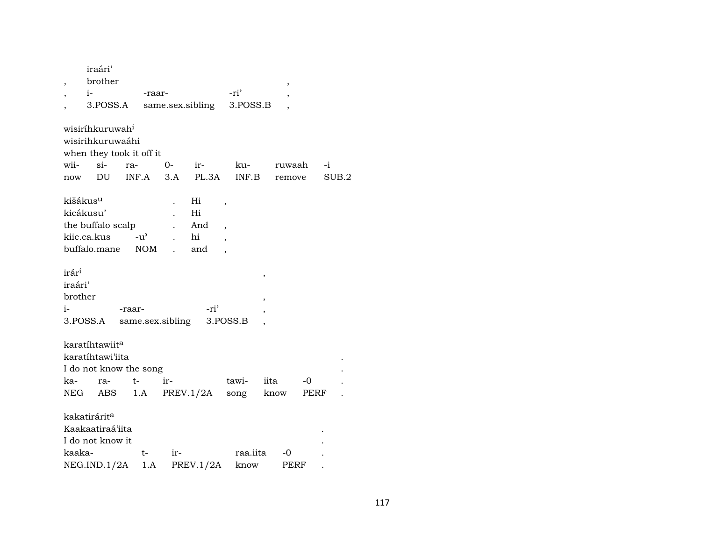|                      | iraári'                     |               |                  |                  |                          |                |      |       |
|----------------------|-----------------------------|---------------|------------------|------------------|--------------------------|----------------|------|-------|
| ,                    | brother                     |               |                  |                  |                          | ,              |      |       |
|                      | $i-$                        |               | -raar-           |                  | -ri'                     |                |      |       |
|                      | 3.POSS.A                    |               |                  | same.sex.sibling | 3.POSS.B                 |                |      |       |
|                      | wisiríhkuruwah <sup>i</sup> |               |                  |                  |                          |                |      |       |
|                      | wisirihkuruwaáhi            |               |                  |                  |                          |                |      |       |
|                      | when they took it off it    |               |                  |                  |                          |                |      |       |
| wii-                 | $\sin$                      | ra-           | 0-               | ir-              | ku-                      | ruwaah         |      | -i    |
| now                  | DU                          | INF.A         | 3.A              | PL.3A            | INF.B                    | remove         |      | SUB.2 |
| kišákus <sup>u</sup> |                             |               |                  | Hi               | ,                        |                |      |       |
| kicákusu'            |                             |               |                  | Hi               |                          |                |      |       |
|                      | the buffalo scalp           |               |                  | And              | $\overline{\phantom{a}}$ |                |      |       |
|                      | kiic.ca.kus                 | $-u^{\prime}$ |                  | hi               |                          |                |      |       |
|                      | buffalo.mane                | <b>NOM</b>    |                  | and              |                          |                |      |       |
| irár <sup>i</sup>    |                             |               |                  |                  |                          |                |      |       |
| iraári'              |                             |               |                  |                  |                          | ,              |      |       |
|                      |                             |               |                  |                  |                          |                |      |       |
| brother              |                             |               |                  |                  |                          | $\overline{ }$ |      |       |
| i-                   |                             | -raar-        |                  | -ri'             |                          |                |      |       |
|                      | 3.POSS.A                    |               | same.sex.sibling |                  | 3.POSS.B                 |                |      |       |
|                      | karatíhtawiit <sup>a</sup>  |               |                  |                  |                          |                |      |       |
|                      | karatíhtawi'iita            |               |                  |                  |                          |                |      |       |
|                      | I do not know the song      |               |                  |                  |                          |                |      |       |
| ka-                  | ra-                         | t-            | ir-              |                  | tawi-                    | iita           | -0   |       |
| NEG                  | ABS                         | 1.A           |                  | PREV.1/2A        | song                     | know           | PERF |       |
|                      |                             |               |                  |                  |                          |                |      |       |
|                      | kakatirárit <sup>a</sup>    |               |                  |                  |                          |                |      |       |
|                      | Kaakaatiraá'iita            |               |                  |                  |                          |                |      |       |
|                      | I do not know it            |               |                  |                  |                          |                |      |       |
| kaaka-               |                             | t-            | ir-              |                  | raa.iita                 | -0             |      |       |
|                      | NEG.ID.1/2A                 |               | 1.A              | PREV.1/2A        | know                     |                | PERF |       |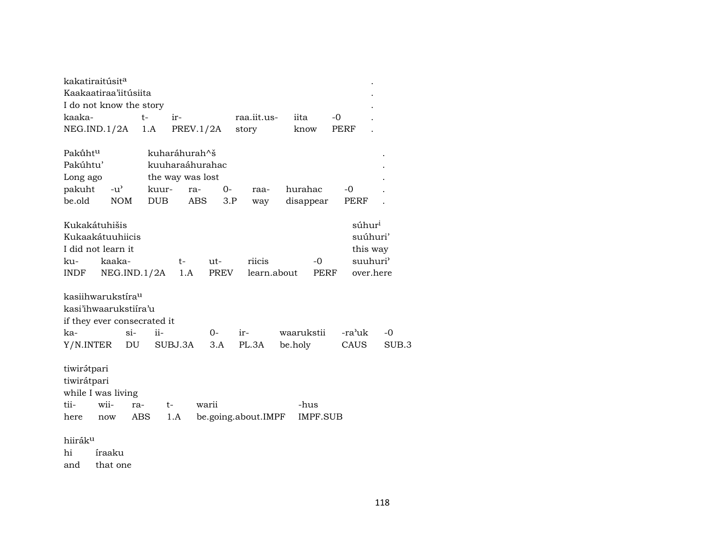|                     | kakatiraitúsit <sup>a</sup><br>Kaakaatiraa'iitúsiita |             |                  |           |             |                     |         |             |        |                      |       |
|---------------------|------------------------------------------------------|-------------|------------------|-----------|-------------|---------------------|---------|-------------|--------|----------------------|-------|
|                     | I do not know the story                              |             |                  |           |             |                     |         |             |        |                      |       |
| kaaka-              |                                                      | t-          | ir-              |           |             | raa.iit.us-         |         | iita        | -0     |                      |       |
|                     | NEG.IND.1/2A                                         |             | 1.A              | PREV.1/2A |             | story               |         | know        | PERF   |                      |       |
| Pakūht <sup>u</sup> |                                                      |             | kuharáhurah^š    |           |             |                     |         |             |        |                      |       |
| Pakúhtu'            |                                                      |             | kuuharaáhurahac  |           |             |                     |         |             |        |                      |       |
| Long ago            |                                                      |             | the way was lost |           |             |                     |         |             |        |                      |       |
| pakuht              | $-u^{\prime}$                                        |             | kuur-            | ra-       | $0-$        | raa-                |         | hurahac     | -0     |                      |       |
| be.old              |                                                      | <b>NOM</b>  | <b>DUB</b>       | ABS       | 3.P         | way                 |         | disappear   | PERF   |                      |       |
|                     | Kukakátuhišis                                        |             |                  |           |             |                     |         |             |        | súhur <sup>i</sup>   |       |
|                     | Kukaakátuuhiicis                                     |             |                  |           |             |                     |         |             |        | suúhuri'             |       |
|                     | I did not learn it                                   |             |                  |           |             |                     |         |             |        | this way             |       |
| ku-                 | kaaka-                                               |             | t-               | ut-       |             | riicis              |         | -0          |        | suuhuri <sup>3</sup> |       |
| <b>INDF</b>         |                                                      | NEG.ID.1/2A |                  | 1.A       | <b>PREV</b> | learn.about         |         | <b>PERF</b> |        | over.here            |       |
|                     | kasiihwarukstíra <sup>u</sup>                        |             |                  |           |             |                     |         |             |        |                      |       |
|                     | kasi'ihwaarukstiira'u                                |             |                  |           |             |                     |         |             |        |                      |       |
|                     | if they ever consecrated it                          |             |                  |           |             |                     |         |             |        |                      |       |
| ka-                 |                                                      | $\sin$      | $ii-$            | 0-        |             | ir-                 |         | waarukstii  | -ra'uk |                      | $-0$  |
| Y/N.INTER           |                                                      | DU          | SUBJ.3A          |           | 3.A         | PL.3A               | be.holy |             | CAUS   |                      | SUB.3 |
| tiwirátpari         |                                                      |             |                  |           |             |                     |         |             |        |                      |       |
| tiwirátpari         |                                                      |             |                  |           |             |                     |         |             |        |                      |       |
|                     | while I was living                                   |             |                  |           |             |                     |         |             |        |                      |       |
| tii-                | wii-                                                 | ra-         | t-               | warii     |             |                     |         | -hus        |        |                      |       |
| here                | now                                                  | ABS         | 1.A              |           |             | be.going.about.IMPF |         | IMPF.SUB    |        |                      |       |
| hiiráku             |                                                      |             |                  |           |             |                     |         |             |        |                      |       |
| hi                  | íraaku                                               |             |                  |           |             |                     |         |             |        |                      |       |
| and                 | that one                                             |             |                  |           |             |                     |         |             |        |                      |       |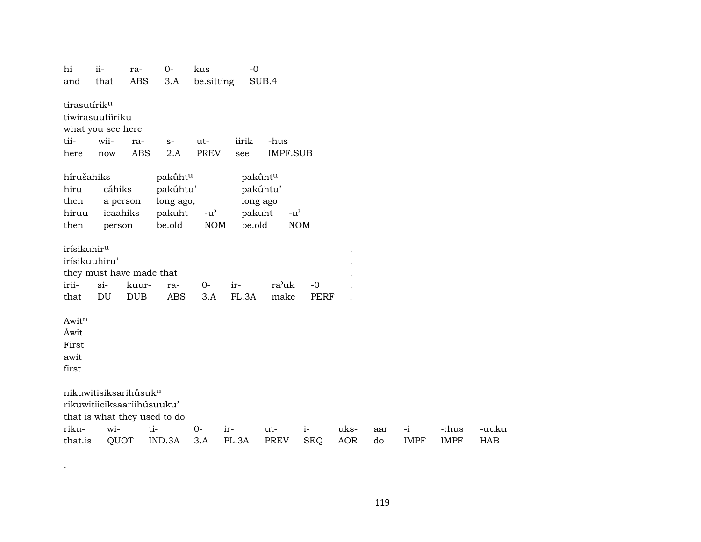| hi                       | $ii-$             | ra-                               | $0-$                         | kus                                 | $-0$   |                 |             |            |     |             |             |            |
|--------------------------|-------------------|-----------------------------------|------------------------------|-------------------------------------|--------|-----------------|-------------|------------|-----|-------------|-------------|------------|
| and                      | that              | <b>ABS</b>                        | 3.A                          | be.sitting                          |        | SUB.4           |             |            |     |             |             |            |
| tirasutírik <sup>u</sup> |                   |                                   |                              |                                     |        |                 |             |            |     |             |             |            |
|                          | tiwirasuutiíriku  |                                   |                              |                                     |        |                 |             |            |     |             |             |            |
|                          | what you see here |                                   |                              |                                     |        |                 |             |            |     |             |             |            |
| tii-                     | wii-              | ra-                               | $S-$                         | ut-                                 | iirik  | -hus            |             |            |     |             |             |            |
| here                     | now               | <b>ABS</b>                        | 2.A                          | <b>PREV</b>                         | see    | <b>IMPF.SUB</b> |             |            |     |             |             |            |
| hírušahiks               |                   |                                   | pakūht <sup>u</sup>          |                                     |        | pakūhtu         |             |            |     |             |             |            |
| hiru                     | cáhiks            |                                   | pakúhtu'                     |                                     |        | pakúhtu'        |             |            |     |             |             |            |
| then                     |                   | a person                          | long ago,                    |                                     |        | long ago        |             |            |     |             |             |            |
| hiruu                    | icaahiks          |                                   | pakuht                       | $-u$ <sup><math>\prime</math></sup> | pakuht | $-u^{\prime}$   |             |            |     |             |             |            |
| then                     | person            |                                   | be.old                       | <b>NOM</b>                          | be.old |                 | <b>NOM</b>  |            |     |             |             |            |
| irísikuhir <sup>u</sup>  |                   |                                   |                              |                                     |        |                 |             |            |     |             |             |            |
| irísikuuhiru'            |                   |                                   |                              |                                     |        |                 |             |            |     |             |             |            |
|                          |                   | they must have made that          |                              |                                     |        |                 |             |            |     |             |             |            |
| irii-                    | $si$ -            | kuur-                             | ra-                          | $O -$                               | ir-    | ra'uk           | $-0$        |            |     |             |             |            |
| that                     | DU                | <b>DUB</b>                        | <b>ABS</b>                   | 3.A                                 | PL.3A  | make            | <b>PERF</b> |            |     |             |             |            |
| Awitn                    |                   |                                   |                              |                                     |        |                 |             |            |     |             |             |            |
| Áwit                     |                   |                                   |                              |                                     |        |                 |             |            |     |             |             |            |
| First                    |                   |                                   |                              |                                     |        |                 |             |            |     |             |             |            |
| awit                     |                   |                                   |                              |                                     |        |                 |             |            |     |             |             |            |
| first                    |                   |                                   |                              |                                     |        |                 |             |            |     |             |             |            |
|                          |                   | nikuwitisiksarihūsuk <sup>u</sup> |                              |                                     |        |                 |             |            |     |             |             |            |
|                          |                   | rikuwitiiciksaariihúsuuku'        |                              |                                     |        |                 |             |            |     |             |             |            |
|                          |                   |                                   | that is what they used to do |                                     |        |                 |             |            |     |             |             |            |
| riku-                    | wi-               |                                   | ti-                          | $O -$                               | ir-    | ut-             | $i-$        | uks-       | aar | $-i$        | -:hus       | -uuku      |
| that.is                  | QUOT              |                                   | IND.3A                       | 3.A                                 | PL.3A  | <b>PREV</b>     | <b>SEQ</b>  | <b>AOR</b> | do  | <b>IMPF</b> | <b>IMPF</b> | <b>HAB</b> |

.

119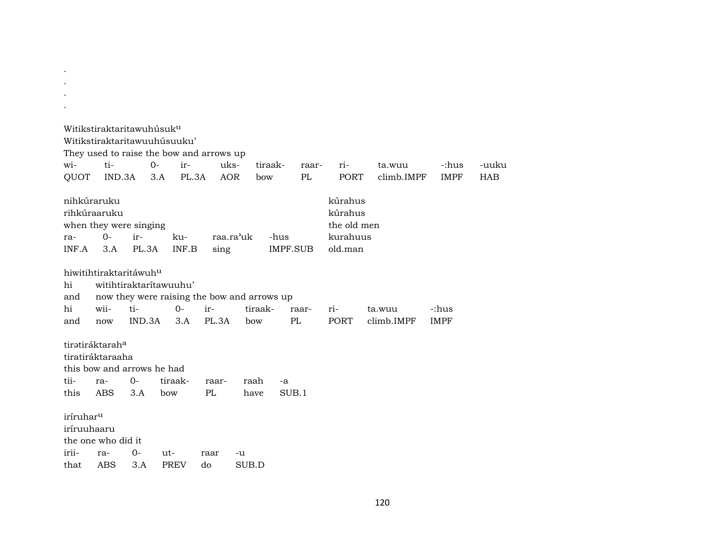| Witikstiraktaritawuhúsuku<br>Witikstiraktaritawuuhúsuuku'                         |                   |               |                                                                                |            |             |       |                |                 |             |                                   |                      |                      |            |
|-----------------------------------------------------------------------------------|-------------------|---------------|--------------------------------------------------------------------------------|------------|-------------|-------|----------------|-----------------|-------------|-----------------------------------|----------------------|----------------------|------------|
| They used to raise the bow and arrows up                                          |                   |               |                                                                                |            |             |       |                |                 |             |                                   |                      |                      |            |
| wi-                                                                               | ti-               |               | $0-$                                                                           | ir-        | uks-        |       | tiraak-        |                 | raar-       | ri-                               | ta.wuu               | -:hus                | -uuku      |
| QUOT                                                                              | IND.3A            |               | 3.A                                                                            | PL.3A      | <b>AOR</b>  |       | bow            |                 | PL          | <b>PORT</b>                       | climb.IMPF           | <b>IMPF</b>          | <b>HAB</b> |
| nihkúraruku<br>rihkúraaruku<br>when they were singing                             |                   |               |                                                                                |            |             |       |                |                 |             | kúrahus<br>kúrahus<br>the old men |                      |                      |            |
| ra-                                                                               | $0-$              | ir-           | ku-                                                                            |            | raa.ra'uk   |       |                | -hus            |             | kurahuus                          |                      |                      |            |
| INF.A                                                                             | 3.A               | PL.3A         |                                                                                | INF.B      | sing        |       |                | <b>IMPF.SUB</b> |             | old.man                           |                      |                      |            |
| hiwitihtiraktaritáwuh <sup>u</sup><br>hi<br>and<br>hi<br>and                      | wii-<br>now       | ti-<br>IND.3A | witihtiraktarítawuuhu'<br>now they were raising the bow and arrows up<br>$0 -$ | ir-<br>3.A | PL.3A       |       | tiraak-<br>bow |                 | raar-<br>PL | ri-<br><b>PORT</b>                | ta.wuu<br>climb.IMPF | -:hus<br><b>IMPF</b> |            |
| tiratiráktaraha<br>tiratiráktaraaha<br>this bow and arrows he had<br>tii-<br>this | ra-<br><b>ABS</b> | $O -$<br>3.A  | tiraak-<br>bow                                                                 |            | raar-<br>PL |       | raah<br>have   | $-a$<br>SUB.1   |             |                                   |                      |                      |            |
| iríruhar <sup>u</sup><br>iríruuhaaru<br>the one who did it<br>irii-               | ra-               | 0-            | ut-                                                                            |            | raar        | -u    |                |                 |             |                                   |                      |                      |            |
| that                                                                              | ABS               | 3.A           | <b>PREV</b>                                                                    | do         |             | SUB.D |                |                 |             |                                   |                      |                      |            |

. .

120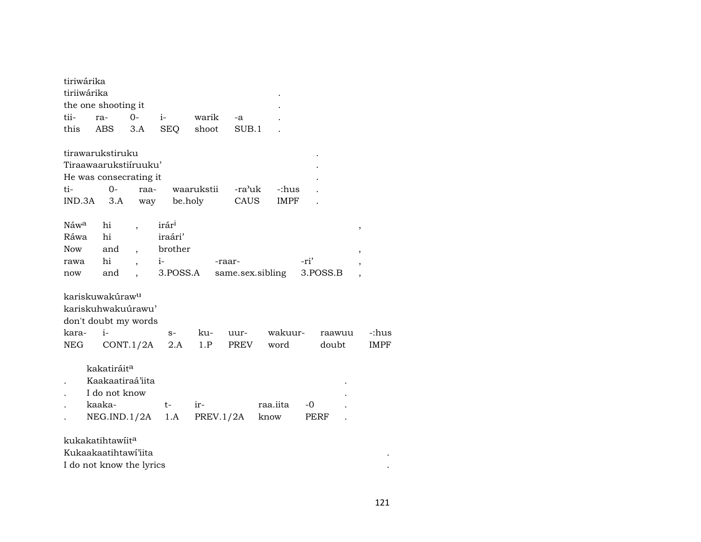| tiriwárika  |                              |                          |                   |            |        |                  |          |                          |
|-------------|------------------------------|--------------------------|-------------------|------------|--------|------------------|----------|--------------------------|
| tiriiwárika |                              |                          |                   |            |        |                  |          |                          |
|             | the one shooting it          |                          |                   |            |        |                  |          |                          |
| tii-        | ra-                          | $0-$                     | $i-$              | warik      | -a     |                  |          |                          |
| this        | ABS                          | 3.A                      | <b>SEQ</b>        | shoot      | SUB.1  |                  |          |                          |
|             | tirawarukstiruku             |                          |                   |            |        |                  |          |                          |
|             | Tiraawaarukstiiruuku'        |                          |                   |            |        |                  |          |                          |
|             | He was consecrating it       |                          |                   |            |        |                  |          |                          |
| ti-         | $0-$                         | raa-                     |                   | waarukstii | -ra'uk | -:hus            |          |                          |
| IND.3A      | 3.A                          | way                      |                   | be.holy    | CAUS   | IMPF             |          |                          |
| Náwa        | hi                           |                          | irár <sup>i</sup> |            |        |                  |          | ,                        |
| Ráwa        | hi                           |                          | iraári'           |            |        |                  |          |                          |
| <b>Now</b>  | and                          | $\overline{\phantom{a}}$ | brother           |            |        |                  |          | $\,$                     |
| rawa        | hi                           |                          | $i-$              |            | -raar- |                  | -ri'     | ,                        |
| now         | and                          |                          | 3.POSS.A          |            |        | same.sex.sibling | 3.POSS.B | $\overline{\phantom{a}}$ |
|             | kariskuwakúraw <sup>u</sup>  |                          |                   |            |        |                  |          |                          |
|             | kariskuhwakuúrawu'           |                          |                   |            |        |                  |          |                          |
|             | don't doubt my words         |                          |                   |            |        |                  |          |                          |
| kara-       | $i-$                         |                          | $S-$              | ku-        | uur-   | wakuur-          | raawuu   | -:hus                    |
| NEG         |                              | CONT.1/2A                | 2.A               | 1.P        | PREV   | word             | doubt    | <b>IMPF</b>              |
|             | kakatiráit <sup>a</sup>      |                          |                   |            |        |                  |          |                          |
|             | Kaakaatiraá'iita             |                          |                   |            |        |                  |          |                          |
|             | I do not know                |                          |                   |            |        |                  |          |                          |
|             | kaaka-                       |                          | $t-$              | ir-        |        | raa.iita         | -0       |                          |
|             | NEG.IND.1/2A                 |                          | 1.A               | PREV.1/2A  |        | know             | PERF     |                          |
|             | kukakatihtawiit <sup>a</sup> |                          |                   |            |        |                  |          |                          |
|             | Kukaakaatihtawi'iita         |                          |                   |            |        |                  |          |                          |
|             | I do not know the lyrics     |                          |                   |            |        |                  |          |                          |
|             |                              |                          |                   |            |        |                  |          |                          |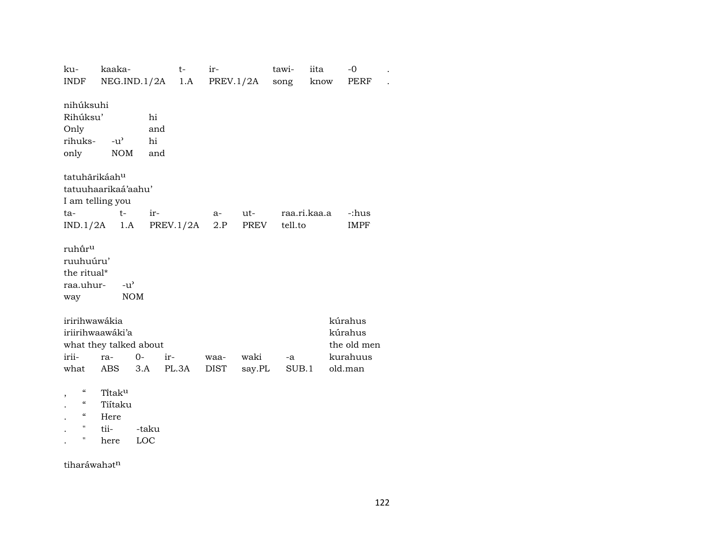| ku-                                    | kaaka-                 |                 | $t-$      | ir-  |           | tawi-   | iita         | $-0$        |  |
|----------------------------------------|------------------------|-----------------|-----------|------|-----------|---------|--------------|-------------|--|
| INDF                                   |                        | NEG.ID.1/2A 1.A |           |      | PREV.1/2A | song    | know         | PERF        |  |
|                                        |                        |                 |           |      |           |         |              |             |  |
| nihúksuhi                              |                        |                 |           |      |           |         |              |             |  |
| Rihúksu'                               |                        | hi              |           |      |           |         |              |             |  |
| Only                                   |                        | and             |           |      |           |         |              |             |  |
| rihuks-                                | $-u^{\prime}$          | hi              |           |      |           |         |              |             |  |
| only                                   | <b>NOM</b>             | and             |           |      |           |         |              |             |  |
|                                        |                        |                 |           |      |           |         |              |             |  |
|                                        | tatuhārikáahu          |                 |           |      |           |         |              |             |  |
|                                        | tatuuhaarikaá'aahu'    |                 |           |      |           |         |              |             |  |
|                                        | I am telling you       |                 |           |      |           |         |              |             |  |
| ta-                                    | $t-$                   | ir-             |           | $a-$ | ut-       |         | raa.ri.kaa.a | -:hus       |  |
| IND.1/2A                               | 1.A                    |                 | PREV.1/2A | 2.P  | PREV      | tell.to |              | <b>IMPF</b> |  |
|                                        |                        |                 |           |      |           |         |              |             |  |
| ruhūr <sup>u</sup>                     |                        |                 |           |      |           |         |              |             |  |
| ruuhuúru'                              |                        |                 |           |      |           |         |              |             |  |
| the ritual*                            |                        |                 |           |      |           |         |              |             |  |
| raa.uhur-                              | $-u^{\prime}$          |                 |           |      |           |         |              |             |  |
| way                                    |                        | <b>NOM</b>      |           |      |           |         |              |             |  |
|                                        |                        |                 |           |      |           |         |              |             |  |
| iririhwawákia                          |                        |                 |           |      |           |         |              | kúrahus     |  |
|                                        | iriirihwaawáki'a       |                 |           |      |           |         |              | kúrahus     |  |
|                                        | what they talked about |                 |           |      |           |         |              | the old men |  |
| irii-                                  | ra-                    | $0-$            | $ir -$    | waa- | waki      | -a      |              | kurahuus    |  |
| what                                   |                        | 3.A             | PL.3A     |      |           |         |              |             |  |
|                                        | ABS                    |                 |           | DIST | say.PL    |         | SUB.1        | old.man     |  |
| $\epsilon$                             | Titaku                 |                 |           |      |           |         |              |             |  |
| $\boldsymbol{\zeta}\boldsymbol{\zeta}$ | Tiitaku                |                 |           |      |           |         |              |             |  |
| $\epsilon\epsilon$                     |                        |                 |           |      |           |         |              |             |  |
| $\pmb{\mathsf{H}}$                     | Here<br>tii-           |                 |           |      |           |         |              |             |  |
| 11                                     |                        | -taku           |           |      |           |         |              |             |  |
|                                        | here                   | LOC             |           |      |           |         |              |             |  |

tiharáwah $\mathfrak{t}^{\mathrm{n}}$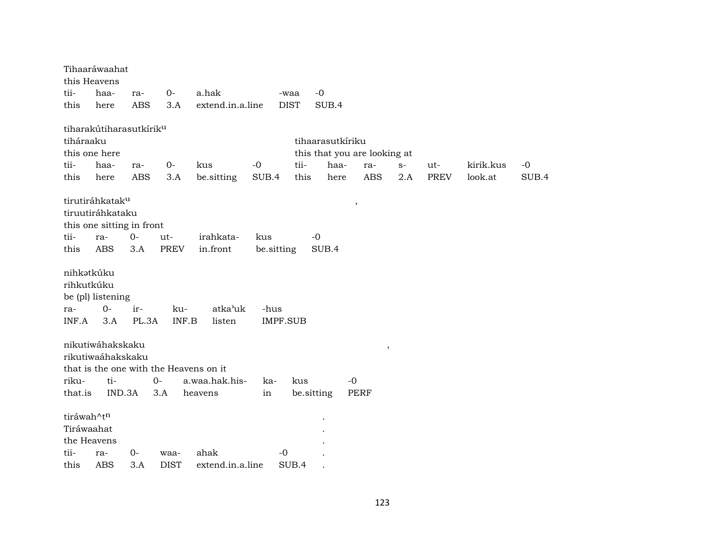|                                          | Tihaaráwaahat<br>this Heavens       |              |              |                                        |                         |             |                  |                              |      |             |           |       |
|------------------------------------------|-------------------------------------|--------------|--------------|----------------------------------------|-------------------------|-------------|------------------|------------------------------|------|-------------|-----------|-------|
| tii-                                     | haa-                                | ra-          | $O -$        | a.hak                                  |                         | -waa        | $-0$             |                              |      |             |           |       |
| this                                     | here                                | <b>ABS</b>   | 3.A          | extend.in.a.line                       |                         | <b>DIST</b> | SUB.4            |                              |      |             |           |       |
|                                          |                                     |              |              |                                        |                         |             |                  |                              |      |             |           |       |
|                                          | tiharakútiharasutkírik <sup>u</sup> |              |              |                                        |                         |             |                  |                              |      |             |           |       |
| tiháraaku                                |                                     |              |              |                                        |                         |             | tihaarasutkíriku |                              |      |             |           |       |
|                                          | this one here                       |              |              |                                        |                         |             |                  | this that you are looking at |      |             |           |       |
| tii-                                     | haa-                                | ra-          | $0-$         | kus                                    | $-0$                    | tii-        | haa-             | ra-                          | $S-$ | ut-         | kirik.kus | $-0$  |
| this                                     | here                                | <b>ABS</b>   | 3.A          | be.sitting                             | SUB.4                   | this        | here             | <b>ABS</b>                   | 2.A  | <b>PREV</b> | look.at   | SUB.4 |
|                                          |                                     |              |              |                                        |                         |             |                  |                              |      |             |           |       |
|                                          | tirutiráhkatak <sup>u</sup>         |              |              |                                        |                         |             |                  | $\, ,$                       |      |             |           |       |
|                                          | tiruutiráhkataku                    |              |              |                                        |                         |             |                  |                              |      |             |           |       |
|                                          | this one sitting in front           |              |              |                                        |                         |             |                  |                              |      |             |           |       |
| tii-                                     | ra-                                 | $0-$         | ut-          | irahkata-                              | kus                     | $-0$        |                  |                              |      |             |           |       |
| this                                     | <b>ABS</b>                          | 3.A          | PREV         | in.front                               | be.sitting              |             | SUB.4            |                              |      |             |           |       |
| nihkətkúku<br>rihkutkúku<br>ra-<br>INF.A | be (pl) listening<br>$O -$<br>3.A   | ir-<br>PL.3A | ku-<br>INF.B | atka'uk<br>listen                      | -hus<br><b>IMPF.SUB</b> |             |                  |                              |      |             |           |       |
|                                          | nikutiwáhakskaku                    |              |              |                                        |                         |             |                  | $\, ,$                       |      |             |           |       |
|                                          | rikutiwaáhakskaku                   |              |              |                                        |                         |             |                  |                              |      |             |           |       |
|                                          |                                     |              |              | that is the one with the Heavens on it |                         |             |                  |                              |      |             |           |       |
| riku-                                    | ti-                                 |              | $0-$         | a.waa.hak.his-                         | ka-                     | kus         |                  | $-0$                         |      |             |           |       |
| that.is                                  | IND.3A                              |              | 3.A          | heavens                                | in                      | be.sitting  |                  | <b>PERF</b>                  |      |             |           |       |
|                                          |                                     |              |              |                                        |                         |             |                  |                              |      |             |           |       |
| tiráwah^tn                               |                                     |              |              |                                        |                         |             |                  |                              |      |             |           |       |
| Tiráwaahat                               |                                     |              |              |                                        |                         |             |                  |                              |      |             |           |       |
|                                          | the Heavens                         |              |              |                                        |                         |             |                  |                              |      |             |           |       |
| tii-                                     | ra-                                 | $0 -$        | waa-         | ahak                                   | $-0$                    |             |                  |                              |      |             |           |       |
| this                                     | <b>ABS</b>                          | 3.A          | <b>DIST</b>  | extend.in.a.line                       |                         | SUB.4       |                  |                              |      |             |           |       |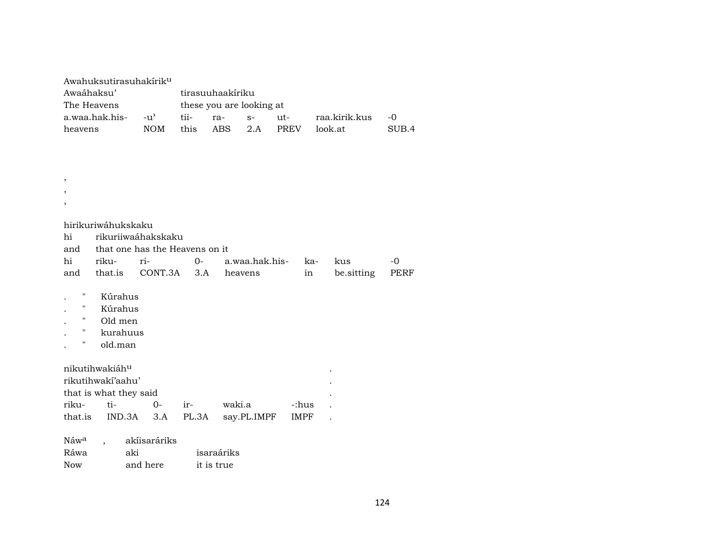| Awahuksutirasuhakirik <sup>u</sup><br>Awaáhaksu'<br>The Heavens                                                       |                                | tirasuuhaakíriku<br>these you are looking at |            |                |      |             |               |       |  |
|-----------------------------------------------------------------------------------------------------------------------|--------------------------------|----------------------------------------------|------------|----------------|------|-------------|---------------|-------|--|
| a.waa.hak.his-                                                                                                        | $-u^{\prime}$                  | tii-                                         | ra-        | $S-$           | ut-  |             | raa.kirik.kus | $-0$  |  |
| heavens                                                                                                               | <b>NOM</b>                     | this                                         | <b>ABS</b> | 2.A            | PREV |             | look.at       | SUB.4 |  |
|                                                                                                                       |                                |                                              |            |                |      |             |               |       |  |
|                                                                                                                       |                                |                                              |            |                |      |             |               |       |  |
|                                                                                                                       |                                |                                              |            |                |      |             |               |       |  |
|                                                                                                                       |                                |                                              |            |                |      |             |               |       |  |
| ,                                                                                                                     |                                |                                              |            |                |      |             |               |       |  |
| ,                                                                                                                     |                                |                                              |            |                |      |             |               |       |  |
| ,                                                                                                                     |                                |                                              |            |                |      |             |               |       |  |
| hirikuriwáhukskaku                                                                                                    |                                |                                              |            |                |      |             |               |       |  |
| hi                                                                                                                    | rikuriiwaáhakskaku             |                                              |            |                |      |             |               |       |  |
| and                                                                                                                   | that one has the Heavens on it |                                              |            |                |      |             |               |       |  |
| hi<br>riku-                                                                                                           | ri-                            | $0-$                                         |            | a.waa.hak.his- |      | ka-         | kus           | $-0$  |  |
| that.is<br>and                                                                                                        | CONT.3A                        | 3.A                                          | heavens    |                |      | in          | be.sitting    | PERF  |  |
| $\pmb{\mathsf{H}}$<br>Kúrahus<br>$\mathbf{H}$<br>Kúrahus<br>н.<br>Old men<br>н.<br>kurahuus<br>$\mathbf H$<br>old.man |                                |                                              |            |                |      |             |               |       |  |
| nikutihwakiáhu<br>rikutihwakí'aahu'                                                                                   |                                |                                              |            |                |      |             |               |       |  |
| that is what they said                                                                                                |                                |                                              |            |                |      |             |               |       |  |
| riku-<br>ti-                                                                                                          | $0 -$                          | ir-                                          | waki.a     |                |      | -:hus       |               |       |  |
| that.is<br>IND.3A                                                                                                     | 3.A                            | PL.3A                                        |            | say.PL.IMPF    |      | <b>IMPF</b> |               |       |  |
| Náw <sup>a</sup><br>Ráwa                                                                                              | akíisaráriks<br>aki            |                                              | isaraáriks |                |      |             |               |       |  |
| <b>Now</b>                                                                                                            | and here                       | it is true                                   |            |                |      |             |               |       |  |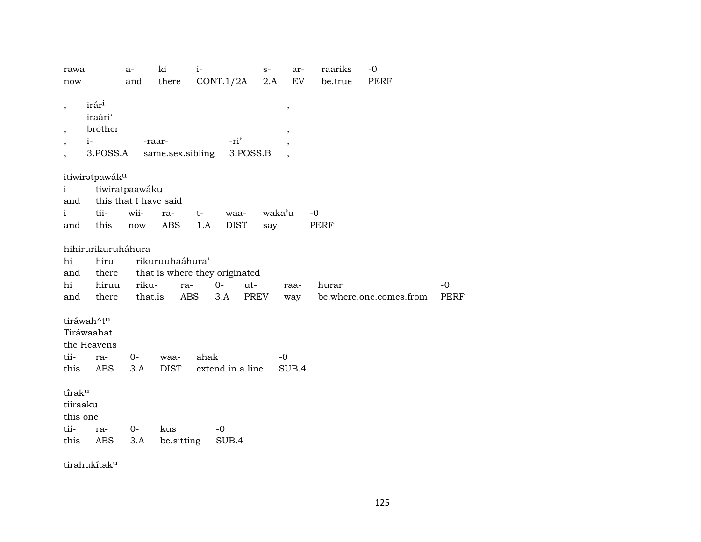| rawa<br>now                                                                                                         | a-<br>and                                                               | ki<br>there                   | $i-$        | CONT.1/2A                                                   | $S-$<br>2.A   | ar-<br>EV                                                   | raariks<br>be.true  | $-0$<br>PERF            |              |
|---------------------------------------------------------------------------------------------------------------------|-------------------------------------------------------------------------|-------------------------------|-------------|-------------------------------------------------------------|---------------|-------------------------------------------------------------|---------------------|-------------------------|--------------|
| irár <sup>i</sup><br>$\overline{\phantom{a}}$<br>iraári'<br>brother<br>$\overline{\phantom{a}}$<br>$i-$<br>3.POSS.A |                                                                         | -raar-<br>same.sex.sibling    |             | -ri'<br>3.POSS.B                                            |               | $^\mathrm{,}$<br>$\overline{ }$<br>$\overline{\phantom{a}}$ |                     |                         |              |
| itiwiratpawáku<br>i<br>and<br>tii-<br>i<br>this<br>and                                                              | tiwiratpaawáku<br>this that I have said<br>wii-<br>$\operatorname{now}$ | ra-<br><b>ABS</b>             | $t-$<br>1.A | waa-<br><b>DIST</b>                                         | waka'u<br>say |                                                             | $-0$<br><b>PERF</b> |                         |              |
| hihirurikuruháhura<br>$\hbox{hi}$<br>hiru<br>and<br>there<br>hi<br>hiruu<br>there<br>and                            | riku-<br>that.is                                                        | rikuruuhaáhura'<br>ra-<br>ABS |             | that is where they originated<br>$0-$<br>ut-<br>PREV<br>3.A |               | raa-<br>way                                                 | hurar               | be.where.one.comes.from | $-0$<br>PERF |
| tiráwah^tn<br>Tiráwaahat<br>the Heavens<br>tii-<br>ra-<br>this<br>ABS                                               | $O -$<br>3.A                                                            | waa-<br><b>DIST</b>           | ahak        | extend.in.a.line                                            | $-0$          | SUB.4                                                       |                     |                         |              |
| tiraku<br>tiíraaku<br>this one<br>tii-<br>ra-<br>this<br><b>ABS</b>                                                 | $0-$<br>3.A                                                             | kus<br>be.sitting             |             | $-0$<br>SUB.4                                               |               |                                                             |                     |                         |              |

tirahukítak<sup>u</sup>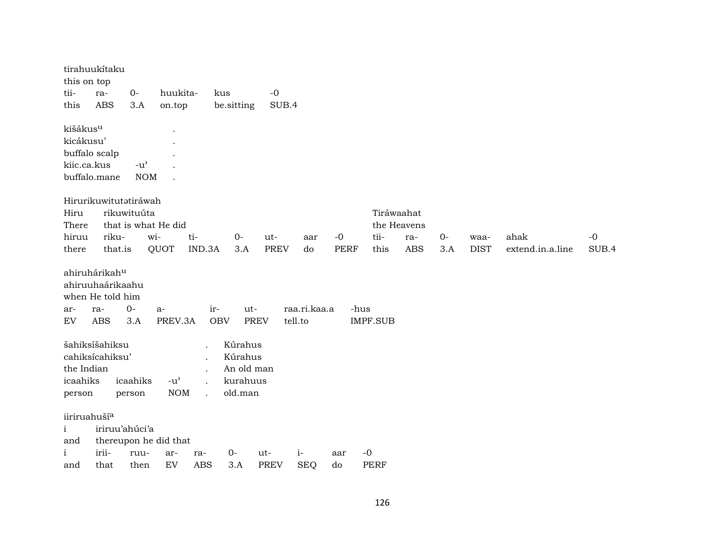| this on top              | tirahuukítaku                                                              |                                     |                       |                   |                    |             |                         |             |                 |             |       |             |                  |       |
|--------------------------|----------------------------------------------------------------------------|-------------------------------------|-----------------------|-------------------|--------------------|-------------|-------------------------|-------------|-----------------|-------------|-------|-------------|------------------|-------|
| tii-                     | ra-                                                                        | $O -$                               | huukita-              |                   | kus                | $-{\bf 0}$  |                         |             |                 |             |       |             |                  |       |
| this                     | <b>ABS</b>                                                                 | 3.A                                 | on.top                |                   | be.sitting         | SUB.4       |                         |             |                 |             |       |             |                  |       |
| kišákus <sup>u</sup>     |                                                                            |                                     |                       |                   |                    |             |                         |             |                 |             |       |             |                  |       |
| kicákusu'                |                                                                            |                                     |                       |                   |                    |             |                         |             |                 |             |       |             |                  |       |
|                          | buffalo scalp                                                              |                                     |                       |                   |                    |             |                         |             |                 |             |       |             |                  |       |
| kiic.ca.kus              |                                                                            | $-u$ <sup><math>\prime</math></sup> |                       |                   |                    |             |                         |             |                 |             |       |             |                  |       |
|                          | buffalo.mane                                                               | <b>NOM</b>                          |                       |                   |                    |             |                         |             |                 |             |       |             |                  |       |
|                          | Hirurikuwitutatiráwah                                                      |                                     |                       |                   |                    |             |                         |             |                 |             |       |             |                  |       |
| Hiru                     |                                                                            | rikuwituúta                         |                       |                   |                    |             |                         |             |                 | Tiráwaahat  |       |             |                  |       |
| There                    |                                                                            |                                     | that is what He did   |                   |                    |             |                         |             |                 | the Heavens |       |             |                  |       |
| hiruu                    | riku-                                                                      |                                     | wi-                   | ti-               | $0-$               | ut-         | aar                     | $-0$        | tii-            | ra-         | $O -$ | waa-        | ahak             | $-0$  |
| there                    | that.is                                                                    |                                     | QUOT                  | IND.3A            | 3.A                | <b>PREV</b> | do                      | <b>PERF</b> | this            | <b>ABS</b>  | 3.A   | <b>DIST</b> | extend.in.a.line | SUB.4 |
| ar-<br>${\rm EV}$        | ahiruhárikahu<br>ahiruuhaárikaahu<br>when He told him<br>ra-<br><b>ABS</b> | $0-$<br>3.A                         | $a-$<br>PREV.3A       | ir-<br><b>OBV</b> | ut-<br><b>PREV</b> |             | raa.ri.kaa.a<br>tell.to | -hus        | <b>IMPF.SUB</b> |             |       |             |                  |       |
|                          | šahiksíšahiksu                                                             |                                     |                       |                   | Kúrahus            |             |                         |             |                 |             |       |             |                  |       |
|                          | cahiksícahiksu'                                                            |                                     |                       |                   | Kúrahus            |             |                         |             |                 |             |       |             |                  |       |
| the Indian               |                                                                            |                                     |                       |                   | An old man         |             |                         |             |                 |             |       |             |                  |       |
| icaahiks                 |                                                                            | icaahiks                            | $-u^{\prime}$         |                   | kurahuus           |             |                         |             |                 |             |       |             |                  |       |
| person                   |                                                                            | person                              | <b>NOM</b>            |                   | old.man            |             |                         |             |                 |             |       |             |                  |       |
| iiriruahuší <sup>a</sup> |                                                                            |                                     |                       |                   |                    |             |                         |             |                 |             |       |             |                  |       |
| $\mathbf{i}$             | iriruu'ahúci'a                                                             |                                     |                       |                   |                    |             |                         |             |                 |             |       |             |                  |       |
| and                      |                                                                            |                                     | thereupon he did that |                   |                    |             |                         |             |                 |             |       |             |                  |       |
| i                        | irii-                                                                      | ruu-                                | ar-                   | ra-               | $O-$               | ut-         | $i-$                    | aar         | $-0$            |             |       |             |                  |       |
| and                      | that                                                                       | then                                | EV                    | <b>ABS</b>        | 3.A                | <b>PREV</b> | <b>SEQ</b>              | do          | <b>PERF</b>     |             |       |             |                  |       |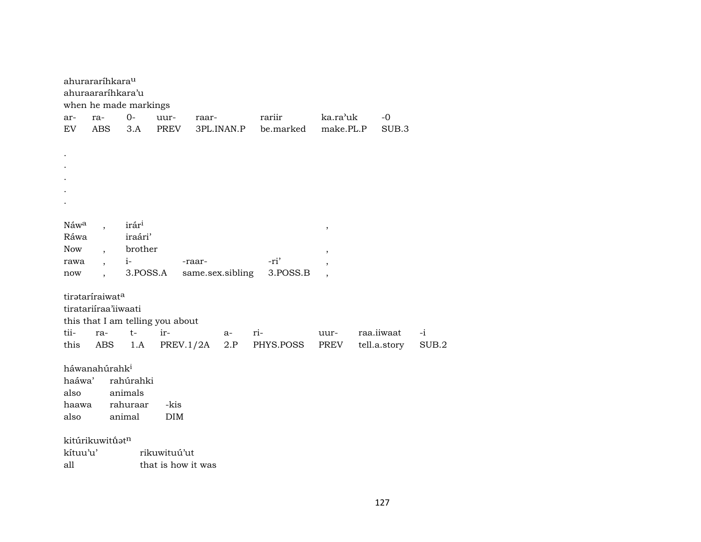|            | ahurararíhkara <sup>u</sup><br>ahuraararíhkara'u | when he made markings |                                  |        |                  |           |                          |              |       |
|------------|--------------------------------------------------|-----------------------|----------------------------------|--------|------------------|-----------|--------------------------|--------------|-------|
| ar-        | ra-                                              | $O -$                 | uur-                             | raar-  |                  | rariir    | ka.ra'uk                 | $-0$         |       |
| EV         | <b>ABS</b>                                       | 3.A                   | <b>PREV</b>                      |        | 3PL.INAN.P       | be.marked | make.PL.P                | SUB.3        |       |
|            |                                                  |                       |                                  |        |                  |           |                          |              |       |
|            |                                                  |                       |                                  |        |                  |           |                          |              |       |
|            |                                                  |                       |                                  |        |                  |           |                          |              |       |
|            |                                                  |                       |                                  |        |                  |           |                          |              |       |
|            |                                                  |                       |                                  |        |                  |           |                          |              |       |
|            |                                                  |                       |                                  |        |                  |           |                          |              |       |
| Náwa       |                                                  | irár <sup>i</sup>     |                                  |        |                  |           |                          |              |       |
| Ráwa       |                                                  | iraári'               |                                  |        |                  |           | $\pmb{\cdot}$            |              |       |
| <b>Now</b> |                                                  | brother               |                                  |        |                  |           | ,                        |              |       |
| rawa       |                                                  | $i-$                  |                                  | -raar- |                  | -ri'      | $\overline{ }$           |              |       |
| now        |                                                  | 3.POSS.A              |                                  |        | same.sex.sibling | 3.POSS.B  | $\overline{\phantom{a}}$ |              |       |
|            |                                                  |                       |                                  |        |                  |           |                          |              |       |
|            | tirataríraiwata                                  |                       |                                  |        |                  |           |                          |              |       |
|            | tiratariiraa'iiwaati                             |                       |                                  |        |                  |           |                          |              |       |
|            |                                                  |                       | this that I am telling you about |        |                  |           |                          |              |       |
| tii-       | ra-                                              | $t-$                  | ir-                              |        | a-               | $ri-$     | uur-                     | raa.iiwaat   | $-i$  |
| this       | ABS                                              | 1.A                   | PREV.1/2A                        |        | 2.P              | PHYS.POSS | PREV                     | tell.a.story | SUB.2 |
|            | háwanahúrahk <sup>i</sup>                        |                       |                                  |        |                  |           |                          |              |       |
| haáwa'     |                                                  | rahúrahki             |                                  |        |                  |           |                          |              |       |
| also       |                                                  | animals               |                                  |        |                  |           |                          |              |       |
| haawa      |                                                  | rahuraar              | -kis                             |        |                  |           |                          |              |       |
| also       |                                                  | animal                | <b>DIM</b>                       |        |                  |           |                          |              |       |
|            |                                                  |                       |                                  |        |                  |           |                          |              |       |
|            | kitúrikuwitűatn                                  |                       |                                  |        |                  |           |                          |              |       |
| kítuu'u'   |                                                  |                       | rikuwituú'ut                     |        |                  |           |                          |              |       |
| all        |                                                  |                       | that is how it was               |        |                  |           |                          |              |       |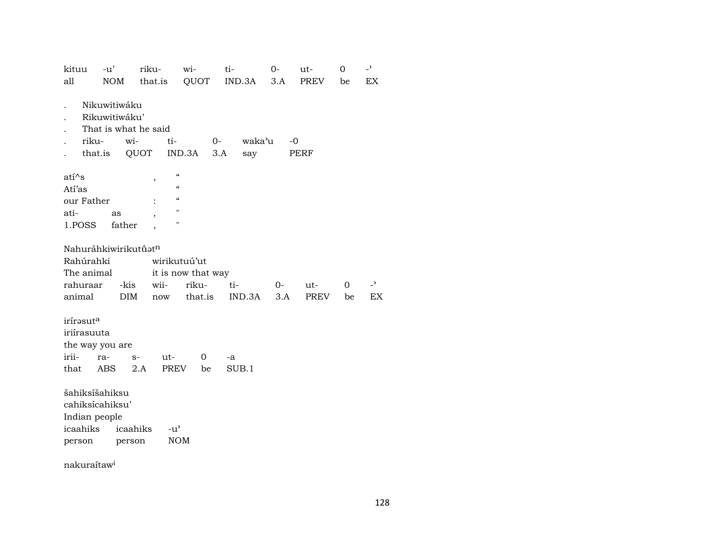| kituu                                                 | $-u'$                                                         | riku-                       | wi-                                                              | ti-                          | $0-$        | ut-         | 0              | $\overline{\phantom{0}}$ |
|-------------------------------------------------------|---------------------------------------------------------------|-----------------------------|------------------------------------------------------------------|------------------------------|-------------|-------------|----------------|--------------------------|
| all                                                   | NOM                                                           | that.is QUOT                |                                                                  | $IND.3A$ $3.A$               |             | PREV        | be             | EX                       |
|                                                       | Nikuwitiwáku<br>Rikuwitiwáku'<br>wi-<br>riku-<br>that.is QUOT | That is what he said<br>ti- | IND.3A                                                           | $O-$<br>waka'u<br>3.A<br>say | -0          | PERF        |                |                          |
| atí^s<br>Atí'as<br>our Father<br>ati-<br>1.POSS       | as<br>father                                                  | $\overline{ }$              | $\epsilon\epsilon$<br>$\epsilon$<br>$\epsilon\epsilon$<br>Ħ<br>Ħ |                              |             |             |                |                          |
| Rahúrahki<br>The animal<br>rahuraar<br>animal         | Nahuráhkiwirikutúatn<br>-kis<br><b>DIM</b>                    | wii-<br>now                 | wirikutuú'ut<br>it is now that way<br>riku-<br>that.is           | ti-<br>IND.3A                | $0-$<br>3.A | ut-<br>PREV | $\Omega$<br>be | $\overline{a}$<br>EX     |
| irírasut <sup>a</sup><br>iriírasuuta<br>irii-<br>that | the way you are<br>ra-<br>ABS                                 | ut-<br>$S-$<br>PREV<br>2.A  | 0<br>be                                                          | -a<br>SUB.1                  |             |             |                |                          |
| šahiksíšahiksu<br>Indian people<br>person             | cahiksícahiksu'<br>icaahiks icaahiks                          | $-u^{\prime}$<br>person     | <b>NOM</b>                                                       |                              |             |             |                |                          |

nakuraítaw<sup>i</sup>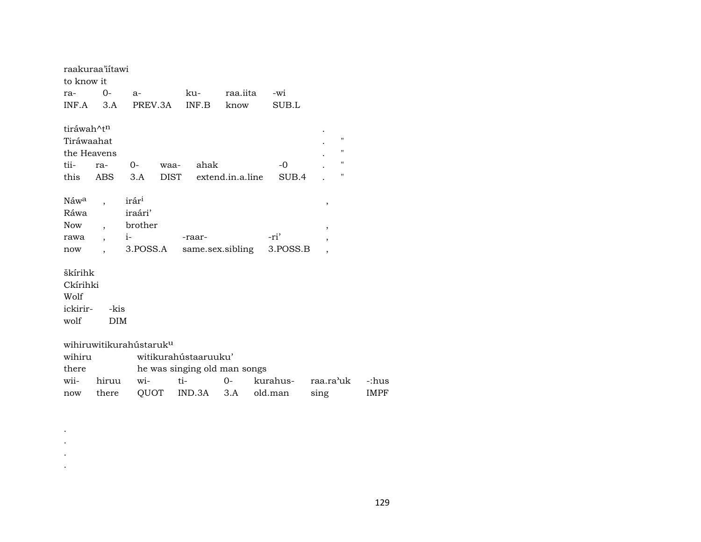|                        | raakuraa'iitawi |                                     |                              |                  |          |                          |             |
|------------------------|-----------------|-------------------------------------|------------------------------|------------------|----------|--------------------------|-------------|
| to know it             |                 |                                     |                              |                  |          |                          |             |
| ra-                    | $0-$            | $a-$                                | ku-                          | raa.iita         | -wi      |                          |             |
| $INF.A$ 3.A            |                 | PREV.3A                             | INF.B                        | know             | SUB.L    |                          |             |
|                        |                 |                                     |                              |                  |          |                          |             |
| tiráwah^t <sup>n</sup> |                 |                                     |                              |                  |          |                          |             |
| Tiráwaahat             |                 |                                     |                              |                  |          | $\pmb{\mathsf{H}}$       |             |
| the Heavens            |                 |                                     |                              |                  |          | $\blacksquare$           |             |
| tii-                   | ra-             | $O-$<br>waa-                        | ahak                         |                  | $-0$     | "                        |             |
| this                   | ABS             | 3.A                                 | DIST                         | extend.in.a.line | SUB.4    | $\pmb{\mathsf{H}}$       |             |
|                        |                 |                                     |                              |                  |          |                          |             |
| Náw <sup>a</sup>       |                 | irár <sup>i</sup>                   |                              |                  |          | ,                        |             |
| Ráwa                   |                 | iraári'                             |                              |                  |          |                          |             |
| Now                    |                 | brother                             |                              |                  |          | $\overline{\phantom{a}}$ |             |
| rawa                   |                 | $i-$                                | -raar-                       |                  | -ri'     | $\overline{\phantom{a}}$ |             |
| now                    |                 | 3.POSS.A                            |                              | same.sex.sibling | 3.POSS.B | $\cdot$                  |             |
|                        |                 |                                     |                              |                  |          |                          |             |
| škírihk                |                 |                                     |                              |                  |          |                          |             |
| Ckírihki               |                 |                                     |                              |                  |          |                          |             |
| Wolf                   |                 |                                     |                              |                  |          |                          |             |
| ickirir-               | -kis            |                                     |                              |                  |          |                          |             |
| wolf                   | <b>DIM</b>      |                                     |                              |                  |          |                          |             |
|                        |                 |                                     |                              |                  |          |                          |             |
|                        |                 | wihiruwitikurahústaruk <sup>u</sup> |                              |                  |          |                          |             |
| wihiru                 |                 |                                     | witikurahústaaruuku'         |                  |          |                          |             |
| there                  |                 |                                     | he was singing old man songs |                  |          |                          |             |
| wii-                   | hiruu           | $W$ i-                              | ti-                          | $0-$             | kurahus- | raa.ra'uk                | -:hus       |
| now                    | there           |                                     | QUOT IND.3A                  | 3.A              | old.man  | sing                     | <b>IMPF</b> |
|                        |                 |                                     |                              |                  |          |                          |             |

 $\sim$  $\sim$  $\sim$  $\sim$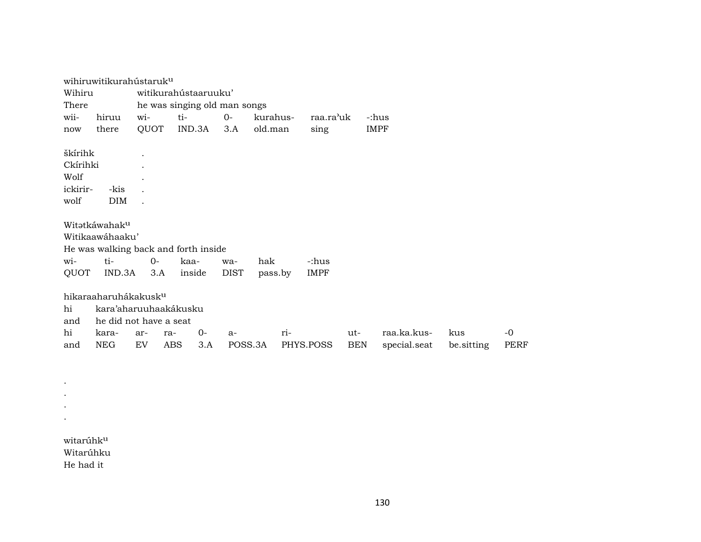|           | wihiruwitikurahústaruk <sup>u</sup>                                                 |       |                      |        |                              |          |     |             |            |             |              |            |             |
|-----------|-------------------------------------------------------------------------------------|-------|----------------------|--------|------------------------------|----------|-----|-------------|------------|-------------|--------------|------------|-------------|
| Wihiru    |                                                                                     |       | witikurahústaaruuku' |        |                              |          |     |             |            |             |              |            |             |
| There     |                                                                                     |       |                      |        | he was singing old man songs |          |     |             |            |             |              |            |             |
| wii-      | hiruu                                                                               | wi-   | ti-                  |        | $O -$                        | kurahus- |     | raa.ra'uk   |            | -:hus       |              |            |             |
| now       | there                                                                               | QUOT  |                      | IND.3A | 3.A                          | old.man  |     | sing        |            | <b>IMPF</b> |              |            |             |
|           |                                                                                     |       |                      |        |                              |          |     |             |            |             |              |            |             |
| škírihk   |                                                                                     |       |                      |        |                              |          |     |             |            |             |              |            |             |
| Ckírihki  |                                                                                     |       |                      |        |                              |          |     |             |            |             |              |            |             |
| Wolf      |                                                                                     |       |                      |        |                              |          |     |             |            |             |              |            |             |
| ickirir-  | -kis                                                                                |       |                      |        |                              |          |     |             |            |             |              |            |             |
| wolf      | <b>DIM</b>                                                                          |       |                      |        |                              |          |     |             |            |             |              |            |             |
|           | Witatkáwahaku<br>Witikaawáhaaku'<br>He was walking back and forth inside            |       |                      |        |                              |          |     |             |            |             |              |            |             |
| wi-       | ti-                                                                                 | $0 -$ | kaa-                 |        | wa-                          | hak      |     | -:hus       |            |             |              |            |             |
| QUOT      | IND.3A                                                                              | 3.A   |                      | inside | <b>DIST</b>                  | pass.by  |     | <b>IMPF</b> |            |             |              |            |             |
| hi<br>and | hikaraaharuhákakusk <sup>u</sup><br>kara'aharuuhaakákusku<br>he did not have a seat |       |                      |        |                              |          |     |             |            |             |              |            |             |
| hi        | kara-                                                                               | ar-   | ra-                  | $0-$   | $a-$                         |          | ri- |             | ut-        |             | raa.ka.kus-  | kus        | -0          |
| and       | <b>NEG</b>                                                                          | EV    | ABS                  | 3.A    | POSS.3A                      |          |     | PHYS.POSS   | <b>BEN</b> |             | special.seat | be sitting | <b>PERF</b> |

witarúhkµ Witarúhku He had it

. . . .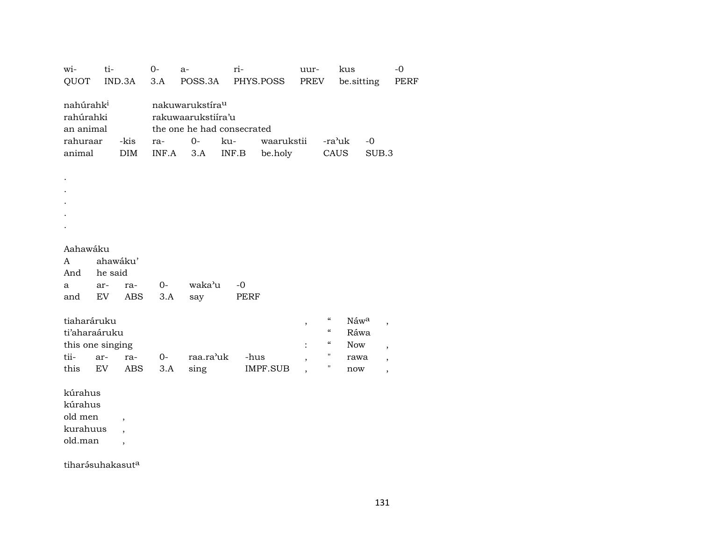| wi-<br>QUOT                                                 | ti-<br>IND.3A                                   | $O -$<br>3.A                   | $a-$<br>POSS.3A                                                                          | ri-<br>PHYS.POSS  | uur-<br>PREV                                                                             | kus<br>be.sitting          | $-0$<br>PERF                                                           |
|-------------------------------------------------------------|-------------------------------------------------|--------------------------------|------------------------------------------------------------------------------------------|-------------------|------------------------------------------------------------------------------------------|----------------------------|------------------------------------------------------------------------|
| nahúrahk <sup>i</sup><br>rahúrahki<br>an animal<br>rahuraar | -kis                                            | ra-                            | nakuwarukstíra <sup>u</sup><br>rakuwaarukstiira'u<br>the one he had consecrated<br>$O -$ | waarukstii<br>ku- |                                                                                          | $-0$<br>-ra'uk             |                                                                        |
| animal                                                      | DIM                                             | INF.A                          | 3.A                                                                                      | INF.B<br>be.holy  |                                                                                          | CAUS<br>SUB.3              |                                                                        |
|                                                             |                                                 |                                |                                                                                          |                   |                                                                                          |                            |                                                                        |
|                                                             |                                                 |                                |                                                                                          |                   |                                                                                          |                            |                                                                        |
| Aahawáku<br>A                                               | ahawáku'                                        |                                |                                                                                          |                   |                                                                                          |                            |                                                                        |
| And<br>a<br>and                                             | he said<br>ar-<br>EV                            | 0-<br>ra-<br><b>ABS</b><br>3.A | waka'u<br>say                                                                            | $-0$<br>PERF      |                                                                                          |                            |                                                                        |
| tiaharáruku<br>ti'aharaáruku                                | this one singing                                |                                |                                                                                          |                   | $\epsilon\epsilon$<br>$\, ,$<br>$\boldsymbol{\mathcal{C}}$<br>$\boldsymbol{\mathcal{C}}$ | Náwa<br>Ráwa<br><b>Now</b> | $\overline{\phantom{a}}$                                               |
| tii-<br>this                                                | ar-<br>EV                                       | 0-<br>ra-<br>ABS<br>3.A        | raa.ra'uk<br>sing                                                                        | -hus<br>IMPF.SUB  | $\pmb{\mathsf{H}}$<br>Η                                                                  | rawa<br>now                | $\overline{ }$<br>$\overline{\phantom{a}}$<br>$\overline{\phantom{a}}$ |
| kúrahus<br>kúrahus                                          |                                                 |                                |                                                                                          |                   |                                                                                          |                            |                                                                        |
| old men<br>kurahuus<br>old.man                              | $\overline{ }$<br>$\overline{\phantom{a}}$<br>, |                                |                                                                                          |                   |                                                                                          |                            |                                                                        |

 $t$ iharásuhakasut $^a$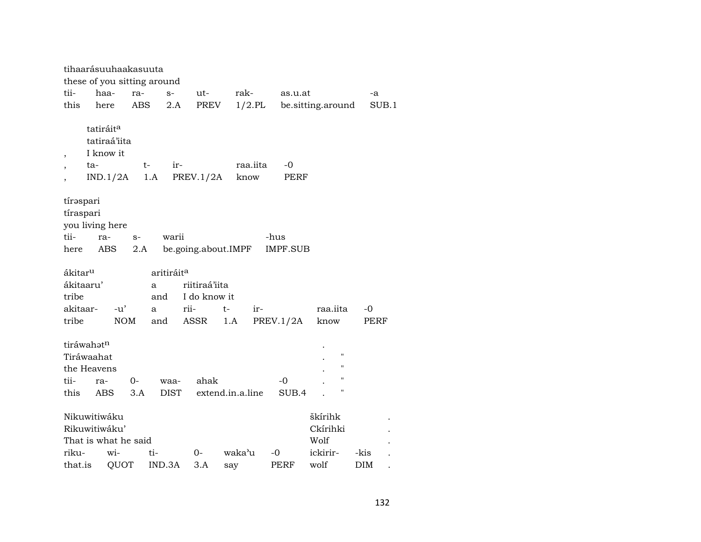|                                                                           | tihaarásuuhaakasuuta                                                                                                              |             |             |                                                |       |                                       |                  |          |               |                                                                      |              |
|---------------------------------------------------------------------------|-----------------------------------------------------------------------------------------------------------------------------------|-------------|-------------|------------------------------------------------|-------|---------------------------------------|------------------|----------|---------------|----------------------------------------------------------------------|--------------|
|                                                                           |                                                                                                                                   |             |             | these of you sitting around                    |       |                                       |                  |          |               |                                                                      |              |
| tii-                                                                      | haa-                                                                                                                              |             | ra-         | $S-$                                           |       | ut-                                   | rak-             |          | as.u.at       |                                                                      | -a           |
| this                                                                      | here                                                                                                                              |             | ABS         | 2.A                                            |       | PREV                                  |                  |          |               | 1/2.PL be sitting around                                             | SUB.1        |
| $\overline{\phantom{a}}$                                                  | tatiráit <sup>a</sup><br>tatiraá'iita<br>I know it<br>ta-<br>IND.1/2A                                                             |             | t-          | 1.A                                            | $ir-$ | PREV.1/2A                             | know             | raa.iita | -0<br>PERF    |                                                                      |              |
| tii-<br>here                                                              | tírəspari<br>tíraspari<br>you living here<br>-hus<br>ra-<br>warii<br>$S-$<br>be.going.about.IMPF<br><b>IMPF.SUB</b><br>ABS<br>2.A |             |             |                                                |       |                                       |                  |          |               |                                                                      |              |
| ákitar <sup>u</sup><br>ákitaaru'<br>tribe<br>akitaar-<br>tribe            |                                                                                                                                   | -u'         | NOM         | aritiráit <sup>a</sup><br>a<br>and<br>a<br>and | rii-  | riitiraá'iita<br>I do know it<br>ASSR | $t-$<br>1.A      | ir-      | PREV.1/2A     | raa.iita<br>know                                                     | $-0$<br>PERF |
| tiráwahatn<br>Tiráwaahat<br>the Heavens<br>tii-<br>this                   | ra-<br><b>ABS</b>                                                                                                                 |             | $0-$<br>3.A | waa-<br><b>DIST</b>                            |       | ahak                                  | extend.in.a.line |          | $-0$<br>SUB.4 | $\pmb{\mathsf{H}}$<br>11<br>$\pmb{\mathsf{H}}$<br>$\pmb{\mathsf{H}}$ |              |
| Nikuwitiwáku<br>Rikuwitiwáku'<br>That is what he said<br>riku-<br>that.is |                                                                                                                                   | wi-<br>QUOT |             | ti-<br>IND.3A                                  | $0-$  | 3.A                                   | waka'u<br>say    |          | -0<br>PERF    | škírihk<br>Ckírihki<br>Wolf<br>ickirir-<br>wolf                      | -kis<br>DIM  |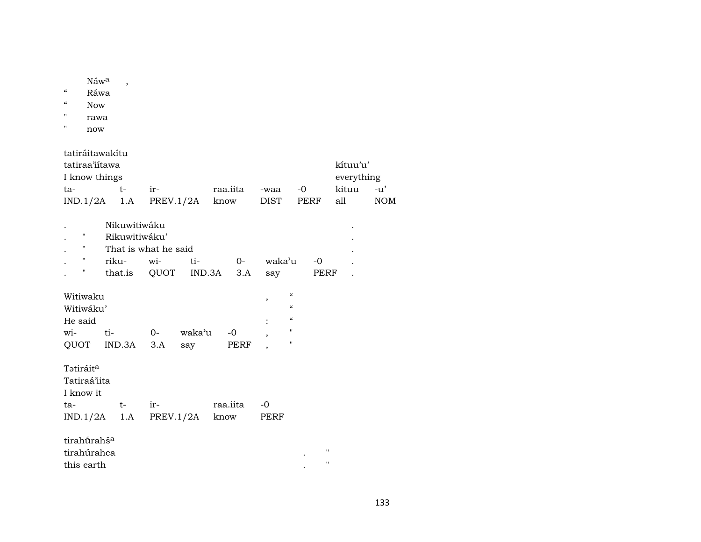Náw<sup>a</sup>,

- " Ráwa
- " Now
- " rawa
- " now

tatiráitawakítu

| tatiraa'iitawa<br>kítuu'u' |            |                               |          |      |      |           |            |  |  |  |  |
|----------------------------|------------|-------------------------------|----------|------|------|-----------|------------|--|--|--|--|
| I know things              | everything |                               |          |      |      |           |            |  |  |  |  |
| ta-                        |            | ir-                           | raa.iita | -waa | $-0$ | kituu -u' |            |  |  |  |  |
|                            |            | $IND.1/2A$ 1.A PREV.1/2A know |          | DIST | PERF | all       | <b>NOM</b> |  |  |  |  |

|    | Nikuwitiwaku         |        |                         |          |        |      |  |  |  |  |
|----|----------------------|--------|-------------------------|----------|--------|------|--|--|--|--|
| п. | Rikuwitiwáku'        |        |                         |          |        |      |  |  |  |  |
| п. | That is what he said |        |                         |          |        |      |  |  |  |  |
|    | riku-                | $W1$ - | $t_{i}$ -               | $\Omega$ | waka'u | $-0$ |  |  |  |  |
|    |                      |        | that.is QUOT IND.3A 3.A |          | sav    | PERF |  |  |  |  |

| Witiwaku  | $\epsilon$ |       |        |      |  |
|-----------|------------|-------|--------|------|--|
| Witiwáku' | $\epsilon$ |       |        |      |  |
| He said   | $\epsilon$ |       |        |      |  |
| wi-       | ti-        | $O -$ | waka'u | $-0$ |  |
| OUOT      | IND.3A 3.A |       | sav    | PERF |  |

| Tətiráit <sup>a</sup><br>Tatiraá'iita |       |                               |          |      |
|---------------------------------------|-------|-------------------------------|----------|------|
| I know it                             |       |                               |          |      |
| ta-                                   | $+ -$ | ir-                           | raa.iita | -0   |
|                                       |       | $IND.1/2A$ 1.A PREV.1/2A know |          | PERF |
|                                       |       |                               |          |      |

| tirahū́rahš <sup>a</sup> |                   |
|--------------------------|-------------------|
| tirahúrahca              | $^{\prime\prime}$ |
| this earth               | $^{\prime}$       |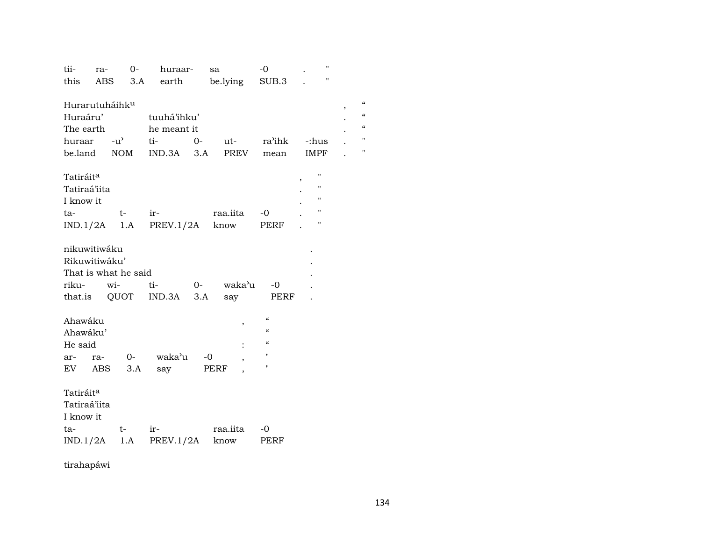| tii-                       | ra- | $0-$ | huraar-        |      | sa       | $-0$          | $\pmb{\mathsf{H}}$ |                 |
|----------------------------|-----|------|----------------|------|----------|---------------|--------------------|-----------------|
| this                       | ABS | 3.A  | earth          |      | be.lying | SUB.3         | $\pmb{\mathsf{H}}$ |                 |
|                            |     |      |                |      |          |               |                    |                 |
| Hurarutuháihk <sup>u</sup> |     |      |                |      |          |               |                    | $\epsilon$<br>, |
| Huraáru'                   |     |      | tuuhá'ihku'    |      |          |               |                    | $\pmb{\zeta}$   |
| The earth                  |     |      | he meant it    |      |          |               |                    | $\epsilon$      |
| huraar -u'                 |     |      | ti-            | $O-$ | ut-      | ra'ihk        | -:hus              | $\blacksquare$  |
| be.land NOM                |     |      | $IND.3A$ $3.A$ |      | PREV     | mean          | IMPF               | $\blacksquare$  |
|                            |     |      |                |      |          |               |                    |                 |
| Tatiráit <sup>a</sup>      |     |      |                |      |          |               | "                  |                 |
| Tatiraá'iita               |     |      |                |      |          |               | "                  |                 |
| I know it                  |     |      |                |      |          |               | П                  |                 |
| ta-                        |     | $t-$ | ir-            |      | raa.iita | $-0$          | Ħ                  |                 |
| $IND.1/2A$ 1.A             |     |      | PREV.1/2A      |      | know     | PERF          | $\pmb{\mathsf{H}}$ |                 |
|                            |     |      |                |      |          |               |                    |                 |
| nikuwitiwáku               |     |      |                |      |          |               |                    |                 |
| Rikuwitiwáku'              |     |      |                |      |          |               |                    |                 |
| That is what he said       |     |      |                |      |          |               |                    |                 |
| riku- wi-                  |     |      | ti-            | $0-$ | waka'u   | $-0$          |                    |                 |
| that.is QUOT               |     |      | $IND.3A$ $3.A$ |      | say      | PERF          |                    |                 |
|                            |     |      |                |      |          |               |                    |                 |
| Ahawáku                    |     |      |                |      | ,        | $\mathcal{C}$ |                    |                 |
| Ahawáku'                   |     |      |                |      |          | $\epsilon$    |                    |                 |
| He said                    |     |      |                |      |          | $\mathcal{C}$ |                    |                 |
| ar-                        | ra- | $0-$ | waka'u         |      | $-0$     | $\mathbf{H}$  |                    |                 |
| EV                         | ABS | 3.A  | say            |      | PERF     | $\mathbf H$   |                    |                 |
|                            |     |      |                |      |          |               |                    |                 |
| Tatiráit <sup>a</sup>      |     |      |                |      |          |               |                    |                 |
| Tatiraá'iita               |     |      |                |      |          |               |                    |                 |
| I know it                  |     |      |                |      |          |               |                    |                 |
| ta-                        |     | $t-$ | ir-            |      | raa.iita | -0            |                    |                 |
| $IND.1/2A$ 1.A             |     |      | PREV.1/2A      |      | know     | PERF          |                    |                 |
|                            |     |      |                |      |          |               |                    |                 |

tirahapáwi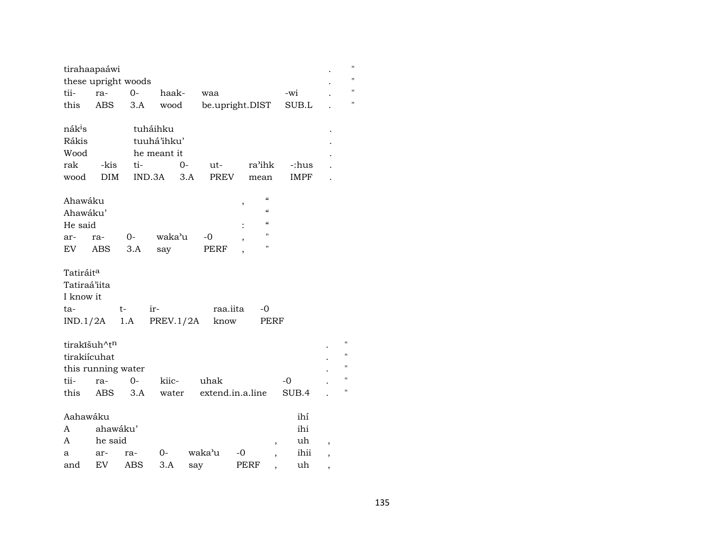|                                                           | tirahaapaáwi                       |      |             |     |                  |      |                    |      |             |                          | $\blacksquare$                                                 |
|-----------------------------------------------------------|------------------------------------|------|-------------|-----|------------------|------|--------------------|------|-------------|--------------------------|----------------------------------------------------------------|
|                                                           | these upright woods                |      |             |     |                  |      |                    |      |             |                          | $\blacksquare$                                                 |
| tii-                                                      | ra-                                | $O-$ | haak-       |     | waa              |      |                    |      | -wi         |                          | $\blacksquare$                                                 |
| this                                                      | ABS.                               | 3.A  | wood        |     | be.upright.DIST  |      |                    |      | SUB.L       |                          | $\blacksquare$                                                 |
| nák <sup>i</sup> s                                        |                                    |      | tuháihku    |     |                  |      |                    |      |             |                          |                                                                |
| Rákis                                                     |                                    |      | tuuhá'ihku' |     |                  |      |                    |      |             |                          |                                                                |
| Wood                                                      |                                    |      | he meant it |     |                  |      |                    |      |             |                          |                                                                |
| rak                                                       | -kis                               | ti-  |             | 0-  | ut-              |      | ra'ihk             |      | -:hus       |                          |                                                                |
| wood                                                      | <b>DIM</b>                         |      | IND.3A      | 3.A | PREV             |      | mean               |      | <b>IMPF</b> |                          |                                                                |
| Ahawáku                                                   |                                    |      |             |     |                  | ,    | $\epsilon$         |      |             |                          |                                                                |
| Ahawáku'                                                  |                                    |      |             |     |                  |      | $\epsilon$         |      |             |                          |                                                                |
| He said                                                   |                                    |      |             |     |                  |      | $\alpha$           |      |             |                          |                                                                |
| ar-                                                       | ra-                                | 0-   | waka'u      |     | -0               | ,    | $\blacksquare$     |      |             |                          |                                                                |
| EV                                                        | ABS                                | 3.A  | say         |     | PERF             |      | $\pmb{\mathsf{H}}$ |      |             |                          |                                                                |
| Tatiráit <sup>a</sup><br>Tatiraá'iita<br>I know it<br>ta- |                                    | t-   | ir-         |     | raa.iita         |      | -0                 |      |             |                          |                                                                |
|                                                           | $IND.1/2A$ 1.A                     |      | PREV.1/2A   |     | know             |      | PERF               |      |             |                          |                                                                |
| tirakiícuhat                                              | tirakīšuh^tn<br>this running water |      |             |     |                  |      |                    |      |             |                          | $\pmb{\mathsf{H}}$<br>$\pmb{\mathsf{H}}$<br>$\pmb{\mathsf{H}}$ |
| tii-                                                      | ra-                                | $0-$ | kiic-       |     | uhak             |      |                    | $-0$ |             |                          | $\pmb{\mathsf{H}}$                                             |
| this                                                      | ABS                                | 3.A  | water       |     | extend.in.a.line |      |                    |      | SUB.4       |                          | $\pmb{\mathsf{H}}$                                             |
| Aahawáku                                                  |                                    |      |             |     |                  |      |                    |      | ihí         |                          |                                                                |
| A                                                         | ahawáku'                           |      |             |     |                  |      |                    |      | ihi         |                          |                                                                |
| A                                                         | he said                            |      |             |     |                  |      |                    |      | uh          | $\overline{\phantom{a}}$ |                                                                |
| a                                                         | ar-                                | ra-  | 0-          |     | waka'u           | -0   |                    |      | ihii        | ,                        |                                                                |
| and                                                       | EV                                 | ABS  | 3.A         | say |                  | PERF |                    |      | uh          | $\overline{\phantom{a}}$ |                                                                |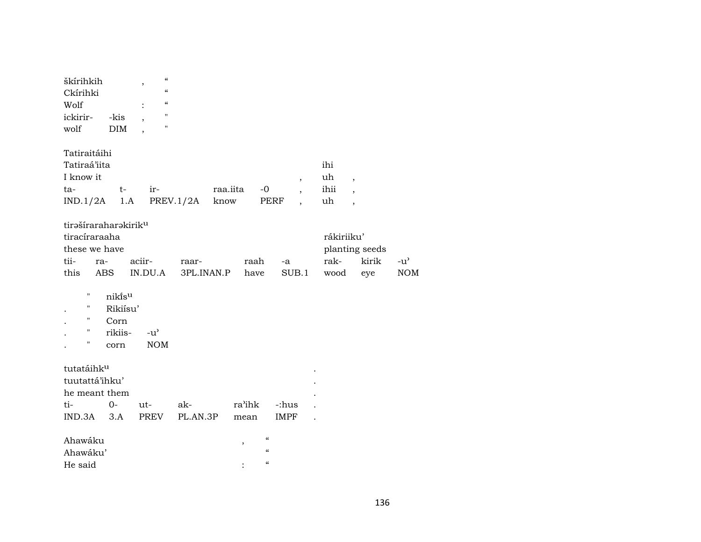| škírihkih<br>Ckírihki<br>Wolf<br>ickirir-<br>wolf                                                | -kis<br>DIM                                               | $\mathcal{C}\mathcal{C}$<br>,<br>$\boldsymbol{\zeta}\boldsymbol{\zeta}$<br>$\mathcal{C}$<br>$\pmb{\mathsf{H}}$<br>$\mathbf H$ |                     |                  |                                                                                     |               |                          |                            |                                                                                  |                             |
|--------------------------------------------------------------------------------------------------|-----------------------------------------------------------|-------------------------------------------------------------------------------------------------------------------------------|---------------------|------------------|-------------------------------------------------------------------------------------|---------------|--------------------------|----------------------------|----------------------------------------------------------------------------------|-----------------------------|
| Tatiraitáihi<br>Tatiraá'iita<br>I know it<br>ta-<br>$IND.1/2A$ 1.A                               | $t-$                                                      | ir-                                                                                                                           | PREV.1/2A           | raa.iita<br>know | $-0$<br>PERF                                                                        |               | $\overline{\phantom{a}}$ | ihi<br>uh<br>ihii<br>uh    | $\overline{\phantom{a}}$<br>$\overline{\phantom{a}}$<br>$\overline{\phantom{a}}$ |                             |
| tirašíraraharakirik <sup>u</sup><br>tiracíraraaha<br>these we have<br>tii-<br>ra-<br>this<br>ABS |                                                           | aciir-<br>IN.DU.A                                                                                                             | raar-<br>3PL.INAN.P |                  | raah<br>have                                                                        | -a<br>SUB.1   |                          | rákiriiku'<br>rak-<br>wood | planting seeds<br>kirik<br>eye                                                   | $-u^{\prime}$<br><b>NOM</b> |
| $\pmb{\mathsf{H}}$<br>$\pmb{\mathsf{H}}$<br>$\pmb{\mathsf{H}}$<br>11<br>11                       | nikĩs <sup>u</sup><br>Rikiísu'<br>Corn<br>rikiis-<br>corn | $-u^{\prime}$<br><b>NOM</b>                                                                                                   |                     |                  |                                                                                     |               |                          |                            |                                                                                  |                             |
| tutatáihku<br>tuutattá'ihku'<br>he meant them<br>ti-<br>$IND.3A$ $3.A$                           | $O -$                                                     | ut-<br>PREV                                                                                                                   | ak-<br>PL.AN.3P     |                  | ra'ihk<br>mean                                                                      | -:hus<br>IMPF |                          |                            |                                                                                  |                             |
| Ahawáku<br>Ahawáku'<br>He said                                                                   |                                                           |                                                                                                                               |                     |                  | $\mathcal{C}\mathcal{C}$<br>,<br>$\boldsymbol{\zeta}\boldsymbol{\zeta}$<br>$\alpha$ |               |                          |                            |                                                                                  |                             |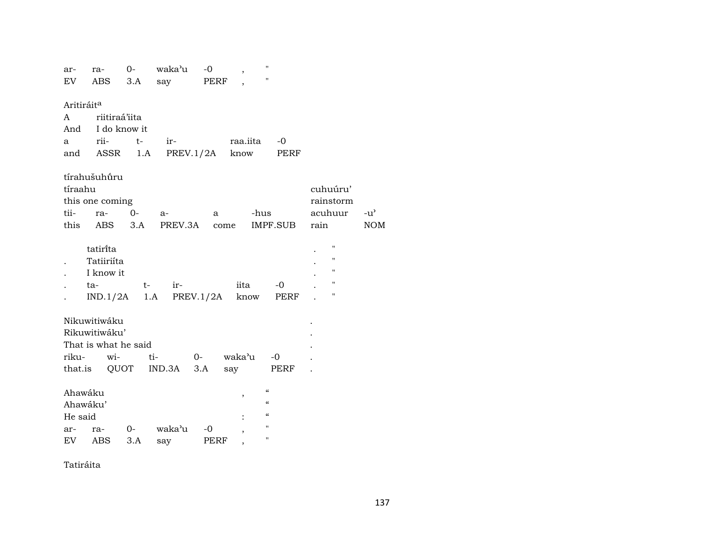| ar-                    | ra-                  | $0-$ | waka'u         | $-0$        | $\, ,$   | н.                                     |                    |               |
|------------------------|----------------------|------|----------------|-------------|----------|----------------------------------------|--------------------|---------------|
| EV                     | ABS                  | 3.A  | say            | <b>PERF</b> |          | $\pmb{\mathsf{H}}$                     |                    |               |
|                        |                      |      |                |             |          |                                        |                    |               |
| Aritiráit <sup>a</sup> |                      |      |                |             |          |                                        |                    |               |
| A                      | riitiraá'iita        |      |                |             |          |                                        |                    |               |
| And                    | I do know it         |      |                |             |          |                                        |                    |               |
| a                      | rii-                 | $t-$ | ir-            |             | raa.iita | -0                                     |                    |               |
| and                    | ASSR                 | 1.A  | PREV.1/2A know |             |          | PERF                                   |                    |               |
|                        |                      |      |                |             |          |                                        |                    |               |
|                        | tírahušuhůru         |      |                |             |          |                                        |                    |               |
| tíraahu                |                      |      |                |             |          |                                        | cuhuúru'           |               |
|                        | this one coming      |      |                |             |          |                                        | rainstorm          |               |
| tii-                   | ra-                  | 0-   | a-             | a           |          | -hus                                   | acuhuur            | $-u^{\prime}$ |
| this                   | ABS                  | 3.A  | PREV.3A        | come        |          | IMPF.SUB                               | rain               | <b>NOM</b>    |
|                        |                      |      |                |             |          |                                        |                    |               |
|                        | tatirita             |      |                |             |          |                                        | $\pmb{\mathsf{H}}$ |               |
|                        | Tatiiriíta           |      |                |             |          |                                        | п                  |               |
|                        | I know it            |      |                |             |          |                                        | н                  |               |
|                        | ta-                  | $t-$ | ir-            |             | iita     | $-0$                                   | Н                  |               |
|                        | IND.1/2A             | 1.A  |                | PREV.1/2A   | know     | PERF                                   | 11                 |               |
|                        |                      |      |                |             |          |                                        |                    |               |
|                        | Nikuwitiwáku         |      |                |             |          |                                        |                    |               |
|                        | Rikuwitiwáku'        |      |                |             |          |                                        |                    |               |
|                        | That is what he said |      |                |             |          |                                        |                    |               |
| riku-                  |                      |      |                | $0-$        | waka'u   | $-0$                                   |                    |               |
|                        | wi-                  |      | ti-            |             |          |                                        |                    |               |
|                        | that.is QUOT         |      | IND.3A         | 3.A         | say      | PERF                                   |                    |               |
|                        |                      |      |                |             |          | $\boldsymbol{\zeta}\boldsymbol{\zeta}$ |                    |               |
| Ahawáku                |                      |      |                |             | ,        | $\mathcal{C}\mathcal{C}$               |                    |               |
| Ahawáku'               |                      |      |                |             |          | $\mathcal{C}$                          |                    |               |
| He said                |                      |      |                |             |          | $\mathbf{H}$                           |                    |               |
| ar-                    | ra-                  | $0-$ | waka'u         | $-0$        |          |                                        |                    |               |
| EV                     | <b>ABS</b>           | 3.A  | say            | PERF        |          | $\pmb{\mathsf{H}}$                     |                    |               |

Tatiráita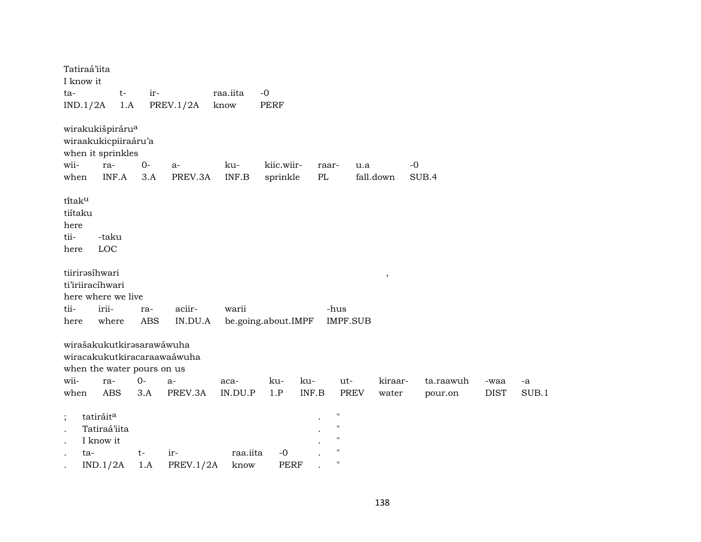|         | Tatiraá'iita                 |             |       |                             |                  |                     |       |                    |           |           |             |       |
|---------|------------------------------|-------------|-------|-----------------------------|------------------|---------------------|-------|--------------------|-----------|-----------|-------------|-------|
|         | I know it                    |             | ir-   |                             |                  | $-0$                |       |                    |           |           |             |       |
| ta-     | IND.1/2A                     | $t-$<br>1.A |       | PREV.1/2A                   | raa.iita<br>know | <b>PERF</b>         |       |                    |           |           |             |       |
|         |                              |             |       |                             |                  |                     |       |                    |           |           |             |       |
|         | wirakukišpiráru <sup>a</sup> |             |       |                             |                  |                     |       |                    |           |           |             |       |
|         | wiraakukicpiiraáru'a         |             |       |                             |                  |                     |       |                    |           |           |             |       |
|         | when it sprinkles            |             |       |                             |                  |                     |       |                    |           |           |             |       |
| wii-    | ra-                          |             | $O -$ | $a-$                        | ku-              | kiic.wiir-          | raar- |                    | u.a       | $-0$      |             |       |
| when    |                              | INF.A       | 3.A   | PREV.3A                     | INF.B            | sprinkle            | PL    |                    | fall.down | SUB.4     |             |       |
|         |                              |             |       |                             |                  |                     |       |                    |           |           |             |       |
| titaku  |                              |             |       |                             |                  |                     |       |                    |           |           |             |       |
| tiítaku |                              |             |       |                             |                  |                     |       |                    |           |           |             |       |
| here    |                              |             |       |                             |                  |                     |       |                    |           |           |             |       |
| tii-    | -taku                        |             |       |                             |                  |                     |       |                    |           |           |             |       |
| here    | LOC                          |             |       |                             |                  |                     |       |                    |           |           |             |       |
|         | tiirirəsíhwari               |             |       |                             |                  |                     |       |                    | $\, ,$    |           |             |       |
|         | ti'iriiracíhwari             |             |       |                             |                  |                     |       |                    |           |           |             |       |
|         | here where we live           |             |       |                             |                  |                     |       |                    |           |           |             |       |
| tii-    | irii-                        |             | ra-   | aciir-                      | warii            |                     |       | -hus               |           |           |             |       |
| here    |                              | where       | ABS   | IN.DU.A                     |                  | be.going.about.IMPF |       | IMPF.SUB           |           |           |             |       |
|         |                              |             |       |                             |                  |                     |       |                    |           |           |             |       |
|         | wirašakukutkirasarawáwuha    |             |       |                             |                  |                     |       |                    |           |           |             |       |
|         |                              |             |       | wiracakukutkiracaraawaáwuha |                  |                     |       |                    |           |           |             |       |
|         | when the water pours on us   |             |       |                             |                  |                     |       |                    |           |           |             |       |
| wii-    | ra-                          |             | $0-$  | $a-$                        | aca-             | ku-                 | ku-   | ut-                | kiraar-   | ta.raawuh | -waa        | -a    |
| when    |                              | ABS         | 3.A   | PREV.3A                     | IN.DU.P          | 1.P                 | INF.B | PREV               | water     | pour.on   | <b>DIST</b> | SUB.1 |
|         | tatiráit <sup>a</sup>        |             |       |                             |                  |                     |       | $\pmb{\mathsf{H}}$ |           |           |             |       |
|         | Tatiraá'iita                 |             |       |                             |                  |                     |       | $\pmb{\mathsf{H}}$ |           |           |             |       |
|         | I know it                    |             |       |                             |                  |                     |       | $\pmb{\mathsf{H}}$ |           |           |             |       |
|         | ta-                          |             | $t-$  | ir-                         | raa.iita         | $-0$                |       | $\pmb{\mathsf{H}}$ |           |           |             |       |
|         | IND.1/2A                     |             | 1.A   | <b>PREV.1/2A</b>            | know             | <b>PERF</b>         |       | $\pmb{\mathsf{H}}$ |           |           |             |       |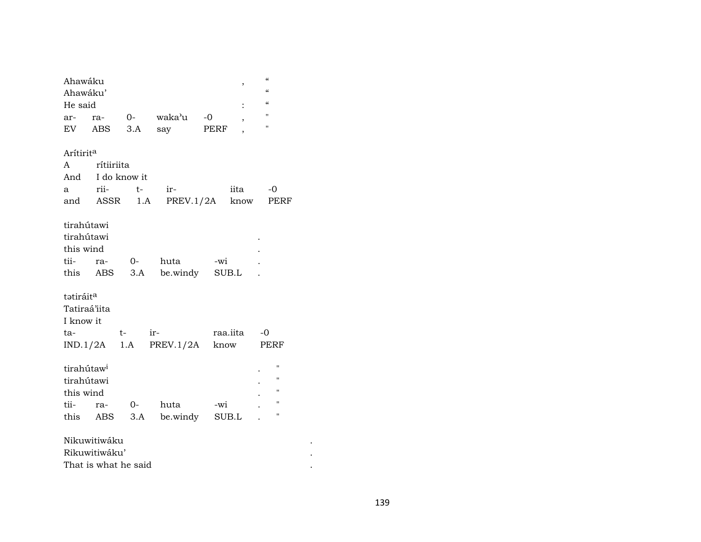| Ahawáku                |                      |          |                 |      | $\,$                     | "                  |  |
|------------------------|----------------------|----------|-----------------|------|--------------------------|--------------------|--|
| Ahawáku'               |                      |          |                 |      |                          | $\epsilon\epsilon$ |  |
| He said                |                      |          |                 |      |                          | $\epsilon\epsilon$ |  |
| ar-                    | ra-                  |          | 0- waka'u       | $-0$ | $\overline{\phantom{a}}$ | $\pmb{\mathsf{H}}$ |  |
| EV                     | ABS                  | 3.A      | say             | PERF |                          | $\mathbf{H}$       |  |
|                        |                      |          |                 |      |                          |                    |  |
| Arítirit <sup>a</sup>  |                      |          |                 |      |                          |                    |  |
| A                      | rítiiriita           |          |                 |      |                          |                    |  |
| And                    | I do know it         |          |                 |      |                          |                    |  |
| a                      | rii-                 | $t-$     | ir-             |      | iita                     | $-0$               |  |
| and                    |                      | ASSR 1.A | PREV.1/2A       |      | know                     | PERF               |  |
|                        |                      |          |                 |      |                          |                    |  |
| tirahútawi             |                      |          |                 |      |                          |                    |  |
| tirahútawi             |                      |          |                 |      |                          |                    |  |
| this wind              |                      |          |                 |      |                          |                    |  |
| tii-                   | ra-                  | $O-$     | huta            | -wi  |                          |                    |  |
|                        | this ABS             |          | 3.A be.windy    |      | SUB.L                    |                    |  |
|                        |                      |          |                 |      |                          |                    |  |
| tatiráit <sup>a</sup>  |                      |          |                 |      |                          |                    |  |
| Tatiraá'iita           |                      |          |                 |      |                          |                    |  |
| I know it              |                      |          |                 |      |                          |                    |  |
| ta-                    |                      | $t-$     | ir-             |      | raa.iita                 | $-0$               |  |
|                        | IND.1/2A             |          | $1.A$ PREV.1/2A |      | know                     | PERF               |  |
|                        |                      |          |                 |      |                          |                    |  |
| tirahútaw <sup>i</sup> |                      |          |                 |      |                          | п                  |  |
| tirahútawi             |                      |          |                 |      |                          | $\pmb{\mathsf{H}}$ |  |
| this wind              |                      |          |                 |      |                          | $\pmb{\mathsf{H}}$ |  |
| tii-                   | ra-                  | $O-$     | huta            | -wi  |                          | $\mathbf{H}$       |  |
| this                   | ABS                  |          | 3.A be.windy    |      | SUB.L                    | $\mathbf{H}$       |  |
|                        |                      |          |                 |      |                          |                    |  |
|                        | Nikuwitiwáku         |          |                 |      |                          |                    |  |
|                        | Rikuwitiwáku'        |          |                 |      |                          |                    |  |
|                        | That is what he said |          |                 |      |                          |                    |  |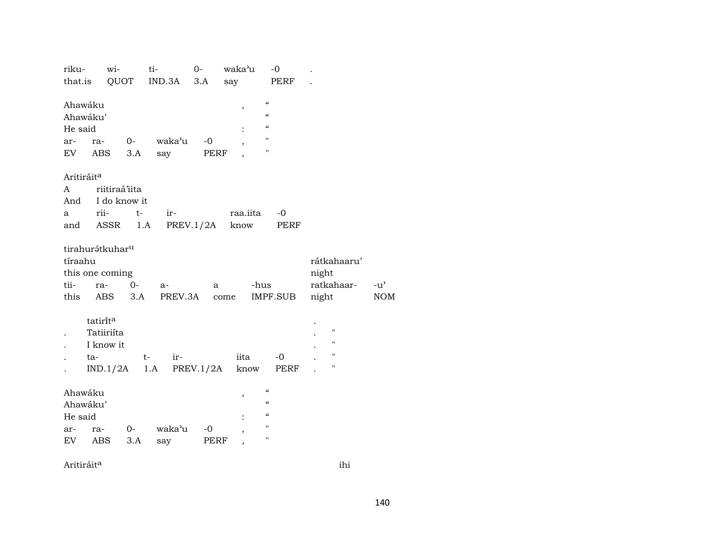| riku-                                          | wi-                                                          |             | ti-             | $0-$         | waka'u           | $-0$                                                                                                           |                                                         |                             |
|------------------------------------------------|--------------------------------------------------------------|-------------|-----------------|--------------|------------------|----------------------------------------------------------------------------------------------------------------|---------------------------------------------------------|-----------------------------|
| that.is                                        | QUOT                                                         |             | IND.3A          | 3.A          | say              | PERF                                                                                                           |                                                         |                             |
| Ahawáku<br>Ahawáku'<br>He said<br>ar-          | ra-                                                          | $0-$        | waka'u          | $-0$         | ,                | $\mathcal{C}$<br>$\mathcal{C}$<br>$\pmb{\zeta}\pmb{\zeta}$<br>11<br>$\pmb{\mathsf{H}}$                         |                                                         |                             |
| EV                                             | ABS                                                          | 3.A         | say             | PERF         |                  |                                                                                                                |                                                         |                             |
| Aritiráit <sup>a</sup><br>A<br>And<br>a<br>and | riitiraá'iita<br>I do know it<br>rii-<br>ASSR                | $t-$<br>1.A | ir-             | PREV.1/2A    | raa.iita<br>know | $-0$<br>PERF                                                                                                   |                                                         |                             |
| tíraahu<br>tii-<br>this                        | tirahurátkuhar <sup>u</sup><br>this one coming<br>ra-<br>ABS | $0-$<br>3.A | $a-$<br>PREV.3A | a            | come             | -hus<br>IMPF.SUB                                                                                               | rátkahaaru'<br>night<br>ratkahaar-<br>night             | $-u^{\prime}$<br><b>NOM</b> |
|                                                | tatirita<br>Tatiiriíta<br>I know it<br>ta-<br>$IND.1/2A$ 1.A | $t-$        | ir-             | PREV.1/2A    | iita<br>know     | $-0$<br>PERF                                                                                                   | $\pmb{\mathsf{H}}$<br>$\mathbf{H}$<br>п<br>$\mathbf{H}$ |                             |
| Ahawáku<br>Ahawáku'<br>He said<br>ar-<br>EV    | ra-<br>ABS                                                   | $0-$<br>3.A | waka'u<br>say   | $-0$<br>PERF | ,<br>,           | $\mathcal{C}$<br>$\pmb{\zeta}\pmb{\zeta}$<br>$\boldsymbol{\zeta}\boldsymbol{\zeta}$<br>$\pmb{\mathsf{H}}$<br>н |                                                         |                             |

Aritiráit<sup>a</sup> ihi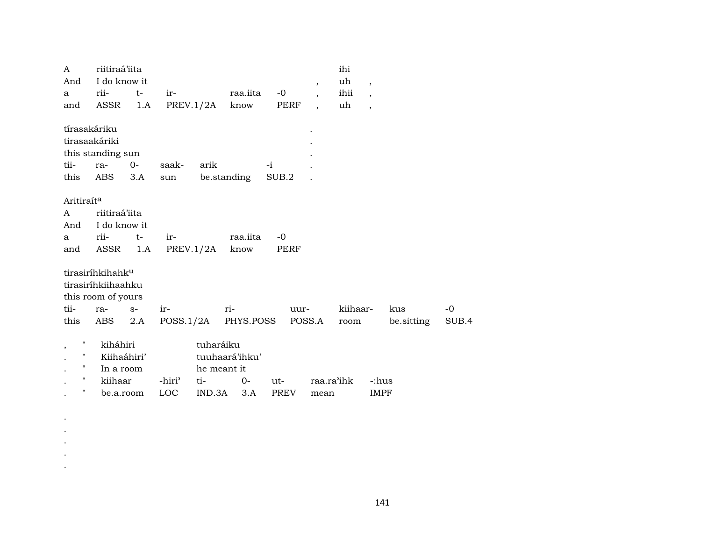| A                      | riitiraá'iita                |      |                       |                  |                     |       |                          | ihi        |                          |            |       |
|------------------------|------------------------------|------|-----------------------|------------------|---------------------|-------|--------------------------|------------|--------------------------|------------|-------|
| And                    | I do know it                 |      |                       |                  |                     |       | $\overline{\phantom{a}}$ | uh         | $\overline{\phantom{a}}$ |            |       |
| a                      | rii-                         | $t-$ | $ir-$                 |                  | raa.iita            | $-0$  | $\overline{\phantom{a}}$ | ihii       | $\overline{\phantom{a}}$ |            |       |
| and                    | ASSR                         | 1.A  |                       |                  | PREV.1/2A know      | PERF  |                          | uh         | $\overline{\phantom{a}}$ |            |       |
| tírasakáriku           |                              |      |                       |                  |                     |       |                          |            |                          |            |       |
|                        | tirasaakáriki                |      |                       |                  |                     |       |                          |            |                          |            |       |
|                        | this standing sun            |      |                       |                  |                     |       |                          |            |                          |            |       |
| tii-                   | ra-                          | 0-   | saak-                 | arik             |                     | $-i$  |                          |            |                          |            |       |
| this                   | ABS                          | 3.A  | sun                   |                  | be.standing         | SUB.2 |                          |            |                          |            |       |
|                        |                              |      |                       |                  |                     |       |                          |            |                          |            |       |
| Aritiraít <sup>a</sup> |                              |      |                       |                  |                     |       |                          |            |                          |            |       |
| A                      | riitiraá'iita                |      |                       |                  |                     |       |                          |            |                          |            |       |
| And                    | I do know it                 |      |                       |                  |                     |       |                          |            |                          |            |       |
| a                      | rii-                         | $t-$ | ir-                   |                  | raa.iita            | $-0$  |                          |            |                          |            |       |
| and                    | ASSR 1.A                     |      |                       | $PREV.1/2A$ know |                     | PERF  |                          |            |                          |            |       |
|                        |                              |      |                       |                  |                     |       |                          |            |                          |            |       |
|                        | tirasiríhkihahk <sup>u</sup> |      |                       |                  |                     |       |                          |            |                          |            |       |
|                        | tirasiríhkiihaahku           |      |                       |                  |                     |       |                          |            |                          |            |       |
|                        | this room of yours           |      |                       |                  |                     |       |                          |            |                          |            |       |
| tii-                   | ra-                          | $S-$ | ir-                   |                  | ri-                 | uur-  |                          | kiihaar-   |                          | kus        | $-0$  |
| this                   | ABS                          | 2.A  |                       |                  | POSS.1/2A PHYS.POSS |       | POSS.A                   | room       |                          | be sitting | SUB.4 |
|                        |                              |      |                       |                  |                     |       |                          |            |                          |            |       |
| 11                     | kiháhiri                     |      |                       | tuharáiku        |                     |       |                          |            |                          |            |       |
| $\pmb{\mathsf{H}}$     | Kiihaáhiri'                  |      |                       |                  | tuuhaará'ihku'      |       |                          |            |                          |            |       |
| н.                     | In a room                    |      |                       | he meant it      |                     |       |                          |            |                          |            |       |
| 11                     | kiihaar                      |      | -hiri <sup>&gt;</sup> | ti-              | $0-$                | ut-   |                          | raa.ra'ihk | -:hus                    |            |       |
| $\pmb{\mathsf{H}}$     | be.a.room                    |      | LOC                   | IND.3A           | 3.A                 | PREV  | mean                     |            | <b>IMPF</b>              |            |       |
|                        |                              |      |                       |                  |                     |       |                          |            |                          |            |       |

. . . . .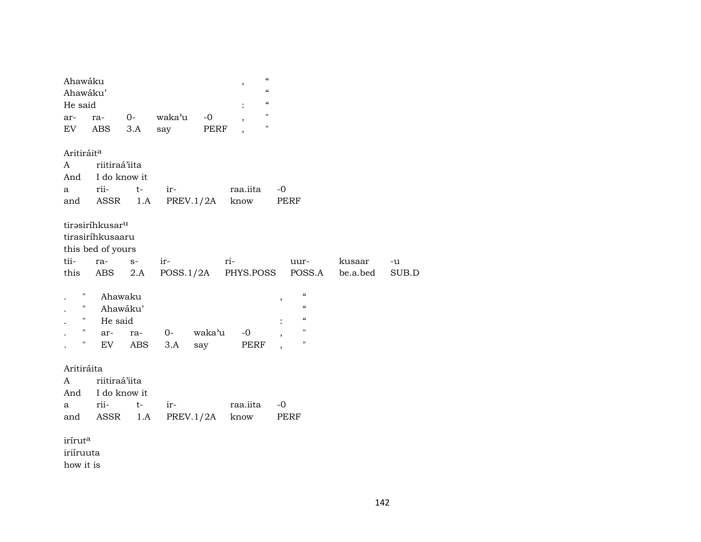| Ahawáku                |                             |                |                             |        | "<br>$\, ,$<br>$\mathcal{C}$ |      |                    |          |       |
|------------------------|-----------------------------|----------------|-----------------------------|--------|------------------------------|------|--------------------|----------|-------|
| Ahawáku'<br>He said    |                             |                |                             |        | $\mathcal{C}$                |      |                    |          |       |
| ar-                    | ra-                         | $0-$           | waka'u                      | $-0$   | $\pmb{\mathsf{H}}$           |      |                    |          |       |
| EV                     | ABS                         | 3.A            | say                         | PERF   | $\pmb{\mathsf{H}}$           |      |                    |          |       |
|                        |                             |                |                             |        |                              |      |                    |          |       |
| Aritiráit <sup>a</sup> |                             |                |                             |        |                              |      |                    |          |       |
| A                      | riitiraá'iita               |                |                             |        |                              |      |                    |          |       |
| And                    | I do know it                |                |                             |        |                              |      |                    |          |       |
| a                      | rii-                        | $t-$           | ir-                         |        | raa.iita                     | $-0$ |                    |          |       |
| and                    |                             | ASSR 1.A       | PREV.1/2A                   |        | know                         |      | PERF               |          |       |
|                        |                             |                |                             |        |                              |      |                    |          |       |
|                        | tirasiríhkusar <sup>u</sup> |                |                             |        |                              |      |                    |          |       |
|                        | tirasiríhkusaaru            |                |                             |        |                              |      |                    |          |       |
|                        | this bed of yours           |                |                             |        |                              |      |                    |          |       |
| tii-                   | ra-                         | $\mathbb{S}^-$ | ir-                         | ri-    |                              |      | uur-               | kusaar   | -u    |
| this                   |                             |                | ABS 2.A POSS.1/2A PHYS.POSS |        |                              |      | POSS.A             | be.a.bed | SUB.D |
| н                      |                             |                |                             |        |                              |      | $\mathcal{C}$      |          |       |
| Ħ                      | Ahawaku                     |                |                             |        |                              | ,    | $\epsilon\epsilon$ |          |       |
| $\mathbf{H}$           | He said                     | Ahawáku'       |                             |        |                              |      | $\mathcal{C}$      |          |       |
| $\mathbf{u}$           |                             |                |                             | waka'u |                              |      | н                  |          |       |
| н                      | ar-                         | ra-            | $0-$                        |        | $-0$                         |      | п                  |          |       |
|                        | EV                          | ABS            | 3.A                         | say    | PERF                         |      |                    |          |       |
| Aritiráita             |                             |                |                             |        |                              |      |                    |          |       |
| A                      | riitiraá'iita               |                |                             |        |                              |      |                    |          |       |
| And                    | I do know it                |                |                             |        |                              |      |                    |          |       |
| a                      | rii-                        | $t-$           | ir-                         |        | raa.iita                     | -0   |                    |          |       |
| and                    | ASSR                        | 1.A            | PREV.1/2A                   |        | know                         |      | PERF               |          |       |
|                        |                             |                |                             |        |                              |      |                    |          |       |
| iríruta                |                             |                |                             |        |                              |      |                    |          |       |
| iriíruuta              |                             |                |                             |        |                              |      |                    |          |       |
| how it is              |                             |                |                             |        |                              |      |                    |          |       |
|                        |                             |                |                             |        |                              |      |                    |          |       |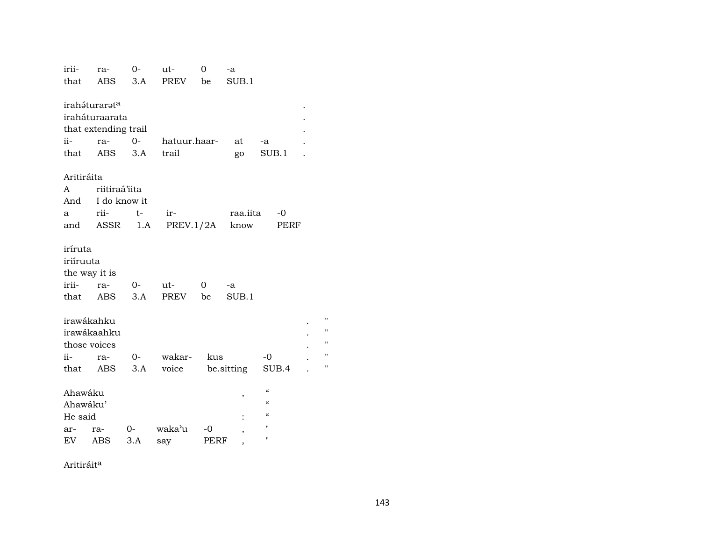| irii-                     | ra-            | 0-   | ut-          | 0    | -a             |                          |  |  |  |  |  |
|---------------------------|----------------|------|--------------|------|----------------|--------------------------|--|--|--|--|--|
| that                      | ABS            | 3.A  | <b>PREV</b>  | be   | SUB.1          |                          |  |  |  |  |  |
|                           |                |      |              |      |                |                          |  |  |  |  |  |
| iraháturarat <sup>a</sup> |                |      |              |      |                |                          |  |  |  |  |  |
|                           | iraháturaarata |      |              |      |                |                          |  |  |  |  |  |
| that extending trail      |                |      |              |      |                |                          |  |  |  |  |  |
| ii-                       | ra- 0-         |      | hatuur.haar- |      | at             | -a                       |  |  |  |  |  |
| that                      | ABS            | 3.A  | trail        |      | go             | SUB.1                    |  |  |  |  |  |
|                           |                |      |              |      |                |                          |  |  |  |  |  |
| Aritiráita                |                |      |              |      |                |                          |  |  |  |  |  |
| A                         | riitiraá'iita  |      |              |      |                |                          |  |  |  |  |  |
| And                       | I do know it   |      |              |      |                |                          |  |  |  |  |  |
| a                         | rii-           | $t-$ | ir-          |      | raa.iita       | $-0$                     |  |  |  |  |  |
| and                       | ASSR           | 1.A  | PREV.1/2A    |      | know           | PERF                     |  |  |  |  |  |
|                           |                |      |              |      |                |                          |  |  |  |  |  |
| iríruta                   |                |      |              |      |                |                          |  |  |  |  |  |
| iriíruuta                 |                |      |              |      |                |                          |  |  |  |  |  |
| the way it is             |                |      |              |      |                |                          |  |  |  |  |  |
| irii-                     | ra-            | $0-$ | ut-          | 0    | -a             |                          |  |  |  |  |  |
| that                      | ABS            | 3.A  | PREV be      |      | SUB.1          |                          |  |  |  |  |  |
|                           |                |      |              |      |                |                          |  |  |  |  |  |
| irawákahku                |                |      |              |      |                |                          |  |  |  |  |  |
|                           | irawákaahku    |      |              |      |                |                          |  |  |  |  |  |
| those voices              |                |      |              |      |                |                          |  |  |  |  |  |
| $ii -$                    | ra-            | $O-$ | wakar-       | kus  |                | $-0$                     |  |  |  |  |  |
|                           | that ABS       | 3.A  | voice        |      | be.sitting     | SUB.4                    |  |  |  |  |  |
|                           |                |      |              |      |                |                          |  |  |  |  |  |
| Ahawáku                   |                |      |              |      |                | $\pmb{\zeta}\pmb{\zeta}$ |  |  |  |  |  |
| Ahawáku'                  |                |      |              |      | ,              | $\mathcal{C}\mathcal{C}$ |  |  |  |  |  |
| He said                   |                |      |              |      |                | $\epsilon$               |  |  |  |  |  |
| ar-                       | ra-            | $O-$ | waka'u       | $-0$ |                | п                        |  |  |  |  |  |
| EV                        | ABS            | 3.A  | say          | PERF | ,              | п                        |  |  |  |  |  |
|                           |                |      |              |      | $\overline{ }$ |                          |  |  |  |  |  |

Aritiráit<sup>a</sup>

 $\mathbf{H}$  $\bar{H}$  $\mathbf{H}$  $\mathbf{u}$  $\bar{u}$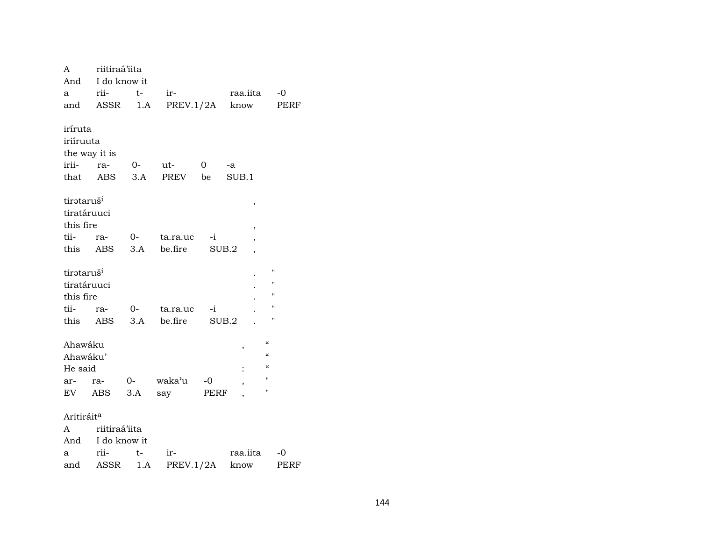| A                      | riitiraá'iita    |      |                 |                |                                   |                          |
|------------------------|------------------|------|-----------------|----------------|-----------------------------------|--------------------------|
| And                    | I do know it     |      |                 |                |                                   |                          |
| a                      | rii-             | $t-$ | ir-             |                | raa.iita                          | $-0$                     |
| and                    | ASSR             |      | $1.A$ PREV.1/2A |                | know                              | <b>PERF</b>              |
|                        |                  |      |                 |                |                                   |                          |
| iríruta                |                  |      |                 |                |                                   |                          |
| iriíruuta              |                  |      |                 |                |                                   |                          |
| the way it is          |                  |      |                 |                |                                   |                          |
| irii-                  | ra-              | $0-$ | ut-             | $\overline{0}$ | -a                                |                          |
| that                   | ABS              | 3.A  | PREV be         |                | SUB.1                             |                          |
| tirataruš <sup>i</sup> |                  |      |                 |                | ,                                 |                          |
| tiratáruuci            |                  |      |                 |                |                                   |                          |
| this fire              |                  |      |                 |                | ,                                 |                          |
| tii-                   | ra-              | $0-$ | ta.ra.uc        | $-i$           | $\, ,$                            |                          |
| this                   | <b>ABS</b>       | 3.A  | be.fire         |                | SUB.2<br>$\overline{\phantom{a}}$ |                          |
|                        |                  |      |                 |                |                                   |                          |
| tirataruš <sup>i</sup> |                  |      |                 |                |                                   | $\blacksquare$           |
| tiratáruuci            |                  |      |                 |                |                                   | $\blacksquare$           |
| this fire              |                  |      |                 |                |                                   | $\blacksquare$           |
| tii-                   | ra-              | $0-$ | ta.ra.uc        | $-i$           |                                   | $\pmb{\mathsf{H}}$       |
|                        | this ABS         | 3.A  | be.fire         |                | SUB.2                             | $\blacksquare$           |
|                        |                  |      |                 |                |                                   |                          |
| Ahawáku                |                  |      |                 |                | ,                                 | $\epsilon\epsilon$       |
| Ahawáku'               |                  |      |                 |                |                                   | $\pmb{\zeta}\pmb{\zeta}$ |
| He said                |                  |      |                 |                |                                   | $\mathcal{C}$            |
| ar-                    | ra-              | $O-$ | waka'u          | $-0$           | $\overline{\phantom{a}}$          | Ħ                        |
| EV                     | ABS              | 3.A  | say             | PERF           |                                   | Ħ                        |
| Aritiráit <sup>a</sup> |                  |      |                 |                |                                   |                          |
| A                      | riitiraá'iita    |      |                 |                |                                   |                          |
|                        | And I do know it |      |                 |                |                                   |                          |
| a                      | rii-             | $t-$ | ir-             |                | raa.iita                          | $-0$                     |
| and                    | ASSR             | 1.A  | PREV.1/2A       |                | know                              | <b>PERF</b>              |
|                        |                  |      |                 |                |                                   |                          |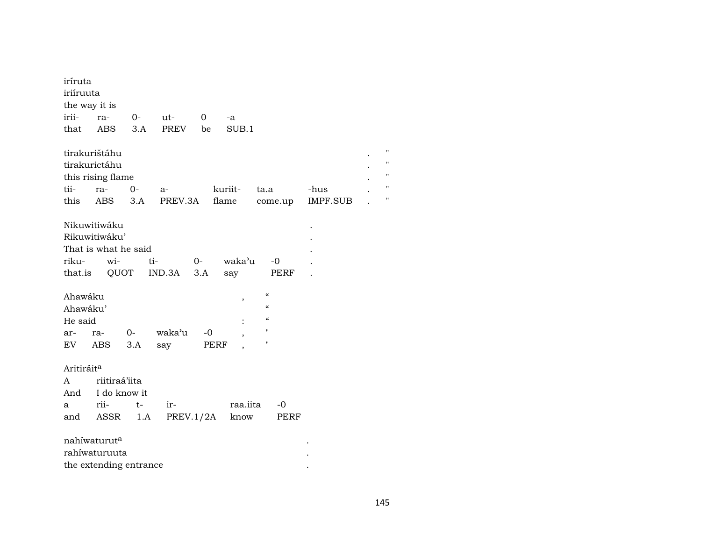| iríruta                |                          |      |         |              |                |                    |                 |                |
|------------------------|--------------------------|------|---------|--------------|----------------|--------------------|-----------------|----------------|
| iriíruuta              |                          |      |         |              |                |                    |                 |                |
| the way it is          |                          |      |         |              |                |                    |                 |                |
| irii-                  | ra-                      | $0-$ | ut-     | $\mathbf{0}$ | -a             |                    |                 |                |
| that                   | ABS                      | 3.A  | PREV    | be           | SUB.1          |                    |                 |                |
|                        | tirakurištáhu            |      |         |              |                |                    |                 | $^{\prime}$    |
|                        | tirakurictáhu            |      |         |              |                |                    |                 | $\blacksquare$ |
|                        | this rising flame        |      |         |              |                |                    |                 | $\blacksquare$ |
| tii-                   | ra-                      | $0-$ | $a-$    |              | kuriit-        | ta.a               | -hus            | $^{\prime}$    |
| this                   | ABS                      | 3.A  | PREV.3A |              | flame          | come.up            | <b>IMPF.SUB</b> | $\blacksquare$ |
|                        |                          |      |         |              |                |                    |                 |                |
|                        | Nikuwitiwáku             |      |         |              |                |                    |                 |                |
|                        | Rikuwitiwáku'            |      |         |              |                |                    |                 |                |
|                        | That is what he said     |      |         |              |                |                    |                 |                |
| riku-                  | wi-                      | ti-  |         | $O-$         | waka'u         | -0                 |                 |                |
| that.is                |                          | QUOT | IND.3A  | 3.A          | say            | PERF               |                 |                |
|                        |                          |      |         |              |                |                    |                 |                |
| Ahawáku                |                          |      |         |              | $\, ,$         | $\mathcal{C}$      |                 |                |
| Ahawáku'               |                          |      |         |              |                | $\epsilon\epsilon$ |                 |                |
| He said                |                          |      |         |              |                | $\epsilon$         |                 |                |
| ar-                    | ra-                      | $0-$ | waka'u  | $-0$         |                | п                  |                 |                |
|                        | EV ABS                   | 3.A  | say     | PERF         |                | 11                 |                 |                |
| Aritiráit <sup>a</sup> |                          |      |         |              |                |                    |                 |                |
| A                      | riitiraá'iita            |      |         |              |                |                    |                 |                |
| And                    | I do know it             |      |         |              |                |                    |                 |                |
| a                      | rii-                     | t-   | ir-     |              | raa.iita       | $-0$               |                 |                |
| and                    | ASSR                     | 1.A  |         |              | PREV.1/2A know | PERF               |                 |                |
|                        |                          |      |         |              |                |                    |                 |                |
|                        | nahíwaturut <sup>a</sup> |      |         |              |                |                    |                 |                |
|                        | rahíwaturuuta            |      |         |              |                |                    |                 |                |
|                        | the extending entrance   |      |         |              |                |                    |                 |                |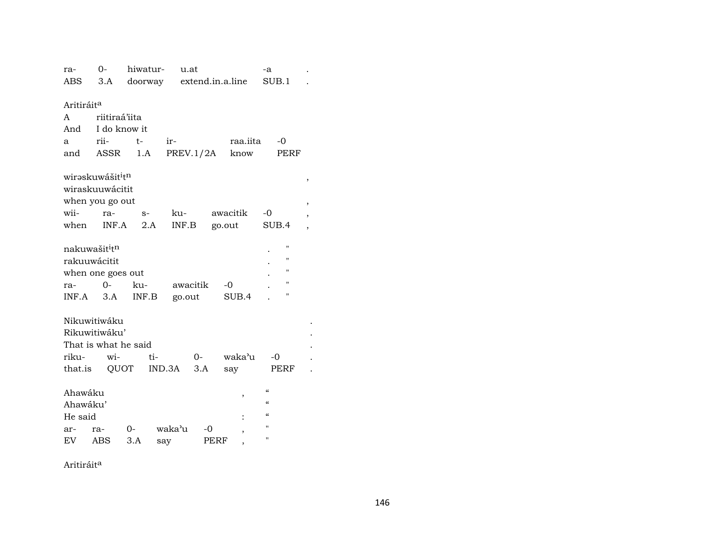| ra-                    | $O -$                                    | hiwatur-                 | u.at      |      |          | -a                 |                |
|------------------------|------------------------------------------|--------------------------|-----------|------|----------|--------------------|----------------|
| ABS                    | 3.A                                      | doorway extend.in.a.line |           |      |          | SUB.1              |                |
|                        |                                          |                          |           |      |          |                    |                |
| Aritiráit <sup>a</sup> |                                          |                          |           |      |          |                    |                |
| A                      | riitiraá'iita                            |                          |           |      |          |                    |                |
| And                    | I do know it                             |                          |           |      |          |                    |                |
| a                      | rii-                                     | $t -$                    | ir-       |      | raa.iita | -0                 |                |
| and                    | ASSR                                     | 1.A                      | PREV.1/2A |      | know     | PERF               |                |
|                        |                                          |                          |           |      |          |                    |                |
|                        | wirəskuwášit <sup>i</sup> t <sup>n</sup> |                          |           |      |          |                    | ,              |
|                        | wiraskuuwácitit                          |                          |           |      |          |                    |                |
|                        | when you go out                          |                          |           |      |          |                    |                |
| wii-                   | ra-                                      | $S-$                     | ku-       |      | awacitik | $-0$               | ,              |
| when                   | INF.A                                    | 2.A                      | INF.B     |      | go.out   | SUB.4              | $\overline{ }$ |
|                        |                                          |                          |           |      |          |                    |                |
|                        | nakuwašit <sup>i</sup> t <sup>n</sup>    |                          |           |      |          | П                  |                |
|                        | rakuuwácitit                             |                          |           |      |          | П                  |                |
|                        | when one goes out                        |                          |           |      |          | "                  |                |
| ra-                    | $0-$                                     | ku-                      | awacitik  |      | $-0$     | $\pmb{\mathsf{H}}$ |                |
|                        | $INF.A$ 3.A                              | INF.B                    | go.out    |      | SUB.4    | $\pmb{\mathsf{H}}$ |                |
|                        |                                          |                          |           |      |          |                    |                |
|                        | Nikuwitiwáku                             |                          |           |      |          |                    |                |
|                        | Rikuwitiwáku'                            |                          |           |      |          |                    |                |
|                        | That is what he said                     |                          |           |      |          |                    |                |
| riku-                  | wi-                                      | ti-                      |           | $O-$ | waka'u   | $-0$               |                |
|                        | that.is QUOT                             |                          | IND.3A    | 3.A  | say      | PERF               |                |
|                        |                                          |                          |           |      |          |                    |                |
| Ahawáku                |                                          |                          |           |      | ,        | $\epsilon$         |                |
| Ahawáku'               |                                          |                          |           |      |          | $\epsilon$         |                |
| He said                |                                          |                          |           |      |          | $\epsilon$         |                |
| ar-                    | ra-                                      | $O-$                     | waka'u    | -0   |          | п                  |                |
| EV                     | <b>ABS</b>                               | 3.A                      | say       | PERF | ,        | $\blacksquare$     |                |
|                        |                                          |                          |           |      |          |                    |                |

Aritiráit<sup>a</sup>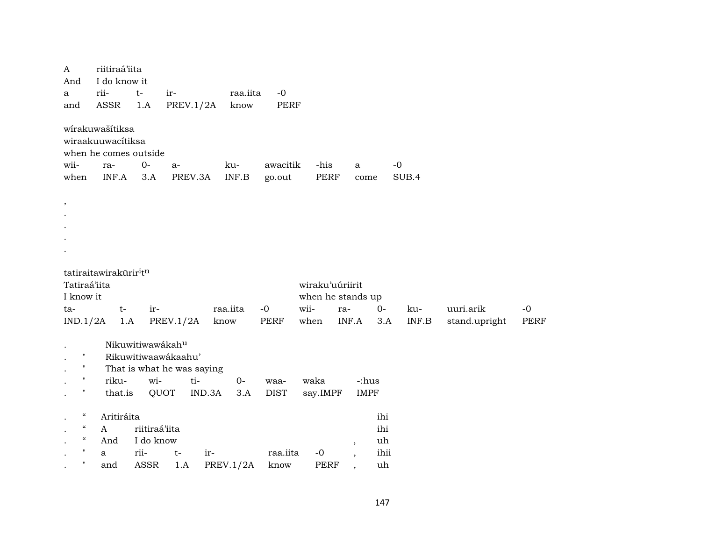| A<br>And<br>a<br>and                                                                                                                        | riitiraá'iita<br>I do know it<br>rii-<br>ASSR                                 | $t-$<br>1.A                                       | ir-<br><b>PREV.1/2A</b>                                          | raa.iita<br>know        | $-0$<br>PERF        |                                 |                                   |                                |               |                            |                     |
|---------------------------------------------------------------------------------------------------------------------------------------------|-------------------------------------------------------------------------------|---------------------------------------------------|------------------------------------------------------------------|-------------------------|---------------------|---------------------------------|-----------------------------------|--------------------------------|---------------|----------------------------|---------------------|
| wii-<br>when                                                                                                                                | wírakuwašítiksa<br>wiraakuuwacítiksa<br>when he comes outside<br>ra-<br>INF.A | $0-$<br>3.A                                       | $a-$<br>PREV.3A                                                  | ku-<br>INF.B            | awacitik<br>go.out  | -his<br>PERF                    | a                                 | come                           | $-0$<br>SUB.4 |                            |                     |
| $\,$                                                                                                                                        |                                                                               |                                                   |                                                                  |                         |                     |                                 |                                   |                                |               |                            |                     |
| Tatiraá'iita<br>I know it<br>ta-<br>IND.1/2A                                                                                                | tatiraitawirakūrir <sup>i</sup> t <sup>n</sup><br>$t-$                        | ir-<br>1.A                                        | PREV.1/2A                                                        | raa.iita<br>know        | $-0$<br>PERF        | wiraku'uúriirit<br>wii-<br>when | when he stands up<br>ra-<br>INF.A | $0-$<br>3.A                    | ku-<br>INF.B  | uuri.arik<br>stand.upright | $-0$<br><b>PERF</b> |
| н<br>н.<br>$\mathbf{H}$<br>11                                                                                                               | riku-<br>that.is                                                              | Nikuwitiwawákahu<br>wi-                           | Rikuwitiwaawákaahu'<br>That is what he was saying<br>ti-<br>QUOT | $0-$<br>IND.3A<br>3.A   | waa-<br><b>DIST</b> | waka<br>say.IMPF                |                                   | -:hus<br><b>IMPF</b>           |               |                            |                     |
| $\boldsymbol{\epsilon} \boldsymbol{\epsilon}$<br>$\epsilon\epsilon$<br>$\mathcal{C}\mathcal{C}$<br>$\pmb{\mathsf{H}}$<br>$\pmb{\mathsf{H}}$ | Aritiráita<br>A<br>And<br>a<br>and                                            | riitiraá'iita<br>I do know<br>rii-<br><b>ASSR</b> | $t-$<br>1.A                                                      | ir-<br><b>PREV.1/2A</b> | raa.iita<br>know    | $-0$<br><b>PERF</b>             | $\, ,$                            | ihi<br>ihi<br>uh<br>ihii<br>uh |               |                            |                     |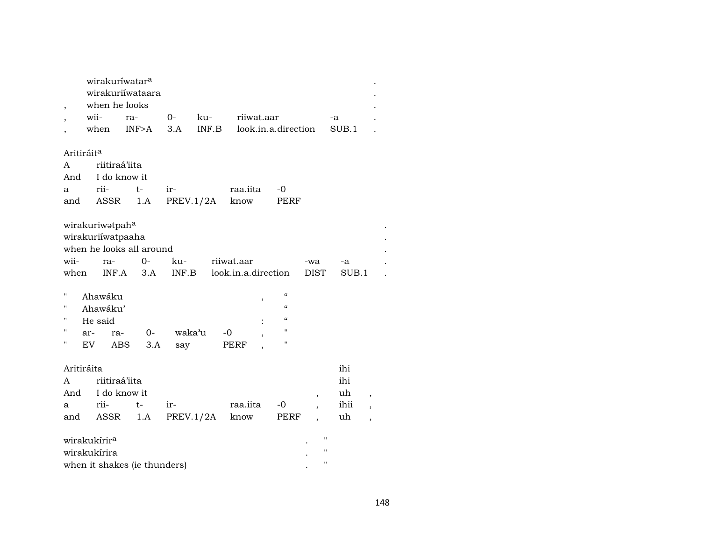| $\overline{\phantom{a}}$                                             | wirakuríwatar <sup>a</sup><br>when he looks                                                                 | wirakuriíwataara                                        |                               |       |                                                             |                                                                                   |                                                    |             |                          |
|----------------------------------------------------------------------|-------------------------------------------------------------------------------------------------------------|---------------------------------------------------------|-------------------------------|-------|-------------------------------------------------------------|-----------------------------------------------------------------------------------|----------------------------------------------------|-------------|--------------------------|
| $\overline{\phantom{a}}$                                             | wii-                                                                                                        | ra-                                                     | $0-$                          | ku-   | riiwat.aar                                                  |                                                                                   |                                                    | -a          |                          |
|                                                                      | when                                                                                                        | INF>A                                                   | 3.A                           | INF.B |                                                             | look.in.a.direction                                                               |                                                    | SUB.1       |                          |
| Aritiráit <sup>a</sup>                                               |                                                                                                             |                                                         |                               |       |                                                             |                                                                                   |                                                    |             |                          |
| A                                                                    | riitiraá'iita                                                                                               |                                                         |                               |       |                                                             |                                                                                   |                                                    |             |                          |
| And                                                                  | I do know it                                                                                                |                                                         |                               |       |                                                             |                                                                                   |                                                    |             |                          |
| a                                                                    | rii-                                                                                                        | $t-$                                                    | ir-                           |       | raa.iita                                                    | $-0$                                                                              |                                                    |             |                          |
| and                                                                  | <b>ASSR</b>                                                                                                 | 1.A                                                     | PREV.1/2A                     |       | know                                                        | PERF                                                                              |                                                    |             |                          |
| wii-<br>when<br>$\pmb{\mathsf{H}}$<br>п<br>П<br>н<br>ar-<br>п<br>EV. | wirakuriwatpaha<br>wirakuriíwatpaaha<br>ra-<br>INF.A<br>Ahawáku<br>Ahawáku'<br>He said<br>ra-<br><b>ABS</b> | when he looks all around<br>$0 -$<br>3.A<br>$0-$<br>3.A | ku-<br>INF.B<br>waka'u<br>say |       | riiwat.aar<br>look.in.a.direction<br>$\, ,$<br>$-0$<br>PERF | $\epsilon$<br>$\epsilon\epsilon$<br>$\mathcal{C}\mathcal{C}$<br>$\mathbf{H}$<br>п | -wa<br><b>DIST</b>                                 | -a<br>SUB.1 |                          |
|                                                                      |                                                                                                             |                                                         |                               |       |                                                             |                                                                                   |                                                    |             |                          |
| Aritiráita                                                           |                                                                                                             |                                                         |                               |       |                                                             |                                                                                   |                                                    | ihi         |                          |
| A                                                                    | riitiraá'iita                                                                                               |                                                         |                               |       |                                                             |                                                                                   |                                                    | ihi         |                          |
| And                                                                  | I do know it                                                                                                |                                                         |                               |       |                                                             |                                                                                   | ,                                                  | uh          | $^\mathrm{^\mathrm{o}}$  |
| a                                                                    | rii-                                                                                                        | $t-$                                                    | ir-                           |       | raa.iita                                                    | -0                                                                                | $\overline{\phantom{a}}$                           | ihii        | $\overline{\phantom{a}}$ |
| and                                                                  | ASSR                                                                                                        | 1.A                                                     | PREV.1/2A                     |       | know                                                        | PERF                                                                              | $\overline{\phantom{a}}$                           | uh          | $\overline{\phantom{a}}$ |
|                                                                      | wirakukírir <sup>a</sup><br>wirakukírira                                                                    | when it shakes (ie thunders)                            |                               |       |                                                             |                                                                                   | $\pmb{\mathsf{H}}$<br>$\mathbf{H}$<br>$\mathbf{H}$ |             |                          |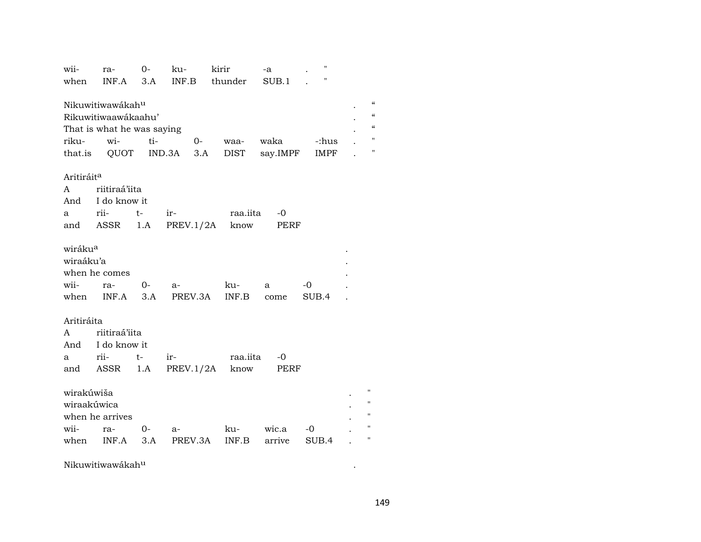| wii-                                             | ra-                                                                          | $O -$ | ku-             | kirir                | -a        | $\pmb{\mathsf{H}}$ |                                                     |
|--------------------------------------------------|------------------------------------------------------------------------------|-------|-----------------|----------------------|-----------|--------------------|-----------------------------------------------------|
| when                                             | $INF.A$ 3.A                                                                  |       | INF.B           | thunder              | SUB.1     | Ħ                  |                                                     |
| riku-                                            | Nikuwitiwawákahu<br>Rikuwitiwaawákaahu'<br>That is what he was saying<br>wi- | ti-   | $O-$            | waa-                 | waka      | -:hus              | $\mathcal{C}$<br>$\epsilon$<br>$\epsilon$<br>Ħ<br>Ħ |
|                                                  | that.is QUOT IND.3A                                                          |       |                 | 3.A<br>DIST          | say.IMPF  | IMPF               |                                                     |
| Aritiráit <sup>a</sup>                           |                                                                              |       |                 |                      |           |                    |                                                     |
| A                                                | riitiraá'iita                                                                |       |                 |                      |           |                    |                                                     |
|                                                  | And I do know it                                                             |       |                 |                      |           |                    |                                                     |
| a                                                | rii-                                                                         | $t-$  | $ir$ - $\qquad$ | raa.iita             | -0        |                    |                                                     |
|                                                  | and ASSR                                                                     | 1.A   | PREV.1/2A       | know                 | PERF      |                    |                                                     |
| wiráku <sup>a</sup><br>wiraáku'a<br>wii-<br>when | when he comes<br>ra-<br>$INF.A$ 3.A                                          | $O-$  | $a-$            | ku-<br>PREV.3A INF.B | a<br>come | $-0$<br>SUB.4      |                                                     |
| Aritiráita                                       |                                                                              |       |                 |                      |           |                    |                                                     |
| A                                                | riitiraá'iita                                                                |       |                 |                      |           |                    |                                                     |
|                                                  | And I do know it                                                             |       |                 |                      |           |                    |                                                     |
| a                                                | rii-                                                                         | $t-$  | $ir-$           | raa.iita             | -0        |                    |                                                     |
|                                                  | and ASSR                                                                     | 1.A   | PREV.1/2A       | know                 | PERF      |                    |                                                     |
| wirakúwiša<br>wiraakúwica<br>wii-                | when he arrives<br>ra-                                                       | $O-$  | a-              | ku-                  | wic.a     | -0                 | $\pmb{\mathsf{H}}$<br>п<br>п                        |
| when                                             | INF.A                                                                        | 3.A   | PREV.3A         | INF.B                | arrive    | SUB.4              |                                                     |
|                                                  |                                                                              |       |                 |                      |           |                    |                                                     |

 $N$ ikuwitiwawákah $^{\rm u}$  . The contract of  $\sim$  .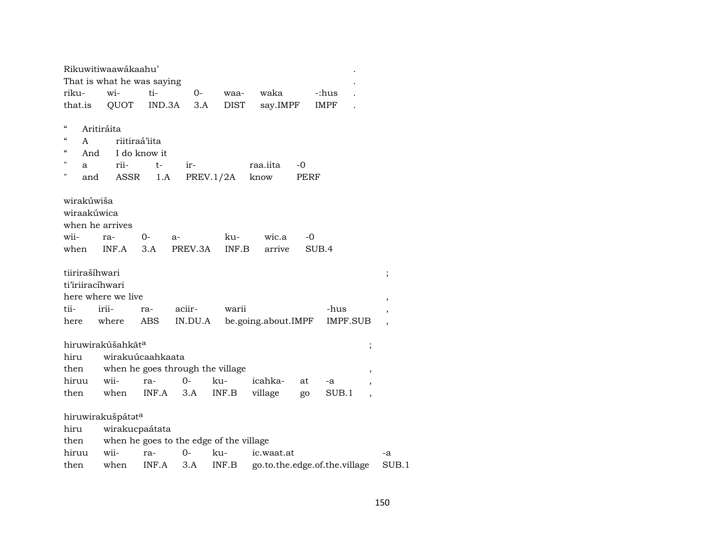|            |            | Rikuwitiwaawákaahu'           |               |         |                                         |                             |      |                               |                          |                          |
|------------|------------|-------------------------------|---------------|---------|-----------------------------------------|-----------------------------|------|-------------------------------|--------------------------|--------------------------|
|            |            | That is what he was saying    |               |         |                                         |                             |      |                               |                          |                          |
| riku-      |            | wi-                           | ti-           | 0-      | waa-                                    | waka                        |      | -:hus                         |                          |                          |
| that.is    |            | QUOT                          | IND.3A        | 3.A     | <b>DIST</b>                             | say.IMPF                    |      | <b>IMPF</b>                   |                          |                          |
|            |            |                               |               |         |                                         |                             |      |                               |                          |                          |
| "          |            | Aritiráita                    |               |         |                                         |                             |      |                               |                          |                          |
| $\epsilon$ | A          |                               | riitiraá'iita |         |                                         |                             |      |                               |                          |                          |
| $\epsilon$ | And        |                               | I do know it  |         |                                         |                             |      |                               |                          |                          |
| П          | a          | rii-                          | t-            | ir-     |                                         | raa.iita                    | -0   |                               |                          |                          |
| н          | and        | ASSR                          | 1.A           |         | PREV.1/2A                               | know                        | PERF |                               |                          |                          |
|            |            |                               |               |         |                                         |                             |      |                               |                          |                          |
|            | wirakúwiša |                               |               |         |                                         |                             |      |                               |                          |                          |
|            |            | wiraakúwica                   |               |         |                                         |                             |      |                               |                          |                          |
|            |            | when he arrives               |               |         |                                         |                             |      |                               |                          |                          |
| wii-       |            | ra-                           | $0-$          | $a-$    | ku-                                     | wic.a                       | -0   |                               |                          |                          |
| when       |            | INF.A                         | 3.A           | PREV.3A | INF.B                                   | arrive                      |      | SUB.4                         |                          |                          |
|            |            | tiirirašíhwari                |               |         |                                         |                             |      |                               |                          | $\vdots$                 |
|            |            | ti'iriiracíhwari              |               |         |                                         |                             |      |                               |                          |                          |
|            |            | here where we live            |               |         |                                         |                             |      |                               |                          |                          |
| tii-       |            | irii-                         | ra-           | aciir-  | warii                                   |                             |      | -hus                          |                          | $\overline{\phantom{a}}$ |
| here       |            | where                         | ABS           |         |                                         | IN.DU.A be.going.about.IMPF |      | IMPF.SUB                      |                          | $\,$                     |
|            |            |                               |               |         |                                         |                             |      |                               |                          |                          |
|            |            | hiruwirakúšahkãt <sup>a</sup> |               |         |                                         |                             |      |                               | $\vdots$                 |                          |
| hiru       |            | wirakuúcaahkaata              |               |         |                                         |                             |      |                               |                          |                          |
| then       |            |                               |               |         | when he goes through the village        |                             |      |                               | ,                        |                          |
| hiruu      |            | wii-                          | ra-           | $0-$    | ku-                                     | icahka-                     | at   | -a                            |                          |                          |
| then       |            | when                          | INF.A         | 3.A     | INF.B                                   | village                     | go   | SUB.1                         | $\overline{\phantom{a}}$ |                          |
|            |            |                               |               |         |                                         |                             |      |                               |                          |                          |
|            |            | hiruwirakušpátata             |               |         |                                         |                             |      |                               |                          |                          |
| hiru       |            | wirakucpaátata                |               |         |                                         |                             |      |                               |                          |                          |
| then       |            |                               |               |         | when he goes to the edge of the village |                             |      |                               |                          |                          |
| hiruu      |            | wii-                          | ra-           | 0-      | ku-                                     | ic.waat.at                  |      |                               |                          | -a                       |
| then       |            | when                          | INF.A         | 3.A     | INF.B                                   |                             |      | go.to.the.edge.of.the.village |                          | SUB.1                    |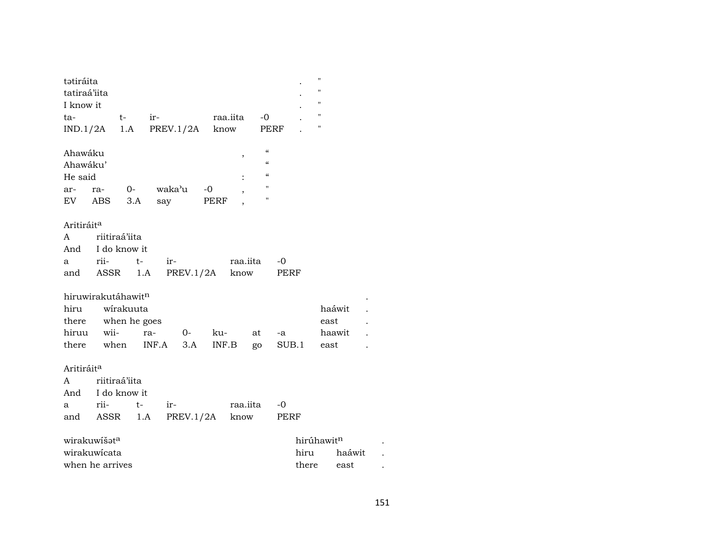| tətiráita<br>tatiraá'iita<br>I know it<br>ta-<br>IND.1/2A  |            | $t-$<br>1.A               | $ir-$<br>PREV.1/2A |                    | raa.iita<br>know | -0<br>PERF                                                                                                                |               | "<br>"<br>11<br>11<br>11         |  |
|------------------------------------------------------------|------------|---------------------------|--------------------|--------------------|------------------|---------------------------------------------------------------------------------------------------------------------------|---------------|----------------------------------|--|
| Ahawáku<br>Ahawáku'<br>He said<br>ar-<br>EV                | ra-<br>ABS | $0 -$<br>3.A              | waka'u<br>say      | $-0$<br>PERF       | ,                | $\mathcal{C}\mathcal{C}$<br>$\mathcal{C}\mathcal{C}$<br>$\boldsymbol{\zeta}\boldsymbol{\zeta}$<br>$\pmb{\mathsf{H}}$<br>п |               |                                  |  |
| Aritiráit <sup>a</sup>                                     |            |                           |                    |                    |                  |                                                                                                                           |               |                                  |  |
| A                                                          |            | riitiraá'iita             |                    |                    |                  |                                                                                                                           |               |                                  |  |
| And<br>a                                                   | rii-       | I do know it<br>$t-$      | ir-                |                    | raa.iita         |                                                                                                                           | -0            |                                  |  |
| and                                                        | ASSR       | 1.A                       |                    | PREV.1/2A          | know             |                                                                                                                           | PERF          |                                  |  |
| hiruwirakutáhawitn<br>hiru<br>there<br>hiruu<br>there when | wii-       | wirakuuta<br>when he goes | ra-<br>INF.A       | ku-<br>$O-$<br>3.A | INF.B            | at<br>go                                                                                                                  | -a<br>SUB.1   | haáwit<br>east<br>haawit<br>east |  |
| Aritiráit <sup>a</sup>                                     |            |                           |                    |                    |                  |                                                                                                                           |               |                                  |  |
| A                                                          |            | riitiraá'iita             |                    |                    |                  |                                                                                                                           |               |                                  |  |
| And<br>a                                                   | rii-       | I do know it<br>$t-$      | ir-                |                    | raa.iita         |                                                                                                                           | $-0$          |                                  |  |
| and                                                        | ASSR       | 1.A                       |                    | PREV.1/2A          | know             |                                                                                                                           | PERF          |                                  |  |
| wirakuwíšata<br>wirakuwicata<br>when he arrives            |            |                           |                    |                    |                  |                                                                                                                           | hiru<br>there | hirúhawitn<br>haáwit<br>east     |  |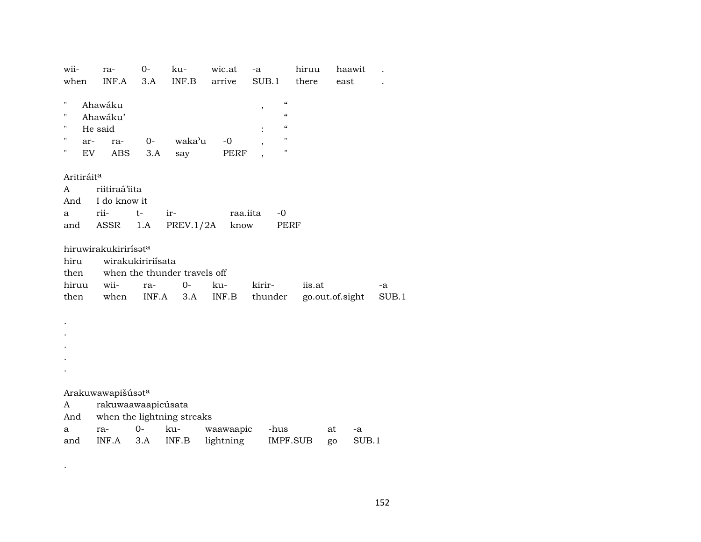| wii-<br>when                                   | ra-<br>INF.A                                        | $0-$<br>3.A                       | ku-<br>INF.B                                | wic.at<br>arrive | -a<br>SUB.1                                                                                                                                           | hiruu<br>there | haawit<br>east  |             |
|------------------------------------------------|-----------------------------------------------------|-----------------------------------|---------------------------------------------|------------------|-------------------------------------------------------------------------------------------------------------------------------------------------------|----------------|-----------------|-------------|
| $\mathbf{H}$<br>Ħ<br>П<br>н<br>ar-<br>11<br>EV | Ahawáku<br>Ahawáku'<br>He said<br>ra-<br><b>ABS</b> | 0-<br>3.A                         | waka'u<br>say                               | $-0$<br>PERF     | $\boldsymbol{\zeta}\boldsymbol{\zeta}$<br>$\,$<br>$\boldsymbol{\zeta}\boldsymbol{\zeta}$<br>$\mathcal{C}$<br>$\pmb{\mathsf{H}}$<br>$\pmb{\mathsf{H}}$ |                |                 |             |
| Aritiráit <sup>a</sup><br>A<br>And             | riitiraá'iita<br>I do know it                       |                                   |                                             |                  |                                                                                                                                                       |                |                 |             |
| a<br>and                                       | rii-<br>ASSR                                        | $t-$<br>1.A                       | ir-<br>PREV.1/2A                            | raa.iita<br>know | $-0$                                                                                                                                                  | <b>PERF</b>    |                 |             |
| hiru<br>then<br>hiruu<br>then                  | hiruwirakukirirísata<br>wii-<br>when                | wirakukiririísata<br>ra-<br>INF.A | when the thunder travels off<br>$0-$<br>3.A | ku-<br>INF.B     | kirir-<br>thunder                                                                                                                                     | iis.at         | go.out.of.sight | -a<br>SUB.1 |
|                                                |                                                     |                                   |                                             |                  |                                                                                                                                                       |                |                 |             |
| A<br>And<br>a                                  | Arakuwawapišúsata<br>rakuwaawaapicúsata<br>ra-      | $O -$                             | when the lightning streaks<br>ku-           | waawaapic        | -hus                                                                                                                                                  |                | at<br>-a        |             |
| and                                            | INF.A                                               | 3.A                               | INF.B                                       | lightning        |                                                                                                                                                       | IMPF.SUB       | SUB.1<br>go     |             |

 $\mathcal{L}(\mathcal{A})$  . The  $\mathcal{L}(\mathcal{A})$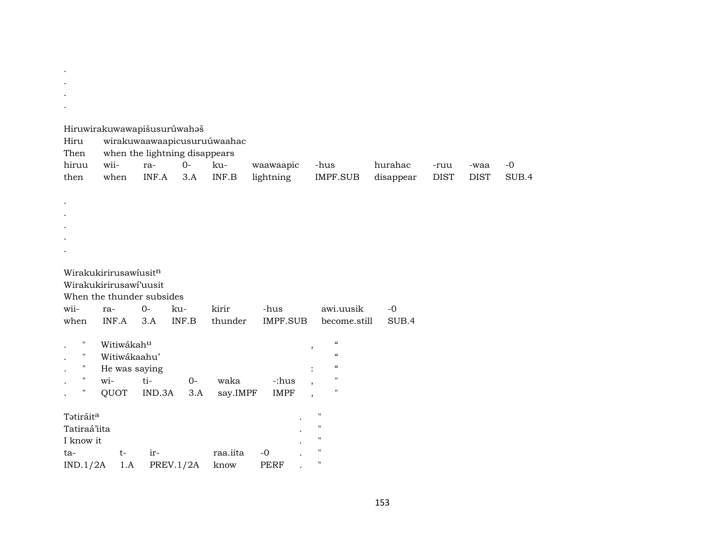. Hiruwirakuwawapišusurúwahaš Hiru wirakuwaawaapicusuruúwaahac Then when the lightning disappears hiruu wii- ra- 0- ku- waawaapic -hus hurahac -ruu -waa -0 then when INF.A 3.A INF.B lightning IMPF.SUB disappear DIST DIST SUB.4 . . . . . Wirakukirirusawíusit<sup>n</sup> Wirakukirirusawí'uusit When the thunder subsides wii- ra- 0- ku- kirir -hus awi.uusik -0 when INF.A 3.A INF.B thunder IMPF.SUB become.still SUB.4  $\begin{minipage}{.4\linewidth} \begin{tabular}{l} \hline \textbf{W} & \textbf{W} & \textbf{W} \\ \textbf{W} & \textbf{W} & \textbf{W} \\ \textbf{W} & \textbf{W} & \textbf{W} \end{tabular} \end{minipage}$ . " Witiwákaahu' " . " He was saying : " . " wi- ti- 0- waka -:hus , " . " QUOT IND.3A 3.A say.IMPF IMPF , " Tətiráit<sup>a</sup> . " Tatiraá'iita . " I know it  $\qquad \qquad \blacksquare$ ta- t- ir- raa.iita -0 . " IND.1/2A 1.A PREV.1/2A know PERF . "

. . .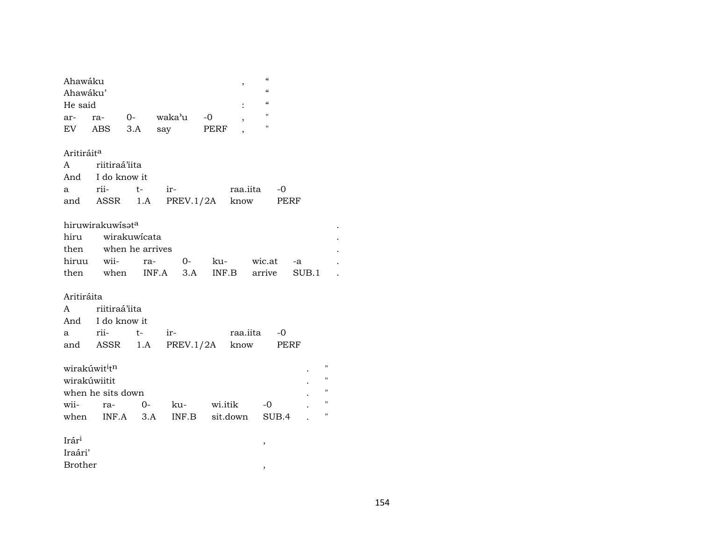| Ahawáku                |                           |      |                        | $\, ,$                           | "                                      |                    |
|------------------------|---------------------------|------|------------------------|----------------------------------|----------------------------------------|--------------------|
| Ahawáku'               |                           |      |                        |                                  | $\epsilon\epsilon$                     |                    |
| He said                |                           |      |                        |                                  | $\boldsymbol{\zeta}\boldsymbol{\zeta}$ |                    |
| ar-                    | ra-                       |      | 0- waka <sup>y</sup> u | $-0$<br>$\overline{\phantom{a}}$ | $\pmb{\mathsf{H}}$                     |                    |
| EV ABS                 |                           | 3.A  | say                    | PERF                             | $\pmb{\mathsf{H}}$                     |                    |
| Aritiráit <sup>a</sup> |                           |      |                        |                                  |                                        |                    |
|                        | A riitiraá'iita           |      |                        |                                  |                                        |                    |
| And                    | I do know it              |      |                        |                                  |                                        |                    |
| a                      | rii- t-                   |      | ir-                    | raa.iita                         | $-0$                                   |                    |
|                        |                           |      | and ASSR 1.A PREV.1/2A | know                             | PERF                                   |                    |
|                        | hiruwirakuwisata          |      |                        |                                  |                                        |                    |
|                        | hiru wirakuwicata         |      |                        |                                  |                                        |                    |
|                        | then when he arrives      |      |                        |                                  |                                        |                    |
| hiruu                  |                           |      | wii- ra- 0-            | ku- wic.at                       | $-a$                                   |                    |
|                        |                           |      |                        | then when INF.A 3.A INF.B arrive |                                        | SUB.1              |
| Aritiráita             |                           |      |                        |                                  |                                        |                    |
|                        | A riitiraá'iita           |      |                        |                                  |                                        |                    |
|                        | And I do know it          |      |                        |                                  |                                        |                    |
| a                      | rii-                      | $t-$ | $ir-$                  |                                  | raa.iita -0                            |                    |
|                        |                           |      | and ASSR 1.A PREV.1/2A | know                             | PERF                                   |                    |
|                        | wirakúwit <sup>i</sup> tn |      |                        |                                  |                                        | $\pmb{\mathsf{H}}$ |
| wirakúwiitit           |                           |      |                        |                                  |                                        | $\pmb{\mathsf{H}}$ |
|                        | when he sits down         |      |                        |                                  |                                        | $\mathbf{H}$       |
| wii-                   | ra-                       | $O-$ | ku-                    | wi.itik                          | $-0$                                   | $\mathbf{H}$       |
|                        | when INF.A 3.A            |      |                        | INF.B sit.down                   | SUB.4                                  | $\pmb{\mathsf{H}}$ |
| Irár <sup>i</sup>      |                           |      |                        |                                  | ,                                      |                    |
| Iraári'                |                           |      |                        |                                  |                                        |                    |
| <b>Brother</b>         |                           |      |                        |                                  | ,                                      |                    |
|                        |                           |      |                        |                                  |                                        |                    |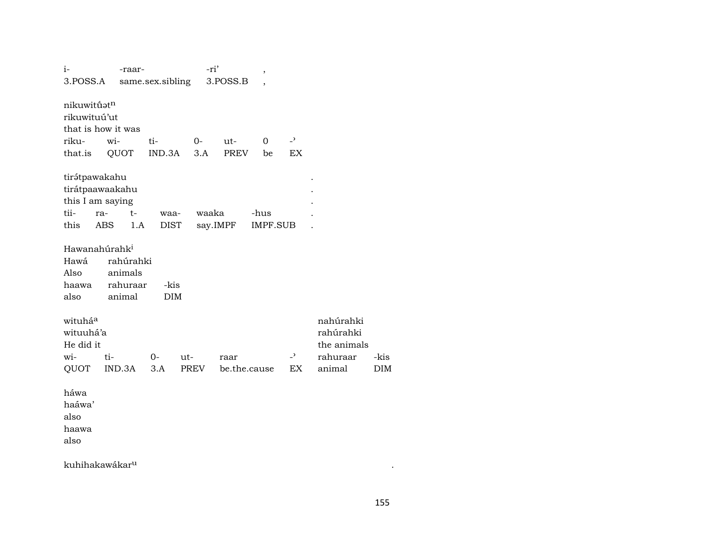| $i-$                      | -raar-             |                  | -ri'  |              | ,               |                          |             |
|---------------------------|--------------------|------------------|-------|--------------|-----------------|--------------------------|-------------|
| 3.POSS.A                  |                    | same.sex.sibling |       | 3.POSS.B     |                 |                          |             |
|                           |                    |                  |       |              |                 |                          |             |
| nikuwitūstn               |                    |                  |       |              |                 |                          |             |
| rikuwituú'ut              |                    |                  |       |              |                 |                          |             |
|                           | that is how it was |                  |       |              |                 |                          |             |
| riku-                     | wi-                | ti-              | $0-$  | ut-          | $\Omega$        | $\overline{a}$           |             |
| that.is                   | QUOT               | IND.3A           | 3.A   | PREV         | be              | EX                       |             |
|                           |                    |                  |       |              |                 |                          |             |
| tirátpawakahu             |                    |                  |       |              |                 |                          |             |
| tirátpaawaakahu           |                    |                  |       |              |                 |                          |             |
| this I am saying          |                    |                  |       |              |                 |                          |             |
| tii-                      | $t-$<br>ra-        | waa-             | waaka |              | -hus            |                          |             |
| this                      | ABS<br>1.A         | <b>DIST</b>      |       | say.IMPF     | <b>IMPF.SUB</b> |                          |             |
|                           |                    |                  |       |              |                 |                          |             |
| Hawanahúrahk <sup>i</sup> |                    |                  |       |              |                 |                          |             |
| Hawá                      | rahúrahki          |                  |       |              |                 |                          |             |
| Also                      | animals            |                  |       |              |                 |                          |             |
| haawa                     | rahuraar           | -kis             |       |              |                 |                          |             |
| also                      | animal             | <b>DIM</b>       |       |              |                 |                          |             |
|                           |                    |                  |       |              |                 |                          |             |
| wituháa                   |                    |                  |       |              |                 |                          | nahúrahki   |
| wituuhá'a                 |                    |                  |       |              |                 |                          | rahúrahki   |
| He did it                 |                    |                  |       |              |                 |                          | the animals |
| wi-                       | ti-                | $0-$<br>ut-      |       | raar         |                 | $\overline{\phantom{0}}$ | rahuraar    |
| QUOT                      | IND.3A             | 3.A              | PREV  | be.the.cause |                 | EX                       | animal      |
|                           |                    |                  |       |              |                 |                          |             |
| háwa                      |                    |                  |       |              |                 |                          |             |
| haáwa'                    |                    |                  |       |              |                 |                          |             |
| also                      |                    |                  |       |              |                 |                          |             |
| haawa                     |                    |                  |       |              |                 |                          |             |
| also                      |                    |                  |       |              |                 |                          |             |
|                           |                    |                  |       |              |                 |                          |             |

kuhihakawákar<sup>u</sup>

 $\sim$  .

-kis

 $DIM$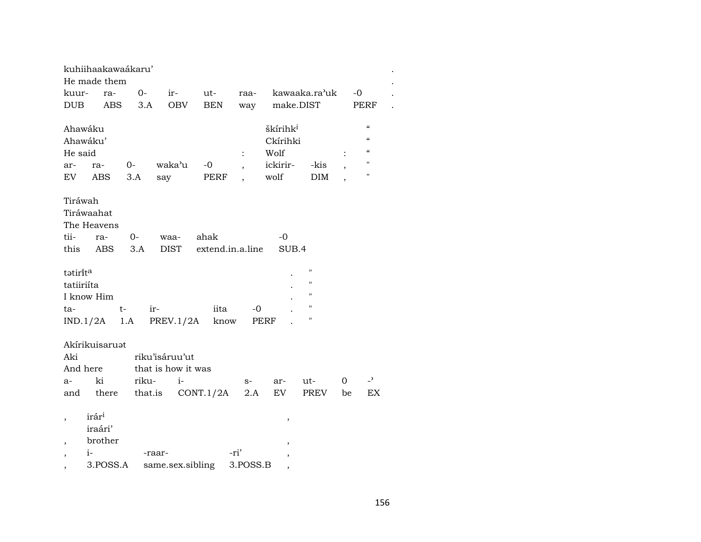|                          | kuhiihaakawaákaru' |       |                    |                  |                          |                          |                    |    |                            |  |
|--------------------------|--------------------|-------|--------------------|------------------|--------------------------|--------------------------|--------------------|----|----------------------------|--|
|                          | He made them       |       |                    |                  |                          |                          |                    |    |                            |  |
| kuur-                    | ra-                | $0-$  | ir-                | ut-              | raa-                     |                          | kawaaka.ra'uk      | -0 |                            |  |
| <b>DUB</b>               | <b>ABS</b>         | 3.A   | <b>OBV</b>         | <b>BEN</b>       | way                      | make.DIST                |                    |    | PERF                       |  |
|                          |                    |       |                    |                  |                          |                          |                    |    |                            |  |
| Ahawáku                  |                    |       |                    |                  |                          | škírihk <sup>i</sup>     |                    |    | $\boldsymbol{\mathcal{C}}$ |  |
| Ahawáku'                 |                    |       |                    |                  |                          | Ckírihki                 |                    |    | $\epsilon$                 |  |
| He said                  |                    |       |                    |                  | $\ddot{\cdot}$           | Wolf                     |                    |    | $\boldsymbol{\mathcal{C}}$ |  |
| ar-                      | ra-                | $0-$  | waka'u             | -0               | $\overline{\phantom{a}}$ | ickirir-                 | -kis               |    | п                          |  |
| EV                       | ABS                | 3.A   | say                | PERF             |                          | wolf                     | <b>DIM</b>         |    | $\mathbf H$                |  |
|                          |                    |       |                    |                  |                          |                          |                    |    |                            |  |
| Tiráwah                  |                    |       |                    |                  |                          |                          |                    |    |                            |  |
|                          | Tiráwaahat         |       |                    |                  |                          |                          |                    |    |                            |  |
|                          | The Heavens        |       |                    |                  |                          |                          |                    |    |                            |  |
| tii-                     | ra-                | 0-    | waa-               | ahak             |                          | -0                       |                    |    |                            |  |
| this                     | ABS                | 3.A   | <b>DIST</b>        | extend.in.a.line |                          | SUB.4                    |                    |    |                            |  |
|                          |                    |       |                    |                  |                          |                          |                    |    |                            |  |
| tətirit <sup>a</sup>     |                    |       |                    |                  |                          |                          | $\blacksquare$     |    |                            |  |
| tatiiriíta               |                    |       |                    |                  |                          |                          | "                  |    |                            |  |
|                          | I know Him         |       |                    |                  |                          |                          | 11                 |    |                            |  |
|                          |                    | $t-$  |                    | iita             | -0                       |                          | $\pmb{\mathsf{H}}$ |    |                            |  |
| ta-                      |                    |       | ir-                |                  |                          |                          | $\pmb{\mathsf{H}}$ |    |                            |  |
|                          | $IND.1/2A$ 1.A     |       | PREV.1/2A          | know             |                          | PERF                     |                    |    |                            |  |
|                          |                    |       |                    |                  |                          |                          |                    |    |                            |  |
|                          | Akírikuisaruət     |       |                    |                  |                          |                          |                    |    |                            |  |
| Aki                      |                    |       | riku'isáruu'ut     |                  |                          |                          |                    |    |                            |  |
| And here                 |                    |       | that is how it was |                  |                          |                          |                    |    |                            |  |
| $a-$                     | ki                 | riku- | $i-$               |                  | s-                       | ar-                      | ut-                | 0  | $\overline{\phantom{0}}$   |  |
| and                      | there              |       | that.is            | CONT.1/2A        | 2.A                      | EV.                      | PREV               | be | EX                         |  |
|                          |                    |       |                    |                  |                          |                          |                    |    |                            |  |
|                          | irár <sup>i</sup>  |       |                    |                  |                          | $\overline{\phantom{a}}$ |                    |    |                            |  |
|                          | iraári'            |       |                    |                  |                          |                          |                    |    |                            |  |
|                          | brother            |       |                    |                  |                          |                          |                    |    |                            |  |
| ,                        | $i-$               |       | -raar-             |                  | -ri'                     | $\overline{ }$           |                    |    |                            |  |
| $\overline{\phantom{a}}$ | 3.POSS.A           |       | same.sex.sibling   |                  | 3.POSS.B                 |                          |                    |    |                            |  |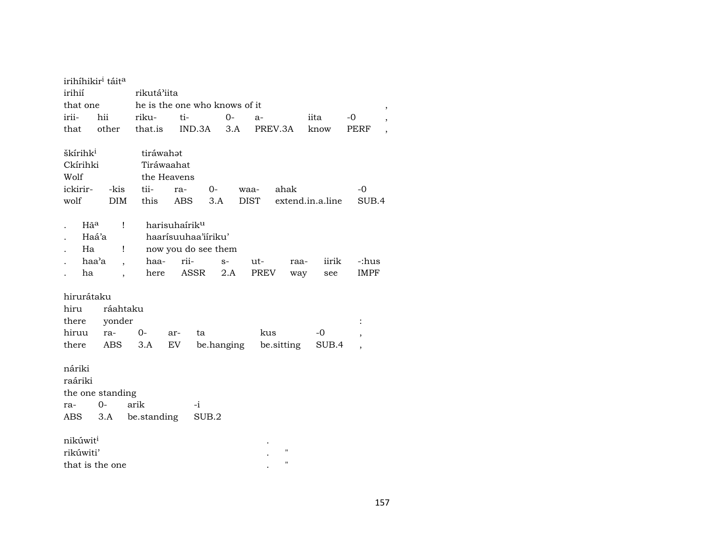|                                                      | irihíhikir <sup>i</sup> táit <sup>a</sup>                                       |                                                |                                                                                         |             |                                          |                             |                               |
|------------------------------------------------------|---------------------------------------------------------------------------------|------------------------------------------------|-----------------------------------------------------------------------------------------|-------------|------------------------------------------|-----------------------------|-------------------------------|
| irihií                                               |                                                                                 | rikutá'iita                                    |                                                                                         |             |                                          |                             |                               |
| that one                                             |                                                                                 |                                                | he is the one who knows of it                                                           |             |                                          |                             | $^\circ$                      |
| irii-                                                | hii                                                                             | riku-                                          | ti-                                                                                     | $O -$       | $a-$                                     | iita                        | $-0$                          |
| that                                                 | other                                                                           | that.is                                        | IND.3A                                                                                  | 3.A         | PREV.3A                                  | know                        | <b>PERF</b><br>$\overline{ }$ |
| škírihk <sup>i</sup><br>Ckírihki<br>Wolf<br>ickirir- | -kis                                                                            | tiráwahat<br>Tiráwaahat<br>the Heavens<br>tii- | ra-<br>$0-$                                                                             | waa-        | ahak                                     |                             | $-0$                          |
| wolf                                                 | <b>DIM</b>                                                                      | this                                           | ABS<br>3.A                                                                              |             | <b>DIST</b>                              | extend.in.a.line            | SUB.4                         |
| Hã <sup>a</sup><br>Ha<br>ha                          | Ţ<br>Haá'a<br>$\mathbf{I}$<br>haa'a<br>$\overline{ }$ ,<br>$\ddot{\phantom{0}}$ | haa-<br>here                                   | harisuhaírik <sup>u</sup><br>haarísuuhaa'iíriku'<br>now you do see them<br>rii-<br>ASSR | $S-$<br>2.A | ut-<br>PREV                              | iirik<br>raa-<br>way<br>see | -:hus<br>IMPF                 |
| hirurátaku<br>hiru<br>there<br>hiruu                 | ráahtaku<br>yonder                                                              |                                                |                                                                                         |             |                                          |                             | $\ddot{\cdot}$                |
| there                                                | ra-<br>ABS                                                                      | $0-$<br>3.A                                    | ar-<br>ta<br>EV                                                                         | be.hanging  | kus<br>be.sitting                        | $-0$<br>SUB.4               |                               |
| náriki<br>raáriki<br>ra-<br>ABS                      | the one standing<br>$0-$<br>3.A                                                 | arik<br>be.standing                            | $-i$<br>SUB.2                                                                           |             |                                          |                             |                               |
| nikúwit <sup>i</sup><br>rikúwiti'                    | that is the one                                                                 |                                                |                                                                                         |             | $\pmb{\mathsf{H}}$<br>$\pmb{\mathsf{H}}$ |                             |                               |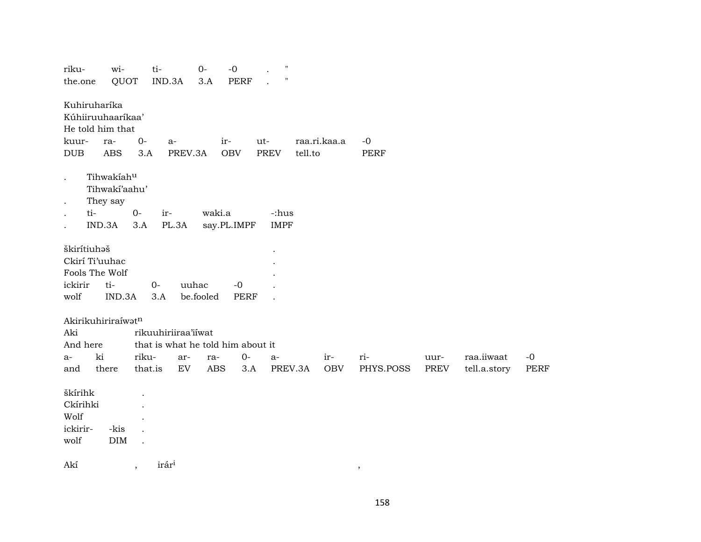| riku-                | wi-                |         | ti-                               | $0-$       | $-0$        | $\pmb{\mathsf{H}}$ |         |              |           |      |              |             |
|----------------------|--------------------|---------|-----------------------------------|------------|-------------|--------------------|---------|--------------|-----------|------|--------------|-------------|
| the.one              | QUOT               |         | IND.3A                            | 3.A        | <b>PERF</b> | $\pmb{\mathsf{H}}$ |         |              |           |      |              |             |
|                      | Kuhiruharíka       |         |                                   |            |             |                    |         |              |           |      |              |             |
|                      | Kúhiiruuhaaríkaa'  |         |                                   |            |             |                    |         |              |           |      |              |             |
|                      | He told him that   |         |                                   |            |             |                    |         |              |           |      |              |             |
| kuur-                | ra-                | $0-$    | a-                                |            | ir-         | ut-                |         | raa.ri.kaa.a | $-0$      |      |              |             |
| $\rm DUB$            | <b>ABS</b>         | 3.A     | PREV.3A                           |            | OBV         | PREV               | tell.to |              | PERF      |      |              |             |
| $\bullet$            | Tihwakiahu         |         |                                   |            |             |                    |         |              |           |      |              |             |
|                      | Tihwakí'aahu'      |         |                                   |            |             |                    |         |              |           |      |              |             |
| $\ddot{\phantom{a}}$ | They say           |         |                                   |            |             |                    |         |              |           |      |              |             |
| $\ddot{\phantom{0}}$ | ti-                | $O -$   | ir-                               | waki.a     |             | -:hus              |         |              |           |      |              |             |
| $\ddot{\phantom{0}}$ | IND.3A             | 3.A     | PL.3A                             |            | say.PL.IMPF | <b>IMPF</b>        |         |              |           |      |              |             |
| škirítiuhaš          |                    |         |                                   |            |             |                    |         |              |           |      |              |             |
|                      | Ckirí Ti'uuhac     |         |                                   |            |             |                    |         |              |           |      |              |             |
|                      | Fools The Wolf     |         |                                   |            |             |                    |         |              |           |      |              |             |
| ickirir              | ti-                |         | $O -$                             | uuhac      | $-0$        |                    |         |              |           |      |              |             |
| wolf                 | IND.3A             |         | 3.A                               | be.fooled  | <b>PERF</b> |                    |         |              |           |      |              |             |
|                      | Akirikuhiriraíwatn |         |                                   |            |             |                    |         |              |           |      |              |             |
| Aki                  |                    |         | rikuuhiriiraa'iiwat               |            |             |                    |         |              |           |      |              |             |
| And here             |                    |         | that is what he told him about it |            |             |                    |         |              |           |      |              |             |
| a-                   | ki                 | riku-   | ar-                               | ra-        | $0-$        | $a-$               |         | $ir-$        | ri-       | uur- | raa.iiwaat   | $-0$        |
| and                  | there              | that.is | ${\rm EV}$                        | <b>ABS</b> | 3.A         |                    | PREV.3A | OBV          | PHYS.POSS | PREV | tell.a.story | <b>PERF</b> |
| škírihk              |                    |         |                                   |            |             |                    |         |              |           |      |              |             |
| Ckírihki             |                    |         |                                   |            |             |                    |         |              |           |      |              |             |
| Wolf                 |                    |         |                                   |            |             |                    |         |              |           |      |              |             |
| ickirir-             | -kis               |         |                                   |            |             |                    |         |              |           |      |              |             |
| wolf                 | $\rm{DIM}$         |         |                                   |            |             |                    |         |              |           |      |              |             |
| Akí                  |                    | $\cdot$ | irár <sup>i</sup>                 |            |             |                    |         |              | $\,$      |      |              |             |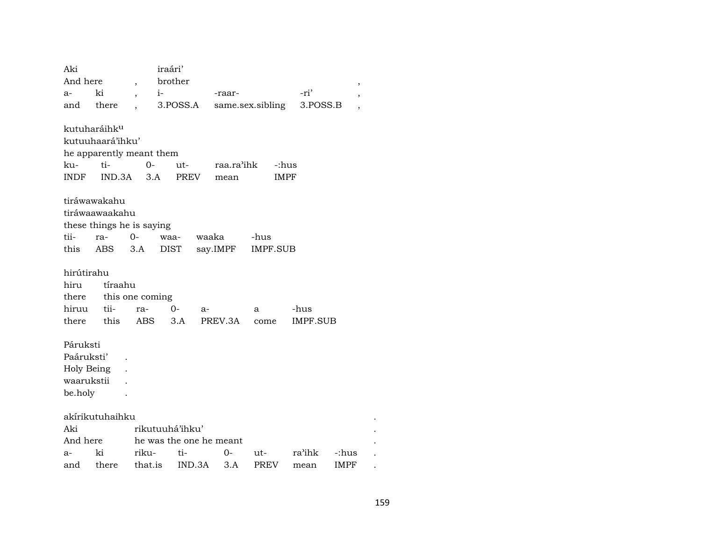| Aki        |                           |                          | iraári'                 |            |                  |          |                          |  |
|------------|---------------------------|--------------------------|-------------------------|------------|------------------|----------|--------------------------|--|
| And here   |                           | $\overline{\phantom{a}}$ | brother                 |            |                  |          | $^\mathrm{,}$            |  |
| a-         | ki                        | $i-$                     |                         | -raar-     |                  | -ri'     | $\overline{\phantom{a}}$ |  |
| and        | there                     |                          | 3.POSS.A                |            | same.sex.sibling | 3.POSS.B | ,                        |  |
|            |                           |                          |                         |            |                  |          |                          |  |
|            | kutuharáihk <sup>u</sup>  |                          |                         |            |                  |          |                          |  |
|            | kutuuhaará'ihku'          |                          |                         |            |                  |          |                          |  |
|            | he apparently meant them  |                          |                         |            |                  |          |                          |  |
| ku-        | ti-                       | $0-$                     | ut-                     | raa.ra'ihk | -:hus            |          |                          |  |
| INDF       | IND.3A                    | 3.A                      | <b>PREV</b>             | mean       | <b>IMPF</b>      |          |                          |  |
|            | tiráwawakahu              |                          |                         |            |                  |          |                          |  |
|            | tiráwaawaakahu            |                          |                         |            |                  |          |                          |  |
|            | these things he is saying |                          |                         |            |                  |          |                          |  |
| tii-       | ra-                       | $0-$                     | waaka<br>waa-           |            | -hus             |          |                          |  |
|            |                           |                          |                         |            |                  |          |                          |  |
| this       | ABS                       | 3.A                      | <b>DIST</b>             | say.IMPF   | IMPF.SUB         |          |                          |  |
| hirútirahu |                           |                          |                         |            |                  |          |                          |  |
| hiru       | tíraahu                   |                          |                         |            |                  |          |                          |  |
| there      |                           | this one coming          |                         |            |                  |          |                          |  |
| hiruu      | tii-                      | ra-                      | $O -$<br>$a-$           |            | a                | -hus     |                          |  |
| there      | this                      | <b>ABS</b>               | 3.A                     | PREV.3A    | come             | IMPF.SUB |                          |  |
|            |                           |                          |                         |            |                  |          |                          |  |
| Páruksti   |                           |                          |                         |            |                  |          |                          |  |
| Paáruksti' |                           |                          |                         |            |                  |          |                          |  |
| Holy Being |                           |                          |                         |            |                  |          |                          |  |
| waarukstii |                           |                          |                         |            |                  |          |                          |  |
| be.holy    |                           |                          |                         |            |                  |          |                          |  |
|            | akírikutuhaihku           |                          |                         |            |                  |          |                          |  |
| Aki        |                           |                          | rikutuuhá'ihku'         |            |                  |          |                          |  |
| And here   |                           |                          | he was the one he meant |            |                  |          |                          |  |
| a-         | ki                        | riku-                    | ti-                     | 0-         | ut-              | ra'ihk   | -:hus                    |  |
| and        | there                     | that.is                  | IND.3A                  | 3.A        | <b>PREV</b>      | mean     | <b>IMPF</b>              |  |
|            |                           |                          |                         |            |                  |          |                          |  |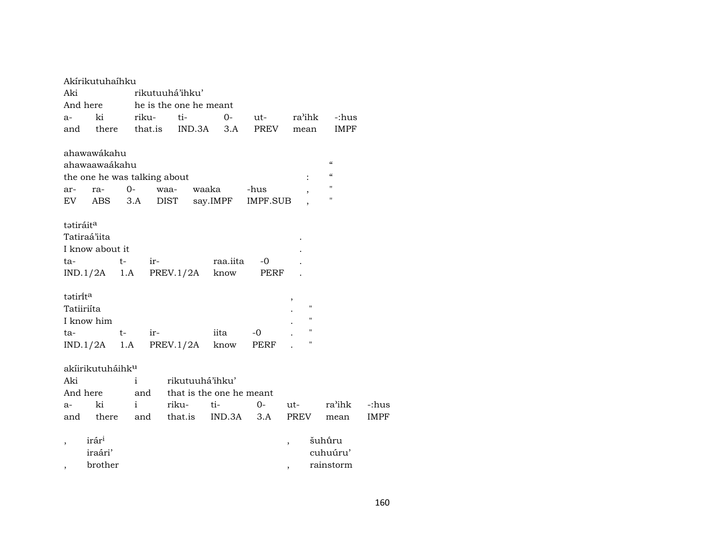|            | Akírikutuhaíhku              |    |              |                 |                                 |          |                                  |                          |                    |                            |             |
|------------|------------------------------|----|--------------|-----------------|---------------------------------|----------|----------------------------------|--------------------------|--------------------|----------------------------|-------------|
| Aki        |                              |    |              |                 | rikutuuhá'ihku'                 |          |                                  |                          |                    |                            |             |
|            |                              |    |              |                 | And here he is the one he meant |          |                                  |                          |                    |                            |             |
| a-         | ki                           |    |              | riku- ti-       |                                 | $0-$     | ut- ra'ihk                       |                          |                    | -:hus                      |             |
| and        |                              |    |              |                 | there that.is IND.3A 3.A        |          | PREV                             | mean                     |                    | <b>IMPF</b>                |             |
|            |                              |    |              |                 |                                 |          |                                  |                          |                    |                            |             |
|            | ahawawákahu                  |    |              |                 |                                 |          |                                  |                          |                    | $\boldsymbol{\mathcal{C}}$ |             |
|            | ahawaawaákahu                |    |              |                 |                                 |          |                                  |                          |                    | "                          |             |
|            | the one he was talking about |    |              |                 |                                 |          |                                  |                          |                    | $\mathbf{H}$               |             |
|            | ar- ra-                      |    | $0-$         |                 | waa-                            | waaka    | -hus                             |                          |                    | н                          |             |
|            | EV ABS 3.A                   |    |              |                 | <b>DIST</b>                     | say.IMPF | IMPF.SUB                         |                          |                    |                            |             |
|            |                              |    |              |                 |                                 |          |                                  |                          |                    |                            |             |
| tatiráita  |                              |    |              |                 |                                 |          |                                  |                          |                    |                            |             |
|            | Tatiraá'iita                 |    |              |                 |                                 |          |                                  |                          |                    |                            |             |
|            | I know about it              |    |              |                 |                                 |          |                                  |                          |                    |                            |             |
|            | ta- t-                       |    |              |                 |                                 |          | ir- raa.iita -0                  |                          |                    |                            |             |
|            |                              |    |              |                 | $IND.1/2A$ 1.A PREV.1/2A know   |          | PERF                             |                          |                    |                            |             |
| tatirita   |                              |    |              |                 |                                 |          |                                  |                          |                    |                            |             |
| Tatiiriíta |                              |    |              |                 |                                 |          |                                  | ,                        | $\pmb{\mathsf{H}}$ |                            |             |
|            |                              |    |              |                 |                                 |          |                                  |                          | "                  |                            |             |
|            | I know him                   |    |              |                 |                                 |          |                                  |                          | $\pmb{\mathsf{H}}$ |                            |             |
|            | ta-                          | t- |              | $ir$ - $\qquad$ | IND.1/2A 1.A PREV.1/2A know     | iita     | $-0$                             |                          |                    |                            |             |
|            |                              |    |              |                 |                                 |          | PERF                             |                          |                    |                            |             |
|            | akíirikutuháihk <sup>u</sup> |    |              |                 |                                 |          |                                  |                          |                    |                            |             |
| Aki        |                              |    | $\mathbf{i}$ |                 | rikutuuhá'ihku'                 |          |                                  |                          |                    |                            |             |
|            | And here                     |    |              |                 | and that is the one he meant    |          |                                  |                          |                    |                            |             |
| $a-$       | ki i                         |    |              |                 | riku-                           |          | ti- 0- ut-                       |                          |                    | ra'ihk                     | -:hus       |
|            |                              |    |              |                 |                                 |          | and there and that.is IND.3A 3.A | PREV                     |                    | mean                       | <b>IMPF</b> |
|            |                              |    |              |                 |                                 |          |                                  |                          |                    |                            |             |
|            | irár <sup>i</sup>            |    |              |                 |                                 |          |                                  |                          |                    | šuhū́ru                    |             |
|            | iraári'                      |    |              |                 |                                 |          |                                  |                          |                    | cuhuúru'                   |             |
| $\, ,$     | brother                      |    |              |                 |                                 |          |                                  | $\overline{\phantom{a}}$ |                    | rainstorm                  |             |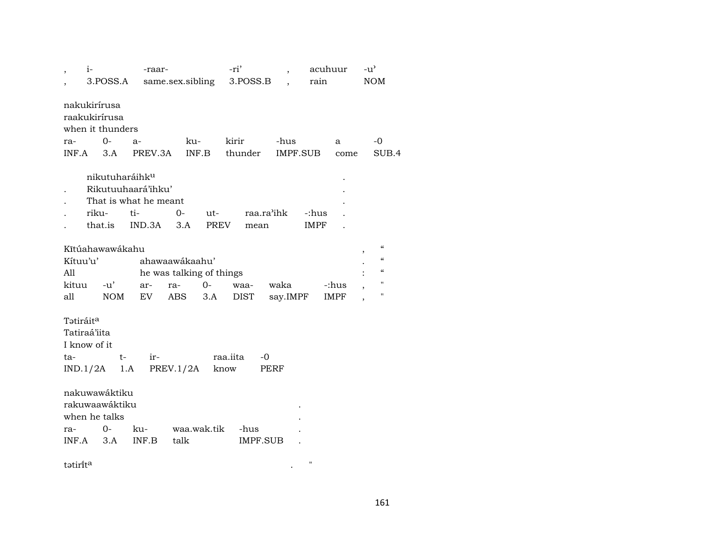| $i-$                                                         |                                                                  | -raar-                                      |                                                                         | -ri'                    | $\overline{\phantom{a}}$ | acuhuur              | $-u^{\prime}$                                                                                                             |
|--------------------------------------------------------------|------------------------------------------------------------------|---------------------------------------------|-------------------------------------------------------------------------|-------------------------|--------------------------|----------------------|---------------------------------------------------------------------------------------------------------------------------|
|                                                              | 3.POSS.A                                                         |                                             | same.sex.sibling                                                        | 3.POSS.B                |                          | rain                 | <b>NOM</b>                                                                                                                |
|                                                              | nakukirírusa<br>raakukirírusa<br>when it thunders                |                                             |                                                                         |                         |                          |                      |                                                                                                                           |
| ra-                                                          | 0-                                                               | $a-$                                        | ku-                                                                     | kirir                   | -hus                     | a                    | $-0$                                                                                                                      |
| INF.A                                                        | 3.A                                                              | PREV.3A                                     | INF.B                                                                   | thunder                 | IMPF.SUB                 | come                 | SUB.4                                                                                                                     |
|                                                              | nikutuharáihk <sup>u</sup>                                       | Rikutuuhaará'ihku'<br>That is what he meant |                                                                         |                         |                          |                      |                                                                                                                           |
|                                                              | riku-                                                            | ti-                                         | 0-<br>$ut-$                                                             | raa.ra'ihk              |                          | -:hus                |                                                                                                                           |
|                                                              | that.is                                                          | IND.3A                                      | 3.A<br>PREV                                                             | mean                    |                          | IMPF                 |                                                                                                                           |
| Kítuu'u'<br>All<br>kituu<br>all                              | Kĩtúahawawákahu<br>-u'<br><b>NOM</b>                             | ar-<br>EV                                   | ahawaawákaahu'<br>he was talking of things<br>$0-$<br>ra-<br>ABS<br>3.A | waa-<br><b>DIST</b>     | waka<br>say.IMPF         | -:hus<br><b>IMPF</b> | $\epsilon$<br>$\boldsymbol{\zeta}\boldsymbol{\zeta}$<br>$\boldsymbol{\zeta}\boldsymbol{\zeta}$<br>$\pmb{\mathsf{H}}$<br>П |
| Tatiráit <sup>a</sup><br>Tatiraá'iita<br>I know of it<br>ta- | t-<br>$IND.1/2A$ 1.A                                             | $ir-$                                       | PREV.1/2A                                                               | raa.iita<br>-0<br>know  | PERF                     |                      |                                                                                                                           |
| ra-<br>INF.A                                                 | nakuwawáktiku<br>rakuwaawáktiku<br>when he talks<br>$O -$<br>3.A | ku-<br>INF.B                                | waa.wak.tik<br>talk                                                     | -hus<br><b>IMPF.SUB</b> |                          |                      |                                                                                                                           |
| tatirita                                                     |                                                                  |                                             |                                                                         |                         |                          | $\pmb{\mathsf{H}}$   |                                                                                                                           |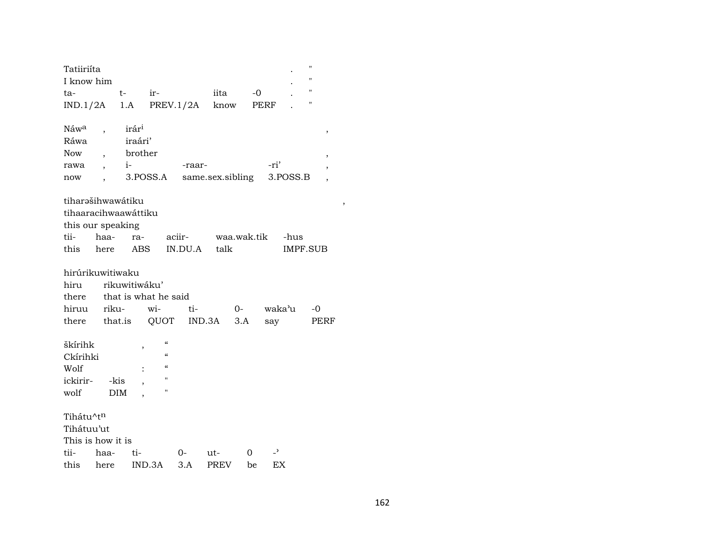| Tatiiriíta           |                          |                   |                                        |                |                  |             |      |          | "                  |
|----------------------|--------------------------|-------------------|----------------------------------------|----------------|------------------|-------------|------|----------|--------------------|
| I know him           |                          |                   |                                        |                |                  |             |      |          | Ħ                  |
| ta-                  |                          | $t-$              | ir-                                    |                | iita             |             | -0   |          | $\pmb{\mathsf{H}}$ |
| IND.1/2A             |                          | 1.A               |                                        | PREV.1/2A know |                  |             | PERF |          | П                  |
|                      |                          |                   |                                        |                |                  |             |      |          |                    |
| Náw <sup>a</sup>     |                          | irár <sup>i</sup> |                                        |                |                  |             |      |          | ,                  |
| Ráwa                 |                          | iraári'           |                                        |                |                  |             |      |          |                    |
| <b>Now</b>           | $\overline{\phantom{a}}$ | brother           |                                        |                |                  |             |      |          | ,                  |
| rawa                 | $\overline{\phantom{a}}$ | $i-$              |                                        | -raar-         |                  |             | -ri' |          |                    |
| now                  |                          |                   | 3.POSS.A                               |                | same.sex.sibling |             |      | 3.POSS.B |                    |
| tiharəšihwawátiku    |                          |                   |                                        |                |                  |             |      |          |                    |
| tihaaracihwaawáttiku |                          |                   |                                        |                |                  |             |      |          |                    |
| this our speaking    |                          |                   |                                        |                |                  |             |      |          |                    |
| tii-                 | haa-                     | ra-               |                                        | aciir-         |                  | waa.wak.tik |      | -hus     |                    |
| this                 | here                     | ABS               |                                        | IN.DU.A        | talk             |             |      | IMPF.SUB |                    |
|                      |                          |                   |                                        |                |                  |             |      |          |                    |
| hirúrikuwitiwaku     |                          |                   |                                        |                |                  |             |      |          |                    |
| hiru rikuwitiwáku'   |                          |                   |                                        |                |                  |             |      |          |                    |
| there                |                          |                   | that is what he said                   |                |                  |             |      |          |                    |
| hiruu                | riku-                    |                   | wi-                                    | ti-            |                  | $0-$        |      | waka'u   | -0                 |
|                      |                          |                   | there that.is QUOT                     |                | $IND.3A$ $3.A$   |             | say  |          | PERF               |
| škírihk              |                          |                   | $\boldsymbol{\zeta}\boldsymbol{\zeta}$ |                |                  |             |      |          |                    |
| Ckírihki             |                          | ,                 | $\mathcal{C}$                          |                |                  |             |      |          |                    |
| Wolf                 |                          |                   | $\mathcal{C}\mathcal{C}$               |                |                  |             |      |          |                    |
| ickirir-             |                          | -kis              | п                                      |                |                  |             |      |          |                    |
| wolf                 |                          | DIM               | $\blacksquare$                         |                |                  |             |      |          |                    |
|                      |                          |                   |                                        |                |                  |             |      |          |                    |
| Tihátu^tn            |                          |                   |                                        |                |                  |             |      |          |                    |
| Tihátuu'ut           |                          |                   |                                        |                |                  |             |      |          |                    |
| This is how it is    |                          |                   |                                        |                |                  |             |      |          |                    |
| tii-                 | haa-                     | ti-               |                                        | 0-             | ut-              | 0           | د_   |          |                    |
| this                 | here                     |                   | IND.3A                                 | 3.A            | <b>PREV</b>      | be          | EX   |          |                    |

 $\overline{\phantom{a}}$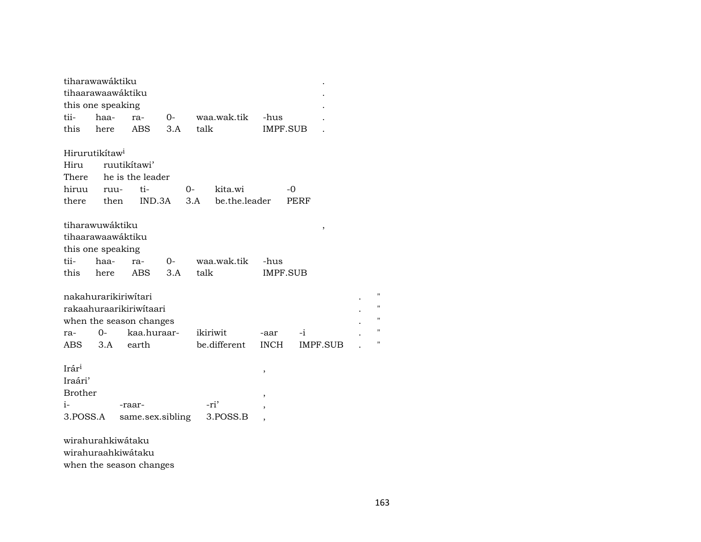| tiharawawáktiku            |       |                         |        |      |               |               |                 |   |
|----------------------------|-------|-------------------------|--------|------|---------------|---------------|-----------------|---|
| tihaarawaawáktiku          |       |                         |        |      |               |               |                 |   |
| this one speaking          |       |                         |        |      |               |               |                 |   |
| tii-                       | haa-  | ra-                     | $O-$   |      | waa.wak.tik   | -hus          |                 |   |
| this                       | here  | <b>ABS</b>              | 3.A    | talk |               |               | IMPF.SUB        |   |
|                            |       |                         |        |      |               |               |                 |   |
| Hirurutikítaw <sup>i</sup> |       |                         |        |      |               |               |                 |   |
| Hiru                       |       | ruutikítawi'            |        |      |               |               |                 |   |
| There                      |       | he is the leader        |        |      |               |               |                 |   |
| hiruu                      | ruu-  | ti-                     |        | $O-$ | kita.wi       |               | -0              |   |
| there                      | then  |                         | IND.3A | 3.A  | be.the.leader |               | PERF            |   |
|                            |       |                         |        |      |               |               |                 |   |
| tiharawuwáktiku            |       |                         |        |      |               |               | ,               |   |
|                            |       | tihaarawaawáktiku       |        |      |               |               |                 |   |
| this one speaking          |       |                         |        |      |               |               |                 |   |
| tii-                       | haa-  | ra-                     | $O -$  |      | waa.wak.tik   | -hus          |                 |   |
| this                       | here  | ABS                     | 3.A    | talk |               |               | <b>IMPF.SUB</b> |   |
|                            |       |                         |        |      |               |               |                 |   |
|                            |       | nakahurarikiriwitari    |        |      |               |               |                 | П |
|                            |       | rakaahuraarikiriwitaari |        |      |               |               |                 | П |
|                            |       | when the season changes |        |      |               |               |                 | П |
| ra-                        | $0 -$ | kaa.huraar-             |        |      | ikiriwit      | -aar          | -i              | П |
| ABS                        | 3.A   | earth                   |        |      | be.different  | <b>INCH</b>   | IMPF.SUB        | П |
|                            |       |                         |        |      |               |               |                 |   |
| Irár <sup>i</sup>          |       |                         |        |      |               | $\, ,$        |                 |   |
| Iraári'                    |       |                         |        |      |               |               |                 |   |
| <b>Brother</b>             |       |                         |        |      |               | $^\mathrm{,}$ |                 |   |
| $i-$                       |       | -raar-                  |        |      | -ri'          | ,             |                 |   |
| 3.POSS.A                   |       | same.sex.sibling        |        |      | 3.POSS.B      |               |                 |   |
|                            |       |                         |        |      |               |               |                 |   |
|                            |       | wirahurahkiwátaku       |        |      |               |               |                 |   |
|                            |       | wirahuraahkiwátaku      |        |      |               |               |                 |   |

when the season changes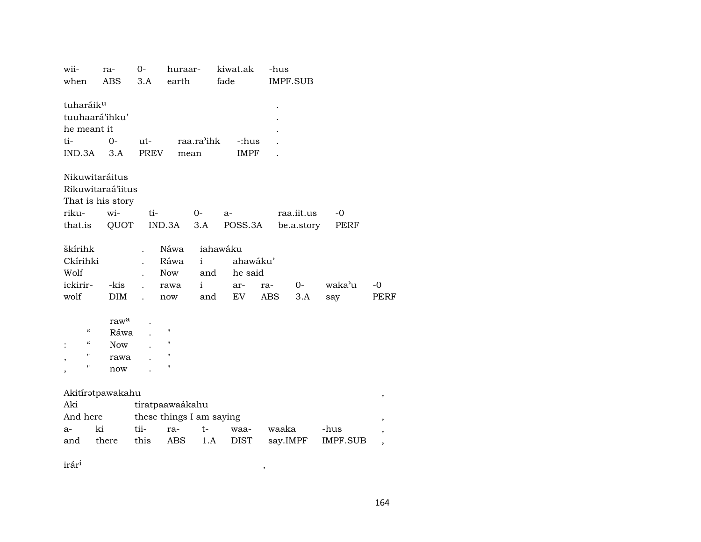| wii-                                   | ra-               | $0-$                     | huraar-            |              | kiwat.ak | -hus  |            |          |             |
|----------------------------------------|-------------------|--------------------------|--------------------|--------------|----------|-------|------------|----------|-------------|
| when                                   | <b>ABS</b>        | 3.A                      | earth              |              | fade     |       | IMPF.SUB   |          |             |
| tuharáiku                              | tuuhaará'ihku'    |                          |                    |              |          |       |            |          |             |
| he meant it                            |                   |                          |                    |              |          |       |            |          |             |
| ti-                                    | 0-                | ut-                      |                    | raa.ra'ihk   | -:hus    |       |            |          |             |
| IND.3A                                 | 3.A               | PREV                     |                    | mean         | IMPF     |       |            |          |             |
|                                        | Nikuwitaráitus    |                          |                    |              |          |       |            |          |             |
|                                        | Rikuwitaraá'iitus |                          |                    |              |          |       |            |          |             |
|                                        | That is his story |                          |                    |              |          |       |            |          |             |
| riku-                                  | wi-               | ti-                      |                    | 0-           | a-       |       | raa.iit.us | $-0$     |             |
| that.is                                | QUOT              |                          | IND.3A             | 3.A          | POSS.3A  |       | be.a.story | PERF     |             |
|                                        |                   |                          |                    |              |          |       |            |          |             |
| škírihk                                |                   |                          | Náwa               |              | iahawáku |       |            |          |             |
| Ckírihki                               |                   |                          | Ráwa               | i            | ahawáku' |       |            |          |             |
| Wolf                                   |                   |                          | <b>Now</b>         | and          | he said  |       |            |          |             |
| ickirir-                               | -kis              |                          | rawa               | $\mathbf{i}$ | ar-      | ra-   | $O -$      | waka'u   | $-0$        |
| wolf                                   | <b>DIM</b>        |                          | now                | and          | EV       | ABS   | 3.A        | say      | <b>PERF</b> |
|                                        | raw <sup>a</sup>  |                          |                    |              |          |       |            |          |             |
| $\boldsymbol{\zeta}\boldsymbol{\zeta}$ | Ráwa              |                          | $^{\prime\prime}$  |              |          |       |            |          |             |
| $\boldsymbol{\zeta}\boldsymbol{\zeta}$ | <b>Now</b>        |                          | $\pmb{\mathsf{H}}$ |              |          |       |            |          |             |
| "                                      |                   |                          | $^{\prime\prime}$  |              |          |       |            |          |             |
| ,<br>П                                 | rawa              |                          | $^{\prime}$        |              |          |       |            |          |             |
|                                        | now               |                          |                    |              |          |       |            |          |             |
|                                        | Akitíratpawakahu  |                          |                    |              |          |       |            |          | ,           |
| Aki                                    |                   | tiratpaawaákahu          |                    |              |          |       |            |          |             |
| And here                               |                   | these things I am saying |                    |              |          |       |            |          | ,           |
| a-                                     | ki                | tii-                     | ra-                | $t-$         | waa-     | waaka |            | -hus     | ,           |
| and                                    | there             | this                     | ABS                | 1.A          | DIST     |       | say.IMPF   | IMPF.SUB | ,           |
|                                        |                   |                          |                    |              |          |       |            |          |             |

 $\hat{\mathbf{r}}$ ár $\hat{\mathbf{r}}$ <sup>1</sup>,  $\hat{\mathbf{r}}$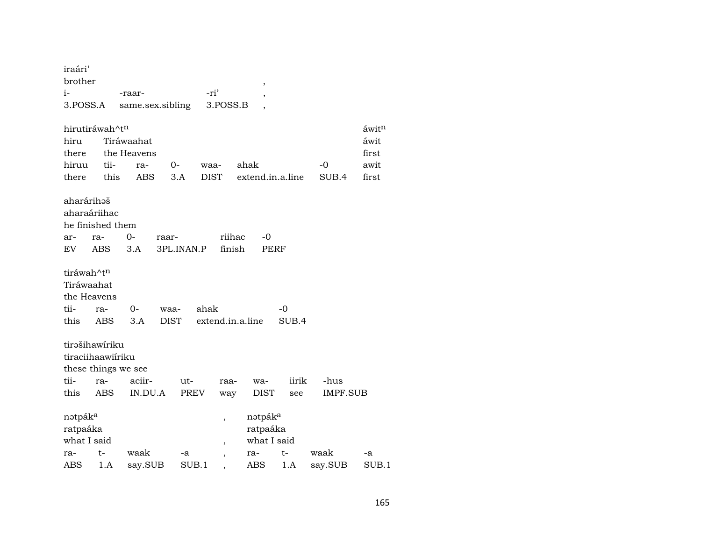| iraári'<br>brother  |            |                  |             |            |                          |        | $\,$                |       |         |          |       |
|---------------------|------------|------------------|-------------|------------|--------------------------|--------|---------------------|-------|---------|----------|-------|
| i-                  |            | -raar-           |             |            | -ri'                     |        | ,                   |       |         |          |       |
| 3.POSS.A            |            | same.sex.sibling |             |            | 3.POSS.B                 |        |                     |       |         |          |       |
| hirutiráwah^tn      |            |                  |             |            |                          |        |                     |       |         |          | áwitn |
| hiru                |            | Tiráwaahat       |             |            |                          |        |                     |       |         |          | áwit  |
| there               |            | the Heavens      |             |            |                          |        |                     |       |         |          | first |
| hiruu               | tii-       | ra-              | $O -$       |            | waa-                     |        | ahak                |       | $-0$    |          | awit  |
| there               | this       | ABS              | 3.A         |            | <b>DIST</b>              |        | extend.in.a.line    |       | SUB.4   |          | first |
| aharárihəš          |            |                  |             |            |                          |        |                     |       |         |          |       |
| aharaáriihac        |            |                  |             |            |                          |        |                     |       |         |          |       |
| he finished them    |            |                  |             |            |                          |        |                     |       |         |          |       |
| ar-                 | ra-        | $O -$            | raar-       |            |                          | riihac | -0                  |       |         |          |       |
| EV                  | <b>ABS</b> | 3.A              |             | 3PL.INAN.P |                          | finish | PERF                |       |         |          |       |
|                     |            |                  |             |            |                          |        |                     |       |         |          |       |
| tiráwah^tn          |            |                  |             |            |                          |        |                     |       |         |          |       |
| Tiráwaahat          |            |                  |             |            |                          |        |                     |       |         |          |       |
| the Heavens         |            |                  |             |            |                          |        |                     |       |         |          |       |
| tii-                | ra-        | $0-$             | waa-        |            | ahak                     |        |                     | -0    |         |          |       |
| this                | ABS        | 3.A              | <b>DIST</b> |            | extend.in.a.line         |        |                     | SUB.4 |         |          |       |
|                     |            |                  |             |            |                          |        |                     |       |         |          |       |
| tirəšihawiriku      |            |                  |             |            |                          |        |                     |       |         |          |       |
| tiraciihaawiiriku   |            |                  |             |            |                          |        |                     |       |         |          |       |
| these things we see |            |                  |             |            |                          |        |                     |       |         |          |       |
| tii-                | ra-        | aciir-           |             | ut-        | raa-                     |        | wa-                 | iirik | -hus    |          |       |
| this                | ABS        | IN.DU.A          |             | PREV       | way                      |        | DIST                | see   |         | IMPF.SUB |       |
| nətpák <sup>a</sup> |            |                  |             |            | ,                        |        | nətpák <sup>a</sup> |       |         |          |       |
| ratpaáka            |            |                  |             |            |                          |        | ratpaáka            |       |         |          |       |
| what I said         |            |                  |             |            | $\overline{\phantom{a}}$ |        | what I said         |       |         |          |       |
| ra-                 | t-         | waak             |             | -a         |                          |        | ra-                 | t-    | waak    |          | -a    |
| ABS                 | 1.A        | say.SUB          |             | SUB.1      | $\overline{\phantom{a}}$ |        | ABS                 | 1.A   | say.SUB |          | SUB.1 |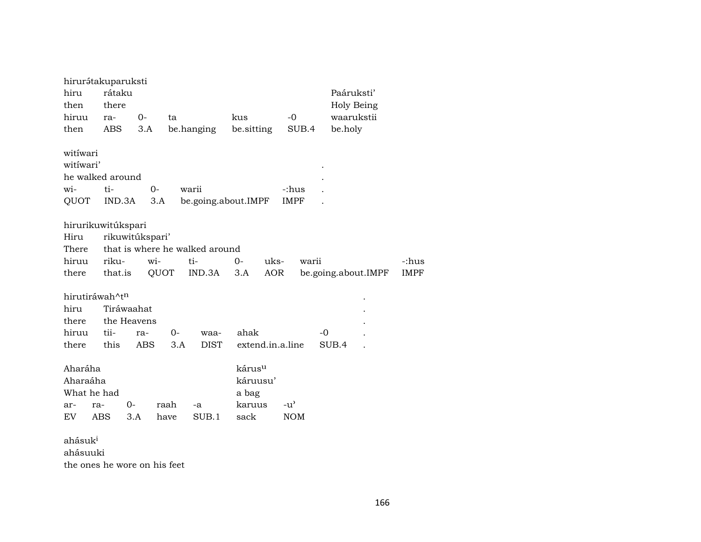| hirurátakuparuksti    |                              |            |      |                                |                    |      |                             |                     |             |
|-----------------------|------------------------------|------------|------|--------------------------------|--------------------|------|-----------------------------|---------------------|-------------|
| hiru                  | rátaku                       |            |      |                                |                    |      |                             | Paáruksti'          |             |
| then                  | there                        |            |      |                                |                    |      |                             | Holy Being          |             |
| hiruu                 | ra-                          | $0-$       | ta   |                                | kus                |      | $-0$                        | waarukstii          |             |
| then                  | ABS                          | 3.A        |      | be.hanging                     | be.sitting         |      | SUB.4                       | be.holy             |             |
|                       |                              |            |      |                                |                    |      |                             |                     |             |
| witíwari<br>witiwari' |                              |            |      |                                |                    |      |                             |                     |             |
|                       |                              |            |      |                                |                    |      |                             |                     |             |
| he walked around      |                              |            |      |                                |                    |      |                             |                     |             |
| wi-                   | ti-                          | $0-$       |      | warii                          |                    |      | -:hus                       |                     |             |
| QUOT                  | IND.3A                       | 3.A        |      | be.going.about.IMPF            |                    |      | IMPF                        |                     |             |
| hirurikuwitúkspari    |                              |            |      |                                |                    |      |                             |                     |             |
| Hiru                  | rikuwitúkspari'              |            |      |                                |                    |      |                             |                     |             |
| There                 |                              |            |      | that is where he walked around |                    |      |                             |                     |             |
| hiruu                 | riku-                        | wi-        |      | ti-                            | $0 -$              | uks- | warii                       |                     | -:hus       |
| there                 | that.is                      |            | QUOT | IND.3A                         | 3.A                | AOR  |                             | be.going.about.IMPF | <b>IMPF</b> |
|                       |                              |            |      |                                |                    |      |                             |                     |             |
| hirutiráwah^tn        |                              |            |      |                                |                    |      |                             |                     |             |
| hiru                  | Tiráwaahat                   |            |      |                                |                    |      |                             |                     |             |
| there                 | the Heavens                  |            |      |                                |                    |      |                             |                     |             |
| hiruu                 | tii-                         | ra-        | $0-$ | waa-                           | ahak               |      |                             | $-0$                |             |
| there                 | this                         | <b>ABS</b> | 3.A  | <b>DIST</b>                    | extend.in.a.line   |      |                             | SUB.4               |             |
| Aharáha               |                              |            |      |                                | kárus <sup>u</sup> |      |                             |                     |             |
| Aharaáha              |                              |            |      |                                | káruusu'           |      |                             |                     |             |
|                       |                              |            |      |                                |                    |      |                             |                     |             |
| What he had           |                              |            |      |                                | a bag              |      |                             |                     |             |
| ar-<br>ra-            | $0-$                         |            | raah | -a<br>SUB.1                    | karuus             |      | $-u^{\prime}$<br><b>NOM</b> |                     |             |
| EV                    | <b>ABS</b>                   | 3.A        | have |                                | sack               |      |                             |                     |             |
| ahásuk <sup>i</sup>   |                              |            |      |                                |                    |      |                             |                     |             |
| ahásuuki              |                              |            |      |                                |                    |      |                             |                     |             |
|                       | the ones he wore on his feet |            |      |                                |                    |      |                             |                     |             |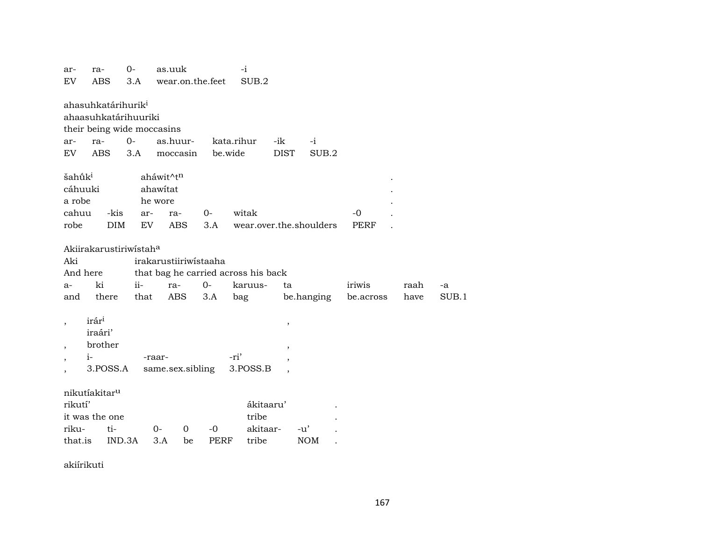| ar-<br>EV                                                | ra-<br>ABS                                         | $0-$<br>3.A                                                        | as.uuk<br>wear.on.the.feet                                                 |                     | -i<br>SUB.2                             |                                  |                         |                     |              |             |
|----------------------------------------------------------|----------------------------------------------------|--------------------------------------------------------------------|----------------------------------------------------------------------------|---------------------|-----------------------------------------|----------------------------------|-------------------------|---------------------|--------------|-------------|
| ar-<br>EV                                                | ahasuhkatárihurik <sup>i</sup><br>ra-<br>ABS       | ahaasuhkatárihuuriki<br>their being wide moccasins<br>$O -$<br>3.A | as.huur-<br>moccasin                                                       | be.wide             | kata.rihur                              | -ik<br><b>DIST</b>               | $-i$<br>SUB.2           |                     |              |             |
| šahūk <sup>i</sup><br>cáhuuki<br>a robe<br>cahuu<br>robe | -kis<br><b>DIM</b>                                 | ar-<br>EV                                                          | aháwit^tn<br>ahawitat<br>he wore<br>ra-<br><b>ABS</b>                      | $0-$<br>3.A         | witak                                   |                                  | wear.over.the.shoulders | $-0$<br><b>PERF</b> |              |             |
| Aki<br>And here<br>a-<br>and                             | ki<br>there                                        | Akiirakarustiriwistaha<br>$ii-$<br>that                            | irakarustiiriwistaaha<br>that bag he carried across his back<br>ra-<br>ABS | $0-$<br>3.A         | karuus-<br>bag                          | ta                               | be.hanging              | iriwis<br>be.across | raah<br>have | -a<br>SUB.1 |
| $\overline{\phantom{a}}$                                 | irári<br>iraári'<br>brother<br>$i-$<br>3.POSS.A    |                                                                    | -raar-<br>same.sex.sibling                                                 |                     | -ri'<br>3.POSS.B                        | $\,$<br>$\overline{\phantom{a}}$ |                         |                     |              |             |
| rikutí'<br>riku-<br>that.is                              | nikutíakitar <sup>u</sup><br>it was the one<br>ti- | IND.3A                                                             | $0-$<br>$\mathbf 0$<br>3.A<br>be                                           | $-0$<br><b>PERF</b> | ákitaaru'<br>tribe<br>akitaar-<br>tribe |                                  | $-u'$<br><b>NOM</b>     |                     |              |             |

akiírikuti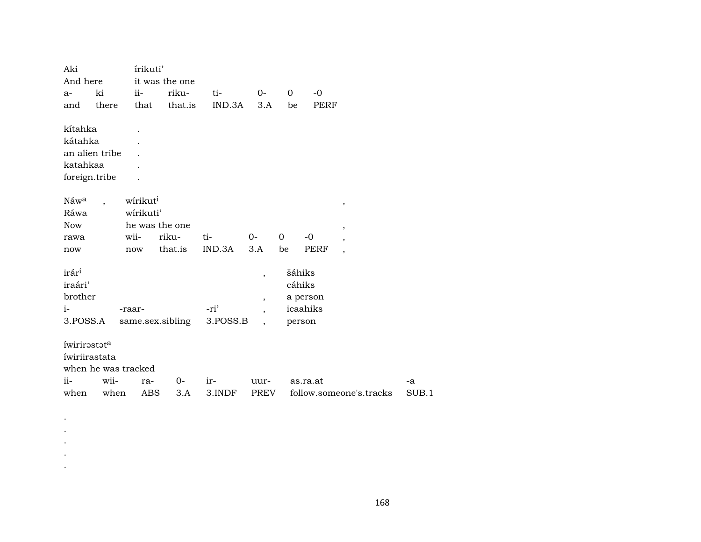| And here<br>it was the one<br>$ii -$<br>riku-<br>ki<br>$\mathbf 0$<br>$-0$<br>ti-<br>$0-$<br>a-<br>that.is<br>IND.3A<br>there<br>that<br>3.A<br>PERF<br>and<br>be |       |
|-------------------------------------------------------------------------------------------------------------------------------------------------------------------|-------|
|                                                                                                                                                                   |       |
|                                                                                                                                                                   |       |
|                                                                                                                                                                   |       |
|                                                                                                                                                                   |       |
| kítahka                                                                                                                                                           |       |
| kátahka                                                                                                                                                           |       |
| an alien tribe                                                                                                                                                    |       |
| katahkaa                                                                                                                                                          |       |
| foreign.tribe                                                                                                                                                     |       |
|                                                                                                                                                                   |       |
| Náw <sup>a</sup><br>wirikut <sup>i</sup><br>$\, ,$                                                                                                                |       |
| Ráwa<br>wirikuti'                                                                                                                                                 |       |
| Now<br>he was the one<br>$\overline{\phantom{a}}$                                                                                                                 |       |
| riku-<br>0<br>wii-<br>ti-<br>$O -$<br>$-0$<br>rawa<br>$\overline{ }$                                                                                              |       |
| that.is<br>IND.3A<br>3.A<br>be<br>PERF<br>now<br>now<br>$\overline{\phantom{a}}$                                                                                  |       |
|                                                                                                                                                                   |       |
| irár <sup>i</sup><br>šáhiks<br>$\overline{ }$                                                                                                                     |       |
| iraári'<br>cáhiks                                                                                                                                                 |       |
| brother<br>a person<br>$\overline{ }$                                                                                                                             |       |
| -ri'<br>icaahiks<br>$i-$<br>-raar-                                                                                                                                |       |
| 3.POSS.A<br>3.POSS.B<br>same.sex.sibling<br>person<br>$\overline{\phantom{a}}$                                                                                    |       |
|                                                                                                                                                                   |       |
| íwirirastata                                                                                                                                                      |       |
| íwiriirastata                                                                                                                                                     |       |
| when he was tracked                                                                                                                                               |       |
| $ii -$<br>wii-<br>0-<br>ir-<br>as.ra.at<br>ra-<br>uur-<br>-a                                                                                                      |       |
| follow.someone's.tracks<br>when<br>ABS<br>3.A<br>3.INDF<br>PREV<br>when                                                                                           | SUB.1 |

. . . . .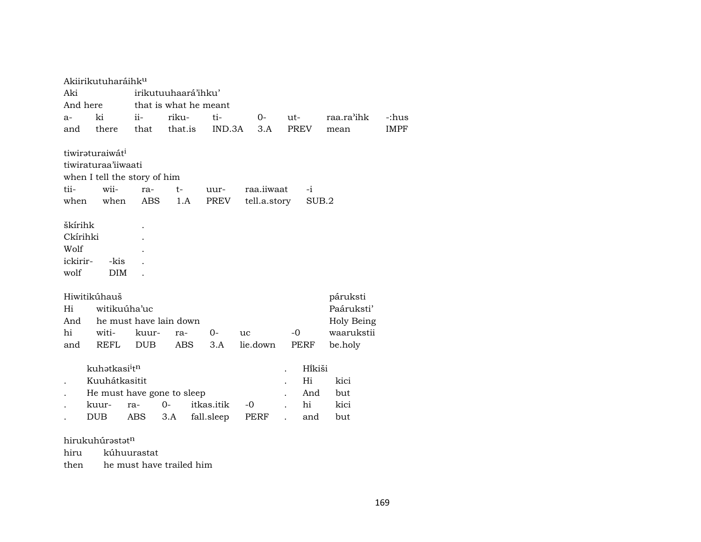|          | Akiirikutuharáihk <sup>u</sup>        |              |                            |            |              |             |            |             |
|----------|---------------------------------------|--------------|----------------------------|------------|--------------|-------------|------------|-------------|
| Aki      |                                       |              | irikutuuhaará'ihku'        |            |              |             |            |             |
| And here |                                       |              | that is what he meant      |            |              |             |            |             |
| $a-$     | ki                                    | ii-          | riku-                      | ti-        | $0-$         | ut-         | raa.ra'ihk | -:hus       |
| and      | there                                 | that         | that.is                    | IND.3A     | 3.A          | <b>PREV</b> | mean       | <b>IMPF</b> |
|          |                                       |              |                            |            |              |             |            |             |
|          | tiwiraturaiwát <sup>i</sup>           |              |                            |            |              |             |            |             |
|          | tiwiraturaa'iiwaati                   |              |                            |            |              |             |            |             |
|          | when I tell the story of him          |              |                            |            |              |             |            |             |
| tii-     | wii-                                  | ra-          | t-                         | uur-       | raa.iiwaat   | $-i$        |            |             |
| when     | when                                  | ABS.         | 1.A                        | PREV       | tell.a.story | SUB.2       |            |             |
|          |                                       |              |                            |            |              |             |            |             |
| škírihk  |                                       |              |                            |            |              |             |            |             |
| Ckírihki |                                       |              |                            |            |              |             |            |             |
| Wolf     |                                       |              |                            |            |              |             |            |             |
| ickirir- | -kis                                  |              |                            |            |              |             |            |             |
| wolf     | <b>DIM</b>                            |              |                            |            |              |             |            |             |
|          | Hiwitikúhauš                          |              |                            |            |              |             | páruksti   |             |
| Hi       |                                       | witikuúha'uc |                            |            |              |             | Paáruksti' |             |
| And      |                                       |              | he must have lain down     |            |              |             | Holy Being |             |
| hi       | witi-                                 | kuur-        | ra-                        | $0-$       | uc           | $-0$        | waarukstii |             |
| and      | <b>REFL</b>                           | <b>DUB</b>   | <b>ABS</b>                 | 3.A        | lie.down     | PERF        | be.holy    |             |
|          |                                       |              |                            |            |              |             |            |             |
|          | kuhatkasi <sup>i</sup> t <sup>n</sup> |              |                            |            |              | Hikiši      |            |             |
|          | Kuuhátkasitit                         |              |                            |            |              | Hi          | kici       |             |
|          |                                       |              | He must have gone to sleep |            |              | And         | but        |             |
|          | kuur-                                 | ra-          | $0-$                       | itkas.itik | -0           | hi          | kici       |             |
|          | DUB                                   | ABS          | 3.A                        | fall.sleep | PERF         | and         | but        |             |
|          |                                       |              |                            |            |              |             |            |             |

## hirukuhúrastatn

hiru kúhuurastat

then he must have trailed him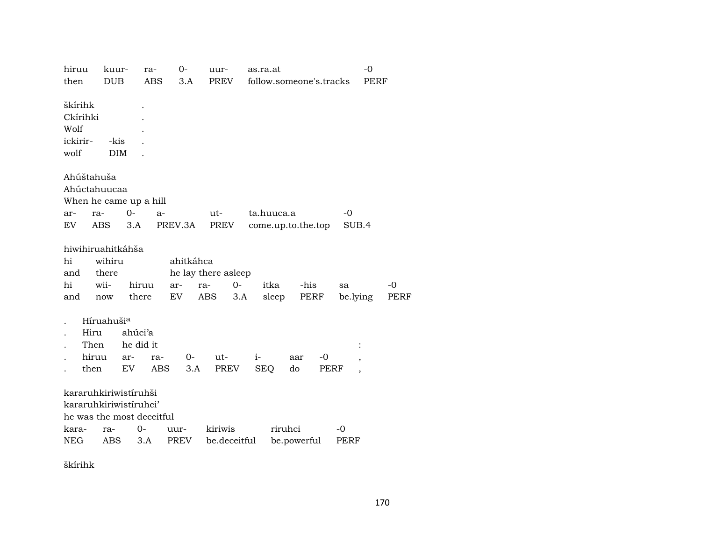| hiruu      | kuur-                     |            | ra-                  | $0-$       | uur-                | as.ra.at   |            |                    |                         | $-0$     |             |
|------------|---------------------------|------------|----------------------|------------|---------------------|------------|------------|--------------------|-------------------------|----------|-------------|
| then       | <b>DUB</b>                |            | $\operatorname{ABS}$ | 3.A        | PREV                |            |            |                    | follow.someone's.tracks | PERF     |             |
| škírihk    |                           |            |                      |            |                     |            |            |                    |                         |          |             |
| Ckírihki   |                           |            |                      |            |                     |            |            |                    |                         |          |             |
| Wolf       |                           |            |                      |            |                     |            |            |                    |                         |          |             |
| ickirir-   | -kis                      |            |                      |            |                     |            |            |                    |                         |          |             |
| wolf       |                           | <b>DIM</b> |                      |            |                     |            |            |                    |                         |          |             |
|            |                           |            |                      |            |                     |            |            |                    |                         |          |             |
|            | Ahúštahuša                |            |                      |            |                     |            |            |                    |                         |          |             |
|            | Ahúctahuucaa              |            |                      |            |                     |            |            |                    |                         |          |             |
|            | When he came up a hill    |            |                      |            |                     |            |            |                    |                         |          |             |
| ar-        | ra-                       | $0-$       | $a-$                 |            | ut-                 |            | ta.huuca.a |                    | $-0$                    |          |             |
| EV.        | ABS.                      | 3.A        |                      | PREV.3A    | PREV                |            |            | come.up.to.the.top |                         | SUB.4    |             |
|            |                           |            |                      |            |                     |            |            |                    |                         |          |             |
|            | hiwihiruahitkáhša         |            |                      |            |                     |            |            |                    |                         |          |             |
| hi         | wihiru                    |            |                      | ahitkáhca  |                     |            |            |                    |                         |          |             |
| and        | there                     |            |                      |            | he lay there asleep |            |            |                    |                         |          |             |
| hi         | wii-                      | hiruu      |                      | ar-<br>ra- | $O -$               |            | itka       | -his               | sa                      |          | -0          |
| and        | now                       | there      |                      | EV.        | ABS                 | 3.A        | sleep      | PERF               |                         | be.lying | <b>PERF</b> |
|            |                           |            |                      |            |                     |            |            |                    |                         |          |             |
|            | Híruahuši <sup>a</sup>    |            |                      |            |                     |            |            |                    |                         |          |             |
|            | Hiru                      | ahúci'a    |                      |            |                     |            |            |                    |                         |          |             |
|            | Then                      | he did it  |                      |            |                     |            |            |                    |                         |          |             |
|            | hiruu                     | ar-        | ra-                  | $O -$      | ut-                 | $i-$       |            | aar                | $-0$                    |          |             |
|            | then                      | EV         | ABS                  | 3.A        | PREV                | <b>SEQ</b> |            | do                 | PERF                    |          |             |
|            |                           |            |                      |            |                     |            |            |                    |                         |          |             |
|            | kararuhkiriwistíruhši     |            |                      |            |                     |            |            |                    |                         |          |             |
|            | kararuhkiriwistíruhci'    |            |                      |            |                     |            |            |                    |                         |          |             |
|            | he was the most deceitful |            |                      |            |                     |            |            |                    |                         |          |             |
| kara-      | ra-                       | 0-         |                      | uur-       | kiriwis             |            | riruhci    |                    | -0                      |          |             |
| <b>NEG</b> | ABS                       |            | 3.A                  | PREV       | be.deceitful        |            |            | be.powerful        | PERF                    |          |             |
|            |                           |            |                      |            |                     |            |            |                    |                         |          |             |

škírihk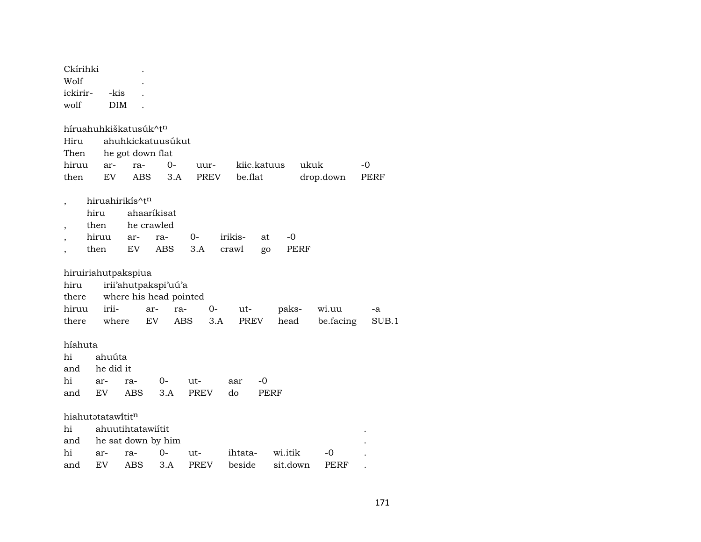| Ckírihki<br>Wolf  |            |                                   |      |             |               |             |           |       |
|-------------------|------------|-----------------------------------|------|-------------|---------------|-------------|-----------|-------|
| ickirir-          | -kis       |                                   |      |             |               |             |           |       |
| wolf              | <b>DIM</b> |                                   |      |             |               |             |           |       |
|                   |            |                                   |      |             |               |             |           |       |
|                   |            | híruahuhkiškatusúk^t <sup>n</sup> |      |             |               |             |           |       |
| Hiru              |            | ahuhkickatuusúkut                 |      |             |               |             |           |       |
| Then              |            | he got down flat                  |      |             |               |             |           |       |
| hiruu             | ar-        | ra-                               | $0-$ | uur-        | kiic.katuus   |             | ukuk      | $-0$  |
| then              | EV         | <b>ABS</b>                        | 3.A  | PREV        | be.flat       |             | drop.down | PERF  |
|                   |            |                                   |      |             |               |             |           |       |
|                   |            | hiruahirikís^t <sup>n</sup>       |      |             |               |             |           |       |
|                   | hiru       | ahaaríkisat                       |      |             |               |             |           |       |
| $\overline{ }$    | then       | he crawled                        |      |             |               |             |           |       |
|                   | hiruu      | ar-                               | ra-  | $0-$        | irikis-<br>at | -0          |           |       |
|                   | then       | EV                                | ABS  | 3.A         | crawl<br>go   | PERF        |           |       |
|                   |            |                                   |      |             |               |             |           |       |
|                   |            | hiruiriahutpakspiua               |      |             |               |             |           |       |
| hiru              |            | irii'ahutpakspi'uú'a              |      |             |               |             |           |       |
| there             |            | where his head pointed            |      |             |               |             |           |       |
| hiruu             | irii-      | ar-                               | ra-  | 0-          | ut-           | paks-       | wi.uu     | -a    |
| there             | where      | EV.                               | ABS  | 3.A         | PREV          | head        | be.facing | SUB.1 |
|                   |            |                                   |      |             |               |             |           |       |
| híahuta           |            |                                   |      |             |               |             |           |       |
| hi                | ahuúta     |                                   |      |             |               |             |           |       |
| and               | he did it  |                                   |      |             |               |             |           |       |
| hi                | ar-        | ra-                               | 0-   | ut-         | $-0$<br>aar   |             |           |       |
| and               | EV         | <b>ABS</b>                        | 3.A  | <b>PREV</b> | do            | <b>PERF</b> |           |       |
|                   |            |                                   |      |             |               |             |           |       |
| hiahutatatawititn |            |                                   |      |             |               |             |           |       |
| hi                |            | ahuutihtatawiitit                 |      |             |               |             |           |       |
| and               |            | he sat down by him                |      |             |               |             |           |       |
| hi                | ar-        | ra-                               | $0-$ | ut-         | ihtata-       | wi.itik     | $-0$      |       |
| and               | EV         | ABS                               | 3.A  | <b>PREV</b> | beside        | sit.down    | PERF      |       |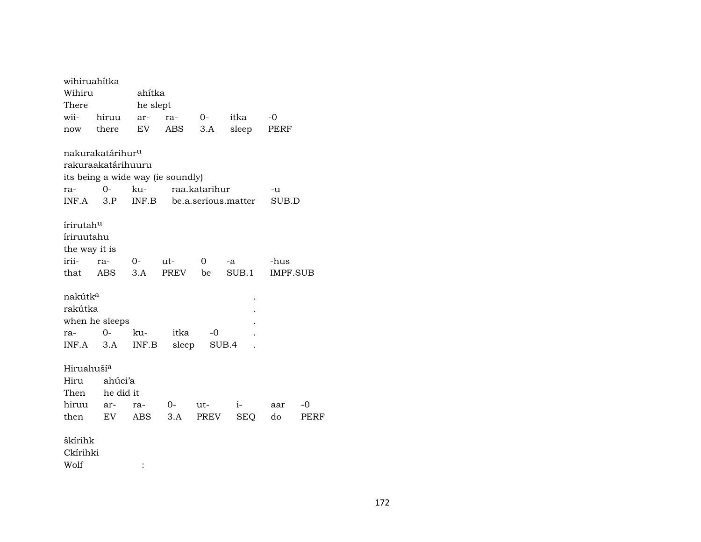| wihiruahítka           |                |                                                                                                    |                                                 |                                                                   |                                    |                                                                               |
|------------------------|----------------|----------------------------------------------------------------------------------------------------|-------------------------------------------------|-------------------------------------------------------------------|------------------------------------|-------------------------------------------------------------------------------|
| Wihiru                 |                |                                                                                                    |                                                 |                                                                   |                                    |                                                                               |
|                        |                |                                                                                                    |                                                 |                                                                   |                                    |                                                                               |
| hiruu                  |                | ra-                                                                                                | $O-$                                            | itka                                                              | $-0$                               |                                                                               |
| there                  |                |                                                                                                    | 3.A                                             |                                                                   |                                    |                                                                               |
|                        |                |                                                                                                    |                                                 |                                                                   |                                    |                                                                               |
|                        |                |                                                                                                    |                                                 |                                                                   |                                    |                                                                               |
|                        |                |                                                                                                    |                                                 |                                                                   |                                    |                                                                               |
| $O -$                  |                |                                                                                                    |                                                 |                                                                   | -u                                 |                                                                               |
| 3.P                    |                |                                                                                                    |                                                 |                                                                   |                                    |                                                                               |
| írirutah <sup>u</sup>  |                |                                                                                                    |                                                 |                                                                   |                                    |                                                                               |
| íriruutahu             |                |                                                                                                    |                                                 |                                                                   |                                    |                                                                               |
| the way it is          |                |                                                                                                    |                                                 |                                                                   |                                    |                                                                               |
| ra-                    | $O-$           | ut-                                                                                                | 0                                               | -a                                                                | -hus                               |                                                                               |
| ABS                    | 3.A            |                                                                                                    | be                                              | SUB.1                                                             |                                    |                                                                               |
| nakútk <sup>a</sup>    |                |                                                                                                    |                                                 |                                                                   |                                    |                                                                               |
| rakútka                |                |                                                                                                    |                                                 |                                                                   |                                    |                                                                               |
|                        |                |                                                                                                    |                                                 |                                                                   |                                    |                                                                               |
| 0-                     | ku-            |                                                                                                    | -0                                              |                                                                   |                                    |                                                                               |
| 3.A                    |                |                                                                                                    |                                                 |                                                                   |                                    |                                                                               |
| Hiruahuší <sup>a</sup> |                |                                                                                                    |                                                 |                                                                   |                                    |                                                                               |
|                        |                |                                                                                                    |                                                 |                                                                   |                                    |                                                                               |
|                        |                |                                                                                                    |                                                 |                                                                   |                                    |                                                                               |
| ar-                    | ra-            | 0-                                                                                                 | ut-                                             | i- 1                                                              | aar                                | $-0$                                                                          |
|                        |                | 3.A                                                                                                |                                                 |                                                                   | do                                 | PERF                                                                          |
| škírihk                |                |                                                                                                    |                                                 |                                                                   |                                    |                                                                               |
| Ckírihki               |                |                                                                                                    |                                                 |                                                                   |                                    |                                                                               |
|                        | $\ddot{\cdot}$ |                                                                                                    |                                                 |                                                                   |                                    |                                                                               |
|                        |                | nakurakatárihur <sup>u</sup><br>rakuraakatárihuuru<br>when he sleeps<br>ahúci'a<br>he did it<br>EV | ahítka<br>he slept<br>ar-<br>EV<br>INF.B<br>ABS | ABS<br>its being a wide way (ie soundly)<br>PREV<br>itka<br>sleep | ku- raa.katarihur<br>SUB.4<br>PREV | sleep<br>PERF<br>INF.B be.a.serious.matter<br>SUB.D<br><b>IMPF.SUB</b><br>SEQ |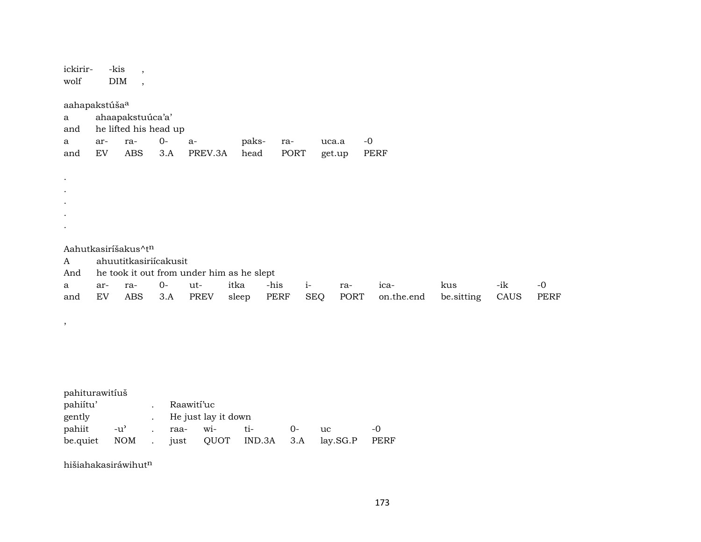| ickirir-<br>wolf                |                                                                | -kis<br>$\overline{\phantom{a}}$<br><b>DIM</b><br>$\overline{\phantom{a}}$ |                      |                                           |               |              |             |                         |                    |                   |             |              |
|---------------------------------|----------------------------------------------------------------|----------------------------------------------------------------------------|----------------------|-------------------------------------------|---------------|--------------|-------------|-------------------------|--------------------|-------------------|-------------|--------------|
| $\mathbf{a}$<br>and<br>a<br>and | aahapakstúša <sup>a</sup><br>ar-<br>$\mathop{\rm EV}\nolimits$ | ahaapakstuúca'a'<br>he lifted his head up<br>ra-<br><b>ABS</b>             | $0-$<br>3.A          | $a-$<br>PREV.3A                           | paks-<br>head | ra-<br>PORT  |             | $-0$<br>uca.a<br>get.up | PERF               |                   |             |              |
|                                 |                                                                |                                                                            |                      |                                           |               |              |             |                         |                    |                   |             |              |
| A<br>And                        |                                                                | Aahutkasiríšakus^tn<br>ahuutitkasiriícakusit                               |                      | he took it out from under him as he slept |               |              |             |                         |                    |                   |             |              |
| a<br>and                        | ar-<br>${\rm EV}$                                              | ra-<br>ABS                                                                 | $O -$<br>3.A         | ut-<br><b>PREV</b>                        | itka<br>sleep | -his<br>PERF | $i-$<br>SEQ | ra-<br>PORT             | ica-<br>on.the.end | kus<br>be.sitting | -ik<br>CAUS | $-0$<br>PERF |
| $\, ,$                          |                                                                |                                                                            |                      |                                           |               |              |             |                         |                    |                   |             |              |
|                                 |                                                                |                                                                            |                      |                                           |               |              |             |                         |                    |                   |             |              |
| pahiítu'<br>$\sim$ 11           | pahiturawitíuš                                                 |                                                                            | $\ddot{\phantom{0}}$ | Raawití'uc                                |               |              |             |                         |                    |                   |             |              |

gently . He just lay it down pahiit  $-u^3$  . raawiti- $O$  $uc$  $\mbox{-}0$ be.quiet NOM . just QUOT IND.3A 3.A lay.SG.P PERF

hišiahakasiráwihut<sup>n</sup>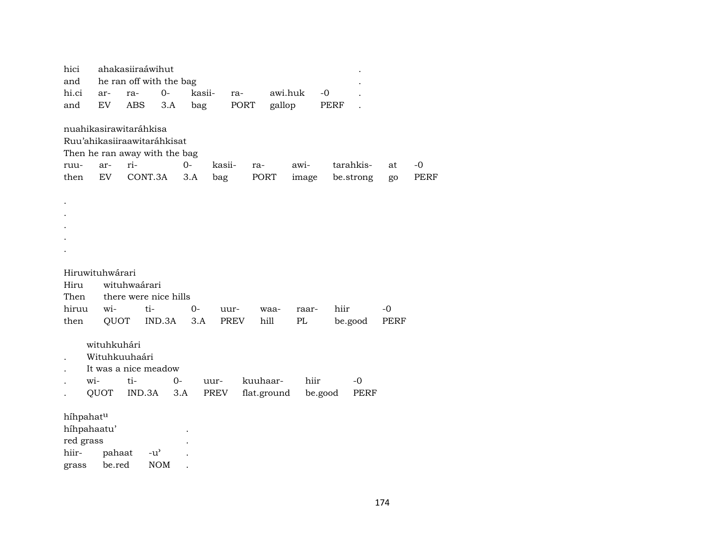| hici<br>and<br>hi.ci<br>and                                                                            | ar-<br>EV                            | ra-<br><b>ABS</b> | ahakasiiraáwihut<br>he ran off with the bag<br>$0-$<br>3.A | kasii-<br>bag |               | ra-<br>PORT | awi.huk<br>gallop       |               | $-0$<br>PERF |                        |          |              |
|--------------------------------------------------------------------------------------------------------|--------------------------------------|-------------------|------------------------------------------------------------|---------------|---------------|-------------|-------------------------|---------------|--------------|------------------------|----------|--------------|
| nuahikasirawitaráhkisa<br>Ruu'ahikasiiraawitaráhkisat<br>Then he ran away with the bag<br>ruu-<br>then | ar-<br>EV                            | ri-<br>CONT.3A    |                                                            | $0 -$<br>3.A  | kasii-<br>bag |             | ra-<br>PORT             | awi-<br>image |              | tarahkis-<br>be.strong | at<br>go | $-0$<br>PERF |
|                                                                                                        |                                      |                   |                                                            |               |               |             |                         |               |              |                        |          |              |
| Hiruwituhwárari<br>Hiru                                                                                |                                      | wituhwaárari      |                                                            |               |               |             |                         |               |              |                        |          |              |
| Then<br>hiruu                                                                                          | wi-                                  |                   | there were nice hills<br>ti-                               | $O -$         | uur-          |             | waa-                    | raar-         | hiir         |                        | -0       |              |
| then                                                                                                   | QUOT                                 |                   | IND.3A                                                     | 3.A           |               | PREV        | hill                    | PL            |              | be.good                | PERF     |              |
| wi-                                                                                                    | wituhkuhári<br>Wituhkuuhaári<br>QUOT | ti-<br>IND.3A     | It was a nice meadow<br>$O -$                              | 3.A           | uur-<br>PREV  |             | kuuhaar-<br>flat.ground | hiir          | be.good      | -0<br>PERF             |          |              |
| híhpahatu                                                                                              |                                      |                   |                                                            |               |               |             |                         |               |              |                        |          |              |
| híhpahaatu'                                                                                            |                                      |                   |                                                            |               |               |             |                         |               |              |                        |          |              |
| red grass                                                                                              |                                      |                   |                                                            |               |               |             |                         |               |              |                        |          |              |
| hiir-                                                                                                  | pahaat                               |                   | $-u^{\prime}$                                              |               |               |             |                         |               |              |                        |          |              |
| grass                                                                                                  | be.red                               |                   | <b>NOM</b>                                                 |               |               |             |                         |               |              |                        |          |              |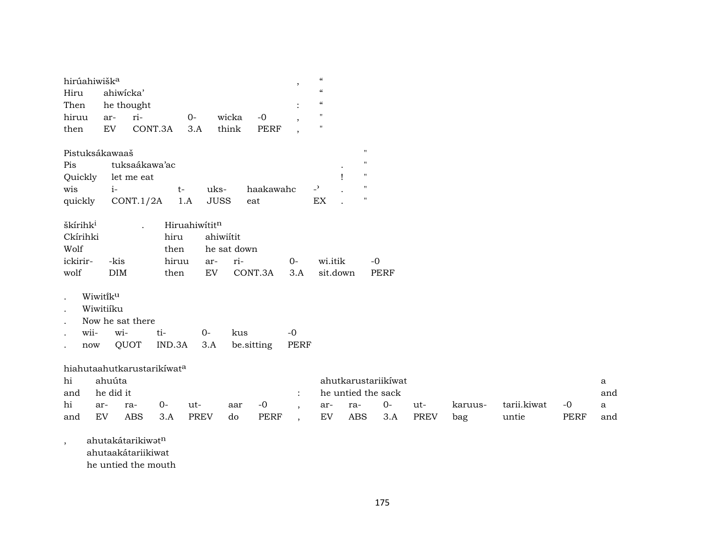| hirúahiwišk <sup>a</sup><br>Hiru<br>Then                     | ahiwicka'<br>he thought          |                                          |                                                |                                               |                            | $\cdot$                                                                | $\boldsymbol{\mathcal{C}}$<br>$\boldsymbol{\mathcal{C}}$<br>$\boldsymbol{\zeta}\boldsymbol{\zeta}$ |                   |                                                                            |                    |                |                      |                     |                                            |
|--------------------------------------------------------------|----------------------------------|------------------------------------------|------------------------------------------------|-----------------------------------------------|----------------------------|------------------------------------------------------------------------|----------------------------------------------------------------------------------------------------|-------------------|----------------------------------------------------------------------------|--------------------|----------------|----------------------|---------------------|--------------------------------------------|
| hiruu<br>then                                                | ar-<br>EV                        | ri-<br>CONT.3A                           | $0-$<br>3.A                                    | wicka<br>think                                | $-0$<br><b>PERF</b>        | ,<br>$\overline{\phantom{a}}$                                          | $\mathbf{H}$<br>$\pmb{\mathsf{H}}$                                                                 |                   |                                                                            |                    |                |                      |                     |                                            |
| Pistuksákawaaš<br>Pis<br>Quickly<br>wis<br>quickly           | $i-$                             | tuksaákawa'ac<br>let me eat<br>CONT.1/2A | $t-$<br>1.A                                    | uks-<br><b>JUSS</b>                           | haakawahc<br>eat           |                                                                        | $\overline{a}$<br>$\mathop{\rm EX}\nolimits$                                                       |                   | $\mathbf{H}$<br>$\mathbf{H}$<br>$\mathbf{H}$<br>$\mathbf H$<br>$^{\prime}$ |                    |                |                      |                     |                                            |
| škírihk <sup>i</sup><br>Ckírihki<br>Wolf<br>ickirir-<br>wolf | -kis<br><b>DIM</b>               | $\ddot{\phantom{a}}$                     | Hiruahiwititn<br>hiru<br>then<br>hiruu<br>then | ahiwiítit<br>he sat down<br>ar-<br>${\rm EV}$ | ri-<br>CONT.3A             | $0-$<br>3.A                                                            | wi.itik                                                                                            | sit.down          | $-0$<br><b>PERF</b>                                                        |                    |                |                      |                     |                                            |
| Wiwitiku<br>wii-<br>now                                      | Wiwitiíku<br>wi-                 | Now he sat there<br>ti-<br>QUOT          | IND.3A                                         | $0 -$<br>3.A                                  | kus<br>be.sitting          | $-0$<br><b>PERF</b>                                                    |                                                                                                    |                   |                                                                            |                    |                |                      |                     |                                            |
| hiahutaahutkarustarikiwata<br>hi<br>and<br>hi<br>and         | ahuúta<br>he did it<br>ar-<br>EV | $0-$<br>ra-<br><b>ABS</b>                | ut-<br>3.A                                     | <b>PREV</b><br>do                             | $-0$<br>aar<br><b>PERF</b> | $\ddot{\cdot}$<br>$\overline{\phantom{a}}$<br>$\overline{\phantom{a}}$ | ar-<br>EV                                                                                          | ra-<br><b>ABS</b> | ahutkarustariikíwat<br>he untied the sack<br>$0-$<br>3.A                   | ut-<br><b>PREV</b> | karuus-<br>bag | tarii.kiwat<br>untie | $-0$<br><b>PERF</b> | $\mathbf{a}$<br>and<br>$\mathbf{a}$<br>and |

, ahutakátarikiwət $^n$ 

ahutaakátariikiwat

he untied the mouth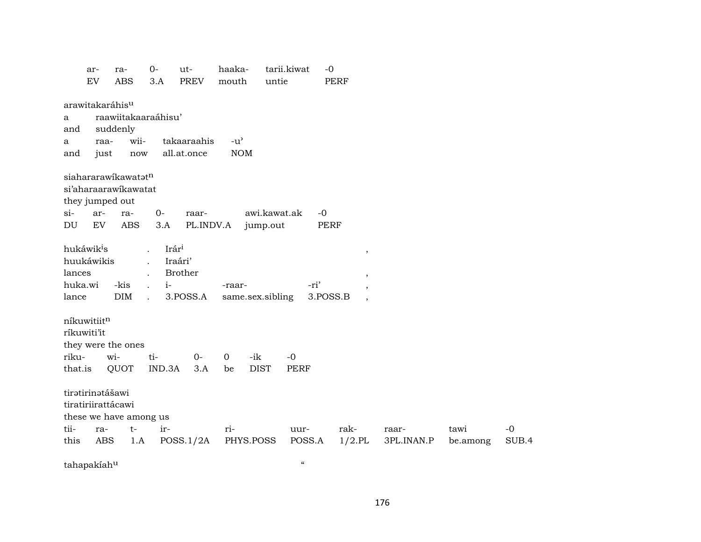|                      | ar-<br>EV                                       | ra-<br><b>ABS</b>                                                            | $0-$<br>3.A                                                                   | ut-<br><b>PREV</b>                    | haaka-<br>mouth             | untie                    | tarii.kiwat                          | $-0$<br><b>PERF</b> |                                             |            |          |       |
|----------------------|-------------------------------------------------|------------------------------------------------------------------------------|-------------------------------------------------------------------------------|---------------------------------------|-----------------------------|--------------------------|--------------------------------------|---------------------|---------------------------------------------|------------|----------|-------|
| a<br>and<br>a<br>and | arawitakaráhis <sup>u</sup><br>raa-<br>just     | raawiitakaaraáhisu'<br>suddenly<br>wii-<br>now                               |                                                                               | takaaraahis<br>all.at.once            | $-u^{\prime}$<br><b>NOM</b> |                          |                                      |                     |                                             |            |          |       |
| $si$ -<br>DU         | ar-<br>EV                                       | siahararawikawatatn<br>si'aharaarawikawatat<br>they jumped out<br>ra-<br>ABS | $O-$<br>3.A                                                                   | raar-<br>PL.INDV.A                    |                             | awi.kawat.ak<br>jump.out |                                      | $-0$<br><b>PERF</b> |                                             |            |          |       |
| lances<br>lance      | hukáwik <sup>i</sup> s<br>huukáwikis<br>huka.wi | -kis<br><b>DIM</b>                                                           | Irári<br>$\ddot{\phantom{a}}$<br>$\mathbf{r}$<br>$i-$<br>$\ddot{\phantom{a}}$ | Iraári'<br><b>Brother</b><br>3.POSS.A | -raar-<br>same.sex.sibling  |                          | -ri'                                 | 3.POSS.B            | $^\mathrm{,}$<br>$\, ,$<br>$\overline{ }$ , |            |          |       |
| riku-<br>that.is     | níkuwitiitn<br>ríkuwiti'it                      | they were the ones<br>wi-<br>QUOT                                            | ti-<br>IND.3A                                                                 | $0-$<br>3.A                           | $\overline{0}$<br>be        | -ik<br><b>DIST</b>       | $-0$<br><b>PERF</b>                  |                     |                                             |            |          |       |
| tii-                 | tiratirinatášawi<br>tiratiriirattácawi<br>ra-   | these we have among us<br>$t-$                                               | ir-                                                                           |                                       | ri-                         |                          | uur-                                 | rak-                |                                             | raar-      | tawi     | $-0$  |
| this                 | ABS<br>tahapakiahu                              | 1.A                                                                          |                                                                               | POSS.1/2A                             | PHYS.POSS                   |                          | POSS.A<br>$\boldsymbol{\mathcal{C}}$ | $1/2$ .PL           |                                             | 3PL.INAN.P | be.among | SUB.4 |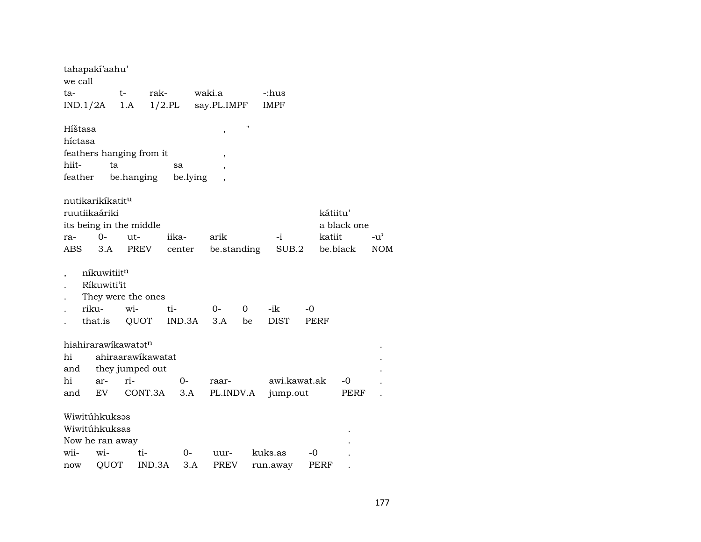| tahapaki'aahu'<br>we call       |                    |                 |                   |          |             |             |              |      |             |            |
|---------------------------------|--------------------|-----------------|-------------------|----------|-------------|-------------|--------------|------|-------------|------------|
| ta-                             |                    | t-              | rak-              |          | waki.a      |             | -:hus        |      |             |            |
| IND.1/2A                        |                    | 1.A             | $1/2$ .PL         |          | say.PL.IMPF |             | <b>IMPF</b>  |      |             |            |
|                                 |                    |                 |                   |          |             |             |              |      |             |            |
| Híštasa                         |                    |                 |                   |          | $\, ,$      | $^{\prime}$ |              |      |             |            |
| híctasa                         |                    |                 |                   |          |             |             |              |      |             |            |
| feathers hanging from it        |                    |                 |                   |          |             |             |              |      |             |            |
| hiit-                           | ta                 |                 |                   | sa       |             |             |              |      |             |            |
| feather                         |                    | be.hanging      |                   | be.lying |             |             |              |      |             |            |
|                                 |                    |                 |                   |          |             |             |              |      |             |            |
| nutikarikíkatit <sup>u</sup>    |                    |                 |                   |          |             |             |              |      |             |            |
| ruutiikaáriki                   |                    |                 |                   |          |             |             |              |      | kátiitu'    |            |
| its being in the middle         |                    |                 |                   |          |             |             |              |      | a black one |            |
| ra-                             | 0-                 | ut-             |                   | iika-    | arik        |             | -i-          |      | katiit      | $-u'$      |
| ABS                             | 3.A                | <b>PREV</b>     |                   | center   | be.standing |             | SUB.2        |      | be.black    | <b>NOM</b> |
|                                 | níkuwitiitn        |                 |                   |          |             |             |              |      |             |            |
|                                 | Ríkuwiti'it        |                 |                   |          |             |             |              |      |             |            |
|                                 | They were the ones |                 |                   |          |             |             |              |      |             |            |
|                                 | riku-              | wi-             | ti-               |          | $0 -$       | 0           | -ik          | $-0$ |             |            |
|                                 | that.is            | QUOT            |                   | IND.3A   | 3.A         | be          | <b>DIST</b>  | PERF |             |            |
|                                 |                    |                 |                   |          |             |             |              |      |             |            |
| hiahirarawikawatat <sup>n</sup> |                    |                 |                   |          |             |             |              |      |             |            |
| hi                              |                    |                 | ahiraarawikawatat |          |             |             |              |      |             |            |
| and                             |                    | they jumped out |                   |          |             |             |              |      |             |            |
| hi                              | ar-                | ri-             |                   | 0-       | raar-       |             | awi.kawat.ak |      | -0          |            |
| and                             | EV                 | CONT.3A         |                   | 3.A      | PL.INDV.A   |             | jump.out     |      | PERF        |            |
|                                 |                    |                 |                   |          |             |             |              |      |             |            |
| Wiwitúhkuksas                   |                    |                 |                   |          |             |             |              |      |             |            |
| Wiwitúhkuksas                   |                    |                 |                   |          |             |             |              |      |             |            |
| Now he ran away                 |                    |                 |                   |          |             |             |              |      |             |            |
| wii-                            | wi-                | ti-             |                   | $0-$     | uur-        |             | kuks.as      | $-0$ |             |            |
| now                             | QUOT               |                 | IND.3A            | 3.A      | <b>PREV</b> |             | run.away     | PERF |             |            |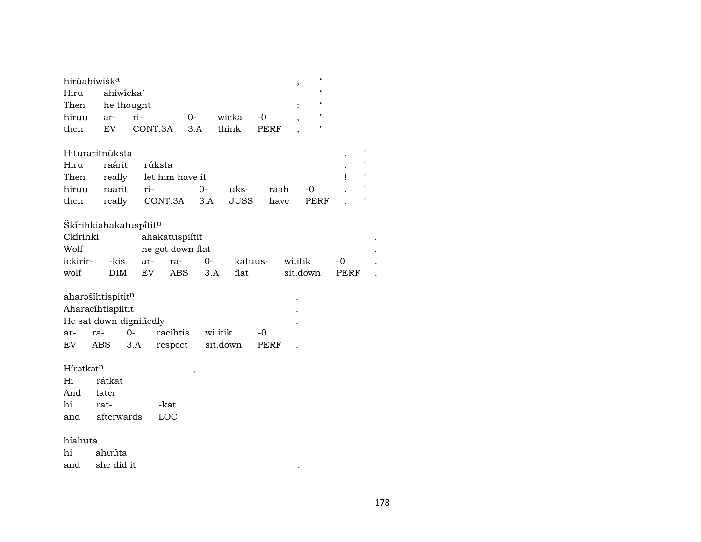| hirúahiwišk <sup>a</sup> |           |                   |      |          |      |  |   |  |  |  |  |  |
|--------------------------|-----------|-------------------|------|----------|------|--|---|--|--|--|--|--|
| Hiru                     | ahiwicka' |                   |      |          |      |  |   |  |  |  |  |  |
|                          |           | Then he thought   |      |          |      |  |   |  |  |  |  |  |
| hiruu                    | ar-       | $ri-$             | $O-$ | wicka -0 |      |  | " |  |  |  |  |  |
| then                     | EV        | CONT.3A 3.A think |      |          | PERF |  | п |  |  |  |  |  |

| Hituraritnúksta |                    |                                              |  |  |  |
|-----------------|--------------------|----------------------------------------------|--|--|--|
|                 | Hiru raárit rúksta |                                              |  |  |  |
|                 |                    | Then really let him have it                  |  |  |  |
|                 |                    | hiruu raarit ri-      0-  uks-  raah  -0   . |  |  |  |
|                 |                    | then really CONT.3A 3.A JUSS have PERF .     |  |  |  |

## Škírihkiahakatuspítit $^{\rm n}$

| Ckírihki |      |     | ahakatuspiitit   |          |         |          |       |  |
|----------|------|-----|------------------|----------|---------|----------|-------|--|
| Wolf     |      |     | he got down flat |          |         |          |       |  |
| ickirir- |      |     | -kis ar- ra-     | $\Omega$ | katuus- | wi.itik  | $-()$ |  |
| wolf     | DIM. | EV. | ABS              | 3.A      | flat    | sit.down | PERF  |  |

|     | aharašíhtispititn       |      |                  |         |       | ٠ |
|-----|-------------------------|------|------------------|---------|-------|---|
|     | Aharacíhtispiitit       |      |                  |         |       | ٠ |
|     | He sat down dignifiedly |      |                  |         |       | ٠ |
| ar- | ra-                     | $O-$ | racihtis         | wi.itik | $-()$ |   |
| EV  | ABS                     | 3.A  | respect sit.down |         | PERF  |   |

Hírətkət<sup>n</sup> , ,<br>Hi rátkat rátkat And later<br>hi ratrat- -kat<br>afterwards LOC and afterwards

## híahuta

hi ahuúta and she did it :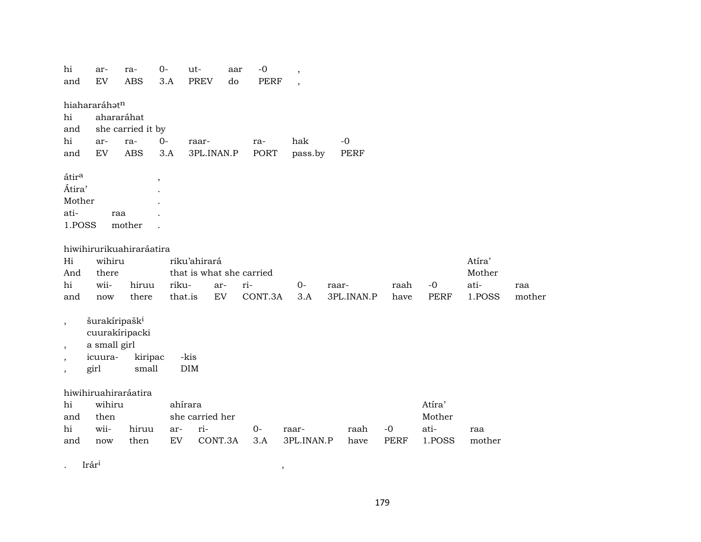|                                   | hi<br>and                | ar-<br>${\rm EV}$         | ra-<br><b>ABS</b>    | $O -$<br>3.A             | ut-<br><b>PREV</b>     | aar<br>do                | $-0$<br><b>PERF</b> | $\overline{\phantom{a}}$<br>$\overline{\phantom{a}}$ |       |              |              |                |                |        |
|-----------------------------------|--------------------------|---------------------------|----------------------|--------------------------|------------------------|--------------------------|---------------------|------------------------------------------------------|-------|--------------|--------------|----------------|----------------|--------|
|                                   |                          |                           |                      |                          |                        |                          |                     |                                                      |       |              |              |                |                |        |
| hiahararáhatn<br>hi<br>ahararáhat |                          |                           |                      |                          |                        |                          |                     |                                                      |       |              |              |                |                |        |
|                                   | and                      | she carried it by         |                      |                          |                        |                          |                     |                                                      |       |              |              |                |                |        |
|                                   | hi                       | ar-                       | ra-                  | $0-$                     | raar-                  |                          | ra-                 | hak                                                  |       | $-0$         |              |                |                |        |
|                                   | and                      | EV                        | <b>ABS</b>           | 3.A                      | 3PL.INAN.P             |                          | <b>PORT</b>         | pass.by                                              |       | PERF         |              |                |                |        |
|                                   |                          |                           |                      |                          |                        |                          |                     |                                                      |       |              |              |                |                |        |
|                                   | átira                    |                           |                      | $\overline{\phantom{a}}$ |                        |                          |                     |                                                      |       |              |              |                |                |        |
|                                   | Átira'                   |                           |                      |                          |                        |                          |                     |                                                      |       |              |              |                |                |        |
|                                   | Mother                   |                           |                      |                          |                        |                          |                     |                                                      |       |              |              |                |                |        |
|                                   | ati-                     | raa                       |                      |                          |                        |                          |                     |                                                      |       |              |              |                |                |        |
|                                   | 1.POSS                   |                           | mother               |                          |                        |                          |                     |                                                      |       |              |              |                |                |        |
|                                   |                          |                           |                      |                          |                        |                          |                     |                                                      |       |              |              |                |                |        |
| hiwihirurikuahiraráatira          |                          |                           |                      |                          |                        |                          |                     |                                                      |       |              |              |                |                |        |
|                                   | Hi                       | wihiru                    |                      |                          | riku'ahirará           | that is what she carried |                     |                                                      |       |              |              |                | Atíra'         |        |
|                                   | And<br>hi                | there<br>wii-             | hiruu                | riku-                    | ar-                    |                          | ri-                 | $0-$                                                 | raar- |              | raah         | $-0$           | Mother<br>ati- | raa    |
|                                   | and                      | now                       | there                | that.is                  | EV                     |                          | CONT.3A             | 3.A                                                  |       | 3PL.INAN.P   | have         | <b>PERF</b>    | 1.POSS         | mother |
|                                   |                          |                           |                      |                          |                        |                          |                     |                                                      |       |              |              |                |                |        |
|                                   | $\overline{\phantom{a}}$ | šurakíripašk <sup>i</sup> |                      |                          |                        |                          |                     |                                                      |       |              |              |                |                |        |
|                                   |                          | cuurakíripacki            |                      |                          |                        |                          |                     |                                                      |       |              |              |                |                |        |
|                                   | $\overline{\phantom{a}}$ | a small girl              |                      |                          |                        |                          |                     |                                                      |       |              |              |                |                |        |
|                                   |                          | icuura-                   | kiripac              |                          | -kis                   |                          |                     |                                                      |       |              |              |                |                |        |
|                                   |                          | girl                      | small                |                          | <b>DIM</b>             |                          |                     |                                                      |       |              |              |                |                |        |
|                                   |                          |                           |                      |                          |                        |                          |                     |                                                      |       |              |              |                |                |        |
|                                   |                          |                           | hiwihiruahiraráatira |                          |                        |                          |                     |                                                      |       |              |              |                |                |        |
|                                   | hi                       | wihiru                    |                      | ahírara                  |                        |                          |                     |                                                      |       |              |              | Atíra'         |                |        |
|                                   | and<br>hi                | then<br>wii-              |                      |                          | she carried her<br>ri- |                          |                     |                                                      |       |              |              | Mother         |                |        |
|                                   | and                      |                           | hiruu<br>then        | ar-<br>${\rm EV}$        | CONT.3A                |                          | $0-$<br>3.A         | raar-<br>3PL.INAN.P                                  |       | raah<br>have | $-0$<br>PERF | ati-<br>1.POSS | raa<br>mother  |        |
|                                   |                          | now                       |                      |                          |                        |                          |                     |                                                      |       |              |              |                |                |        |
|                                   |                          | Irári                     |                      |                          |                        |                          |                     |                                                      |       |              |              |                |                |        |
|                                   |                          |                           |                      |                          |                        |                          |                     |                                                      |       |              |              |                |                |        |

179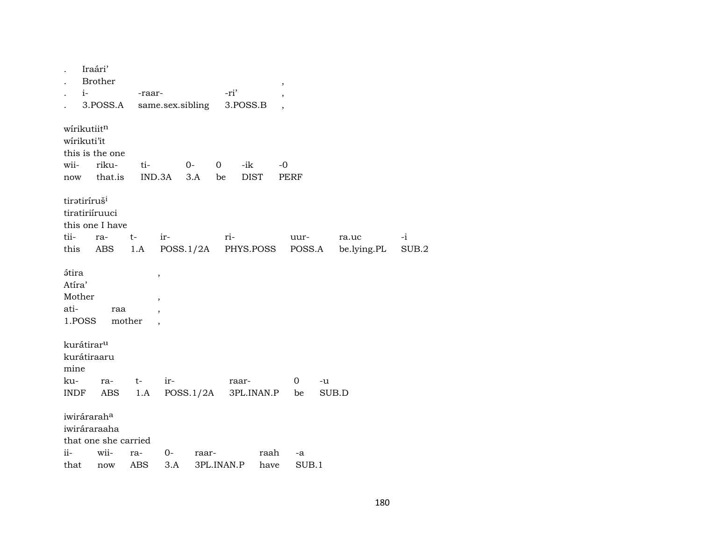| $i-$                                               | Iraári'<br><b>Brother</b><br>3.POSS.A                           | -raar- |                                    | same.sex.sibling        | -ri'<br>3.POSS.B      |             | $\, ,$        |                  |                      |               |
|----------------------------------------------------|-----------------------------------------------------------------|--------|------------------------------------|-------------------------|-----------------------|-------------|---------------|------------------|----------------------|---------------|
| wirikutiitn<br>wirikuti'it<br>wii-                 | this is the one<br>riku-<br>now that.is                         |        | ti- O-                             | IND.3A 3.A be           | $\overline{0}$<br>-ik | <b>DIST</b> | -0<br>PERF    |                  |                      |               |
| tiratiríruš <sup>i</sup><br>tii-                   | tiratiriíruuci<br>this one I have<br>ra-<br>this ABS            | $t-$   | ir-                                | 1.A POSS.1/2A PHYS.POSS | ri-                   |             | uur-          | POSS.A           | ra.uc<br>be.lying.PL | $-i$<br>SUB.2 |
| <b>átira</b><br>Atíra'<br>Mother<br>ati-<br>1.POSS | raa                                                             | mother | $\, ,$<br>$\overline{\phantom{a}}$ |                         |                       |             |               |                  |                      |               |
| kurátirar <sup>u</sup><br>mine<br>ku-              | kurátiraaru<br>ra-                                              | $t-$   | ir-                                |                         | raar-                 |             | $\mathbf 0$   | $-u$             |                      |               |
| INDF                                               | ABS                                                             |        |                                    | $1.A$ POSS. $1/2A$      |                       |             | 3PL.INAN.P be |                  | SUB.D                |               |
|                                                    | iwirárarah <sup>a</sup><br>iwiráraraaha<br>that one she carried |        |                                    |                         |                       |             |               |                  |                      |               |
| ii-                                                | wii-                                                            | ra-    | $0-$                               | raar-                   |                       | raah        | -a            |                  |                      |               |
|                                                    | that now ABS 3.A 3PLINAN.P                                      |        |                                    |                         |                       | have        |               | SUB <sub>1</sub> |                      |               |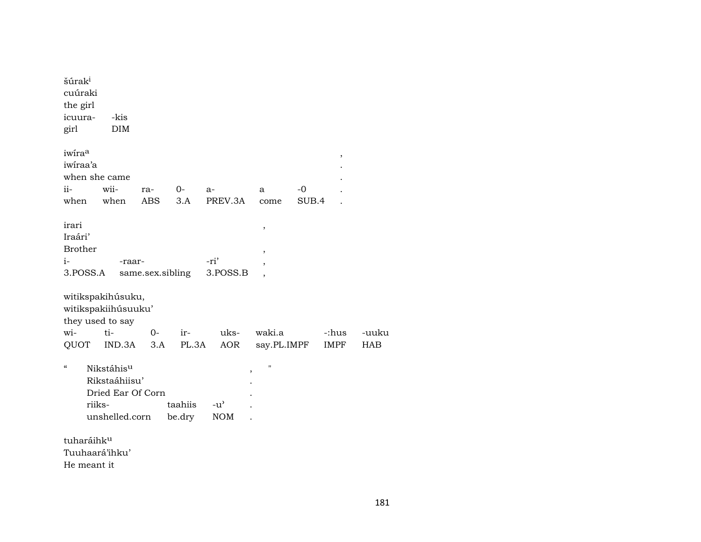| šúrak <sup>i</sup><br>cuúraki<br>the girl<br>icuura-<br>girl |        | -kis<br>DIM                                                                    |            |                   |                             |                          |               |             |            |
|--------------------------------------------------------------|--------|--------------------------------------------------------------------------------|------------|-------------------|-----------------------------|--------------------------|---------------|-------------|------------|
| iwira <sup>a</sup><br>iwiraa'a                               |        | when she came                                                                  |            |                   |                             |                          |               | ,           |            |
| ii-<br>when                                                  |        | wii-<br>when                                                                   | ra-<br>ABS | $0-$<br>3.A       | $a-$<br>PREV.3A             | a<br>come                | $-0$<br>SUB.4 |             |            |
|                                                              |        |                                                                                |            |                   |                             |                          |               |             |            |
| irari<br>Iraári'<br><b>Brother</b>                           |        |                                                                                |            |                   |                             | $\,$<br>,                |               |             |            |
| i-                                                           |        | -raar-                                                                         |            |                   | -ri'                        | $\overline{\phantom{a}}$ |               |             |            |
| 3.POSS.A                                                     |        |                                                                                |            | same.sex.sibling  | 3.POSS.B                    |                          |               |             |            |
|                                                              |        | witikspakihúsuku,<br>witikspakiihúsuuku'<br>they used to say                   |            |                   |                             |                          |               |             |            |
| wi-                                                          |        | ti-                                                                            | $O -$      | ir-               | uks-                        | waki.a                   |               | -:hus       | -uuku      |
| QUOT                                                         |        | IND.3A                                                                         | 3.A        | PL.3A             | AOR                         | say.PL.IMPF              |               | <b>IMPF</b> | <b>HAB</b> |
| $\mathcal{C}\mathcal{C}$                                     | riiks- | Nikstáhis <sup>u</sup><br>Rikstaáhiisu'<br>Dried Ear Of Corn<br>unshelled.corn |            | taahiis<br>be.dry | $-u^{\prime}$<br><b>NOM</b> | П<br>,                   |               |             |            |
| tuharáihk <sup>u</sup>                                       |        |                                                                                |            |                   |                             |                          |               |             |            |
|                                                              |        | Tuuhaará'ihku'                                                                 |            |                   |                             |                          |               |             |            |

He meant it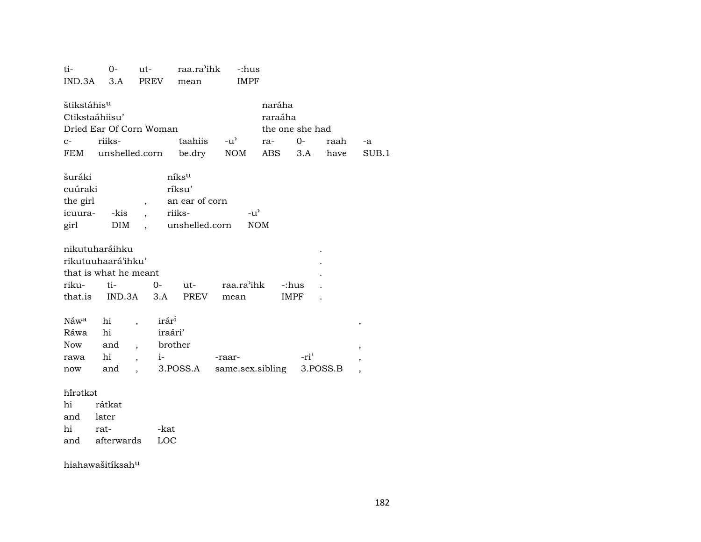| ti-<br>IND.3A                                                                            | $0-$<br>3.A                           | ut-<br><b>PREV</b>                                                                                                                               | raa.ra'ihk<br>mean                                                        | -:hus<br><b>IMPF</b>       |                                                    |                      |              |                                                                |
|------------------------------------------------------------------------------------------|---------------------------------------|--------------------------------------------------------------------------------------------------------------------------------------------------|---------------------------------------------------------------------------|----------------------------|----------------------------------------------------|----------------------|--------------|----------------------------------------------------------------|
| štikstáhis <sup>u</sup><br>Ctikstaáhiisu'<br>$C-$<br>FEM                                 | riiks-<br>unshelled.corn              | Dried Ear Of Corn Woman                                                                                                                          | taahiis<br>be.dry                                                         | $-u^{\prime}$<br>NOM       | naráha<br>raraáha<br>the one she had<br>ra-<br>ABS | $O-$<br>3.A          | raah<br>have | $-a$<br>SUB.1                                                  |
| šuráki<br>cuúraki<br>the girl<br>icuura-<br>girl                                         | -kis<br>DIM                           | $\overline{ }$<br>$\mathbf{A}$<br>$\ddot{\phantom{0}}$                                                                                           | níks <sup>u</sup><br>ríksu'<br>an ear of corn<br>riiks-<br>unshelled.corn | $-u^{\prime}$              | <b>NOM</b>                                         |                      |              |                                                                |
| nikutuharáihku<br>rikutuuhaará'ihku'<br>that is what he meant<br>riku-<br>that.is IND.3A | ti-                                   | $0-$<br>3.A                                                                                                                                      | $ut$ - $\qquad$<br>PREV                                                   | raa.ra'ihk<br>mean         |                                                    | -:hus<br><b>IMPF</b> |              |                                                                |
| Náw <sup>a</sup><br>Ráwa<br>Now<br>rawa<br>now                                           | hi<br>hi<br>and<br>hi<br>and          | irár <sup>i</sup><br>$\overline{\phantom{a}}$<br>iraári'<br>$\overline{\phantom{a}}$<br>$i-$<br>$\overline{\phantom{a}}$<br>$\ddot{\phantom{a}}$ | brother<br>3.POSS.A                                                       | -raar-<br>same.sex.sibling |                                                    | -ri'                 | 3.POSS.B     | $\, ,$<br>$\overline{\phantom{a}}$<br>$\overline{\phantom{a}}$ |
| hirətkət<br>hi<br>and<br>hi<br>and                                                       | rátkat<br>later<br>rat-<br>afterwards | -kat<br>LOC                                                                                                                                      |                                                                           |                            |                                                    |                      |              |                                                                |

hiahawašitíksah<sup>u</sup>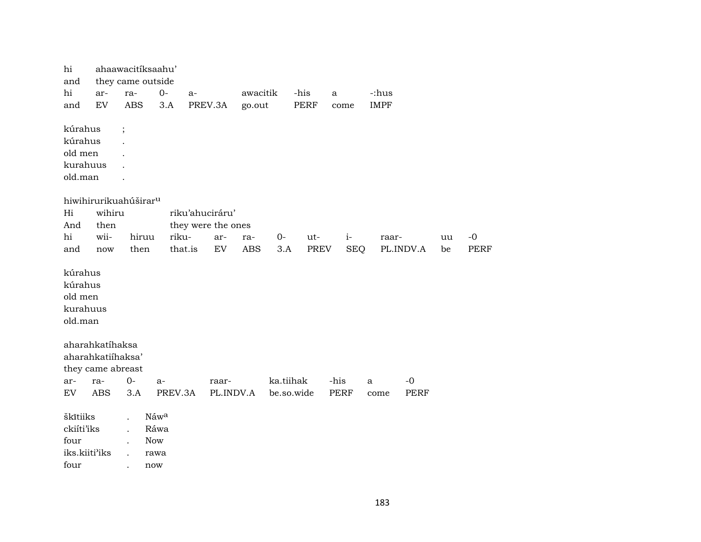| hi<br>ahaawacitíksaahu'<br>they came outside<br>and  |                                   |            |              |                           |                   |            |             |             |             |             |          |             |
|------------------------------------------------------|-----------------------------------|------------|--------------|---------------------------|-------------------|------------|-------------|-------------|-------------|-------------|----------|-------------|
| hi                                                   | ar-                               | ra-        | $0-$         | a-                        | awacitik          |            | -his        | a           | -:hus       |             |          |             |
| and                                                  | $\mathop{\rm EV}\nolimits$        | <b>ABS</b> | 3.A          | PREV.3A                   | go.out            |            | PERF        | come        | <b>IMPF</b> |             |          |             |
|                                                      |                                   |            |              |                           |                   |            |             |             |             |             |          |             |
| kúrahus                                              |                                   | $\vdots$   |              |                           |                   |            |             |             |             |             |          |             |
| kúrahus                                              |                                   |            |              |                           |                   |            |             |             |             |             |          |             |
| old men                                              |                                   |            |              |                           |                   |            |             |             |             |             |          |             |
| kurahuus                                             |                                   |            |              |                           |                   |            |             |             |             |             |          |             |
| old.man                                              |                                   |            |              |                           |                   |            |             |             |             |             |          |             |
|                                                      |                                   |            |              |                           |                   |            |             |             |             |             |          |             |
|                                                      | hiwihirurikuahúširar <sup>u</sup> |            |              |                           |                   |            |             |             |             |             |          |             |
| Hi                                                   | wihiru                            |            |              | riku'ahuciráru'           |                   |            |             |             |             |             |          |             |
| And<br>hi                                            | then<br>wii-                      | hiruu      | riku-        | they were the ones<br>ar- |                   | $O -$      | ut-         | $i-$        |             |             |          | $-0$        |
| and                                                  | now                               | then       |              | that.is<br>${\rm EV}$     | ra-<br><b>ABS</b> | 3.A        | <b>PREV</b> | <b>SEQ</b>  | raar-       | PL.INDV.A   | uu<br>be | <b>PERF</b> |
|                                                      |                                   |            |              |                           |                   |            |             |             |             |             |          |             |
| kúrahus<br>kúrahus<br>old men<br>kurahuus<br>old.man |                                   |            |              |                           |                   |            |             |             |             |             |          |             |
|                                                      | aharahkatíhaksa                   |            |              |                           |                   |            |             |             |             |             |          |             |
|                                                      | aharahkatiihaksa'                 |            |              |                           |                   |            |             |             |             |             |          |             |
|                                                      | they came abreast                 |            |              |                           |                   |            |             |             |             |             |          |             |
| ar-                                                  | ra-                               | $0-$       | a-           | raar-                     |                   | ka.tiihak  |             | -his        | a           | $-0$        |          |             |
| EV                                                   | <b>ABS</b>                        | 3.A        | PREV.3A      |                           | PL.INDV.A         | be.so.wide |             | <b>PERF</b> | come        | <b>PERF</b> |          |             |
|                                                      |                                   |            |              |                           |                   |            |             |             |             |             |          |             |
| škītiiks<br>ckiíti'iks                               |                                   |            | Náwa<br>Ráwa |                           |                   |            |             |             |             |             |          |             |
| four                                                 |                                   |            | <b>Now</b>   |                           |                   |            |             |             |             |             |          |             |
| iks.kiiti'iks                                        |                                   |            | rawa         |                           |                   |            |             |             |             |             |          |             |
| four                                                 |                                   |            | now          |                           |                   |            |             |             |             |             |          |             |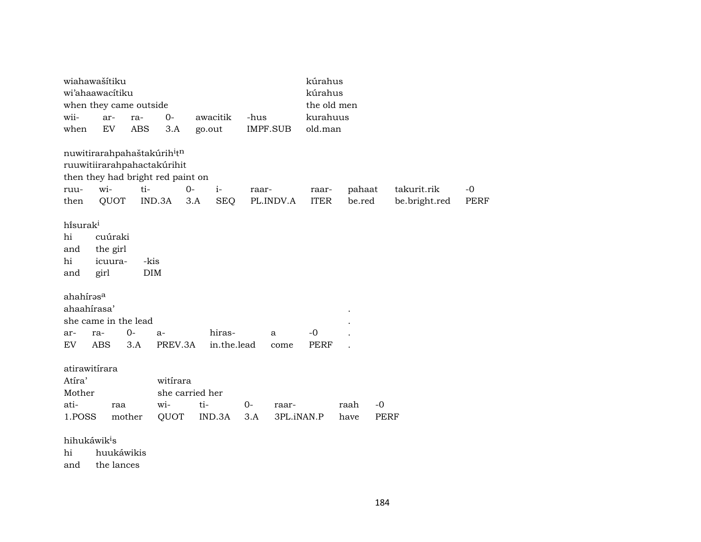| wiahawašítiku                           |            |            |                 | kúrahus           |       |            |             |        |             |               |             |
|-----------------------------------------|------------|------------|-----------------|-------------------|-------|------------|-------------|--------|-------------|---------------|-------------|
| wi'ahaawacitiku                         |            |            |                 |                   |       |            | kúrahus     |        |             |               |             |
| when they came outside                  |            |            |                 |                   |       |            | the old men |        |             |               |             |
| wii-                                    | ar-        | ra-        | $O -$           | awacitik          | -hus  |            | kurahuus    |        |             |               |             |
| when                                    | EV         | ABS        | 3.A             | go.out            |       | IMPF.SUB   | old.man     |        |             |               |             |
| nuwitirarahpahaštakúrih <sup>i</sup> tn |            |            |                 |                   |       |            |             |        |             |               |             |
| ruuwitiirarahpahactakúrihit             |            |            |                 |                   |       |            |             |        |             |               |             |
| then they had bright red paint on       |            |            |                 |                   |       |            |             |        |             |               |             |
| ruu-                                    | wi-        | ti-        | $O -$           | $i-$              | raar- |            | raar-       | pahaat |             | takurit.rik   | $-0$        |
| then                                    | QUOT       | IND.3A     |                 | <b>SEQ</b><br>3.A |       | PL.INDV.A  | <b>ITER</b> | be.red |             | be.bright.red | <b>PERF</b> |
|                                         |            |            |                 |                   |       |            |             |        |             |               |             |
| hisurak <sup>i</sup>                    |            |            |                 |                   |       |            |             |        |             |               |             |
| hi                                      | cuúraki    |            |                 |                   |       |            |             |        |             |               |             |
| and                                     | the girl   |            |                 |                   |       |            |             |        |             |               |             |
| hi                                      | icuura-    | -kis       |                 |                   |       |            |             |        |             |               |             |
| and                                     | girl       | <b>DIM</b> |                 |                   |       |            |             |        |             |               |             |
| ahahírasa                               |            |            |                 |                   |       |            |             |        |             |               |             |
| ahaahirasa'                             |            |            |                 |                   |       |            |             |        |             |               |             |
| she came in the lead                    |            |            |                 |                   |       |            |             |        |             |               |             |
| ra-<br>ar-                              |            | $0-$       | $a-$            | hiras-            |       | a          | $-0$        |        |             |               |             |
| EV                                      | <b>ABS</b> | 3.A        | PREV.3A         | in.the.lead       |       | come       | <b>PERF</b> |        |             |               |             |
|                                         |            |            |                 |                   |       |            |             |        |             |               |             |
| atirawitírara                           |            |            |                 |                   |       |            |             |        |             |               |             |
| Atíra'                                  |            |            | witirara        |                   |       |            |             |        |             |               |             |
| Mother                                  |            |            | she carried her |                   |       |            |             |        |             |               |             |
| ati-                                    | raa        |            | wi-             | ti-               | $0-$  | raar-      |             | raah   | $-0$        |               |             |
| 1.POSS                                  | mother     |            | QUOT            | IND.3A            | 3.A   | 3PL.iNAN.P |             | have   | <b>PERF</b> |               |             |
| hihukáwik <sup>i</sup> s                |            |            |                 |                   |       |            |             |        |             |               |             |
| hi                                      | huukáwikis |            |                 |                   |       |            |             |        |             |               |             |
| and                                     | the lances |            |                 |                   |       |            |             |        |             |               |             |
|                                         |            |            |                 |                   |       |            |             |        |             |               |             |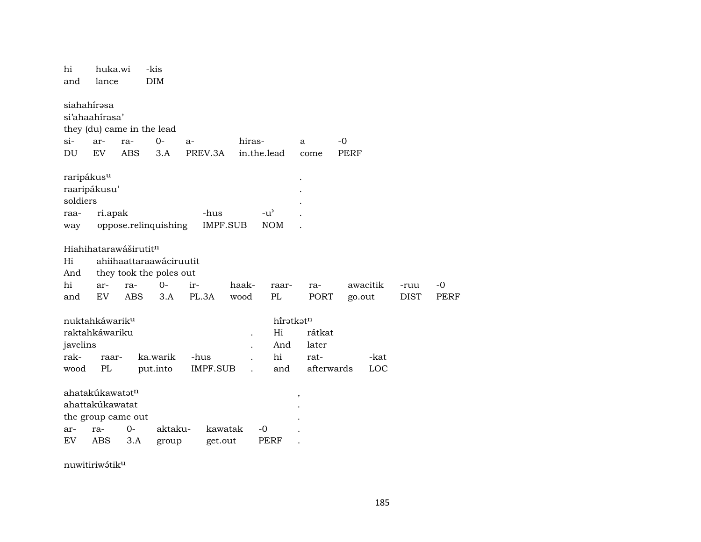| hi<br>and                                         | huka.wi<br>lance                                                                        |                   | -kis<br>DIM                        |                         |                      |                             |                    |             |             |                     |                     |  |
|---------------------------------------------------|-----------------------------------------------------------------------------------------|-------------------|------------------------------------|-------------------------|----------------------|-----------------------------|--------------------|-------------|-------------|---------------------|---------------------|--|
| siahahírəsa<br>$\sin$                             | si'ahaahirasa'<br>ar-                                                                   | ra-               | they (du) came in the lead<br>$0-$ | $a-$                    | hiras-               |                             | a                  | $-0$        |             |                     |                     |  |
| DU                                                | <b>EV</b>                                                                               | <b>ABS</b>        | 3.A                                | PREV.3A                 |                      | in.the.lead                 | come               | <b>PERF</b> |             |                     |                     |  |
| raripákus <sup>u</sup><br>soldiers<br>raa-<br>way | raaripákusu'<br>ri.apak                                                                 |                   | oppose.relinquishing               | -hus                    | <b>IMPF.SUB</b>      | $-u^{\prime}$<br><b>NOM</b> |                    |             |             |                     |                     |  |
| Hi<br>And                                         | Hiahihatarawáširutit <sup>n</sup><br>ahiihaattaraawáciruutit<br>they took the poles out |                   |                                    |                         |                      |                             |                    |             |             |                     |                     |  |
| hi<br>and                                         | ar-<br>EV                                                                               | ra-<br><b>ABS</b> | $O -$<br>3.A                       | ir-<br>PL.3A            | haak-<br>wood        | raar-<br>PL                 | ra-<br>PORT        | go.out      | awacitik    | -ruu<br><b>DIST</b> | $-0$<br><b>PERF</b> |  |
|                                                   | nuktahkáwarik <sup>u</sup>                                                              |                   |                                    |                         |                      | hiratkatn                   |                    |             |             |                     |                     |  |
| javelins                                          | raktahkáwariku                                                                          |                   |                                    |                         | $\ddot{\phantom{0}}$ | Hi<br>And                   | rátkat<br>later    |             |             |                     |                     |  |
| rak-<br>wood                                      | raar-<br>PL                                                                             |                   | ka.warik<br>put.into               | -hus<br><b>IMPF.SUB</b> |                      | hi<br>and                   | rat-<br>afterwards |             | -kat<br>LOC |                     |                     |  |
| ar-<br>EV                                         | ahatakúkawatatn<br>ahattakúkawatat<br>the group came out<br>ra-<br><b>ABS</b>           | $0-$<br>3.A       | aktaku-<br>group                   | get.out                 | kawatak              | $-0$<br>PERF                | ,                  |             |             |                     |                     |  |
|                                                   |                                                                                         |                   |                                    |                         |                      |                             |                    |             |             |                     |                     |  |

nuwitiriwátiku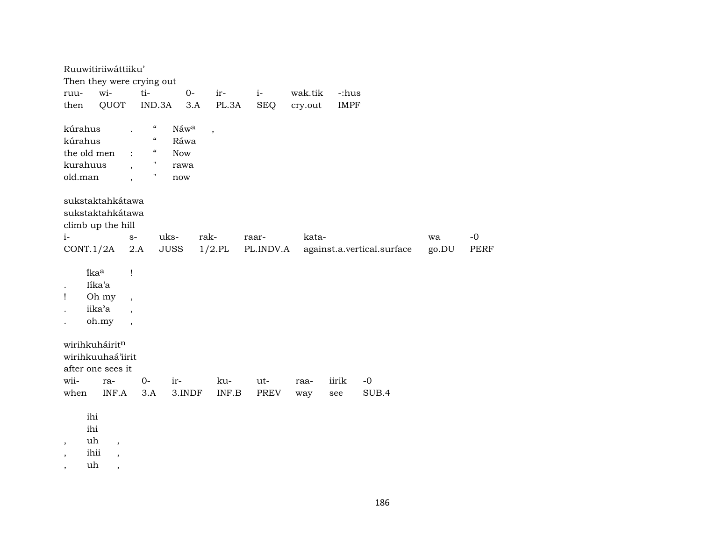| Ruuwitiriiwáttiiku'                                                                                                                                      |                                                                                       |                 |                       |                            |                      |
|----------------------------------------------------------------------------------------------------------------------------------------------------------|---------------------------------------------------------------------------------------|-----------------|-----------------------|----------------------------|----------------------|
| Then they were crying out                                                                                                                                |                                                                                       |                 |                       |                            |                      |
| wi-<br>ruu-                                                                                                                                              | ti-                                                                                   | $0-$<br>ir-     | wak.tik<br>$i-$       | -:hus                      |                      |
| QUOT<br>then                                                                                                                                             | IND.3A                                                                                | PL.3A<br>3.A    | <b>SEQ</b><br>cry.out | <b>IMPF</b>                |                      |
|                                                                                                                                                          |                                                                                       |                 |                       |                            |                      |
| kúrahus                                                                                                                                                  | $\epsilon\epsilon$<br>$\boldsymbol{\zeta}\boldsymbol{\zeta}$                          | Náwa<br>$\, ,$  |                       |                            |                      |
| kúrahus                                                                                                                                                  |                                                                                       | Ráwa            |                       |                            |                      |
| the old men                                                                                                                                              | $\epsilon\epsilon$<br>$\ddot{\cdot}$                                                  | <b>Now</b>      |                       |                            |                      |
| kurahuus                                                                                                                                                 | $\mathbf{H}$<br>$\cdot$                                                               | rawa            |                       |                            |                      |
| old.man                                                                                                                                                  | Ħ<br>$\cdot$                                                                          | now             |                       |                            |                      |
| sukstaktahkátawa<br>sukstaktahkátawa<br>climb up the hill                                                                                                |                                                                                       |                 |                       |                            |                      |
| $i-$                                                                                                                                                     | uks-<br>$S-$                                                                          | rak-            | kata-<br>raar-        |                            | $-o$<br>wa           |
| CONT.1/2A                                                                                                                                                | $2.A$<br><b>JUSS</b>                                                                  | $1/2$ .PL       | PL.INDV.A             | against.a.vertical.surface | go.DU<br><b>PERF</b> |
| ikaa<br>Iika'a<br>Oh my<br>Ţ<br>iika'a<br>oh.my                                                                                                          | Ţ<br>$\overline{\phantom{a}}$<br>$\overline{\phantom{a}}$<br>$\overline{\phantom{a}}$ |                 |                       |                            |                      |
| wirihkuháiritn<br>wirihkuuhaá'iirit<br>after one sees it                                                                                                 |                                                                                       |                 |                       |                            |                      |
| wii-<br>ra-                                                                                                                                              | $0-$                                                                                  | ku-<br>ir-      | ut-<br>raa-           | iirik<br>$-0$              |                      |
| when<br>INF.A                                                                                                                                            | 3.A                                                                                   | 3.INDF<br>INF.B | PREV<br>way           | SUB.4<br>see               |                      |
| ihi<br>ihi<br>uh<br>$\overline{\phantom{a}}$<br>$\overline{\phantom{a}}$<br>ihii<br>$\, ,$<br>$\overline{\phantom{a}}$<br>uh<br>$\overline{\phantom{a}}$ |                                                                                       |                 |                       |                            |                      |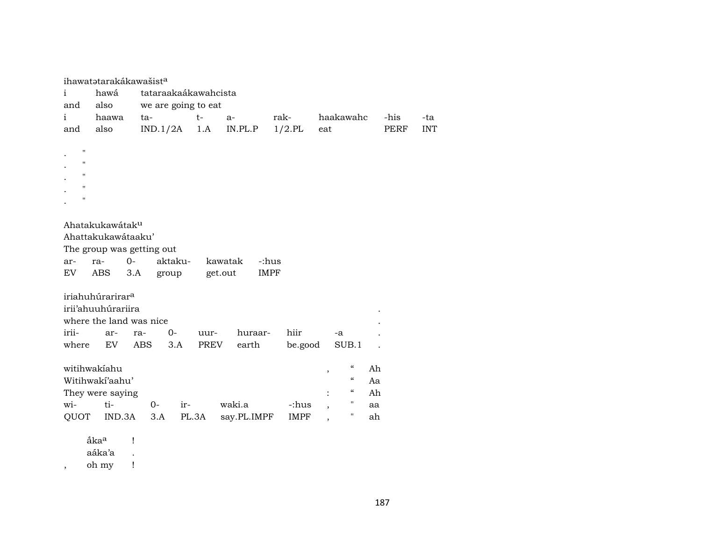|                       |                              | ihawatatarakákawašist <sup>a</sup> |       |             |             |                                                |             |            |
|-----------------------|------------------------------|------------------------------------|-------|-------------|-------------|------------------------------------------------|-------------|------------|
| i                     | hawá                         | tataraakaákawahcista               |       |             |             |                                                |             |            |
| and                   | also                         | we are going to eat                |       |             |             |                                                |             |            |
| $\mathbf{i}$          | haawa                        | ta-                                | $t-$  | $a-$        | rak-        | haakawahc                                      | -his        | -ta        |
| and                   | also                         | IND.1/2A                           | 1.A   | IN.PL.P     | $1/2$ .PL   | eat                                            | <b>PERF</b> | <b>INT</b> |
| $\pmb{\mathsf{H}}$    |                              |                                    |       |             |             |                                                |             |            |
| $\mathbf{H}$          |                              |                                    |       |             |             |                                                |             |            |
| п                     |                              |                                    |       |             |             |                                                |             |            |
| п                     |                              |                                    |       |             |             |                                                |             |            |
| п                     |                              |                                    |       |             |             |                                                |             |            |
|                       |                              |                                    |       |             |             |                                                |             |            |
|                       | Ahatakukawátaku              |                                    |       |             |             |                                                |             |            |
|                       | Ahattakukawátaaku'           |                                    |       |             |             |                                                |             |            |
|                       |                              | The group was getting out          |       |             |             |                                                |             |            |
| ar-                   | ra-                          | $O -$<br>aktaku-                   |       | kawatak     | -:hus       |                                                |             |            |
| EV                    | ABS                          | 3.A<br>group                       |       | get.out     | <b>IMPF</b> |                                                |             |            |
|                       | iriahuhúrarirar <sup>a</sup> |                                    |       |             |             |                                                |             |            |
|                       | irii'ahuuhúrariira           |                                    |       |             |             |                                                |             |            |
|                       |                              | where the land was nice            |       |             |             |                                                |             |            |
| irii-                 | ar-                          | $0-$<br>ra-                        | uur-  | huraar-     | hiir        | -a                                             |             |            |
| where                 | EV                           | <b>ABS</b><br>3.A                  | PREV  | earth       | be.good     | SUB.1                                          |             |            |
|                       |                              |                                    |       |             |             |                                                |             |            |
|                       | witihwakiahu                 |                                    |       |             |             | $\mathcal{C}\mathcal{C}$<br>,                  | Ah          |            |
|                       | Witihwakí'aahu'              |                                    |       |             |             | $\boldsymbol{\mathcal{C}}$                     | Aa          |            |
|                       | They were saying             |                                    |       |             |             | $\boldsymbol{\mathcal{C}}$                     | Ah          |            |
| wi-                   | ti-                          | $0-$<br>ir-                        |       | waki.a      | -:hus       | $\pmb{\mathsf{H}}$<br>$\overline{\phantom{a}}$ | aa          |            |
| QUOT                  | IND.3A                       | 3.A                                | PL.3A | say.PL.IMPF | <b>IMPF</b> | 11                                             | ah          |            |
|                       |                              |                                    |       |             |             |                                                |             |            |
|                       | åka <sup>a</sup>             | 1                                  |       |             |             |                                                |             |            |
|                       | aáka'a                       | $\ddot{\phantom{0}}$               |       |             |             |                                                |             |            |
| $^\mathrm{^{^\circ}}$ | oh my                        | Ţ                                  |       |             |             |                                                |             |            |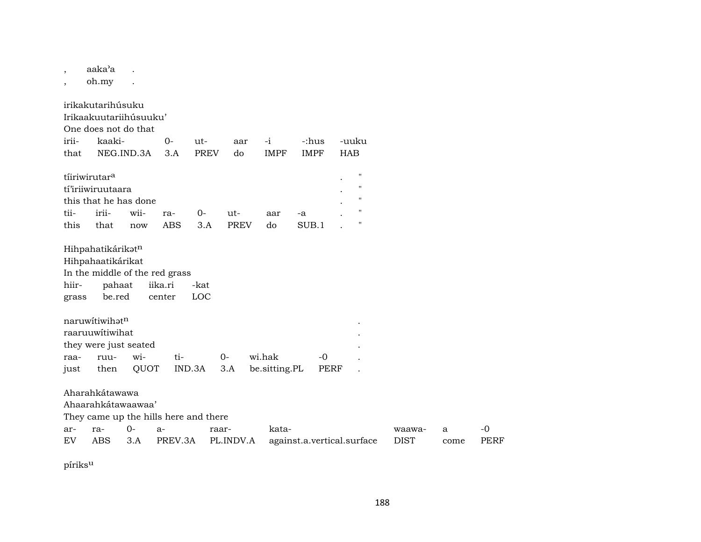aaka'a  $\overline{\phantom{a}}$ 

oh.my

 $\mathbb{R}^2$ 

irikakutarihúsuku Irikaakuutariihúsuuku' One does not do that iriikaaki- $O -i$ -:hus -uuku  $ut$ aar that NEG.IND.3A  $3.A$ **PREV IMPF IMPF HAB** do tíiriwirutar<sup>a</sup> tí'iriiwiruutaara  $\overline{1}$  $\mathbf{u}$ this that he has done tiiiriiwii- $0$ raut- $\mbox{-a}$ aar this that now ABS  $3.A$ **PREV** do  $SUB.1$  $\mathbf{H}$  $\overline{a}$ Hihpahatikárikatn Hihpahaatikárikat In the middle of the red grass pahaat hiiriika.ri -kat be.red **LOC** grass center naruwitiwihat<sup>n</sup> raaruuwítiwihat they were just seated wi $ti O$ wi.hak  $-0$ ruuraa-**OUOT** IND.3A be.sitting.PL just then  $3.A$ **PERF** Aharahkátawawa Ahaarahkátawaawaa' They came up the hills here and there  $0$ arra $a$ raarkatawaawa- $\mathbf{a}$ EV ABS  $3.A$ PREV.3A PL.INDV.A against.a.vertical.surface **DIST** come

píriks<sup>u</sup>

 $-0$ 

**PERF**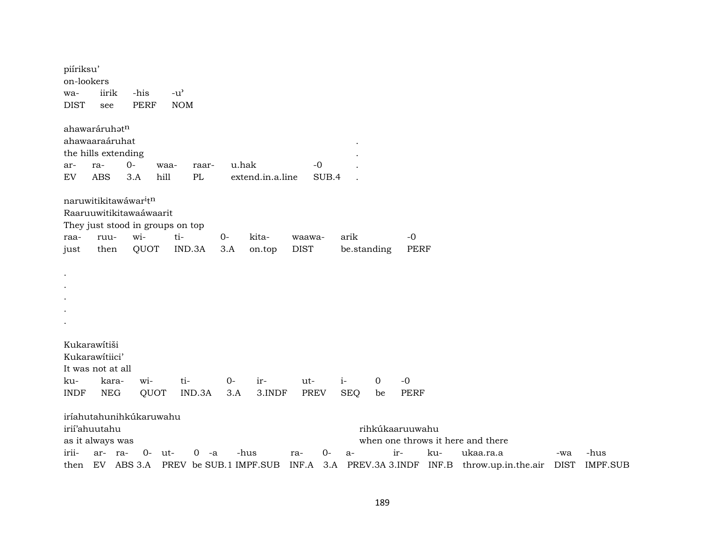| ahawaráruhatn<br>ahawaaraáruhat<br>the hills extending<br>$0-$<br>u.hak<br>$-0$<br>ra-<br>waa-<br>raar-<br>ar-<br>${\rm EV}$<br><b>ABS</b><br>3.A<br>hill<br>PL<br>extend.in.a.line<br>SUB.4<br>naruwitikitawáwar <sup>i</sup> t <sup>n</sup><br>Raaruuwitikitawaáwaarit                                                                                                       |                 |
|--------------------------------------------------------------------------------------------------------------------------------------------------------------------------------------------------------------------------------------------------------------------------------------------------------------------------------------------------------------------------------|-----------------|
|                                                                                                                                                                                                                                                                                                                                                                                |                 |
| They just stood in groups on top<br>wi-<br>arik<br>ti-<br>$0-$<br>kita-<br>$-0$<br>ruu-<br>waawa-<br>raa-<br>QUOT<br>IND.3A<br>3.A<br><b>DIST</b><br>be.standing<br><b>PERF</b><br>then<br>on.top<br>just                                                                                                                                                                      |                 |
| $\bullet$                                                                                                                                                                                                                                                                                                                                                                      |                 |
| Kukarawítiši<br>Kukarawitiici'<br>It was not at all<br>ti-<br>$i-$<br>$\mathbf 0$<br>$-0$<br>wi-<br>$0 -$<br>ir-<br>ku-<br>kara-<br>ut-<br><b>INDF</b><br>${\rm NEG}$<br>QUOT<br>IND.3A<br>3.A<br>3.INDF<br><b>PREV</b><br><b>SEQ</b><br><b>PERF</b><br>be                                                                                                                     |                 |
| iríahutahunihkúkaruwahu<br>irií'ahuutahu<br>rihkúkaaruuwahu<br>as it always was<br>when one throws it here and there<br>irii-<br>$0-$<br>-hus<br>$O -$<br>ukaa.ra.a<br>-hus<br>ar-<br>ut-<br>0<br>ir-<br>ku-<br>ra-<br>-a<br>ra-<br>a-<br>-wa<br>ABS 3.A<br>PREV be SUB.1 IMPF.SUB<br>PREV.3A 3.INDF INF.B<br>EV<br>INF.A<br>3.A<br>throw.up.in.the.air<br><b>DIST</b><br>then | <b>IMPF.SUB</b> |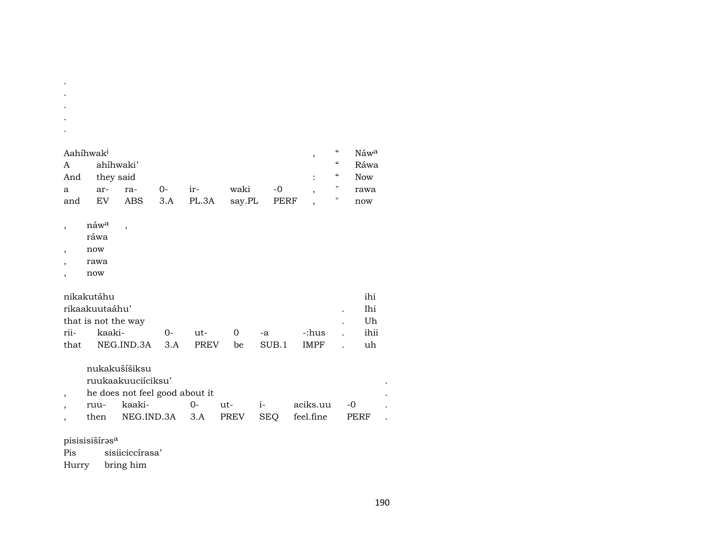| Aahíhwak <sup>i</sup> |           |     |      |               |             |      | "          | Náw <sup>a</sup> |
|-----------------------|-----------|-----|------|---------------|-------------|------|------------|------------------|
| A                     | ahíhwaki' |     |      |               |             |      | "          | Ráwa             |
| And                   | they said |     |      |               |             |      | $\epsilon$ | <b>Now</b>       |
| a                     | ar-       | ra- | $0-$ | $ir-$         | waki        | $-0$ |            | rawa             |
| and                   | EV        |     |      | ABS 3.A PL.3A | say.PL PERF |      |            | now              |

- náw<sup>a</sup>  $\cdot$
- ráwa

 $\bullet$  $\mathcal{L}$  $\sim$  $\bullet$  $\cdot$ 

- $\operatorname{now}$  $\, ,$
- rawa  $\cdot$
- $\operatorname{now}$  $\cdot$

| nikakutáhu |                     |     |             |          |       |       | ihi  |
|------------|---------------------|-----|-------------|----------|-------|-------|------|
|            | rikaakuutaáhu'      |     |             |          |       |       | Ihi  |
|            | that is not the way |     |             |          |       |       | Uh   |
| rii-       | kaaki-              | റ-  | $11t-$      | $\Omega$ | $-a$  | -:hus | ihii |
| that       | NEG.IND.3A          | 3.A | <b>PREV</b> | be       | SUB.1 | IMPF. | uh   |

nukakušíšiksu

ruukaakuuciíciksu'

 $\overline{\phantom{a}}$ 

he does not feel good about it  $\overline{\phantom{a}}$ 

| ruu- | kaaki-                            |  | aciks.uu |      |  |
|------|-----------------------------------|--|----------|------|--|
| then | NEG.IND.3A 3.A PREV SEO feel.fine |  |          | PERF |  |

pisisisiš<br/>írəs $^{\rm a}$ 

 $Pis$ sisiiciccírasa'

Hurry bring him

 $\sim$ 

 $\mathcal{L}^{\mathcal{L}}$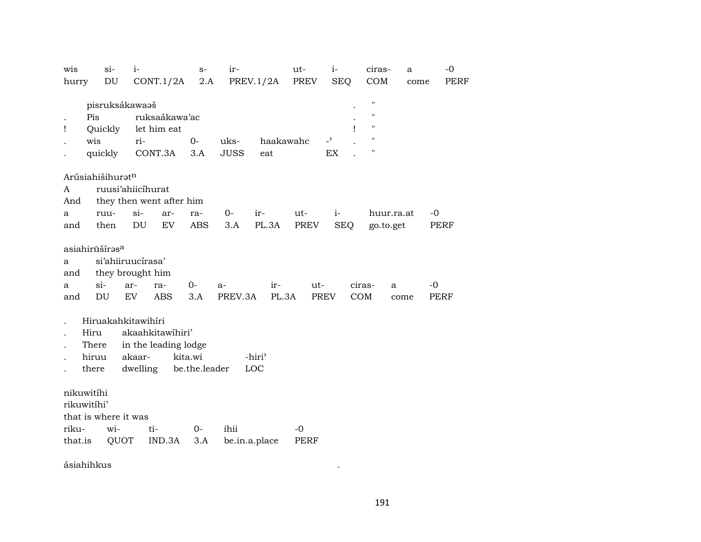| COM<br>DU<br>2.A<br>PREV.1/2A<br>PREV<br><b>SEQ</b><br>CONT.1/2A<br>hurry<br>come<br>$\mathbf{H}$<br>pisruksákawaaš<br>$\pmb{\mathsf{H}}$<br>Pis<br>ruksaákawa'ac<br>$\pmb{\mathsf{H}}$<br>let him eat<br>Ţ<br>Quickly<br>ı<br>$\pmb{\mathsf{H}}$<br>$\overline{a}$<br>wis<br>$0-$<br>uks-<br>haakawahc<br>ri-<br>$\blacksquare$<br>CONT.3A<br><b>JUSS</b><br>EX<br>quickly<br>3.A<br>eat<br>Arúsiahišihurat <sup>n</sup><br>ruusi'ahiicíhurat<br>A<br>they then went after him<br>And<br>si-<br>huur.ra.at<br>ruu-<br>0-<br>ir-<br>ut-<br>$i-$<br>-0<br>ar-<br>ra-<br>a<br>EV<br>then<br>DU<br><b>ABS</b><br>PL.3A<br>PREV<br><b>SEQ</b><br>3.A<br>go.to.get<br>PERF<br>and<br>asiahirūšíras <sup>a</sup><br>si'ahiiruucírasa'<br>a<br>they brought him<br>and<br>$si-$<br>$0-$<br>ir-<br>$ut-$<br>ciras-<br>$-0$<br>ar-<br>ra-<br>a-<br>a<br>a<br>DU<br><b>ABS</b><br>PREV.3A<br>PL.3A<br>COM<br><b>EV</b><br>3.A<br>PREV<br><b>PERF</b><br>and<br>come<br>Hiruakahkitawihíri<br>akaahkitawihiri'<br>Hiru<br>in the leading lodge<br>There<br>kita.wi<br>hiruu<br>akaar-<br>-hiri <sup>3</sup><br>dwelling<br>be.the.leader<br>LOC<br>there<br>nikuwitíhi<br>rikuwitíhi'<br>that is where it was<br>wi-<br>$0-$<br>ihii<br>riku-<br>ti-<br>$-0$<br>that.is<br>QUOT<br>IND.3A<br>be.in.a.place<br>3.A<br>PERF | wis | $si-$ | $i-$ | $S-$ | ir- | ut- | $i-$ | ciras- | a | $-0$        |
|----------------------------------------------------------------------------------------------------------------------------------------------------------------------------------------------------------------------------------------------------------------------------------------------------------------------------------------------------------------------------------------------------------------------------------------------------------------------------------------------------------------------------------------------------------------------------------------------------------------------------------------------------------------------------------------------------------------------------------------------------------------------------------------------------------------------------------------------------------------------------------------------------------------------------------------------------------------------------------------------------------------------------------------------------------------------------------------------------------------------------------------------------------------------------------------------------------------------------------------------------------------------------------------------------------------|-----|-------|------|------|-----|-----|------|--------|---|-------------|
|                                                                                                                                                                                                                                                                                                                                                                                                                                                                                                                                                                                                                                                                                                                                                                                                                                                                                                                                                                                                                                                                                                                                                                                                                                                                                                                |     |       |      |      |     |     |      |        |   | <b>PERF</b> |
|                                                                                                                                                                                                                                                                                                                                                                                                                                                                                                                                                                                                                                                                                                                                                                                                                                                                                                                                                                                                                                                                                                                                                                                                                                                                                                                |     |       |      |      |     |     |      |        |   |             |
|                                                                                                                                                                                                                                                                                                                                                                                                                                                                                                                                                                                                                                                                                                                                                                                                                                                                                                                                                                                                                                                                                                                                                                                                                                                                                                                |     |       |      |      |     |     |      |        |   |             |
|                                                                                                                                                                                                                                                                                                                                                                                                                                                                                                                                                                                                                                                                                                                                                                                                                                                                                                                                                                                                                                                                                                                                                                                                                                                                                                                |     |       |      |      |     |     |      |        |   |             |
|                                                                                                                                                                                                                                                                                                                                                                                                                                                                                                                                                                                                                                                                                                                                                                                                                                                                                                                                                                                                                                                                                                                                                                                                                                                                                                                |     |       |      |      |     |     |      |        |   |             |
|                                                                                                                                                                                                                                                                                                                                                                                                                                                                                                                                                                                                                                                                                                                                                                                                                                                                                                                                                                                                                                                                                                                                                                                                                                                                                                                |     |       |      |      |     |     |      |        |   |             |
|                                                                                                                                                                                                                                                                                                                                                                                                                                                                                                                                                                                                                                                                                                                                                                                                                                                                                                                                                                                                                                                                                                                                                                                                                                                                                                                |     |       |      |      |     |     |      |        |   |             |
|                                                                                                                                                                                                                                                                                                                                                                                                                                                                                                                                                                                                                                                                                                                                                                                                                                                                                                                                                                                                                                                                                                                                                                                                                                                                                                                |     |       |      |      |     |     |      |        |   |             |
|                                                                                                                                                                                                                                                                                                                                                                                                                                                                                                                                                                                                                                                                                                                                                                                                                                                                                                                                                                                                                                                                                                                                                                                                                                                                                                                |     |       |      |      |     |     |      |        |   |             |
|                                                                                                                                                                                                                                                                                                                                                                                                                                                                                                                                                                                                                                                                                                                                                                                                                                                                                                                                                                                                                                                                                                                                                                                                                                                                                                                |     |       |      |      |     |     |      |        |   |             |
|                                                                                                                                                                                                                                                                                                                                                                                                                                                                                                                                                                                                                                                                                                                                                                                                                                                                                                                                                                                                                                                                                                                                                                                                                                                                                                                |     |       |      |      |     |     |      |        |   |             |
|                                                                                                                                                                                                                                                                                                                                                                                                                                                                                                                                                                                                                                                                                                                                                                                                                                                                                                                                                                                                                                                                                                                                                                                                                                                                                                                |     |       |      |      |     |     |      |        |   |             |
|                                                                                                                                                                                                                                                                                                                                                                                                                                                                                                                                                                                                                                                                                                                                                                                                                                                                                                                                                                                                                                                                                                                                                                                                                                                                                                                |     |       |      |      |     |     |      |        |   |             |
|                                                                                                                                                                                                                                                                                                                                                                                                                                                                                                                                                                                                                                                                                                                                                                                                                                                                                                                                                                                                                                                                                                                                                                                                                                                                                                                |     |       |      |      |     |     |      |        |   |             |
|                                                                                                                                                                                                                                                                                                                                                                                                                                                                                                                                                                                                                                                                                                                                                                                                                                                                                                                                                                                                                                                                                                                                                                                                                                                                                                                |     |       |      |      |     |     |      |        |   |             |
|                                                                                                                                                                                                                                                                                                                                                                                                                                                                                                                                                                                                                                                                                                                                                                                                                                                                                                                                                                                                                                                                                                                                                                                                                                                                                                                |     |       |      |      |     |     |      |        |   |             |
|                                                                                                                                                                                                                                                                                                                                                                                                                                                                                                                                                                                                                                                                                                                                                                                                                                                                                                                                                                                                                                                                                                                                                                                                                                                                                                                |     |       |      |      |     |     |      |        |   |             |
|                                                                                                                                                                                                                                                                                                                                                                                                                                                                                                                                                                                                                                                                                                                                                                                                                                                                                                                                                                                                                                                                                                                                                                                                                                                                                                                |     |       |      |      |     |     |      |        |   |             |
|                                                                                                                                                                                                                                                                                                                                                                                                                                                                                                                                                                                                                                                                                                                                                                                                                                                                                                                                                                                                                                                                                                                                                                                                                                                                                                                |     |       |      |      |     |     |      |        |   |             |
|                                                                                                                                                                                                                                                                                                                                                                                                                                                                                                                                                                                                                                                                                                                                                                                                                                                                                                                                                                                                                                                                                                                                                                                                                                                                                                                |     |       |      |      |     |     |      |        |   |             |
|                                                                                                                                                                                                                                                                                                                                                                                                                                                                                                                                                                                                                                                                                                                                                                                                                                                                                                                                                                                                                                                                                                                                                                                                                                                                                                                |     |       |      |      |     |     |      |        |   |             |
|                                                                                                                                                                                                                                                                                                                                                                                                                                                                                                                                                                                                                                                                                                                                                                                                                                                                                                                                                                                                                                                                                                                                                                                                                                                                                                                |     |       |      |      |     |     |      |        |   |             |
|                                                                                                                                                                                                                                                                                                                                                                                                                                                                                                                                                                                                                                                                                                                                                                                                                                                                                                                                                                                                                                                                                                                                                                                                                                                                                                                |     |       |      |      |     |     |      |        |   |             |
|                                                                                                                                                                                                                                                                                                                                                                                                                                                                                                                                                                                                                                                                                                                                                                                                                                                                                                                                                                                                                                                                                                                                                                                                                                                                                                                |     |       |      |      |     |     |      |        |   |             |
|                                                                                                                                                                                                                                                                                                                                                                                                                                                                                                                                                                                                                                                                                                                                                                                                                                                                                                                                                                                                                                                                                                                                                                                                                                                                                                                |     |       |      |      |     |     |      |        |   |             |
|                                                                                                                                                                                                                                                                                                                                                                                                                                                                                                                                                                                                                                                                                                                                                                                                                                                                                                                                                                                                                                                                                                                                                                                                                                                                                                                |     |       |      |      |     |     |      |        |   |             |
|                                                                                                                                                                                                                                                                                                                                                                                                                                                                                                                                                                                                                                                                                                                                                                                                                                                                                                                                                                                                                                                                                                                                                                                                                                                                                                                |     |       |      |      |     |     |      |        |   |             |
|                                                                                                                                                                                                                                                                                                                                                                                                                                                                                                                                                                                                                                                                                                                                                                                                                                                                                                                                                                                                                                                                                                                                                                                                                                                                                                                |     |       |      |      |     |     |      |        |   |             |
|                                                                                                                                                                                                                                                                                                                                                                                                                                                                                                                                                                                                                                                                                                                                                                                                                                                                                                                                                                                                                                                                                                                                                                                                                                                                                                                |     |       |      |      |     |     |      |        |   |             |

ásiahihkus .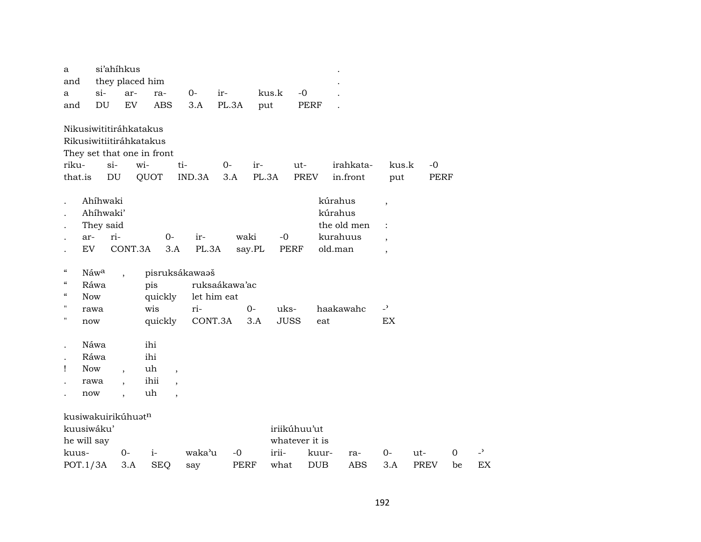| a                        |                         | si'ahíhkus               |                            |                          |               |              |                |             |            |                          |             |    |                |
|--------------------------|-------------------------|--------------------------|----------------------------|--------------------------|---------------|--------------|----------------|-------------|------------|--------------------------|-------------|----|----------------|
| and                      |                         |                          | they placed him            |                          |               |              |                |             |            |                          |             |    |                |
| a                        | $si-$                   | ar-                      | ra-                        | $0-$                     | ir-           | kus.k        | $-0$           |             |            |                          |             |    |                |
| and                      | DU                      | EV                       | <b>ABS</b>                 | 3.A                      | PL.3A         | put          | <b>PERF</b>    |             |            |                          |             |    |                |
|                          | Nikusiwititiráhkatakus  |                          |                            |                          |               |              |                |             |            |                          |             |    |                |
|                          | Rikusiwitiitiráhkatakus |                          |                            |                          |               |              |                |             |            |                          |             |    |                |
|                          |                         |                          | They set that one in front |                          |               |              |                |             |            |                          |             |    |                |
| riku-                    | $si-$                   |                          | wi-                        | ti-                      | 0-            | ir-          | ut-            |             | irahkata-  | kus.k                    | -0          |    |                |
| that.is                  | DU                      |                          | QUOT                       | IND.3A                   | 3.A           | PL.3A        | PREV           |             | in.front   | put                      | <b>PERF</b> |    |                |
|                          |                         |                          |                            |                          |               |              |                |             |            |                          |             |    |                |
|                          | Ahíhwaki                |                          |                            |                          |               |              |                | kúrahus     |            | $\overline{\phantom{a}}$ |             |    |                |
|                          | Ahíhwaki'               |                          |                            |                          |               |              |                | kúrahus     |            |                          |             |    |                |
|                          | They said               |                          |                            |                          |               |              |                | the old men |            | $\ddot{\cdot}$           |             |    |                |
|                          | ri-<br>ar-              |                          | $0-$                       | ir-                      |               | waki<br>$-0$ |                | kurahuus    |            | $\cdot$                  |             |    |                |
|                          | <b>EV</b>               | CONT.3A                  | 3.A                        | PL.3A                    |               | say.PL       | PERF           | old.man     |            | $\overline{\phantom{a}}$ |             |    |                |
| $\epsilon\epsilon$       | Náwa                    |                          |                            | pisruksákawaaš           |               |              |                |             |            |                          |             |    |                |
| $\epsilon\epsilon$       | Ráwa                    |                          | pis                        |                          | ruksaákawa'ac |              |                |             |            |                          |             |    |                |
| $\mathcal{C}\mathcal{C}$ | <b>Now</b>              |                          | quickly                    |                          | let him eat   |              |                |             |            |                          |             |    |                |
| н                        | rawa                    |                          | wis                        | ri-                      |               | $O -$        | uks-           | haakawahc   |            | $\overline{a}$           |             |    |                |
| н                        | $\operatorname{now}$    |                          | quickly                    | CONT.3A                  |               | 3.A          | <b>JUSS</b>    | eat         |            | EX                       |             |    |                |
|                          |                         |                          |                            |                          |               |              |                |             |            |                          |             |    |                |
|                          | Náwa                    |                          | ihi                        |                          |               |              |                |             |            |                          |             |    |                |
|                          | Ráwa                    |                          | ihi                        |                          |               |              |                |             |            |                          |             |    |                |
| Ţ                        | <b>Now</b>              | $\overline{\phantom{a}}$ | uh                         | $\,$                     |               |              |                |             |            |                          |             |    |                |
|                          | rawa                    | $\overline{\phantom{a}}$ | ihii                       | $\overline{\phantom{a}}$ |               |              |                |             |            |                          |             |    |                |
|                          | now                     | $\overline{ }$           | uh                         | $\overline{\phantom{a}}$ |               |              |                |             |            |                          |             |    |                |
|                          | kusiwakuirikúhuatn      |                          |                            |                          |               |              |                |             |            |                          |             |    |                |
|                          | kuusiwáku'              |                          |                            |                          |               |              | iriikúhuu'ut   |             |            |                          |             |    |                |
|                          | he will say             |                          |                            |                          |               |              | whatever it is |             |            |                          |             |    |                |
| kuus-                    |                         | $0-$                     | $i-$                       | waka'u                   | -0            | irii-        |                | kuur-       | ra-        | $0-$                     | ut-         | 0  | $\overline{a}$ |
|                          | POT.1/3A                | 3.A                      | <b>SEQ</b>                 | say                      | <b>PERF</b>   | what         | <b>DUB</b>     |             | <b>ABS</b> | 3.A                      | <b>PREV</b> | be | EX             |
|                          |                         |                          |                            |                          |               |              |                |             |            |                          |             |    |                |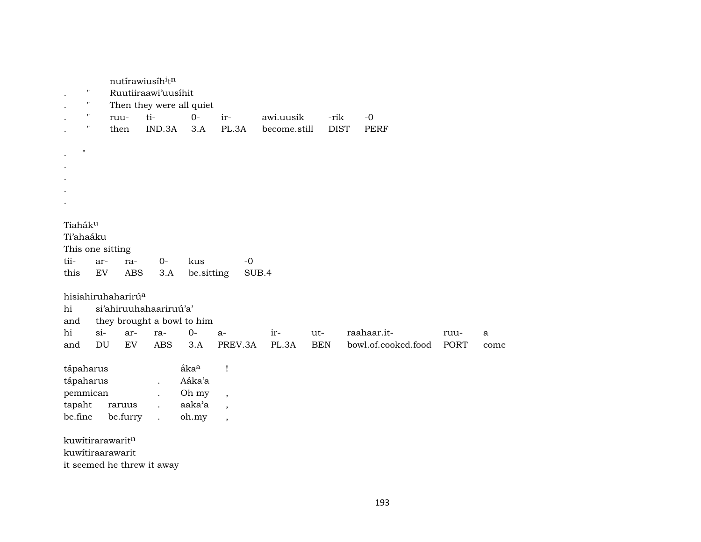|                                                                                     | nutírawiusíh <sup>i</sup> tn<br>Ruutiiraawi'uusíhit<br>11<br>$\pmb{\mathsf{H}}$<br>Then they were all quiet |                                                                               |                                                                      |                                                        |                                                                                        |              |            |             |                     |             |      |  |  |
|-------------------------------------------------------------------------------------|-------------------------------------------------------------------------------------------------------------|-------------------------------------------------------------------------------|----------------------------------------------------------------------|--------------------------------------------------------|----------------------------------------------------------------------------------------|--------------|------------|-------------|---------------------|-------------|------|--|--|
| "                                                                                   |                                                                                                             | ruu-                                                                          | ti-                                                                  | $0-$                                                   | ir-                                                                                    | awi.uusik    |            | -rik        | $-0$                |             |      |  |  |
| 11                                                                                  |                                                                                                             | then                                                                          | IND.3A                                                               | 3.A                                                    | PL.3A                                                                                  | become.still |            | <b>DIST</b> | PERF                |             |      |  |  |
|                                                                                     |                                                                                                             |                                                                               |                                                                      |                                                        |                                                                                        |              |            |             |                     |             |      |  |  |
| Ħ                                                                                   |                                                                                                             |                                                                               |                                                                      |                                                        |                                                                                        |              |            |             |                     |             |      |  |  |
|                                                                                     |                                                                                                             |                                                                               |                                                                      |                                                        |                                                                                        |              |            |             |                     |             |      |  |  |
|                                                                                     |                                                                                                             |                                                                               |                                                                      |                                                        |                                                                                        |              |            |             |                     |             |      |  |  |
|                                                                                     |                                                                                                             |                                                                               |                                                                      |                                                        |                                                                                        |              |            |             |                     |             |      |  |  |
|                                                                                     |                                                                                                             |                                                                               |                                                                      |                                                        |                                                                                        |              |            |             |                     |             |      |  |  |
| Tiaháku<br>Ti'ahaáku<br>This one sitting<br>tii-<br>this<br>hi<br>and               | ar-<br>EV                                                                                                   | ra-<br><b>ABS</b><br>hisiahiruhaharirú <sup>a</sup><br>si'ahiruuhahaariruú'a' | $0-$<br>3.A                                                          | kus<br>be.sitting<br>they brought a bowl to him        | $-0$<br>SUB.4                                                                          |              |            |             |                     |             |      |  |  |
| hi                                                                                  | $si-$                                                                                                       | ar-                                                                           | ra-                                                                  | $0-$                                                   | $a-$                                                                                   | ir-          | ut-        |             | raahaar.it-         | ruu-        | a    |  |  |
| and                                                                                 |                                                                                                             | EV                                                                            | <b>ABS</b>                                                           | 3.A                                                    | PREV.3A                                                                                | PL.3A        | <b>BEN</b> |             | bowl.of.cooked.food | <b>PORT</b> | come |  |  |
| DU<br>tápaharus<br>tápaharus<br>pemmican<br>tapaht<br>raruus<br>be.fine<br>be.furry |                                                                                                             |                                                                               | $\ddot{\phantom{0}}$<br>$\ddot{\phantom{a}}$<br>$\ddot{\phantom{a}}$ | åka <sup>a</sup><br>Aáka'a<br>Oh my<br>aaka'a<br>oh.my | $\mathbf{I}$<br>$\overline{\phantom{a}}$<br>$\overline{\phantom{a}}$<br>$\overline{ }$ |              |            |             |                     |             |      |  |  |
|                                                                                     |                                                                                                             |                                                                               |                                                                      |                                                        |                                                                                        |              |            |             |                     |             |      |  |  |
|                                                                                     |                                                                                                             | kuwitirarawaritn                                                              |                                                                      |                                                        |                                                                                        |              |            |             |                     |             |      |  |  |
|                                                                                     |                                                                                                             | kuwitiraarawarit                                                              |                                                                      |                                                        |                                                                                        |              |            |             |                     |             |      |  |  |
|                                                                                     |                                                                                                             | it seemed he threw it away                                                    |                                                                      |                                                        |                                                                                        |              |            |             |                     |             |      |  |  |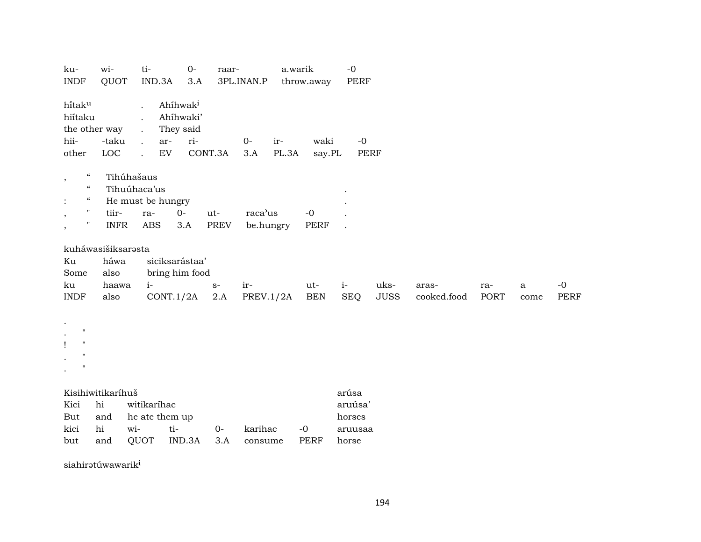| ku-<br><b>INDF</b>                                                                                                                                               | wi-<br>QUOT                                         | ti-                                                          | IND.3A                               | $O -$<br>3.A                                          | raar-       | 3PL.INAN.P           |              | a.warik<br>throw.away | $-0$<br>PERF                                   |                     |                      |             |                     |              |
|------------------------------------------------------------------------------------------------------------------------------------------------------------------|-----------------------------------------------------|--------------------------------------------------------------|--------------------------------------|-------------------------------------------------------|-------------|----------------------|--------------|-----------------------|------------------------------------------------|---------------------|----------------------|-------------|---------------------|--------------|
| hitaku<br>hiítaku<br>hii-<br>other                                                                                                                               | the other way<br>-taku<br>LOC                       | $\ddot{\phantom{a}}$<br>$\mathbf{r}$<br>$\ddot{\phantom{a}}$ | ar-<br>${\rm EV}$                    | Ahíhwak <sup>i</sup><br>Ahíhwaki'<br>They said<br>ri- | CONT.3A     | $0-$<br>3.A          | ir-<br>PL.3A | waki<br>say.PL        | $-0$                                           | PERF                |                      |             |                     |              |
| $\epsilon\epsilon$<br>$\, ,$<br>$\epsilon\epsilon$<br>$\boldsymbol{\mathcal{C}}$<br>$\ddot{\cdot}$<br>$\pmb{\mathsf{H}}$<br>$\,$<br>$\pmb{\mathsf{H}}$<br>$\, ,$ | tiir-<br><b>INFR</b>                                | Tihúhašaus<br>Tihuúhaca'us                                   | He must be hungry<br>ra-<br>ABS      | $0-$<br>3.A                                           | ut-<br>PREV | raca'us<br>be.hungry |              | $-0$<br>PERF          |                                                |                     |                      |             |                     |              |
| Ku<br>Some<br>ku<br><b>INDF</b>                                                                                                                                  | kuháwasišiksarasta<br>háwa<br>also<br>haawa<br>also |                                                              | $i-$<br>CONT.1/2A                    | siciksarástaa'<br>bring him food                      | $S-$<br>2.A | ir-<br>PREV.1/2A     |              | ut-<br><b>BEN</b>     | $i-$<br><b>SEQ</b>                             | uks-<br><b>JUSS</b> | aras-<br>cooked.food | ra-<br>PORT | $\mathbf a$<br>come | $-0$<br>PERF |
| $\bullet$<br>$\ddot{\phantom{0}}$<br>$\mathbf{H}$<br>$\mathbf{I}$<br>п<br>$\bullet$                                                                              |                                                     |                                                              |                                      |                                                       |             |                      |              |                       |                                                |                     |                      |             |                     |              |
| Kici<br>But<br>kici<br>but                                                                                                                                       | Kisihiwitikaríhuš<br>hi<br>and<br>hi<br>and         | wi-<br>QUOT                                                  | witikaríhac<br>he ate them up<br>ti- | IND.3A                                                | 0-<br>3.A   | karihac<br>consume   |              | $-0$<br><b>PERF</b>   | arúsa<br>aruúsa'<br>horses<br>aruusaa<br>horse |                     |                      |             |                     |              |

siahirətúwawarik<sup>i</sup>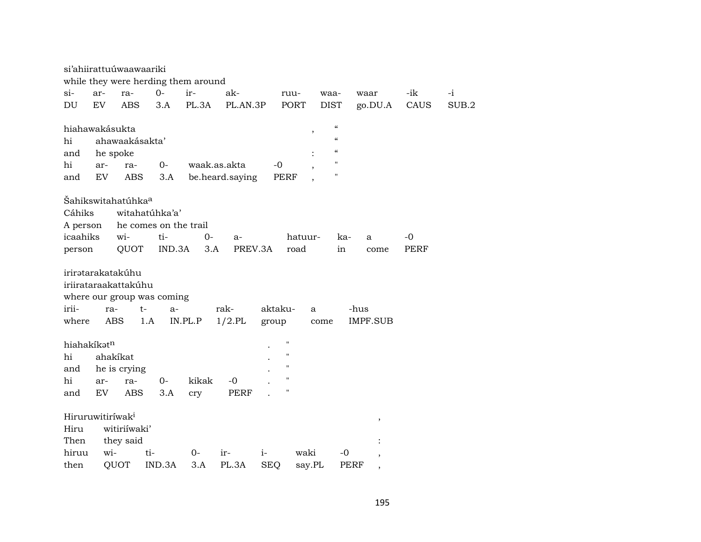|             | si'ahiirattuúwaawaariki             |                       |         |                 |                    |         |                                        |                                         |             |       |
|-------------|-------------------------------------|-----------------------|---------|-----------------|--------------------|---------|----------------------------------------|-----------------------------------------|-------------|-------|
|             | while they were herding them around |                       |         |                 |                    |         |                                        |                                         |             |       |
| $\sin$      | ar-<br>ra-                          | $0-$                  | ir-     | ak-             |                    | ruu-    | waa-                                   | waar                                    | -ik         | $-i$  |
| DU          | EV<br><b>ABS</b>                    | 3.A                   | PL.3A   | PL.AN.3P        |                    | PORT    | <b>DIST</b>                            | go.DU.A                                 | CAUS        | SUB.2 |
|             |                                     |                       |         |                 |                    |         |                                        |                                         |             |       |
|             | hiahawakásukta                      |                       |         |                 |                    | $\, ,$  | $\boldsymbol{\zeta}\boldsymbol{\zeta}$ |                                         |             |       |
| hi          | ahawaakásakta'                      |                       |         |                 |                    |         | $\boldsymbol{\zeta}\boldsymbol{\zeta}$ |                                         |             |       |
| and         | he spoke                            |                       |         |                 |                    |         | $\boldsymbol{\zeta}\boldsymbol{\zeta}$ |                                         |             |       |
| hi          | ra-<br>ar-                          | $0-$                  |         | waak.as.akta    | -0                 |         | 11                                     |                                         |             |       |
| and         | EV<br><b>ABS</b>                    | 3.A                   |         | be.heard.saying | <b>PERF</b>        |         | $\pmb{\mathsf{H}}$                     |                                         |             |       |
|             |                                     |                       |         |                 |                    |         |                                        |                                         |             |       |
|             | Šahikswitahatúhka <sup>a</sup>      |                       |         |                 |                    |         |                                        |                                         |             |       |
| Cáhiks      |                                     | witahatúhka'a'        |         |                 |                    |         |                                        |                                         |             |       |
| A person    |                                     | he comes on the trail |         |                 |                    |         |                                        |                                         |             |       |
| icaahiks    | wi-                                 | ti-                   | 0-      | a-              |                    | hatuur- | ka-                                    | a                                       | -0          |       |
| person      | QUOT                                | IND.3A                | 3.A     | PREV.3A         |                    | road    | in                                     | come                                    | <b>PERF</b> |       |
|             |                                     |                       |         |                 |                    |         |                                        |                                         |             |       |
|             | irirətarakatakúhu                   |                       |         |                 |                    |         |                                        |                                         |             |       |
|             | iriirataraakattakúhu                |                       |         |                 |                    |         |                                        |                                         |             |       |
| irii-       | where our group was coming          |                       |         |                 |                    |         |                                        |                                         |             |       |
|             | ra-                                 | $t-$<br>$a-$          |         | rak-            | aktaku-            | a       |                                        | -hus                                    |             |       |
| where       | <b>ABS</b>                          | 1.A                   | IN.PL.P | $1/2$ .PL       | group              |         | come                                   | <b>IMPF.SUB</b>                         |             |       |
| hiahakíkatn |                                     |                       |         |                 | $^{\prime\prime}$  |         |                                        |                                         |             |       |
| hi          | ahakíkat                            |                       |         |                 | $\pmb{\mathsf{H}}$ |         |                                        |                                         |             |       |
| and         | he is crying                        |                       |         |                 | $\pmb{\mathsf{H}}$ |         |                                        |                                         |             |       |
| hi          | ra-<br>ar-                          | $0-$                  | kikak   | -0              | $\pmb{\mathsf{H}}$ |         |                                        |                                         |             |       |
| and         | EV<br>ABS                           | 3.A                   |         | <b>PERF</b>     | $\pmb{\mathsf{H}}$ |         |                                        |                                         |             |       |
|             |                                     |                       | cry     |                 |                    |         |                                        |                                         |             |       |
|             | Hiruruwitiríwak <sup>i</sup>        |                       |         |                 |                    |         |                                        |                                         |             |       |
| Hiru        | witiriíwaki'                        |                       |         |                 |                    |         |                                        | $^\mathrm{,}$                           |             |       |
| Then        | they said                           |                       |         |                 |                    |         |                                        |                                         |             |       |
| hiruu       | wi-                                 | ti-                   | $0-$    | ir-             | $i-$               | waki    | -0                                     |                                         |             |       |
| then        | QUOT                                | IND.3A                | 3.A     | PL.3A           | <b>SEQ</b>         | say.PL  |                                        | $\overline{\phantom{a}}$<br><b>PERF</b> |             |       |
|             |                                     |                       |         |                 |                    |         |                                        | $\overline{\phantom{a}}$                |             |       |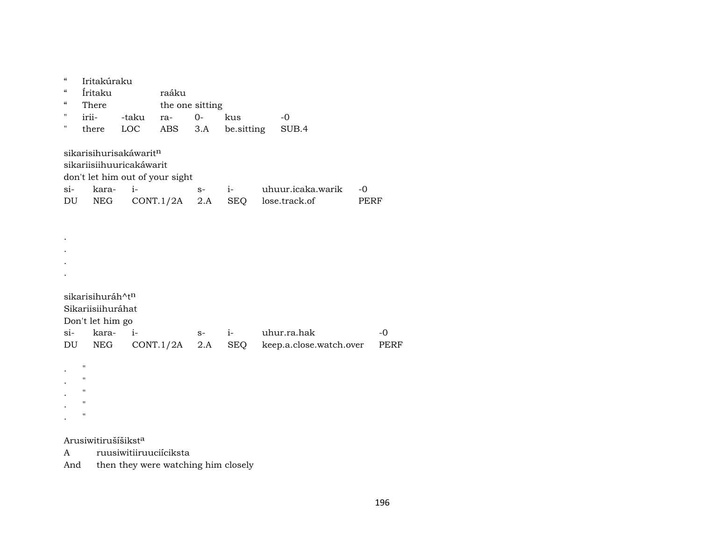" Iritakúraku " Íritaku raáku " There the one sitting<br>" irii- -taku ra- 0-" irii- -taku ra- 0- kus -0 " there LOC ABS 3.A be.sitting SUB.4 sikarisihurisakáwarit $^n$ sikariisiihuuricakáwarit don't let him out of your sight si- kara- i- s- i- uhuur.icaka.warik -0 DU NEG CONT.1/2A 2.A SEQ lose.track.of PERF . . . . sikarisihuráh^t<sup>n</sup> Sikariisiihuráhat Don't let him go si- kara- i- s- i- uhur.ra.hak -0 DU NEG CONT.1/2A 2.A SEQ keep.a.close.watch.over PERF . " . " . " . " . " Arusiwitirušíšikst<sup>a</sup>

A ruusiwitiiruuciíciksta

And then they were watching him closely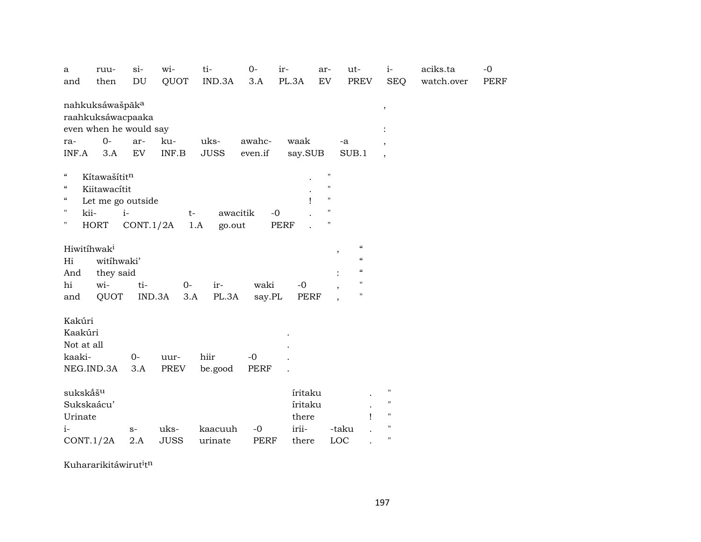| a                        | ruu-                        | $si-$     | wi-                                                 | ti-           | $0 -$       | ir-         | ar-                | ut-                        | $i-$                     | aciks.ta   | $-0$ |
|--------------------------|-----------------------------|-----------|-----------------------------------------------------|---------------|-------------|-------------|--------------------|----------------------------|--------------------------|------------|------|
| and                      | then                        | DU        | QUOT                                                | IND.3A        | 3.A         | PL.3A       | EV                 | PREV                       | <b>SEQ</b>               | watch.over | PERF |
|                          | nahkuksáwašpãk <sup>a</sup> |           |                                                     |               |             |             |                    |                            | $^\mathrm{^{^\circ}}$    |            |      |
|                          | raahkuksáwacpaaka           |           |                                                     |               |             |             |                    |                            |                          |            |      |
|                          | even when he would say      |           |                                                     |               |             |             |                    |                            |                          |            |      |
| ra-                      | $O -$                       | ar-       | ku-                                                 | uks-          | awahc-      | waak        | -a                 |                            | $\overline{\phantom{a}}$ |            |      |
| INF.A                    | 3.A                         | EV        | $\ensuremath{\mathsf{INF}}.\ensuremath{\mathsf{B}}$ | <b>JUSS</b>   | even.if     | say.SUB     |                    | SUB.1                      | $\cdot$                  |            |      |
| $\mathcal{C}\mathcal{C}$ | Kítawašítitn                |           |                                                     |               |             |             | $\pmb{\mathsf{H}}$ |                            |                          |            |      |
| $\epsilon\epsilon$       | Kiitawacítit                |           |                                                     |               |             |             | $\pmb{\mathsf{H}}$ |                            |                          |            |      |
| $\mathcal{C}\mathcal{C}$ | Let me go outside           |           |                                                     |               |             | 1           | $\pmb{\mathsf{H}}$ |                            |                          |            |      |
| П                        | kii-                        | $i-$      | $t-$                                                | awacitik      |             | $-0$        | $\pmb{\mathsf{H}}$ |                            |                          |            |      |
| "                        | <b>HORT</b>                 | CONT.1/2A |                                                     | go.out<br>1.A |             | PERF        | $\pmb{\mathsf{H}}$ |                            |                          |            |      |
|                          |                             |           |                                                     |               |             |             |                    |                            |                          |            |      |
|                          | Hiwitihwak <sup>i</sup>     |           |                                                     |               |             |             |                    | $\mathcal{C}\mathcal{C}$   |                          |            |      |
| Hi                       | witihwaki'                  |           |                                                     |               |             |             | ,                  | $\boldsymbol{\mathcal{C}}$ |                          |            |      |
| And                      | they said                   |           |                                                     |               |             |             |                    | $\boldsymbol{\mathcal{C}}$ |                          |            |      |
| hi                       | wi-                         | ti-       | $0-$                                                | ir-           | waki        | $-0$        |                    | $\pmb{\mathsf{H}}$         |                          |            |      |
| and                      | QUOT                        |           | IND.3A<br>3.A                                       | PL.3A         | say.PL      | <b>PERF</b> |                    | $\pmb{\mathsf{H}}$         |                          |            |      |
|                          |                             |           |                                                     |               |             |             |                    |                            |                          |            |      |
| Kakúri                   |                             |           |                                                     |               |             |             |                    |                            |                          |            |      |
| Kaakúri                  |                             |           |                                                     |               |             |             |                    |                            |                          |            |      |
| Not at all               |                             |           |                                                     |               |             |             |                    |                            |                          |            |      |
| kaaki-                   |                             | $0-$      | uur-                                                | hiir          | $-0$        |             |                    |                            |                          |            |      |
|                          | NEG.IND.3A                  | 3.A       | <b>PREV</b>                                         | be.good       | PERF        |             |                    |                            |                          |            |      |
|                          |                             |           |                                                     |               |             |             |                    |                            |                          |            |      |
| sukskáš <sup>u</sup>     |                             |           |                                                     |               |             | íritaku     |                    |                            | н                        |            |      |
|                          | Sukskaácu'                  |           |                                                     |               |             | íritaku     |                    |                            | $\pmb{\mathsf{H}}$       |            |      |
| Urinate                  |                             |           |                                                     |               |             | there       |                    |                            | $\mathbf{H}$             |            |      |
| $i-$                     |                             | $S-$      | uks-                                                | kaacuuh       | $-0$        | irii-       | -taku              |                            | 11                       |            |      |
|                          | CONT.1/2A                   | 2.A       | <b>JUSS</b>                                         | urinate       | <b>PERF</b> | there       | LOC                |                            | $\pmb{\mathsf{H}}$       |            |      |

Kuhararikitáwirut<sup>i</sup>t<sup>n</sup>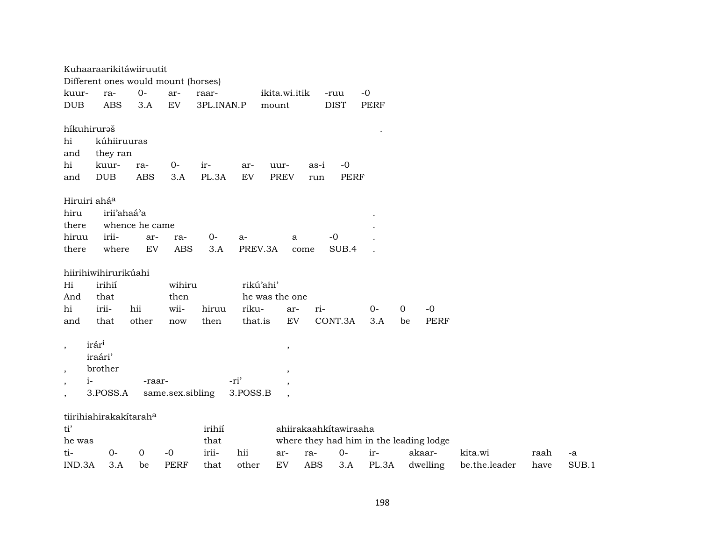|                          |                        | Kuhaaraarikitáwiiruutit             |                  |            |           |                |                       |             |                                         |         |      |    |
|--------------------------|------------------------|-------------------------------------|------------------|------------|-----------|----------------|-----------------------|-------------|-----------------------------------------|---------|------|----|
|                          |                        | Different ones would mount (horses) |                  |            |           |                |                       |             |                                         |         |      |    |
| kuur-                    | ra-                    | $0-$                                | ar-              | raar-      |           | ikita.wi.itik  | -ruu                  | $-0$        |                                         |         |      |    |
| DUB                      | <b>ABS</b>             | 3.A                                 | EV               | 3PL.INAN.P |           | mount          | <b>DIST</b>           | <b>PERF</b> |                                         |         |      |    |
|                          |                        |                                     |                  |            |           |                |                       |             |                                         |         |      |    |
| híkuhiruraš              |                        |                                     |                  |            |           |                |                       |             |                                         |         |      |    |
| hi                       | kúhiiruuras            |                                     |                  |            |           |                |                       |             |                                         |         |      |    |
| and                      | they ran               |                                     |                  |            |           |                |                       |             |                                         |         |      |    |
| hi                       | kuur-                  | ra-                                 | $O -$            | ir-        | ar-       | uur-           | $-0$<br>as-i          |             |                                         |         |      |    |
| and                      | <b>DUB</b>             | <b>ABS</b>                          | 3.A              | PL.3A      | EV        | <b>PREV</b>    | <b>PERF</b><br>run    |             |                                         |         |      |    |
| Hiruiri ahá <sup>a</sup> |                        |                                     |                  |            |           |                |                       |             |                                         |         |      |    |
| hiru                     | irii'ahaá'a            |                                     |                  |            |           |                |                       |             |                                         |         |      |    |
| there                    |                        | whence he came                      |                  |            |           |                |                       |             |                                         |         |      |    |
| hiruu                    | irii-                  | ar-                                 | ra-              | $0-$       | $a-$      | a              | $-0$                  |             |                                         |         |      |    |
| there                    | where                  | EV                                  | <b>ABS</b>       | 3.A        | PREV.3A   | come           | SUB.4                 |             |                                         |         |      |    |
|                          |                        |                                     |                  |            |           |                |                       |             |                                         |         |      |    |
|                          | hiirihiwihirurikúahi   |                                     |                  |            |           |                |                       |             |                                         |         |      |    |
| Hi                       | irihií                 |                                     | wihiru           |            | rikú'ahi' |                |                       |             |                                         |         |      |    |
| And                      | that                   |                                     | then             |            |           | he was the one |                       |             |                                         |         |      |    |
| hi                       | irii-                  | hii                                 | wii-             | hiruu      | riku-     | ar-            | ri-                   | $0-$        | $\mathbf 0$<br>$-0$                     |         |      |    |
| and                      | that                   | other                               | now              | then       | that.is   | EV             | CONT.3A               | 3.A         | <b>PERF</b><br>be                       |         |      |    |
|                          |                        |                                     |                  |            |           |                |                       |             |                                         |         |      |    |
| $\,$                     | irár <sup>i</sup>      |                                     |                  |            |           | $\, ,$         |                       |             |                                         |         |      |    |
|                          | iraári'                |                                     |                  |            |           |                |                       |             |                                         |         |      |    |
| $\overline{\phantom{a}}$ | brother                |                                     |                  |            |           | $\cdot$        |                       |             |                                         |         |      |    |
| $i-$<br>$\,$             |                        | -raar-                              |                  |            | -ri'      | $\overline{ }$ |                       |             |                                         |         |      |    |
| $\overline{\phantom{a}}$ | 3.POSS.A               |                                     | same.sex.sibling |            | 3.POSS.B  | $\cdot$        |                       |             |                                         |         |      |    |
|                          | tiirihiahirakakitaraha |                                     |                  |            |           |                |                       |             |                                         |         |      |    |
| ti'                      |                        |                                     |                  | irihií     |           |                | ahiirakaahkitawiraaha |             |                                         |         |      |    |
| he was                   |                        |                                     |                  | that       |           |                |                       |             | where they had him in the leading lodge |         |      |    |
| ti-                      | $0-$                   | 0                                   | $-0$             | irii-      | hii       | ra-<br>ar-     | $0-$                  | ir-         | akaar-                                  | kita.wi | raah | -a |
|                          |                        |                                     |                  |            |           |                |                       |             |                                         |         |      |    |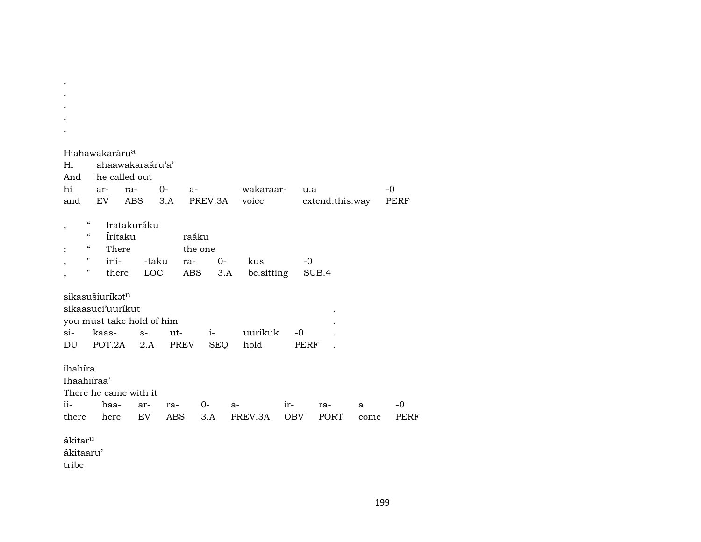| Hi<br>And<br>hi<br>and                    |                                                                                                                                                                                                                       | Hiahawakaráru <sup>a</sup><br>ar-<br>EV | ahaawakaraáru'a'<br>he called out<br>ra-<br><b>ABS</b> | $0-$<br>3.A | $a-$<br>PREV.3A                |             | wakaraar-<br>voice |                   | u.a<br>extend.this.way |           | -0<br>PERF   |  |  |  |
|-------------------------------------------|-----------------------------------------------------------------------------------------------------------------------------------------------------------------------------------------------------------------------|-----------------------------------------|--------------------------------------------------------|-------------|--------------------------------|-------------|--------------------|-------------------|------------------------|-----------|--------------|--|--|--|
| ,<br>,<br>,                               | $\boldsymbol{\zeta}\boldsymbol{\zeta}$<br>$\epsilon$<br>$\epsilon$<br>11<br>"                                                                                                                                         | There<br>irii-                          | Iratakuráku<br>Íritaku                                 | -taku       | raáku<br>the one<br>ra-<br>ABS | $0-$<br>3.A | kus                |                   | $-0$<br>SUB.4          |           |              |  |  |  |
| $\sin$<br>DU                              | LOC<br>there<br>be sitting<br>sikasušiuríkat <sup>n</sup><br>sikaasuci'uurikut<br>you must take hold of him<br>uurikuk<br>kaas-<br>ut-<br>$i-$<br>$-0$<br>$S-$<br>POT.2A<br><b>SEQ</b><br>hold<br>2.A<br>PREV<br>PERF |                                         |                                                        |             |                                |             |                    |                   |                        |           |              |  |  |  |
| ihahíra<br>Ihaahiiraa'<br>$ii-$<br>there  |                                                                                                                                                                                                                       | haa-<br>here                            | There he came with it<br>ar-<br>EV.                    | ra-<br>ABS  | 0-                             | a-<br>3.A   | PREV.3A            | ir-<br><b>OBV</b> | ra-<br><b>PORT</b>     | a<br>come | $-0$<br>PERF |  |  |  |
| ákitar <sup>u</sup><br>ákitaaru'<br>tribe |                                                                                                                                                                                                                       |                                         |                                                        |             |                                |             |                    |                   |                        |           |              |  |  |  |

 $\sim$  $\bullet$  $\mathcal{A}^{\pm}$ 

199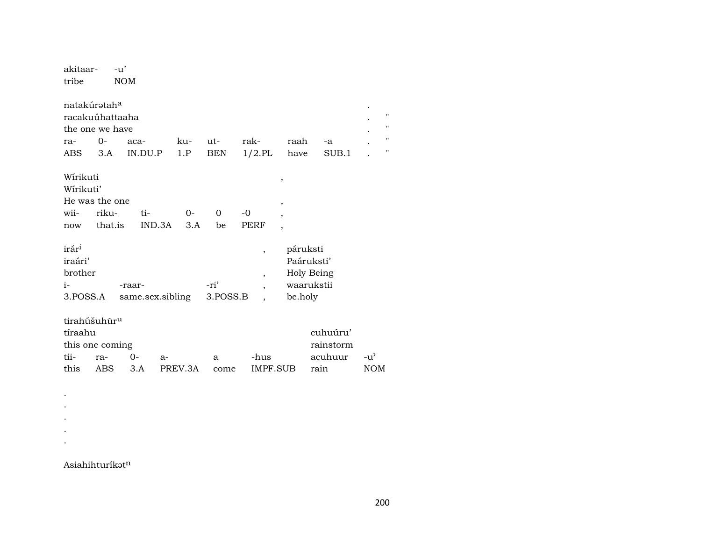| akitaar-<br>tribe                                                      | $-u'$<br><b>NOM</b>                                                            |                      |                  |                   |                                                 |                                            |                                        |                     |
|------------------------------------------------------------------------|--------------------------------------------------------------------------------|----------------------|------------------|-------------------|-------------------------------------------------|--------------------------------------------|----------------------------------------|---------------------|
| ra-<br>ABS                                                             | natakúrətah <sup>a</sup><br>racakuúhattaaha<br>the one we have<br>$O -$<br>3.A | aca-<br>IN.DU.P      | ku-<br>1.P       | ut-<br><b>BEN</b> | rak-<br>$1/2$ .PL                               | raah<br>have                               | -a<br>SUB.1                            | 11<br>11<br>11<br>" |
| Wírikuti<br>Wírikuti'<br>wii-<br>now                                   | He was the one<br>riku-<br>that.is                                             | ti-<br>IND.3A        | $0 -$<br>3.A     | 0<br>be           | $-0$<br><b>PERF</b>                             | ,<br>,<br>$\overline{ }$<br>$\overline{ }$ |                                        |                     |
| irár <sup>i</sup><br>iraári'<br>brother<br>$i-$<br>3.POSS.A            |                                                                                | -raar-               | same.sex.sibling | -ri'<br>3.POSS.B  | ,<br>$\overline{\phantom{a}}$<br>$\overline{ }$ | páruksti<br>be.holy                        | Paáruksti'<br>Holy Being<br>waarukstii |                     |
| tirahúšuhūr <sup>u</sup><br>tíraahu<br>this one coming<br>tii-<br>this | cuhuúru'<br>rainstorm<br>acuhuur<br>rain                                       | $-u^3$<br><b>NOM</b> |                  |                   |                                                 |                                            |                                        |                     |

Asiahihturíkatn

 $\langle \cdot \rangle$  $\bullet$  $\bullet$  $\langle \cdot \rangle$  $\langle \cdot \rangle$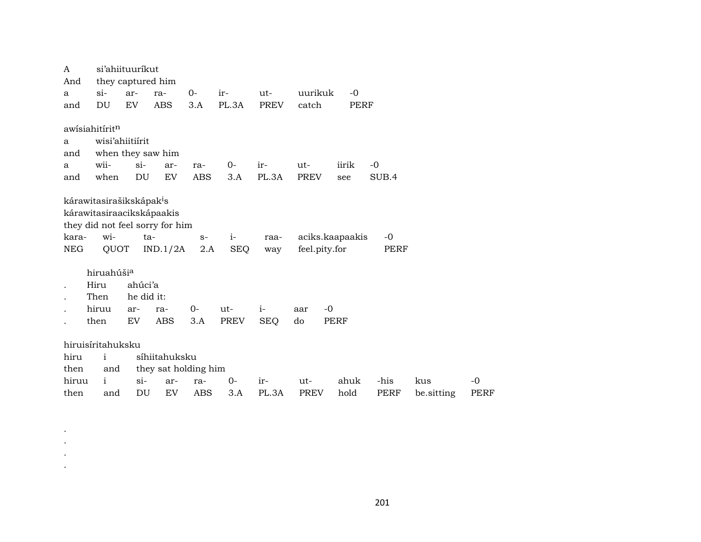| A          |                                      | si'ahiituuríkut   |                                 |            |             |             |               |                 |             |            |             |
|------------|--------------------------------------|-------------------|---------------------------------|------------|-------------|-------------|---------------|-----------------|-------------|------------|-------------|
| And        |                                      | they captured him |                                 |            |             |             |               |                 |             |            |             |
| a          | $\sin$                               | ar-               | ra-                             | $0-$       | ir-         | ut-         | uurikuk       | $-0$            |             |            |             |
| and        | DU                                   | EV                | <b>ABS</b>                      | 3.A        | PL.3A       | <b>PREV</b> | catch         | <b>PERF</b>     |             |            |             |
|            | awisiahitirit <sup>n</sup>           |                   |                                 |            |             |             |               |                 |             |            |             |
| a          |                                      | wisi'ahiitiirit   |                                 |            |             |             |               |                 |             |            |             |
| and        |                                      |                   | when they saw him               |            |             |             |               |                 |             |            |             |
| a          | wii-                                 | $si$ -            | ar-                             | ra-        | $0-$        | ir-         | ut-           | iirik           | $-0$        |            |             |
| and        | when                                 | DU                | EV                              | ABS        | 3.A         | PL.3A       | PREV          | see             | SUB.4       |            |             |
|            | kárawitasirašikskápak <sup>i</sup> s |                   |                                 |            |             |             |               |                 |             |            |             |
|            | kárawitasiraacikskápaakis            |                   |                                 |            |             |             |               |                 |             |            |             |
|            |                                      |                   | they did not feel sorry for him |            |             |             |               |                 |             |            |             |
| kara-      | wi-                                  | $ta-$             |                                 | $S-$       | $i-$        | raa-        |               | aciks.kaapaakis | $-0$        |            |             |
| <b>NEG</b> | QUOT                                 |                   | IND.1/2A                        | 2.A        | <b>SEQ</b>  | way         | feel.pity.for |                 | PERF        |            |             |
|            | hiruahúšia                           |                   |                                 |            |             |             |               |                 |             |            |             |
|            | Hiru                                 | ahúci'a           |                                 |            |             |             |               |                 |             |            |             |
|            | Then                                 | he did it:        |                                 |            |             |             |               |                 |             |            |             |
|            | hiruu                                | ar-               | ra-                             | $0-$       | ut-         | $i-$        | $-0$<br>aar   |                 |             |            |             |
|            | then                                 | EV                | <b>ABS</b>                      | 3.A        | <b>PREV</b> | <b>SEQ</b>  | do            | <b>PERF</b>     |             |            |             |
|            | hiruisíritahuksku                    |                   |                                 |            |             |             |               |                 |             |            |             |
| hiru       | $\mathbf{i}$                         |                   | síhiitahuksku                   |            |             |             |               |                 |             |            |             |
| then       | and                                  |                   | they sat holding him            |            |             |             |               |                 |             |            |             |
| hiruu      | $\mathbf{i}$                         | $\sin$            | ar-                             | ra-        | $0-$        | ir-         | ut-           | ahuk            | -his        | kus        | $-0$        |
| then       | and                                  | DU                | EV                              | <b>ABS</b> | 3.A         | PL.3A       | <b>PREV</b>   | hold            | <b>PERF</b> | be.sitting | <b>PERF</b> |
|            |                                      |                   |                                 |            |             |             |               |                 |             |            |             |

. . . .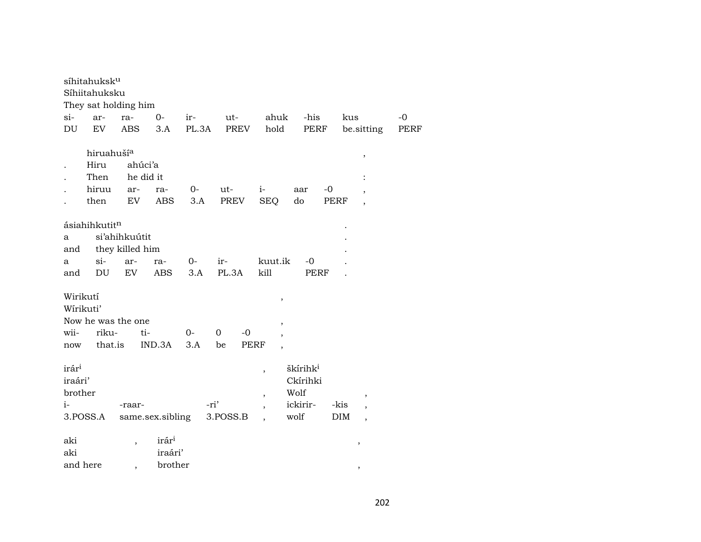|                   | síhitahuksk <sup>u</sup>    |                          |                  |              |                   |                          |                      |      |                          |              |
|-------------------|-----------------------------|--------------------------|------------------|--------------|-------------------|--------------------------|----------------------|------|--------------------------|--------------|
|                   | Síhiitahuksku               |                          |                  |              |                   |                          |                      |      |                          |              |
| $si-$             | They sat holding him        |                          | $O -$            |              |                   | ahuk                     | -his                 |      |                          |              |
| DU                | ar-<br>EV                   | ra-<br><b>ABS</b>        | 3.A              | ir-<br>PL.3A | ut-<br>PREV       | hold                     | PERF                 | kus  | be.sitting               | $-0$<br>PERF |
|                   |                             |                          |                  |              |                   |                          |                      |      |                          |              |
|                   | hiruahuší <sup>a</sup>      |                          |                  |              |                   |                          |                      |      | ,                        |              |
|                   | Hiru                        | ahúci'a                  |                  |              |                   |                          |                      |      |                          |              |
|                   | Then                        | he did it                |                  |              |                   |                          |                      |      |                          |              |
|                   | hiruu                       | ar-                      | ra-              | $0-$         | ut-               | $i-$                     | aar                  | $-0$ |                          |              |
|                   | then                        | EV                       | ABS              | 3.A          | PREV              | <b>SEQ</b>               | do                   | PERF |                          |              |
|                   |                             |                          |                  |              |                   |                          |                      |      |                          |              |
|                   | ásiahihkutit <sup>n</sup>   |                          |                  |              |                   |                          |                      |      |                          |              |
| a                 |                             | si'ahihkuútit            |                  |              |                   |                          |                      |      |                          |              |
| and               |                             | they killed him          |                  |              |                   |                          |                      |      |                          |              |
| a                 | $\sin$                      | ar-                      | ra-              | $0-$         | ir-               | kuut.ik                  | $-0$                 |      |                          |              |
| and               | DU                          | EV                       | ABS              | 3.A          | PL.3A             | kill                     | PERF                 |      |                          |              |
|                   |                             |                          |                  |              |                   |                          |                      |      |                          |              |
| Wirikutí          |                             |                          |                  |              |                   | $^\mathrm{,}$            |                      |      |                          |              |
| Wírikuti'         |                             |                          |                  |              |                   |                          |                      |      |                          |              |
|                   | Now he was the one<br>riku- |                          |                  |              | $\overline{0}$    | $^\mathrm{,}$            |                      |      |                          |              |
| wii-              | that.is                     | ti-                      |                  | 0-           | $-0$              |                          |                      |      |                          |              |
| now               |                             |                          | IND.3A           | 3.A          | be<br><b>PERF</b> | $\overline{\phantom{a}}$ |                      |      |                          |              |
| irár <sup>i</sup> |                             |                          |                  |              |                   |                          | škírihk <sup>i</sup> |      |                          |              |
| iraári'           |                             |                          |                  |              |                   | $\,$                     | Ckírihki             |      |                          |              |
| brother           |                             |                          |                  |              |                   |                          | Wolf                 |      |                          |              |
| $i-$              |                             | -raar-                   |                  |              | -ri'              | $\overline{\phantom{a}}$ | ickirir-             | -kis | $\, ,$                   |              |
|                   | 3.POSS.A                    |                          | same.sex.sibling |              | 3.POSS.B          | $\overline{\phantom{a}}$ | wolf                 | DIM  | $\overline{\phantom{a}}$ |              |
|                   |                             |                          |                  |              |                   |                          |                      |      | $\overline{\phantom{a}}$ |              |
| aki               |                             | $\overline{\phantom{a}}$ | irári            |              |                   |                          |                      |      | $\, ,$                   |              |
| aki               |                             |                          | iraári'          |              |                   |                          |                      |      |                          |              |
| and here          |                             | ,                        | brother          |              |                   |                          |                      |      | $\cdot$                  |              |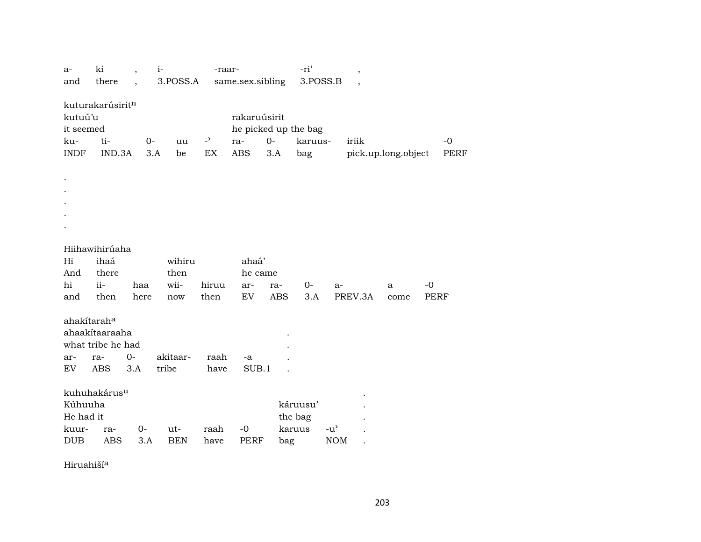| $a-$        | ki                       | $\overline{\phantom{a}}$ | $i-$       | -raar-         |                      |            | -ri'     |                                     | $^\mathrm{,}$            |                     |             |             |
|-------------|--------------------------|--------------------------|------------|----------------|----------------------|------------|----------|-------------------------------------|--------------------------|---------------------|-------------|-------------|
| and         | there                    |                          | 3.POSS.A   |                | same.sex.sibling     |            | 3.POSS.B |                                     | $\overline{\phantom{a}}$ |                     |             |             |
|             |                          |                          |            |                |                      |            |          |                                     |                          |                     |             |             |
|             | kuturakarúsiritn         |                          |            |                |                      |            |          |                                     |                          |                     |             |             |
| kutuú'u     |                          |                          |            |                | rakaruúsirit         |            |          |                                     |                          |                     |             |             |
| it seemed   |                          |                          |            |                | he picked up the bag |            |          |                                     |                          |                     |             |             |
| ku-         | ti-                      | $0-$                     | uu         | $\overline{a}$ | ra-                  | $O -$      | karuus-  | iriik                               |                          |                     |             | $-0$        |
| <b>INDF</b> | IND.3A                   | 3.A                      | be         | EX             | ABS                  | 3.A        | bag      |                                     |                          | pick.up.long.object |             | <b>PERF</b> |
|             |                          |                          |            |                |                      |            |          |                                     |                          |                     |             |             |
|             |                          |                          |            |                |                      |            |          |                                     |                          |                     |             |             |
|             |                          |                          |            |                |                      |            |          |                                     |                          |                     |             |             |
|             |                          |                          |            |                |                      |            |          |                                     |                          |                     |             |             |
|             |                          |                          |            |                |                      |            |          |                                     |                          |                     |             |             |
|             |                          |                          |            |                |                      |            |          |                                     |                          |                     |             |             |
|             |                          |                          |            |                |                      |            |          |                                     |                          |                     |             |             |
|             | Hiihawihirúaha           |                          |            |                |                      |            |          |                                     |                          |                     |             |             |
| Hi          | ihaá                     |                          | wihiru     |                | ahaá'                |            |          |                                     |                          |                     |             |             |
| And         | there                    |                          | then       |                | he came              |            |          |                                     |                          |                     |             |             |
| hi          | ii-                      | haa                      | wii-       | hiruu          | ar-                  | ra-        | $0-$     | a-                                  |                          | a                   | $-0$        |             |
| and         | then                     | here                     | now        | then           | EV                   | <b>ABS</b> | 3.A      | PREV.3A                             |                          | come                | <b>PERF</b> |             |
|             |                          |                          |            |                |                      |            |          |                                     |                          |                     |             |             |
| ahakítaraha |                          |                          |            |                |                      |            |          |                                     |                          |                     |             |             |
|             | ahaakítaaraaha           |                          |            |                |                      |            |          |                                     |                          |                     |             |             |
|             | what tribe he had        |                          |            |                |                      |            |          |                                     |                          |                     |             |             |
| ar-         | ra-                      | $0-$                     | akitaar-   | raah           | -a                   |            |          |                                     |                          |                     |             |             |
| EV          | <b>ABS</b>               | 3.A                      | tribe      | have           | SUB.1                |            |          |                                     |                          |                     |             |             |
|             |                          |                          |            |                |                      |            |          |                                     |                          |                     |             |             |
|             | kuhuhakárus <sup>u</sup> |                          |            |                |                      |            |          |                                     |                          |                     |             |             |
| Kúhuuha     |                          |                          |            |                |                      |            | káruusu' |                                     |                          |                     |             |             |
| He had it   |                          |                          |            |                |                      |            | the bag  |                                     |                          |                     |             |             |
| kuur-       | ra-                      | $0-$                     | ut-        | raah           | $-0$                 |            | karuus   | $-u$ <sup><math>\prime</math></sup> |                          |                     |             |             |
| <b>DUB</b>  | <b>ABS</b>               | 3.A                      | <b>BEN</b> | have           | <b>PERF</b>          | bag        |          | <b>NOM</b>                          |                          |                     |             |             |

Hiruahiší<sup>a</sup>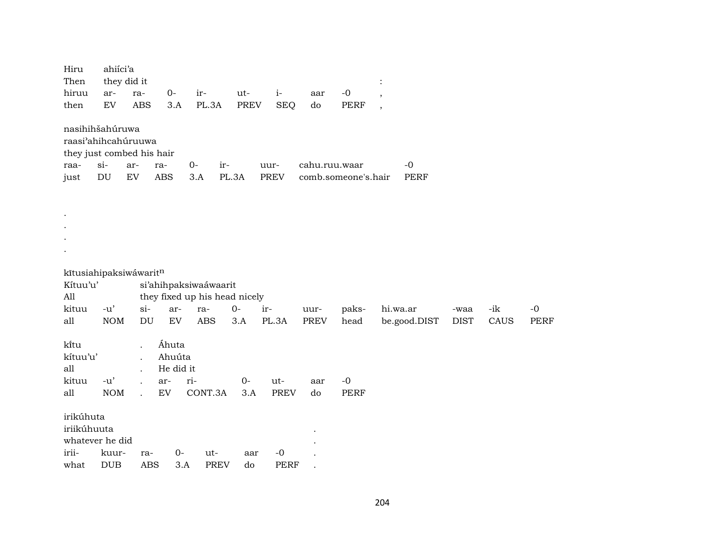| Hiru<br>Then | ahiíci'a<br>they did it    |            |                            |                               |             |             |               |                     |                          |             |      |             |
|--------------|----------------------------|------------|----------------------------|-------------------------------|-------------|-------------|---------------|---------------------|--------------------------|-------------|------|-------------|
| hiruu        | ar-                        | ra-        | $0-$                       | ir-                           | ut-         | $\it i$ -   | aar           | $-0$                | $\overline{\phantom{a}}$ |             |      |             |
| then         | $\mathop{\rm EV}\nolimits$ | <b>ABS</b> | 3.A                        | PL.3A                         | <b>PREV</b> | <b>SEQ</b>  | do            | <b>PERF</b>         | $\cdot$                  |             |      |             |
|              | nasihihšahúruwa            |            |                            |                               |             |             |               |                     |                          |             |      |             |
|              | raasi'ahihcahúruuwa        |            |                            |                               |             |             |               |                     |                          |             |      |             |
|              | they just combed his hair  |            |                            |                               |             |             |               |                     |                          |             |      |             |
| raa-         | $si$ -                     | ar-<br>ra- |                            | $O -$<br>ir-                  |             | uur-        | cahu.ruu.waar |                     | $-0$                     |             |      |             |
| just         | DU                         | EV         | $\mathbf{ABS}$             | 3.A                           | PL.3A       | PREV        |               | comb.someone's.hair | <b>PERF</b>              |             |      |             |
|              |                            |            |                            |                               |             |             |               |                     |                          |             |      |             |
|              |                            |            |                            |                               |             |             |               |                     |                          |             |      |             |
|              |                            |            |                            |                               |             |             |               |                     |                          |             |      |             |
|              |                            |            |                            |                               |             |             |               |                     |                          |             |      |             |
|              |                            |            |                            |                               |             |             |               |                     |                          |             |      |             |
|              |                            |            |                            |                               |             |             |               |                     |                          |             |      |             |
|              | kītusiahipaksiwáwaritn     |            |                            |                               |             |             |               |                     |                          |             |      |             |
| Kítuu'u'     |                            |            |                            | si'ahihpaksiwaáwaarit         |             |             |               |                     |                          |             |      |             |
| All          |                            |            |                            | they fixed up his head nicely |             |             |               |                     |                          |             |      |             |
| kituu        | $-u'$                      | $si-$      | ar-                        | ra-                           | $0-$        | ir-         | uur-          | paks-               | hi.wa.ar                 | -waa        | -ik  | $-0$        |
| all          | <b>NOM</b>                 | DU         | $\mathop{\rm EV}\nolimits$ | $\operatorname{ABS}$          | 3.A         | PL.3A       | <b>PREV</b>   | head                | be.good.DIST             | <b>DIST</b> | CAUS | <b>PERF</b> |
|              |                            |            |                            |                               |             |             |               |                     |                          |             |      |             |
| ki̇̃tu       |                            |            | Áhuta                      |                               |             |             |               |                     |                          |             |      |             |
| kítuu'u'     |                            |            | Ahuúta                     |                               |             |             |               |                     |                          |             |      |             |
| all          |                            |            | He did it                  |                               |             |             |               |                     |                          |             |      |             |
| kituu        | $-u'$                      | $\cdot$    | ar-                        | ri-                           | $0-$        | ut-         | aar           | $-0$                |                          |             |      |             |
| all          | <b>NOM</b>                 |            | EV                         | CONT.3A                       | 3.A         | <b>PREV</b> | do            | <b>PERF</b>         |                          |             |      |             |
| irikúhuta    |                            |            |                            |                               |             |             |               |                     |                          |             |      |             |
| iriikúhuuta  |                            |            |                            |                               |             |             |               |                     |                          |             |      |             |
|              | whatever he did            |            |                            |                               |             |             |               |                     |                          |             |      |             |
| irii-        | kuur-                      | ra-        | $O -$                      | ut-                           | aar         | $-0$        |               |                     |                          |             |      |             |
| what         | DUB                        | <b>ABS</b> | 3.A                        | <b>PREV</b>                   | do          | <b>PERF</b> |               |                     |                          |             |      |             |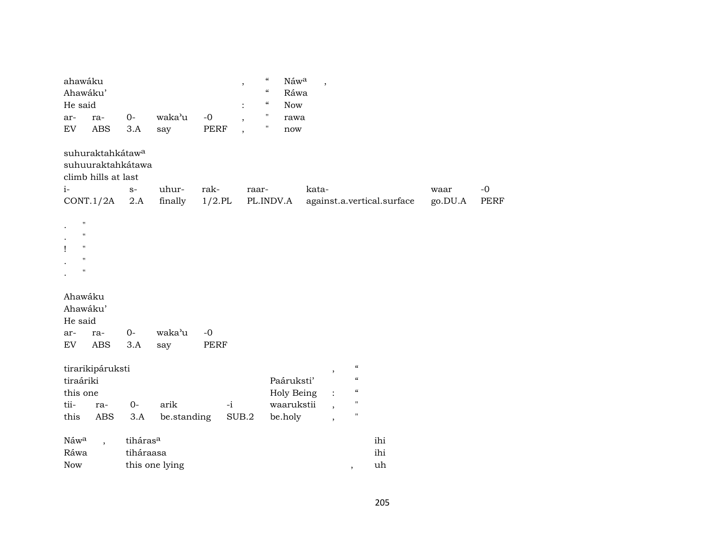| ahawáku<br>Ahawáku'<br>He said<br>ar-<br>ra-<br>ABS<br>${\rm EV}$                             | $O -$<br>$3.A$<br>say                               | waka'u<br>$-0$<br>PERF                | $\boldsymbol{\zeta}\boldsymbol{\zeta}$<br>$^\mathrm{,}$<br>$\mathcal{C}\mathcal{C}$<br>$\epsilon\epsilon$<br>$\pmb{\mathsf{H}}$<br>$\overline{\phantom{a}}$<br>н<br>$\, ,$ | Náwa<br>Ráwa<br><b>Now</b><br>rawa<br>$\operatorname{now}$ | $\overline{\phantom{a}}$                                  |                                                                                       |                 |                     |
|-----------------------------------------------------------------------------------------------|-----------------------------------------------------|---------------------------------------|----------------------------------------------------------------------------------------------------------------------------------------------------------------------------|------------------------------------------------------------|-----------------------------------------------------------|---------------------------------------------------------------------------------------|-----------------|---------------------|
| suhuraktahkátaw <sup>a</sup><br>suhuuraktahkátawa<br>climb hills at last<br>$i-$<br>CONT.1/2A | $S-$<br>2.A                                         | uhur-<br>rak-<br>finally<br>$1/2$ .PL | raar-                                                                                                                                                                      | PL.INDV.A                                                  | kata-                                                     | against.a.vertical.surface                                                            | waar<br>go.DU.A | $-0$<br><b>PERF</b> |
| П<br>$\pmb{\mathsf{H}}$<br>$\pmb{\mathsf{H}}$<br>$\pmb{\mathsf{H}}$<br>П                      |                                                     |                                       |                                                                                                                                                                            |                                                            |                                                           |                                                                                       |                 |                     |
| Ahawáku<br>Ahawáku'<br>He said<br>ar-<br>ra-<br>ABS<br>${\rm EV}$                             | $0-$<br>3.A<br>say                                  | waka'u<br>$-0$<br><b>PERF</b>         |                                                                                                                                                                            |                                                            |                                                           |                                                                                       |                 |                     |
| tirarikipáruksti<br>tiraáriki<br>this one<br>tii-<br>ra-<br>this<br>ABS                       | $0-$<br>3.A                                         | arik<br>be.standing                   | $-i$<br>SUB.2                                                                                                                                                              | Paáruksti'<br>Holy Being<br>waarukstii<br>be.holy          | ,<br>$\overline{\phantom{a}}$<br>$\overline{\phantom{a}}$ | $\epsilon\epsilon$<br>$\pmb{\zeta}\pmb{\zeta}$<br>$\pmb{\zeta}\pmb{\zeta}$<br>"<br>11 |                 |                     |
| Náwa<br>$\overline{\phantom{a}}$<br>Ráwa<br><b>Now</b>                                        | tiháras <sup>a</sup><br>tiháraasa<br>this one lying |                                       |                                                                                                                                                                            |                                                            |                                                           | ihi<br>ihi<br>uh<br>$\,$                                                              |                 |                     |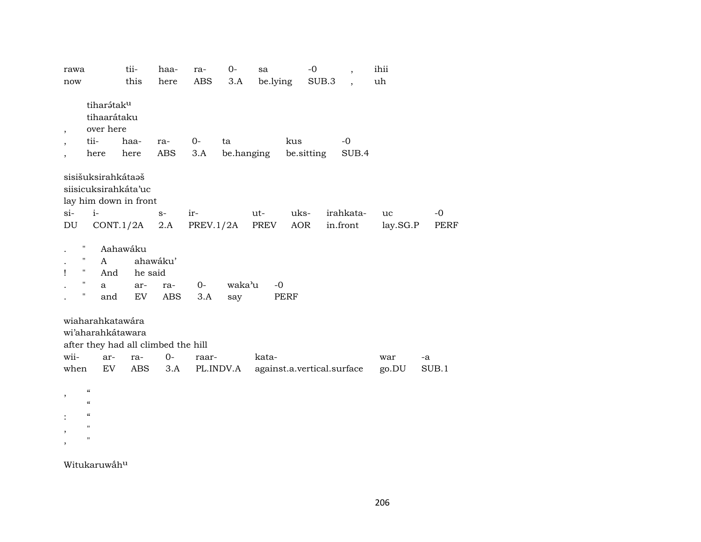| rawa  |                                                                                                                   | tii-                             | haa-                   | ra-         | $0-$          | sa       |      | -0                         | $\overline{\phantom{a}}$ | ihii     |       |
|-------|-------------------------------------------------------------------------------------------------------------------|----------------------------------|------------------------|-------------|---------------|----------|------|----------------------------|--------------------------|----------|-------|
| now   |                                                                                                                   | this                             | here                   | ABS         | 3.A           | be.lying |      | SUB.3                      |                          | uh       |       |
| ,     | tiharátaku<br>tihaarátaku<br>over here<br>tii-                                                                    | haa-                             |                        | $0-$        | ta            |          | kus  |                            | $-0$                     |          |       |
|       |                                                                                                                   |                                  | ra-                    |             |               |          |      |                            |                          |          |       |
|       | here                                                                                                              | here                             | ABS                    | 3.A         | be.hanging    |          |      | be.sitting                 | SUB.4                    |          |       |
| $si-$ | sisišuksirahkátaaš<br>siisicuksirahkáta'uc<br>lay him down in front<br>$i-$                                       |                                  | $S-$                   | ir-         |               | ut-      | uks- |                            | irahkata-                | uc       | $-0$  |
| DU    |                                                                                                                   | CONT.1/2A                        | 2.A                    | PREV.1/2A   |               | PREV     | AOR  |                            | in.front                 | lay.SG.P | PERF  |
|       | $\pmb{\mathsf{H}}$<br>п<br>A<br>$\pmb{\mathsf{H}}$<br>And<br>$\pmb{\mathsf{H}}$<br>a<br>$\pmb{\mathsf{H}}$<br>and | Aahawáku<br>he said<br>ar-<br>EV | ahawáku'<br>ra-<br>ABS | $0-$<br>3.A | waka'u<br>say | $-0$     | PERF |                            |                          |          |       |
|       | wiaharahkatawára                                                                                                  |                                  |                        |             |               |          |      |                            |                          |          |       |
|       | wi'aharahkátawara                                                                                                 |                                  |                        |             |               |          |      |                            |                          |          |       |
|       | after they had all climbed the hill                                                                               |                                  |                        |             |               |          |      |                            |                          |          |       |
| wii-  | ar-                                                                                                               | ra-                              | $0-$                   | raar-       |               | kata-    |      |                            |                          | war      | -a    |
| when  | EV                                                                                                                | ABS                              | 3.A                    |             | PL.INDV.A     |          |      | against.a.vertical.surface |                          | go.DU    | SUB.1 |
| ,     | $\epsilon\epsilon$<br>$\boldsymbol{\mathcal{C}}$<br>$\epsilon\epsilon$<br>11<br>11                                |                                  |                        |             |               |          |      |                            |                          |          |       |

Witukaruwahu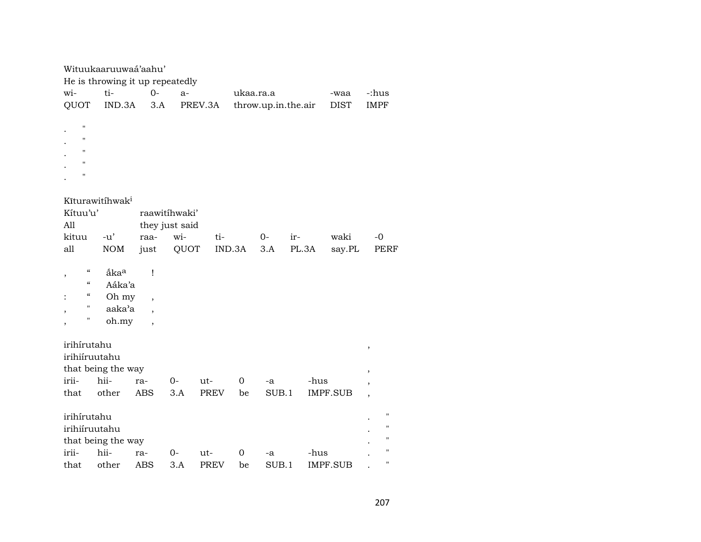|                                 | Wituukaaruuwaá'aahu'                |                          |                |             |           |       |                     |                 |                          |  |  |
|---------------------------------|-------------------------------------|--------------------------|----------------|-------------|-----------|-------|---------------------|-----------------|--------------------------|--|--|
| He is throwing it up repeatedly |                                     |                          |                |             |           |       |                     |                 |                          |  |  |
| wi-                             | ti-                                 | $0-$                     | $a-$           |             | ukaa.ra.a |       |                     | -waa            | -:hus                    |  |  |
| QUOT                            | IND.3A                              | 3.A                      |                | PREV.3A     |           |       | throw.up.in.the.air | <b>DIST</b>     | <b>IMPF</b>              |  |  |
|                                 |                                     |                          |                |             |           |       |                     |                 |                          |  |  |
| $\pmb{\mathsf{H}}$              |                                     |                          |                |             |           |       |                     |                 |                          |  |  |
| н                               |                                     |                          |                |             |           |       |                     |                 |                          |  |  |
| $\mathbf{H}$                    |                                     |                          |                |             |           |       |                     |                 |                          |  |  |
| п                               |                                     |                          |                |             |           |       |                     |                 |                          |  |  |
| н                               |                                     |                          |                |             |           |       |                     |                 |                          |  |  |
|                                 |                                     |                          |                |             |           |       |                     |                 |                          |  |  |
|                                 | Kīturawitíhwak <sup>i</sup>         |                          |                |             |           |       |                     |                 |                          |  |  |
| Kítuu'u'                        |                                     |                          | raawitíhwaki'  |             |           |       |                     |                 |                          |  |  |
| All                             |                                     |                          | they just said |             |           |       |                     |                 |                          |  |  |
| kituu                           | $-u'$                               | raa-                     | wi-            | ti-         |           | $0-$  | ir-                 | waki            | $-0$                     |  |  |
| all                             | <b>NOM</b>                          | just                     | QUOT           |             | IND.3A    | 3.A   | PL.3A               | say.PL          | PERF                     |  |  |
|                                 |                                     |                          |                |             |           |       |                     |                 |                          |  |  |
| $\epsilon$<br>$\, ,$            | åka <sup>a</sup>                    | $\mathbf{I}$             |                |             |           |       |                     |                 |                          |  |  |
| $\epsilon\epsilon$              | Aáka'a                              |                          |                |             |           |       |                     |                 |                          |  |  |
| $\epsilon$                      | Oh my                               | $\overline{\phantom{a}}$ |                |             |           |       |                     |                 |                          |  |  |
| 11                              | aaka'a                              | $\overline{\phantom{a}}$ |                |             |           |       |                     |                 |                          |  |  |
| 11                              | oh.my                               | $\overline{\phantom{a}}$ |                |             |           |       |                     |                 |                          |  |  |
|                                 |                                     |                          |                |             |           |       |                     |                 |                          |  |  |
| irihírutahu                     |                                     |                          |                |             |           |       |                     |                 | $\,$                     |  |  |
| irihiíruutahu                   |                                     |                          |                |             |           |       |                     |                 |                          |  |  |
|                                 | that being the way                  |                          |                |             |           |       |                     |                 | $\,$                     |  |  |
| irii-                           | hii-                                | ra-                      | $0-$           | ut-         | 0         | -a    | -hus                |                 | $\, ,$                   |  |  |
| that                            | other                               | <b>ABS</b>               | 3.A            | <b>PREV</b> | be        | SUB.1 |                     | <b>IMPF.SUB</b> | $\overline{\phantom{a}}$ |  |  |
|                                 |                                     |                          |                |             |           |       |                     |                 |                          |  |  |
| irihírutahu                     |                                     |                          |                |             |           |       |                     |                 | $\pmb{\mathsf{H}}$       |  |  |
|                                 |                                     |                          |                |             |           |       |                     |                 | "                        |  |  |
|                                 |                                     |                          |                |             |           |       |                     |                 | $\pmb{\mathsf{H}}$       |  |  |
|                                 |                                     | ra-                      |                | ut-         |           | -a    | -hus                |                 | $\pmb{\mathsf{H}}$       |  |  |
| that                            |                                     | <b>ABS</b>               | 3.A            | <b>PREV</b> | be        | SUB.1 |                     | <b>IMPF.SUB</b> | $\pmb{\mathsf{H}}$       |  |  |
| irihiíruutahu<br>irii-          | that being the way<br>hii-<br>other |                          | 0-             |             | 0         |       |                     |                 |                          |  |  |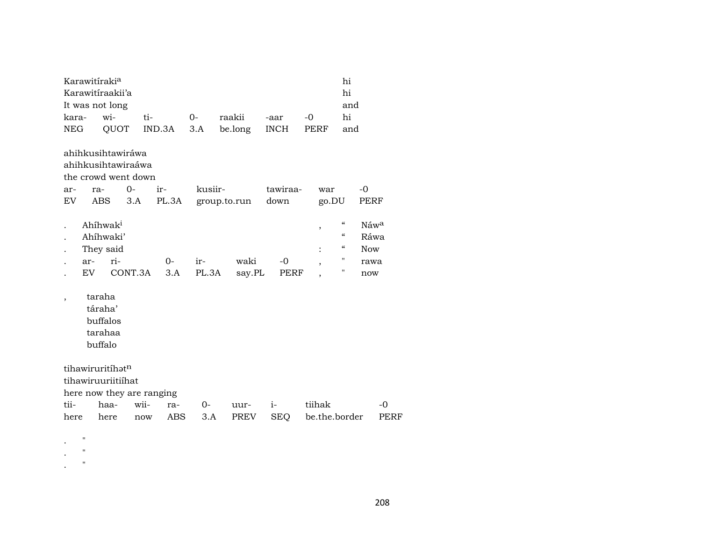|                          | Karawitíraki <sup>a</sup> | Karawitiraakii'a                          |                                         |                           |         |              |                  |               | hi<br>hi                               |            |
|--------------------------|---------------------------|-------------------------------------------|-----------------------------------------|---------------------------|---------|--------------|------------------|---------------|----------------------------------------|------------|
|                          |                           | It was not long                           |                                         |                           |         |              |                  |               | and                                    |            |
| kara-                    |                           | wi-                                       | ti-                                     |                           | 0-      | raakii       | -aar             | -0            | hi                                     |            |
| <b>NEG</b>               |                           | QUOT                                      |                                         | IND.3A                    | 3.A     | be.long      | <b>INCH</b>      | PERF          | and                                    |            |
|                          |                           |                                           | ahihkusihtawiráwa<br>ahihkusihtawiraáwa |                           |         |              |                  |               |                                        |            |
|                          |                           |                                           | the crowd went down                     |                           |         |              |                  |               |                                        |            |
| ar-<br>EV                | ra-<br>ABS                |                                           | $0-$<br>3.A                             | ir-<br>PL.3A              | kusiir- | group.to.run | tawiraa-<br>down | war<br>go.DU  | $-0$                                   | PERF       |
|                          |                           | Ahíhwak <sup>i</sup>                      |                                         |                           |         |              |                  | $\, ,$        | $\boldsymbol{\zeta}\boldsymbol{\zeta}$ | Náwa       |
|                          |                           | Ahíhwaki'                                 |                                         |                           |         |              |                  |               | $\boldsymbol{\zeta}\boldsymbol{\zeta}$ | Ráwa       |
|                          |                           | They said                                 |                                         |                           |         |              |                  |               | $\boldsymbol{\zeta}\boldsymbol{\zeta}$ | <b>Now</b> |
|                          | ar-                       | ri-                                       |                                         | $0-$                      | ir-     | waki         | $-0$             | $\cdot$       | 11                                     | rawa       |
|                          | EV.                       |                                           | CONT.3A                                 | 3.A                       | PL.3A   | say.PL       | PERF             |               | 11                                     | now        |
| $\overline{\phantom{a}}$ | taraha                    | táraha'<br>buffalos<br>tarahaa<br>buffalo |                                         |                           |         |              |                  |               |                                        |            |
|                          |                           | tihawiruritíhatn<br>tihawiruuriitiihat    |                                         |                           |         |              |                  |               |                                        |            |
|                          |                           |                                           |                                         | here now they are ranging |         |              |                  |               |                                        |            |
| tii-                     |                           | haa-                                      | wii-                                    | ra-                       | 0-      | uur-         | $i-$             | tiihak        |                                        | -0         |
| here                     |                           | here                                      | now                                     | ABS                       | 3.A     | PREV         | <b>SEQ</b>       | be.the.border |                                        | PERF       |
|                          | п                         |                                           |                                         |                           |         |              |                  |               |                                        |            |

. "

. "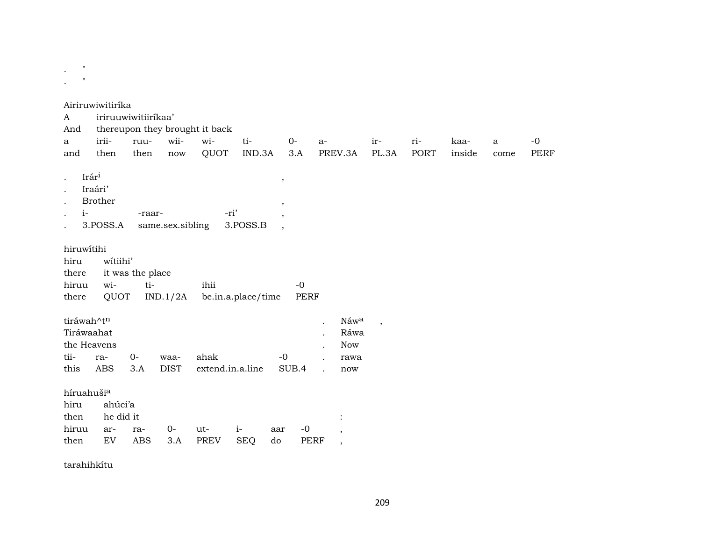$\boldsymbol{\mathsf{H}}$  $\cdot$ 

Airiruwiwitiríka iriruuwiwitiiríkaa'  $\mathbf{A}$ thereupon they brought it back And iriiwiiwitiruu- $O$ rikaa- $-0$  $\mathbf{a}$  $a$ ir- $\mathbf{a}$ then QUOT IND.3A  $3.A$ PREV.3A PL.3A **PORT** inside **PERF** and then now come Irár<sup>i</sup>  $\overline{\phantom{a}}$ Iraári' Brother  $i-$ -ri' -raar-3.POSS.A same.sex.sibling  $3.**P**OSS $.**B**$$ hiruwítihi witiihi' hiru it was the place there witihiruu ihii  $-0$ there QUOT IND.1/2A be.in.a.place/time **PERF** tiráwah^t<sup>n</sup> Náwa  $\mathbf{r}$  $\overline{\phantom{a}}$ Tiráwaahat Ráwa the Heavens **Now** tiira- $0$ ahak  $-0$ waarawa this **ABS**  $3.A$ **DIST** extend.in.a.line SUB.4 now  $\ddot{\phantom{a}}$ híruahušia hiru ahúci'a then he did it  $\ddot{\cdot}$  $-0$ hiruu  $0$ arraut $i$ aar  $\cdot$  $3.A$ PREV do then EV ABS SEQ PERF

tarahihkítu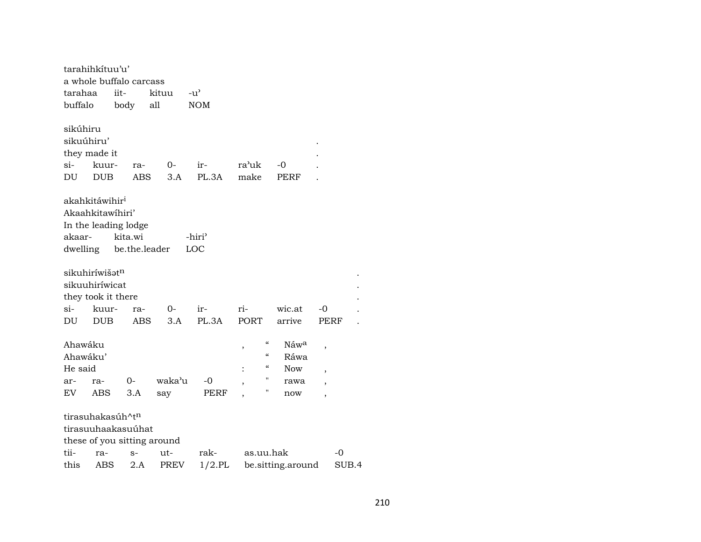|                                                                                                                                                                                                                                                                                                                                                               | tarahihkítuu'u'                                       |                                                           |                                    |                           |               |                          |             |       |  |
|---------------------------------------------------------------------------------------------------------------------------------------------------------------------------------------------------------------------------------------------------------------------------------------------------------------------------------------------------------------|-------------------------------------------------------|-----------------------------------------------------------|------------------------------------|---------------------------|---------------|--------------------------|-------------|-------|--|
|                                                                                                                                                                                                                                                                                                                                                               |                                                       | a whole buffalo carcass                                   |                                    |                           |               |                          |             |       |  |
| tarahaa                                                                                                                                                                                                                                                                                                                                                       |                                                       | iit-                                                      | kituu                              | $-u^{\prime}$             |               |                          |             |       |  |
| buffalo                                                                                                                                                                                                                                                                                                                                                       |                                                       | body                                                      | all                                | <b>NOM</b>                |               |                          |             |       |  |
| sikúhiru<br>sikuúhiru'<br>si-<br>DU                                                                                                                                                                                                                                                                                                                           | they made it<br>kuur-<br><b>DUB</b>                   | ra-<br><b>ABS</b>                                         | $O-$<br>3.A                        | ir-<br>PL.3A              | ra'uk<br>make | -0<br><b>PERF</b>        |             |       |  |
| akaar-                                                                                                                                                                                                                                                                                                                                                        | akahkitáwihir <sup>i</sup><br>Akaahkitawihiri'        | In the leading lodge<br>kita.wi<br>dwelling be.the.leader |                                    | -hiri <sup>3</sup><br>LOC |               |                          |             |       |  |
| si-                                                                                                                                                                                                                                                                                                                                                           | sikuhiríwišət <sup>n</sup><br>sikuuhiríwicat<br>kuur- | they took it there<br>ra-                                 | $0-$                               | ir-                       | ri-           | wic.at                   | -0          |       |  |
| DU                                                                                                                                                                                                                                                                                                                                                            |                                                       |                                                           | 3.A                                | PL.3A                     |               | arrive                   | <b>PERF</b> |       |  |
| PORT<br><b>DUB</b><br><b>ABS</b><br>$\mathcal{C}\mathcal{C}$<br>Ahawáku<br>Náwa<br>,<br>,<br>$\mathcal{C}$<br>Ahawáku'<br>Ráwa<br>$\mathcal{C}$<br>He said<br>Now<br>$\overline{\phantom{a}}$<br>н<br>waka'u<br>0-<br>-0<br>ar-<br>ra-<br>rawa<br>$\overline{\phantom{a}}$<br>$\overline{\phantom{a}}$<br>н<br><b>ABS</b><br>3.A<br>EV.<br>PERF<br>say<br>now |                                                       |                                                           |                                    |                           |               |                          |             |       |  |
|                                                                                                                                                                                                                                                                                                                                                               |                                                       |                                                           |                                    |                           |               | $\overline{\phantom{a}}$ |             |       |  |
|                                                                                                                                                                                                                                                                                                                                                               |                                                       | tirasuhakasúh^t <sup>n</sup>                              |                                    |                           |               |                          |             |       |  |
|                                                                                                                                                                                                                                                                                                                                                               |                                                       | tirasuuhaakasuúhat                                        |                                    |                           |               |                          |             |       |  |
| tii-                                                                                                                                                                                                                                                                                                                                                          | ra-                                                   |                                                           | these of you sitting around<br>ut- | rak-                      | as.uu.hak     |                          | -0          |       |  |
| this                                                                                                                                                                                                                                                                                                                                                          | ABS                                                   | $S-$<br>2.A                                               | <b>PREV</b>                        | $1/2$ .PL                 |               | be.sitting.around        |             | SUB.4 |  |
|                                                                                                                                                                                                                                                                                                                                                               |                                                       |                                                           |                                    |                           |               |                          |             |       |  |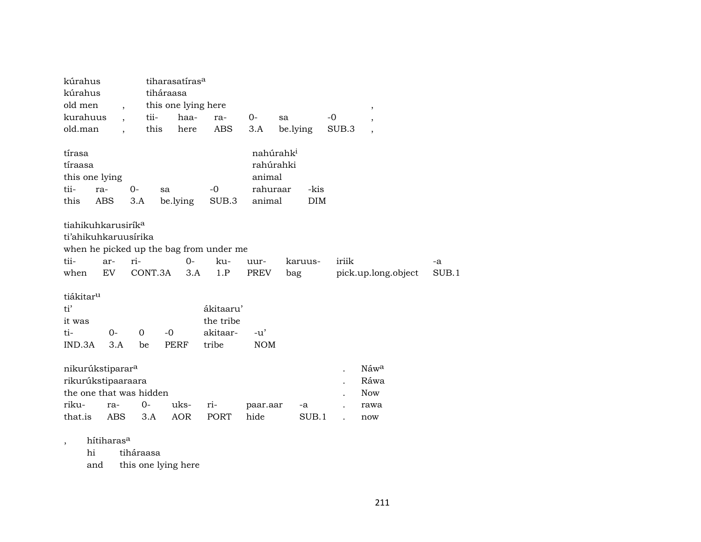| kúrahus<br>kúrahus<br>old men<br>kurahuus                                                         | $\ddot{\phantom{0}}$ | tii-           | tiharasatíras <sup>a</sup><br>tiháraasa<br>this one lying here<br>haa- | ra-                                         | $O -$                                                              | sa                 | $\, ,$<br>$-0$<br>,                |             |
|---------------------------------------------------------------------------------------------------|----------------------|----------------|------------------------------------------------------------------------|---------------------------------------------|--------------------------------------------------------------------|--------------------|------------------------------------|-------------|
| old.man                                                                                           |                      |                | this<br>here                                                           | <b>ABS</b>                                  | 3.A                                                                | be.lying           | SUB.3<br>$\overline{ }$            |             |
| tírasa<br>tíraasa<br>this one lying<br>tii-<br>this                                               | ra-<br>ABS           | $0-$<br>3.A    | sa<br>be.lying                                                         | $-0$<br>SUB.3                               | nahúrahk <sup>i</sup><br>rahúrahki<br>animal<br>rahuraar<br>animal | -kis<br><b>DIM</b> |                                    |             |
| tiahikuhkarusirík <sup>a</sup><br>ti'ahikuhkaruusírika<br>tii-<br>when                            | ar-<br>EV            | ri-<br>CONT.3A | when he picked up the bag from under me<br>$0 -$<br>3.A                | ku-<br>1.P                                  | uur-<br><b>PREV</b>                                                | karuus-<br>bag     | iriik<br>pick.up.long.object       | -a<br>SUB.1 |
| tiákitar <sup>u</sup><br>ti'<br>it was<br>ti-<br>IND.3A                                           | $0-$<br>3.A          | $\Omega$<br>be | $-0$<br><b>PERF</b>                                                    | ákitaaru'<br>the tribe<br>akitaar-<br>tribe | $-u'$<br><b>NOM</b>                                                |                    |                                    |             |
| nikurúkstiparar <sup>a</sup><br>rikurúkstipaaraara<br>the one that was hidden<br>riku-<br>that.is | ra-<br>ABS           | $0-$<br>3.A    | uks-<br><b>AOR</b>                                                     | ri-<br>PORT                                 | paar.aar<br>hide                                                   | -a<br>SUB.1        | Náwa<br>Ráwa<br>Now<br>rawa<br>now |             |

, hítiharas<sup>a</sup><br>hi tiha

tiháraasa

and this one lying here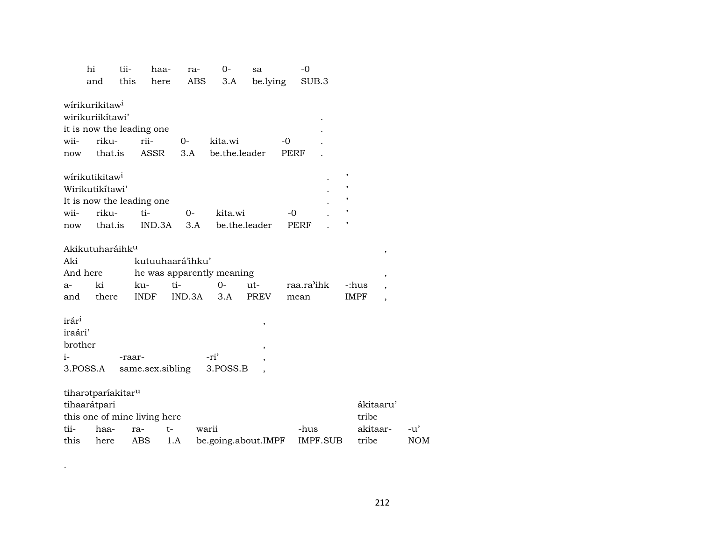|                                                 | hi                                                                | tii-   | haa-                                       | ra-                                                            | $O -$            | sa                            | -0                 |                 |                                                                                                      |                                                                   |            |
|-------------------------------------------------|-------------------------------------------------------------------|--------|--------------------------------------------|----------------------------------------------------------------|------------------|-------------------------------|--------------------|-----------------|------------------------------------------------------------------------------------------------------|-------------------------------------------------------------------|------------|
|                                                 | and                                                               | this   | here                                       | ABS                                                            | 3.A              | be.lying                      |                    | SUB.3           |                                                                                                      |                                                                   |            |
|                                                 | wirikurikitaw <sup>i</sup><br>wirikuriikítawi'                    |        | it is now the leading one                  |                                                                |                  |                               |                    |                 |                                                                                                      |                                                                   |            |
| wii-                                            | riku-                                                             |        | rii-                                       | 0-                                                             | kita.wi          |                               | -0                 |                 |                                                                                                      |                                                                   |            |
| now                                             | that.is                                                           |        | <b>ASSR</b>                                | 3.A                                                            | be.the.leader    |                               | PERF               |                 |                                                                                                      |                                                                   |            |
| wii-<br>now                                     | wirikutikitaw <sup>i</sup><br>Wirikutikítawi'<br>riku-<br>that.is |        | It is now the leading one<br>ti-<br>IND.3A | 0-<br>3.A                                                      | kita.wi          | be.the.leader                 | -0<br><b>PERF</b>  |                 | $\pmb{\mathsf{H}}$<br>$\pmb{\mathsf{H}}$<br>$\pmb{\mathsf{H}}$<br>$\mathbf{H}$<br>$\pmb{\mathsf{H}}$ |                                                                   |            |
| Aki<br>a-<br>and                                | Akikutuharáihk <sup>u</sup><br>And here<br>ki<br>there            |        | ku-<br><b>INDF</b>                         | kutuuhaará'ihku'<br>he was apparently meaning<br>ti-<br>IND.3A | $0-$<br>3.A      | $ut -$<br>PREV                | raa.ra'ihk<br>mean |                 | -:hus<br><b>IMPF</b>                                                                                 | ,<br>$\,$<br>$\overline{\phantom{a}}$<br>$\overline{\phantom{a}}$ |            |
| irár <sup>i</sup><br>iraári'<br>brother<br>$i-$ | 3.POSS.A                                                          | -raar- | same.sex.sibling                           |                                                                | -ri'<br>3.POSS.B | ,<br>$\overline{\phantom{a}}$ |                    |                 |                                                                                                      |                                                                   |            |
| tii-                                            | tiharatparíakitar <sup>u</sup><br>tihaarátpari<br>haa-            |        | this one of mine living here<br>ra-        | t-                                                             | warii            |                               | -hus               |                 | ákitaaru'<br>tribe<br>akitaar-                                                                       |                                                                   | -u'        |
| this                                            | here                                                              |        | ABS                                        | 1.A                                                            |                  | be.going.about.IMPF           |                    | <b>IMPF.SUB</b> | tribe                                                                                                |                                                                   | <b>NOM</b> |
|                                                 |                                                                   |        |                                            |                                                                |                  |                               |                    |                 |                                                                                                      |                                                                   |            |

.

212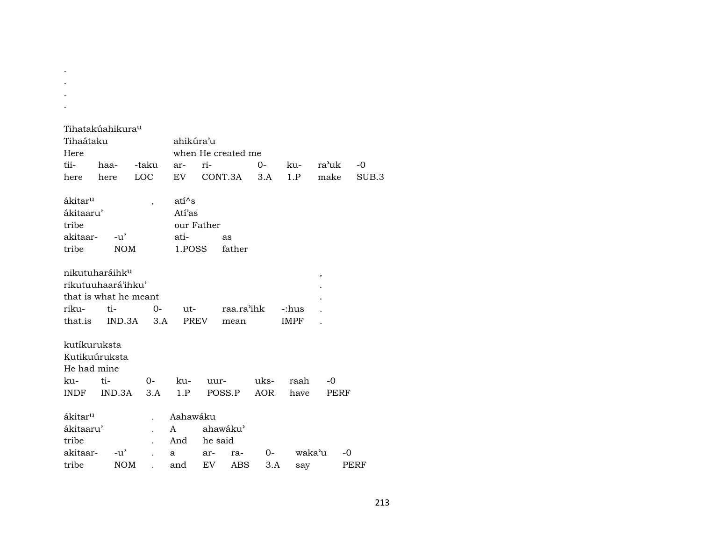- .
- .
- .

|                     | Tihatakúahikura <sup>u</sup> |                          |              |            |                    |       |             |                         |                  |
|---------------------|------------------------------|--------------------------|--------------|------------|--------------------|-------|-------------|-------------------------|------------------|
| Tihaátaku           |                              |                          | ahikúra'u    |            |                    |       |             |                         |                  |
| Here                |                              |                          |              |            | when He created me |       |             |                         |                  |
| tii-                | haa-                         | -taku                    | ar-          | ri-        |                    | $O -$ | ku-         | ra'uk                   | $-0$             |
| here                | here                         | LOC                      | EV           |            | CONT.3A            | 3.A   | 1.P         | make                    | SUB <sub>3</sub> |
|                     |                              |                          |              |            |                    |       |             |                         |                  |
| ákitar <sup>u</sup> |                              | $\overline{\phantom{a}}$ | $ati^s$      |            |                    |       |             |                         |                  |
| ákitaaru'           |                              |                          | Atí'as       |            |                    |       |             |                         |                  |
| tribe               |                              |                          |              | our Father |                    |       |             |                         |                  |
| akitaar-            | -u'                          |                          | ati-         |            | as                 |       |             |                         |                  |
| tribe               | <b>NOM</b>                   |                          | 1.POSS       |            | father             |       |             |                         |                  |
|                     |                              |                          |              |            |                    |       |             |                         |                  |
|                     | nikutuharáihk <sup>u</sup>   |                          |              |            |                    |       |             | $^\mathrm{^\mathrm{o}}$ |                  |
|                     | rikutuuhaará'ihku'           |                          |              |            |                    |       |             |                         |                  |
|                     | that is what he meant        |                          |              |            |                    |       |             |                         |                  |
| riku-               | ti-                          | $0-$                     | ut-          |            | raa.ra'ihk         |       | -:hus       |                         |                  |
|                     | that.is IND.3A               | 3.A                      | PREV         |            | mean               |       | <b>IMPF</b> |                         |                  |
|                     |                              |                          |              |            |                    |       |             |                         |                  |
| kutíkuruksta        |                              |                          |              |            |                    |       |             |                         |                  |
| Kutikuúruksta       |                              |                          |              |            |                    |       |             |                         |                  |
| He had mine         |                              |                          |              |            |                    |       |             |                         |                  |
| ku-                 | ti-                          | $0-$                     | ku-          | uur-       |                    | uks-  | raah        | -0                      |                  |
| INDF                | IND.3A                       | 3.A                      | 1.P          |            | POSS.P             | AOR   | have        | PERF                    |                  |
|                     |                              |                          |              |            |                    |       |             |                         |                  |
| ákitar <sup>u</sup> |                              | $\ddot{\phantom{a}}$     | Aahawáku     |            |                    |       |             |                         |                  |
| ákitaaru'           |                              | $\ddot{\phantom{0}}$     | $\mathbf{A}$ |            | ahawáku'           |       |             |                         |                  |
| tribe               |                              | $\ddot{\phantom{a}}$     | And he said  |            |                    |       |             |                         |                  |
| akitaar-            | $-u'$                        |                          | $\mathbf{a}$ | ar-        | ra-                | $O-$  | waka'u      |                         | -0               |
| tribe               | <b>NOM</b>                   | $\overline{a}$           | and          | EV         | <b>ABS</b>         | 3.A   | say         |                         | PERF             |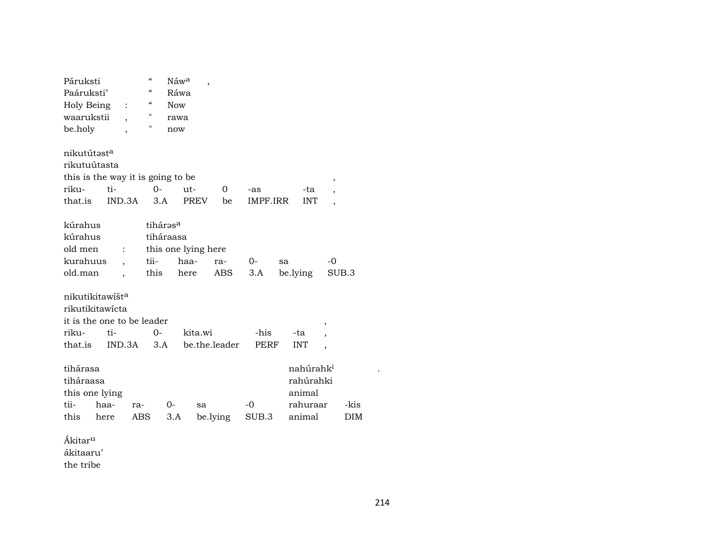| Páruksti                          |                |                          | "                        | Náw <sup>a</sup> | $\overline{\phantom{a}}$ |               |             |    |            |                       |                          |            |  |
|-----------------------------------|----------------|--------------------------|--------------------------|------------------|--------------------------|---------------|-------------|----|------------|-----------------------|--------------------------|------------|--|
| Paáruksti'                        |                |                          | $\mathcal{C}\mathcal{C}$ | Ráwa             |                          |               |             |    |            |                       |                          |            |  |
| Holy Being                        |                | $\ddot{\cdot}$           | $\mathcal{C}\mathcal{C}$ | <b>Now</b>       |                          |               |             |    |            |                       |                          |            |  |
| waarukstii                        |                |                          | п                        | rawa             |                          |               |             |    |            |                       |                          |            |  |
| be.holy                           |                | $\overline{\phantom{a}}$ | П                        | now              |                          |               |             |    |            |                       |                          |            |  |
|                                   |                |                          |                          |                  |                          |               |             |    |            |                       |                          |            |  |
| nikutútasta                       |                |                          |                          |                  |                          |               |             |    |            |                       |                          |            |  |
| rikutuútasta                      |                |                          |                          |                  |                          |               |             |    |            |                       |                          |            |  |
| this is the way it is going to be |                |                          |                          |                  |                          |               |             |    |            |                       | ,                        |            |  |
| riku-                             | ti-            |                          | $O -$                    | $ut -$           |                          | 0             | -as         |    |            | -ta                   | $\overline{\phantom{a}}$ |            |  |
| that.is                           | IND.3A         |                          | 3.A                      |                  | <b>PREV</b>              | be            | IMPF.IRR    |    |            | <b>INT</b>            | ,                        |            |  |
|                                   |                |                          |                          |                  |                          |               |             |    |            |                       |                          |            |  |
| kúrahus                           |                |                          | tihárəs <sup>a</sup>     |                  |                          |               |             |    |            |                       |                          |            |  |
| kúrahus                           |                |                          | tiháraasa                |                  |                          |               |             |    |            |                       |                          |            |  |
| old men                           | $\ddot{\cdot}$ |                          | this one lying here      |                  |                          |               |             |    |            |                       |                          |            |  |
| kurahuus                          |                |                          | tii-                     | haa-             |                          | ra-           | 0-          | sa |            |                       | $-0$                     |            |  |
| old.man                           |                |                          | this                     | here             |                          | ABS           | 3.A         |    | be.lying   |                       | SUB.3                    |            |  |
| nikutikitawišta                   |                |                          |                          |                  |                          |               |             |    |            |                       |                          |            |  |
| rikutikitawicta                   |                |                          |                          |                  |                          |               |             |    |            |                       |                          |            |  |
| it is the one to be leader        |                |                          |                          |                  |                          |               |             |    |            |                       |                          |            |  |
| riku-                             | ti-            |                          | 0-                       |                  | kita.wi                  |               | -his        |    | -ta        |                       | ,                        |            |  |
| that.is                           |                | IND.3A                   | 3.A                      |                  |                          | be.the.leader | <b>PERF</b> |    | <b>INT</b> |                       |                          |            |  |
|                                   |                |                          |                          |                  |                          |               |             |    |            |                       | ,                        |            |  |
| tihárasa                          |                |                          |                          |                  |                          |               |             |    |            | nahúrahk <sup>i</sup> |                          |            |  |
| tiháraasa                         |                |                          |                          |                  |                          |               |             |    |            | rahúrahki             |                          |            |  |
| this one lying                    |                |                          |                          |                  |                          |               |             |    |            | animal                |                          |            |  |
| tii-                              | haa-           | ra-                      | 0-                       |                  | sa                       |               | $-0$        |    |            | rahuraar              |                          | -kis       |  |
| this                              | here           | <b>ABS</b>               |                          | 3.A              |                          | be.lying      | SUB.3       |    |            | animal                |                          | <b>DIM</b> |  |
|                                   |                |                          |                          |                  |                          |               |             |    |            |                       |                          |            |  |
| Ákitar <sup>u</sup>               |                |                          |                          |                  |                          |               |             |    |            |                       |                          |            |  |
| ákitaaru'                         |                |                          |                          |                  |                          |               |             |    |            |                       |                          |            |  |
| the tribe                         |                |                          |                          |                  |                          |               |             |    |            |                       |                          |            |  |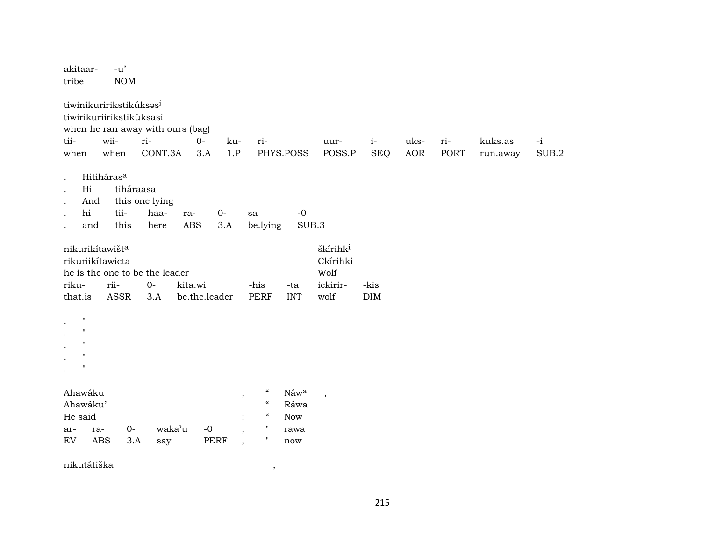| akitaar-<br>tribe                                                                 |                                                                                 | $-u'$<br><b>NOM</b>       |                                |                                                  |             |                                                      |               |                                  |                    |             |             |                     |               |
|-----------------------------------------------------------------------------------|---------------------------------------------------------------------------------|---------------------------|--------------------------------|--------------------------------------------------|-------------|------------------------------------------------------|---------------|----------------------------------|--------------------|-------------|-------------|---------------------|---------------|
| tii-<br>when                                                                      | tiwinikuririkstikúksas <sup>i</sup><br>tiwirikuriirikstikúksasi<br>wii-<br>when |                           | ri-<br>CONT.3A                 | when he ran away with ours (bag)<br>$O -$<br>3.A | ku-<br>1.P  | ri-                                                  | PHYS.POSS     | uur-<br>POSS.P                   | $i-$<br><b>SEQ</b> | uks-<br>AOR | ri-<br>PORT | kuks.as<br>run.away | $-i$<br>SUB.2 |
| hi                                                                                | Hitiháras <sup>a</sup><br>Hi<br>And<br>and                                      | tiháraasa<br>tii-<br>this | this one lying<br>haa-<br>here | ra-<br>ABS                                       | $0-$<br>3.A | sa<br>be.lying                                       | $-0$<br>SUB.3 |                                  |                    |             |             |                     |               |
|                                                                                   | nikurikítawišt <sup>a</sup><br>rikuriikítawicta                                 |                           |                                |                                                  |             |                                                      |               | škírihk <sup>i</sup><br>Ckírihki |                    |             |             |                     |               |
|                                                                                   |                                                                                 |                           | he is the one to be the leader |                                                  |             |                                                      |               | Wolf                             |                    |             |             |                     |               |
| riku-                                                                             | rii-                                                                            |                           | $O -$                          | kita.wi                                          |             | -his                                                 | -ta           | ickirir-                         | -kis               |             |             |                     |               |
| that.is                                                                           |                                                                                 | <b>ASSR</b>               | 3.A                            | be.the.leader                                    |             | <b>PERF</b>                                          | <b>INT</b>    | wolf                             | <b>DIM</b>         |             |             |                     |               |
| $\pmb{\Pi}$<br>$\mathbf{H}$<br>$\mathbf{H}$<br>$\mathbf{H}$<br>$\pmb{\mathsf{H}}$ |                                                                                 |                           |                                |                                                  |             |                                                      |               |                                  |                    |             |             |                     |               |
| Ahawáku                                                                           |                                                                                 |                           |                                |                                                  |             | $\mathcal{C}\mathcal{C}$<br>$\overline{\phantom{a}}$ | Náwa          | $\overline{\phantom{a}}$         |                    |             |             |                     |               |
| Ahawáku'                                                                          |                                                                                 |                           |                                |                                                  |             | $\boldsymbol{\mathcal{G}}$                           | Ráwa          |                                  |                    |             |             |                     |               |
| He said                                                                           |                                                                                 |                           |                                |                                                  |             | $\mathcal{C}\mathcal{C}$                             | <b>Now</b>    |                                  |                    |             |             |                     |               |
| ar-                                                                               | ra-                                                                             | $O -$                     | waka'u                         |                                                  | $-{\bf 0}$  | $\mathbf{H}$<br>,<br>$\pmb{\mathsf{H}}$              | rawa          |                                  |                    |             |             |                     |               |
| EV                                                                                | <b>ABS</b>                                                                      | 3.A                       | say                            |                                                  | PERF        | $\,$                                                 | now           |                                  |                    |             |             |                     |               |
|                                                                                   | nikutátiška                                                                     |                           |                                |                                                  |             | $\,$                                                 |               |                                  |                    |             |             |                     |               |

215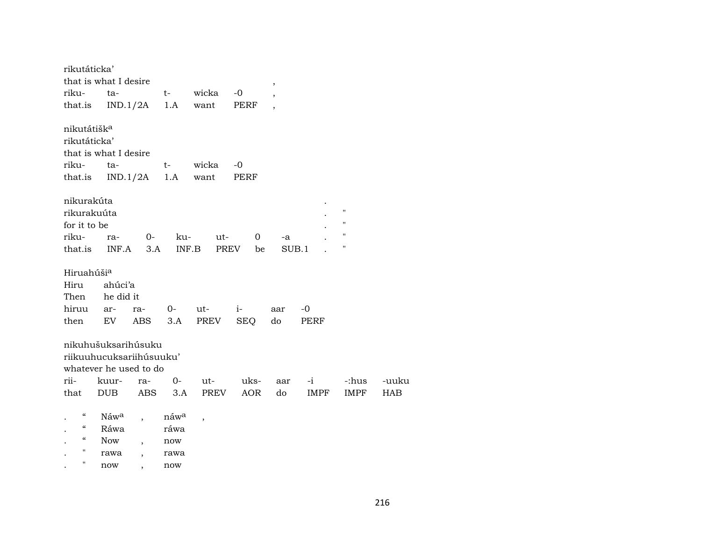| rikutáticka'            |                          |                |                  |        |              |      |              |                    |       |
|-------------------------|--------------------------|----------------|------------------|--------|--------------|------|--------------|--------------------|-------|
|                         | that is what I desire    |                |                  |        |              | $\,$ |              |                    |       |
| riku-                   | ta-                      |                | $t \qquad$       | wicka  | $-0$         |      |              |                    |       |
| that.is                 |                          | $IND.1/2A$ 1.A |                  | want   | PERF         |      |              |                    |       |
| nikutátišk <sup>a</sup> |                          |                |                  |        |              |      |              |                    |       |
| rikutáticka'            |                          |                |                  |        |              |      |              |                    |       |
|                         | that is what I desire    |                |                  |        |              |      |              |                    |       |
| riku-                   | ta-                      |                | $t \qquad$       | wicka  | $-0$         |      |              |                    |       |
| that.is                 |                          | IND.1/2A       | 1.A              | want   | PERF         |      |              |                    |       |
| nikurakúta              |                          |                |                  |        |              |      |              |                    |       |
| rikurakuúta             |                          |                |                  |        |              |      |              | $\pmb{\mathsf{H}}$ |       |
| for it to be            |                          |                |                  |        |              |      |              | $\pmb{\mathsf{H}}$ |       |
| riku-                   | ra-                      | $0-$           | ku-              | ut-    | $\mathbf{0}$ | -a   |              | $\mathbf H$        |       |
|                         | that.is INF.A            | 3.A            |                  | INF.B  | PREV<br>be   |      | SUB.1        | н                  |       |
| Hiruahúši <sup>a</sup>  |                          |                |                  |        |              |      |              |                    |       |
| Hiru                    | ahúci'a                  |                |                  |        |              |      |              |                    |       |
| Then                    | he did it                |                |                  |        |              |      |              |                    |       |
| hiruu                   | ar-                      | ra-            | $0-$             | ut-    | $i-$         | aar  | $-0$         |                    |       |
| then                    | EV                       | ABS            | 3.A              | PREV   | <b>SEQ</b>   | do   | PERF         |                    |       |
|                         | nikuhušuksarihúsuku      |                |                  |        |              |      |              |                    |       |
|                         | riikuuhucuksariihúsuuku' |                |                  |        |              |      |              |                    |       |
|                         | whatever he used to do   |                |                  |        |              |      |              |                    |       |
| rii-                    | kuur-                    | ra-            | $0-$             | ut-    | uks-         | aar  | $-i$ and $i$ | -:hus              | -uuku |
| that                    | <b>DUB</b>               | ABS            | 3.A              | PREV   | AOR          | do   | IMPF         | IMPF               | HAB   |
|                         |                          |                |                  |        |              |      |              |                    |       |
| $\epsilon\epsilon$      | Náw <sup>a</sup>         |                | náw <sup>a</sup> | $\, ,$ |              |      |              |                    |       |
| $\epsilon\epsilon$      | Ráwa                     |                | ráwa             |        |              |      |              |                    |       |
| "                       | Now                      |                | now              |        |              |      |              |                    |       |
| "                       | rawa                     |                | rawa             |        |              |      |              |                    |       |

. " now , now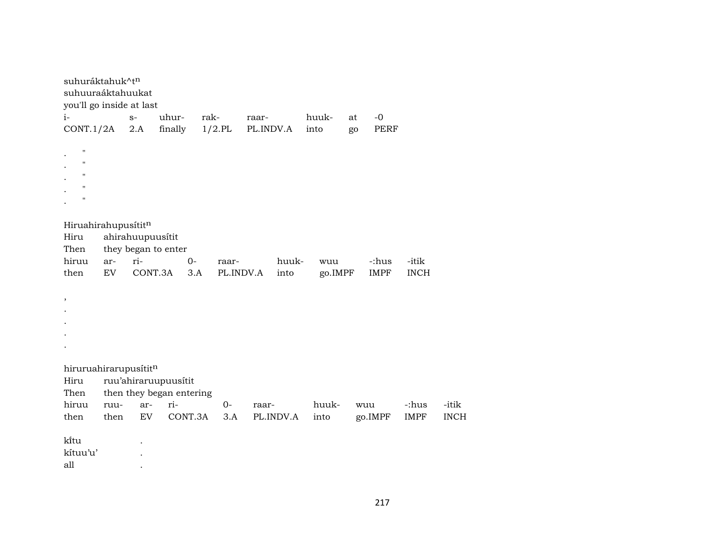| suhuráktahuk^tn<br>suhuuraáktahuukat<br>you'll go inside at last                                     |                  |         |                          |         |           |           |           |         |    |             |             |             |
|------------------------------------------------------------------------------------------------------|------------------|---------|--------------------------|---------|-----------|-----------|-----------|---------|----|-------------|-------------|-------------|
| $i-$                                                                                                 |                  | $S-$    | uhur-                    | rak-    |           | raar-     |           | huuk-   | at | $-0$        |             |             |
| CONT.1/2A                                                                                            |                  | 2.A     | finally                  |         | $1/2$ .PL | PL.INDV.A |           | into    | go | <b>PERF</b> |             |             |
| $\bar{\mathbf{H}}$<br>$\pmb{\mathsf{H}}$<br>$\mathbf{H}$<br>$\pmb{\mathsf{H}}$<br>$\pmb{\mathsf{H}}$ |                  |         |                          |         |           |           |           |         |    |             |             |             |
| Hiruahirahupusititn                                                                                  |                  |         |                          |         |           |           |           |         |    |             |             |             |
| Hiru                                                                                                 | ahirahuupuusítit |         |                          |         |           |           |           |         |    |             |             |             |
| Then                                                                                                 |                  |         | they began to enter      |         |           |           |           |         |    |             |             |             |
| hiruu                                                                                                | ar-              | ri-     |                          | $0-$    | raar-     |           | huuk-     | wuu     |    | -:hus       | -itik       |             |
| then                                                                                                 | EV               | CONT.3A |                          | 3.A     | PL.INDV.A |           | into      | go.IMPF |    | <b>IMPF</b> | <b>INCH</b> |             |
| $\, ,$                                                                                               |                  |         |                          |         |           |           |           |         |    |             |             |             |
| hiruruahirarupusítitn                                                                                |                  |         |                          |         |           |           |           |         |    |             |             |             |
| Hiru                                                                                                 |                  |         | ruu'ahiraruupuusítit     |         |           |           |           |         |    |             |             |             |
| Then                                                                                                 |                  |         | then they began entering |         |           |           |           |         |    |             |             |             |
| hiruu                                                                                                | ruu-             | ar-     | ri-                      |         | 0-        | raar-     |           | huuk-   |    | wuu         | -:hus       | -itik       |
| then                                                                                                 | then             | EV      |                          | CONT.3A | 3.A       |           | PL.INDV.A | into    |    | go.IMPF     | <b>IMPF</b> | <b>INCH</b> |
| kītu<br>kítuu'u'<br>all                                                                              |                  |         |                          |         |           |           |           |         |    |             |             |             |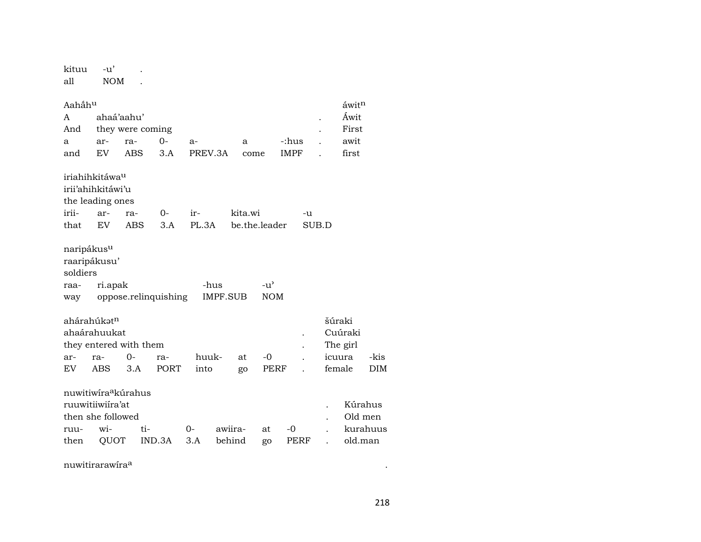## kituu -u' .  $\mathop{\mathrm{all}}$ NOM.

| Aahấhu                          |            |                        |                      |         |                 |               |               |             |       |          | áwit <sup>n</sup> |            |
|---------------------------------|------------|------------------------|----------------------|---------|-----------------|---------------|---------------|-------------|-------|----------|-------------------|------------|
| A                               | ahaá'aahu' |                        |                      |         |                 |               |               |             |       |          | Áwit              |            |
| And                             |            | they were coming       |                      |         |                 |               |               |             |       |          | First             |            |
| a                               | ar-        | ra-                    | $0-$                 | $a-$    |                 | a             |               | -:hus       |       |          | awit              |            |
| and                             | EV.        | ABS                    | 3.A                  | PREV.3A |                 | come          |               | <b>IMPF</b> |       |          | first             |            |
| iriahihkitáwa <sup>u</sup>      |            |                        |                      |         |                 |               |               |             |       |          |                   |            |
| irii'ahihkitáwi'u               |            |                        |                      |         |                 |               |               |             |       |          |                   |            |
| the leading ones                |            |                        |                      |         |                 |               |               |             |       |          |                   |            |
| irii-                           | ar-        | ra-                    | $O -$                | ir-     |                 | kita.wi       |               |             | -u    |          |                   |            |
| that                            | EV         | ABS                    | 3.A                  | PL.3A   |                 | be.the.leader |               |             | SUB.D |          |                   |            |
| naripákus <sup>u</sup>          |            |                        |                      |         |                 |               |               |             |       |          |                   |            |
| raaripákusu'                    |            |                        |                      |         |                 |               |               |             |       |          |                   |            |
| soldiers                        |            |                        |                      |         |                 |               |               |             |       |          |                   |            |
| raa-                            | ri.apak    |                        |                      | -hus    |                 |               | $-u^{\prime}$ |             |       |          |                   |            |
| way                             |            |                        | oppose.relinquishing |         | <b>IMPF.SUB</b> |               | <b>NOM</b>    |             |       |          |                   |            |
| ahárahúkət <sup>n</sup>         |            |                        |                      |         |                 |               |               |             |       | šúraki   |                   |            |
| ahaárahuukat                    |            |                        |                      |         |                 |               |               |             |       |          | Cuúraki           |            |
|                                 |            | they entered with them |                      |         |                 |               |               |             |       | The girl |                   |            |
| ar-                             | ra-        | $0-$                   | ra-                  | huuk-   |                 | at            | -0            |             |       | icuura   |                   | -kis       |
| EV.                             | <b>ABS</b> | 3.A                    | PORT                 | into    |                 | go            | PERF          |             |       | female   |                   | <b>DIM</b> |
| nuwitiwira <sup>a</sup> kúrahus |            |                        |                      |         |                 |               |               |             |       |          |                   |            |
| ruuwitiiwiira'at                |            |                        |                      |         |                 |               |               |             |       |          | Kúrahus           |            |
| then she followed               |            |                        |                      |         |                 |               |               |             |       |          | Old men           |            |
| ruu-                            | wi-        | ti-                    |                      | $0-$    | awiira-         |               | at            | -0          |       |          | kurahuus          |            |
| then                            | QUOT       |                        | IND.3A               | 3.A     | behind          |               | go            | PERF        |       |          | old.man           |            |

nuwitirarawira<sup>a</sup>

 $\sim 100$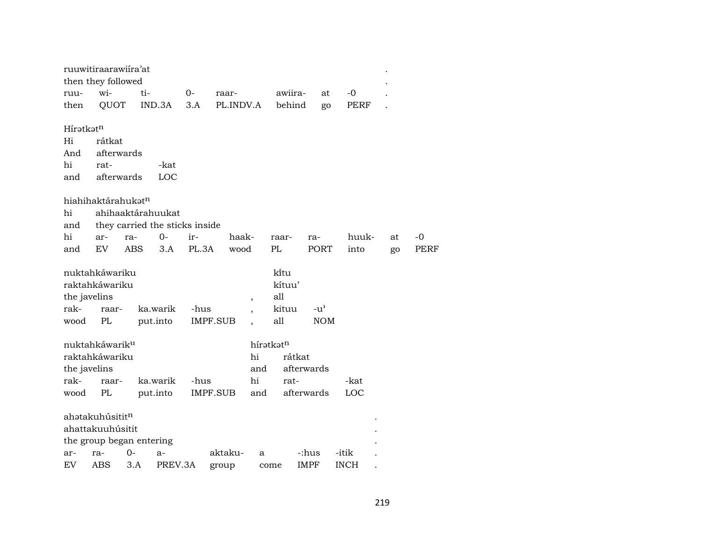|                       | ruuwitiraarawiira'at<br>then they followed   |     |                                |       |                 |                          |                         |             |             |    |      |  |
|-----------------------|----------------------------------------------|-----|--------------------------------|-------|-----------------|--------------------------|-------------------------|-------------|-------------|----|------|--|
| ruu-                  | wi-                                          | ti- |                                | $O -$ | raar-           |                          | awiira-                 | at          | $-0$        |    |      |  |
| then                  | QUOT                                         |     | IND.3A                         | 3.A   | PL.INDV.A       |                          | behind                  | go          | PERF        |    |      |  |
| Híratkat <sup>n</sup> |                                              |     |                                |       |                 |                          |                         |             |             |    |      |  |
| Hi                    | rátkat                                       |     |                                |       |                 |                          |                         |             |             |    |      |  |
| And                   | afterwards                                   |     |                                |       |                 |                          |                         |             |             |    |      |  |
| hi                    | rat-                                         |     | -kat                           |       |                 |                          |                         |             |             |    |      |  |
| and                   | afterwards                                   |     | LOC                            |       |                 |                          |                         |             |             |    |      |  |
|                       | hiahihaktárahukatn                           |     |                                |       |                 |                          |                         |             |             |    |      |  |
| hi                    |                                              |     | ahihaaktárahuukat              |       |                 |                          |                         |             |             |    |      |  |
| and                   |                                              |     | they carried the sticks inside |       |                 |                          |                         |             |             |    |      |  |
| hi                    | ar-                                          | ra- | $O -$                          | ir-   | haak-           |                          | raar-                   | ra-         | huuk-       | at | -0   |  |
| and                   | EV.                                          | ABS | 3.A                            | PL.3A | wood            |                          | PL                      | PORT        | into        | go | PERF |  |
| the javelins          | nuktahkáwariku<br>raktahkáwariku             |     |                                |       |                 | $\overline{\phantom{a}}$ | ki̇̃tu<br>kítuu'<br>all |             |             |    |      |  |
| rak-                  | raar-                                        |     | ka.warik                       | -hus  |                 | $\cdot$                  | kituu                   | -u'         |             |    |      |  |
| wood                  | PL                                           |     | put.into                       |       | <b>IMPF.SUB</b> |                          | all                     | <b>NOM</b>  |             |    |      |  |
| the javelins          | nuktahkáwarik <sup>u</sup><br>raktahkáwariku |     |                                |       |                 | hi<br>and                | híratkatn<br>rátkat     | afterwards  |             |    |      |  |
| rak-                  | raar-                                        |     | ka.warik                       | -hus  |                 | hi                       | rat-                    |             | -kat        |    |      |  |
| wood                  | PL                                           |     | put.into                       |       | IMPF.SUB        | and                      |                         | afterwards  | LOC         |    |      |  |
|                       | ahatakuhúsititn                              |     |                                |       |                 |                          |                         |             |             |    |      |  |
|                       | ahattakuuhúsitit                             |     |                                |       |                 |                          |                         |             |             |    |      |  |
|                       | the group began entering                     |     |                                |       |                 |                          |                         |             |             |    |      |  |
| ar-                   | ra-                                          | 0-  | $a-$                           |       | aktaku-         | a                        |                         | -:hus       | -itik       |    |      |  |
| EV                    | ABS                                          | 3.A | PREV.3A                        |       | group           |                          | come                    | <b>IMPF</b> | <b>INCH</b> |    |      |  |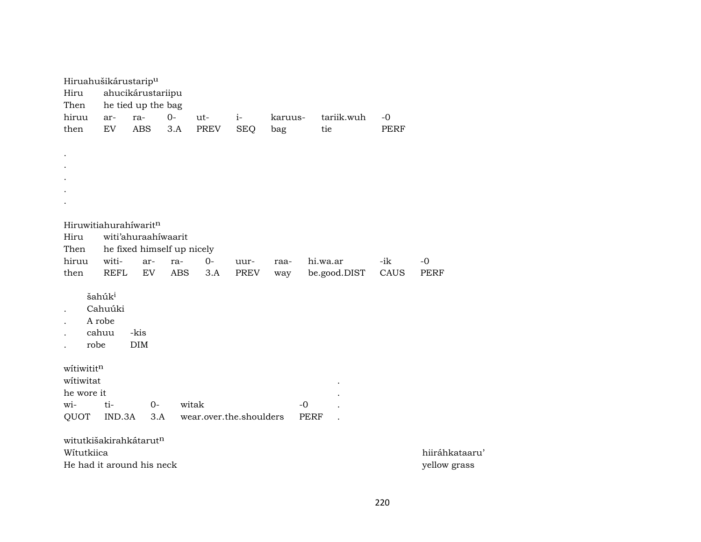| Hiruahušikárustarip <sup>u</sup> |                                                  |                            |            |                         |             |         |             |              |      |               |
|----------------------------------|--------------------------------------------------|----------------------------|------------|-------------------------|-------------|---------|-------------|--------------|------|---------------|
| Hiru                             |                                                  | ahucikárustariipu          |            |                         |             |         |             |              |      |               |
| Then                             |                                                  | he tied up the bag         |            |                         |             |         |             |              |      |               |
| hiruu                            | ar-                                              | ra-                        | $O -$      | ut-                     | $i-$        | karuus- |             | tariik.wuh   | $-0$ |               |
| then                             | ${\rm EV}$                                       | <b>ABS</b>                 | 3.A        | <b>PREV</b>             | <b>SEQ</b>  | bag     |             | tie          | PERF |               |
|                                  |                                                  |                            |            |                         |             |         |             |              |      |               |
|                                  |                                                  |                            |            |                         |             |         |             |              |      |               |
|                                  |                                                  |                            |            |                         |             |         |             |              |      |               |
|                                  |                                                  |                            |            |                         |             |         |             |              |      |               |
|                                  |                                                  |                            |            |                         |             |         |             |              |      |               |
|                                  |                                                  |                            |            |                         |             |         |             |              |      |               |
|                                  |                                                  |                            |            |                         |             |         |             |              |      |               |
| Hiruwitiahurahiwaritn            |                                                  |                            |            |                         |             |         |             |              |      |               |
| Hiru                             |                                                  | witi'ahuraahiwaarit        |            |                         |             |         |             |              |      |               |
| Then                             |                                                  | he fixed himself up nicely |            |                         |             |         |             |              |      |               |
| hiruu                            | witi-                                            | ar-                        | ra-        | $0-$                    | uur-        | raa-    |             | hi.wa.ar     | -ik  | $-0$          |
| then                             | <b>REFL</b>                                      | EV                         | <b>ABS</b> | 3.A                     | <b>PREV</b> | way     |             | be.good.DIST | CAUS | <b>PERF</b>   |
| robe                             | šahúk <sup>i</sup><br>Cahuúki<br>A robe<br>cahuu | -kis<br>DIM                |            |                         |             |         |             |              |      |               |
| witiwititn                       |                                                  |                            |            |                         |             |         |             |              |      |               |
| witiwitat                        |                                                  |                            |            |                         |             |         |             |              |      |               |
| he wore it                       |                                                  |                            |            |                         |             |         |             |              |      |               |
| wi-                              | ti-                                              | $O -$                      |            | witak                   |             |         | $-0$        |              |      |               |
| QUOT                             | IND.3A                                           | 3.A                        |            | wear.over.the.shoulders |             |         | <b>PERF</b> |              |      |               |
|                                  |                                                  |                            |            |                         |             |         |             |              |      |               |
| witutkišakirahkátarutn           |                                                  |                            |            |                         |             |         |             |              |      |               |
| Wítutkiica                       |                                                  |                            |            |                         |             |         |             |              |      | hiiráhkataaru |
| He had it around his neck        |                                                  |                            |            |                         |             |         |             |              |      | yellow grass  |